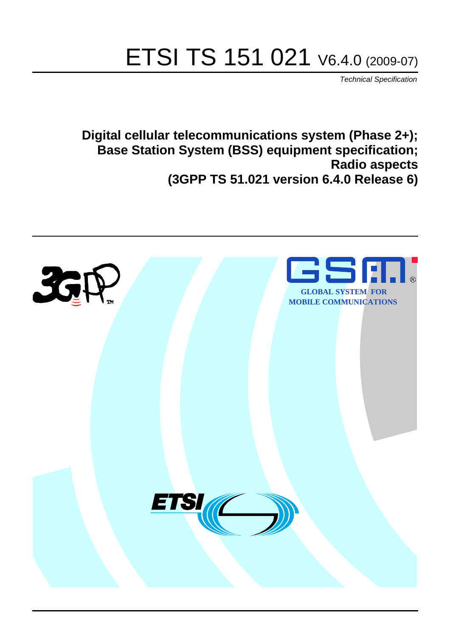# ETSI TS 151 021 V6.4.0 (2009-07)

*Technical Specification*

**Digital cellular telecommunications system (Phase 2+); Base Station System (BSS) equipment specification; Radio aspects (3GPP TS 51.021 version 6.4.0 Release 6)**

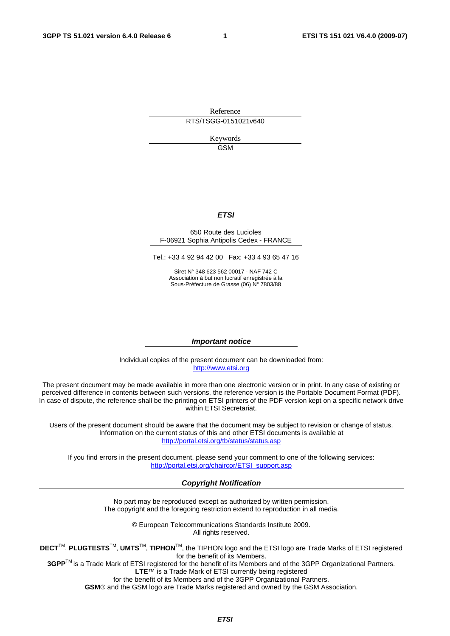Reference RTS/TSGG-0151021v640

> Keywords GSM

### *ETSI*

#### 650 Route des Lucioles F-06921 Sophia Antipolis Cedex - FRANCE

Tel.: +33 4 92 94 42 00 Fax: +33 4 93 65 47 16

Siret N° 348 623 562 00017 - NAF 742 C Association à but non lucratif enregistrée à la Sous-Préfecture de Grasse (06) N° 7803/88

#### *Important notice*

Individual copies of the present document can be downloaded from: [http://www.etsi.org](http://www.etsi.org/)

The present document may be made available in more than one electronic version or in print. In any case of existing or perceived difference in contents between such versions, the reference version is the Portable Document Format (PDF). In case of dispute, the reference shall be the printing on ETSI printers of the PDF version kept on a specific network drive within ETSI Secretariat.

Users of the present document should be aware that the document may be subject to revision or change of status. Information on the current status of this and other ETSI documents is available at <http://portal.etsi.org/tb/status/status.asp>

If you find errors in the present document, please send your comment to one of the following services: [http://portal.etsi.org/chaircor/ETSI\\_support.asp](http://portal.etsi.org/chaircor/ETSI_support.asp)

#### *Copyright Notification*

No part may be reproduced except as authorized by written permission. The copyright and the foregoing restriction extend to reproduction in all media.

> © European Telecommunications Standards Institute 2009. All rights reserved.

**DECT**TM, **PLUGTESTS**TM, **UMTS**TM, **TIPHON**TM, the TIPHON logo and the ETSI logo are Trade Marks of ETSI registered for the benefit of its Members.

**3GPP**TM is a Trade Mark of ETSI registered for the benefit of its Members and of the 3GPP Organizational Partners. **LTE**™ is a Trade Mark of ETSI currently being registered

for the benefit of its Members and of the 3GPP Organizational Partners.

**GSM**® and the GSM logo are Trade Marks registered and owned by the GSM Association.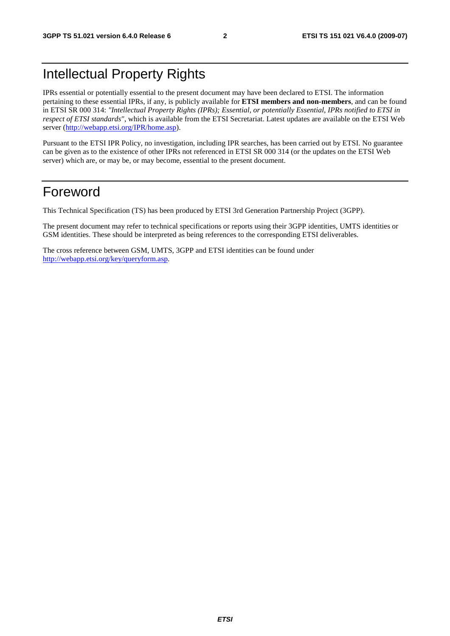## Intellectual Property Rights

IPRs essential or potentially essential to the present document may have been declared to ETSI. The information pertaining to these essential IPRs, if any, is publicly available for **ETSI members and non-members**, and can be found in ETSI SR 000 314: *"Intellectual Property Rights (IPRs); Essential, or potentially Essential, IPRs notified to ETSI in respect of ETSI standards"*, which is available from the ETSI Secretariat. Latest updates are available on the ETSI Web server ([http://webapp.etsi.org/IPR/home.asp\)](http://webapp.etsi.org/IPR/home.asp).

Pursuant to the ETSI IPR Policy, no investigation, including IPR searches, has been carried out by ETSI. No guarantee can be given as to the existence of other IPRs not referenced in ETSI SR 000 314 (or the updates on the ETSI Web server) which are, or may be, or may become, essential to the present document.

## Foreword

This Technical Specification (TS) has been produced by ETSI 3rd Generation Partnership Project (3GPP).

The present document may refer to technical specifications or reports using their 3GPP identities, UMTS identities or GSM identities. These should be interpreted as being references to the corresponding ETSI deliverables.

The cross reference between GSM, UMTS, 3GPP and ETSI identities can be found under [http://webapp.etsi.org/key/queryform.asp.](http://webapp.etsi.org/key/queryform.asp)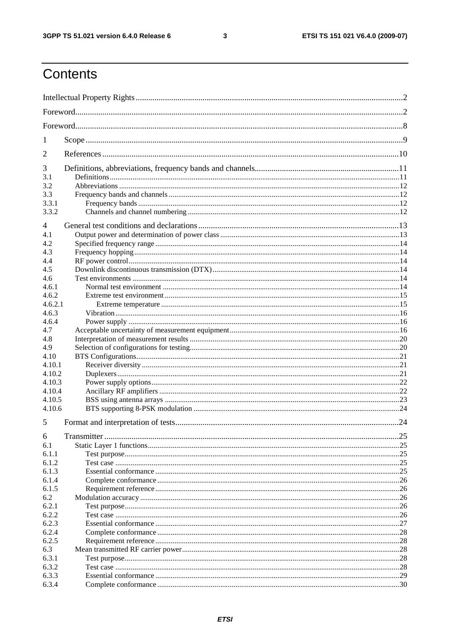$\mathbf{3}$ 

## Contents

| 1              |  |     |
|----------------|--|-----|
| $\overline{2}$ |  |     |
| 3              |  |     |
| 3.1            |  |     |
| 3.2            |  |     |
| 3.3            |  |     |
| 3.3.1          |  |     |
| 3.3.2          |  |     |
| 4              |  |     |
| 4.1            |  |     |
| 4.2            |  |     |
| 4.3            |  |     |
| 4.4            |  |     |
| 4.5            |  |     |
| 4.6            |  |     |
| 4.6.1          |  |     |
| 4.6.2          |  |     |
| 4.6.2.1        |  |     |
| 4.6.3          |  |     |
| 4.6.4          |  |     |
| 4.7            |  |     |
| 4.8            |  |     |
| 4.9            |  |     |
| 4.10           |  |     |
| 4.10.1         |  |     |
| 4.10.2         |  |     |
| 4.10.3         |  |     |
| 4.10.4         |  |     |
| 4.10.5         |  |     |
| 4.10.6         |  |     |
| 5              |  |     |
| 6              |  |     |
| 6.1            |  |     |
| 6.1.1          |  |     |
| 6.1.2          |  | .25 |
| 6.1.3          |  |     |
| 6.1.4          |  |     |
| 6.1.5          |  |     |
| 6.2            |  |     |
| 6.2.1          |  |     |
| 6.2.2          |  |     |
| 6.2.3          |  |     |
| 6.2.4          |  |     |
| 6.2.5          |  |     |
| 6.3            |  | 28  |
| 6.3.1          |  | 28  |
| 6.3.2          |  | .28 |
| 6.3.3          |  |     |
| 6.3.4          |  |     |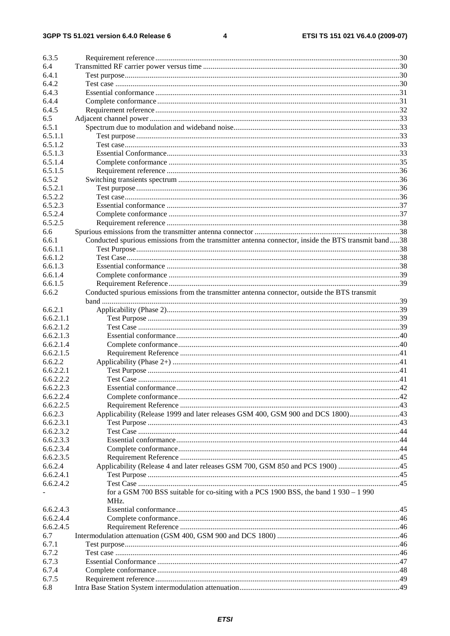#### $\overline{\mathbf{4}}$

| 6.3.5     |                                                                                                     |    |
|-----------|-----------------------------------------------------------------------------------------------------|----|
| 6.4       |                                                                                                     |    |
| 6.4.1     |                                                                                                     |    |
| 6.4.2     |                                                                                                     |    |
| 6.4.3     |                                                                                                     |    |
| 6.4.4     |                                                                                                     |    |
| 6.4.5     |                                                                                                     |    |
|           |                                                                                                     |    |
| 6.5       |                                                                                                     |    |
| 6.5.1     |                                                                                                     |    |
| 6.5.1.1   |                                                                                                     |    |
| 6.5.1.2   |                                                                                                     |    |
| 6.5.1.3   |                                                                                                     |    |
| 6.5.1.4   |                                                                                                     |    |
| 6.5.1.5   |                                                                                                     |    |
| 6.5.2     |                                                                                                     |    |
| 6.5.2.1   |                                                                                                     |    |
| 6.5.2.2   |                                                                                                     |    |
| 6.5.2.3   |                                                                                                     |    |
| 6.5.2.4   |                                                                                                     |    |
| 6.5.2.5   |                                                                                                     |    |
| 6.6       |                                                                                                     |    |
| 6.6.1     | Conducted spurious emissions from the transmitter antenna connector, inside the BTS transmit band38 |    |
| 6.6.1.1   |                                                                                                     |    |
| 6.6.1.2   |                                                                                                     |    |
| 6.6.1.3   |                                                                                                     |    |
| 6.6.1.4   |                                                                                                     |    |
| 6.6.1.5   |                                                                                                     |    |
| 6.6.2     | Conducted spurious emissions from the transmitter antenna connector, outside the BTS transmit       |    |
|           |                                                                                                     |    |
| 6.6.2.1   |                                                                                                     |    |
| 6.6.2.1.1 |                                                                                                     |    |
| 6.6.2.1.2 |                                                                                                     |    |
| 6.6.2.1.3 |                                                                                                     |    |
| 6.6.2.1.4 |                                                                                                     |    |
| 6.6.2.1.5 |                                                                                                     |    |
| 6.6.2.2   |                                                                                                     |    |
| 6.6.2.2.1 |                                                                                                     |    |
| 6.6.2.2.2 |                                                                                                     |    |
|           |                                                                                                     |    |
| 6.6.2.2.3 |                                                                                                     | 42 |
| 6.6.2.2.4 |                                                                                                     |    |
| 6.6.2.2.5 |                                                                                                     |    |
| 6.6.2.3   | Applicability (Release 1999 and later releases GSM 400, GSM 900 and DCS 1800)43                     |    |
| 6.6.2.3.1 |                                                                                                     |    |
| 6.6.2.3.2 |                                                                                                     |    |
| 6.6.2.3.3 |                                                                                                     |    |
| 6.6.2.3.4 |                                                                                                     |    |
| 6.6.2.3.5 |                                                                                                     |    |
| 6.6.2.4   | Applicability (Release 4 and later releases GSM 700, GSM 850 and PCS 1900) 45                       |    |
| 6.6.2.4.1 |                                                                                                     |    |
| 6.6.2.4.2 |                                                                                                     |    |
|           | for a GSM 700 BSS suitable for co-siting with a PCS 1900 BSS, the band 1 930 - 1 990                |    |
|           | MHz.                                                                                                |    |
| 6.6.2.4.3 |                                                                                                     |    |
| 6.6.2.4.4 |                                                                                                     |    |
| 6.6.2.4.5 |                                                                                                     |    |
| 6.7       |                                                                                                     |    |
| 6.7.1     |                                                                                                     |    |
| 6.7.2     |                                                                                                     |    |
| 6.7.3     |                                                                                                     |    |
| 6.7.4     |                                                                                                     |    |
| 6.7.5     |                                                                                                     |    |
| 6.8       |                                                                                                     |    |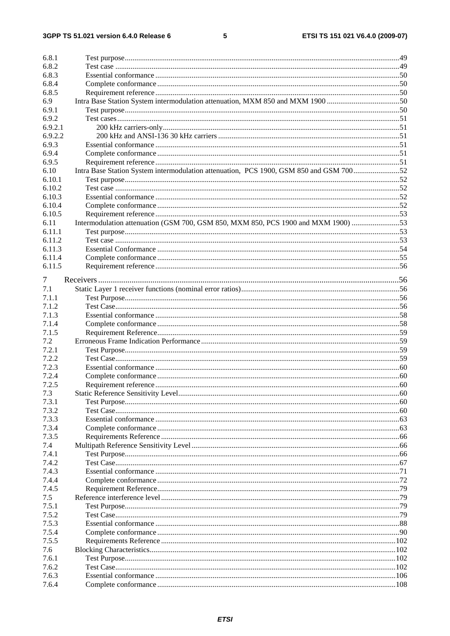#### $\overline{\mathbf{5}}$

| 6.8.1          |                                                                                        |  |
|----------------|----------------------------------------------------------------------------------------|--|
| 6.8.2          |                                                                                        |  |
| 6.8.3          |                                                                                        |  |
| 6.8.4          |                                                                                        |  |
| 6.8.5          |                                                                                        |  |
| 6.9            |                                                                                        |  |
| 6.9.1          |                                                                                        |  |
| 6.9.2          |                                                                                        |  |
| 6.9.2.1        |                                                                                        |  |
| 6.9.2.2        |                                                                                        |  |
| 6.9.3          |                                                                                        |  |
| 6.9.4          |                                                                                        |  |
| 6.9.5          |                                                                                        |  |
| 6.10           | Intra Base Station System intermodulation attenuation, PCS 1900, GSM 850 and GSM 70052 |  |
| 6.10.1         |                                                                                        |  |
| 6.10.2         |                                                                                        |  |
| 6.10.3         |                                                                                        |  |
| 6.10.4         |                                                                                        |  |
| 6.10.5         |                                                                                        |  |
| 6.11           | Intermodulation attenuation (GSM 700, GSM 850, MXM 850, PCS 1900 and MXM 1900) 53      |  |
| 6.11.1         |                                                                                        |  |
| 6.11.2         |                                                                                        |  |
| 6.11.3         |                                                                                        |  |
| 6.11.4         |                                                                                        |  |
| 6.11.5         |                                                                                        |  |
| 7              |                                                                                        |  |
| 7.1            |                                                                                        |  |
| 7.1.1          |                                                                                        |  |
| 7.1.2          |                                                                                        |  |
| 7.1.3          |                                                                                        |  |
| 7.1.4          |                                                                                        |  |
| 7.1.5          |                                                                                        |  |
| 7.2            |                                                                                        |  |
| 7.2.1          |                                                                                        |  |
| 7.2.2          |                                                                                        |  |
| 7.2.3          |                                                                                        |  |
| 7.2.4          |                                                                                        |  |
| 7.2.5          |                                                                                        |  |
| 7.3            |                                                                                        |  |
| 7.3.1          |                                                                                        |  |
| 7.3.2          |                                                                                        |  |
| 7.3.3          |                                                                                        |  |
| 7.3.4          |                                                                                        |  |
| 7.3.5          |                                                                                        |  |
| 7.4            |                                                                                        |  |
| 7.4.1          |                                                                                        |  |
| 7.4.2          |                                                                                        |  |
| 7.4.3          |                                                                                        |  |
| 7.4.4          |                                                                                        |  |
| 7.4.5          |                                                                                        |  |
| 7.5            |                                                                                        |  |
| 7.5.1          |                                                                                        |  |
| 7.5.2          |                                                                                        |  |
| 7.5.3          |                                                                                        |  |
| 7.5.4<br>7.5.5 |                                                                                        |  |
|                |                                                                                        |  |
| 7.6<br>7.6.1   |                                                                                        |  |
| 7.6.2          |                                                                                        |  |
| 7.6.3          |                                                                                        |  |
| 7.6.4          |                                                                                        |  |
|                |                                                                                        |  |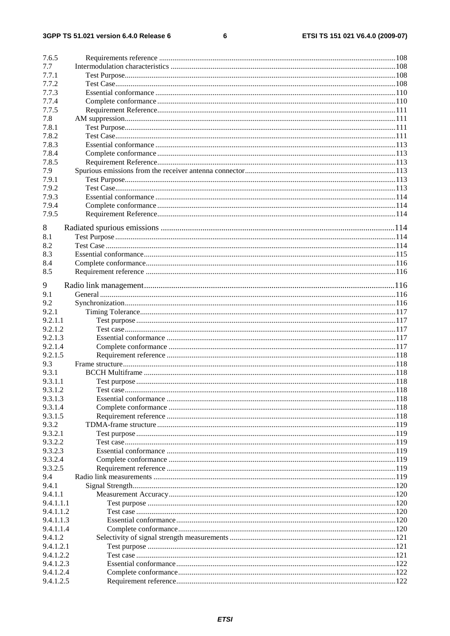#### $\bf 6$

| 7.6.5     |  |
|-----------|--|
| 7.7       |  |
| 7.7.1     |  |
| 7.7.2     |  |
| 7.7.3     |  |
| 7.7.4     |  |
| 7.7.5     |  |
| 7.8       |  |
| 7.8.1     |  |
| 7.8.2     |  |
| 7.8.3     |  |
| 7.8.4     |  |
|           |  |
| 7.8.5     |  |
| 7.9       |  |
| 7.9.1     |  |
| 7.9.2     |  |
| 7.9.3     |  |
| 7.9.4     |  |
| 7.9.5     |  |
| 8         |  |
| 8.1       |  |
| 8.2       |  |
|           |  |
| 8.3       |  |
| 8.4       |  |
| 8.5       |  |
| 9         |  |
| 9.1       |  |
| 9.2       |  |
| 9.2.1     |  |
| 9.2.1.1   |  |
| 9.2.1.2   |  |
| 9.2.1.3   |  |
| 9.2.1.4   |  |
| 9.2.1.5   |  |
| 9.3       |  |
|           |  |
| 9.3.1     |  |
| 9.3.1.1   |  |
| 9.3.1.2   |  |
| 9.3.1.3   |  |
| 9.3.1.4   |  |
| 9.3.1.5   |  |
| 9.3.2     |  |
| 9.3.2.1   |  |
| 9.3.2.2   |  |
| 9.3.2.3   |  |
| 9.3.2.4   |  |
| 9.3.2.5   |  |
| 9.4       |  |
| 9.4.1     |  |
| 9.4.1.1   |  |
| 9.4.1.1.1 |  |
| 9.4.1.1.2 |  |
| 9.4.1.1.3 |  |
| 9.4.1.1.4 |  |
| 9.4.1.2   |  |
| 9.4.1.2.1 |  |
| 9.4.1.2.2 |  |
| 9.4.1.2.3 |  |
| 9.4.1.2.4 |  |
| 9.4.1.2.5 |  |
|           |  |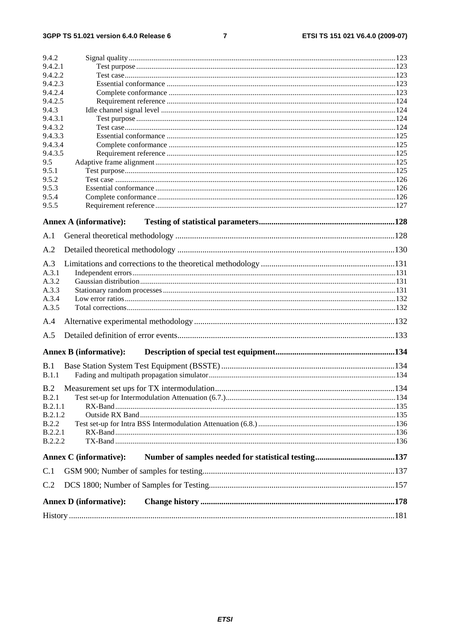#### $\overline{7}$

| 9.4.2                         |      |
|-------------------------------|------|
| 9.4.2.1                       |      |
| 9.4.2.2                       |      |
| 9.4.2.3                       |      |
| 9.4.2.4                       |      |
| 9.4.2.5                       |      |
| 9.4.3                         |      |
| 9.4.3.1                       |      |
| 9.4.3.2                       |      |
| 9.4.3.3                       |      |
| 9.4.3.4                       |      |
| 9.4.3.5                       |      |
| 9.5                           |      |
| 9.5.1                         |      |
| 9.5.2                         |      |
| 9.5.3                         |      |
| 9.5.4<br>9.5.5                |      |
|                               |      |
| <b>Annex A (informative):</b> |      |
| A.1                           |      |
|                               |      |
| A.2                           |      |
| A.3                           |      |
| A.3.1                         |      |
| A.3.2                         |      |
| A.3.3                         |      |
| A.3.4                         |      |
| A.3.5                         |      |
| A.4                           |      |
|                               |      |
| A.5                           |      |
| <b>Annex B</b> (informative): |      |
| B.1                           |      |
| B.1.1                         |      |
|                               |      |
| B.2                           | .134 |
| B.2.1                         |      |
| B.2.1.1                       |      |
| B.2.1.2                       |      |
| <b>B.2.2</b>                  |      |
| B.2.2.1                       |      |
| <b>B.2.2.2</b>                |      |
| Annex C (informative):        |      |
| C.1                           |      |
|                               |      |
| C.2                           |      |
| <b>Annex D</b> (informative): |      |
|                               |      |
|                               |      |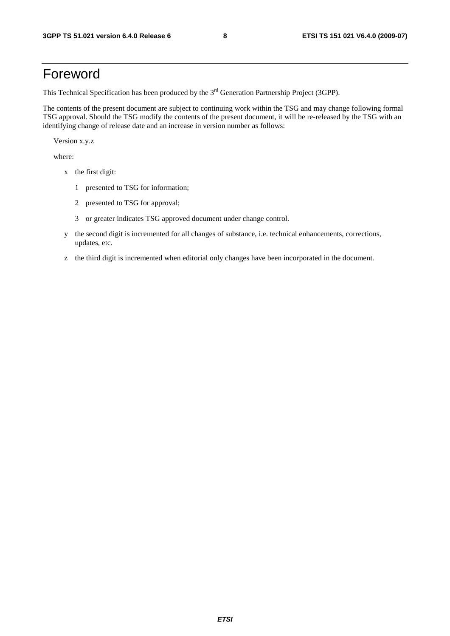## Foreword

This Technical Specification has been produced by the 3<sup>rd</sup> Generation Partnership Project (3GPP).

The contents of the present document are subject to continuing work within the TSG and may change following formal TSG approval. Should the TSG modify the contents of the present document, it will be re-released by the TSG with an identifying change of release date and an increase in version number as follows:

Version x.y.z

where:

- x the first digit:
	- 1 presented to TSG for information;
	- 2 presented to TSG for approval;
	- 3 or greater indicates TSG approved document under change control.
- y the second digit is incremented for all changes of substance, i.e. technical enhancements, corrections, updates, etc.
- z the third digit is incremented when editorial only changes have been incorporated in the document.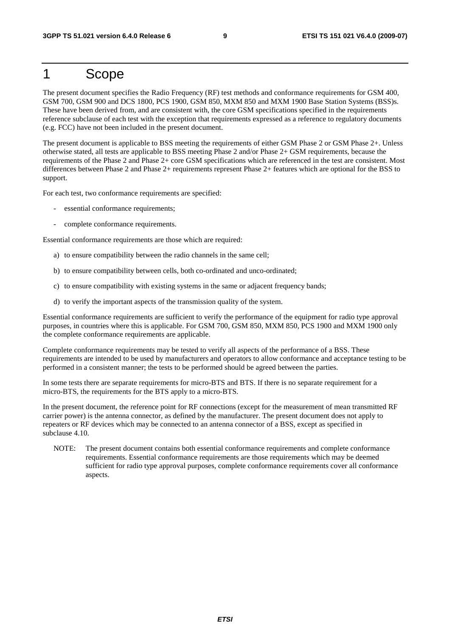## 1 Scope

The present document specifies the Radio Frequency (RF) test methods and conformance requirements for GSM 400, GSM 700, GSM 900 and DCS 1800, PCS 1900, GSM 850, MXM 850 and MXM 1900 Base Station Systems (BSS)s. These have been derived from, and are consistent with, the core GSM specifications specified in the requirements reference subclause of each test with the exception that requirements expressed as a reference to regulatory documents (e.g. FCC) have not been included in the present document.

The present document is applicable to BSS meeting the requirements of either GSM Phase 2 or GSM Phase 2+. Unless otherwise stated, all tests are applicable to BSS meeting Phase 2 and/or Phase 2+ GSM requirements, because the requirements of the Phase 2 and Phase 2+ core GSM specifications which are referenced in the test are consistent. Most differences between Phase 2 and Phase 2+ requirements represent Phase 2+ features which are optional for the BSS to support.

For each test, two conformance requirements are specified:

- essential conformance requirements;
- complete conformance requirements.

Essential conformance requirements are those which are required:

- a) to ensure compatibility between the radio channels in the same cell;
- b) to ensure compatibility between cells, both co-ordinated and unco-ordinated;
- c) to ensure compatibility with existing systems in the same or adjacent frequency bands;
- d) to verify the important aspects of the transmission quality of the system.

Essential conformance requirements are sufficient to verify the performance of the equipment for radio type approval purposes, in countries where this is applicable. For GSM 700, GSM 850, MXM 850, PCS 1900 and MXM 1900 only the complete conformance requirements are applicable.

Complete conformance requirements may be tested to verify all aspects of the performance of a BSS. These requirements are intended to be used by manufacturers and operators to allow conformance and acceptance testing to be performed in a consistent manner; the tests to be performed should be agreed between the parties.

In some tests there are separate requirements for micro-BTS and BTS. If there is no separate requirement for a micro-BTS, the requirements for the BTS apply to a micro-BTS.

In the present document, the reference point for RF connections (except for the measurement of mean transmitted RF carrier power) is the antenna connector, as defined by the manufacturer. The present document does not apply to repeaters or RF devices which may be connected to an antenna connector of a BSS, except as specified in subclause 4.10.

NOTE: The present document contains both essential conformance requirements and complete conformance requirements. Essential conformance requirements are those requirements which may be deemed sufficient for radio type approval purposes, complete conformance requirements cover all conformance aspects.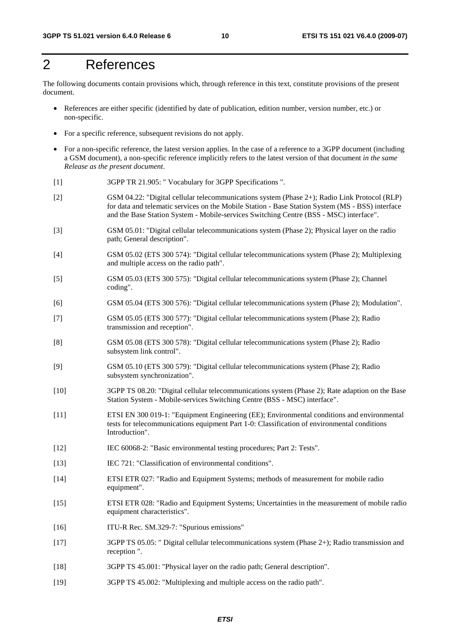## 2 References

The following documents contain provisions which, through reference in this text, constitute provisions of the present document.

- References are either specific (identified by date of publication, edition number, version number, etc.) or non-specific.
- For a specific reference, subsequent revisions do not apply.
- For a non-specific reference, the latest version applies. In the case of a reference to a 3GPP document (including a GSM document), a non-specific reference implicitly refers to the latest version of that document *in the same Release as the present document*.
- [1] 3GPP TR 21.905: " Vocabulary for 3GPP Specifications ".
- [2] GSM 04.22: "Digital cellular telecommunications system (Phase 2+); Radio Link Protocol (RLP) for data and telematic services on the Mobile Station - Base Station System (MS - BSS) interface and the Base Station System - Mobile-services Switching Centre (BSS - MSC) interface".
- [3] GSM 05.01: "Digital cellular telecommunications system (Phase 2); Physical layer on the radio path; General description".
- [4] GSM 05.02 (ETS 300 574): "Digital cellular telecommunications system (Phase 2); Multiplexing and multiple access on the radio path".
- [5] GSM 05.03 (ETS 300 575): "Digital cellular telecommunications system (Phase 2); Channel coding".
- [6] GSM 05.04 (ETS 300 576): "Digital cellular telecommunications system (Phase 2); Modulation".
- [7] GSM 05.05 (ETS 300 577): "Digital cellular telecommunications system (Phase 2); Radio transmission and reception".
- [8] GSM 05.08 (ETS 300 578): "Digital cellular telecommunications system (Phase 2); Radio subsystem link control".
- [9] GSM 05.10 (ETS 300 579): "Digital cellular telecommunications system (Phase 2); Radio subsystem synchronization".
- [10] 3GPP TS 08.20: "Digital cellular telecommunications system (Phase 2); Rate adaption on the Base Station System - Mobile-services Switching Centre (BSS - MSC) interface".
- [11] ETSI EN 300 019-1: "Equipment Engineering (EE); Environmental conditions and environmental tests for telecommunications equipment Part 1-0: Classification of environmental conditions Introduction".
- [12] IEC 60068-2: "Basic environmental testing procedures; Part 2: Tests".
- [13] IEC 721: "Classification of environmental conditions".
- [14] ETSI ETR 027: "Radio and Equipment Systems; methods of measurement for mobile radio equipment".
- [15] ETSI ETR 028: "Radio and Equipment Systems; Uncertainties in the measurement of mobile radio equipment characteristics".
- [16] ITU-R Rec. SM.329-7: "Spurious emissions"
- [17] 3GPP TS 05.05: " Digital cellular telecommunications system (Phase 2+); Radio transmission and reception ".
- [18] 3GPP TS 45.001: "Physical layer on the radio path; General description".
- [19] 3GPP TS 45.002: "Multiplexing and multiple access on the radio path".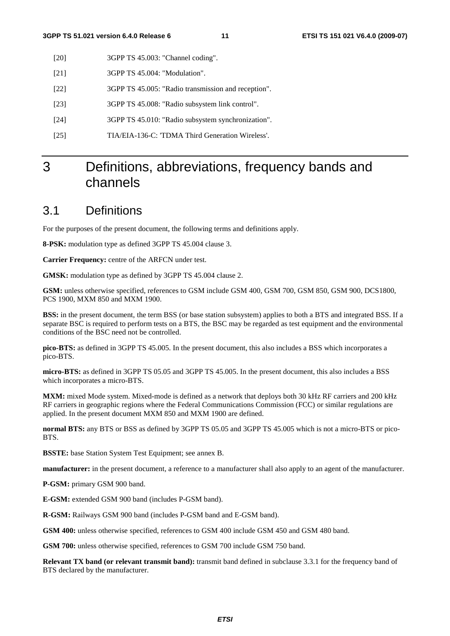- [20] 3GPP TS 45.003: "Channel coding".
- [21] 3GPP TS 45.004: "Modulation".
- [22] 3GPP TS 45.005: "Radio transmission and reception".
- [23] 3GPP TS 45.008: "Radio subsystem link control".
- [24] 3GPP TS 45.010: "Radio subsystem synchronization".
- [25] TIA/EIA-136-C: 'TDMA Third Generation Wireless'.

## 3 Definitions, abbreviations, frequency bands and channels

## 3.1 Definitions

For the purposes of the present document, the following terms and definitions apply.

**8-PSK:** modulation type as defined 3GPP TS 45.004 clause 3.

**Carrier Frequency:** centre of the ARFCN under test.

**GMSK:** modulation type as defined by 3GPP TS 45.004 clause 2.

**GSM:** unless otherwise specified, references to GSM include GSM 400, GSM 700, GSM 850, GSM 900, DCS1800, PCS 1900, MXM 850 and MXM 1900.

**BSS:** in the present document, the term BSS (or base station subsystem) applies to both a BTS and integrated BSS. If a separate BSC is required to perform tests on a BTS, the BSC may be regarded as test equipment and the environmental conditions of the BSC need not be controlled.

**pico-BTS:** as defined in 3GPP TS 45.005. In the present document, this also includes a BSS which incorporates a pico-BTS.

**micro-BTS:** as defined in 3GPP TS 05.05 and 3GPP TS 45.005. In the present document, this also includes a BSS which incorporates a micro-BTS.

**MXM:** mixed Mode system. Mixed-mode is defined as a network that deploys both 30 kHz RF carriers and 200 kHz RF carriers in geographic regions where the Federal Communications Commission (FCC) or similar regulations are applied. In the present document MXM 850 and MXM 1900 are defined.

**normal BTS:** any BTS or BSS as defined by 3GPP TS 05.05 and 3GPP TS 45.005 which is not a micro-BTS or pico-BTS.

**BSSTE:** base Station System Test Equipment; see annex B.

**manufacturer:** in the present document, a reference to a manufacturer shall also apply to an agent of the manufacturer.

**P-GSM:** primary GSM 900 band.

**E-GSM:** extended GSM 900 band (includes P-GSM band).

R-GSM: Railways GSM 900 band (includes P-GSM band and E-GSM band).

**GSM 400:** unless otherwise specified, references to GSM 400 include GSM 450 and GSM 480 band.

**GSM 700:** unless otherwise specified, references to GSM 700 include GSM 750 band.

**Relevant TX band (or relevant transmit band):** transmit band defined in subclause 3.3.1 for the frequency band of BTS declared by the manufacturer.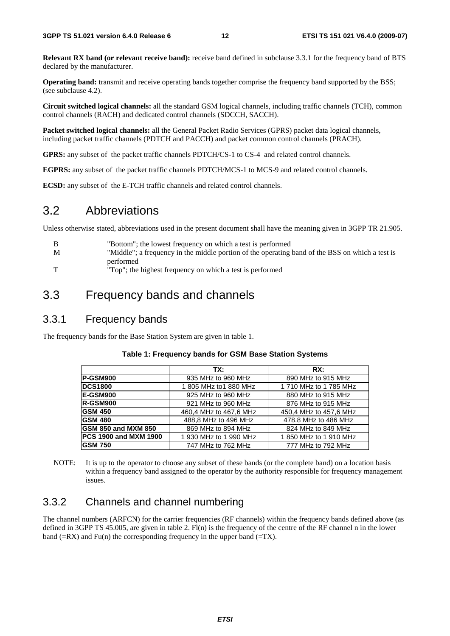**Relevant RX band (or relevant receive band):** receive band defined in subclause 3.3.1 for the frequency band of BTS declared by the manufacturer.

**Operating band:** transmit and receive operating bands together comprise the frequency band supported by the BSS; (see subclause 4.2).

**Circuit switched logical channels:** all the standard GSM logical channels, including traffic channels (TCH), common control channels (RACH) and dedicated control channels (SDCCH, SACCH).

**Packet switched logical channels:** all the General Packet Radio Services (GPRS) packet data logical channels, including packet traffic channels (PDTCH and PACCH) and packet common control channels (PRACH).

**GPRS:** any subset of the packet traffic channels PDTCH/CS-1 to CS-4 and related control channels.

**EGPRS:** any subset of the packet traffic channels PDTCH/MCS-1 to MCS-9 and related control channels.

**ECSD:** any subset of the E-TCH traffic channels and related control channels.

## 3.2 Abbreviations

Unless otherwise stated, abbreviations used in the present document shall have the meaning given in 3GPP TR 21.905.

| -B          | "Bottom"; the lowest frequency on which a test is performed                                     |
|-------------|-------------------------------------------------------------------------------------------------|
| M           | "Middle"; a frequency in the middle portion of the operating band of the BSS on which a test is |
|             | performed                                                                                       |
| $\mathbf T$ | "Top"; the highest frequency on which a test is performed                                       |

## 3.3 Frequency bands and channels

## 3.3.1 Frequency bands

The frequency bands for the Base Station System are given in table 1.

|                                          | TX:                    | RX:                    |
|------------------------------------------|------------------------|------------------------|
| <b>P-GSM900</b>                          | 935 MHz to 960 MHz     | 890 MHz to 915 MHz     |
| <b>DCS1800</b><br>1 805 MHz to 1 880 MHz |                        | 1 710 MHz to 1 785 MHz |
| <b>E-GSM900</b>                          | 925 MHz to 960 MHz     | 880 MHz to 915 MHz     |
| <b>R-GSM900</b>                          | 921 MHz to 960 MHz     | 876 MHz to 915 MHz     |
| <b>GSM 450</b>                           | 460,4 MHz to 467,6 MHz | 450.4 MHz to 457.6 MHz |
| <b>GSM 480</b>                           | 488,8 MHz to 496 MHz   | 478.8 MHz to 486 MHz   |
| <b>GSM 850 and MXM 850</b>               | 869 MHz to 894 MHz     | 824 MHz to 849 MHz     |
| <b>PCS 1900 and MXM 1900</b>             | 1 930 MHz to 1 990 MHz | 1850 MHz to 1910 MHz   |
| <b>GSM 750</b>                           | 747 MHz to 762 MHz     | 777 MHz to 792 MHz     |

### **Table 1: Frequency bands for GSM Base Station Systems**

NOTE: It is up to the operator to choose any subset of these bands (or the complete band) on a location basis within a frequency band assigned to the operator by the authority responsible for frequency management issues.

## 3.3.2 Channels and channel numbering

The channel numbers (ARFCN) for the carrier frequencies (RF channels) within the frequency bands defined above (as defined in 3GPP TS 45.005, are given in table 2.  $F1(n)$  is the frequency of the centre of the RF channel n in the lower band ( $=RX$ ) and Fu(n) the corresponding frequency in the upper band ( $=TX$ ).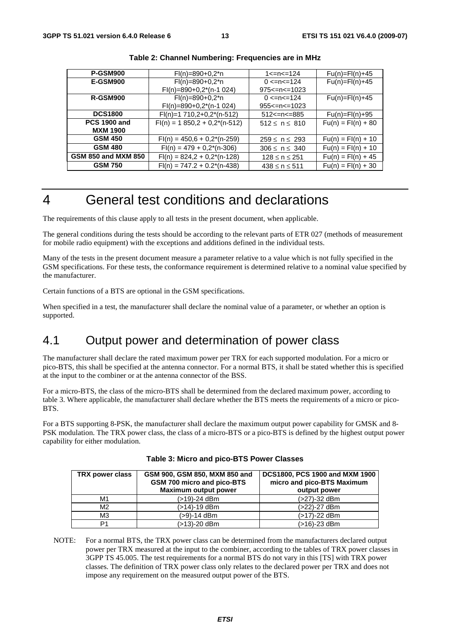| <b>P-GSM900</b>            | $Fl(n)=890+0.2*n$                | 1<=n<=124                   | $Fu(n)=Fl(n)+45$     |
|----------------------------|----------------------------------|-----------------------------|----------------------|
| <b>E-GSM900</b>            | $Fl(n)=890+0,2^{*}n$             | $0 \leq n \leq 124$         | $Fu(n)=Fl(n)+45$     |
|                            | $FI(n)=890+0,2^{*}(n-1)024)$     | $975 \le n \le 1023$        |                      |
| <b>R-GSM900</b>            | $Fl(n)=890+0,2^{*}n$             | $0 \leq n \leq 124$         | $Fu(n)=Fl(n)+45$     |
|                            | $FI(n)=890+0,2^{(n-1)}024)$      | $955 \le n \le 1023$        |                      |
| <b>DCS1800</b>             | $FI(n)=1710,2+0,2^{(n-512)}$     | $512$ $\leq$ $n \leq$ $885$ | $Fu(n)=Fl(n)+95$     |
| <b>PCS 1900 and</b>        | $Fl(n) = 1850,2 + 0,2^{(n-512)}$ | $512 \le n \le 810$         | $Fu(n) = Fl(n) + 80$ |
| <b>MXM 1900</b>            |                                  |                             |                      |
| <b>GSM 450</b>             | $Fl(n) = 450.6 + 0.2^{(n-259)}$  | $259 \le n \le 293$         | $Fu(n) = Fl(n) + 10$ |
| <b>GSM 480</b>             | $FI(n) = 479 + 0,2^{(n-306)}$    | $306 \le n \le 340$         | $Fu(n) = Fl(n) + 10$ |
| <b>GSM 850 and MXM 850</b> | $Fl(n) = 824.2 + 0.2^{(n-128)}$  | $128 \le n \le 251$         | $Fu(n) = Fl(n) + 45$ |
| <b>GSM 750</b>             | $Fl(n) = 747.2 + 0.2^{(n-438)}$  | $438 \le n \le 511$         | $Fu(n) = Fl(n) + 30$ |

| Table 2: Channel Numbering: Frequencies are in MHz |  |
|----------------------------------------------------|--|
|                                                    |  |

## 4 General test conditions and declarations

The requirements of this clause apply to all tests in the present document, when applicable.

The general conditions during the tests should be according to the relevant parts of ETR 027 (methods of measurement for mobile radio equipment) with the exceptions and additions defined in the individual tests.

Many of the tests in the present document measure a parameter relative to a value which is not fully specified in the GSM specifications. For these tests, the conformance requirement is determined relative to a nominal value specified by the manufacturer.

Certain functions of a BTS are optional in the GSM specifications.

When specified in a test, the manufacturer shall declare the nominal value of a parameter, or whether an option is supported.

## 4.1 Output power and determination of power class

The manufacturer shall declare the rated maximum power per TRX for each supported modulation. For a micro or pico-BTS, this shall be specified at the antenna connector. For a normal BTS, it shall be stated whether this is specified at the input to the combiner or at the antenna connector of the BSS.

For a micro-BTS, the class of the micro-BTS shall be determined from the declared maximum power, according to table 3. Where applicable, the manufacturer shall declare whether the BTS meets the requirements of a micro or pico-BTS.

For a BTS supporting 8-PSK, the manufacturer shall declare the maximum output power capability for GMSK and 8- PSK modulation. The TRX power class, the class of a micro-BTS or a pico-BTS is defined by the highest output power capability for either modulation.

| TRX power class | GSM 900, GSM 850, MXM 850 and<br>GSM 700 micro and pico-BTS<br><b>Maximum output power</b> | DCS1800, PCS 1900 and MXM 1900<br>micro and pico-BTS Maximum<br>output power |
|-----------------|--------------------------------------------------------------------------------------------|------------------------------------------------------------------------------|
| M1              | (>19)-24 dBm                                                                               | (>27)-32 dBm                                                                 |
| M <sub>2</sub>  | (>14)-19 dBm                                                                               | (>22)-27 dBm                                                                 |
| M <sub>3</sub>  | (>9)-14 dBm                                                                                | $(>17) - 22$ dBm                                                             |
| P1              | (>13)-20 dBm                                                                               | (>16)-23 dBm                                                                 |

NOTE: For a normal BTS, the TRX power class can be determined from the manufacturers declared output power per TRX measured at the input to the combiner, according to the tables of TRX power classes in 3GPP TS 45.005. The test requirements for a normal BTS do not vary in this [TS] with TRX power classes. The definition of TRX power class only relates to the declared power per TRX and does not impose any requirement on the measured output power of the BTS.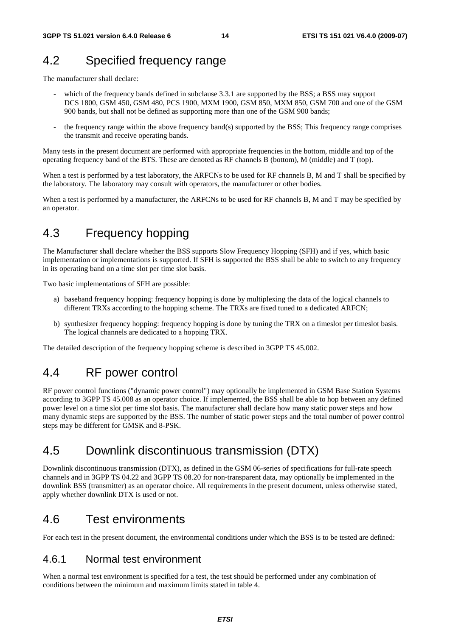## 4.2 Specified frequency range

The manufacturer shall declare:

- which of the frequency bands defined in subclause 3.3.1 are supported by the BSS; a BSS may support DCS 1800, GSM 450, GSM 480, PCS 1900, MXM 1900, GSM 850, MXM 850, GSM 700 and one of the GSM 900 bands, but shall not be defined as supporting more than one of the GSM 900 bands;
- the frequency range within the above frequency band(s) supported by the BSS; This frequency range comprises the transmit and receive operating bands.

Many tests in the present document are performed with appropriate frequencies in the bottom, middle and top of the operating frequency band of the BTS. These are denoted as RF channels B (bottom), M (middle) and T (top).

When a test is performed by a test laboratory, the ARFCNs to be used for RF channels B, M and T shall be specified by the laboratory. The laboratory may consult with operators, the manufacturer or other bodies.

When a test is performed by a manufacturer, the ARFCNs to be used for RF channels B, M and T may be specified by an operator.

## 4.3 Frequency hopping

The Manufacturer shall declare whether the BSS supports Slow Frequency Hopping (SFH) and if yes, which basic implementation or implementations is supported. If SFH is supported the BSS shall be able to switch to any frequency in its operating band on a time slot per time slot basis.

Two basic implementations of SFH are possible:

- a) baseband frequency hopping: frequency hopping is done by multiplexing the data of the logical channels to different TRXs according to the hopping scheme. The TRXs are fixed tuned to a dedicated ARFCN;
- b) synthesizer frequency hopping: frequency hopping is done by tuning the TRX on a timeslot per timeslot basis. The logical channels are dedicated to a hopping TRX.

The detailed description of the frequency hopping scheme is described in 3GPP TS 45.002.

## 4.4 RF power control

RF power control functions ("dynamic power control") may optionally be implemented in GSM Base Station Systems according to 3GPP TS 45.008 as an operator choice. If implemented, the BSS shall be able to hop between any defined power level on a time slot per time slot basis. The manufacturer shall declare how many static power steps and how many dynamic steps are supported by the BSS. The number of static power steps and the total number of power control steps may be different for GMSK and 8-PSK.

## 4.5 Downlink discontinuous transmission (DTX)

Downlink discontinuous transmission (DTX), as defined in the GSM 06-series of specifications for full-rate speech channels and in 3GPP TS 04.22 and 3GPP TS 08.20 for non-transparent data, may optionally be implemented in the downlink BSS (transmitter) as an operator choice. All requirements in the present document, unless otherwise stated, apply whether downlink DTX is used or not.

## 4.6 Test environments

For each test in the present document, the environmental conditions under which the BSS is to be tested are defined:

## 4.6.1 Normal test environment

When a normal test environment is specified for a test, the test should be performed under any combination of conditions between the minimum and maximum limits stated in table 4.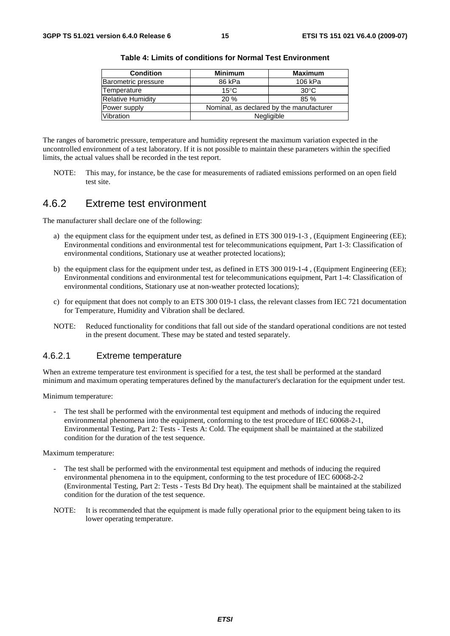| <b>Condition</b>         | <b>Minimum</b>                           | <b>Maximum</b> |
|--------------------------|------------------------------------------|----------------|
| Barometric pressure      | 86 kPa                                   | 106 kPa        |
| Temperature              | $15^{\circ}$ C                           | $30^{\circ}$ C |
| <b>Relative Humidity</b> | 20%                                      | 85 %           |
| Power supply             | Nominal, as declared by the manufacturer |                |
| Vibration                |                                          | Negligible     |

**Table 4: Limits of conditions for Normal Test Environment** 

The ranges of barometric pressure, temperature and humidity represent the maximum variation expected in the uncontrolled environment of a test laboratory. If it is not possible to maintain these parameters within the specified limits, the actual values shall be recorded in the test report.

NOTE: This may, for instance, be the case for measurements of radiated emissions performed on an open field test site.

## 4.6.2 Extreme test environment

The manufacturer shall declare one of the following:

- a) the equipment class for the equipment under test, as defined in ETS 300 019-1-3 , (Equipment Engineering (EE); Environmental conditions and environmental test for telecommunications equipment, Part 1-3: Classification of environmental conditions, Stationary use at weather protected locations);
- b) the equipment class for the equipment under test, as defined in ETS 300 019-1-4, (Equipment Engineering (EE); Environmental conditions and environmental test for telecommunications equipment, Part 1-4: Classification of environmental conditions, Stationary use at non-weather protected locations);
- c) for equipment that does not comply to an ETS 300 019-1 class, the relevant classes from IEC 721 documentation for Temperature, Humidity and Vibration shall be declared.
- NOTE: Reduced functionality for conditions that fall out side of the standard operational conditions are not tested in the present document. These may be stated and tested separately.

### 4.6.2.1 Extreme temperature

When an extreme temperature test environment is specified for a test, the test shall be performed at the standard minimum and maximum operating temperatures defined by the manufacturer's declaration for the equipment under test.

Minimum temperature:

The test shall be performed with the environmental test equipment and methods of inducing the required environmental phenomena into the equipment, conforming to the test procedure of IEC 60068-2-1, Environmental Testing, Part 2: Tests - Tests A: Cold. The equipment shall be maintained at the stabilized condition for the duration of the test sequence.

Maximum temperature:

- The test shall be performed with the environmental test equipment and methods of inducing the required environmental phenomena in to the equipment, conforming to the test procedure of IEC 60068-2-2 (Environmental Testing, Part 2: Tests - Tests Bd Dry heat). The equipment shall be maintained at the stabilized condition for the duration of the test sequence.
- NOTE: It is recommended that the equipment is made fully operational prior to the equipment being taken to its lower operating temperature.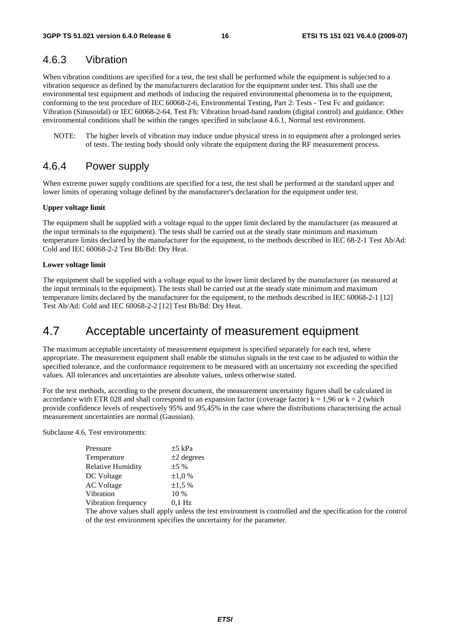## 4.6.3 Vibration

When vibration conditions are specified for a test, the test shall be performed while the equipment is subjected to a vibration sequence as defined by the manufacturers declaration for the equipment under test. This shall use the environmental test equipment and methods of inducing the required environmental phenomena in to the equipment, conforming to the test procedure of IEC 60068-2-6, Environmental Testing, Part 2: Tests - Test Fc and guidance: Vibration (Sinusoidal) or IEC 60068-2-64, Test Fh: Vibration broad-band random (digital control) and guidance. Other environmental conditions shall be within the ranges specified in subclause 4.6.1, Normal test environment.

NOTE: The higher levels of vibration may induce undue physical stress in to equipment after a prolonged series of tests. The testing body should only vibrate the equipment during the RF measurement process.

### 4.6.4 Power supply

When extreme power supply conditions are specified for a test, the test shall be performed at the standard upper and lower limits of operating voltage defined by the manufacturer's declaration for the equipment under test.

#### **Upper voltage limit**

The equipment shall be supplied with a voltage equal to the upper limit declared by the manufacturer (as measured at the input terminals to the equipment). The tests shall be carried out at the steady state minimum and maximum temperature limits declared by the manufacturer for the equipment, to the methods described in IEC 68-2-1 Test Ab/Ad: Cold and IEC 60068-2-2 Test Bb/Bd: Dry Heat.

#### **Lower voltage limit**

The equipment shall be supplied with a voltage equal to the lower limit declared by the manufacturer (as measured at the input terminals to the equipment). The tests shall be carried out at the steady state minimum and maximum temperature limits declared by the manufacturer for the equipment, to the methods described in IEC 60068-2-1 [12] Test Ab/Ad: Cold and IEC 60068-2-2 [12] Test Bb/Bd: Dry Heat.

## 4.7 Acceptable uncertainty of measurement equipment

The maximum acceptable uncertainty of measurement equipment is specified separately for each test, where appropriate. The measurement equipment shall enable the stimulus signals in the test case to be adjusted to within the specified tolerance, and the conformance requirement to be measured with an uncertainty not exceeding the specified values. All tolerances and uncertainties are absolute values, unless otherwise stated.

For the test methods, according to the present document, the measurement uncertainty figures shall be calculated in accordance with ETR 028 and shall correspond to an expansion factor (coverage factor)  $k = 1,96$  or  $k = 2$  (which provide confidence levels of respectively 95% and 95,45% in the case where the distributions characterising the actual measurement uncertainties are normal (Gaussian).

Subclause 4.6, Test environments:

| Pressure                  | $\pm$ 5 kPa  |
|---------------------------|--------------|
| Temperature               | $±2$ degrees |
| <b>Relative Humidity</b>  | ±5%          |
| DC Voltage                | $\pm 1.0 \%$ |
| <b>AC Voltage</b>         | $\pm 1.5 \%$ |
| Vibration                 | 10 %         |
| Vibration frequency       | $0.1$ Hz     |
| $\mathbf{1}$ $\mathbf{1}$ | $\mathbf{1}$ |

The above values shall apply unless the test environment is controlled and the specification for the control of the test environment specifies the uncertainty for the parameter.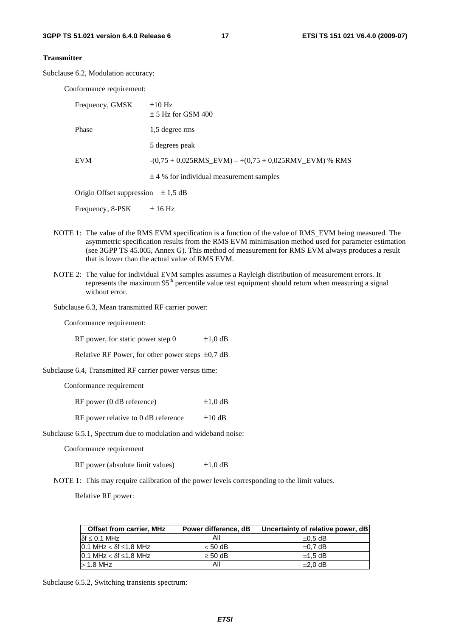#### **Transmitter**

Subclause 6.2, Modulation accuracy:

Conformance requirement:

| Frequency, GMSK                        | $\pm 10$ Hz<br>$\pm$ 5 Hz for GSM 400                         |
|----------------------------------------|---------------------------------------------------------------|
| Phase                                  | 1,5 degree rms                                                |
|                                        | 5 degrees peak                                                |
| <b>EVM</b>                             | $-(0.75 + 0.025RMS$ EVM $) - +(0.75 + 0.025RMV$ EVM $)$ % RMS |
|                                        | $\pm$ 4 % for individual measurement samples                  |
| Origin Offset suppression $\pm 1.5$ dB |                                                               |
| Frequency, 8-PSK                       | $\pm 16$ Hz                                                   |

- NOTE 1: The value of the RMS EVM specification is a function of the value of RMS\_EVM being measured. The asymmetric specification results from the RMS EVM minimisation method used for parameter estimation (see 3GPP TS 45.005, Annex G). This method of measurement for RMS EVM always produces a result that is lower than the actual value of RMS EVM.
- NOTE 2: The value for individual EVM samples assumes a Rayleigh distribution of measurement errors. It represents the maximum 95<sup>th</sup> percentile value test equipment should return when measuring a signal without error.

Subclause 6.3, Mean transmitted RF carrier power:

Conformance requirement:

| RF power, for static power step 0                               | $\pm 1,0$ dB |
|-----------------------------------------------------------------|--------------|
| Relative RF Power, for other power steps $\pm 0.7$ dB           |              |
| Subclause 6.4, Transmitted RF carrier power versus time:        |              |
| Conformance requirement                                         |              |
| $RF$ power (0 dB reference)                                     | $\pm 1.0$ dB |
| RF power relative to 0 dB reference                             | $\pm 10$ dB  |
| Subclause 6.5.1, Spectrum due to modulation and wideband noise: |              |

Conformance requirement

RF power (absolute limit values)  $\pm 1,0$  dB

NOTE 1: This may require calibration of the power levels corresponding to the limit values.

Relative RF power:

| <b>Offset from carrier, MHz</b>          | Power difference, dB | Uncertainty of relative power, dB |
|------------------------------------------|----------------------|-----------------------------------|
| $\delta f \leq 0.1$ MHz                  | All                  | $\pm 0.5$ dB                      |
| $10.1$ MHz $<$ $\delta$ f $\leq$ 1.8 MHz | $< 50$ dB            | $\pm 0.7$ dB                      |
| $10.1$ MHz $<$ $\delta$ f $\leq$ 1.8 MHz | $\geq$ 50 dB         | $\pm$ 1.5 dB                      |
| $>1.8$ MHz                               | All                  | $\pm 2.0$ dB                      |

Subclause 6.5.2, Switching transients spectrum: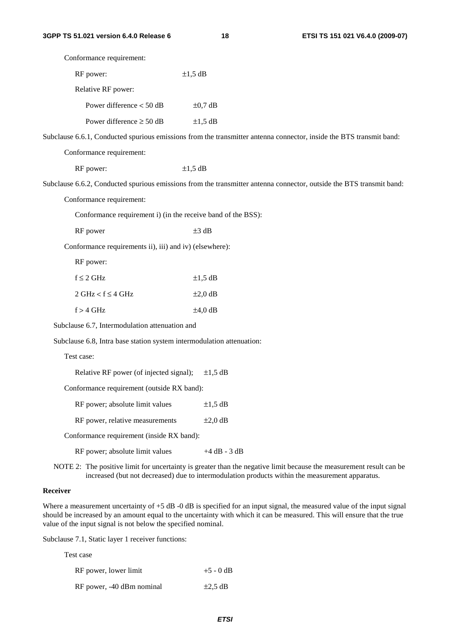| Conformance requirement:                                              |                                                                                                                                                                                                                        |
|-----------------------------------------------------------------------|------------------------------------------------------------------------------------------------------------------------------------------------------------------------------------------------------------------------|
| RF power:                                                             | $\pm 1.5$ dB                                                                                                                                                                                                           |
| Relative RF power:                                                    |                                                                                                                                                                                                                        |
| Power difference $<$ 50 dB                                            | $\pm 0.7$ dB                                                                                                                                                                                                           |
| Power difference $\geq 50$ dB                                         | $\pm 1.5$ dB                                                                                                                                                                                                           |
|                                                                       | Subclause 6.6.1, Conducted spurious emissions from the transmitter antenna connector, inside the BTS transmit band:                                                                                                    |
| Conformance requirement:                                              |                                                                                                                                                                                                                        |
| RF power:                                                             | $\pm 1,5$ dB                                                                                                                                                                                                           |
|                                                                       | Subclause 6.6.2, Conducted spurious emissions from the transmitter antenna connector, outside the BTS transmit band:                                                                                                   |
| Conformance requirement:                                              |                                                                                                                                                                                                                        |
| Conformance requirement i) (in the receive band of the BSS):          |                                                                                                                                                                                                                        |
| RF power                                                              | $\pm 3$ dB                                                                                                                                                                                                             |
| Conformance requirements ii), iii) and iv) (elsewhere):               |                                                                                                                                                                                                                        |
| RF power:                                                             |                                                                                                                                                                                                                        |
| $f \leq 2$ GHz                                                        | $\pm 1.5$ dB                                                                                                                                                                                                           |
| $2 GHz < f \leq 4 GHz$                                                | $\pm 2.0$ dB                                                                                                                                                                                                           |
| $f > 4$ GHz                                                           | $\pm 4,0$ dB                                                                                                                                                                                                           |
| Subclause 6.7, Intermodulation attenuation and                        |                                                                                                                                                                                                                        |
| Subclause 6.8, Intra base station system intermodulation attenuation: |                                                                                                                                                                                                                        |
| Test case:                                                            |                                                                                                                                                                                                                        |
| Relative RF power (of injected signal);                               | $\pm 1.5$ dB                                                                                                                                                                                                           |
| Conformance requirement (outside RX band):                            |                                                                                                                                                                                                                        |
| RF power; absolute limit values                                       | $\pm 1,5$ dB                                                                                                                                                                                                           |
| RF power, relative measurements                                       | $\pm 2,0$ dB                                                                                                                                                                                                           |
| Conformance requirement (inside RX band):                             |                                                                                                                                                                                                                        |
| RF power; absolute limit values                                       | $+4$ dB - 3 dB                                                                                                                                                                                                         |
|                                                                       | NOTE 2: The positive limit for uncertainty is greater than the negative limit because the measurement result can be<br>increased (but not decreased) due to intermodulation products within the measurement apparatus. |
| Receiver                                                              |                                                                                                                                                                                                                        |

Where a measurement uncertainty of  $+5$  dB  $-0$  dB is specified for an input signal, the measured value of the input signal should be increased by an amount equal to the uncertainty with which it can be measured. This will ensure that the true value of the input signal is not below the specified nominal.

Subclause 7.1, Static layer 1 receiver functions:

| Test case                 |              |
|---------------------------|--------------|
| RF power, lower limit     | $+5 - 0$ dB  |
| RF power, -40 dBm nominal | $\pm 2.5$ dB |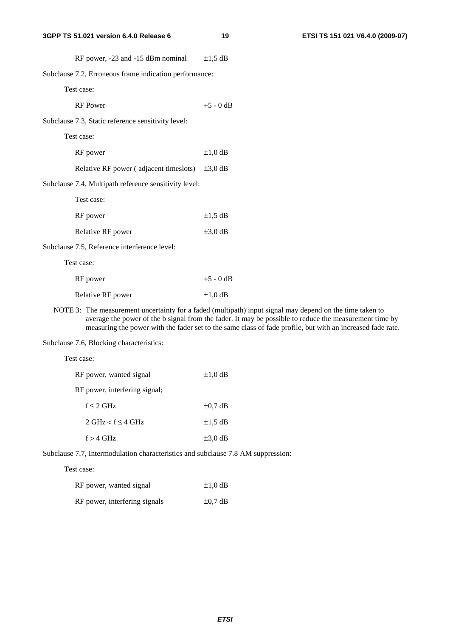|                                                        | RF power, -23 and -15 dBm nominal                     | $\pm 1.5$ dB |
|--------------------------------------------------------|-------------------------------------------------------|--------------|
| Subclause 7.2, Erroneous frame indication performance: |                                                       |              |
|                                                        | Test case:                                            |              |
|                                                        | <b>RF</b> Power                                       | $+5 - 0$ dB  |
|                                                        | Subclause 7.3, Static reference sensitivity level:    |              |
|                                                        | Test case:                                            |              |
|                                                        | RF power                                              | $\pm 1,0$ dB |
|                                                        | Relative RF power (adjacent timeslots) $\pm 3.0$ dB   |              |
|                                                        | Subclause 7.4, Multipath reference sensitivity level: |              |
|                                                        | Test case:                                            |              |
|                                                        | RF power                                              | $\pm 1.5$ dB |
|                                                        | Relative RF power                                     | $\pm 3.0$ dB |
|                                                        | Subclause 7.5, Reference interference level:          |              |
|                                                        | Test case:                                            |              |
|                                                        | RF power                                              | $+5 - 0$ dB  |
|                                                        | Relative RF power                                     | $\pm 1,0$ dB |
|                                                        |                                                       |              |

NOTE 3: The measurement uncertainty for a faded (multipath) input signal may depend on the time taken to average the power of the b signal from the fader. It may be possible to reduce the measurement time by measuring the power with the fader set to the same class of fade profile, but with an increased fade rate.

Subclause 7.6, Blocking characteristics:

| $\pm 1.0$ dB |
|--------------|
|              |
| $\pm 0.7$ dB |
| $\pm 1.5$ dB |
| $\pm 3.0$ dB |
|              |

Subclause 7.7, Intermodulation characteristics and subclause 7.8 AM suppression:

Test case:

Test case:

| RF power, wanted signal       | $\pm 1.0$ dB |
|-------------------------------|--------------|
| RF power, interfering signals | $\pm 0.7$ dB |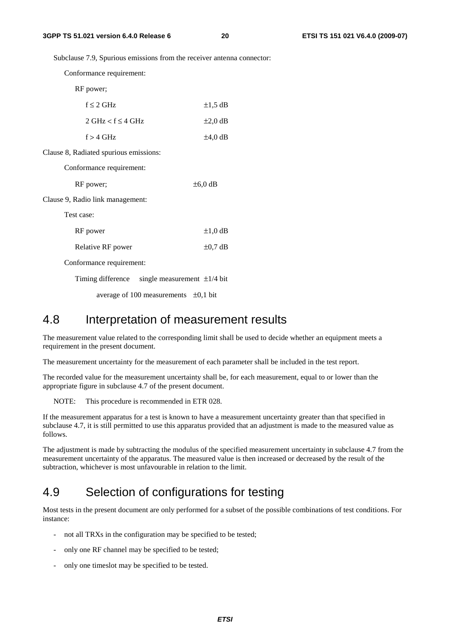Subclause 7.9, Spurious emissions from the receiver antenna connector:

Conformance requirement:

RF power;

| $f < 2$ GHz            | $\pm 1.5$ dB |
|------------------------|--------------|
| $2 GHz < f \leq 4 GHz$ | $\pm 2.0$ dB |
| $f > 4$ GHz            | $\pm 4.0$ dB |

Clause 8, Radiated spurious emissions:

Conformance requirement:

| RF power; | $\pm 6.0$ dB |
|-----------|--------------|
|-----------|--------------|

Clause 9, Radio link management:

Test case:

| RF power                 | $\pm 1.0$ dB |
|--------------------------|--------------|
| Relative RF power        | $\pm 0.7$ dB |
| Conformance requirement: |              |

Timing difference single measurement  $\pm 1/4$  bit

average of 100 measurements  $\pm 0.1$  bit

## 4.8 Interpretation of measurement results

The measurement value related to the corresponding limit shall be used to decide whether an equipment meets a requirement in the present document.

The measurement uncertainty for the measurement of each parameter shall be included in the test report.

The recorded value for the measurement uncertainty shall be, for each measurement, equal to or lower than the appropriate figure in subclause 4.7 of the present document.

NOTE: This procedure is recommended in ETR 028.

If the measurement apparatus for a test is known to have a measurement uncertainty greater than that specified in subclause 4.7, it is still permitted to use this apparatus provided that an adjustment is made to the measured value as follows.

The adjustment is made by subtracting the modulus of the specified measurement uncertainty in subclause 4.7 from the measurement uncertainty of the apparatus. The measured value is then increased or decreased by the result of the subtraction, whichever is most unfavourable in relation to the limit.

## 4.9 Selection of configurations for testing

Most tests in the present document are only performed for a subset of the possible combinations of test conditions. For instance:

- not all TRXs in the configuration may be specified to be tested;
- only one RF channel may be specified to be tested;
- only one timeslot may be specified to be tested.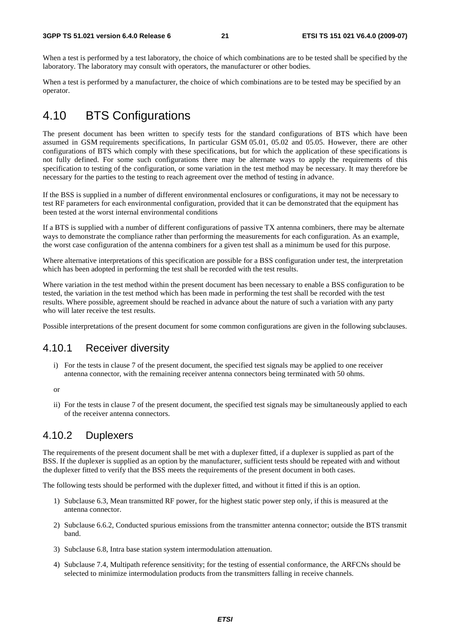When a test is performed by a test laboratory, the choice of which combinations are to be tested shall be specified by the laboratory. The laboratory may consult with operators, the manufacturer or other bodies.

When a test is performed by a manufacturer, the choice of which combinations are to be tested may be specified by an operator.

## 4.10 BTS Configurations

The present document has been written to specify tests for the standard configurations of BTS which have been assumed in GSM requirements specifications, In particular GSM 05.01, 05.02 and 05.05. However, there are other configurations of BTS which comply with these specifications, but for which the application of these specifications is not fully defined. For some such configurations there may be alternate ways to apply the requirements of this specification to testing of the configuration, or some variation in the test method may be necessary. It may therefore be necessary for the parties to the testing to reach agreement over the method of testing in advance.

If the BSS is supplied in a number of different environmental enclosures or configurations, it may not be necessary to test RF parameters for each environmental configuration, provided that it can be demonstrated that the equipment has been tested at the worst internal environmental conditions

If a BTS is supplied with a number of different configurations of passive TX antenna combiners, there may be alternate ways to demonstrate the compliance rather than performing the measurements for each configuration. As an example, the worst case configuration of the antenna combiners for a given test shall as a minimum be used for this purpose.

Where alternative interpretations of this specification are possible for a BSS configuration under test, the interpretation which has been adopted in performing the test shall be recorded with the test results.

Where variation in the test method within the present document has been necessary to enable a BSS configuration to be tested, the variation in the test method which has been made in performing the test shall be recorded with the test results. Where possible, agreement should be reached in advance about the nature of such a variation with any party who will later receive the test results.

Possible interpretations of the present document for some common configurations are given in the following subclauses.

## 4.10.1 Receiver diversity

i) For the tests in clause 7 of the present document, the specified test signals may be applied to one receiver antenna connector, with the remaining receiver antenna connectors being terminated with 50 ohms.

or

ii) For the tests in clause 7 of the present document, the specified test signals may be simultaneously applied to each of the receiver antenna connectors.

## 4.10.2 Duplexers

The requirements of the present document shall be met with a duplexer fitted, if a duplexer is supplied as part of the BSS. If the duplexer is supplied as an option by the manufacturer, sufficient tests should be repeated with and without the duplexer fitted to verify that the BSS meets the requirements of the present document in both cases.

The following tests should be performed with the duplexer fitted, and without it fitted if this is an option.

- 1) Subclause 6.3, Mean transmitted RF power, for the highest static power step only, if this is measured at the antenna connector.
- 2) Subclause 6.6.2, Conducted spurious emissions from the transmitter antenna connector; outside the BTS transmit band.
- 3) Subclause 6.8, Intra base station system intermodulation attenuation.
- 4) Subclause 7.4, Multipath reference sensitivity; for the testing of essential conformance, the ARFCNs should be selected to minimize intermodulation products from the transmitters falling in receive channels.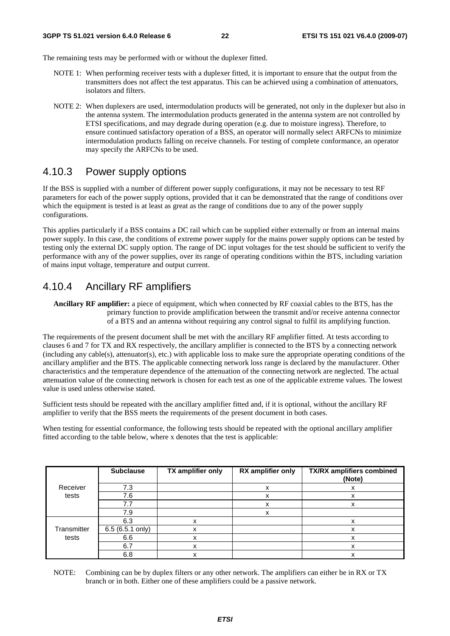The remaining tests may be performed with or without the duplexer fitted.

- NOTE 1: When performing receiver tests with a duplexer fitted, it is important to ensure that the output from the transmitters does not affect the test apparatus. This can be achieved using a combination of attenuators, isolators and filters.
- NOTE 2: When duplexers are used, intermodulation products will be generated, not only in the duplexer but also in the antenna system. The intermodulation products generated in the antenna system are not controlled by ETSI specifications, and may degrade during operation (e.g. due to moisture ingress). Therefore, to ensure continued satisfactory operation of a BSS, an operator will normally select ARFCNs to minimize intermodulation products falling on receive channels. For testing of complete conformance, an operator may specify the ARFCNs to be used.

## 4.10.3 Power supply options

If the BSS is supplied with a number of different power supply configurations, it may not be necessary to test RF parameters for each of the power supply options, provided that it can be demonstrated that the range of conditions over which the equipment is tested is at least as great as the range of conditions due to any of the power supply configurations.

This applies particularly if a BSS contains a DC rail which can be supplied either externally or from an internal mains power supply. In this case, the conditions of extreme power supply for the mains power supply options can be tested by testing only the external DC supply option. The range of DC input voltages for the test should be sufficient to verify the performance with any of the power supplies, over its range of operating conditions within the BTS, including variation of mains input voltage, temperature and output current.

## 4.10.4 Ancillary RF amplifiers

**Ancillary RF amplifier:** a piece of equipment, which when connected by RF coaxial cables to the BTS, has the primary function to provide amplification between the transmit and/or receive antenna connector of a BTS and an antenna without requiring any control signal to fulfil its amplifying function.

The requirements of the present document shall be met with the ancillary RF amplifier fitted. At tests according to clauses 6 and 7 for TX and RX respectively, the ancillary amplifier is connected to the BTS by a connecting network (including any cable(s), attenuator(s), etc.) with applicable loss to make sure the appropriate operating conditions of the ancillary amplifier and the BTS. The applicable connecting network loss range is declared by the manufacturer. Other characteristics and the temperature dependence of the attenuation of the connecting network are neglected. The actual attenuation value of the connecting network is chosen for each test as one of the applicable extreme values. The lowest value is used unless otherwise stated.

Sufficient tests should be repeated with the ancillary amplifier fitted and, if it is optional, without the ancillary RF amplifier to verify that the BSS meets the requirements of the present document in both cases.

When testing for essential conformance, the following tests should be repeated with the optional ancillary amplifier fitted according to the table below, where x denotes that the test is applicable:

|             | <b>Subclause</b> | TX amplifier only | RX amplifier only | <b>TX/RX amplifiers combined</b><br>(Note) |
|-------------|------------------|-------------------|-------------------|--------------------------------------------|
| Receiver    | 7.3              |                   | х                 |                                            |
| tests       | 7.6              |                   | x                 | x                                          |
|             | 7.7              |                   | х                 |                                            |
|             | 7.9              |                   | х                 |                                            |
|             | 6.3              |                   |                   |                                            |
| Transmitter | 6.5 (6.5.1 only) | ^                 |                   | x                                          |
| tests       | 6.6              | x                 |                   | x                                          |
|             | 6.7              |                   |                   |                                            |
|             | 6.8              |                   |                   | x                                          |

NOTE: Combining can be by duplex filters or any other network. The amplifiers can either be in RX or TX branch or in both. Either one of these amplifiers could be a passive network.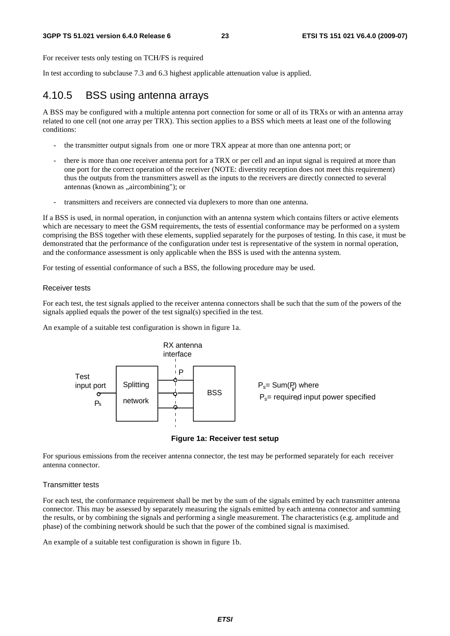For receiver tests only testing on TCH/FS is required

In test according to subclause 7.3 and 6.3 highest applicable attenuation value is applied.

## 4.10.5 BSS using antenna arrays

A BSS may be configured with a multiple antenna port connection for some or all of its TRXs or with an antenna array related to one cell (not one array per TRX). This section applies to a BSS which meets at least one of the following conditions:

- the transmitter output signals from one or more TRX appear at more than one antenna port; or
- there is more than one receiver antenna port for a TRX or per cell and an input signal is required at more than one port for the correct operation of the receiver (NOTE: diverstity reception does not meet this requirement) thus the outputs from the transmitters aswell as the inputs to the receivers are directly connected to several antennas (known as "aircombining"); or
- transmitters and receivers are connected via duplexers to more than one antenna.

If a BSS is used, in normal operation, in conjunction with an antenna system which contains filters or active elements which are necessary to meet the GSM requirements, the tests of essential conformance may be performed on a system comprising the BSS together with these elements, supplied separately for the purposes of testing. In this case, it must be demonstrated that the performance of the configuration under test is representative of the system in normal operation, and the conformance assessment is only applicable when the BSS is used with the antenna system.

For testing of essential conformance of such a BSS, the following procedure may be used.

#### Receiver tests

For each test, the test signals applied to the receiver antenna connectors shall be such that the sum of the powers of the signals applied equals the power of the test signal(s) specified in the test.

An example of a suitable test configuration is shown in figure 1a.





For spurious emissions from the receiver antenna connector, the test may be performed separately for each receiver antenna connector.

#### Transmitter tests

For each test, the conformance requirement shall be met by the sum of the signals emitted by each transmitter antenna connector. This may be assessed by separately measuring the signals emitted by each antenna connector and summing the results, or by combining the signals and performing a single measurement. The characteristics (e.g. amplitude and phase) of the combining network should be such that the power of the combined signal is maximised.

An example of a suitable test configuration is shown in figure 1b.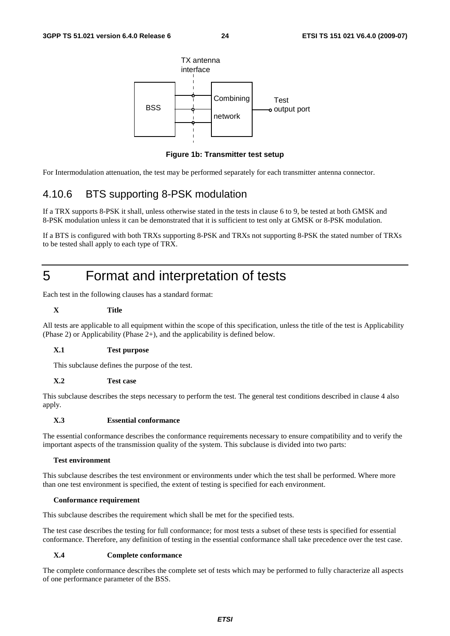

**Figure 1b: Transmitter test setup** 

For Intermodulation attenuation, the test may be performed separately for each transmitter antenna connector.

## 4.10.6 BTS supporting 8-PSK modulation

If a TRX supports 8-PSK it shall, unless otherwise stated in the tests in clause 6 to 9, be tested at both GMSK and 8-PSK modulation unless it can be demonstrated that it is sufficient to test only at GMSK or 8-PSK modulation.

If a BTS is configured with both TRXs supporting 8-PSK and TRXs not supporting 8-PSK the stated number of TRXs to be tested shall apply to each type of TRX.

## 5 Format and interpretation of tests

Each test in the following clauses has a standard format:

### **X Title**

All tests are applicable to all equipment within the scope of this specification, unless the title of the test is Applicability (Phase 2) or Applicability (Phase 2+), and the applicability is defined below.

#### **X.1 Test purpose**

This subclause defines the purpose of the test.

#### **X.2 Test case**

This subclause describes the steps necessary to perform the test. The general test conditions described in clause 4 also apply.

#### **X.3 Essential conformance**

The essential conformance describes the conformance requirements necessary to ensure compatibility and to verify the important aspects of the transmission quality of the system. This subclause is divided into two parts:

#### **Test environment**

This subclause describes the test environment or environments under which the test shall be performed. Where more than one test environment is specified, the extent of testing is specified for each environment.

#### **Conformance requirement**

This subclause describes the requirement which shall be met for the specified tests.

The test case describes the testing for full conformance; for most tests a subset of these tests is specified for essential conformance. Therefore, any definition of testing in the essential conformance shall take precedence over the test case.

#### **X.4 Complete conformance**

The complete conformance describes the complete set of tests which may be performed to fully characterize all aspects of one performance parameter of the BSS.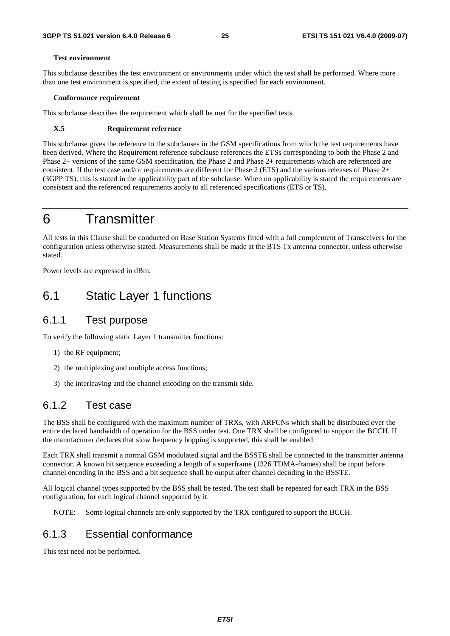#### **Test environment**

This subclause describes the test environment or environments under which the test shall be performed. Where more than one test environment is specified, the extent of testing is specified for each environment.

#### **Conformance requirement**

This subclause describes the requirement which shall be met for the specified tests.

#### **X.5 Requirement reference**

This subclause gives the reference to the subclauses in the GSM specifications from which the test requirements have been derived. Where the Requirement reference subclause references the ETSs corresponding to both the Phase 2 and Phase 2+ versions of the same GSM specification, the Phase 2 and Phase 2+ requirements which are referenced are consistent. If the test case and/or requirements are different for Phase 2 (ETS) and the various releases of Phase 2+ (3GPP TS), this is stated in the applicability part of the subclause. When no applicability is stated the requirements are consistent and the referenced requirements apply to all referenced specifications (ETS or TS).

## 6 Transmitter

All tests in this Clause shall be conducted on Base Station Systems fitted with a full complement of Transceivers for the configuration unless otherwise stated. Measurements shall be made at the BTS Tx antenna connector, unless otherwise stated.

Power levels are expressed in dBm.

## 6.1 Static Layer 1 functions

## 6.1.1 Test purpose

To verify the following static Layer 1 transmitter functions:

- 1) the RF equipment;
- 2) the multiplexing and multiple access functions;
- 3) the interleaving and the channel encoding on the transmit side.

### 6.1.2 Test case

The BSS shall be configured with the maximum number of TRXs, with ARFCNs which shall be distributed over the entire declared bandwidth of operation for the BSS under test. One TRX shall be configured to support the BCCH. If the manufacturer declares that slow frequency hopping is supported, this shall be enabled.

Each TRX shall transmit a normal GSM modulated signal and the BSSTE shall be connected to the transmitter antenna connector. A known bit sequence exceeding a length of a superframe (1326 TDMA-frames) shall be input before channel encoding in the BSS and a bit sequence shall be output after channel decoding in the BSSTE.

All logical channel types supported by the BSS shall be tested. The test shall be repeated for each TRX in the BSS configuration, for each logical channel supported by it.

NOTE: Some logical channels are only supported by the TRX configured to support the BCCH.

## 6.1.3 Essential conformance

This test need not be performed.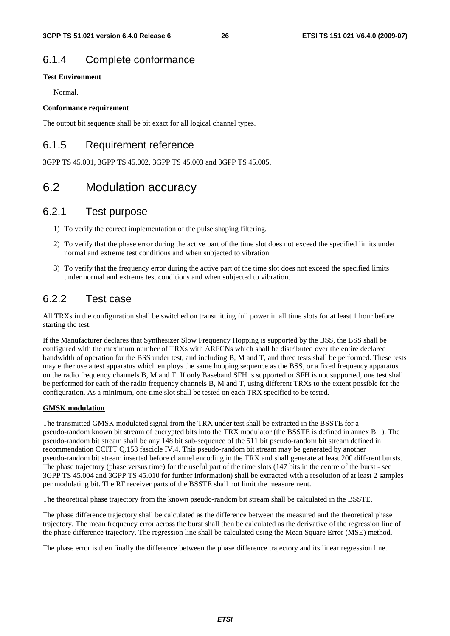## 6.1.4 Complete conformance

### **Test Environment**

Normal.

### **Conformance requirement**

The output bit sequence shall be bit exact for all logical channel types.

## 6.1.5 Requirement reference

3GPP TS 45.001, 3GPP TS 45.002, 3GPP TS 45.003 and 3GPP TS 45.005.

## 6.2 Modulation accuracy

### 6.2.1 Test purpose

- 1) To verify the correct implementation of the pulse shaping filtering.
- 2) To verify that the phase error during the active part of the time slot does not exceed the specified limits under normal and extreme test conditions and when subjected to vibration.
- 3) To verify that the frequency error during the active part of the time slot does not exceed the specified limits under normal and extreme test conditions and when subjected to vibration.

## 6.2.2 Test case

All TRXs in the configuration shall be switched on transmitting full power in all time slots for at least 1 hour before starting the test.

If the Manufacturer declares that Synthesizer Slow Frequency Hopping is supported by the BSS, the BSS shall be configured with the maximum number of TRXs with ARFCNs which shall be distributed over the entire declared bandwidth of operation for the BSS under test, and including B, M and T, and three tests shall be performed. These tests may either use a test apparatus which employs the same hopping sequence as the BSS, or a fixed frequency apparatus on the radio frequency channels B, M and T. If only Baseband SFH is supported or SFH is not supported, one test shall be performed for each of the radio frequency channels B, M and T, using different TRXs to the extent possible for the configuration. As a minimum, one time slot shall be tested on each TRX specified to be tested.

### **GMSK modulation**

The transmitted GMSK modulated signal from the TRX under test shall be extracted in the BSSTE for a pseudo-random known bit stream of encrypted bits into the TRX modulator (the BSSTE is defined in annex B.1). The pseudo-random bit stream shall be any 148 bit sub-sequence of the 511 bit pseudo-random bit stream defined in recommendation CCITT Q.153 fascicle IV.4. This pseudo-random bit stream may be generated by another pseudo-random bit stream inserted before channel encoding in the TRX and shall generate at least 200 different bursts. The phase trajectory (phase versus time) for the useful part of the time slots (147 bits in the centre of the burst - see 3GPP TS 45.004 and 3GPP TS 45.010 for further information) shall be extracted with a resolution of at least 2 samples per modulating bit. The RF receiver parts of the BSSTE shall not limit the measurement.

The theoretical phase trajectory from the known pseudo-random bit stream shall be calculated in the BSSTE.

The phase difference trajectory shall be calculated as the difference between the measured and the theoretical phase trajectory. The mean frequency error across the burst shall then be calculated as the derivative of the regression line of the phase difference trajectory. The regression line shall be calculated using the Mean Square Error (MSE) method.

The phase error is then finally the difference between the phase difference trajectory and its linear regression line.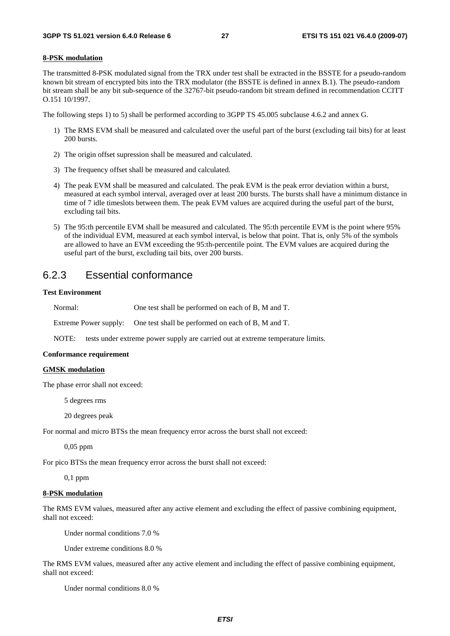#### **8-PSK modulation**

The transmitted 8-PSK modulated signal from the TRX under test shall be extracted in the BSSTE for a pseudo-random known bit stream of encrypted bits into the TRX modulator (the BSSTE is defined in annex B.1). The pseudo-random bit stream shall be any bit sub-sequence of the 32767-bit pseudo-random bit stream defined in recommendation CCITT O.151 10/1997.

The following steps 1) to 5) shall be performed according to 3GPP TS 45.005 subclause 4.6.2 and annex G.

- 1) The RMS EVM shall be measured and calculated over the useful part of the burst (excluding tail bits) for at least 200 bursts.
- 2) The origin offset supression shall be measured and calculated.
- 3) The frequency offset shall be measured and calculated.
- 4) The peak EVM shall be measured and calculated. The peak EVM is the peak error deviation within a burst, measured at each symbol interval, averaged over at least 200 bursts. The bursts shall have a minimum distance in time of 7 idle timeslots between them. The peak EVM values are acquired during the useful part of the burst, excluding tail bits.
- 5) The 95:th percentile EVM shall be measured and calculated. The 95:th percentile EVM is the point where 95% of the individual EVM, measured at each symbol interval, is below that point. That is, only 5% of the symbols are allowed to have an EVM exceeding the 95:th-percentile point. The EVM values are acquired during the useful part of the burst, excluding tail bits, over 200 bursts.

### 6.2.3 Essential conformance

#### **Test Environment**

Normal: One test shall be performed on each of B, M and T.

Extreme Power supply: One test shall be performed on each of B, M and T.

NOTE: tests under extreme power supply are carried out at extreme temperature limits.

#### **Conformance requirement**

#### **GMSK modulation**

The phase error shall not exceed:

5 degrees rms

20 degrees peak

For normal and micro BTSs the mean frequency error across the burst shall not exceed:

0,05 ppm

For pico BTSs the mean frequency error across the burst shall not exceed:

0,1 ppm

#### **8-PSK modulation**

The RMS EVM values, measured after any active element and excluding the effect of passive combining equipment, shall not exceed:

Under normal conditions 7.0 %

Under extreme conditions 8.0 %

The RMS EVM values, measured after any active element and including the effect of passive combining equipment, shall not exceed:

Under normal conditions 8.0 %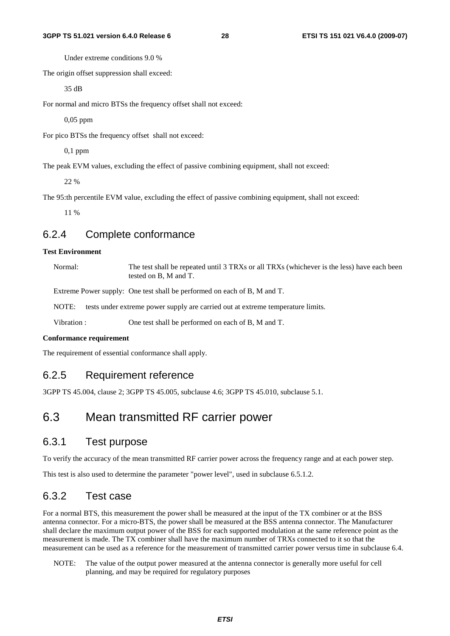Under extreme conditions 9.0 %

The origin offset suppression shall exceed:

35 dB

For normal and micro BTSs the frequency offset shall not exceed:

0,05 ppm

For pico BTSs the frequency offset shall not exceed:

0,1 ppm

The peak EVM values, excluding the effect of passive combining equipment, shall not exceed:

 $220%$ 

The 95:th percentile EVM value, excluding the effect of passive combining equipment, shall not exceed:

11 %

### 6.2.4 Complete conformance

### **Test Environment**

Normal: The test shall be repeated until 3 TRXs or all TRXs (whichever is the less) have each been tested on B, M and T.

Extreme Power supply: One test shall be performed on each of B, M and T.

NOTE: tests under extreme power supply are carried out at extreme temperature limits.

Vibration : One test shall be performed on each of B, M and T.

#### **Conformance requirement**

The requirement of essential conformance shall apply.

### 6.2.5 Requirement reference

3GPP TS 45.004, clause 2; 3GPP TS 45.005, subclause 4.6; 3GPP TS 45.010, subclause 5.1.

## 6.3 Mean transmitted RF carrier power

### 6.3.1 Test purpose

To verify the accuracy of the mean transmitted RF carrier power across the frequency range and at each power step.

This test is also used to determine the parameter "power level", used in subclause 6.5.1.2.

## 6.3.2 Test case

For a normal BTS, this measurement the power shall be measured at the input of the TX combiner or at the BSS antenna connector. For a micro-BTS, the power shall be measured at the BSS antenna connector. The Manufacturer shall declare the maximum output power of the BSS for each supported modulation at the same reference point as the measurement is made. The TX combiner shall have the maximum number of TRXs connected to it so that the measurement can be used as a reference for the measurement of transmitted carrier power versus time in subclause 6.4.

NOTE: The value of the output power measured at the antenna connector is generally more useful for cell planning, and may be required for regulatory purposes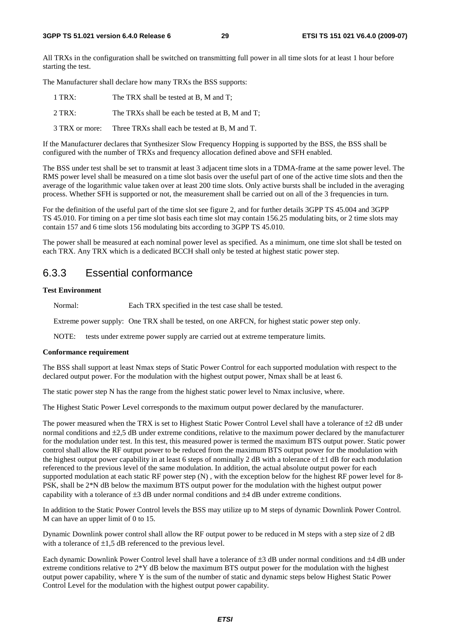All TRXs in the configuration shall be switched on transmitting full power in all time slots for at least 1 hour before starting the test.

The Manufacturer shall declare how many TRXs the BSS supports:

| $1$ TRX:       | The TRX shall be tested at B, M and T;          |
|----------------|-------------------------------------------------|
| 2 TRX:         | The TRXs shall be each be tested at B. M and T: |
| 3 TRX or more: | Three TRXs shall each be tested at B. M and T.  |

If the Manufacturer declares that Synthesizer Slow Frequency Hopping is supported by the BSS, the BSS shall be configured with the number of TRXs and frequency allocation defined above and SFH enabled.

The BSS under test shall be set to transmit at least 3 adjacent time slots in a TDMA-frame at the same power level. The RMS power level shall be measured on a time slot basis over the useful part of one of the active time slots and then the average of the logarithmic value taken over at least 200 time slots. Only active bursts shall be included in the averaging process. Whether SFH is supported or not, the measurement shall be carried out on all of the 3 frequencies in turn.

For the definition of the useful part of the time slot see figure 2, and for further details 3GPP TS 45.004 and 3GPP TS 45.010. For timing on a per time slot basis each time slot may contain 156.25 modulating bits, or 2 time slots may contain 157 and 6 time slots 156 modulating bits according to 3GPP TS 45.010.

The power shall be measured at each nominal power level as specified. As a minimum, one time slot shall be tested on each TRX. Any TRX which is a dedicated BCCH shall only be tested at highest static power step.

### 6.3.3 Essential conformance

#### **Test Environment**

Normal: Each TRX specified in the test case shall be tested.

Extreme power supply: One TRX shall be tested, on one ARFCN, for highest static power step only.

NOTE: tests under extreme power supply are carried out at extreme temperature limits.

#### **Conformance requirement**

The BSS shall support at least Nmax steps of Static Power Control for each supported modulation with respect to the declared output power. For the modulation with the highest output power, Nmax shall be at least 6.

The static power step N has the range from the highest static power level to Nmax inclusive, where.

The Highest Static Power Level corresponds to the maximum output power declared by the manufacturer.

The power measured when the TRX is set to Highest Static Power Control Level shall have a tolerance of  $\pm 2$  dB under normal conditions and ±2,5 dB under extreme conditions, relative to the maximum power declared by the manufacturer for the modulation under test. In this test, this measured power is termed the maximum BTS output power. Static power control shall allow the RF output power to be reduced from the maximum BTS output power for the modulation with the highest output power capability in at least 6 steps of nominally 2 dB with a tolerance of  $\pm 1$  dB for each modulation referenced to the previous level of the same modulation. In addition, the actual absolute output power for each supported modulation at each static RF power step (N) , with the exception below for the highest RF power level for 8- PSK, shall be 2\*N dB below the maximum BTS output power for the modulation with the highest output power capability with a tolerance of  $\pm 3$  dB under normal conditions and  $\pm 4$  dB under extreme conditions.

In addition to the Static Power Control levels the BSS may utilize up to M steps of dynamic Downlink Power Control. M can have an upper limit of 0 to 15.

Dynamic Downlink power control shall allow the RF output power to be reduced in M steps with a step size of 2 dB with a tolerance of  $\pm 1.5$  dB referenced to the previous level.

Each dynamic Downlink Power Control level shall have a tolerance of ±3 dB under normal conditions and ±4 dB under extreme conditions relative to 2\*Y dB below the maximum BTS output power for the modulation with the highest output power capability, where Y is the sum of the number of static and dynamic steps below Highest Static Power Control Level for the modulation with the highest output power capability.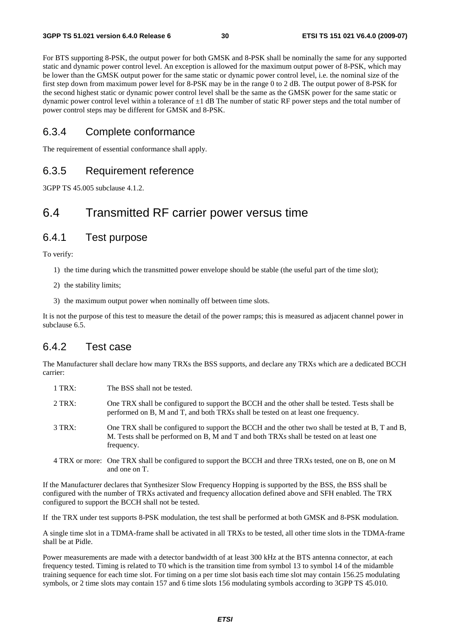For BTS supporting 8-PSK, the output power for both GMSK and 8-PSK shall be nominally the same for any supported static and dynamic power control level. An exception is allowed for the maximum output power of 8-PSK, which may be lower than the GMSK output power for the same static or dynamic power control level, i.e. the nominal size of the first step down from maximum power level for 8-PSK may be in the range 0 to 2 dB. The output power of 8-PSK for the second highest static or dynamic power control level shall be the same as the GMSK power for the same static or dynamic power control level within a tolerance of  $\pm 1$  dB The number of static RF power steps and the total number of power control steps may be different for GMSK and 8-PSK.

### 6.3.4 Complete conformance

The requirement of essential conformance shall apply.

### 6.3.5 Requirement reference

3GPP TS 45.005 subclause 4.1.2.

## 6.4 Transmitted RF carrier power versus time

## 6.4.1 Test purpose

To verify:

- 1) the time during which the transmitted power envelope should be stable (the useful part of the time slot);
- 2) the stability limits;
- 3) the maximum output power when nominally off between time slots.

It is not the purpose of this test to measure the detail of the power ramps; this is measured as adjacent channel power in subclause 6.5.

## 6.4.2 Test case

The Manufacturer shall declare how many TRXs the BSS supports, and declare any TRXs which are a dedicated BCCH carrier:

| $1$ TRX: | The BSS shall not be tested.                                                                                                                                                                              |
|----------|-----------------------------------------------------------------------------------------------------------------------------------------------------------------------------------------------------------|
| $2$ TRX: | One TRX shall be configured to support the BCCH and the other shall be tested. Tests shall be<br>performed on B, M and T, and both TRXs shall be tested on at least one frequency.                        |
| $3$ TRX: | One TRX shall be configured to support the BCCH and the other two shall be tested at B, T and B,<br>M. Tests shall be performed on B, M and T and both TRXs shall be tested on at least one<br>frequency. |
|          | 4 TRX or more: One TRX shall be configured to support the BCCH and three TRXs tested, one on B, one on M<br>and one on T.                                                                                 |

If the Manufacturer declares that Synthesizer Slow Frequency Hopping is supported by the BSS, the BSS shall be configured with the number of TRXs activated and frequency allocation defined above and SFH enabled. The TRX configured to support the BCCH shall not be tested.

If the TRX under test supports 8-PSK modulation, the test shall be performed at both GMSK and 8-PSK modulation.

A single time slot in a TDMA-frame shall be activated in all TRXs to be tested, all other time slots in the TDMA-frame shall be at Pidle.

Power measurements are made with a detector bandwidth of at least 300 kHz at the BTS antenna connector, at each frequency tested. Timing is related to T0 which is the transition time from symbol 13 to symbol 14 of the midamble training sequence for each time slot. For timing on a per time slot basis each time slot may contain 156.25 modulating symbols, or 2 time slots may contain 157 and 6 time slots 156 modulating symbols according to 3GPP TS 45.010.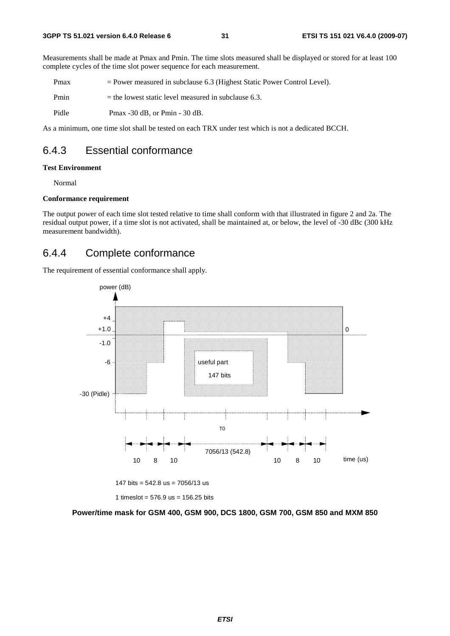Measurements shall be made at Pmax and Pmin. The time slots measured shall be displayed or stored for at least 100 complete cycles of the time slot power sequence for each measurement.

Pmax = Power measured in subclause 6.3 (Highest Static Power Control Level).

Pmin  $=$  the lowest static level measured in subclause 6.3.

Pidle Pmax -30 dB, or Pmin - 30 dB.

As a minimum, one time slot shall be tested on each TRX under test which is not a dedicated BCCH.

## 6.4.3 Essential conformance

#### **Test Environment**

Normal

#### **Conformance requirement**

The output power of each time slot tested relative to time shall conform with that illustrated in figure 2 and 2a. The residual output power, if a time slot is not activated, shall be maintained at, or below, the level of -30 dBc (300 kHz measurement bandwidth).

## 6.4.4 Complete conformance

The requirement of essential conformance shall apply.



147 bits =  $542.8$  us =  $7056/13$  us

1 timeslot =  $576.9$  us =  $156.25$  bits

**Power/time mask for GSM 400, GSM 900, DCS 1800, GSM 700, GSM 850 and MXM 850**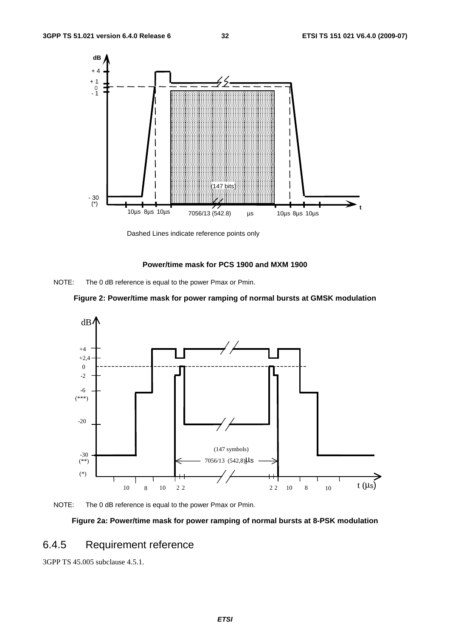

Dashed Lines indicate reference points only

### **Power/time mask for PCS 1900 and MXM 1900**









### **Figure 2a: Power/time mask for power ramping of normal bursts at 8-PSK modulation**

## 6.4.5 Requirement reference

3GPP TS 45.005 subclause 4.5.1.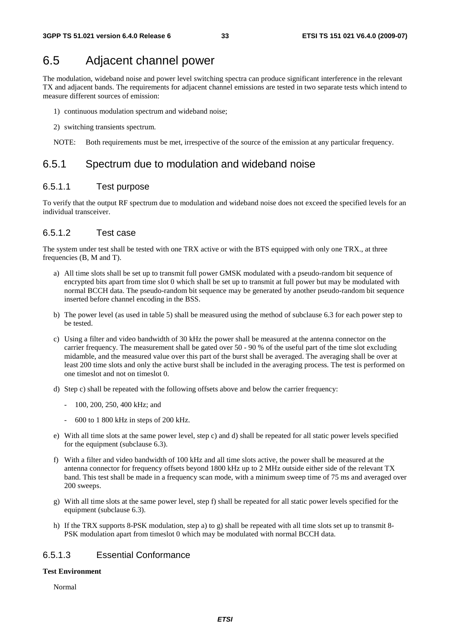## 6.5 Adjacent channel power

The modulation, wideband noise and power level switching spectra can produce significant interference in the relevant TX and adjacent bands. The requirements for adjacent channel emissions are tested in two separate tests which intend to measure different sources of emission:

- 1) continuous modulation spectrum and wideband noise;
- 2) switching transients spectrum.
- NOTE: Both requirements must be met, irrespective of the source of the emission at any particular frequency.

## 6.5.1 Spectrum due to modulation and wideband noise

### 6.5.1.1 Test purpose

To verify that the output RF spectrum due to modulation and wideband noise does not exceed the specified levels for an individual transceiver.

### 6.5.1.2 Test case

The system under test shall be tested with one TRX active or with the BTS equipped with only one TRX., at three frequencies (B, M and T).

- a) All time slots shall be set up to transmit full power GMSK modulated with a pseudo-random bit sequence of encrypted bits apart from time slot 0 which shall be set up to transmit at full power but may be modulated with normal BCCH data. The pseudo-random bit sequence may be generated by another pseudo-random bit sequence inserted before channel encoding in the BSS.
- b) The power level (as used in table 5) shall be measured using the method of subclause 6.3 for each power step to be tested.
- c) Using a filter and video bandwidth of 30 kHz the power shall be measured at the antenna connector on the carrier frequency. The measurement shall be gated over 50 - 90 % of the useful part of the time slot excluding midamble, and the measured value over this part of the burst shall be averaged. The averaging shall be over at least 200 time slots and only the active burst shall be included in the averaging process. The test is performed on one timeslot and not on timeslot 0.
- d) Step c) shall be repeated with the following offsets above and below the carrier frequency:
	- 100, 200, 250, 400 kHz; and
	- 600 to 1 800 kHz in steps of 200 kHz.
- e) With all time slots at the same power level, step c) and d) shall be repeated for all static power levels specified for the equipment (subclause 6.3).
- f) With a filter and video bandwidth of 100 kHz and all time slots active, the power shall be measured at the antenna connector for frequency offsets beyond 1800 kHz up to 2 MHz outside either side of the relevant TX band. This test shall be made in a frequency scan mode, with a minimum sweep time of 75 ms and averaged over 200 sweeps.
- g) With all time slots at the same power level, step f) shall be repeated for all static power levels specified for the equipment (subclause 6.3).
- h) If the TRX supports 8-PSK modulation, step a) to g) shall be repeated with all time slots set up to transmit 8- PSK modulation apart from timeslot 0 which may be modulated with normal BCCH data.

### 6.5.1.3 Essential Conformance

### **Test Environment**

Normal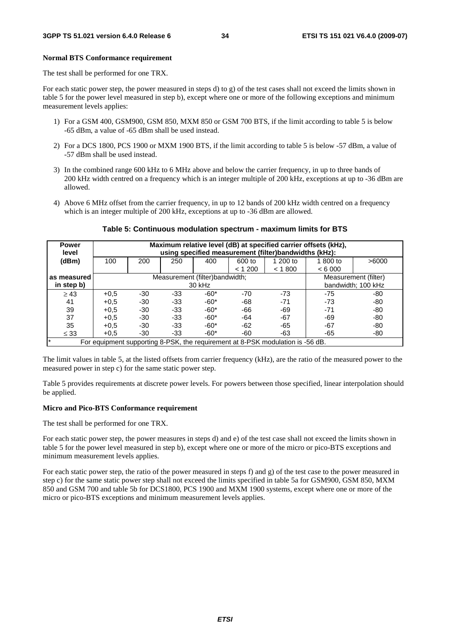### **Normal BTS Conformance requirement**

The test shall be performed for one TRX.

For each static power step, the power measured in steps d) to g) of the test cases shall not exceed the limits shown in table 5 for the power level measured in step b), except where one or more of the following exceptions and minimum measurement levels applies:

- 1) For a GSM 400, GSM900, GSM 850, MXM 850 or GSM 700 BTS, if the limit according to table 5 is below -65 dBm, a value of -65 dBm shall be used instead.
- 2) For a DCS 1800, PCS 1900 or MXM 1900 BTS, if the limit according to table 5 is below -57 dBm, a value of -57 dBm shall be used instead.
- 3) In the combined range 600 kHz to 6 MHz above and below the carrier frequency, in up to three bands of 200 kHz width centred on a frequency which is an integer multiple of 200 kHz, exceptions at up to -36 dBm are allowed.
- 4) Above 6 MHz offset from the carrier frequency, in up to 12 bands of 200 kHz width centred on a frequency which is an integer multiple of 200 kHz, exceptions at up to -36 dBm are allowed.

| <b>Power</b><br>level                                                                          | Maximum relative level (dB) at specified carrier offsets (kHz),<br>using specified measurement (filter)bandwidths (kHz): |       |     |        |                  |                    |                    |       |
|------------------------------------------------------------------------------------------------|--------------------------------------------------------------------------------------------------------------------------|-------|-----|--------|------------------|--------------------|--------------------|-------|
| (dBm)                                                                                          | 100                                                                                                                      | 200   | 250 | 400    | 600 to<br>< 1200 | 1 200 to<br>< 1800 | 1 800 to<br>< 6000 | >6000 |
|                                                                                                |                                                                                                                          |       |     |        |                  |                    |                    |       |
| as measured                                                                                    | Measurement (filter)bandwidth;<br>Measurement (filter)                                                                   |       |     |        |                  |                    |                    |       |
| in step b)                                                                                     | bandwidth; 100 kHz<br>30 kHz                                                                                             |       |     |        |                  |                    |                    |       |
| $\geq 43$                                                                                      | $+0.5$                                                                                                                   | $-30$ | -33 | $-60*$ | $-70$            | $-73$              | $-75$              | -80   |
| 41                                                                                             | $+0.5$                                                                                                                   | $-30$ | -33 | $-60*$ | -68              | $-71$              | $-73$              | -80   |
| 39                                                                                             | $+0.5$                                                                                                                   | $-30$ | -33 | $-60*$ | -66              | -69                | $-71$              | -80   |
| 37                                                                                             | $+0.5$                                                                                                                   | $-30$ | -33 | $-60*$ | -64              | $-67$              | -69                | -80   |
| 35                                                                                             | $+0.5$                                                                                                                   | $-30$ | -33 | $-60*$ | $-62$            | -65                | -67                | -80   |
| $\leq 33$                                                                                      | $+0.5$                                                                                                                   | -30   | -33 | -60*   | -60              | -63                | -65                | -80   |
| $\mathbf{r}$<br>For equipment supporting 8-PSK, the requirement at 8-PSK modulation is -56 dB. |                                                                                                                          |       |     |        |                  |                    |                    |       |

### **Table 5: Continuous modulation spectrum - maximum limits for BTS**

The limit values in table 5, at the listed offsets from carrier frequency (kHz), are the ratio of the measured power to the measured power in step c) for the same static power step.

Table 5 provides requirements at discrete power levels. For powers between those specified, linear interpolation should be applied.

### **Micro and Pico-BTS Conformance requirement**

The test shall be performed for one TRX.

For each static power step, the power measures in steps d) and e) of the test case shall not exceed the limits shown in table 5 for the power level measured in step b), except where one or more of the micro or pico-BTS exceptions and minimum measurement levels applies.

For each static power step, the ratio of the power measured in steps f) and g) of the test case to the power measured in step c) for the same static power step shall not exceed the limits specified in table 5a for GSM900, GSM 850, MXM 850 and GSM 700 and table 5b for DCS1800, PCS 1900 and MXM 1900 systems, except where one or more of the micro or pico-BTS exceptions and minimum measurement levels applies.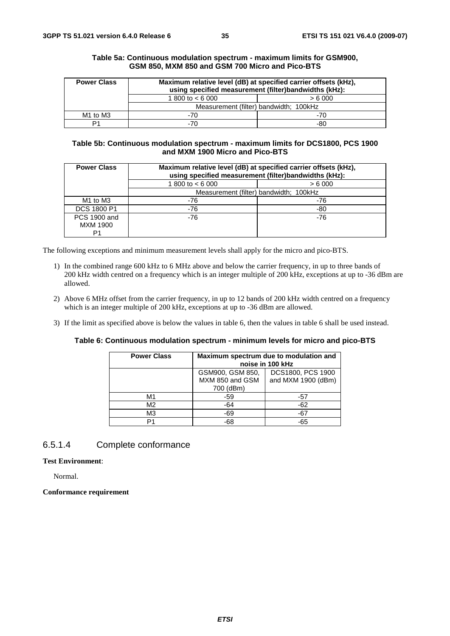| <b>Power Class</b>               |                                        | Maximum relative level (dB) at specified carrier offsets (kHz),<br>using specified measurement (filter)bandwidths (kHz): |  |  |
|----------------------------------|----------------------------------------|--------------------------------------------------------------------------------------------------------------------------|--|--|
|                                  | 1 800 to $< 6000$                      | > 6000                                                                                                                   |  |  |
|                                  | Measurement (filter) bandwidth; 100kHz |                                                                                                                          |  |  |
| M <sub>1</sub> to M <sub>3</sub> | -70                                    | -70                                                                                                                      |  |  |
| D1                               | -70                                    | -80                                                                                                                      |  |  |

### **Table 5a: Continuous modulation spectrum - maximum limits for GSM900, GSM 850, MXM 850 and GSM 700 Micro and Pico-BTS**

### **Table 5b: Continuous modulation spectrum - maximum limits for DCS1800, PCS 1900 and MXM 1900 Micro and Pico-BTS**

| <b>Power Class</b>                     |                    | Maximum relative level (dB) at specified carrier offsets (kHz),<br>using specified measurement (filter)bandwidths (kHz): |  |  |  |  |
|----------------------------------------|--------------------|--------------------------------------------------------------------------------------------------------------------------|--|--|--|--|
|                                        | 1 800 to $< 6$ 000 | > 6000                                                                                                                   |  |  |  |  |
|                                        |                    | Measurement (filter) bandwidth; 100kHz                                                                                   |  |  |  |  |
| M <sub>1</sub> to M <sub>3</sub>       | -76                | -76                                                                                                                      |  |  |  |  |
| DCS 1800 P1                            | -76                | -80                                                                                                                      |  |  |  |  |
| <b>PCS 1900 and</b><br><b>MXM 1900</b> | -76                | -76                                                                                                                      |  |  |  |  |
| P1                                     |                    |                                                                                                                          |  |  |  |  |

The following exceptions and minimum measurement levels shall apply for the micro and pico-BTS.

- 1) In the combined range 600 kHz to 6 MHz above and below the carrier frequency, in up to three bands of 200 kHz width centred on a frequency which is an integer multiple of 200 kHz, exceptions at up to -36 dBm are allowed.
- 2) Above 6 MHz offset from the carrier frequency, in up to 12 bands of 200 kHz width centred on a frequency which is an integer multiple of 200 kHz, exceptions at up to -36 dBm are allowed.
- 3) If the limit as specified above is below the values in table 6, then the values in table 6 shall be used instead.

### **Table 6: Continuous modulation spectrum - minimum levels for micro and pico-BTS**

| <b>Power Class</b> | Maximum spectrum due to modulation and<br>noise in 100 kHz |                    |  |
|--------------------|------------------------------------------------------------|--------------------|--|
|                    | DCS1800, PCS 1900<br>GSM900, GSM 850,                      |                    |  |
|                    | MXM 850 and GSM                                            | and MXM 1900 (dBm) |  |
|                    | 700 (dBm)                                                  |                    |  |
| М1                 | -59                                                        | -57                |  |
| M2                 | $-64$                                                      | $-62$              |  |
| MЗ                 | $-69$                                                      | $-67$              |  |
|                    | $-68$                                                      | $-65$              |  |

### 6.5.1.4 Complete conformance

### **Test Environment**:

Normal.

### **Conformance requirement**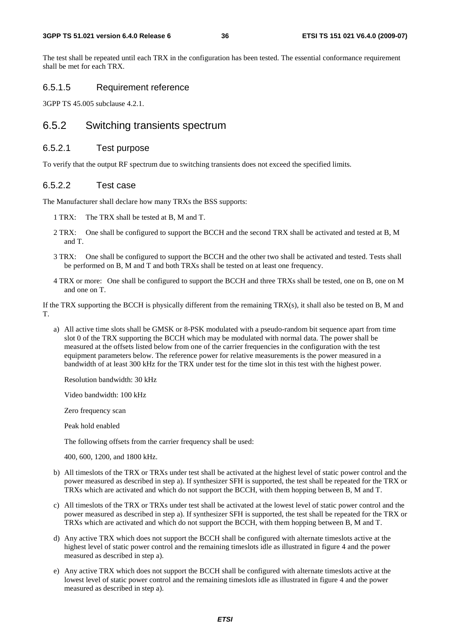The test shall be repeated until each TRX in the configuration has been tested. The essential conformance requirement shall be met for each TRX.

## 6.5.1.5 Requirement reference

3GPP TS 45.005 subclause 4.2.1.

# 6.5.2 Switching transients spectrum

## 6.5.2.1 Test purpose

To verify that the output RF spectrum due to switching transients does not exceed the specified limits.

## 6.5.2.2 Test case

The Manufacturer shall declare how many TRXs the BSS supports:

- 1 TRX: The TRX shall be tested at B, M and T.
- 2 TRX: One shall be configured to support the BCCH and the second TRX shall be activated and tested at B, M and T.
- 3 TRX: One shall be configured to support the BCCH and the other two shall be activated and tested. Tests shall be performed on B, M and T and both TRXs shall be tested on at least one frequency.
- 4 TRX or more: One shall be configured to support the BCCH and three TRXs shall be tested, one on B, one on M and one on T.

If the TRX supporting the BCCH is physically different from the remaining TRX(s), it shall also be tested on B, M and T.

a) All active time slots shall be GMSK or 8-PSK modulated with a pseudo-random bit sequence apart from time slot 0 of the TRX supporting the BCCH which may be modulated with normal data. The power shall be measured at the offsets listed below from one of the carrier frequencies in the configuration with the test equipment parameters below. The reference power for relative measurements is the power measured in a bandwidth of at least 300 kHz for the TRX under test for the time slot in this test with the highest power.

Resolution bandwidth: 30 kHz

Video bandwidth: 100 kHz

Zero frequency scan

Peak hold enabled

The following offsets from the carrier frequency shall be used:

400, 600, 1200, and 1800 kHz.

- b) All timeslots of the TRX or TRXs under test shall be activated at the highest level of static power control and the power measured as described in step a). If synthesizer SFH is supported, the test shall be repeated for the TRX or TRXs which are activated and which do not support the BCCH, with them hopping between B, M and T.
- c) All timeslots of the TRX or TRXs under test shall be activated at the lowest level of static power control and the power measured as described in step a). If synthesizer SFH is supported, the test shall be repeated for the TRX or TRXs which are activated and which do not support the BCCH, with them hopping between B, M and T.
- d) Any active TRX which does not support the BCCH shall be configured with alternate timeslots active at the highest level of static power control and the remaining timeslots idle as illustrated in figure 4 and the power measured as described in step a).
- e) Any active TRX which does not support the BCCH shall be configured with alternate timeslots active at the lowest level of static power control and the remaining timeslots idle as illustrated in figure 4 and the power measured as described in step a).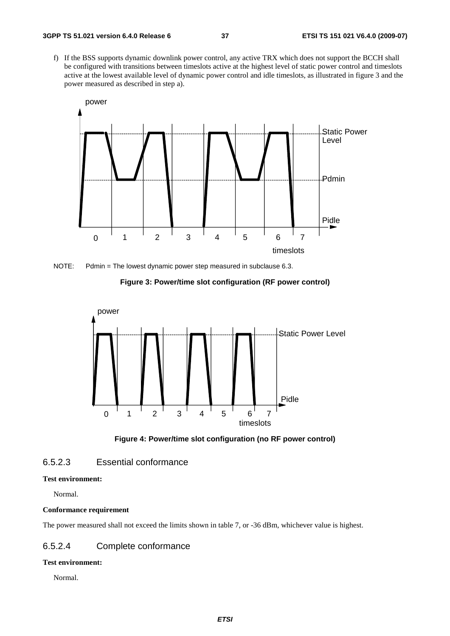f) If the BSS supports dynamic downlink power control, any active TRX which does not support the BCCH shall be configured with transitions between timeslots active at the highest level of static power control and timeslots active at the lowest available level of dynamic power control and idle timeslots, as illustrated in figure 3 and the power measured as described in step a).



NOTE: Pdmin = The lowest dynamic power step measured in subclause 6.3.







## 6.5.2.3 Essential conformance

### **Test environment:**

Normal.

## **Conformance requirement**

The power measured shall not exceed the limits shown in table 7, or -36 dBm, whichever value is highest.

## 6.5.2.4 Complete conformance

## **Test environment:**

Normal.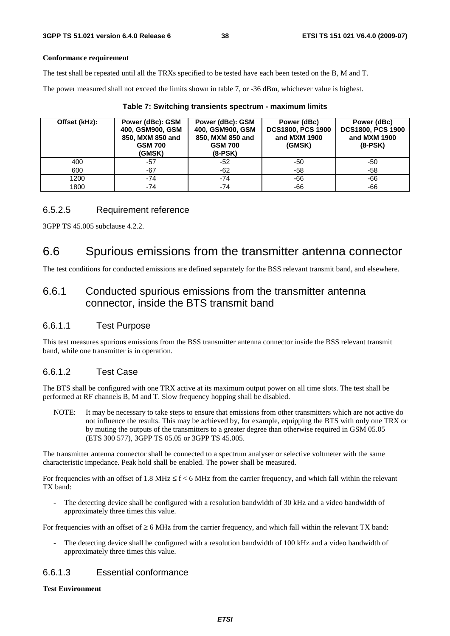## **Conformance requirement**

The test shall be repeated until all the TRXs specified to be tested have each been tested on the B, M and T.

The power measured shall not exceed the limits shown in table 7, or -36 dBm, whichever value is highest.

| Offset (kHz): | Power (dBc): GSM<br>400, GSM900, GSM<br>850, MXM 850 and<br><b>GSM 700</b><br>(GMSK) | Power (dBc): GSM<br>400, GSM900, GSM<br>850, MXM 850 and<br><b>GSM 700</b><br>$(8-PSK)$ | Power (dBc)<br><b>DCS1800, PCS 1900</b><br>and MXM 1900<br>(GMSK) | Power (dBc)<br><b>DCS1800, PCS 1900</b><br>and MXM 1900<br>$(8-PSK)$ |
|---------------|--------------------------------------------------------------------------------------|-----------------------------------------------------------------------------------------|-------------------------------------------------------------------|----------------------------------------------------------------------|
| 400           | $-57$                                                                                | -52                                                                                     | -50                                                               | -50                                                                  |
| 600           | -67                                                                                  | $-62$                                                                                   | -58                                                               | -58                                                                  |
| 1200          | $-74$                                                                                | $-74$                                                                                   | -66                                                               | -66                                                                  |
| 1800          | $-74$                                                                                | $-74$                                                                                   | $-66$                                                             | -66                                                                  |

|  |  |  | Table 7: Switching transients spectrum - maximum limits |  |  |
|--|--|--|---------------------------------------------------------|--|--|
|--|--|--|---------------------------------------------------------|--|--|

## 6.5.2.5 Requirement reference

3GPP TS 45.005 subclause 4.2.2.

# 6.6 Spurious emissions from the transmitter antenna connector

The test conditions for conducted emissions are defined separately for the BSS relevant transmit band, and elsewhere.

# 6.6.1 Conducted spurious emissions from the transmitter antenna connector, inside the BTS transmit band

# 6.6.1.1 Test Purpose

This test measures spurious emissions from the BSS transmitter antenna connector inside the BSS relevant transmit band, while one transmitter is in operation.

# 6.6.1.2 Test Case

The BTS shall be configured with one TRX active at its maximum output power on all time slots. The test shall be performed at RF channels B, M and T. Slow frequency hopping shall be disabled.

NOTE: It may be necessary to take steps to ensure that emissions from other transmitters which are not active do not influence the results. This may be achieved by, for example, equipping the BTS with only one TRX or by muting the outputs of the transmitters to a greater degree than otherwise required in GSM 05.05 (ETS 300 577), 3GPP TS 05.05 or 3GPP TS 45.005.

The transmitter antenna connector shall be connected to a spectrum analyser or selective voltmeter with the same characteristic impedance. Peak hold shall be enabled. The power shall be measured.

For frequencies with an offset of 1.8 MHz  $\leq$  f < 6 MHz from the carrier frequency, and which fall within the relevant TX band:

The detecting device shall be configured with a resolution bandwidth of 30 kHz and a video bandwidth of approximately three times this value.

For frequencies with an offset of  $\geq 6$  MHz from the carrier frequency, and which fall within the relevant TX band:

The detecting device shall be configured with a resolution bandwidth of 100 kHz and a video bandwidth of approximately three times this value.

# 6.6.1.3 Essential conformance

## **Test Environment**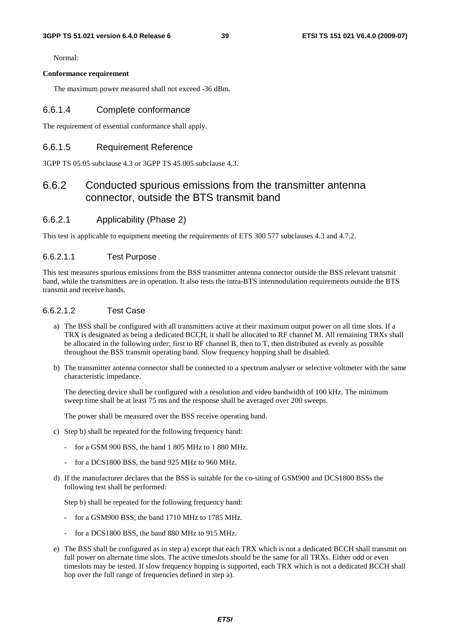Normal:

#### **Conformance requirement**

The maximum power measured shall not exceed -36 dBm.

## 6.6.1.4 Complete conformance

The requirement of essential conformance shall apply.

## 6.6.1.5 Requirement Reference

3GPP TS 05.05 subclause 4.3 or 3GPP TS 45.005 subclause 4.3.

# 6.6.2 Conducted spurious emissions from the transmitter antenna connector, outside the BTS transmit band

## 6.6.2.1 Applicability (Phase 2)

This test is applicable to equipment meeting the requirements of ETS 300 577 subclauses 4.3 and 4.7.2.

### 6.6.2.1.1 Test Purpose

This test measures spurious emissions from the BSS transmitter antenna connector outside the BSS relevant transmit band, while the transmitters are in operation. It also tests the intra-BTS intermodulation requirements outside the BTS transmit and receive bands.

## 6.6.2.1.2 Test Case

- a) The BSS shall be configured with all transmitters active at their maximum output power on all time slots. If a TRX is designated as being a dedicated BCCH, it shall be allocated to RF channel M. All remaining TRXs shall be allocated in the following order; first to RF channel B, then to T, then distributed as evenly as possible throughout the BSS transmit operating band. Slow frequency hopping shall be disabled.
- b) The transmitter antenna connector shall be connected to a spectrum analyser or selective voltmeter with the same characteristic impedance.

 The detecting device shall be configured with a resolution and video bandwidth of 100 kHz. The minimum sweep time shall be at least 75 ms and the response shall be averaged over 200 sweeps.

The power shall be measured over the BSS receive operating band.

- c) Step b) shall be repeated for the following frequency band:
	- for a GSM 900 BSS, the band 1 805 MHz to 1 880 MHz.
	- for a DCS1800 BSS, the band 925 MHz to 960 MHz.
- d) If the manufacturer declares that the BSS is suitable for the co-siting of GSM900 and DCS1800 BSSs the following test shall be performed:

Step b) shall be repeated for the following frequency band:

- for a GSM900 BSS, the band 1710 MHz to 1785 MHz.
- for a DCS1800 BSS, the band 880 MHz to 915 MHz.
- e) The BSS shall be configured as in step a) except that each TRX which is not a dedicated BCCH shall transmit on full power on alternate time slots. The active timeslots should be the same for all TRXs. Either odd or even timeslots may be tested. If slow frequency hopping is supported, each TRX which is not a dedicated BCCH shall hop over the full range of frequencies defined in step a).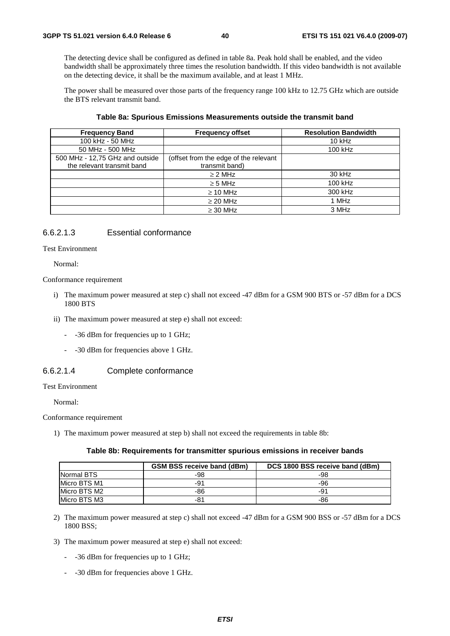The detecting device shall be configured as defined in table 8a. Peak hold shall be enabled, and the video bandwidth shall be approximately three times the resolution bandwidth. If this video bandwidth is not available on the detecting device, it shall be the maximum available, and at least 1 MHz.

 The power shall be measured over those parts of the frequency range 100 kHz to 12.75 GHz which are outside the BTS relevant transmit band.

| <b>Frequency Band</b>           | <b>Frequency offset</b>               | <b>Resolution Bandwidth</b> |
|---------------------------------|---------------------------------------|-----------------------------|
| 100 kHz - 50 MHz                |                                       | $10$ kHz                    |
| 50 MHz - 500 MHz                |                                       | 100 kHz                     |
| 500 MHz - 12,75 GHz and outside | (offset from the edge of the relevant |                             |
| the relevant transmit band      | transmit band)                        |                             |
|                                 | $\geq$ 2 MHz                          | 30 kHz                      |
|                                 | $\geq$ 5 MHz                          | 100 kHz                     |
|                                 | $\geq$ 10 MHz                         | 300 kHz                     |
|                                 | $\geq$ 20 MHz                         | 1 MHz                       |
|                                 | $\geq$ 30 MHz                         | 3 MHz                       |

#### **Table 8a: Spurious Emissions Measurements outside the transmit band**

## 6.6.2.1.3 Essential conformance

Test Environment

Normal:

Conformance requirement

- i) The maximum power measured at step c) shall not exceed -47 dBm for a GSM 900 BTS or -57 dBm for a DCS 1800 BTS
- ii) The maximum power measured at step e) shall not exceed:
	- -36 dBm for frequencies up to 1 GHz;
	- -30 dBm for frequencies above 1 GHz.

### 6.6.2.1.4 Complete conformance

Test Environment

Normal:

Conformance requirement

1) The maximum power measured at step b) shall not exceed the requirements in table 8b:

### **Table 8b: Requirements for transmitter spurious emissions in receiver bands**

|              | <b>GSM BSS receive band (dBm)</b> | DCS 1800 BSS receive band (dBm) |
|--------------|-----------------------------------|---------------------------------|
| Normal BTS   | -98                               | -98                             |
| Micro BTS M1 | -91                               | -96                             |
| Micro BTS M2 | -86                               | -91                             |
| Micro BTS M3 | -81                               | -86                             |

- 2) The maximum power measured at step c) shall not exceed -47 dBm for a GSM 900 BSS or -57 dBm for a DCS 1800 BSS;
- 3) The maximum power measured at step e) shall not exceed:
	- -36 dBm for frequencies up to 1 GHz;
	- -30 dBm for frequencies above 1 GHz.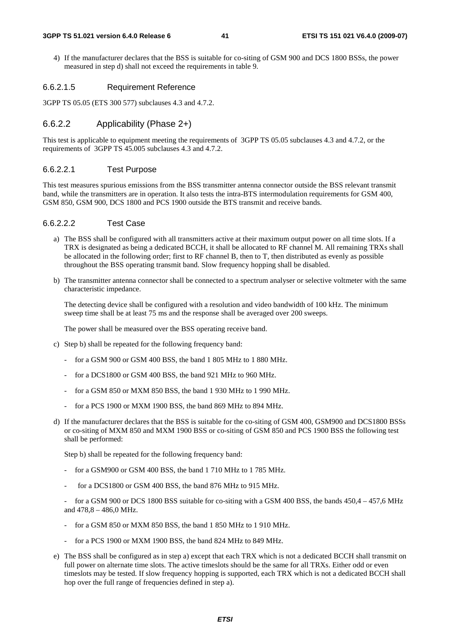4) If the manufacturer declares that the BSS is suitable for co-siting of GSM 900 and DCS 1800 BSSs, the power measured in step d) shall not exceed the requirements in table 9.

### 6.6.2.1.5 Requirement Reference

3GPP TS 05.05 (ETS 300 577) subclauses 4.3 and 4.7.2.

## 6.6.2.2 Applicability (Phase 2+)

This test is applicable to equipment meeting the requirements of 3GPP TS 05.05 subclauses 4.3 and 4.7.2, or the requirements of 3GPP TS 45.005 subclauses 4.3 and 4.7.2.

### 6.6.2.2.1 Test Purpose

This test measures spurious emissions from the BSS transmitter antenna connector outside the BSS relevant transmit band, while the transmitters are in operation. It also tests the intra-BTS intermodulation requirements for GSM 400, GSM 850, GSM 900, DCS 1800 and PCS 1900 outside the BTS transmit and receive bands.

## 6.6.2.2.2 Test Case

- a) The BSS shall be configured with all transmitters active at their maximum output power on all time slots. If a TRX is designated as being a dedicated BCCH, it shall be allocated to RF channel M. All remaining TRXs shall be allocated in the following order; first to RF channel B, then to T, then distributed as evenly as possible throughout the BSS operating transmit band. Slow frequency hopping shall be disabled.
- b) The transmitter antenna connector shall be connected to a spectrum analyser or selective voltmeter with the same characteristic impedance.

 The detecting device shall be configured with a resolution and video bandwidth of 100 kHz. The minimum sweep time shall be at least 75 ms and the response shall be averaged over 200 sweeps.

The power shall be measured over the BSS operating receive band.

- c) Step b) shall be repeated for the following frequency band:
	- for a GSM 900 or GSM 400 BSS, the band 1 805 MHz to 1 880 MHz.
	- for a DCS1800 or GSM 400 BSS, the band 921 MHz to 960 MHz.
	- for a GSM 850 or MXM 850 BSS, the band 1 930 MHz to 1 990 MHz.
	- for a PCS 1900 or MXM 1900 BSS, the band 869 MHz to 894 MHz.
- d) If the manufacturer declares that the BSS is suitable for the co-siting of GSM 400, GSM900 and DCS1800 BSSs or co-siting of MXM 850 and MXM 1900 BSS or co-siting of GSM 850 and PCS 1900 BSS the following test shall be performed:

Step b) shall be repeated for the following frequency band:

- for a GSM900 or GSM 400 BSS, the band 1 710 MHz to 1 785 MHz.
- for a DCS1800 or GSM 400 BSS, the band 876 MHz to 915 MHz.

for a GSM 900 or DCS 1800 BSS suitable for co-siting with a GSM 400 BSS, the bands 450,4 – 457,6 MHz and 478,8 – 486,0 MHz.

- for a GSM 850 or MXM 850 BSS, the band 1 850 MHz to 1 910 MHz.
- for a PCS 1900 or MXM 1900 BSS, the band 824 MHz to 849 MHz.
- e) The BSS shall be configured as in step a) except that each TRX which is not a dedicated BCCH shall transmit on full power on alternate time slots. The active timeslots should be the same for all TRXs. Either odd or even timeslots may be tested. If slow frequency hopping is supported, each TRX which is not a dedicated BCCH shall hop over the full range of frequencies defined in step a).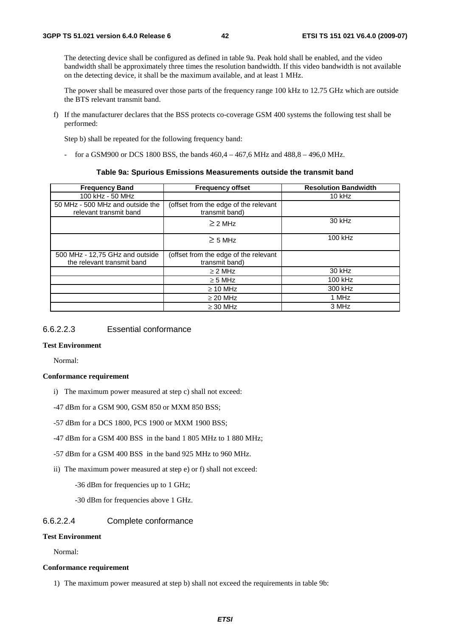The detecting device shall be configured as defined in table 9a. Peak hold shall be enabled, and the video bandwidth shall be approximately three times the resolution bandwidth. If this video bandwidth is not available on the detecting device, it shall be the maximum available, and at least 1 MHz.

 The power shall be measured over those parts of the frequency range 100 kHz to 12.75 GHz which are outside the BTS relevant transmit band.

f) If the manufacturer declares that the BSS protects co-coverage GSM 400 systems the following test shall be performed:

Step b) shall be repeated for the following frequency band:

for a GSM900 or DCS 1800 BSS, the bands  $460.4 - 467.6$  MHz and  $488.8 - 496.0$  MHz.

### **Table 9a: Spurious Emissions Measurements outside the transmit band**

| <b>Frequency Band</b>                                         | <b>Frequency offset</b>                                 | <b>Resolution Bandwidth</b> |
|---------------------------------------------------------------|---------------------------------------------------------|-----------------------------|
| 100 kHz - 50 MHz                                              |                                                         | $10$ kHz                    |
| 50 MHz - 500 MHz and outside the<br>relevant transmit band    | (offset from the edge of the relevant<br>transmit band) |                             |
|                                                               | $\geq$ 2 MHz                                            | 30 kHz                      |
|                                                               | $\geq$ 5 MHz                                            | 100 kHz                     |
| 500 MHz - 12,75 GHz and outside<br>the relevant transmit band | (offset from the edge of the relevant<br>transmit band) |                             |
|                                                               | $\geq$ 2 MHz                                            | 30 kHz                      |
|                                                               | $\geq$ 5 MHz                                            | 100 kHz                     |
|                                                               | $\geq$ 10 MHz                                           | 300 kHz                     |
|                                                               | $\geq$ 20 MHz                                           | 1 MHz                       |
|                                                               | $\geq$ 30 MHz                                           | 3 MHz                       |

## 6.6.2.2.3 Essential conformance

### **Test Environment**

Normal:

### **Conformance requirement**

- i) The maximum power measured at step c) shall not exceed:
- -47 dBm for a GSM 900, GSM 850 or MXM 850 BSS;
- -57 dBm for a DCS 1800, PCS 1900 or MXM 1900 BSS;
- -47 dBm for a GSM 400 BSS in the band 1 805 MHz to 1 880 MHz;
- -57 dBm for a GSM 400 BSS in the band 925 MHz to 960 MHz.
- ii) The maximum power measured at step e) or f) shall not exceed:
	- -36 dBm for frequencies up to 1 GHz;
	- -30 dBm for frequencies above 1 GHz.

## 6.6.2.2.4 Complete conformance

### **Test Environment**

Normal:

### **Conformance requirement**

1) The maximum power measured at step b) shall not exceed the requirements in table 9b: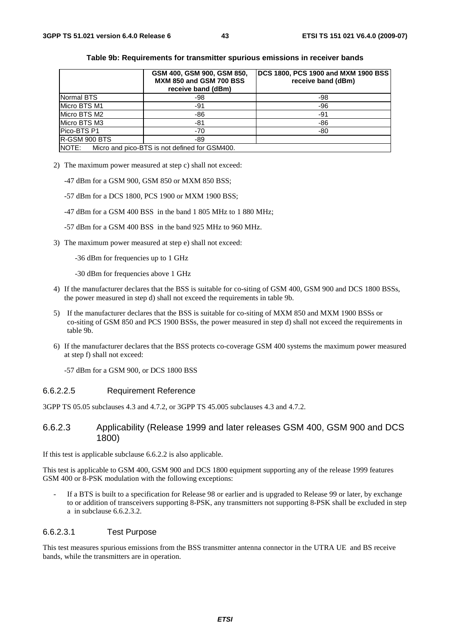|                       | GSM 400, GSM 900, GSM 850,<br><b>MXM 850 and GSM 700 BSS</b><br>receive band (dBm) | DCS 1800, PCS 1900 and MXM 1900 BSS<br>receive band (dBm) |
|-----------------------|------------------------------------------------------------------------------------|-----------------------------------------------------------|
| Normal BTS            | -98                                                                                | -98                                                       |
| Micro BTS M1          | -91                                                                                | $-96$                                                     |
| Micro BTS M2          | -86                                                                                | -91                                                       |
| Micro BTS M3          | -81                                                                                | -86                                                       |
| Pico-BTS P1           | $-70$                                                                              | -80                                                       |
| <b>IR-GSM 900 BTS</b> | $-89$                                                                              |                                                           |
| NOTE:                 | Micro and pico-BTS is not defined for GSM400.                                      |                                                           |

### **Table 9b: Requirements for transmitter spurious emissions in receiver bands**

2) The maximum power measured at step c) shall not exceed:

-47 dBm for a GSM 900, GSM 850 or MXM 850 BSS;

- -57 dBm for a DCS 1800, PCS 1900 or MXM 1900 BSS;
- -47 dBm for a GSM 400 BSS in the band 1 805 MHz to 1 880 MHz;
- -57 dBm for a GSM 400 BSS in the band 925 MHz to 960 MHz.
- 3) The maximum power measured at step e) shall not exceed:
	- -36 dBm for frequencies up to 1 GHz
	- -30 dBm for frequencies above 1 GHz
- 4) If the manufacturer declares that the BSS is suitable for co-siting of GSM 400, GSM 900 and DCS 1800 BSSs, the power measured in step d) shall not exceed the requirements in table 9b.
- 5) If the manufacturer declares that the BSS is suitable for co-siting of MXM 850 and MXM 1900 BSSs or co-siting of GSM 850 and PCS 1900 BSSs, the power measured in step d) shall not exceed the requirements in table 9b.
- 6) If the manufacturer declares that the BSS protects co-coverage GSM 400 systems the maximum power measured at step f) shall not exceed:

-57 dBm for a GSM 900, or DCS 1800 BSS

### 6.6.2.2.5 Requirement Reference

3GPP TS 05.05 subclauses 4.3 and 4.7.2, or 3GPP TS 45.005 subclauses 4.3 and 4.7.2.

## 6.6.2.3 Applicability (Release 1999 and later releases GSM 400, GSM 900 and DCS 1800)

If this test is applicable subclause 6.6.2.2 is also applicable.

This test is applicable to GSM 400, GSM 900 and DCS 1800 equipment supporting any of the release 1999 features GSM 400 or 8-PSK modulation with the following exceptions:

If a BTS is built to a specification for Release 98 or earlier and is upgraded to Release 99 or later, by exchange to or addition of transceivers supporting 8-PSK, any transmitters not supporting 8-PSK shall be excluded in step a in subclause 6.6.2.3.2.

## 6.6.2.3.1 Test Purpose

This test measures spurious emissions from the BSS transmitter antenna connector in the UTRA UE and BS receive bands, while the transmitters are in operation.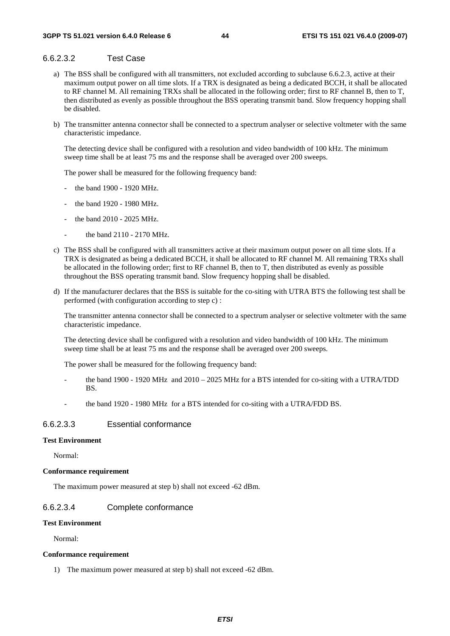# 6.6.2.3.2 Test Case

- a) The BSS shall be configured with all transmitters, not excluded according to subclause 6.6.2.3, active at their maximum output power on all time slots. If a TRX is designated as being a dedicated BCCH, it shall be allocated to RF channel M. All remaining TRXs shall be allocated in the following order; first to RF channel B, then to T, then distributed as evenly as possible throughout the BSS operating transmit band. Slow frequency hopping shall be disabled.
- b) The transmitter antenna connector shall be connected to a spectrum analyser or selective voltmeter with the same characteristic impedance.

 The detecting device shall be configured with a resolution and video bandwidth of 100 kHz. The minimum sweep time shall be at least 75 ms and the response shall be averaged over 200 sweeps.

The power shall be measured for the following frequency band:

- the band 1900 1920 MHz.
- the band 1920 1980 MHz.
- the band 2010 2025 MHz.
- the band 2110 2170 MHz.
- c) The BSS shall be configured with all transmitters active at their maximum output power on all time slots. If a TRX is designated as being a dedicated BCCH, it shall be allocated to RF channel M. All remaining TRXs shall be allocated in the following order; first to RF channel B, then to T, then distributed as evenly as possible throughout the BSS operating transmit band. Slow frequency hopping shall be disabled.
- d) If the manufacturer declares that the BSS is suitable for the co-siting with UTRA BTS the following test shall be performed (with configuration according to step c) :

 The transmitter antenna connector shall be connected to a spectrum analyser or selective voltmeter with the same characteristic impedance.

 The detecting device shall be configured with a resolution and video bandwidth of 100 kHz. The minimum sweep time shall be at least 75 ms and the response shall be averaged over 200 sweeps.

The power shall be measured for the following frequency band:

- the band 1900 1920 MHz and 2010 2025 MHz for a BTS intended for co-siting with a UTRA/TDD **BS.**
- the band 1920 1980 MHz for a BTS intended for co-siting with a UTRA/FDD BS.

## 6.6.2.3.3 Essential conformance

### **Test Environment**

Normal:

#### **Conformance requirement**

The maximum power measured at step b) shall not exceed -62 dBm.

## 6.6.2.3.4 Complete conformance

### **Test Environment**

Normal:

#### **Conformance requirement**

1) The maximum power measured at step b) shall not exceed -62 dBm.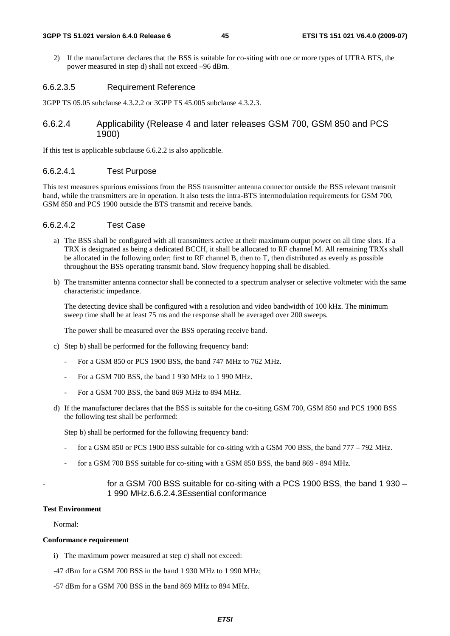#### **3GPP TS 51.021 version 6.4.0 Release 6 45 ETSI TS 151 021 V6.4.0 (2009-07)**

2) If the manufacturer declares that the BSS is suitable for co-siting with one or more types of UTRA BTS, the power measured in step d) shall not exceed –96 dBm.

## 6.6.2.3.5 Requirement Reference

3GPP TS 05.05 subclause 4.3.2.2 or 3GPP TS 45.005 subclause 4.3.2.3.

## 6.6.2.4 Applicability (Release 4 and later releases GSM 700, GSM 850 and PCS 1900)

If this test is applicable subclause 6.6.2.2 is also applicable.

### 6.6.2.4.1 Test Purpose

This test measures spurious emissions from the BSS transmitter antenna connector outside the BSS relevant transmit band, while the transmitters are in operation. It also tests the intra-BTS intermodulation requirements for GSM 700, GSM 850 and PCS 1900 outside the BTS transmit and receive bands.

### 6.6.2.4.2 Test Case

- a) The BSS shall be configured with all transmitters active at their maximum output power on all time slots. If a TRX is designated as being a dedicated BCCH, it shall be allocated to RF channel M. All remaining TRXs shall be allocated in the following order; first to RF channel B, then to T, then distributed as evenly as possible throughout the BSS operating transmit band. Slow frequency hopping shall be disabled.
- b) The transmitter antenna connector shall be connected to a spectrum analyser or selective voltmeter with the same characteristic impedance.

 The detecting device shall be configured with a resolution and video bandwidth of 100 kHz. The minimum sweep time shall be at least 75 ms and the response shall be averaged over 200 sweeps.

The power shall be measured over the BSS operating receive band.

- c) Step b) shall be performed for the following frequency band:
	- For a GSM 850 or PCS 1900 BSS, the band 747 MHz to 762 MHz.
	- For a GSM 700 BSS, the band 1 930 MHz to 1 990 MHz.
	- For a GSM 700 BSS, the band 869 MHz to 894 MHz.
- d) If the manufacturer declares that the BSS is suitable for the co-siting GSM 700, GSM 850 and PCS 1900 BSS the following test shall be performed:

Step b) shall be performed for the following frequency band:

- for a GSM 850 or PCS 1900 BSS suitable for co-siting with a GSM 700 BSS, the band  $777 792$  MHz.
- for a GSM 700 BSS suitable for co-siting with a GSM 850 BSS, the band 869 894 MHz.

## for a GSM 700 BSS suitable for co-siting with a PCS 1900 BSS, the band 1 930 – 1 990 MHz.6.6.2.4.3 Essential conformance

### **Test Environment**

Normal:

### **Conformance requirement**

- i) The maximum power measured at step c) shall not exceed:
- -47 dBm for a GSM 700 BSS in the band 1 930 MHz to 1 990 MHz;
- -57 dBm for a GSM 700 BSS in the band 869 MHz to 894 MHz.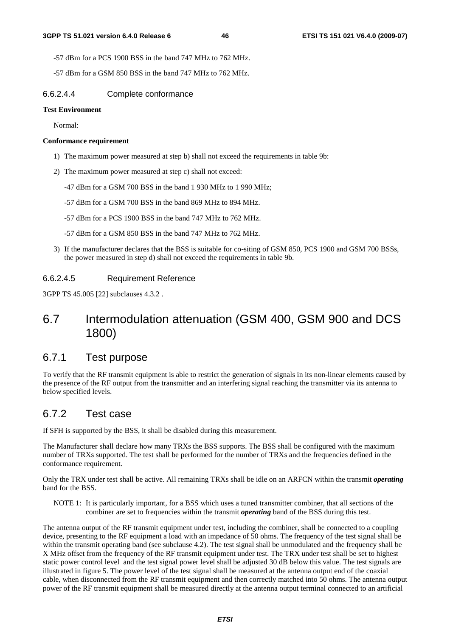-57 dBm for a PCS 1900 BSS in the band 747 MHz to 762 MHz.

-57 dBm for a GSM 850 BSS in the band 747 MHz to 762 MHz.

### 6.6.2.4.4 Complete conformance

### **Test Environment**

Normal:

### **Conformance requirement**

- 1) The maximum power measured at step b) shall not exceed the requirements in table 9b:
- 2) The maximum power measured at step c) shall not exceed:
	- -47 dBm for a GSM 700 BSS in the band 1 930 MHz to 1 990 MHz;
	- -57 dBm for a GSM 700 BSS in the band 869 MHz to 894 MHz.
	- -57 dBm for a PCS 1900 BSS in the band 747 MHz to 762 MHz.
	- -57 dBm for a GSM 850 BSS in the band 747 MHz to 762 MHz.
- 3) If the manufacturer declares that the BSS is suitable for co-siting of GSM 850, PCS 1900 and GSM 700 BSSs, the power measured in step d) shall not exceed the requirements in table 9b.

## 6.6.2.4.5 Requirement Reference

3GPP TS 45.005 [22] subclauses 4.3.2 .

# 6.7 Intermodulation attenuation (GSM 400, GSM 900 and DCS 1800)

# 6.7.1 Test purpose

To verify that the RF transmit equipment is able to restrict the generation of signals in its non-linear elements caused by the presence of the RF output from the transmitter and an interfering signal reaching the transmitter via its antenna to below specified levels.

# 6.7.2 Test case

If SFH is supported by the BSS, it shall be disabled during this measurement.

The Manufacturer shall declare how many TRXs the BSS supports. The BSS shall be configured with the maximum number of TRXs supported. The test shall be performed for the number of TRXs and the frequencies defined in the conformance requirement.

Only the TRX under test shall be active. All remaining TRXs shall be idle on an ARFCN within the transmit *operating* band for the BSS.

NOTE 1: It is particularly important, for a BSS which uses a tuned transmitter combiner, that all sections of the combiner are set to frequencies within the transmit *operating* band of the BSS during this test.

The antenna output of the RF transmit equipment under test, including the combiner, shall be connected to a coupling device, presenting to the RF equipment a load with an impedance of 50 ohms. The frequency of the test signal shall be within the transmit operating band (see subclause 4.2). The test signal shall be unmodulated and the frequency shall be X MHz offset from the frequency of the RF transmit equipment under test. The TRX under test shall be set to highest static power control level and the test signal power level shall be adjusted 30 dB below this value. The test signals are illustrated in figure 5. The power level of the test signal shall be measured at the antenna output end of the coaxial cable, when disconnected from the RF transmit equipment and then correctly matched into 50 ohms. The antenna output power of the RF transmit equipment shall be measured directly at the antenna output terminal connected to an artificial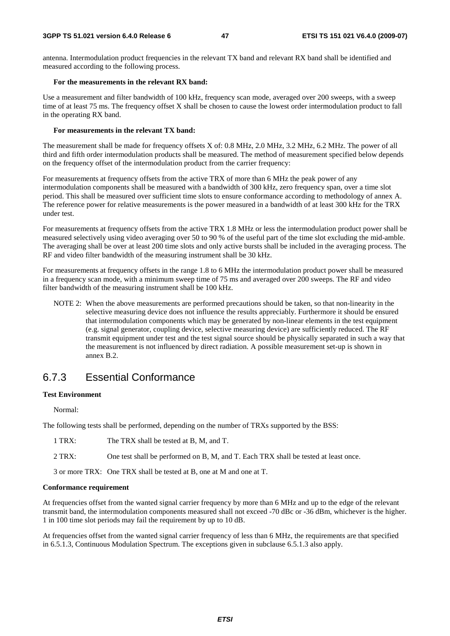antenna. Intermodulation product frequencies in the relevant TX band and relevant RX band shall be identified and measured according to the following process.

### **For the measurements in the relevant RX band:**

Use a measurement and filter bandwidth of 100 kHz, frequency scan mode, averaged over 200 sweeps, with a sweep time of at least 75 ms. The frequency offset X shall be chosen to cause the lowest order intermodulation product to fall in the operating RX band.

### **For measurements in the relevant TX band:**

The measurement shall be made for frequency offsets X of: 0.8 MHz, 2.0 MHz, 3.2 MHz, 6.2 MHz. The power of all third and fifth order intermodulation products shall be measured. The method of measurement specified below depends on the frequency offset of the intermodulation product from the carrier frequency:

For measurements at frequency offsets from the active TRX of more than 6 MHz the peak power of any intermodulation components shall be measured with a bandwidth of 300 kHz, zero frequency span, over a time slot period. This shall be measured over sufficient time slots to ensure conformance according to methodology of annex A. The reference power for relative measurements is the power measured in a bandwidth of at least 300 kHz for the TRX under test.

For measurements at frequency offsets from the active TRX 1.8 MHz or less the intermodulation product power shall be measured selectively using video averaging over 50 to 90 % of the useful part of the time slot excluding the mid-amble. The averaging shall be over at least 200 time slots and only active bursts shall be included in the averaging process. The RF and video filter bandwidth of the measuring instrument shall be 30 kHz.

For measurements at frequency offsets in the range 1.8 to 6 MHz the intermodulation product power shall be measured in a frequency scan mode, with a minimum sweep time of 75 ms and averaged over 200 sweeps. The RF and video filter bandwidth of the measuring instrument shall be 100 kHz.

NOTE 2: When the above measurements are performed precautions should be taken, so that non-linearity in the selective measuring device does not influence the results appreciably. Furthermore it should be ensured that intermodulation components which may be generated by non-linear elements in the test equipment (e.g. signal generator, coupling device, selective measuring device) are sufficiently reduced. The RF transmit equipment under test and the test signal source should be physically separated in such a way that the measurement is not influenced by direct radiation. A possible measurement set-up is shown in annex B.2.

# 6.7.3 Essential Conformance

## **Test Environment**

Normal:

The following tests shall be performed, depending on the number of TRXs supported by the BSS:

1 TRX: The TRX shall be tested at B, M, and T.

2 TRX: One test shall be performed on B, M, and T. Each TRX shall be tested at least once.

3 or more TRX: One TRX shall be tested at B, one at M and one at T.

### **Conformance requirement**

At frequencies offset from the wanted signal carrier frequency by more than 6 MHz and up to the edge of the relevant transmit band, the intermodulation components measured shall not exceed -70 dBc or -36 dBm, whichever is the higher. 1 in 100 time slot periods may fail the requirement by up to 10 dB.

At frequencies offset from the wanted signal carrier frequency of less than 6 MHz, the requirements are that specified in 6.5.1.3, Continuous Modulation Spectrum. The exceptions given in subclause 6.5.1.3 also apply.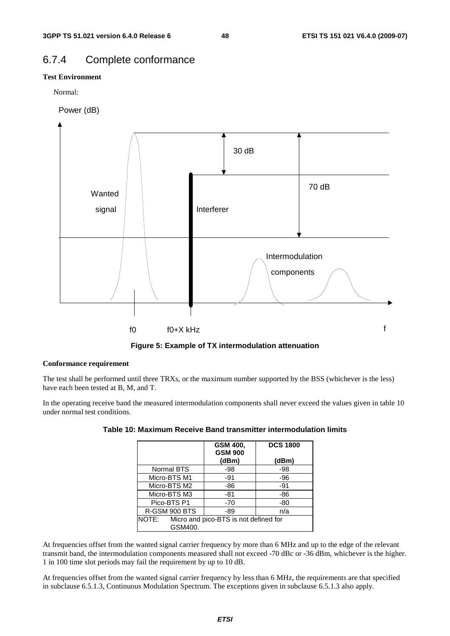# 6.7.4 Complete conformance

## **Test Environment**

Normal:

Power (dB)



**Figure 5: Example of TX intermodulation attenuation** 

### **Conformance requirement**

The test shall be performed until three TRXs, or the maximum number supported by the BSS (whichever is the less) have each been tested at B, M, and T.

In the operating receive band the measured intermodulation components shall never exceed the values given in table 10 under normal test conditions.

|                                                           | GSM 400,<br><b>GSM 900</b><br>(dBm) | <b>DCS 1800</b><br>(dBm) |
|-----------------------------------------------------------|-------------------------------------|--------------------------|
| Normal BTS                                                | -98                                 | -98                      |
| Micro-BTS M1                                              | -91                                 | -96                      |
| Micro-BTS M2                                              | -86                                 | $-91$                    |
| Micro-BTS M3                                              | $-81$                               | -86                      |
| Pico-BTS P1                                               | $-70$                               | -80                      |
| R-GSM 900 BTS                                             | -89                                 | n/a                      |
| NOTE:<br>Micro and pico-BTS is not defined for<br>GSM400. |                                     |                          |

| Table 10: Maximum Receive Band transmitter intermodulation limits |  |  |  |  |
|-------------------------------------------------------------------|--|--|--|--|
|-------------------------------------------------------------------|--|--|--|--|

At frequencies offset from the wanted signal carrier frequency by more than 6 MHz and up to the edge of the relevant transmit band, the intermodulation components measured shall not exceed -70 dBc or -36 dBm, whichever is the higher. 1 in 100 time slot periods may fail the requirement by up to 10 dB.

At frequencies offset from the wanted signal carrier frequency by less than 6 MHz, the requirements are that specified in subclause 6.5.1.3, Continuous Modulation Spectrum. The exceptions given in subclause 6.5.1.3 also apply.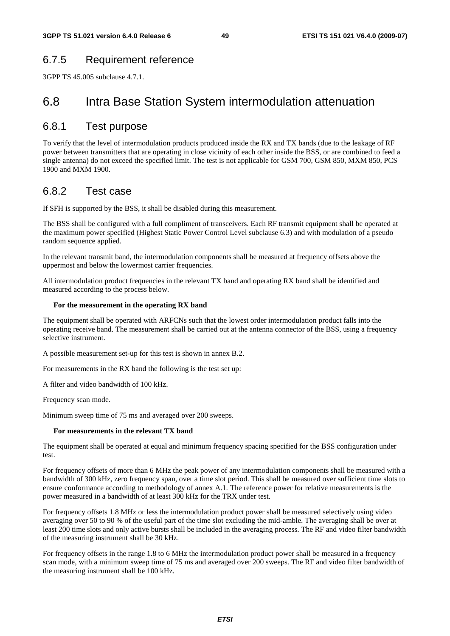# 6.7.5 Requirement reference

3GPP TS 45.005 subclause 4.7.1.

# 6.8 Intra Base Station System intermodulation attenuation

# 6.8.1 Test purpose

To verify that the level of intermodulation products produced inside the RX and TX bands (due to the leakage of RF power between transmitters that are operating in close vicinity of each other inside the BSS, or are combined to feed a single antenna) do not exceed the specified limit. The test is not applicable for GSM 700, GSM 850, MXM 850, PCS 1900 and MXM 1900.

# 6.8.2 Test case

If SFH is supported by the BSS, it shall be disabled during this measurement.

The BSS shall be configured with a full compliment of transceivers. Each RF transmit equipment shall be operated at the maximum power specified (Highest Static Power Control Level subclause 6.3) and with modulation of a pseudo random sequence applied.

In the relevant transmit band, the intermodulation components shall be measured at frequency offsets above the uppermost and below the lowermost carrier frequencies.

All intermodulation product frequencies in the relevant TX band and operating RX band shall be identified and measured according to the process below.

### **For the measurement in the operating RX band**

The equipment shall be operated with ARFCNs such that the lowest order intermodulation product falls into the operating receive band. The measurement shall be carried out at the antenna connector of the BSS, using a frequency selective instrument.

A possible measurement set-up for this test is shown in annex B.2.

For measurements in the RX band the following is the test set up:

A filter and video bandwidth of 100 kHz.

Frequency scan mode.

Minimum sweep time of 75 ms and averaged over 200 sweeps.

### **For measurements in the relevant TX band**

The equipment shall be operated at equal and minimum frequency spacing specified for the BSS configuration under test.

For frequency offsets of more than 6 MHz the peak power of any intermodulation components shall be measured with a bandwidth of 300 kHz, zero frequency span, over a time slot period. This shall be measured over sufficient time slots to ensure conformance according to methodology of annex A.1. The reference power for relative measurements is the power measured in a bandwidth of at least 300 kHz for the TRX under test.

For frequency offsets 1.8 MHz or less the intermodulation product power shall be measured selectively using video averaging over 50 to 90 % of the useful part of the time slot excluding the mid-amble. The averaging shall be over at least 200 time slots and only active bursts shall be included in the averaging process. The RF and video filter bandwidth of the measuring instrument shall be 30 kHz.

For frequency offsets in the range 1.8 to 6 MHz the intermodulation product power shall be measured in a frequency scan mode, with a minimum sweep time of 75 ms and averaged over 200 sweeps. The RF and video filter bandwidth of the measuring instrument shall be 100 kHz.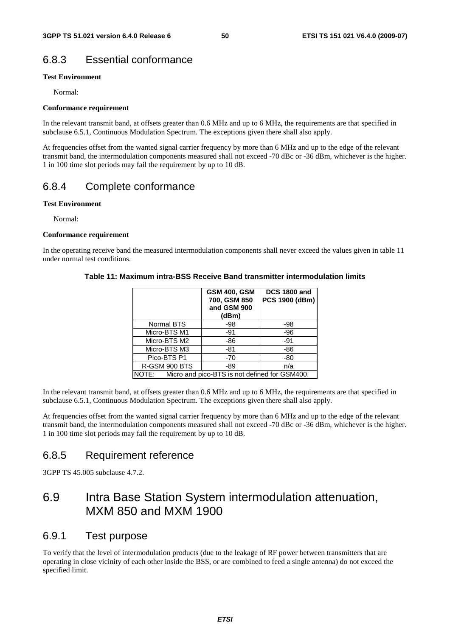# 6.8.3 Essential conformance

## **Test Environment**

Normal:

### **Conformance requirement**

In the relevant transmit band, at offsets greater than 0.6 MHz and up to 6 MHz, the requirements are that specified in subclause 6.5.1, Continuous Modulation Spectrum. The exceptions given there shall also apply.

At frequencies offset from the wanted signal carrier frequency by more than 6 MHz and up to the edge of the relevant transmit band, the intermodulation components measured shall not exceed -70 dBc or -36 dBm, whichever is the higher. 1 in 100 time slot periods may fail the requirement by up to 10 dB.

# 6.8.4 Complete conformance

## **Test Environment**

Normal:

### **Conformance requirement**

In the operating receive band the measured intermodulation components shall never exceed the values given in table 11 under normal test conditions.

## **Table 11: Maximum intra-BSS Receive Band transmitter intermodulation limits**

|                                                        | <b>GSM 400, GSM</b><br>700, GSM 850<br>and GSM 900<br>(dBm) | <b>DCS 1800 and</b><br>PCS 1900 (dBm) |
|--------------------------------------------------------|-------------------------------------------------------------|---------------------------------------|
| Normal BTS                                             | -98                                                         | -98                                   |
| Micro-BTS M1                                           | -91                                                         | -96                                   |
| Micro-BTS M2                                           | -86                                                         | $-91$                                 |
| Micro-BTS M3                                           | -81                                                         | -86                                   |
| Pico-BTS P1                                            | $-70$                                                       | -80                                   |
| R-GSM 900 BTS                                          | -89                                                         | n/a                                   |
| NOTE:<br>Micro and pico-BTS is not defined for GSM400. |                                                             |                                       |

In the relevant transmit band, at offsets greater than 0.6 MHz and up to 6 MHz, the requirements are that specified in subclause 6.5.1, Continuous Modulation Spectrum. The exceptions given there shall also apply.

At frequencies offset from the wanted signal carrier frequency by more than 6 MHz and up to the edge of the relevant transmit band, the intermodulation components measured shall not exceed -70 dBc or -36 dBm, whichever is the higher. 1 in 100 time slot periods may fail the requirement by up to 10 dB.

# 6.8.5 Requirement reference

3GPP TS 45.005 subclause 4.7.2.

# 6.9 Intra Base Station System intermodulation attenuation, MXM 850 and MXM 1900

# 6.9.1 Test purpose

To verify that the level of intermodulation products (due to the leakage of RF power between transmitters that are operating in close vicinity of each other inside the BSS, or are combined to feed a single antenna) do not exceed the specified limit.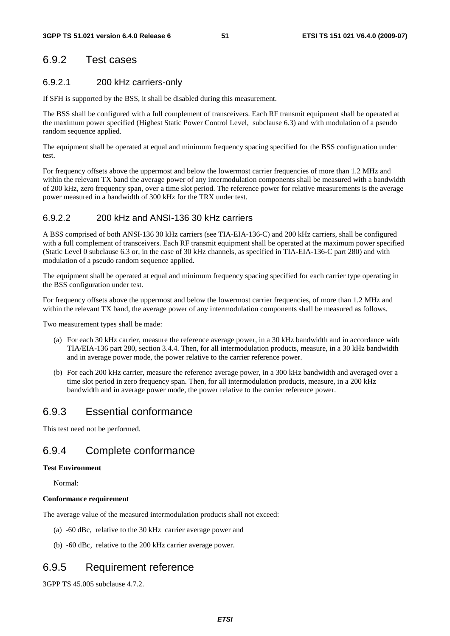# 6.9.2 Test cases

## 6.9.2.1 200 kHz carriers-only

If SFH is supported by the BSS, it shall be disabled during this measurement.

The BSS shall be configured with a full complement of transceivers. Each RF transmit equipment shall be operated at the maximum power specified (Highest Static Power Control Level, subclause 6.3) and with modulation of a pseudo random sequence applied.

The equipment shall be operated at equal and minimum frequency spacing specified for the BSS configuration under test.

For frequency offsets above the uppermost and below the lowermost carrier frequencies of more than 1.2 MHz and within the relevant TX band the average power of any intermodulation components shall be measured with a bandwidth of 200 kHz, zero frequency span, over a time slot period. The reference power for relative measurements is the average power measured in a bandwidth of 300 kHz for the TRX under test.

## 6.9.2.2 200 kHz and ANSI-136 30 kHz carriers

A BSS comprised of both ANSI-136 30 kHz carriers (see TIA-EIA-136-C) and 200 kHz carriers, shall be configured with a full complement of transceivers. Each RF transmit equipment shall be operated at the maximum power specified (Static Level 0 subclause 6.3 or, in the case of 30 kHz channels, as specified in TIA-EIA-136-C part 280) and with modulation of a pseudo random sequence applied.

The equipment shall be operated at equal and minimum frequency spacing specified for each carrier type operating in the BSS configuration under test.

For frequency offsets above the uppermost and below the lowermost carrier frequencies, of more than 1.2 MHz and within the relevant TX band, the average power of any intermodulation components shall be measured as follows.

Two measurement types shall be made:

- (a) For each 30 kHz carrier, measure the reference average power, in a 30 kHz bandwidth and in accordance with TIA/EIA-136 part 280, section 3.4.4. Then, for all intermodulation products, measure, in a 30 kHz bandwidth and in average power mode, the power relative to the carrier reference power.
- (b) For each 200 kHz carrier, measure the reference average power, in a 300 kHz bandwidth and averaged over a time slot period in zero frequency span. Then, for all intermodulation products, measure, in a 200 kHz bandwidth and in average power mode, the power relative to the carrier reference power.

# 6.9.3 Essential conformance

This test need not be performed.

# 6.9.4 Complete conformance

### **Test Environment**

Normal:

### **Conformance requirement**

The average value of the measured intermodulation products shall not exceed:

- (a) -60 dBc, relative to the 30 kHz carrier average power and
- (b) -60 dBc, relative to the 200 kHz carrier average power.

# 6.9.5 Requirement reference

3GPP TS 45.005 subclause 4.7.2.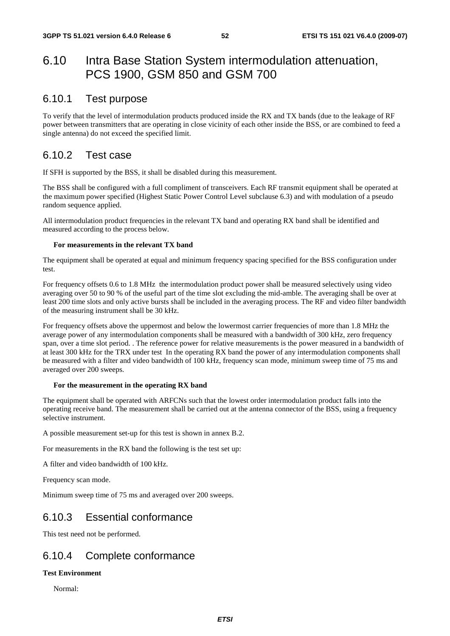# 6.10 Intra Base Station System intermodulation attenuation, PCS 1900, GSM 850 and GSM 700

# 6.10.1 Test purpose

To verify that the level of intermodulation products produced inside the RX and TX bands (due to the leakage of RF power between transmitters that are operating in close vicinity of each other inside the BSS, or are combined to feed a single antenna) do not exceed the specified limit.

# 6.10.2 Test case

If SFH is supported by the BSS, it shall be disabled during this measurement.

The BSS shall be configured with a full compliment of transceivers. Each RF transmit equipment shall be operated at the maximum power specified (Highest Static Power Control Level subclause 6.3) and with modulation of a pseudo random sequence applied.

All intermodulation product frequencies in the relevant TX band and operating RX band shall be identified and measured according to the process below.

### **For measurements in the relevant TX band**

The equipment shall be operated at equal and minimum frequency spacing specified for the BSS configuration under test.

For frequency offsets 0.6 to 1.8 MHz the intermodulation product power shall be measured selectively using video averaging over 50 to 90 % of the useful part of the time slot excluding the mid-amble. The averaging shall be over at least 200 time slots and only active bursts shall be included in the averaging process. The RF and video filter bandwidth of the measuring instrument shall be 30 kHz.

For frequency offsets above the uppermost and below the lowermost carrier frequencies of more than 1.8 MHz the average power of any intermodulation components shall be measured with a bandwidth of 300 kHz, zero frequency span, over a time slot period. . The reference power for relative measurements is the power measured in a bandwidth of at least 300 kHz for the TRX under test In the operating RX band the power of any intermodulation components shall be measured with a filter and video bandwidth of 100 kHz, frequency scan mode, minimum sweep time of 75 ms and averaged over 200 sweeps.

### **For the measurement in the operating RX band**

The equipment shall be operated with ARFCNs such that the lowest order intermodulation product falls into the operating receive band. The measurement shall be carried out at the antenna connector of the BSS, using a frequency selective instrument.

A possible measurement set-up for this test is shown in annex B.2.

For measurements in the RX band the following is the test set up:

A filter and video bandwidth of 100 kHz.

Frequency scan mode.

Minimum sweep time of 75 ms and averaged over 200 sweeps.

# 6.10.3 Essential conformance

This test need not be performed.

# 6.10.4 Complete conformance

## **Test Environment**

Normal: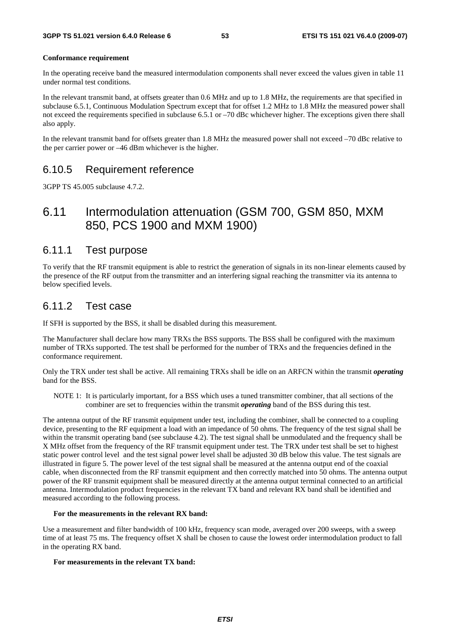#### **Conformance requirement**

In the operating receive band the measured intermodulation components shall never exceed the values given in table 11 under normal test conditions.

In the relevant transmit band, at offsets greater than 0.6 MHz and up to 1.8 MHz, the requirements are that specified in subclause 6.5.1, Continuous Modulation Spectrum except that for offset 1.2 MHz to 1.8 MHz the measured power shall not exceed the requirements specified in subclause 6.5.1 or –70 dBc whichever higher. The exceptions given there shall also apply.

In the relevant transmit band for offsets greater than 1.8 MHz the measured power shall not exceed –70 dBc relative to the per carrier power or –46 dBm whichever is the higher.

# 6.10.5 Requirement reference

3GPP TS 45.005 subclause 4.7.2.

# 6.11 Intermodulation attenuation (GSM 700, GSM 850, MXM 850, PCS 1900 and MXM 1900)

# 6.11.1 Test purpose

To verify that the RF transmit equipment is able to restrict the generation of signals in its non-linear elements caused by the presence of the RF output from the transmitter and an interfering signal reaching the transmitter via its antenna to below specified levels.

# 6.11.2 Test case

If SFH is supported by the BSS, it shall be disabled during this measurement.

The Manufacturer shall declare how many TRXs the BSS supports. The BSS shall be configured with the maximum number of TRXs supported. The test shall be performed for the number of TRXs and the frequencies defined in the conformance requirement.

Only the TRX under test shall be active. All remaining TRXs shall be idle on an ARFCN within the transmit *operating* band for the BSS.

NOTE 1: It is particularly important, for a BSS which uses a tuned transmitter combiner, that all sections of the combiner are set to frequencies within the transmit *operating* band of the BSS during this test.

The antenna output of the RF transmit equipment under test, including the combiner, shall be connected to a coupling device, presenting to the RF equipment a load with an impedance of 50 ohms. The frequency of the test signal shall be within the transmit operating band (see subclause 4.2). The test signal shall be unmodulated and the frequency shall be X MHz offset from the frequency of the RF transmit equipment under test. The TRX under test shall be set to highest static power control level and the test signal power level shall be adjusted 30 dB below this value. The test signals are illustrated in figure 5. The power level of the test signal shall be measured at the antenna output end of the coaxial cable, when disconnected from the RF transmit equipment and then correctly matched into 50 ohms. The antenna output power of the RF transmit equipment shall be measured directly at the antenna output terminal connected to an artificial antenna. Intermodulation product frequencies in the relevant TX band and relevant RX band shall be identified and measured according to the following process.

### **For the measurements in the relevant RX band:**

Use a measurement and filter bandwidth of 100 kHz, frequency scan mode, averaged over 200 sweeps, with a sweep time of at least 75 ms. The frequency offset X shall be chosen to cause the lowest order intermodulation product to fall in the operating RX band.

## **For measurements in the relevant TX band:**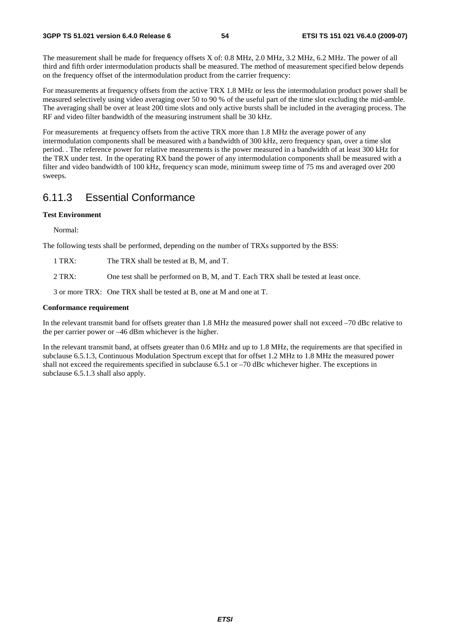The measurement shall be made for frequency offsets X of: 0.8 MHz, 2.0 MHz, 3.2 MHz, 6.2 MHz. The power of all third and fifth order intermodulation products shall be measured. The method of measurement specified below depends on the frequency offset of the intermodulation product from the carrier frequency:

For measurements at frequency offsets from the active TRX 1.8 MHz or less the intermodulation product power shall be measured selectively using video averaging over 50 to 90 % of the useful part of the time slot excluding the mid-amble. The averaging shall be over at least 200 time slots and only active bursts shall be included in the averaging process. The RF and video filter bandwidth of the measuring instrument shall be 30 kHz.

For measurements at frequency offsets from the active TRX more than 1.8 MHz the average power of any intermodulation components shall be measured with a bandwidth of 300 kHz, zero frequency span, over a time slot period. . The reference power for relative measurements is the power measured in a bandwidth of at least 300 kHz for the TRX under test. In the operating RX band the power of any intermodulation components shall be measured with a filter and video bandwidth of 100 kHz, frequency scan mode, minimum sweep time of 75 ms and averaged over 200 sweeps.

# 6.11.3 Essential Conformance

## **Test Environment**

Normal:

The following tests shall be performed, depending on the number of TRXs supported by the BSS:

- 1 TRX: The TRX shall be tested at B, M, and T.
- 2 TRX: One test shall be performed on B, M, and T. Each TRX shall be tested at least once.

3 or more TRX: One TRX shall be tested at B, one at M and one at T.

### **Conformance requirement**

In the relevant transmit band for offsets greater than 1.8 MHz the measured power shall not exceed -70 dBc relative to the per carrier power or –46 dBm whichever is the higher.

In the relevant transmit band, at offsets greater than 0.6 MHz and up to 1.8 MHz, the requirements are that specified in subclause 6.5.1.3, Continuous Modulation Spectrum except that for offset 1.2 MHz to 1.8 MHz the measured power shall not exceed the requirements specified in subclause 6.5.1 or –70 dBc whichever higher. The exceptions in subclause 6.5.1.3 shall also apply.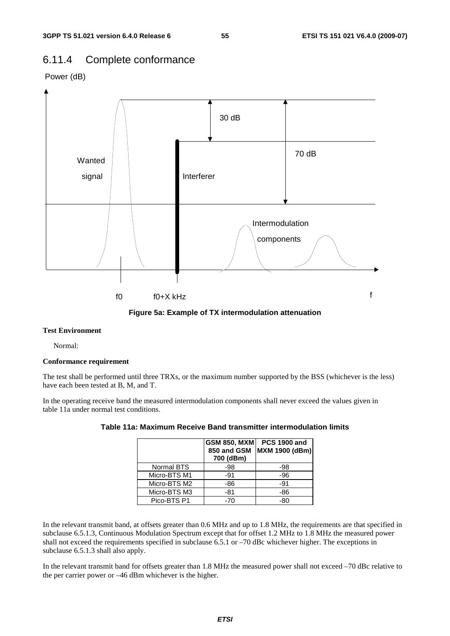# 6.11.4 Complete conformance





### **Test Environment**

Normal:

### **Conformance requirement**

The test shall be performed until three TRXs, or the maximum number supported by the BSS (whichever is the less) have each been tested at B, M, and T.

In the operating receive band the measured intermodulation components shall never exceed the values given in table 11a under normal test conditions.

|              | <b>GSM 850, MXM</b><br>850 and GSM<br>700 (dBm) | <b>PCS 1900 and</b><br><b>MXM 1900 (dBm)</b> |
|--------------|-------------------------------------------------|----------------------------------------------|
| Normal BTS   | $-98$                                           | -98                                          |
| Micro-BTS M1 | $-91$                                           | -96                                          |
| Micro-BTS M2 | $-86$                                           | $-91$                                        |
| Micro-BTS M3 | -81                                             | -86                                          |
| Pico-BTS P1  | -70                                             | -80                                          |

### **Table 11a: Maximum Receive Band transmitter intermodulation limits**

In the relevant transmit band, at offsets greater than 0.6 MHz and up to 1.8 MHz, the requirements are that specified in subclause 6.5.1.3, Continuous Modulation Spectrum except that for offset 1.2 MHz to 1.8 MHz the measured power shall not exceed the requirements specified in subclause 6.5.1 or –70 dBc whichever higher. The exceptions in subclause 6.5.1.3 shall also apply.

In the relevant transmit band for offsets greater than 1.8 MHz the measured power shall not exceed –70 dBc relative to the per carrier power or –46 dBm whichever is the higher.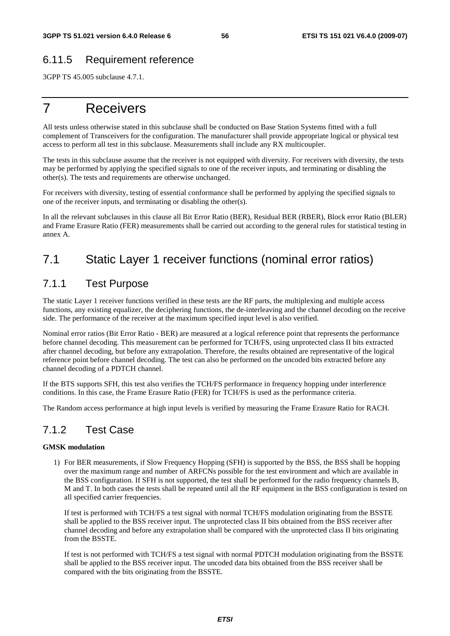# 6.11.5 Requirement reference

3GPP TS 45.005 subclause 4.7.1.

# 7 Receivers

All tests unless otherwise stated in this subclause shall be conducted on Base Station Systems fitted with a full complement of Transceivers for the configuration. The manufacturer shall provide appropriate logical or physical test access to perform all test in this subclause. Measurements shall include any RX multicoupler.

The tests in this subclause assume that the receiver is not equipped with diversity. For receivers with diversity, the tests may be performed by applying the specified signals to one of the receiver inputs, and terminating or disabling the other(s). The tests and requirements are otherwise unchanged.

For receivers with diversity, testing of essential conformance shall be performed by applying the specified signals to one of the receiver inputs, and terminating or disabling the other(s).

In all the relevant subclauses in this clause all Bit Error Ratio (BER), Residual BER (RBER), Block error Ratio (BLER) and Frame Erasure Ratio (FER) measurements shall be carried out according to the general rules for statistical testing in annex A.

# 7.1 Static Layer 1 receiver functions (nominal error ratios)

# 7.1.1 Test Purpose

The static Layer 1 receiver functions verified in these tests are the RF parts, the multiplexing and multiple access functions, any existing equalizer, the deciphering functions, the de-interleaving and the channel decoding on the receive side. The performance of the receiver at the maximum specified input level is also verified.

Nominal error ratios (Bit Error Ratio - BER) are measured at a logical reference point that represents the performance before channel decoding. This measurement can be performed for TCH/FS, using unprotected class II bits extracted after channel decoding, but before any extrapolation. Therefore, the results obtained are representative of the logical reference point before channel decoding. The test can also be performed on the uncoded bits extracted before any channel decoding of a PDTCH channel.

If the BTS supports SFH, this test also verifies the TCH/FS performance in frequency hopping under interference conditions. In this case, the Frame Erasure Ratio (FER) for TCH/FS is used as the performance criteria.

The Random access performance at high input levels is verified by measuring the Frame Erasure Ratio for RACH.

# 7.1.2 Test Case

## **GMSK modulation**

1) For BER measurements, if Slow Frequency Hopping (SFH) is supported by the BSS, the BSS shall be hopping over the maximum range and number of ARFCNs possible for the test environment and which are available in the BSS configuration. If SFH is not supported, the test shall be performed for the radio frequency channels B, M and T. In both cases the tests shall be repeated until all the RF equipment in the BSS configuration is tested on all specified carrier frequencies.

 If test is performed with TCH/FS a test signal with normal TCH/FS modulation originating from the BSSTE shall be applied to the BSS receiver input. The unprotected class II bits obtained from the BSS receiver after channel decoding and before any extrapolation shall be compared with the unprotected class II bits originating from the BSSTE.

 If test is not performed with TCH/FS a test signal with normal PDTCH modulation originating from the BSSTE shall be applied to the BSS receiver input. The uncoded data bits obtained from the BSS receiver shall be compared with the bits originating from the BSSTE.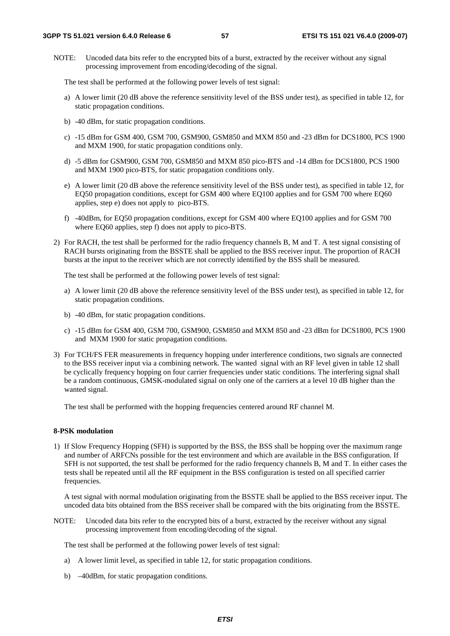NOTE: Uncoded data bits refer to the encrypted bits of a burst, extracted by the receiver without any signal processing improvement from encoding/decoding of the signal.

The test shall be performed at the following power levels of test signal:

- a) A lower limit (20 dB above the reference sensitivity level of the BSS under test), as specified in table 12, for static propagation conditions.
- b) -40 dBm, for static propagation conditions.
- c) -15 dBm for GSM 400, GSM 700, GSM900, GSM850 and MXM 850 and -23 dBm for DCS1800, PCS 1900 and MXM 1900, for static propagation conditions only.
- d) -5 dBm for GSM900, GSM 700, GSM850 and MXM 850 pico-BTS and -14 dBm for DCS1800, PCS 1900 and MXM 1900 pico-BTS, for static propagation conditions only.
- e) A lower limit (20 dB above the reference sensitivity level of the BSS under test), as specified in table 12, for EQ50 propagation conditions, except for GSM 400 where EQ100 applies and for GSM 700 where EQ60 applies, step e) does not apply to pico-BTS.
- f) -40dBm, for EQ50 propagation conditions, except for GSM 400 where EQ100 applies and for GSM 700 where EQ60 applies, step f) does not apply to pico-BTS.
- 2) For RACH, the test shall be performed for the radio frequency channels B, M and T. A test signal consisting of RACH bursts originating from the BSSTE shall be applied to the BSS receiver input. The proportion of RACH bursts at the input to the receiver which are not correctly identified by the BSS shall be measured.

The test shall be performed at the following power levels of test signal:

- a) A lower limit (20 dB above the reference sensitivity level of the BSS under test), as specified in table 12, for static propagation conditions.
- b) -40 dBm, for static propagation conditions.
- c) -15 dBm for GSM 400, GSM 700, GSM900, GSM850 and MXM 850 and -23 dBm for DCS1800, PCS 1900 and MXM 1900 for static propagation conditions.
- 3) For TCH/FS FER measurements in frequency hopping under interference conditions, two signals are connected to the BSS receiver input via a combining network. The wanted signal with an RF level given in table 12 shall be cyclically frequency hopping on four carrier frequencies under static conditions. The interfering signal shall be a random continuous, GMSK-modulated signal on only one of the carriers at a level 10 dB higher than the wanted signal.

The test shall be performed with the hopping frequencies centered around RF channel M.

### **8-PSK modulation**

1) If Slow Frequency Hopping (SFH) is supported by the BSS, the BSS shall be hopping over the maximum range and number of ARFCNs possible for the test environment and which are available in the BSS configuration. If SFH is not supported, the test shall be performed for the radio frequency channels B, M and T. In either cases the tests shall be repeated until all the RF equipment in the BSS configuration is tested on all specified carrier frequencies.

 A test signal with normal modulation originating from the BSSTE shall be applied to the BSS receiver input. The uncoded data bits obtained from the BSS receiver shall be compared with the bits originating from the BSSTE.

NOTE: Uncoded data bits refer to the encrypted bits of a burst, extracted by the receiver without any signal processing improvement from encoding/decoding of the signal.

The test shall be performed at the following power levels of test signal:

- a) A lower limit level, as specified in table 12, for static propagation conditions.
- b) –40dBm, for static propagation conditions.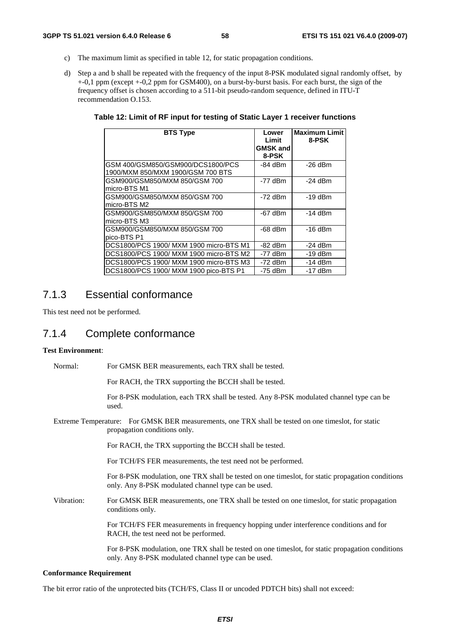- c) The maximum limit as specified in table 12, for static propagation conditions.
- d) Step a and b shall be repeated with the frequency of the input 8-PSK modulated signal randomly offset, by +-0,1 ppm (except +-0,2 ppm for GSM400), on a burst-by-burst basis. For each burst, the sign of the frequency offset is chosen according to a 511-bit pseudo-random sequence, defined in ITU-T recommendation O.153.

**Table 12: Limit of RF input for testing of Static Layer 1 receiver functions** 

| <b>BTS Type</b>                                                        | Lower<br>Limit<br><b>GMSK and</b><br>8-PSK | <b>Maximum Limit</b><br>8-PSK |
|------------------------------------------------------------------------|--------------------------------------------|-------------------------------|
| GSM 400/GSM850/GSM900/DCS1800/PCS<br>1900/MXM 850/MXM 1900/GSM 700 BTS | -84 dBm                                    | $-26$ dBm                     |
| GSM900/GSM850/MXM 850/GSM 700<br>micro-BTS M1                          | $-77$ dBm                                  | $-24$ dBm                     |
| GSM900/GSM850/MXM 850/GSM 700<br>micro-BTS M2                          | $-72$ dBm                                  | $-19$ dBm                     |
| GSM900/GSM850/MXM 850/GSM 700<br>micro-BTS M3                          | $-67$ dBm                                  | $-14$ dBm                     |
| GSM900/GSM850/MXM 850/GSM 700<br>pico-BTS P1                           | $-68$ dBm                                  | $-16$ dBm                     |
| DCS1800/PCS 1900/ MXM 1900 micro-BTS M1                                | -82 dBm                                    | $-24$ dBm                     |
| DCS1800/PCS 1900/ MXM 1900 micro-BTS M2                                | $-77$ dBm                                  | $-19$ dBm                     |
| DCS1800/PCS 1900/ MXM 1900 micro-BTS M3                                | $-72$ dBm                                  | $-14$ dBm                     |
| DCS1800/PCS 1900/ MXM 1900 pico-BTS P1                                 | -75 dBm                                    | $-17$ dBm                     |

# 7.1.3 Essential conformance

This test need not be performed.

# 7.1.4 Complete conformance

## **Test Environment**:

Normal: For GMSK BER measurements, each TRX shall be tested.

For RACH, the TRX supporting the BCCH shall be tested.

 For 8-PSK modulation, each TRX shall be tested. Any 8-PSK modulated channel type can be used.

Extreme Temperature: For GMSK BER measurements, one TRX shall be tested on one timeslot, for static propagation conditions only.

For RACH, the TRX supporting the BCCH shall be tested.

For TCH/FS FER measurements, the test need not be performed.

 For 8-PSK modulation, one TRX shall be tested on one timeslot, for static propagation conditions only. Any 8-PSK modulated channel type can be used.

Vibration: For GMSK BER measurements, one TRX shall be tested on one timeslot, for static propagation conditions only.

> For TCH/FS FER measurements in frequency hopping under interference conditions and for RACH, the test need not be performed.

 For 8-PSK modulation, one TRX shall be tested on one timeslot, for static propagation conditions only. Any 8-PSK modulated channel type can be used.

## **Conformance Requirement**

The bit error ratio of the unprotected bits (TCH/FS, Class II or uncoded PDTCH bits) shall not exceed: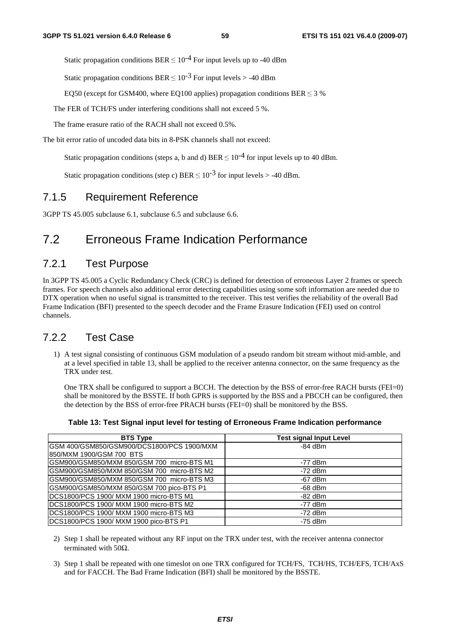Static propagation conditions BER  $\leq 10^{-4}$  For input levels up to -40 dBm

Static propagation conditions BER  $\leq 10^{-3}$  For input levels  $>$  -40 dBm

EQ50 (except for GSM400, where EQ100 applies) propagation conditions BER  $\leq$  3 %

The FER of TCH/FS under interfering conditions shall not exceed 5 %.

The frame erasure ratio of the RACH shall not exceed 0.5%.

The bit error ratio of uncoded data bits in 8-PSK channels shall not exceed:

Static propagation conditions (steps a, b and d) BER  $\leq 10^{-4}$  for input levels up to 40 dBm.

Static propagation conditions (step c) BER  $\leq 10^{-3}$  for input levels  $>$  -40 dBm.

# 7.1.5 Requirement Reference

3GPP TS 45.005 subclause 6.1, subclause 6.5 and subclause 6.6.

# 7.2 Erroneous Frame Indication Performance

# 7.2.1 Test Purpose

In 3GPP TS 45.005 a Cyclic Redundancy Check (CRC) is defined for detection of erroneous Layer 2 frames or speech frames. For speech channels also additional error detecting capabilities using some soft information are needed due to DTX operation when no useful signal is transmitted to the receiver. This test verifies the reliability of the overall Bad Frame Indication (BFI) presented to the speech decoder and the Frame Erasure Indication (FEI) used on control channels.

# 7.2.2 Test Case

1) A test signal consisting of continuous GSM modulation of a pseudo random bit stream without mid-amble, and at a level specified in table 13, shall be applied to the receiver antenna connector, on the same frequency as the TRX under test.

 One TRX shall be configured to support a BCCH. The detection by the BSS of error-free RACH bursts (FEI=0) shall be monitored by the BSSTE. If both GPRS is supported by the BSS and a PBCCH can be configured, then the detection by the BSS of error-free PRACH bursts (FEI=0) shall be monitored by the BSS.

| Table 13: Test Signal input level for testing of Erroneous Frame Indication performance |  |  |
|-----------------------------------------------------------------------------------------|--|--|
|                                                                                         |  |  |

| <b>BTS Type</b>                            | <b>Test signal Input Level</b> |
|--------------------------------------------|--------------------------------|
| GSM 400/GSM850/GSM900/DCS1800/PCS 1900/MXM | $-84$ dBm                      |
| I850/MXM 1900/GSM 700_BTS                  |                                |
| GSM900/GSM850/MXM 850/GSM 700 micro-BTS M1 | $-77$ dBm                      |
| GSM900/GSM850/MXM 850/GSM 700 micro-BTS M2 | -72 dBm                        |
| GSM900/GSM850/MXM 850/GSM 700 micro-BTS M3 | $-67$ dBm                      |
| GSM900/GSM850/MXM 850/GSM 700 pico-BTS P1  | $-68$ dBm                      |
| DCS1800/PCS 1900/ MXM 1900 micro-BTS M1    | $-82$ dBm                      |
| IDCS1800/PCS 1900/ MXM 1900 micro-BTS M2   | $-77$ dBm                      |
| DCS1800/PCS 1900/ MXM 1900 micro-BTS M3    | $-72$ dBm                      |
| DCS1800/PCS 1900/ MXM 1900 pico-BTS P1     | $-75$ dBm                      |

- 2) Step 1 shall be repeated without any RF input on the TRX under test, with the receiver antenna connector terminated with 50 $Ω$ .
- 3) Step 1 shall be repeated with one timeslot on one TRX configured for TCH/FS, TCH/HS, TCH/EFS, TCH/AxS and for FACCH. The Bad Frame Indication (BFI) shall be monitored by the BSSTE.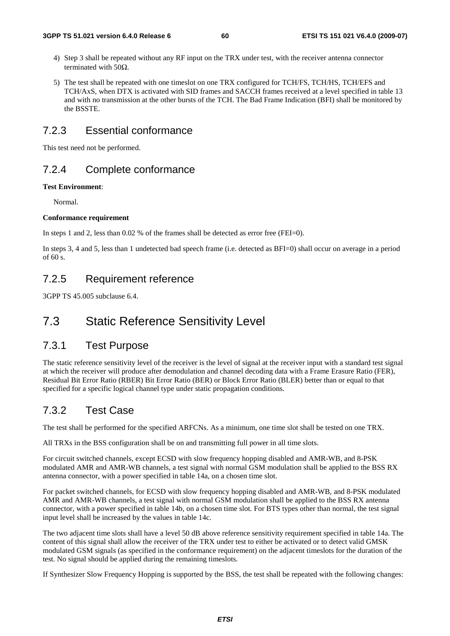- 4) Step 3 shall be repeated without any RF input on the TRX under test, with the receiver antenna connector terminated with 50 $Ω$ .
- 5) The test shall be repeated with one timeslot on one TRX configured for TCH/FS, TCH/HS, TCH/EFS and TCH/AxS, when DTX is activated with SID frames and SACCH frames received at a level specified in table 13 and with no transmission at the other bursts of the TCH. The Bad Frame Indication (BFI) shall be monitored by the BSSTE.

# 7.2.3 Essential conformance

This test need not be performed.

# 7.2.4 Complete conformance

### **Test Environment**:

Normal.

### **Conformance requirement**

In steps 1 and 2, less than 0.02 % of the frames shall be detected as error free (FEI=0).

In steps 3, 4 and 5, less than 1 undetected bad speech frame (i.e. detected as BFI=0) shall occur on average in a period of 60 s.

# 7.2.5 Requirement reference

3GPP TS 45.005 subclause 6.4.

# 7.3 Static Reference Sensitivity Level

# 7.3.1 Test Purpose

The static reference sensitivity level of the receiver is the level of signal at the receiver input with a standard test signal at which the receiver will produce after demodulation and channel decoding data with a Frame Erasure Ratio (FER), Residual Bit Error Ratio (RBER) Bit Error Ratio (BER) or Block Error Ratio (BLER) better than or equal to that specified for a specific logical channel type under static propagation conditions.

# 7.3.2 Test Case

The test shall be performed for the specified ARFCNs. As a minimum, one time slot shall be tested on one TRX.

All TRXs in the BSS configuration shall be on and transmitting full power in all time slots.

For circuit switched channels, except ECSD with slow frequency hopping disabled and AMR-WB, and 8-PSK modulated AMR and AMR-WB channels, a test signal with normal GSM modulation shall be applied to the BSS RX antenna connector, with a power specified in table 14a, on a chosen time slot.

For packet switched channels, for ECSD with slow frequency hopping disabled and AMR-WB, and 8-PSK modulated AMR and AMR-WB channels, a test signal with normal GSM modulation shall be applied to the BSS RX antenna connector, with a power specified in table 14b, on a chosen time slot. For BTS types other than normal, the test signal input level shall be increased by the values in table 14c.

The two adjacent time slots shall have a level 50 dB above reference sensitivity requirement specified in table 14a. The content of this signal shall allow the receiver of the TRX under test to either be activated or to detect valid GMSK modulated GSM signals (as specified in the conformance requirement) on the adjacent timeslots for the duration of the test. No signal should be applied during the remaining timeslots.

If Synthesizer Slow Frequency Hopping is supported by the BSS, the test shall be repeated with the following changes: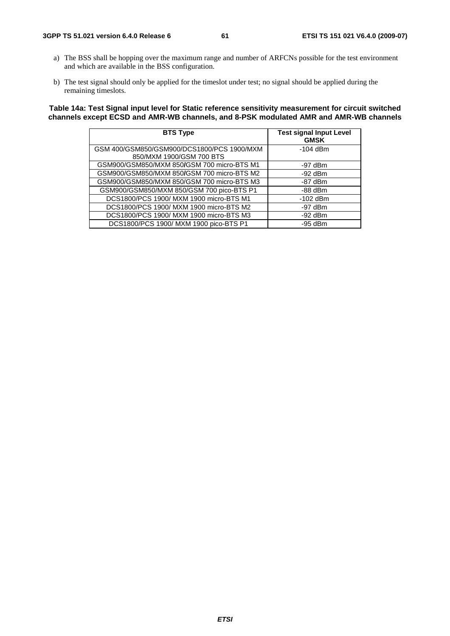### **3GPP TS 51.021 version 6.4.0 Release 6 61 ETSI TS 151 021 V6.4.0 (2009-07)**

- a) The BSS shall be hopping over the maximum range and number of ARFCNs possible for the test environment and which are available in the BSS configuration.
- b) The test signal should only be applied for the timeslot under test; no signal should be applied during the remaining timeslots.

## **Table 14a: Test Signal input level for Static reference sensitivity measurement for circuit switched channels except ECSD and AMR-WB channels, and 8-PSK modulated AMR and AMR-WB channels**

| <b>BTS Type</b>                                                        | <b>Test signal Input Level</b><br><b>GMSK</b> |
|------------------------------------------------------------------------|-----------------------------------------------|
| GSM 400/GSM850/GSM900/DCS1800/PCS 1900/MXM<br>850/MXM 1900/GSM 700 BTS | $-104$ dBm                                    |
| GSM900/GSM850/MXM 850/GSM 700 micro-BTS M1                             | $-97$ dBm                                     |
| GSM900/GSM850/MXM 850/GSM 700 micro-BTS M2                             | $-92$ dBm                                     |
| GSM900/GSM850/MXM 850/GSM 700 micro-BTS M3                             | $-87$ dBm                                     |
| GSM900/GSM850/MXM 850/GSM 700 pico-BTS P1                              | $-88$ dBm                                     |
| DCS1800/PCS 1900/ MXM 1900 micro-BTS M1                                | $-102$ dBm                                    |
| DCS1800/PCS 1900/ MXM 1900 micro-BTS M2                                | $-97$ dBm                                     |
| DCS1800/PCS 1900/ MXM 1900 micro-BTS M3                                | $-92$ dBm                                     |
| DCS1800/PCS 1900/ MXM 1900 pico-BTS P1                                 | $-95$ dBm                                     |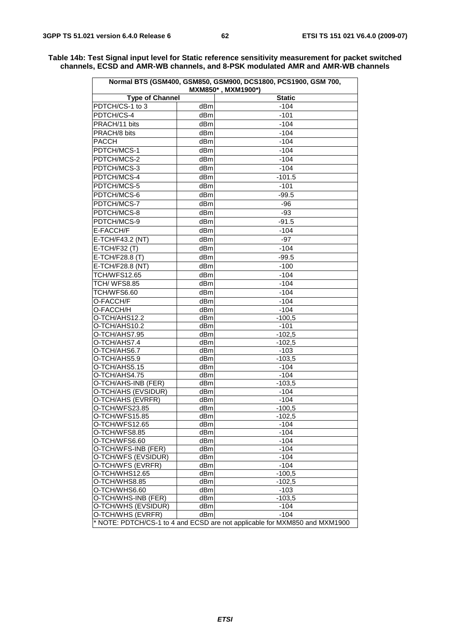| Normal BTS (GSM400, GSM850, GSM900, DCS1800, PCS1900, GSM 700,<br>MXM850*, MXM1900*) |                 |                  |  |  |  |  |
|--------------------------------------------------------------------------------------|-----------------|------------------|--|--|--|--|
| <b>Type of Channel</b><br><b>Static</b>                                              |                 |                  |  |  |  |  |
| PDTCH/CS-1 to 3                                                                      | dBm             | -104             |  |  |  |  |
| PDTCH/CS-4                                                                           | dBm             | $-101$           |  |  |  |  |
| PRACH/11 bits                                                                        | dBm             | $-104$           |  |  |  |  |
| PRACH/8 bits                                                                         | dBm             | $-104$           |  |  |  |  |
| <b>PACCH</b>                                                                         | dBm             | $-104$           |  |  |  |  |
| PDTCH/MCS-1                                                                          | dBm             | $-104$           |  |  |  |  |
| PDTCH/MCS-2                                                                          | dBm             | $-104$           |  |  |  |  |
| PDTCH/MCS-3                                                                          | dBm             | $-104$           |  |  |  |  |
| PDTCH/MCS-4                                                                          | dBm             | $-101.5$         |  |  |  |  |
| PDTCH/MCS-5                                                                          | dBm             | $-101$           |  |  |  |  |
| PDTCH/MCS-6                                                                          | dBm             | $-99.5$          |  |  |  |  |
|                                                                                      |                 |                  |  |  |  |  |
| PDTCH/MCS-7                                                                          | dBm             | $-96$            |  |  |  |  |
| PDTCH/MCS-8                                                                          | dBm             | $-93$            |  |  |  |  |
| PDTCH/MCS-9                                                                          | dBm             | $-91.5$          |  |  |  |  |
| E-FACCH/F                                                                            | dB <sub>m</sub> | $-104$           |  |  |  |  |
| E-TCH/F43.2 (NT)                                                                     | dBm             | -97              |  |  |  |  |
| E-TCH/F32 (T)                                                                        | dBm             | $-104$           |  |  |  |  |
| E-TCH/F28.8 (T)                                                                      | dBm             | $-99.5$          |  |  |  |  |
| E-TCH/F28.8 (NT)                                                                     | dBm             | $-100$           |  |  |  |  |
| <b>TCH/WFS12.65</b>                                                                  | dBm             | $-104$           |  |  |  |  |
| <b>TCH/WFS8.85</b>                                                                   | dBm             | $-104$           |  |  |  |  |
| TCH/WFS6.60                                                                          | dBm             | $-104$           |  |  |  |  |
| O-FACCH/F                                                                            | dBm             | $-104$           |  |  |  |  |
| O-FACCH/H                                                                            | dBm             | $-104$           |  |  |  |  |
| O-TCH/AHS12.2                                                                        | dBm             | $-100.5$         |  |  |  |  |
| O-TCH/AHS10.2                                                                        | dBm             | $-101$           |  |  |  |  |
| O-TCH/AHS7.95                                                                        | dBm             | $-102,5$         |  |  |  |  |
| O-TCH/AHS7.4                                                                         | dBm             | $-102.5$         |  |  |  |  |
| O-TCH/AHS6.7                                                                         | dBm             | $-103$           |  |  |  |  |
| O-TCH/AHS5.9                                                                         | dBm             | $-103,5$         |  |  |  |  |
| O-TCH/AHS5.15                                                                        | dBm             | $-104$           |  |  |  |  |
| O-TCH/AHS4.75                                                                        | dBm             | $-104$           |  |  |  |  |
| O-TCH/AHS-INB (FER)                                                                  | dBm             | $-103.5$         |  |  |  |  |
| O-TCH/AHS (EVSIDUR)                                                                  | dBm             | $-104$           |  |  |  |  |
| O-TCH/AHS (EVRFR)<br>O-TCH/WFS23.85                                                  | dBm             | $-104$           |  |  |  |  |
|                                                                                      | dBm             | $-100.5$         |  |  |  |  |
| O-TCH/WFS15.85<br>O-TCH/WFS12.65                                                     | dBm<br>dBm      | -102,5<br>$-104$ |  |  |  |  |
| O-TCH/WFS8.85                                                                        | dBm             | $-104$           |  |  |  |  |
| O-TCH/WFS6.60                                                                        | dBm             | $-104$           |  |  |  |  |
| O-TCH/WFS-INB (FER)                                                                  | dBm             | $-104$           |  |  |  |  |
| O-TCH/WFS (EVSIDUR)                                                                  | dBm             | $-104$           |  |  |  |  |
| O-TCH/WFS (EVRFR)                                                                    | dBm             | $-104$           |  |  |  |  |
| O-TCH/WHS12.65                                                                       | dBm             | $-100,5$         |  |  |  |  |
| O-TCH/WHS8.85                                                                        | dBm             | $-102,5$         |  |  |  |  |
| O-TCH/WHS6.60                                                                        | dBm             | $-103$           |  |  |  |  |
| O-TCH/WHS-INB (FER)                                                                  | dBm             | $-103,5$         |  |  |  |  |
| O-TCH/WHS (EVSIDUR)                                                                  | dBm             | $-104$           |  |  |  |  |
| O-TCH/WHS (EVRFR)                                                                    | dBm             | $-104$           |  |  |  |  |
| * NOTE: PDTCH/CS-1 to 4 and ECSD are not applicable for MXM850 and MXM1900           |                 |                  |  |  |  |  |

**Table 14b: Test Signal input level for Static reference sensitivity measurement for packet switched channels, ECSD and AMR-WB channels, and 8-PSK modulated AMR and AMR-WB channels**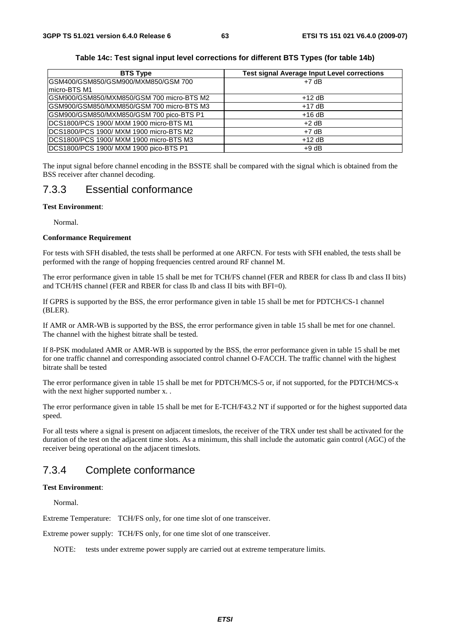| <b>BTS Type</b>                                      | <b>Test signal Average Input Level corrections</b> |
|------------------------------------------------------|----------------------------------------------------|
| IGSM400/GSM850/GSM900/MXM850/GSM 700<br>micro-BTS M1 | $+7$ dB                                            |
| GSM900/GSM850/MXM850/GSM 700 micro-BTS M2            | $+12$ dB                                           |
| GSM900/GSM850/MXM850/GSM 700 micro-BTS M3            | $+17$ dB                                           |
| GSM900/GSM850/MXM850/GSM 700 pico-BTS P1             | $+16dB$                                            |
| DCS1800/PCS 1900/ MXM 1900 micro-BTS M1              | $+2$ dB                                            |
| DCS1800/PCS 1900/ MXM 1900 micro-BTS M2              | $+7$ dB                                            |
| DCS1800/PCS 1900/ MXM 1900 micro-BTS M3              | $+12$ dB                                           |
| DCS1800/PCS 1900/ MXM 1900 pico-BTS P1               | $+9 dB$                                            |

### **Table 14c: Test signal input level corrections for different BTS Types (for table 14b)**

The input signal before channel encoding in the BSSTE shall be compared with the signal which is obtained from the BSS receiver after channel decoding.

# 7.3.3 Essential conformance

## **Test Environment**:

Normal.

### **Conformance Requirement**

For tests with SFH disabled, the tests shall be performed at one ARFCN. For tests with SFH enabled, the tests shall be performed with the range of hopping frequencies centred around RF channel M.

The error performance given in table 15 shall be met for TCH/FS channel (FER and RBER for class Ib and class II bits) and TCH/HS channel (FER and RBER for class Ib and class II bits with BFI=0).

If GPRS is supported by the BSS, the error performance given in table 15 shall be met for PDTCH/CS-1 channel (BLER).

If AMR or AMR-WB is supported by the BSS, the error performance given in table 15 shall be met for one channel. The channel with the highest bitrate shall be tested.

If 8-PSK modulated AMR or AMR-WB is supported by the BSS, the error performance given in table 15 shall be met for one traffic channel and corresponding associated control channel O-FACCH. The traffic channel with the highest bitrate shall be tested

The error performance given in table 15 shall be met for PDTCH/MCS-5 or, if not supported, for the PDTCH/MCS-x with the next higher supported number x...

The error performance given in table 15 shall be met for E-TCH/F43.2 NT if supported or for the highest supported data speed.

For all tests where a signal is present on adjacent timeslots, the receiver of the TRX under test shall be activated for the duration of the test on the adjacent time slots. As a minimum, this shall include the automatic gain control (AGC) of the receiver being operational on the adjacent timeslots.

# 7.3.4 Complete conformance

### **Test Environment**:

Normal.

Extreme Temperature: TCH/FS only, for one time slot of one transceiver.

Extreme power supply: TCH/FS only, for one time slot of one transceiver.

NOTE: tests under extreme power supply are carried out at extreme temperature limits.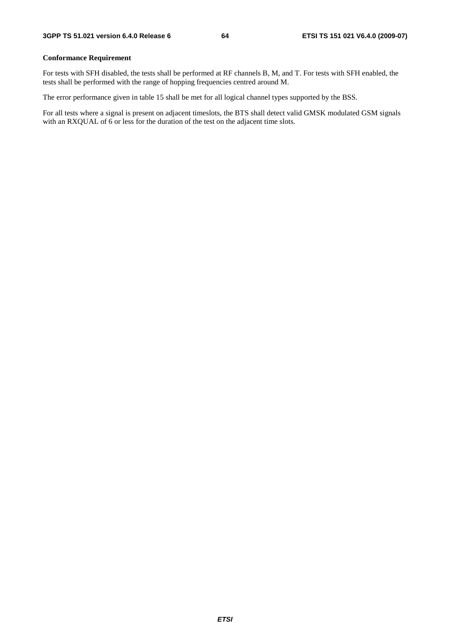## **Conformance Requirement**

For tests with SFH disabled, the tests shall be performed at RF channels B, M, and T. For tests with SFH enabled, the tests shall be performed with the range of hopping frequencies centred around M.

The error performance given in table 15 shall be met for all logical channel types supported by the BSS.

For all tests where a signal is present on adjacent timeslots, the BTS shall detect valid GMSK modulated GSM signals with an RXQUAL of 6 or less for the duration of the test on the adjacent time slots.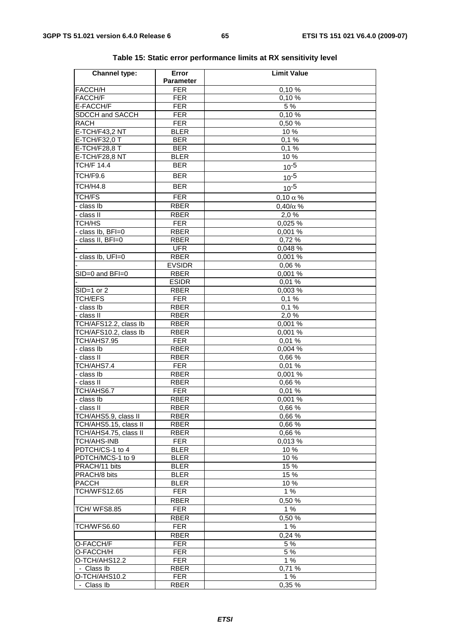| <b>Channel type:</b>  | Error            | <b>Limit Value</b> |
|-----------------------|------------------|--------------------|
|                       | <b>Parameter</b> |                    |
| <b>FACCH/H</b>        | <b>FER</b>       | 0,10%              |
| FACCH/F               | <b>FER</b>       | 0,10%              |
| E-FACCH/F             | <b>FER</b>       | 5 %                |
| SDCCH and SACCH       | <b>FER</b>       | 0,10%              |
| <b>RACH</b>           | <b>FER</b>       | 0,50 %             |
| E-TCH/F43,2 NT        | <b>BLER</b>      | 10%                |
| E-TCH/F32,0 T         | <b>BER</b>       | 0,1%               |
| <b>E-TCH/F28,8 T</b>  | <b>BER</b>       | 0,1%               |
| E-TCH/F28,8 NT        | <b>BLER</b>      | 10 %               |
| <b>TCH/F 14.4</b>     | <b>BER</b>       | $10^{-5}$          |
| TCH/F9.6              | <b>BER</b>       | $10^{-5}$          |
| TCH/H4.8              | <b>BER</b>       | $10^{-5}$          |
| <b>TCH/FS</b>         | <b>FER</b>       | $0,10 \alpha$ %    |
| - class Ib            | <b>RBER</b>      | $0,40/\alpha$ %    |
| - class II            | <b>RBER</b>      | 2,0%               |
| TCH/HS                | <b>FER</b>       | 0,025 %            |
| - class lb, BFI=0     | <b>RBER</b>      | 0,001 %            |
| class II, BFI=0       | <b>RBER</b>      | 0,72%              |
|                       | <b>UFR</b>       | 0,048 %            |
| class lb, UFI=0       | <b>RBER</b>      | 0.001%             |
|                       | <b>EVSIDR</b>    | 0,06 %             |
| $SID=0$ and $BFI=0$   | <b>RBER</b>      | 0,001 %            |
|                       | <b>ESIDR</b>     | 0,01%              |
| $SID=1$ or 2          | <b>RBER</b>      | 0,003%             |
| <b>TCH/EFS</b>        | <b>FER</b>       | 0,1%               |
| - class Ib            | <b>RBER</b>      | 0,1%               |
| - class II            | <b>RBER</b>      | 2,0%               |
| TCH/AFS12.2, class Ib | <b>RBER</b>      | 0,001 %            |
| TCH/AFS10.2, class Ib | <b>RBER</b>      | 0,001 %            |
| TCH/AHS7.95           | <b>FER</b>       | 0,01%              |
| - class Ib            | <b>RBER</b>      | 0,004 %            |
| - class II            | <b>RBER</b>      | 0,66%              |
| TCH/AHS7.4            | <b>FER</b>       | 0,01%              |
| - class Ib            | <b>RBER</b>      | 0,001 %            |
| - class II            | <b>RBER</b>      | 0.66%              |
| TCH/AHS6.7            | <b>FER</b>       | 0,01%              |
| - class Ib            | <b>RBER</b>      | 0,001 %            |
| - class II            | <b>RBER</b>      | 0,66 %             |
| TCH/AHS5.9, class II  | <b>RBER</b>      | 0,66 %             |
| TCH/AHS5.15, class II | <b>RBER</b>      | 0,66 %             |
| TCH/AHS4.75, class II | RBER             | 0,66%              |
| <b>TCH/AHS-INB</b>    | <b>FER</b>       | 0.013 %            |
| PDTCH/CS-1 to 4       | <b>BLER</b>      | 10 %               |
| PDTCH/MCS-1 to 9      | <b>BLER</b>      | 10%                |
| PRACH/11 bits         | <b>BLER</b>      | 15 %               |
| PRACH/8 bits          | <b>BLER</b>      | 15 %               |
| <b>PACCH</b>          | <b>BLER</b>      | 10 %               |
| TCH/WFS12.65          | <b>FER</b>       | 1%                 |
|                       | <b>RBER</b>      | 0,50%              |
| <b>TCH/ WFS8.85</b>   | <b>FER</b>       | 1%                 |
|                       | <b>RBER</b>      | 0,50 %             |
| TCH/WFS6.60           | <b>FER</b>       | 1%                 |
|                       | <b>RBER</b>      | 0,24%              |
| O-FACCH/F             | <b>FER</b>       | 5 %                |
| O-FACCH/H             | <b>FER</b>       | 5 %                |
| O-TCH/AHS12.2         | <b>FER</b>       | 1%                 |
| - Class Ib            | <b>RBER</b>      | 0,71 %             |
| O-TCH/AHS10.2         | <b>FER</b>       | 1%                 |
| - Class Ib            | <b>RBER</b>      | 0,35 %             |

|  |  | Table 15: Static error performance limits at RX sensitivity level |
|--|--|-------------------------------------------------------------------|
|--|--|-------------------------------------------------------------------|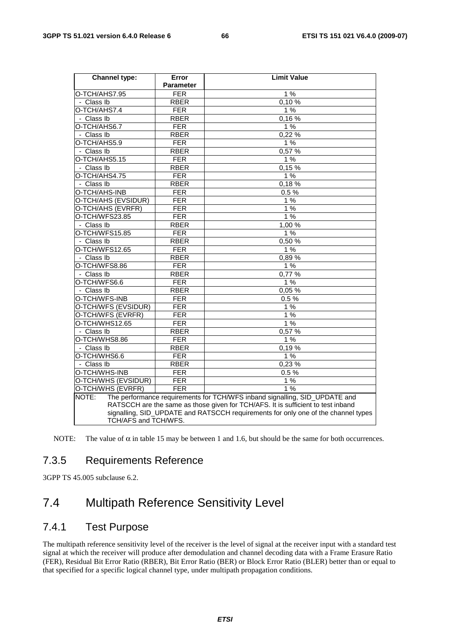| <b>Channel type:</b> | Error            | <b>Limit Value</b>                                                                |  |  |  |  |
|----------------------|------------------|-----------------------------------------------------------------------------------|--|--|--|--|
|                      | <b>Parameter</b> |                                                                                   |  |  |  |  |
| O-TCH/AHS7.95        | <b>FER</b>       | 1%                                                                                |  |  |  |  |
| - Class Ib           | <b>RBER</b>      | 0.10%                                                                             |  |  |  |  |
| O-TCH/AHS7.4         | <b>FER</b>       | 1%                                                                                |  |  |  |  |
| - Class Ib           | <b>RBER</b>      | 0,16%                                                                             |  |  |  |  |
| O-TCH/AHS6.7         | <b>FER</b>       | 1%                                                                                |  |  |  |  |
| - Class Ib           | <b>RBER</b>      | 0,22%                                                                             |  |  |  |  |
| O-TCH/AHS5.9         | <b>FER</b>       | 1%                                                                                |  |  |  |  |
| - Class Ib           | <b>RBER</b>      | 0,57 %                                                                            |  |  |  |  |
| O-TCH/AHS5.15        | <b>FER</b>       | 1%                                                                                |  |  |  |  |
| - Class Ib           | <b>RBER</b>      | 0,15%                                                                             |  |  |  |  |
| O-TCH/AHS4.75        | <b>FER</b>       | 1%                                                                                |  |  |  |  |
| - Class Ib           | <b>RBER</b>      | 0,18%                                                                             |  |  |  |  |
| O-TCH/AHS-INB        | <b>FER</b>       | 0.5%                                                                              |  |  |  |  |
| O-TCH/AHS (EVSIDUR)  | <b>FER</b>       | 1%                                                                                |  |  |  |  |
| O-TCH/AHS (EVRFR)    | FER              | 1%                                                                                |  |  |  |  |
| O-TCH/WFS23.85       | <b>FER</b>       | 1%                                                                                |  |  |  |  |
| - Class Ib           | <b>RBER</b>      | 1,00 %                                                                            |  |  |  |  |
| O-TCH/WFS15.85       | <b>FER</b>       | 1%                                                                                |  |  |  |  |
| - Class Ib           | <b>RBER</b>      | 0,50%                                                                             |  |  |  |  |
| O-TCH/WFS12.65       | <b>FER</b>       | 1%                                                                                |  |  |  |  |
| - Class Ib           | <b>RBER</b>      | $0,89\%$                                                                          |  |  |  |  |
| O-TCH/WFS8.86        | <b>FER</b>       | 1%                                                                                |  |  |  |  |
| - Class Ib           | <b>RBER</b>      | 0,77%                                                                             |  |  |  |  |
| O-TCH/WFS6.6         | <b>FER</b>       | 1%                                                                                |  |  |  |  |
| - Class Ib           | <b>RBER</b>      | 0,05%                                                                             |  |  |  |  |
| O-TCH/WFS-INB        | <b>FER</b>       | 0.5%                                                                              |  |  |  |  |
| O-TCH/WFS (EVSIDUR)  | FER              | 1%                                                                                |  |  |  |  |
| O-TCH/WFS (EVRFR)    | <b>FER</b>       | 1%                                                                                |  |  |  |  |
| O-TCH/WHS12.65       | <b>FER</b>       | 1%                                                                                |  |  |  |  |
| - Class Ib           | <b>RBER</b>      | 0,57 %                                                                            |  |  |  |  |
| O-TCH/WHS8.86        | FER              | 1%                                                                                |  |  |  |  |
| - Class Ib           | <b>RBER</b>      | 0,19%                                                                             |  |  |  |  |
| O-TCH/WHS6.6         | <b>FER</b>       | 1%                                                                                |  |  |  |  |
| - Class Ib           | <b>RBER</b>      | 0,23 %                                                                            |  |  |  |  |
| O-TCH/WHS-INB        | <b>FER</b>       | 0.5%                                                                              |  |  |  |  |
| O-TCH/WHS (EVSIDUR)  | <b>FER</b>       | 1%                                                                                |  |  |  |  |
| O-TCH/WHS (EVRFR)    | <b>FER</b>       | 1%                                                                                |  |  |  |  |
| NOTE:                |                  | The performance requirements for TCH/WFS inband signalling, SID_UPDATE and        |  |  |  |  |
|                      |                  | RATSCCH are the same as those given for TCH/AFS. It is sufficient to test inband  |  |  |  |  |
|                      |                  | signalling, SID_UPDATE and RATSCCH requirements for only one of the channel types |  |  |  |  |
| TCH/AFS and TCH/WFS. |                  |                                                                                   |  |  |  |  |

NOTE: The value of  $\alpha$  in table 15 may be between 1 and 1.6, but should be the same for both occurrences.

# 7.3.5 Requirements Reference

3GPP TS 45.005 subclause 6.2.

# 7.4 Multipath Reference Sensitivity Level

# 7.4.1 Test Purpose

The multipath reference sensitivity level of the receiver is the level of signal at the receiver input with a standard test signal at which the receiver will produce after demodulation and channel decoding data with a Frame Erasure Ratio (FER), Residual Bit Error Ratio (RBER), Bit Error Ratio (BER) or Block Error Ratio (BLER) better than or equal to that specified for a specific logical channel type, under multipath propagation conditions.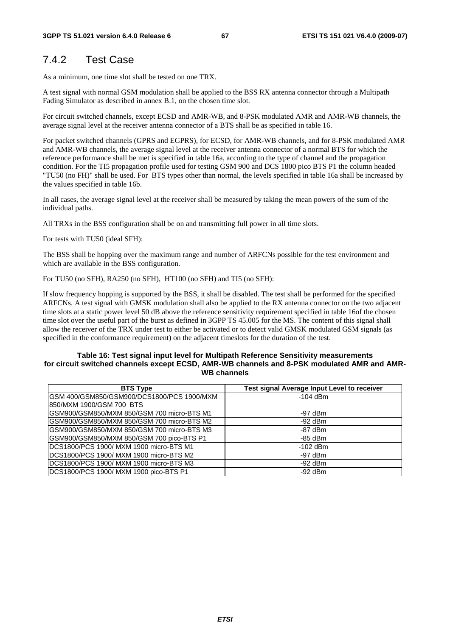# 7.4.2 Test Case

As a minimum, one time slot shall be tested on one TRX.

A test signal with normal GSM modulation shall be applied to the BSS RX antenna connector through a Multipath Fading Simulator as described in annex B.1, on the chosen time slot.

For circuit switched channels, except ECSD and AMR-WB, and 8-PSK modulated AMR and AMR-WB channels, the average signal level at the receiver antenna connector of a BTS shall be as specified in table 16.

For packet switched channels (GPRS and EGPRS), for ECSD, for AMR-WB channels, and for 8-PSK modulated AMR and AMR-WB channels, the average signal level at the receiver antenna connector of a normal BTS for which the reference performance shall be met is specified in table 16a, according to the type of channel and the propagation condition. For the TI5 propagation profile used for testing GSM 900 and DCS 1800 pico BTS P1 the column headed "TU50 (no FH)" shall be used. For BTS types other than normal, the levels specified in table 16a shall be increased by the values specified in table 16b.

In all cases, the average signal level at the receiver shall be measured by taking the mean powers of the sum of the individual paths.

All TRXs in the BSS configuration shall be on and transmitting full power in all time slots.

For tests with TU50 (ideal SFH):

The BSS shall be hopping over the maximum range and number of ARFCNs possible for the test environment and which are available in the BSS configuration.

For TU50 (no SFH), RA250 (no SFH), HT100 (no SFH) and TI5 (no SFH):

If slow frequency hopping is supported by the BSS, it shall be disabled. The test shall be performed for the specified ARFCNs. A test signal with GMSK modulation shall also be applied to the RX antenna connector on the two adjacent time slots at a static power level 50 dB above the reference sensitivity requirement specified in table 16of the chosen time slot over the useful part of the burst as defined in 3GPP TS 45.005 for the MS. The content of this signal shall allow the receiver of the TRX under test to either be activated or to detect valid GMSK modulated GSM signals (as specified in the conformance requirement) on the adjacent timeslots for the duration of the test.

### **Table 16: Test signal input level for Multipath Reference Sensitivity measurements for circuit switched channels except ECSD, AMR-WB channels and 8-PSK modulated AMR and AMR-WB channels**

| <b>BTS Type</b>                            | Test signal Average Input Level to receiver |
|--------------------------------------------|---------------------------------------------|
| GSM 400/GSM850/GSM900/DCS1800/PCS 1900/MXM | $-104$ dBm                                  |
| I850/MXM 1900/GSM 700_BTS_                 |                                             |
| GSM900/GSM850/MXM 850/GSM 700 micro-BTS M1 | $-97$ dBm                                   |
| GSM900/GSM850/MXM 850/GSM 700 micro-BTS M2 | $-92$ dBm                                   |
| GSM900/GSM850/MXM 850/GSM 700 micro-BTS M3 | $-87$ dBm                                   |
| GSM900/GSM850/MXM 850/GSM 700 pico-BTS P1  | $-85$ dBm                                   |
| DCS1800/PCS 1900/ MXM 1900 micro-BTS M1    | $-102$ dBm                                  |
| DCS1800/PCS 1900/ MXM 1900 micro-BTS M2    | $-97$ dBm                                   |
| DCS1800/PCS 1900/ MXM 1900 micro-BTS M3    | $-92$ dBm                                   |
| DCS1800/PCS 1900/ MXM 1900 pico-BTS P1     | $-92$ dBm                                   |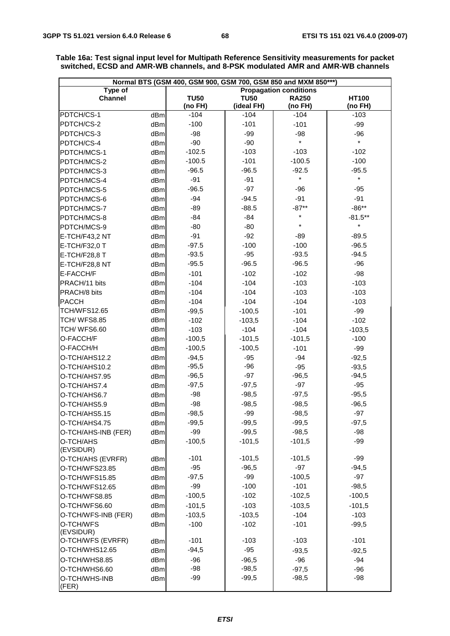| Normal BTS (GSM 400, GSM 900, GSM 700, GSM 850 and MXM 850***) |                               |                    |                      |                    |                    |
|----------------------------------------------------------------|-------------------------------|--------------------|----------------------|--------------------|--------------------|
| Type of                                                        | <b>Propagation conditions</b> |                    |                      |                    |                    |
| <b>Channel</b>                                                 |                               | <b>TU50</b>        | <b>TU50</b>          | <b>RA250</b>       | <b>HT100</b>       |
| PDTCH/CS-1                                                     |                               | (no FH)<br>$-104$  | (ideal FH)<br>$-104$ | (no FH)<br>$-104$  | (no FH)<br>$-103$  |
| PDTCH/CS-2                                                     | dBm                           | $-100$             | $-101$               |                    |                    |
|                                                                | dBm                           |                    |                      | $-101$             | $-99$              |
| PDTCH/CS-3                                                     | dBm                           | $-98$<br>$-90$     | $-99$<br>$-90$       | $-98$<br>$\star$   | $-96$<br>$\star$   |
| PDTCH/CS-4                                                     | dBm                           | $-102.5$           | $-103$               | $-103$             | $-102$             |
| PDTCH/MCS-1                                                    | dBm                           |                    |                      |                    | $-100$             |
| PDTCH/MCS-2                                                    | dBm                           | $-100.5$           | $-101$               | $-100.5$           |                    |
| PDTCH/MCS-3                                                    | dBm                           | $-96.5$<br>$-91$   | $-96.5$<br>$-91$     | $-92.5$<br>$\star$ | $-95.5$<br>$\star$ |
| PDTCH/MCS-4                                                    | dBm                           | $-96.5$            | $-97$                |                    |                    |
| PDTCH/MCS-5                                                    | dBm                           | $-94$              | $-94.5$              | $-96$<br>$-91$     | $-95$<br>$-91$     |
| PDTCH/MCS-6                                                    | dBm                           | $-89$              | $-88.5$              | $-87**$            | $-86**$            |
| PDTCH/MCS-7                                                    | dBm                           | $-84$              | $-84$                | *                  | $-81.5***$         |
| PDTCH/MCS-8                                                    | dBm                           | $-80$              | $-80$                | $\star$            | $\star$            |
| PDTCH/MCS-9                                                    | dBm                           | $-91$              | $-92$                |                    |                    |
| E-TCH/F43,2 NT                                                 | dBm                           | $-97.5$            | $-100$               | $-89$<br>$-100$    | $-89.5$<br>$-96.5$ |
| E-TCH/F32,0 T                                                  | dBm                           | $-93.5$            | $-95$                | $-93.5$            | $-94.5$            |
| E-TCH/F28,8 T                                                  | dBm                           | $-95.5$            | $-96.5$              | $-96.5$            | $-96$              |
| E-TCH/F28,8 NT                                                 | dBm                           |                    |                      |                    |                    |
| E-FACCH/F                                                      | dBm                           | $-101$             | $-102$               | $-102$             | $-98$              |
| PRACH/11 bits                                                  | dBm                           | $-104$             | $-104$               | $-103$             | $-103$             |
| PRACH/8 bits                                                   | dBm                           | $-104$             | $-104$               | $-103$             | $-103$             |
| PACCH<br><b>TCH/WFS12.65</b>                                   | dBm<br>dBm                    | $-104$             | $-104$               | $-104$             | $-103$             |
| <b>TCH/ WFS8.85</b>                                            | dBm                           | $-99,5$            | $-100,5$             | $-101$             | $-99$              |
| TCH/WFS6.60                                                    | dBm                           | $-102$             | $-103,5$             | $-104$             | $-102$             |
| O-FACCH/F                                                      |                               | $-103$<br>$-100,5$ | $-104$<br>$-101,5$   | $-104$<br>$-101,5$ | $-103,5$<br>$-100$ |
| O-FACCH/H                                                      | dBm                           |                    |                      |                    |                    |
|                                                                | dBm                           | $-100,5$           | $-100,5$             | $-101$             | $-99$              |
| O-TCH/AHS12.2<br>O-TCH/AHS10.2                                 | dBm                           | $-94,5$<br>$-95,5$ | $-95$<br>$-96$       | $-94$<br>$-95$     | $-92,5$            |
| O-TCH/AHS7.95                                                  | dBm<br>dBm                    | $-96,5$            | $-97$                | $-96,5$            | $-93,5$<br>$-94,5$ |
| O-TCH/AHS7.4                                                   | dBm                           | $-97,5$            | $-97,5$              | $-97$              | $-95$              |
| O-TCH/AHS6.7                                                   | dBm                           | $-98$              | $-98,5$              | $-97,5$            | $-95,5$            |
| O-TCH/AHS5.9                                                   | dBm                           | $-98$              | $-98,5$              | $-98,5$            | $-96,5$            |
| O-TCH/AHS5.15                                                  | dBm                           | $-98,5$            | $-99$                | $-98,5$            | $-97$              |
| O-TCH/AHS4.75                                                  | dBm                           | $-99,5$            | $-99,5$              | $-99,5$            | $-97,5$            |
| O-TCH/AHS-INB (FER)                                            | dBm                           | $-99$              | $-99,5$              | $-98,5$            | $-98$              |
| O-TCH/AHS                                                      | dBm                           | $-100,5$           | $-101,5$             | $-101,5$           | $-99$              |
| (EVSIDUR)                                                      |                               |                    |                      |                    |                    |
| O-TCH/AHS (EVRFR)                                              | dBm                           | $-101$             | $-101,5$             | $-101,5$           | $-99$              |
| O-TCH/WFS23.85                                                 | dBm                           | $-95$              | $-96,5$              | -97                | $-94,5$            |
| O-TCH/WFS15.85                                                 | dBm                           | $-97,5$            | -99                  | $-100,5$           | $-97$              |
| O-TCH/WFS12.65                                                 | dBm                           | $-99$              | $-100$               | $-101$             | $-98,5$            |
| O-TCH/WFS8.85                                                  | dBm                           | $-100,5$           | $-102$               | $-102,5$           | $-100,5$           |
| O-TCH/WFS6.60                                                  | dBm                           | $-101,5$           | $-103$               | $-103,5$           | $-101,5$           |
| O-TCH/WFS-INB (FER)                                            | dBm                           | $-103,5$           | $-103,5$             | $-104$             | $-103$             |
| O-TCH/WFS<br>(EVSIDUR)                                         | dBm                           | $-100$             | $-102$               | $-101$             | $-99,5$            |
| O-TCH/WFS (EVRFR)                                              | dBm                           | $-101$             | $-103$               | $-103$             | $-101$             |
| O-TCH/WHS12.65                                                 | dBm                           | $-94,5$            | $-95$                | $-93,5$            | $-92,5$            |
| O-TCH/WHS8.85                                                  | dBm                           | $-96$              | $-96,5$              | $-96$              | $-94$              |
| O-TCH/WHS6.60                                                  | dBm                           | $-98$              | $-98,5$              | $-97,5$            | $-96$              |
| O-TCH/WHS-INB<br>(FER)                                         | dBm                           | $-99$              | $-99,5$              | $-98,5$            | $-98$              |

**Table 16a: Test signal input level for Multipath Reference Sensitivity measurements for packet switched, ECSD and AMR-WB channels, and 8-PSK modulated AMR and AMR-WB channels**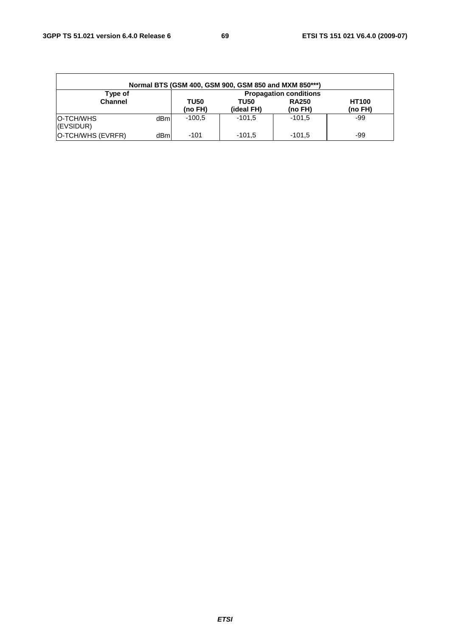| Normal BTS (GSM 400, GSM 900, GSM 850 and MXM 850***) |                               |             |             |              |              |  |
|-------------------------------------------------------|-------------------------------|-------------|-------------|--------------|--------------|--|
| Type of                                               | <b>Propagation conditions</b> |             |             |              |              |  |
| <b>Channel</b>                                        |                               | <b>TU50</b> | <b>TU50</b> | <b>RA250</b> | <b>HT100</b> |  |
|                                                       |                               | (no FH)     | (ideal FH)  | (no FH)      | (no FH)      |  |
| IO-TCH/WHS<br>(EVSIDUR)                               | dBml                          | $-100.5$    | $-101.5$    | $-101.5$     | -99          |  |
| O-TCH/WHS (EVRFR)                                     | dBml                          | $-101$      | $-101.5$    | $-101.5$     | -99          |  |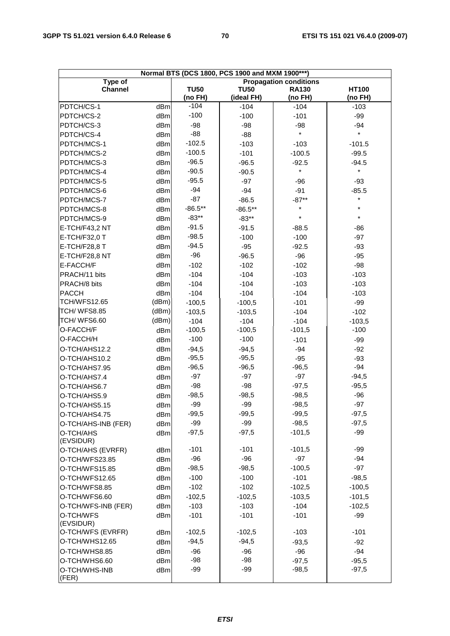| Normal BTS (DCS 1800, PCS 1900 and MXM 1900***) |       |             |             |              |              |
|-------------------------------------------------|-------|-------------|-------------|--------------|--------------|
| Type of<br><b>Propagation conditions</b>        |       |             |             |              |              |
| <b>Channel</b>                                  |       | <b>TU50</b> | <b>TU50</b> | <b>RA130</b> | <b>HT100</b> |
|                                                 |       | (no FH)     | (ideal FH)  | (no FH)      | (no FH)      |
| PDTCH/CS-1                                      | dBm   | $-104$      | $-104$      | $-104$       | $-103$       |
| PDTCH/CS-2                                      | dBm   | $-100$      | $-100$      | $-101$       | $-99$        |
| PDTCH/CS-3                                      | dBm   | $-98$       | $-98$       | $-98$        | $-94$        |
| PDTCH/CS-4                                      | dBm   | -88         | $-88$       | $\star$      | $\star$      |
| PDTCH/MCS-1                                     | dBm   | $-102.5$    | $-103$      | $-103$       | $-101.5$     |
| PDTCH/MCS-2                                     | dBm   | $-100.5$    | $-101$      | $-100.5$     | $-99.5$      |
| PDTCH/MCS-3                                     | dBm   | $-96.5$     | $-96.5$     | $-92.5$      | $-94.5$      |
| PDTCH/MCS-4                                     | dBm   | $-90.5$     | $-90.5$     | $\star$      | $\star$      |
| PDTCH/MCS-5                                     | dBm   | $-95.5$     | $-97$       | $-96$        | $-93$        |
| PDTCH/MCS-6                                     | dBm   | $-94$       | $-94$       | $-91$        | $-85.5$      |
| PDTCH/MCS-7                                     | dBm   | $-87$       | $-86.5$     | $-87**$      | $\star$      |
| PDTCH/MCS-8                                     | dBm   | $-86.5**$   | $-86.5**$   | $^\star$     | $\star$      |
| PDTCH/MCS-9                                     | dBm   | $-83**$     | $-83**$     | $\star$      | $\star$      |
| E-TCH/F43,2 NT                                  | dBm   | $-91.5$     | $-91.5$     | $-88.5$      | $-86$        |
| E-TCH/F32,0 T                                   | dBm   | $-98.5$     | $-100$      | $-100$       | $-97$        |
| E-TCH/F28,8 T                                   | dBm   | $-94.5$     | $-95$       | $-92.5$      | $-93$        |
| E-TCH/F28,8 NT                                  | dBm   | -96         | $-96.5$     | $-96$        | $-95$        |
| E-FACCH/F                                       | dBm   | $-102$      | $-102$      | $-102$       | $-98$        |
| PRACH/11 bits                                   | dBm   | $-104$      | $-104$      | $-103$       | $-103$       |
| PRACH/8 bits                                    | dBm   | $-104$      | $-104$      | $-103$       | $-103$       |
| PACCH                                           | dBm   | $-104$      | $-104$      | $-104$       | $-103$       |
| TCH/WFS12.65                                    | (dBm) | $-100,5$    | $-100,5$    | $-101$       | $-99$        |
| <b>TCH/ WFS8.85</b>                             | (dBm) | $-103,5$    | $-103,5$    | $-104$       | $-102$       |
| TCH/WFS6.60                                     | (dBm) | $-104$      | $-104$      | $-104$       | $-103,5$     |
| O-FACCH/F                                       | dBm   | $-100,5$    | $-100,5$    | $-101,5$     | $-100$       |
| O-FACCH/H                                       | dBm   | $-100$      | $-100$      | $-101$       | $-99$        |
| O-TCH/AHS12.2                                   | dBm   | $-94,5$     | $-94,5$     | $-94$        | $-92$        |
| O-TCH/AHS10.2                                   | dBm   | $-95,5$     | $-95,5$     | $-95$        | $-93$        |
| O-TCH/AHS7.95                                   | dBm   | $-96,5$     | $-96,5$     | $-96,5$      | $-94$        |
| O-TCH/AHS7.4                                    | dBm   | $-97$       | $-97$       | $-97$        | $-94,5$      |
| O-TCH/AHS6.7                                    | dBm   | $-98$       | $-98$       | $-97,5$      | $-95,5$      |
| O-TCH/AHS5.9                                    | dBm   | $-98,5$     | $-98,5$     | $-98,5$      | $-96$        |
| O-TCH/AHS5.15                                   | dBm   | $-99$       | -99         | $-98,5$      | $-97$        |
| O-TCH/AHS4.75                                   | dBm   | $-99,5$     | $-99,5$     | $-99,5$      | $-97,5$      |
| O-TCH/AHS-INB (FER)                             | dBm   | $-99$       | $-99$       | $-98,5$      | $-97,5$      |
| O-TCH/AHS                                       | dBm   | $-97,5$     | $-97,5$     | $-101,5$     | $-99$        |
| (EVSIDUR)                                       |       |             |             |              |              |
| O-TCH/AHS (EVRFR)                               | dBm   | $-101$      | $-101$      | $-101,5$     | -99          |
| O-TCH/WFS23.85                                  | dBm   | $-96$       | $-96$       | $-97$        | $-94$        |
| O-TCH/WFS15.85                                  | dBm   | $-98,5$     | $-98,5$     | $-100,5$     | $-97$        |
| O-TCH/WFS12.65                                  | dBm   | $-100$      | $-100$      | $-101$       | $-98,5$      |
| O-TCH/WFS8.85                                   | dBm   | $-102$      | $-102$      | $-102,5$     | $-100,5$     |
| O-TCH/WFS6.60                                   | dBm   | $-102,5$    | $-102,5$    | $-103,5$     | $-101,5$     |
| O-TCH/WFS-INB (FER)                             | dBm   | $-103$      | $-103$      | $-104$       | $-102,5$     |
| O-TCH/WFS                                       | dBm   | $-101$      | $-101$      | $-101$       | -99          |
| (EVSIDUR)                                       |       |             |             |              |              |
| O-TCH/WFS (EVRFR)                               | dBm   | $-102,5$    | $-102,5$    | $-103$       | $-101$       |
| O-TCH/WHS12.65                                  | dBm   | $-94,5$     | $-94,5$     | $-93,5$      | $-92$        |
| O-TCH/WHS8.85                                   | dBm   | $-96$       | $-96$       | $-96$        | $-94$        |
| O-TCH/WHS6.60                                   | dBm   | $-98$       | $-98$       | $-97,5$      | $-95,5$      |
| O-TCH/WHS-INB                                   | dBm   | $-99$       | $-99$       | $-98,5$      | $-97,5$      |
| (FER)                                           |       |             |             |              |              |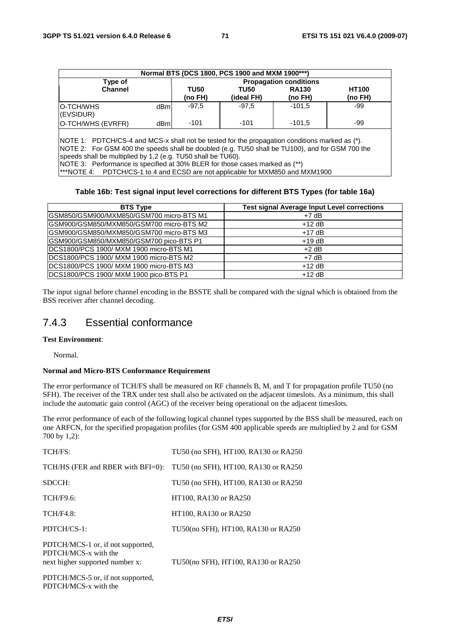| Normal BTS (DCS 1800, PCS 1900 and MXM 1900***)                                                                                                                                                   |      |                                                            |            |          |         |  |
|---------------------------------------------------------------------------------------------------------------------------------------------------------------------------------------------------|------|------------------------------------------------------------|------------|----------|---------|--|
| Type of                                                                                                                                                                                           |      | <b>Propagation conditions</b>                              |            |          |         |  |
| <b>Channel</b>                                                                                                                                                                                    |      | <b>TU50</b><br><b>HT100</b><br><b>RA130</b><br><b>TU50</b> |            |          |         |  |
|                                                                                                                                                                                                   |      | (no FH)                                                    | (ideal FH) | (no FH)  | (no FH) |  |
| O-TCH/WHS<br>(EVSIDUR)                                                                                                                                                                            | dBml | $-97.5$                                                    | $-97.5$    | $-101.5$ | -99     |  |
| O-TCH/WHS (EVRFR)                                                                                                                                                                                 | dBml | $-101$                                                     | $-101$     | $-101.5$ | -99     |  |
| NOTE 1: PDTCH/CS-4 and MCS-x shall not be tested for the propagation conditions marked as (*).<br>NOTE 2: For GSM 400 the speeds shall be doubled (e.g. TU50 shall be TU100), and for GSM 700 the |      |                                                            |            |          |         |  |

speeds shall be multiplied by 1,2 (e.g. TU50 shall be TU60).

NOTE 3: Performance is specified at 30% BLER for those cases marked as (\*\*)

\*\*\*NOTE 4: PDTCH/CS-1 to 4 and ECSD are not applicable for MXM850 and MXM1900

### **Table 16b: Test signal input level corrections for different BTS Types (for table 16a)**

| <b>BTS Type</b>                           | <b>Test signal Average Input Level corrections</b> |
|-------------------------------------------|----------------------------------------------------|
| GSM850/GSM900/MXM850/GSM700 micro-BTS M1  | $+7$ dB                                            |
| GSM900/GSM850/MXM850/GSM700 micro-BTS M2  | $+12$ dB                                           |
| IGSM900/GSM850/MXM850/GSM700 micro-BTS M3 | $+17$ dB                                           |
| GSM900/GSM850/MXM850/GSM700 pico-BTS P1   | $+19$ dB                                           |
| DCS1800/PCS 1900/ MXM 1900 micro-BTS M1   | $+2$ dB                                            |
| DCS1800/PCS 1900/ MXM 1900 micro-BTS M2   | $+7$ dB                                            |
| IDCS1800/PCS 1900/ MXM 1900 micro-BTS M3  | $+12$ dB                                           |
| IDCS1800/PCS 1900/ MXM 1900 pico-BTS P1   | $+12$ dB                                           |

The input signal before channel encoding in the BSSTE shall be compared with the signal which is obtained from the BSS receiver after channel decoding.

# 7.4.3 Essential conformance

## **Test Environment**:

Normal.

## **Normal and Micro-BTS Conformance Requirement**

The error performance of TCH/FS shall be measured on RF channels B, M, and T for propagation profile TU50 (no SFH). The receiver of the TRX under test shall also be activated on the adjacent timeslots. As a minimum, this shall include the automatic gain control (AGC) of the receiver being operational on the adjacent timeslots.

The error performance of each of the following logical channel types supported by the BSS shall be measured, each on one ARFCN, for the specified propagation profiles (for GSM 400 applicable speeds are multiplied by 2 and for GSM 700 by 1,2):

| TCH/FS:                                                                                      | TU50 (no SFH), HT100, RA130 or RA250 |
|----------------------------------------------------------------------------------------------|--------------------------------------|
| $TCH/HS$ (FER and RBER with BFI=0):                                                          | TU50 (no SFH), HT100, RA130 or RA250 |
| SDCCH:                                                                                       | TU50 (no SFH), HT100, RA130 or RA250 |
| TCH/F9.6:                                                                                    | HT100, RA130 or RA250                |
| TCH/F4.8                                                                                     | HT100, RA130 or RA250                |
| PDTCH/CS-1:                                                                                  | TU50(no SFH), HT100, RA130 or RA250  |
| PDTCH/MCS-1 or, if not supported,<br>PDTCH/MCS-x with the<br>next higher supported number x: | TU50(no SFH), HT100, RA130 or RA250  |
| PDTCH/MCS-5 or, if not supported,<br>PDTCH/MCS-x with the                                    |                                      |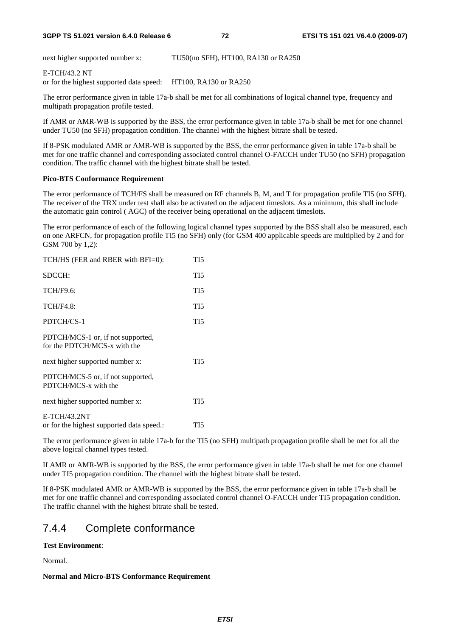next higher supported number x: TU50(no SFH), HT100, RA130 or RA250

#### E-TCH/43.2 NT

or for the highest supported data speed: HT100, RA130 or RA250

The error performance given in table 17a-b shall be met for all combinations of logical channel type, frequency and multipath propagation profile tested.

If AMR or AMR-WB is supported by the BSS, the error performance given in table 17a-b shall be met for one channel under TU50 (no SFH) propagation condition. The channel with the highest bitrate shall be tested.

If 8-PSK modulated AMR or AMR-WB is supported by the BSS, the error performance given in table 17a-b shall be met for one traffic channel and corresponding associated control channel O-FACCH under TU50 (no SFH) propagation condition. The traffic channel with the highest bitrate shall be tested.

#### **Pico-BTS Conformance Requirement**

The error performance of TCH/FS shall be measured on RF channels B, M, and T for propagation profile TI5 (no SFH). The receiver of the TRX under test shall also be activated on the adjacent timeslots. As a minimum, this shall include the automatic gain control ( AGC) of the receiver being operational on the adjacent timeslots.

The error performance of each of the following logical channel types supported by the BSS shall also be measured, each on one ARFCN, for propagation profile TI5 (no SFH) only (for GSM 400 applicable speeds are multiplied by 2 and for GSM 700 by 1,2):

| TCH/HS (FER and RBER with BFI=0):                                 | TI <sub>5</sub> |
|-------------------------------------------------------------------|-----------------|
| SDCCH:                                                            | TI5             |
| <b>TCH/F9.6:</b>                                                  | TI5             |
| <b>TCH/F4.8:</b>                                                  | TI <sub>5</sub> |
| PDTCH/CS-1                                                        | TI5             |
| PDTCH/MCS-1 or, if not supported,<br>for the PDTCH/MCS-x with the |                 |
| next higher supported number x:                                   | TI5             |
| PDTCH/MCS-5 or, if not supported,<br>PDTCH/MCS-x with the         |                 |
| next higher supported number x:                                   | TI5             |
| E-TCH/43.2NT<br>or for the highest supported data speed.:         | TI5             |

The error performance given in table 17a-b for the TI5 (no SFH) multipath propagation profile shall be met for all the above logical channel types tested.

If AMR or AMR-WB is supported by the BSS, the error performance given in table 17a-b shall be met for one channel under TI5 propagation condition. The channel with the highest bitrate shall be tested.

If 8-PSK modulated AMR or AMR-WB is supported by the BSS, the error performance given in table 17a-b shall be met for one traffic channel and corresponding associated control channel O-FACCH under TI5 propagation condition. The traffic channel with the highest bitrate shall be tested.

# 7.4.4 Complete conformance

#### **Test Environment**:

Normal.

#### **Normal and Micro-BTS Conformance Requirement**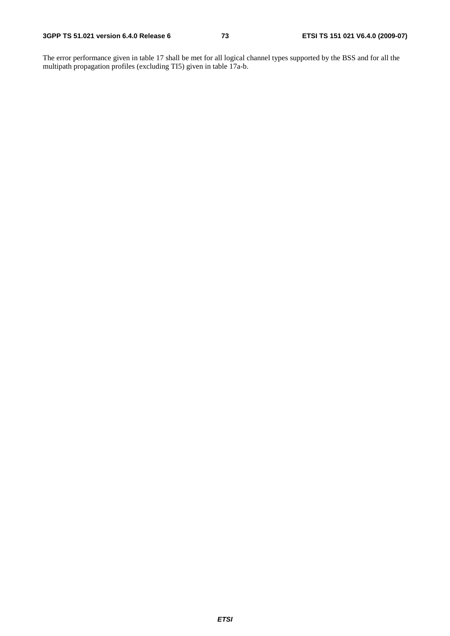The error performance given in table 17 shall be met for all logical channel types supported by the BSS and for all the multipath propagation profiles (excluding TI5) given in table 17a-b.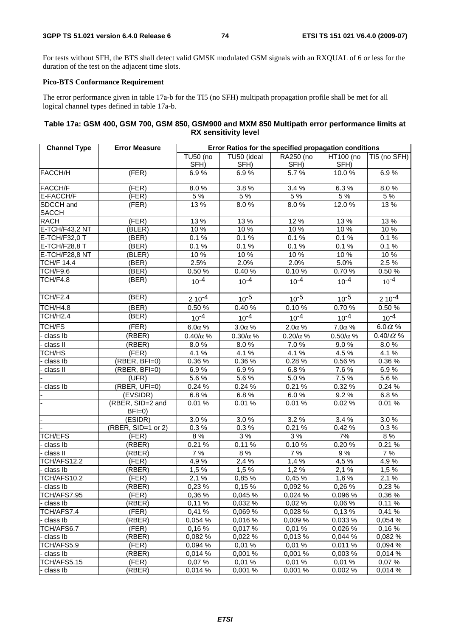For tests without SFH, the BTS shall detect valid GMSK modulated GSM signals with an RXQUAL of 6 or less for the duration of the test on the adjacent time slots.

### **Pico-BTS Conformance Requirement**

The error performance given in table 17a-b for the TI5 (no SFH) multipath propagation profile shall be met for all logical channel types defined in table 17a-b.

### **Table 17a: GSM 400, GSM 700, GSM 850, GSM900 and MXM 850 Multipath error performance limits at RX sensitivity level**

| <b>Channel Type</b>       | <b>Error Measure</b>        | Error Ratios for the specified propagation conditions |                 |                 |                 |                  |  |
|---------------------------|-----------------------------|-------------------------------------------------------|-----------------|-----------------|-----------------|------------------|--|
|                           |                             | TU50 (no                                              | TU50 (ideal     | RA250 (no       | HT100 (no       | TI5 (no SFH)     |  |
|                           |                             | SFH)                                                  | SFH)            | SFH)            | SFH)            |                  |  |
| FACCH/H                   | (FER)                       | 6.9%                                                  | 6.9%            | 5.7%            | 10.0%           | 6.9%             |  |
| <b>FACCH/F</b>            | (FER)                       | 8.0%                                                  | 3.8%            | 3.4 %           | 6.3%            | 8.0%             |  |
| E-FACCH/F                 | (FER)                       | 5 %                                                   | 5%              | 5%              | $5\%$           | 5%               |  |
| SDCCH and<br><b>SACCH</b> | (FER)                       | 13%                                                   | 8.0%            | 8.0%            | 12.0%           | 13%              |  |
| <b>RACH</b>               | (FER)                       | 13%                                                   | 13 %            | 12 %            | 13 %            | 13%              |  |
| E-TCH/F43,2 NT            | (BLER)                      | 10 %                                                  | 10 %            | 10%             | 10%             | 10 %             |  |
| E-TCH/F32,0 T             | (BER)                       | 0.1%                                                  | 0.1%            | 0.1%            | 0.1%            | 0.1%             |  |
| E-TCH/F28,8 T             | (BER)                       | 0.1%                                                  | 0.1%            | 0.1%            | 0.1%            | $0.1\%$          |  |
| E-TCH/F28,8 NT            | (BLER)                      | 10 %                                                  | 10 %            | 10%             | 10%             | 10 %             |  |
| <b>TCH/F 14.4</b>         | (BER)                       | 2.5%                                                  | 2.0%            | 2.0%            | 5.0%            | 2.5%             |  |
| TCH/F9.6                  | (BER)                       | 0.50%                                                 | 0.40%           | 0.10%           | 0.70%           | $0.50 \%$        |  |
| TCH/F4.8                  | (BER)                       | $10^{-4}$                                             | $10^{-4}$       | $10^{-4}$       | $10^{-4}$       | $10^{-4}$        |  |
| TCH/F2.4                  | (BER)                       | $210^{-4}$                                            | $10^{-5}$       | $10^{-5}$       | $10^{-5}$       | $210^{-4}$       |  |
| <b>TCH/H4.8</b>           | (BER)                       | 0.50%                                                 | 0.40%           | 0.10%           | 0.70%           | 0.50 %           |  |
| TCH/H <sub>2.4</sub>      | (BER)                       | $10^{-4}$                                             | $10^{-4}$       | $10^{-4}$       | $10^{-4}$       | $10^{-4}$        |  |
| <b>TCH/FS</b>             | (FER)                       | $6.0\alpha$ %                                         | $3.0\alpha$ %   | $2.0\alpha$ %   | $7.0\alpha$ %   | $6.0\alpha$ %    |  |
| - class Ib                | (RBER)                      | $0.40/\alpha$ %                                       | $0.30/\alpha$ % | $0.20/\alpha$ % | $0.50/\alpha$ % | 0.40/ $\alpha$ % |  |
| class II                  | (RBER)                      | 8.0%                                                  | 8.0%            | 7.0%            | 9.0%            | 8.0%             |  |
| TCH/HS                    | (FER)                       | 4.1 %                                                 | 4.1%            | 4.1 %           | 4.5%            | 4.1%             |  |
| class Ib                  | (RBER, BFI=0)               | 0.36%                                                 | 0.36%           | 0.28%           | 0.56 %          | 0.36 %           |  |
| class II                  | (RBER, BFI=0)               | 6.9%                                                  | 6.9%            | 6.8%            | 7.6%            | 6.9%             |  |
|                           | (UFR)                       | 5.6%                                                  | 5.6%            | 5.0%            | 7.5%            | 5.6%             |  |
| class Ib                  | (RBER, UFI=0)               | 0.24%                                                 | 0.24%           | 0.21%           | 0.32 %          | 0.24%            |  |
|                           | (EVSIDR)                    | 6.8%                                                  | 6.8%            | 6.0%            | 9.2%            | 6.8%             |  |
|                           | (RBER, SID=2 and<br>$BFI=0$ | 0.01%                                                 | 0.01%           | 0.01%           | 0.02%           | 0.01%            |  |
|                           | (ESIDR)                     | 3.0%                                                  | 3.0%            | 3.2%            | 3.4 %           | 3.0%             |  |
|                           | (RBER, SID=1 or 2)          | 0.3%                                                  | 0.3%            | 0.21%           | 0.42 %          | 0.3%             |  |
| <b>TCH/EFS</b>            | (FER)                       | 8%                                                    | 3%              | 3%              | 7%              | 8%               |  |
| class Ib                  | (RBER)                      | 0.21%                                                 | 0.11%           | 0.10%           | 0.20%           | 0.21%            |  |
| class II                  | (RBER)                      | 7 %                                                   | 8%              | 7%              | 9%              | 7 %              |  |
| TCH/AFS12.2               | (FER)                       | 4,9%                                                  | 2,4 %           | 1,4%            | 4.5%            | 4,9%             |  |
| class Ib                  | (RBER)                      | 1,5%                                                  | 1,5 %           | 1,2%            | 2,1 %           | 1,5 %            |  |
| TCH/AFS10.2               | (FER)                       | 2,1%                                                  | 0,85 %          | 0,45 %          | 1,6%            | $2,1\%$          |  |
| class Ib                  | (RBER)                      | 0,23 %                                                | 0,15 %          | 0,092 %         | 0,26 %          | 0,23%            |  |
| TCH/AFS7.95               | (FER)                       | 0,36 %                                                | 0,045 %         | 0,024 %         | 0,096 %         | 0,36 %           |  |
| class Ib                  | (RBER)                      | 0,11%                                                 | 0,032 %         | 0,02%           | 0,06 %          | 0,11%            |  |
| TCH/AFS7.4                | (FER)                       | 0.41%                                                 | 0,069 %         | 0,028 %         | 0,13%           | 0,41%            |  |
| class Ib                  | (RBER)                      | 0.054 %                                               | 0,016 %         | 0,009 %         | 0,033 %         | 0.054 %          |  |
| TCH/AFS6.7                | (FER)                       | 0,16%                                                 | 0,017%          | 0,01%           | 0,026 %         | 0,16%            |  |
| class Ib                  | (RBER)                      | 0,082 %                                               | 0,022 %         | 0,013 %         | 0,044 %         | 0,082 %          |  |
| TCH/AFS5.9                | (FER)                       | 0,094 %                                               | 0,01%           | 0,01%           | 0,011 %         | 0,094 %          |  |
| class Ib                  | (RBER)                      | 0,014%                                                | 0,001%          | 0,001 %         | 0,003%          | 0,014 %          |  |
| TCH/AFS5.15               | (FER)                       | 0,07%                                                 | 0,01%           | 0,01%           | 0,01%           | 0,07%            |  |
| class Ib                  | (RBER)                      | 0,014 %                                               | 0,001 %         | 0,001 %         | 0,002 %         | 0,014 %          |  |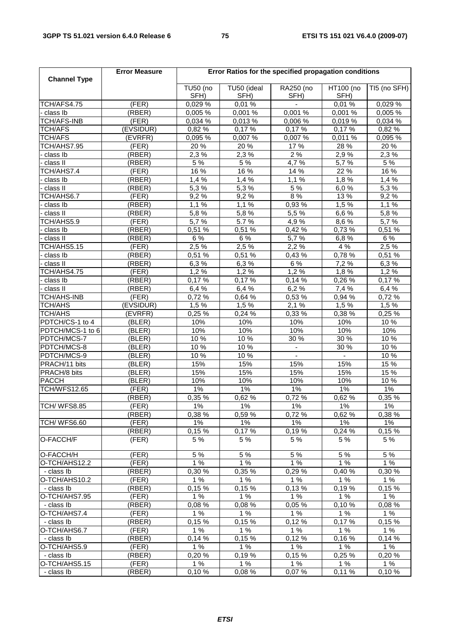| <b>Channel Type</b> | <b>Error Measure</b> | Error Ratios for the specified propagation conditions |             |                    |                |                           |
|---------------------|----------------------|-------------------------------------------------------|-------------|--------------------|----------------|---------------------------|
|                     |                      |                                                       |             |                    | HT100 (no      |                           |
|                     |                      | <b>TU50 (no</b>                                       | TU50 (ideal | RA250 (no          |                | $\overline{TI5}$ (no SFH) |
|                     |                      | SFH)                                                  | SFH)        | SFH)               | SFH)           |                           |
| TCH/AFS4.75         | (FER)                | 0,029 %                                               | 0,01%       |                    | 0,01%          | 0,029 %                   |
| class Ib            | (RBER)               | 0,005 %                                               | 0,001 %     | 0,001 %            | 0,001 %        | 0,005 %                   |
| <b>TCH/AFS-INB</b>  | (FER)                | 0,034 %                                               | 0,013%      | 0,006 %            | 0,019 %        | 0,034 %                   |
| <b>TCH/AFS</b>      | (EVSIDUR)            | 0,82 %                                                | 0,17%       | 0,17%              | 0,17%          | 0,82 %                    |
| <b>TCH/AFS</b>      | (EVRFR)              | 0,095 %                                               | 0,007 %     | 0,007 %            | 0,011 %        | 0,095 %                   |
| TCH/AHS7.95         | (FER)                | 20 %                                                  | 20 %        | 17%                | 28 %           | 20 %                      |
| - class Ib          | (RBER)               | 2,3%                                                  | 2,3%        | $2\%$              | 2,9%           | 2,3%                      |
| - class II          | (RBER)               | 5 %                                                   | 5 %         | $\overline{4,7}$ % | 5,7%           | 5 %                       |
| TCH/AHS7.4          | (FER)                | 16 %                                                  | 16 %        | 14 %               | 22 %           | 16 %                      |
| - class Ib          | (RBER)               | 1,4%                                                  | 1,4%        | 1,1%               | 1,8%           | 1,4%                      |
| - class II          | (RBER)               | 5,3%                                                  | 5,3%        | 5 %                | 6,0%           | 5,3%                      |
| TCH/AHS6.7          | (FER)                | 9,2%                                                  | 9,2%        | 8%                 | 13 %           | 9,2%                      |
| class Ib            | (RBER)               | 1,1%                                                  | 1,1%        | 0,93%              | 1,5%           | 1,1%                      |
| class II            | (RBER)               | 5,8%                                                  | 5,8%        | 5,5 %              | 6,6 %          | 5,8%                      |
| TCH/AHS5.9          | (FER)                | 5,7%                                                  | 5.7%        | 4,9%               | 8,6%           | 5,7%                      |
| class Ib            | (RBER)               | 0,51 %                                                | 0,51 %      | 0,42%              | 0,73%          | 0,51 %                    |
| - class II          | (RBER)               | 6 %                                                   | 6 %         | 5,7%               | 6,8%           | 6 %                       |
| TCH/AHS5.15         | (FER)                | 2,5 %                                                 | 2,5%        | 2,2%               | 4 %            | 2,5 %                     |
| class Ib            | (RBER)               | 0,51 %                                                | 0,51 %      | 0,43%              | 0,78%          | 0,51 %                    |
| class II            | (RBER)               | 6,3%                                                  | 6,3%        | $6\%$              | 7,2 %          | 6,3%                      |
| TCH/AHS4.75         | (FER)                | 1,2%                                                  | 1,2%        | 1,2%               | 1,8%           | 1,2%                      |
| class Ib            | (RBER)               | 0,17%                                                 | 0,17%       | 0,14%              | 0,26 %         | 0,17%                     |
| - class II          | (RBER)               | 6,4 %                                                 | 6,4 %       | 6,2%               | 7,4%           | 6,4 %                     |
| <b>TCH/AHS-INB</b>  | (FER)                | 0,72 %                                                | 0,64 %      | 0,53 %             | 0,94 %         | 0,72 %                    |
| <b>TCH/AHS</b>      | (EVSIDUR)            | 1,5%                                                  | 1,5%        | 2,1%               | 1,5 %          | 1,5 %                     |
| <b>TCH/AHS</b>      | (EVRFR)              | 0,25 %                                                | 0,24%       | 0,33 %             | 0,38 %         | 0,25%                     |
| PDTCH/CS-1 to 4     | (BLER)               | 10%                                                   | 10%         | 10%                | 10%            | 10 %                      |
| PDTCH/MCS-1 to 6    | (BLER)               | 10%                                                   | 10%         | 10%                | 10%            | 10%                       |
| PDTCH/MCS-7         | (BLER)               | 10 %                                                  | 10%         | 30 %               | 30 %           | 10%                       |
|                     | (BLER)               | 10 %                                                  | 10 %        |                    | 30 %           | 10%                       |
| PDTCH/MCS-8         |                      | 10%                                                   | 10%         | $\blacksquare$     |                |                           |
| PDTCH/MCS-9         | (BLER)               |                                                       |             |                    | $\blacksquare$ | 10 %                      |
| PRACH/11 bits       | (BLER)               | 15%                                                   | 15%         | 15%                | 15%            | 15 %                      |
| PRACH/8 bits        | (BLER)               | 15%                                                   | 15%         | 15%                | 15%            | 15 %                      |
| <b>PACCH</b>        | (BLER)               | 10%                                                   | 10%         | 10%                | 10%            | 10 %                      |
| TCH/WFS12.65        | (FER)                | $1\%$                                                 | $1\%$       | $1\%$              | $1\%$          | $1\%$                     |
|                     | (RBER)               | 0,35 %                                                | 0,62%       | 0,72%              | 0,62%          | 0,35 %                    |
| TCH/WFS8.85         | (FER)                | $1\%$                                                 | $1\%$       | $1\%$              | $1\%$          | $1\%$                     |
|                     | (RBER)               | 0.38%                                                 | 0.59%       | 0.72%              | 0.62%          | 0.38%                     |
| TCH/WFS6.60         | (FER)                | 1%                                                    | $1\%$       | 1%                 | 1%             | 1%                        |
|                     | (RBER)               | 0,15%                                                 | 0,17%       | 0.19%              | 0,24%          | 0,15%                     |
| O-FACCH/F           | (FER)                | 5 %                                                   | 5 %         | 5 %                | 5 %            | 5 %                       |
| O-FACCH/H           | (FER)                | 5 %                                                   | 5 %         | 5 %                | 5 %            | 5 %                       |
| O-TCH/AHS12.2       | (FER)                | 1%                                                    | 1%          | 1%                 | 1%             | 1%                        |
| - class Ib          | (RBER)               | 0.30%                                                 | 0,35 %      | 0,29%              | 0,40%          | 0,30 %                    |
| O-TCH/AHS10.2       | (FER)                | 1%                                                    | 1%          | 1%                 | 1%             | 1%                        |
| - class Ib          | (RBER)               | 0,15%                                                 | 0.15%       | 0.13%              | 0.19%          | 0,15%                     |
| O-TCH/AHS7.95       | (FER)                | 1%                                                    | 1%          | 1%                 | 1%             | 1%                        |
| - class Ib          | (RBER)               | 0.08%                                                 | 0,08%       | 0,05%              | 0,10%          | 0.08%                     |
| O-TCH/AHS7.4        | (FER)                | 1%                                                    | 1%          | 1%                 | 1%             | 1%                        |
| - class Ib          | (RBER)               | 0,15%                                                 | 0,15%       | 0,12%              | 0,17%          | 0,15%                     |
| O-TCH/AHS6.7        | (FER)                | 1%                                                    | 1%          | 1%                 | 1%             | 1%                        |
| - class Ib          | (RBER)               | 0,14%                                                 | 0,15%       | 0,12%              | 0.16%          | 0.14%                     |
| O-TCH/AHS5.9        | (FER)                | 1%                                                    | 1%          | 1%                 | 1%             |                           |
|                     |                      |                                                       |             |                    |                | 1%                        |
| - class Ib          | (RBER)               | 0,20%                                                 | 0,19%       | 0,15%              | 0,25%          | 0,20%                     |
| O-TCH/AHS5.15       | (FER)                | 1%                                                    | 1%          | 1%                 | 1%             | 1%                        |
| - class Ib          | (RBER)               | 0,10%                                                 | 0,08%       | 0,07%              | 0,11%          | 0,10%                     |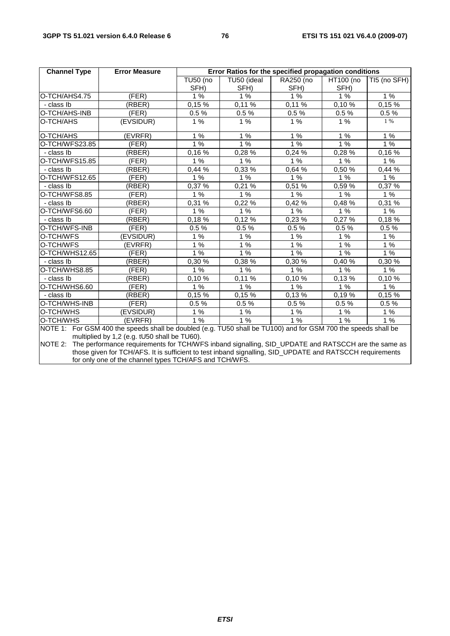| <b>Channel Type</b> | <b>Error Measure</b>                                                                                           | Error Ratios for the specified propagation conditions |             |           |                               |              |
|---------------------|----------------------------------------------------------------------------------------------------------------|-------------------------------------------------------|-------------|-----------|-------------------------------|--------------|
|                     |                                                                                                                | <b>TU50 (no</b>                                       | TU50 (ideal | RA250 (no | HT100 (no                     | TI5 (no SFH) |
|                     |                                                                                                                | SFH)                                                  | SFH)        | SFH)      | SFH)                          |              |
| O-TCH/AHS4.75       | (FER)                                                                                                          | 1%                                                    | 1%          | 1%        | 1%                            | 1%           |
| - class Ib          | (RBER)                                                                                                         | 0,15%                                                 | $0,11\%$    | 0,11%     | $0,10\,\sqrt[6]{\phantom{.}}$ | $0,15\%$     |
| O-TCH/AHS-INB       | (FER)                                                                                                          | 0.5%                                                  | $0.5\ \%$   | 0.5%      | 0.5%                          | 0.5%         |
| O-TCH/AHS           | (EVSIDUR)                                                                                                      | 1%                                                    | 1%          | 1%        | 1%                            | 1 %          |
| O-TCH/AHS           | (EVRFR)                                                                                                        | 1%                                                    | 1%          | 1%        | 1%                            | 1%           |
| O-TCH/WFS23.85      | (FER)                                                                                                          | 1%                                                    | 1%          | 1%        | 1%                            | 1%           |
| - class Ib          | (RBER)                                                                                                         | 0,16%                                                 | $0,28\%$    | 0,24%     | 0,28%                         | 0,16%        |
| O-TCH/WFS15.85      | (FER)                                                                                                          | 1%                                                    | 1%          | 1%        | 1%                            | 1%           |
| - class Ib          | (RBER)                                                                                                         | 0,44 %                                                | 0,33 %      | 0,64 %    | 0,50 %                        | 0,44%        |
| O-TCH/WFS12.65      | (FER)                                                                                                          | 1%                                                    | 1%          | 1%        | 1%                            | 1%           |
| - class Ib          | (RBER)                                                                                                         | 0,37%                                                 | $0,21\%$    | 0,51%     | 0,59%                         | 0,37 %       |
| O-TCH/WFS8.85       | (FER)                                                                                                          | 1%                                                    | 1%          | 1%        | 1%                            | 1%           |
| - class Ib          | (RBER)                                                                                                         | 0,31 %                                                | 0,22 %      | 0,42%     | 0,48%                         | 0,31 %       |
| O-TCH/WFS6.60       | (FER)                                                                                                          | 1%                                                    | 1%          | 1%        | $1\%$                         | 1%           |
| - class Ib          | (RBER)                                                                                                         | 0,18%                                                 | 0,12%       | 0,23 %    | 0,27%                         | 0,18%        |
| O-TCH/WFS-INB       | (FER)                                                                                                          | 0.5%                                                  | 0.5%        | 0.5%      | 0.5%                          | 0.5%         |
| O-TCH/WFS           | (EVSIDUR)                                                                                                      | 1%                                                    | $1%$        | 1%        | $1\%$                         | 1%           |
| O-TCH/WFS           | (EVRFR)                                                                                                        | 1%                                                    | 1%          | 1%        | 1%                            | $1\%$        |
| O-TCH/WHS12.65      | (FER)                                                                                                          | 1%                                                    | 1%          | 1%        | 1%                            | 1%           |
| - class Ib          | (RBER)                                                                                                         | 0,30 %                                                | 0,38 %      | 0,30 %    | $0,40\,\sqrt{2}$              | 0,30 %       |
| O-TCH/WHS8.85       | (FER)                                                                                                          | 1%                                                    | 1%          | 1%        | 1%                            | 1%           |
| - class Ib          | (RBER)                                                                                                         | 0,10%                                                 | 0,11%       | 0.10%     | 0,13%                         | 0,10%        |
| O-TCH/WHS6.60       | (FER)                                                                                                          | 1%                                                    | 1%          | 1%        | 1%                            | $1\%$        |
| - class Ib          | (RBER)                                                                                                         | 0,15%                                                 | 0,15%       | 0,13%     | 0,19%                         | 0,15%        |
| O-TCH/WHS-INB       | (FER)                                                                                                          | 0.5%                                                  | 0.5%        | 0.5%      | 0.5%                          | 0.5%         |
| O-TCH/WHS           | (EVSIDUR)                                                                                                      | 1%                                                    | 1%          | 1%        | 1%                            | 1%           |
| O-TCH/WHS           | (EVRFR)                                                                                                        | 1%                                                    | 1%          | 1%        | 1%                            | 1%           |
|                     | NOTE 1: For GSM 400 the speeds shall be doubled (e.g. TU50 shall be TU100) and for GSM 700 the speeds shall be |                                                       |             |           |                               |              |

multiplied by 1,2 (e.g. tU50 shall be TU60).

NOTE 2: The performance requirements for TCH/WFS inband signalling, SID\_UPDATE and RATSCCH are the same as those given for TCH/AFS. It is sufficient to test inband signalling, SID\_UPDATE and RATSCCH requirements for only one of the channel types TCH/AFS and TCH/WFS.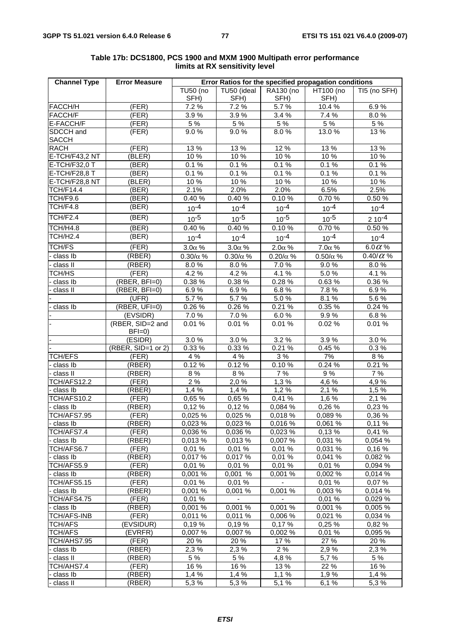| <b>Channel Type</b> | <b>Error Measure</b>          | Error Ratios for the specified propagation conditions |                                  |                     |                 |                                               |
|---------------------|-------------------------------|-------------------------------------------------------|----------------------------------|---------------------|-----------------|-----------------------------------------------|
|                     |                               | <b>TU50 (no</b>                                       | TU50 (ideal                      | RA130 (no           | HT100 (no       | TI5 (no SFH)                                  |
|                     |                               | SFH)                                                  | SFH)                             | SFH)                | SFH)            |                                               |
| FACCH/H             | (FER)                         | 7.2 %                                                 | 7.2%                             | 5.7%                | 10.4 %          | 6.9%                                          |
| FACCH/F             | (FER)                         | 3.9%                                                  | 3.9%                             | 3.4 %               | 7.4 %           | 8.0%                                          |
| E-FACCH/F           | (FER)                         | 5 %                                                   | 5 %                              | 5 %                 | 5 %             | 5 %                                           |
| SDCCH and           | (FER)                         | 9.0%                                                  | 9.0%                             | 8.0%                | 13.0 %          | 13 %                                          |
| <b>SACCH</b>        |                               |                                                       |                                  |                     |                 |                                               |
| <b>RACH</b>         | (FER)                         | 13 %                                                  | 13%                              | 12 %                | 13 %            | 13 %                                          |
| E-TCH/F43,2 NT      | (BLER)                        | 10 %                                                  | 10%                              | 10 %                | 10 %            | 10 %                                          |
| E-TCH/F32,0 T       | (BER)                         | 0.1%                                                  | 0.1%                             | 0.1%                | 0.1%            | 0.1%                                          |
| E-TCH/F28,8 T       | (BER)                         | 0.1%                                                  | 0.1%                             | 0.1%                | 0.1%            | 0.1%                                          |
| E-TCH/F28,8 NT      | (BLER)                        | 10%                                                   | 10 %                             | 10 %                | 10 %            | 10%                                           |
| <b>TCH/F14.4</b>    | (EER)                         | 2.1%                                                  | 2.0%                             | 2.0%                | 6.5%            | 2.5%                                          |
| TCH/F9.6            | (BER)                         | 0.40%                                                 | $0.40\%$                         | 0.10%               | 0.70%           | 0.50 %                                        |
| TCH/F4.8            | (EER)                         | $10^{-4}$                                             | $10^{-4}$                        | $10^{-4}$           | $10^{-4}$       | $10^{-4}$                                     |
| TCH/F2.4            | (BER)                         | $10^{-5}$                                             | $10^{-5}$                        | $10^{-5}$           | $10^{-5}$       | $210^{-4}$                                    |
| TCH/H4.8            | (BER)                         | 0.40%                                                 | 0.40%                            | 0.10%               | 0.70%           | 0.50 %                                        |
| TCH/H2.4            | (BER)                         | $10^{-4}$                                             | $10^{-4}$                        | $10^{-4}$           | $10^{-4}$       | $10^{-4}$                                     |
| <b>TCH/FS</b>       |                               |                                                       |                                  |                     |                 |                                               |
| class lb            | (FER)<br>(RBER)               | $3.0\alpha$ %                                         | $3.0\alpha$ %<br>$0.30/\alpha$ % | $2.0\alpha$ %       | $7.0\alpha$ %   | $\overline{6.0 \alpha}$ %<br>0.40/ $\alpha$ % |
|                     |                               | $0.30/\alpha$ %                                       |                                  | $0.20/\alpha$ %     | $0.50/\alpha$ % |                                               |
| class II            | (RBER)                        | 8.0%                                                  | 8.0%                             | 7.0%                | 9.0%            | 8.0%                                          |
| TCH/HS              | (FER)                         | 4.2 %                                                 | 4.2%                             | 4.1 %               | 5.0%            | 4.1 %                                         |
| class Ib            | (RBER, BFI=0)                 | 0.38 %                                                | 0.38%                            | 0.28%               | 0.63%           | 0.36 %                                        |
| class II            | (RBER, BFI=0)                 | 6.9%                                                  | 6.9%                             | 6.8%                | 7.8%            | 6.9%                                          |
|                     | (UFR)                         | 5.7%                                                  | 5.7%                             | 5.0%                | 8.1%            | 5.6%                                          |
| class Ib            | (RBER, UFI=0)                 | 0.26%                                                 | 0.26%                            | 0.21%               | 0.35%           | 0.24%                                         |
|                     | (EVSIDR)                      | 7.0%                                                  | 7.0%                             | 6.0%                | 9.9%            | 6.8%                                          |
|                     | (RBER, SID=2 and<br>$BFI=0$   | 0.01%                                                 | 0.01%                            | 0.01%               | 0.02%           | 0.01%                                         |
|                     | $\overline{\textsf{(ESIDR)}}$ | 3.0%                                                  | 3.0%                             | 3.2%                | 3.9%            | 3.0%                                          |
|                     | (RBER, SID=1 or 2)            | 0.33 %                                                | 0.33 %                           | 0.21%               | 0.45%           | 0.3%                                          |
| <b>TCH/EFS</b>      | (FER)                         | 4 %                                                   | 4 %                              | 3 %                 | 7%              | $8\ \%$                                       |
| - class Ib          | (RBER)                        | 0.12%                                                 | 0.12%                            | 0.10%               | 0.24%           | 0.21%                                         |
| class II            | (RBER)                        | 8 %                                                   | 8 %                              | 7%                  | 9%              | 7%                                            |
| TCH/AFS12.2         | (FER)                         | 2%                                                    | 2,0 %                            | $\overline{1}$ ,3 % | 4,6%            | 4,9%                                          |
| class Ib            | (RBER)                        | 1,4%                                                  | 1,4%                             | 1,2%                | $2,1\%$         | 1,5%                                          |
| TCH/AFS10.2         | (FER)                         | 0,65 %                                                | 0,65 %                           | 0,41%               | 1,6%            | 2,1%                                          |
| - class Ib          | (RBER)                        | 0,12%                                                 | 0,12%                            | 0,084 %             | 0,26 %          | 0,23 %                                        |
| TCH/AFS7.95         | (FER)                         | 0,025 %                                               | 0,025 %                          | 0,018 %             | 0,089%          | 0,36 %                                        |
| - class Ib          | (RBER)                        | 0,023 %                                               | 0,023 %                          | 0,016 %             | 0.061%          | 0,11%                                         |
| TCH/AFS7.4          | (FER)                         | 0,036%                                                | 0,036 %                          | 0,023%              | 0,13%           | 0,41%                                         |
| - class Ib          | (RBER)                        | 0,013 %                                               | 0,013 %                          | 0,007 %             | 0,031 %         | 0,054 %                                       |
| TCH/AFS6.7          | (FER)                         | 0,01%                                                 | 0,01%                            | 0,01%               | 0,031 %         | 0,16%                                         |
| - class Ib          | (RBER)                        | 0,017 %                                               | 0,017%                           | 0,01%               | 0,041 %         | 0,082 %                                       |
| TCH/AFS5.9          | (FER)                         | 0,01%                                                 | 0,01%                            | 0,01%               | 0,01%           | 0,094 %                                       |
| - class Ib          | (RBER)                        | 0,001 %                                               | 0,001 %                          | 0,001 %             | 0,002%          | 0,014 %                                       |
| TCH/AFS5.15         | (FER)                         | 0,01%                                                 | 0,01%                            |                     | 0,01%           | 0,07%                                         |
| class Ib            | (RBER)                        | 0,001%                                                | 0,001%                           | 0,001 %             | 0,003 %         | 0,014 %                                       |
| TCH/AFS4.75         | (FER)                         | 0,01%                                                 | $\blacksquare$                   | $\blacksquare$      | 0,01%           | 0,029 %                                       |
| class Ib            | (RBER)                        | 0,001 %                                               | 0,001 %                          | 0,001 %             | 0,001 %         | 0,005 %                                       |
| TCH/AFS-INB         | (FER)                         | 0,011 %                                               | 0,011 %                          | 0,006%              | 0,021 %         | 0,034 %                                       |
| TCH/AFS             | (EVSIDUR)                     | 0,19%                                                 | 0,19%                            | 0,17%               | 0,25%           | 0,82 %                                        |
| <b>TCH/AFS</b>      | (EVRFR)                       | 0,007 %                                               | 0,007 %                          | 0,002 %             | 0,01%           | 0,095 %                                       |
| TCH/AHS7.95         | (FER)                         | 20 %                                                  | 20 %                             | 17%                 | 27 %            | 20 %                                          |
| - class Ib          | (RBER)                        | 2,3%                                                  | 2,3%                             | 2%                  | 2,9%            | 2,3%                                          |
| class II            | (RBER)                        | 5 %                                                   | 5 %                              | 4,8%                | 5,7 %           | 5 %                                           |
| TCH/AHS7.4          | (FER)                         | 16 %                                                  | 16 %                             | 13%                 | 22 %            | 16 %                                          |
| class lb            | (RBER)                        | 1,4%                                                  | 1,4%                             | 1,1%                | 1,9%            | 1,4%                                          |
| class II            | (RBER)                        | 5,3%                                                  | 5,3%                             | 5,1%                | 6,1%            | 5,3%                                          |

#### **Table 17b: DCS1800, PCS 1900 and MXM 1900 Multipath error performance limits at RX sensitivity level**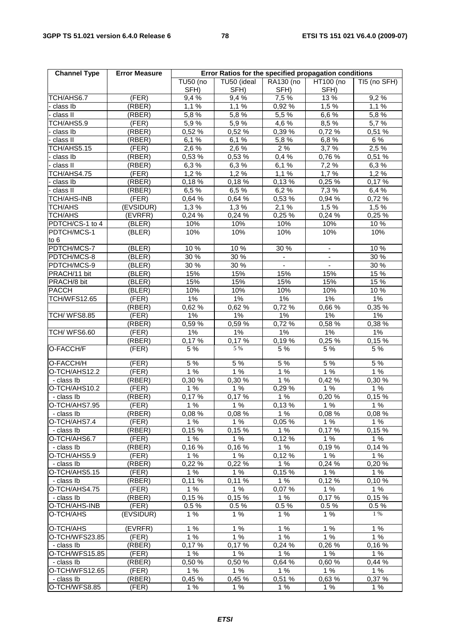| <b>Channel Type</b>          | <b>Error Measure</b> | Error Ratios for the specified propagation conditions |                  |              |                          |              |
|------------------------------|----------------------|-------------------------------------------------------|------------------|--------------|--------------------------|--------------|
|                              |                      | <b>TU50 (no</b>                                       | TU50 (ideal      | RA130 (no    | HT100 (no                | TI5 (no SFH) |
|                              |                      | SFH)                                                  | SFH)             | SFH)         | SFH)                     |              |
| TCH/AHS6.7                   | (FER)                | 9,4 %                                                 | 9,4%             | 7,5 %        | 13 %                     | 9,2%         |
| class Ib                     | (RBER)               | 1,1%                                                  | 1,1%             | 0,92 %       | 1,5 %                    | 1,1%         |
| class II                     | (RBER)               | $\overline{5}$ ,8 %                                   | 5.8%             | 5,5 %        | 6,6%                     | 5,8%         |
| TCH/AHS5.9                   | (FER)                | 5,9%                                                  | 5,9%             | 4,6%         | 8,5 %                    | 5,7 %        |
| class Ib                     | (RBER)               | 0,52%                                                 | 0,52 %           | 0,39 %       | 0,72%                    | 0,51%        |
| class II                     | (RBER)               | 6,1%                                                  | 6,1%             | 5,8%         | 6,8%                     | 6 %          |
| TCH/AHS5.15                  | (FER)                | 2,6%                                                  | $2,6\%$          | 2%           | 3,7%                     | 2,5%         |
| class Ib                     | (RBER)               | 0,53 %                                                | 0,53 %           | 0,4%         | 0,76 %                   | 0,51%        |
| class II                     | (RBER)               | 6,3%                                                  | 6,3%             | 6,1%         | 7,2 %                    | 6,3%         |
| TCH/AHS4.75                  | (FER)                | 1,2%                                                  | 1,2%             | 1,1%         | 1,7%                     | 1,2%         |
| class lb                     | (RBER)               | 0,18%                                                 | 0,18%            | 0,13%        | 0,25%                    | 0,17%        |
| class II                     | (RBER)               | 6,5 %                                                 | 6,5%             | 6,2%         | 7,3 %                    | 6,4%         |
| TCH/AHS-INB                  | (FER)                | 0,64 %                                                | 0,64 %           | 0,53 %       | 0,94 %                   | 0,72%        |
| <b>TCH/AHS</b>               | (EVSIDUR)            | 1,3%                                                  | 1,3%             | 2,1%         | 1,5%                     | 1,5%         |
| <b>TCH/AHS</b>               | (EVRFR)              | 0,24%                                                 | 0,24%            | 0,25%        | 0,24%                    | 0,25 %       |
| PDTCH/CS-1 to 4              | (BLER)               | 10%                                                   | 10%              | 10%          | 10%                      | 10 %         |
| PDTCH/MCS-1<br>to 6          | (BLER)               | 10%                                                   | 10%              | 10%          | 10%                      | 10%          |
| PDTCH/MCS-7                  | (BLER)               | 10 %                                                  | $\frac{1}{10}$ % | 30 %         | $\overline{\phantom{a}}$ | 10%          |
| PDTCH/MCS-8                  | (BLER)               | 30 %                                                  | 30 %             |              |                          | 30 %         |
| PDTCH/MCS-9                  | (BLER)               | 30%                                                   | 30 %             | $\mathbf{r}$ |                          | 30 %         |
| PRACH/11 bit                 | (BLER)               | 15%                                                   | 15%              | 15%          | 15%                      | 15 %         |
| PRACH/8 bit                  | ( <b>BLER</b> )      | 15%                                                   | 15%              | 15%          | 15%                      | 15 %         |
| <b>PACCH</b>                 | (BLER)               | 10%                                                   | 10%              | 10%          | 10%                      | 10 %         |
| <b>TCH/WFS12.65</b>          | (FER)                | $1\%$                                                 | 1%               | 1%           | $1\%$                    | $1\%$        |
|                              | (RBER)               | 0,62%                                                 | 0,62 %           | 0,72 %       | 0,66 %                   | 0,35%        |
| <b>TCH/ WFS8.85</b>          | (FER)                | $1\%$                                                 | 1%               | 1%           | $1\%$                    | $1\%$        |
|                              | (RBER)               | 0,59%                                                 | 0,59 %           | 0,72%        | 0,58 %                   | 0,38 %       |
| TCH/WFS6.60                  | (FER)                | 1%                                                    | 1%               | $1\%$        | $1\%$                    | 1%           |
|                              | (RBER)               | 0,17%                                                 | 0,17%            | 0,19%        | 0,25%                    | 0,15%        |
| O-FACCH/F                    | (FER)                | 5 %                                                   | 5 %              | 5 %          | 5 %                      | 5 %          |
| O-FACCH/H                    | (FER)                | 5 %                                                   | 5 %              | 5 %          | 5 %                      | 5 %          |
| O-TCH/AHS12.2                | (FER)                | 1%                                                    | 1%               | 1%           | 1%                       | 1%           |
| - class Ib                   | (RBER)               | 0,30%                                                 | 0,30 %           | 1%           | 0,42 %                   | 0,30 %       |
| O-TCH/AHS10.2                | (FER)                | 1%                                                    | 1%               | 0.29%        | 1%                       | 1%           |
| - class Ib                   | (RBER)               | 0,17%                                                 | 0,17%            | 1%           | 0,20%                    | 0,15%        |
| O-TCH/AHS7.95                | (FER)                | 1%                                                    | 1%               | 0,13%        | 1%                       | 1%           |
| - class Ib                   | (RBER)               | 0.08%                                                 | 0.08%            | 1%           | 0.08%                    | 0,08%        |
| O-TCH/AHS7.4                 | (FER)                | 1%                                                    | 1%               | 0,05%        | 1%                       | 1%           |
| - class Ib                   | (RBER)               | 0,15%                                                 | 0.15%            | 1%           | 0.17%                    | 0,15%        |
| O-TCH/AHS6.7                 | (FER)                | 1%                                                    | 1%               | 0,12%        | 1%                       | 1%           |
| - class Ib                   | (RBER)               | 0,16%                                                 | 0,16%            | 1%           | 0,19%                    | 0,14%        |
| O-TCH/AHS5.9                 | (FER)                | 1%                                                    | 1%               | 0,12%        | 1%                       | 1%           |
| - class Ib                   | (RBER)               | 0,22 %                                                | 0,22 %           | 1%           | 0,24 %                   | 0,20%        |
| O-TCH/AHS5.15                | (FER)                | 1%                                                    | 1%               | 0,15%        | 1%                       | 1%<br>0.10%  |
| - class Ib                   | (RBER)               | 0,11%                                                 | 0,11%            | 1%           | 0,12%<br>1%              | 1%           |
| O-TCH/AHS4.75                | (FER)<br>(RBER)      | 1%<br>0,15%                                           | 1%<br>0,15%      | 0,07%<br>1%  | 0.17%                    | 0.15%        |
| - class Ib<br>O-TCH/AHS-INB  | (FER)                | 0.5%                                                  | 0.5%             | 0.5%         | 0.5%                     | 0.5%         |
| O-TCH/AHS                    | (EVSIDUR)            | 1%                                                    | 1%               | 1%           | 1%                       | 1 %          |
| O-TCH/AHS                    | (EVRFR)              | 1%                                                    | 1%               | 1%           | 1%                       | 1%           |
|                              |                      | 1%                                                    | 1%               | 1%           | 1%                       | 1%           |
| O-TCH/WFS23.85<br>- class Ib | (FER)                |                                                       |                  | 0,24 %       | 0,26 %                   | 0,16%        |
| O-TCH/WFS15.85               | (RBER)               | 0,17%<br>1%                                           | 0,17%<br>1%      | 1%           | 1%                       | 1%           |
|                              | (FER)                |                                                       |                  |              | 0.60%                    | 0,44%        |
| - class Ib<br>O-TCH/WFS12.65 | (RBER)<br>(FER)      | 0,50%<br>1%                                           | 0,50%<br>1%      | 0,64%<br>1%  | $1\%$                    | 1%           |
| - class Ib                   | (RBER)               | 0,45%                                                 | 0,45 %           | 0,51%        | 0,63 %                   | 0,37 %       |
| O-TCH/WFS8.85                | (FER)                | 1%                                                    | 1%               | 1%           | 1%                       | 1%           |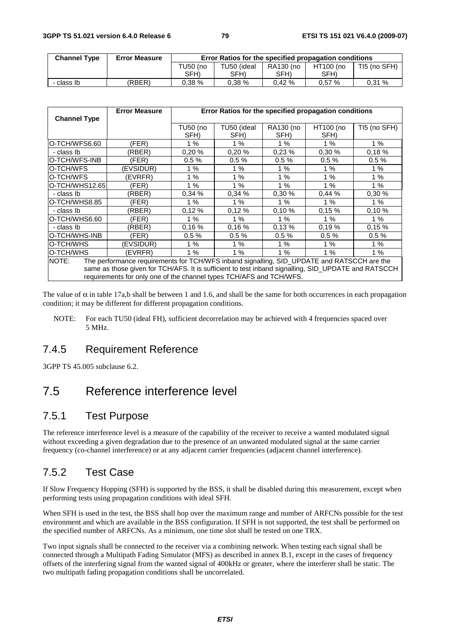| <b>Channel Type</b> | <b>Error Measure</b> | Error Ratios for the specified propagation conditions |             |           |           |              |
|---------------------|----------------------|-------------------------------------------------------|-------------|-----------|-----------|--------------|
|                     |                      | TU50 (no                                              | TU50 (ideal | RA130 (no | HT100 (no | TI5 (no SFH) |
|                     |                      | SFH)                                                  | SFH)        | SFH)      | SFH)      |              |
| - class Ib          | (RBER)               | 0.38%                                                 | $0.38\%$    | $0.42 \%$ | 0.57%     | 0.31%        |

| <b>Channel Type</b>                                                                                                                                                                                                                                                               | <b>Error Measure</b> | Error Ratios for the specified propagation conditions |                     |                   |                   |              |
|-----------------------------------------------------------------------------------------------------------------------------------------------------------------------------------------------------------------------------------------------------------------------------------|----------------------|-------------------------------------------------------|---------------------|-------------------|-------------------|--------------|
|                                                                                                                                                                                                                                                                                   |                      | TU50 (no<br>SFH)                                      | TU50 (ideal<br>SFH) | RA130 (no<br>SFH) | HT100 (no<br>SFH) | TI5 (no SFH) |
| O-TCH/WFS6.60                                                                                                                                                                                                                                                                     | (FER)                | 1%                                                    | 1%                  | 1%                | 1%                | 1%           |
| - class Ib                                                                                                                                                                                                                                                                        | (RBER)               | 0.20%                                                 | 0.20%               | 0.23%             | 0.30%             | 0.18%        |
| O-TCH/WFS-INB                                                                                                                                                                                                                                                                     | (FER)                | 0.5%                                                  | 0.5%                | 0.5%              | 0.5%              | 0.5%         |
| O-TCH/WFS                                                                                                                                                                                                                                                                         | (EVSIDUR)            | 1%                                                    | 1%                  | 1%                | 1%                | 1%           |
| O-TCH/WFS                                                                                                                                                                                                                                                                         | (EVRFR)              | $1\%$                                                 | 1%                  | 1%                | 1%                | 1%           |
| O-TCH/WHS12.65                                                                                                                                                                                                                                                                    | (FER)                | 1%                                                    | 1%                  | 1%                | 1%                | 1%           |
| - class Ib                                                                                                                                                                                                                                                                        | (RBER)               | 0.34%                                                 | 0.34%               | 0.30%             | 0.44%             | 0.30%        |
| O-TCH/WHS8.85                                                                                                                                                                                                                                                                     | (FER)                | 1%                                                    | 1%                  | 1%                | 1%                | 1%           |
| - class Ib                                                                                                                                                                                                                                                                        | (RBER)               | 0.12%                                                 | 0.12%               | 0.10%             | 0.15%             | 0.10%        |
| O-TCH/WHS6.60                                                                                                                                                                                                                                                                     | (FER)                | 1%                                                    | 1%                  | 1%                | 1%                | 1%           |
| - class Ib                                                                                                                                                                                                                                                                        | (RBER)               | 0.16%                                                 | 0,16%               | 0.13%             | 0.19%             | 0.15%        |
| O-TCH/WHS-INB                                                                                                                                                                                                                                                                     | (FER)                | 0.5%                                                  | 0.5%                | 0.5%              | 0.5%              | 0.5%         |
| O-TCH/WHS                                                                                                                                                                                                                                                                         | (EVSIDUR)            | 1%                                                    | 1%                  | 1%                | 1%                | 1%           |
| O-TCH/WHS                                                                                                                                                                                                                                                                         | (EVRFR)              | $1\%$                                                 | 1%                  | 1%                | 1%                | 1%           |
| The performance requirements for TCH/WFS inband signalling, SID_UPDATE and RATSCCH are the<br>NOTE:<br>same as those given for TCH/AFS. It is sufficient to test inband signalling, SID_UPDATE and RATSCCH<br>requirements for only one of the channel types TCH/AFS and TCH/WFS. |                      |                                                       |                     |                   |                   |              |

The value of  $\alpha$  in table 17a,b shall be between 1 and 1.6, and shall be the same for both occurrences in each propagation condition; it may be different for different propagation conditions.

NOTE: For each TU50 (ideal FH), sufficient decorrelation may be achieved with 4 frequencies spaced over 5 MHz.

### 7.4.5 Requirement Reference

3GPP TS 45.005 subclause 6.2.

# 7.5 Reference interference level

### 7.5.1 Test Purpose

The reference interference level is a measure of the capability of the receiver to receive a wanted modulated signal without exceeding a given degradation due to the presence of an unwanted modulated signal at the same carrier frequency (co-channel interference) or at any adjacent carrier frequencies (adjacent channel interference).

# 7.5.2 Test Case

If Slow Frequency Hopping (SFH) is supported by the BSS, it shall be disabled during this measurement, except when performing tests using propagation conditions with ideal SFH.

When SFH is used in the test, the BSS shall hop over the maximum range and number of ARFCNs possible for the test environment and which are available in the BSS configuration. If SFH is not supported, the test shall be performed on the specified number of ARFCNs. As a minimum, one time slot shall be tested on one TRX.

Two input signals shall be connected to the receiver via a combining network. When testing each signal shall be connected through a Multipath Fading Simulator (MFS) as described in annex B.1, except in the cases of frequency offsets of the interfering signal from the wanted signal of 400kHz or greater, where the interferer shall be static. The two multipath fading propagation conditions shall be uncorrelated.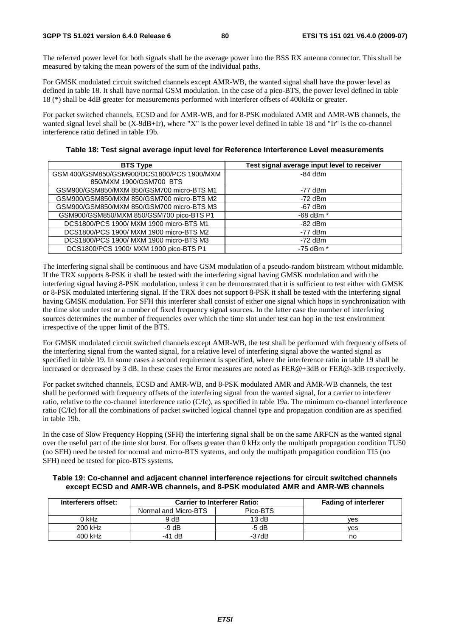The referred power level for both signals shall be the average power into the BSS RX antenna connector. This shall be measured by taking the mean powers of the sum of the individual paths.

For GMSK modulated circuit switched channels except AMR-WB, the wanted signal shall have the power level as defined in table 18. It shall have normal GSM modulation. In the case of a pico-BTS, the power level defined in table 18 (\*) shall be 4dB greater for measurements performed with interferer offsets of 400kHz or greater.

For packet switched channels, ECSD and for AMR-WB, and for 8-PSK modulated AMR and AMR-WB channels, the wanted signal level shall be (X-9dB+Ir), where "X" is the power level defined in table 18 and "Ir" is the co-channel interference ratio defined in table 19b.

| <b>BTS Type</b>                            | Test signal average input level to receiver |
|--------------------------------------------|---------------------------------------------|
| GSM 400/GSM850/GSM900/DCS1800/PCS 1900/MXM | $-84$ dBm                                   |
| 850/MXM 1900/GSM700 BTS                    |                                             |
| GSM900/GSM850/MXM 850/GSM700 micro-BTS M1  | $-77$ dBm                                   |
| GSM900/GSM850/MXM 850/GSM700 micro-BTS M2  | $-72$ dBm                                   |
| GSM900/GSM850/MXM 850/GSM700 micro-BTS M3  | $-67$ dBm                                   |
| GSM900/GSM850/MXM 850/GSM700 pico-BTS P1   | -68 dBm *                                   |
| DCS1800/PCS 1900/ MXM 1900 micro-BTS M1    | $-82$ dBm                                   |
| DCS1800/PCS 1900/ MXM 1900 micro-BTS M2    | $-77$ dBm                                   |
| DCS1800/PCS 1900/ MXM 1900 micro-BTS M3    | $-72$ dBm                                   |
| DCS1800/PCS 1900/ MXM 1900 pico-BTS P1     | $-75$ dBm $*$                               |

**Table 18: Test signal average input level for Reference Interference Level measurements** 

The interfering signal shall be continuous and have GSM modulation of a pseudo-random bitstream without midamble. If the TRX supports 8-PSK it shall be tested with the interfering signal having GMSK modulation and with the interfering signal having 8-PSK modulation, unless it can be demonstrated that it is sufficient to test either with GMSK or 8-PSK modulated interfering signal. If the TRX does not support 8-PSK it shall be tested with the interfering signal having GMSK modulation. For SFH this interferer shall consist of either one signal which hops in synchronization with the time slot under test or a number of fixed frequency signal sources. In the latter case the number of interfering sources determines the number of frequencies over which the time slot under test can hop in the test environment irrespective of the upper limit of the BTS.

For GMSK modulated circuit switched channels except AMR-WB, the test shall be performed with frequency offsets of the interfering signal from the wanted signal, for a relative level of interfering signal above the wanted signal as specified in table 19. In some cases a second requirement is specified, where the interference ratio in table 19 shall be increased or decreased by 3 dB. In these cases the Error measures are noted as FER@+3dB or FER@-3dB respectively.

For packet switched channels, ECSD and AMR-WB, and 8-PSK modulated AMR and AMR-WB channels, the test shall be performed with frequency offsets of the interfering signal from the wanted signal, for a carrier to interferer ratio, relative to the co-channel interference ratio (C/Ic), as specified in table 19a. The minimum co-channel interference ratio (C/Ic) for all the combinations of packet switched logical channel type and propagation condition are as specified in table 19b.

In the case of Slow Frequency Hopping (SFH) the interfering signal shall be on the same ARFCN as the wanted signal over the useful part of the time slot burst. For offsets greater than 0 kHz only the multipath propagation condition TU50 (no SFH) need be tested for normal and micro-BTS systems, and only the multipath propagation condition TI5 (no SFH) need be tested for pico-BTS systems.

**Table 19: Co-channel and adjacent channel interference rejections for circuit switched channels except ECSD and AMR-WB channels, and 8-PSK modulated AMR and AMR-WB channels** 

| Interferers offset: | <b>Carrier to Interferer Ratio:</b> | <b>Fading of interferer</b> |     |
|---------------------|-------------------------------------|-----------------------------|-----|
|                     | Normal and Micro-BTS                | Pico-BTS                    |     |
| 0 kHz               | 9 dB                                | 13dB                        | ves |
| 200 kHz             | -9 dB                               | -5 dB                       | ves |
| 400 kHz             | $-41$ dB                            | -37dB                       | no  |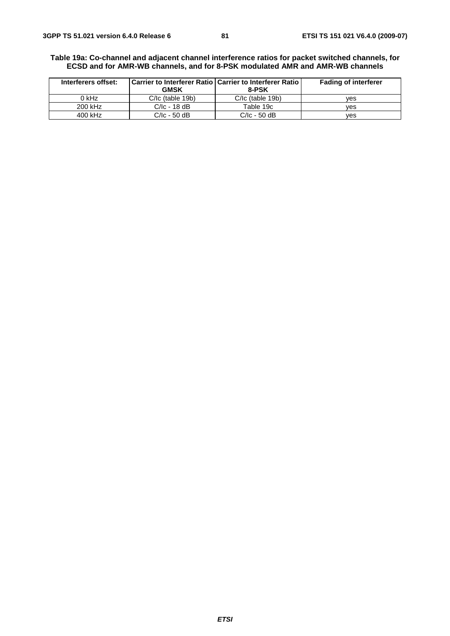#### **Table 19a: Co-channel and adjacent channel interference ratios for packet switched channels, for ECSD and for AMR-WB channels, and for 8-PSK modulated AMR and AMR-WB channels**

| Interferers offset: | <b>GMSK</b>        | ∣Carrier to Interferer Ratio ∣ Carrier to Interferer Ratio ∣<br>8-PSK | <b>Fading of interferer</b> |
|---------------------|--------------------|-----------------------------------------------------------------------|-----------------------------|
| 0 kHz               | $C/IC$ (table 19b) | $C/IC$ (table 19b)                                                    | ves                         |
| 200 kHz             | $C/IC - 18$ dB     | Table 19c                                                             | ves                         |
| 400 kHz             | $C/IC - 50$ dB     | $C/IC - 50$ dB                                                        | ves                         |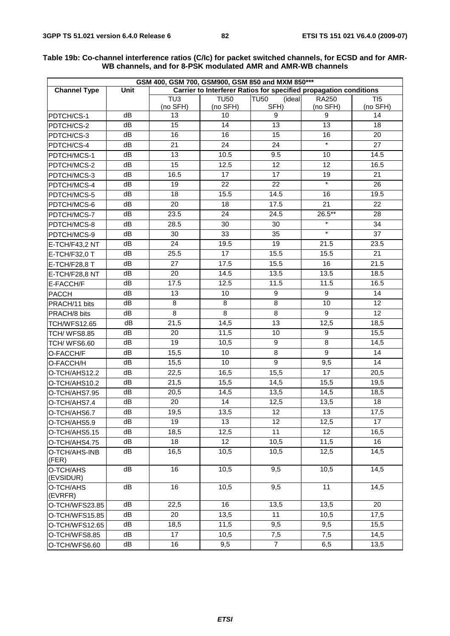| GSM 400, GSM 700, GSM900, GSM 850 and MXM 850*** |             |                 |             |                                                                   |                  |                 |  |
|--------------------------------------------------|-------------|-----------------|-------------|-------------------------------------------------------------------|------------------|-----------------|--|
| <b>Channel Type</b>                              | <b>Unit</b> |                 |             | Carrier to Interferer Ratios for specified propagation conditions |                  |                 |  |
|                                                  |             | TU <sub>3</sub> | <b>TU50</b> | <b>TU50</b><br>(ideal                                             | <b>RA250</b>     | TI5             |  |
|                                                  |             | (no SFH)        | (no SFH)    | SFH)                                                              | (no SFH)         | (no SFH)        |  |
| PDTCH/CS-1                                       | dB          | 13              | 10          | 9                                                                 | 9                | 14              |  |
| PDTCH/CS-2                                       | dB          | 15              | 14          | 13                                                                | $\overline{13}$  | 18              |  |
| PDTCH/CS-3                                       | dB          | 16              | 16          | 15                                                                | 16<br>$\ast$     | 20              |  |
| PDTCH/CS-4                                       | dB          | 21              | 24          | 24                                                                |                  | 27              |  |
| PDTCH/MCS-1                                      | dB          | 13              | 10.5        | 9.5                                                               | 10               | 14.5            |  |
| PDTCH/MCS-2                                      | dB          | $\overline{15}$ | 12.5        | $\overline{12}$                                                   | $\overline{12}$  | 16.5            |  |
| PDTCH/MCS-3                                      | dB          | 16.5            | 17          | 17                                                                | 19               | 21              |  |
| PDTCH/MCS-4                                      | dB          | 19              | 22          | 22                                                                | $\star$          | 26              |  |
| PDTCH/MCS-5                                      | dB          | 18              | 15.5        | 14.5                                                              | 16               | 19.5            |  |
| PDTCH/MCS-6                                      | dB          | 20              | 18          | 17.5                                                              | 21               | 22              |  |
| PDTCH/MCS-7                                      | dB          | 23.5            | 24          | 24.5                                                              | $26.5***$        | 28              |  |
| PDTCH/MCS-8                                      | dB          | 28.5            | 30          | 30                                                                | $\star$          | 34              |  |
| PDTCH/MCS-9                                      | dB          | 30              | 33          | 35                                                                | $\star$          | 37              |  |
| E-TCH/F43,2 NT                                   | dB          | 24              | 19.5        | 19                                                                | 21.5             | 23.5            |  |
| E-TCH/F32,0 T                                    | dB          | 25.5            | 17          | 15.5                                                              | 15.5             | 21              |  |
| E-TCH/F28,8 T                                    | dB          | 27              | 17.5        | 15.5                                                              | 16               | 21.5            |  |
| E-TCH/F28,8 NT                                   | dB          | $\overline{20}$ | 14.5        | 13.5                                                              | 13.5             | 18.5            |  |
| E-FACCH/F                                        | dB          | 17.5            | 12.5        | 11.5                                                              | 11.5             | 16.5            |  |
| <b>PACCH</b>                                     | dB          | 13              | 10          | 9                                                                 | 9                | 14              |  |
| PRACH/11 bits                                    | dB          | 8               | 8           | 8                                                                 | 10               | 12              |  |
| PRACH/8 bits                                     | dB          | 8               | 8           | 8                                                                 | $\boldsymbol{9}$ | $\overline{12}$ |  |
| <b>TCH/WFS12.65</b>                              | dB          | 21,5            | 14,5        | 13                                                                | 12,5             | 18,5            |  |
| <b>TCH/ WFS8.85</b>                              | dB          | 20              | 11,5        | 10                                                                | 9                | 15,5            |  |
| TCH/WFS6.60                                      | dB          | 19              | 10,5        | 9                                                                 | 8                | 14,5            |  |
| O-FACCH/F                                        | dB          | 15,5            | 10          | $\overline{8}$                                                    | $\overline{9}$   | 14              |  |
| O-FACCH/H                                        | dB          | 15,5            | 10          | 9                                                                 | 9,5              | 14              |  |
| O-TCH/AHS12.2                                    | dB          | 22,5            | 16,5        | 15,5                                                              | 17               | 20,5            |  |
| O-TCH/AHS10.2                                    | dB          | 21,5            | 15,5        | 14,5                                                              | 15,5             | 19,5            |  |
| O-TCH/AHS7.95                                    | dB          | 20,5            | 14,5        | 13,5                                                              | 14,5             | 18,5            |  |
| O-TCH/AHS7.4                                     | dB          | 20              | 14          | 12,5                                                              | 13,5             | 18              |  |
| O-TCH/AHS6.7                                     | dB          | 19,5            | 13,5        | 12                                                                | 13               | 17,5            |  |
| O-TCH/AHS5.9                                     | dB          | 19              | 13          | 12                                                                | 12,5             | 17              |  |
| O-TCH/AHS5.15                                    | dB          | 18,5            | 12,5        | 11                                                                | 12               | 16,5            |  |
| O-TCH/AHS4.75                                    | dB          | 18              | 12          | 10,5                                                              | 11,5             | 16              |  |
| O-TCH/AHS-INB<br>(FER)                           | dB          | 16,5            | 10,5        | 10,5                                                              | 12,5             | 14,5            |  |
| O-TCH/AHS<br>(EVSIDUR)                           | dB          | 16              | 10,5        | 9,5                                                               | 10,5             | 14,5            |  |
| O-TCH/AHS<br>(EVRFR)                             | dB          | 16              | 10,5        | 9,5                                                               | $\overline{11}$  | 14,5            |  |
| O-TCH/WFS23.85                                   | dB          | 22,5            | 16          | 13,5                                                              | 13,5             | 20              |  |
| O-TCH/WFS15.85                                   | dB          | 20              | 13,5        | 11                                                                | 10,5             | 17,5            |  |
| O-TCH/WFS12.65                                   | dB          | 18,5            | 11,5        | 9,5                                                               | 9,5              | 15,5            |  |
| O-TCH/WFS8.85                                    | dB          | 17              | 10,5        | 7,5                                                               | 7,5              | 14,5            |  |
| O-TCH/WFS6.60                                    | dB          | 16              | 9,5         | $\overline{7}$                                                    | 6,5              | 13,5            |  |

#### **Table 19b: Co-channel interference ratios (C/Ic) for packet switched channels, for ECSD and for AMR-WB channels, and for 8-PSK modulated AMR and AMR-WB channels**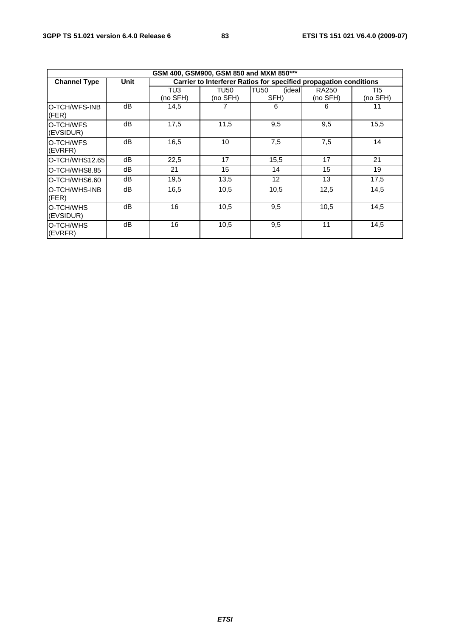|                        | GSM 400, GSM900, GSM 850 and MXM 850*** |                 |                  |                                                                   |                   |                 |  |  |
|------------------------|-----------------------------------------|-----------------|------------------|-------------------------------------------------------------------|-------------------|-----------------|--|--|
| <b>Channel Type</b>    | Unit                                    |                 |                  | Carrier to Interferer Ratios for specified propagation conditions |                   |                 |  |  |
|                        |                                         | TU3<br>(no SFH) | TU50<br>(no SFH) | ITU50<br>(ideal<br>SFH)                                           | RA250<br>(no SFH) | TI5<br>(no SFH) |  |  |
| O-TCH/WFS-INB<br>(FER) | dВ                                      | 14,5            |                  | 6                                                                 | 6                 | 11              |  |  |
| O-TCH/WFS<br>(EVSIDUR) | dВ                                      | 17,5            | 11,5             | 9,5                                                               | 9,5               | 15,5            |  |  |
| O-TCH/WFS<br>(EVRFR)   | dВ                                      | 16,5            | 10               | 7,5                                                               | 7,5               | 14              |  |  |
| O-TCH/WHS12.65         | dB                                      | 22,5            | 17               | 15,5                                                              | 17                | 21              |  |  |
| O-TCH/WHS8.85          | dВ                                      | 21              | 15               | 14                                                                | 15                | 19              |  |  |
| O-TCH/WHS6.60          | dB                                      | 19,5            | 13,5             | $12 \overline{ }$                                                 | 13                | 17,5            |  |  |
| O-TCH/WHS-INB<br>(FER) | dВ                                      | 16,5            | 10,5             | 10,5                                                              | 12,5              | 14,5            |  |  |
| O-TCH/WHS<br>(EVSIDUR) | dВ                                      | 16              | 10,5             | 9,5                                                               | 10,5              | 14,5            |  |  |
| O-TCH/WHS<br>(EVRFR)   | dB                                      | 16              | 10,5             | 9,5                                                               | 11                | 14,5            |  |  |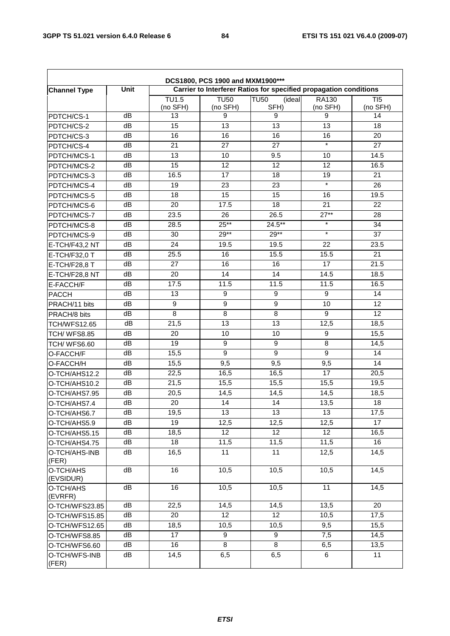| DCS1800, PCS 1900 and MXM1900*** |      |                                                                   |             |                       |          |                              |  |
|----------------------------------|------|-------------------------------------------------------------------|-------------|-----------------------|----------|------------------------------|--|
| <b>Channel Type</b>              | Unit | Carrier to Interferer Ratios for specified propagation conditions |             |                       |          |                              |  |
|                                  |      | TU1.5                                                             | <b>TU50</b> | <b>TU50</b><br>(ideal | RA130    | $\overline{T}$ <sub>15</sub> |  |
|                                  |      | (no SFH)                                                          | (no SFH)    | SFH)                  | (no SFH) | (no SFH)                     |  |
| PDTCH/CS-1                       | dB   | 13                                                                | 9           | 9                     | 9        | 14                           |  |
| PDTCH/CS-2                       | dB   | 15                                                                | 13          | 13                    | 13       | 18                           |  |
| PDTCH/CS-3                       | dB   | 16                                                                | 16          | 16                    | 16       | 20                           |  |
| PDTCH/CS-4                       | dB   | 21                                                                | 27          | 27                    | $\star$  | 27                           |  |
| PDTCH/MCS-1                      | dB   | 13                                                                | 10          | 9.5                   | 10       | 14.5                         |  |
| PDTCH/MCS-2                      | dB   | 15                                                                | 12          | 12                    | 12       | 16.5                         |  |
| PDTCH/MCS-3                      | dB   | 16.5                                                              | 17          | 18                    | 19       | 21                           |  |
| PDTCH/MCS-4                      | dB   | 19                                                                | 23          | 23                    | $\star$  | 26                           |  |
| PDTCH/MCS-5                      | dB   | 18                                                                | 15          | 15                    | 16       | 19.5                         |  |
| PDTCH/MCS-6                      | dB   | 20                                                                | 17.5        | 18                    | 21       | 22                           |  |
| PDTCH/MCS-7                      | dB   | 23.5                                                              | 26          | 26.5                  | $27**$   | 28                           |  |
| PDTCH/MCS-8                      | dB   | 28.5                                                              | $25**$      | $24.5***$             | $\star$  | 34                           |  |
| PDTCH/MCS-9                      | dB   | 30                                                                | $29**$      | $29**$                | $\star$  | 37                           |  |
| E-TCH/F43,2 NT                   | dB   | 24                                                                | 19.5        | 19.5                  | 22       | 23.5                         |  |
| E-TCH/F32,0 T                    | dB   | 25.5                                                              | 16          | 15.5                  | 15.5     | 21                           |  |
| E-TCH/F28,8 T                    | dB   | 27                                                                | 16          | 16                    | 17       | 21.5                         |  |
| E-TCH/F28,8 NT                   | dB   | 20                                                                | 14          | 14                    | 14.5     | 18.5                         |  |
| E-FACCH/F                        | dB   | 17.5                                                              | 11.5        | 11.5                  | 11.5     | 16.5                         |  |
| <b>PACCH</b>                     | dB   | 13                                                                | 9           | $\boldsymbol{9}$      | 9        | 14                           |  |
| PRACH/11 bits                    | dB   | 9                                                                 | 9           | 9                     | 10       | 12                           |  |
| PRACH/8 bits                     | dB   | 8                                                                 | 8           | 8                     | 9        | $\overline{12}$              |  |
| <b>TCH/WFS12.65</b>              | dB   | 21,5                                                              | 13          | 13                    | 12,5     | 18,5                         |  |
| <b>TCH/ WFS8.85</b>              | dB   | 20                                                                | 10          | 10                    | 9        | 15,5                         |  |
| TCH/WFS6.60                      | dB   | 19                                                                | 9           | 9                     | 8        | 14,5                         |  |
| O-FACCH/F                        | dB   | 15,5                                                              | 9           | $\overline{9}$        | 9        | 14                           |  |
| O-FACCH/H                        | dB   | 15,5                                                              | 9,5         | 9,5                   | 9,5      | 14                           |  |
| O-TCH/AHS12.2                    | dB   | 22,5                                                              | 16,5        | 16,5                  | 17       | 20,5                         |  |
| O-TCH/AHS10.2                    | dB   | 21,5                                                              | 15,5        | 15,5                  | 15,5     | 19,5                         |  |
| O-TCH/AHS7.95                    | dB   | 20,5                                                              | 14,5        | 14,5                  | 14,5     | 18,5                         |  |
| O-TCH/AHS7.4                     | dB   | 20                                                                | 14          | 14                    | 13,5     | 18                           |  |
| O-TCH/AHS6.7                     | dB   | 19,5                                                              | 13          | 13                    | 13       | 17,5                         |  |
| O-TCH/AHS5.9                     | dB   | 19                                                                | 12,5        | 12,5                  | 12,5     | 17                           |  |
| O-TCH/AHS5.15                    | dB   | 18,5                                                              | 12          | 12 <sup>2</sup>       | 12       | 16,5                         |  |
| O-TCH/AHS4.75                    | dB   | 18                                                                | 11,5        | 11,5                  | 11,5     | 16                           |  |
| O-TCH/AHS-INB<br>(FER)           | dB   | 16,5                                                              | 11          | 11                    | 12,5     | 14,5                         |  |
| O-TCH/AHS<br>(EVSIDUR)           | dB   | 16                                                                | 10,5        | 10,5                  | 10,5     | 14,5                         |  |
| O-TCH/AHS<br>(EVRFR)             | dB   | 16                                                                | 10,5        | 10,5                  | 11       | 14,5                         |  |
| O-TCH/WFS23.85                   | dB   | 22,5                                                              | 14,5        | 14,5                  | 13,5     | $\overline{20}$              |  |
| O-TCH/WFS15.85                   | dB   | 20                                                                | 12          | 12 <sup>2</sup>       | 10,5     | 17,5                         |  |
| O-TCH/WFS12.65                   | dB   | 18,5                                                              | 10,5        | 10,5                  | 9,5      | 15,5                         |  |
| O-TCH/WFS8.85                    | dB   | 17                                                                | 9           | 9                     | 7,5      | 14,5                         |  |
| O-TCH/WFS6.60                    | dB   | 16                                                                | 8           | 8                     | 6,5      | 13,5                         |  |
| O-TCH/WFS-INB<br>(FER)           | dB   | 14,5                                                              | 6,5         | 6,5                   | 6        | 11                           |  |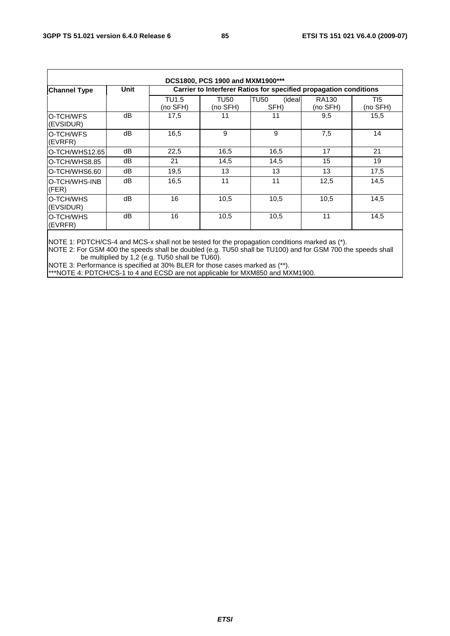| DCS1800, PCS 1900 and MXM1900*** |             |                   |                  |                                                                   |                          |                  |  |  |
|----------------------------------|-------------|-------------------|------------------|-------------------------------------------------------------------|--------------------------|------------------|--|--|
| <b>Channel Type</b>              | <b>Unit</b> |                   |                  | Carrier to Interferer Ratios for specified propagation conditions |                          |                  |  |  |
|                                  |             | TU1.5<br>(no SFH) | TU50<br>(no SFH) | <b>TU50</b><br><i>(ideal</i><br>SFH)                              | <b>RA130</b><br>(no SFH) | TI5.<br>(no SFH) |  |  |
| IO-TCH/WFS<br>(EVSIDUR)          | dВ          | 17,5              | 11               | 11                                                                | 9,5                      | 15,5             |  |  |
| O-TCH/WFS<br>(EVRFR)             | dB          | 16,5              | 9                | 9                                                                 | 7,5                      | 14               |  |  |
| O-TCH/WHS12.65                   | dB          | 22,5              | 16,5             | 16,5                                                              | 17                       | 21               |  |  |
| IO-TCH/WHS8.85                   | dB          | 21                | 14,5             | 14,5                                                              | 15                       | 19               |  |  |
| IO-TCH/WHS6.60                   | dB          | 19,5              | 13               | 13                                                                | 13                       | 17,5             |  |  |
| IO-TCH/WHS-INB<br>(FER)          | dB          | 16,5              | 11               | 11                                                                | 12,5                     | 14,5             |  |  |
| IO-TCH/WHS<br>(EVSIDUR)          | dB          | 16                | 10,5             | 10,5                                                              | 10,5                     | 14,5             |  |  |
| IO-TCH/WHS<br>(EVRFR)            | dB          | 16                | 10,5             | 10,5                                                              | 11                       | 14,5             |  |  |

NOTE 1: PDTCH/CS-4 and MCS-x shall not be tested for the propagation conditions marked as (\*).

NOTE 2: For GSM 400 the speeds shall be doubled (e.g. TU50 shall be TU100) and for GSM 700 the speeds shall be multiplied by 1,2 (e.g. TU50 shall be TU60).

NOTE 3: Performance is specified at 30% BLER for those cases marked as (\*\*).

\*\*\*NOTE 4: PDTCH/CS-1 to 4 and ECSD are not applicable for MXM850 and MXM1900.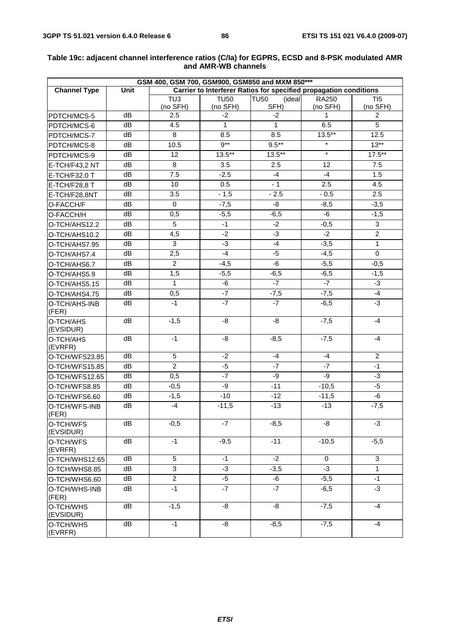| GSM 400, GSM 700, GSM900, GSM850 and MXM 850*** |      |                              |                         |                                                                   |                   |                              |
|-------------------------------------------------|------|------------------------------|-------------------------|-------------------------------------------------------------------|-------------------|------------------------------|
| <b>Channel Type</b>                             | Unit |                              |                         | Carrier to Interferer Ratios for specified propagation conditions |                   |                              |
|                                                 |      | $\overline{TU3}$<br>(no SFH) | <b>TU50</b><br>(no SFH) | <b>TU50</b><br>(ideal<br>SFH)                                     | RA250<br>(no SFH) | $\overline{TI5}$<br>(no SFH) |
| PDTCH/MCS-5                                     | dB   | 2.5                          | -2                      | $-2$                                                              | 1                 | 2                            |
| PDTCH/MCS-6                                     | dB   | 4.5                          | $\mathbf{1}$            | $\mathbf{1}$                                                      | 6.5               | 5                            |
| PDTCH/MCS-7                                     | dB   | 8                            | 8.5                     | 8.5                                                               | $13.5***$         | 12.5                         |
| PDTCH/MCS-8                                     | dB   | 10.5                         | $9***$                  | $9.5***$                                                          | $\star$           | $13**$                       |
| PDTCH/MCS-9                                     | dB   | 12                           | $13.5***$               | $13.5***$                                                         | $\star$           | $17.5***$                    |
| E-TCH/F43,2 NT                                  | dB   | 8                            | 3.5                     | 2.5                                                               | 12                | 7.5                          |
| E-TCH/F32,0 T                                   | dB   | 7.5                          | $-2.5$                  | $-4$                                                              | $-4$              | 1.5                          |
| E-TCH/F28,8 T                                   | dB   | 10                           | 0.5                     | $-1$                                                              | 2.5               | 4.5                          |
| E-TCH/F28,8NT                                   | dB   | 3.5                          | $-1.5$                  | $-2.5$                                                            | $-0.5$            | 2.5                          |
| O-FACCH/F                                       | dB   | $\mathbf 0$                  | $-7,5$                  | -8                                                                | $-8,5$            | $-3,5$                       |
| O-FACCH/H                                       | dB   | 0,5                          | $-5,5$                  | $-6,5$                                                            | -6                | $-1,5$                       |
| O-TCH/AHS12.2                                   | dB   | 5                            | $-1$                    | $-2$                                                              | $-0,5$            | 3                            |
| O-TCH/AHS10.2                                   | dB   | 4,5                          | $-2$                    | $-3$                                                              | $-2$              | $\overline{2}$               |
| O-TCH/AHS7.95                                   | dB   | $\overline{3}$               | $-3$                    | $-4$                                                              | $-3,5$            | $\overline{1}$               |
| O-TCH/AHS7.4                                    | dB   | 2,5                          | $-4$                    | $-5$                                                              | $-4,5$            | $\overline{0}$               |
| O-TCH/AHS6.7                                    | dB   | $\overline{c}$               | $-4,5$                  | -6                                                                | $-5,5$            | $-0,5$                       |
| O-TCH/AHS5.9                                    | dB   | 1,5                          | $-5,5$                  | $-6,5$                                                            | $-6,5$            | $-1,5$                       |
| O-TCH/AHS5.15                                   | dB   | $\mathbf{1}$                 | -6                      | $-7$                                                              | $-7$              | $\overline{3}$               |
| O-TCH/AHS4.75                                   | dB   | 0,5                          | $-7$                    | $-7,5$                                                            | $-7,5$            | $-4$                         |
| O-TCH/AHS-INB<br>(FER)                          | dB   | $-1$                         | $-7$                    | $-7$                                                              | $-6,5$            | $-3$                         |
| O-TCH/AHS<br>(EVSIDUR)                          | dB   | $-1,5$                       | -8                      | -8                                                                | $-7,5$            | $-4$                         |
| O-TCH/AHS<br>(EVRFR)                            | dB   | $-1$                         | -8                      | $-8,5$                                                            | $-7,5$            | $-4$                         |
| O-TCH/WFS23.85                                  | dB   | 5                            | $-2$                    | $-4$                                                              | $-4$              | $\overline{2}$               |
| O-TCH/WFS15.85                                  | dB   | $\overline{2}$               | $-5$                    | $-7$                                                              | $-7$              | $-1$                         |
| O-TCH/WFS12.65                                  | dB   | 0,5                          | $-7$                    | -9                                                                | -9                | $-3$                         |
| O-TCH/WFS8.85                                   | dB   | $-0,5$                       | -9                      | $-11$                                                             | $-10,5$           | $-5$                         |
| O-TCH/WFS6.60                                   | dB   | $-1,5$                       | $-10$                   | $-12$                                                             | $-11,5$           | -6                           |
| O-TCH/WFS-INB<br>(FER)                          | dB   | $-4$                         | $-11,5$                 | $-13$                                                             | $-13$             | $-7,5$                       |
| O-TCH/WFS<br>(EVSIDUR)                          | dB   | $-0,5$                       | $-7$                    | $-8,5$                                                            | -8                | $-3$                         |
| O-TCH/WFS<br>(EVRFR)                            | dB   | $-1$                         | $-9,5$                  | $-11$                                                             | $-10,5$           | $-5,5$                       |
| O-TCH/WHS12.65                                  | dB   | 5                            | $-1$                    | $-2$                                                              | 0                 | $\overline{3}$               |
| O-TCH/WHS8.85                                   | dB   | 3                            | -3                      | $-3,5$                                                            | $-3$              | $\mathbf{1}$                 |
| O-TCH/WHS6.60                                   | dB   | $\overline{2}$               | $-5$                    | -6                                                                | $-5,5$            | $-1$                         |
| O-TCH/WHS-INB<br>(FER)                          | dB   | $-1$                         | $-7$                    | $-7$                                                              | $-6,5$            | $-3$                         |
| O-TCH/WHS<br>(EVSIDUR)                          | dB   | $-1,5$                       | -8                      | $-\frac{8}{5}$                                                    | $-7,5$            | $-4$                         |
| O-TCH/WHS<br>(EVRFR)                            | dB   | $-1$                         | -8                      | $-8,5$                                                            | $-7,5$            | $-4$                         |

#### **Table 19c: adjacent channel interference ratios (C/Ia) for EGPRS, ECSD and 8-PSK modulated AMR and AMR-WB channels**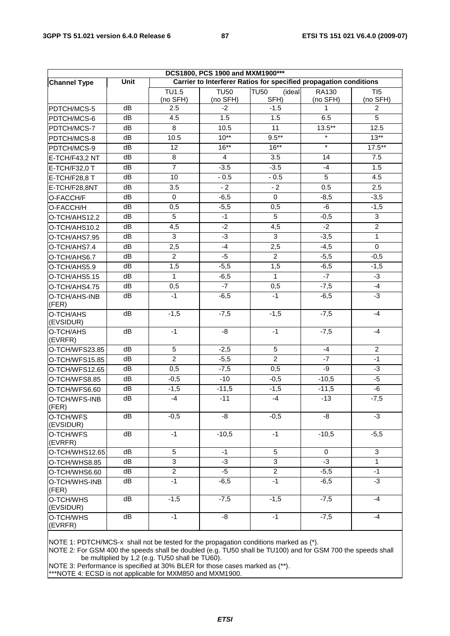| DCS1800, PCS 1900 and MXM1900*** |      |                                                                   |                         |                               |                   |                 |  |
|----------------------------------|------|-------------------------------------------------------------------|-------------------------|-------------------------------|-------------------|-----------------|--|
| <b>Channel Type</b>              | Unit | Carrier to Interferer Ratios for specified propagation conditions |                         |                               |                   |                 |  |
|                                  |      | $\overline{T}U1.5$<br>(no SFH)                                    | <b>TU50</b><br>(no SFH) | <b>TU50</b><br>(ideal<br>SFH) | RA130<br>(no SFH) | TI5<br>(no SFH) |  |
| PDTCH/MCS-5                      | dB   | 2.5                                                               | $-2$                    | $-1.5$                        | 1                 | 2               |  |
| PDTCH/MCS-6                      | dB   | 4.5                                                               | 1.5                     | 1.5                           | 6.5               | 5               |  |
| PDTCH/MCS-7                      | dB   | 8                                                                 | 10.5                    | 11                            | $13.5***$         | 12.5            |  |
| PDTCH/MCS-8                      | dB   | 10.5                                                              | $10**$                  | $9.5***$                      | $\star$           | $13**$          |  |
| PDTCH/MCS-9                      | dB   | 12                                                                | $16***$                 | $16***$                       | $\star$           | $17.5***$       |  |
| E-TCH/F43,2 NT                   | dB   | 8                                                                 | $\overline{4}$          | 3.5                           | 14                | 7.5             |  |
| E-TCH/F32,0 T                    | dB   | $\overline{7}$                                                    | $-3.5$                  | $-3.5$                        | $-4$              | 1.5             |  |
| E-TCH/F28,8 T                    | dB   | 10                                                                | $-0.5$                  | $-0.5$                        | $5\phantom{.0}$   | 4.5             |  |
| E-TCH/F28,8NT                    | dB   | 3.5                                                               | $-2$                    | $-2$                          | 0.5               | 2.5             |  |
| O-FACCH/F                        | dB   | $\Omega$                                                          | $-6,5$                  | $\mathbf 0$                   | $-8,5$            | $-3,5$          |  |
| O-FACCH/H                        | dB   | 0,5                                                               | $-5,5$                  | 0,5                           | -6                | $-1,5$          |  |
| O-TCH/AHS12.2                    | dB   | 5                                                                 | $-1$                    | $\overline{5}$                | $-0,5$            | $\overline{3}$  |  |
| O-TCH/AHS10.2                    | dB   | 4,5                                                               | $-2$                    | 4,5                           | $-2$              | $\overline{2}$  |  |
| O-TCH/AHS7.95                    | dB   | 3                                                                 | $-3$                    | $\overline{3}$                | $\overline{-3,5}$ | $\mathbf{1}$    |  |
| O-TCH/AHS7.4                     | dB   | 2,5                                                               | $-4$                    | 2,5                           | $-4,5$            | $\mathbf 0$     |  |
| O-TCH/AHS6.7                     | dB   | $\overline{2}$                                                    | $-5$                    | $\overline{2}$                | $-5,5$            | $-0,5$          |  |
| O-TCH/AHS5.9                     | dB   | 1,5                                                               | $-5,5$                  | 1,5                           | $-6,5$            | $-1,5$          |  |
| O-TCH/AHS5.15                    | dB   | 1                                                                 | $-6,5$                  | $\mathbf{1}$                  | $-7$              | -3              |  |
| O-TCH/AHS4.75                    | dB   | 0,5                                                               | $-7$                    | 0,5                           | $-7,5$            | $-4$            |  |
| O-TCH/AHS-INB<br>(FER)           | dB   | $-1$                                                              | $-6,5$                  | $-1$                          | $-6,5$            | $-3$            |  |
| O-TCH/AHS<br>(EVSIDUR)           | dB   | $-1,5$                                                            | $-7,5$                  | $-1,5$                        | $-7,5$            | $-4$            |  |
| O-TCH/AHS<br>(EVRFR)             | dB   | $-1$                                                              | -8                      | $-1$                          | $-7,5$            | -4              |  |
| O-TCH/WFS23.85                   | dB   | 5                                                                 | $-2,5$                  | 5                             | -4                | $\overline{2}$  |  |
| O-TCH/WFS15.85                   | dB   | $\overline{2}$                                                    | $-5,5$                  | $\overline{2}$                | $-7$              | $-1$            |  |
| O-TCH/WFS12.65                   | dB   | 0,5                                                               | $-7,5$                  | $\overline{0,5}$              | $-9$              | $-3$            |  |
| O-TCH/WFS8.85                    | dB   | $-0,5$                                                            | $-10$                   | $-0,5$                        | $-10,5$           | $-5$            |  |
| O-TCH/WFS6.60                    | dB   | $-1,5$                                                            | $-11,5$                 | $-1,5$                        | $-11,5$           | -6              |  |
| O-TCH/WFS-INB<br>(FER)           | dB   | $-4$                                                              | $-11$                   | $-4$                          | $-13$             | $-7,5$          |  |
| O-TCH/WFS<br>(EVSIDUR)           | dB   | $-0,5$                                                            | -8                      | $-0,5$                        | -8                | $-3$            |  |
| O-TCH/WFS<br>(EVRFR)             | dB   | $-1$                                                              | $-10,5$                 | $-1$                          | $-10,5$           | $-5,5$          |  |
| O-TCH/WHS12.65                   | dB   | 5                                                                 | $-1$                    | $\overline{5}$                | $\mathbf 0$       | 3               |  |
| O-TCH/WHS8.85                    | dB   | 3                                                                 | -3                      | 3                             | $-3$              | $\mathbf{1}$    |  |
| O-TCH/WHS6.60                    | dB   | $\overline{c}$                                                    | -5                      | $\overline{a}$                | $-5,5$            | $-1$            |  |
| O-TCH/WHS-INB<br>(FER)           | dB   | $-1$                                                              | $-6,5$                  | $-1$                          | $-6,5$            | $-3$            |  |
| O-TCH/WHS<br>(EVSIDUR)           | dB   | $-1,5$                                                            | $-7,5$                  | $-1,5$                        | $-7,5$            | $-4$            |  |
| O-TCH/WHS<br>(EVRFR)             | dB   | $-1$                                                              | -8                      | $-1$                          | $-7,5$            | -4              |  |

NOTE 1: PDTCH/MCS-x shall not be tested for the propagation conditions marked as (\*).

NOTE 2: For GSM 400 the speeds shall be doubled (e.g. TU50 shall be TU100) and for GSM 700 the speeds shall be multiplied by 1,2 (e.g. TU50 shall be TU60).

NOTE 3: Performance is specified at 30% BLER for those cases marked as (\*\*).

\*\*\*NOTE 4: ECSD is not applicable for MXM850 and MXM1900.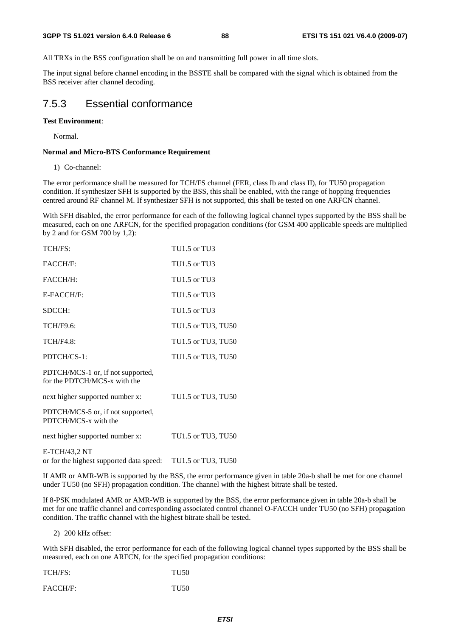All TRXs in the BSS configuration shall be on and transmitting full power in all time slots.

The input signal before channel encoding in the BSSTE shall be compared with the signal which is obtained from the BSS receiver after channel decoding.

### 7.5.3 Essential conformance

#### **Test Environment**:

Normal.

#### **Normal and Micro-BTS Conformance Requirement**

1) Co-channel:

The error performance shall be measured for TCH/FS channel (FER, class Ib and class II), for TU50 propagation condition. If synthesizer SFH is supported by the BSS, this shall be enabled, with the range of hopping frequencies centred around RF channel M. If synthesizer SFH is not supported, this shall be tested on one ARFCN channel.

With SFH disabled, the error performance for each of the following logical channel types supported by the BSS shall be measured, each on one ARFCN, for the specified propagation conditions (for GSM 400 applicable speeds are multiplied by 2 and for GSM 700 by 1,2):

| TCH/FS:                                                           | TU1.5 or TU3       |
|-------------------------------------------------------------------|--------------------|
| <b>FACCH/F:</b>                                                   | TU1.5 or TU3       |
| FACCH/H:                                                          | TU1.5 or TU3       |
| E-FACCH/F:                                                        | TU1.5 or TU3       |
| SDCCH:                                                            | TU1.5 or TU3       |
| TCH/F9.6:                                                         | TU1.5 or TU3, TU50 |
| <b>TCH/F4.8:</b>                                                  | TU1.5 or TU3, TU50 |
| PDTCH/CS-1:                                                       | TU1.5 or TU3, TU50 |
| PDTCH/MCS-1 or, if not supported,<br>for the PDTCH/MCS-x with the |                    |
| next higher supported number x:                                   | TU1.5 or TU3, TU50 |
| PDTCH/MCS-5 or, if not supported,<br>PDTCH/MCS-x with the         |                    |
| next higher supported number x:                                   | TU1.5 or TU3, TU50 |
| E-TCH/43,2 NT<br>or for the highest supported data speed:         | TU1.5 or TU3, TU50 |

If AMR or AMR-WB is supported by the BSS, the error performance given in table 20a-b shall be met for one channel under TU50 (no SFH) propagation condition. The channel with the highest bitrate shall be tested.

If 8-PSK modulated AMR or AMR-WB is supported by the BSS, the error performance given in table 20a-b shall be met for one traffic channel and corresponding associated control channel O-FACCH under TU50 (no SFH) propagation condition. The traffic channel with the highest bitrate shall be tested.

2) 200 kHz offset:

With SFH disabled, the error performance for each of the following logical channel types supported by the BSS shall be measured, each on one ARFCN, for the specified propagation conditions:

| TCH/FS: | <b>TU50</b> |
|---------|-------------|
|         |             |

FACCH/F: TU50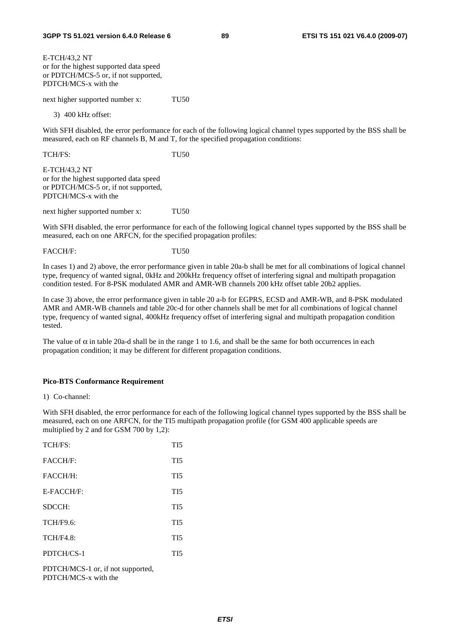E-TCH/43,2 NT or for the highest supported data speed or PDTCH/MCS-5 or, if not supported, PDTCH/MCS-x with the

next higher supported number x: TU50

3) 400 kHz offset:

With SFH disabled, the error performance for each of the following logical channel types supported by the BSS shall be measured, each on RF channels B, M and T, for the specified propagation conditions:

TCH/FS: TU50

E-TCH/43,2 NT or for the highest supported data speed or PDTCH/MCS-5 or, if not supported, PDTCH/MCS-x with the

next higher supported number x: TU50

With SFH disabled, the error performance for each of the following logical channel types supported by the BSS shall be measured, each on one ARFCN, for the specified propagation profiles:

FACCH/F: TU50

In cases 1) and 2) above, the error performance given in table 20a-b shall be met for all combinations of logical channel type, frequency of wanted signal, 0kHz and 200kHz frequency offset of interfering signal and multipath propagation condition tested. For 8-PSK modulated AMR and AMR-WB channels 200 kHz offset table 20b2 applies.

In case 3) above, the error performance given in table 20 a-b for EGPRS, ECSD and AMR-WB, and 8-PSK modulated AMR and AMR-WB channels and table 20c-d for other channels shall be met for all combinations of logical channel type, frequency of wanted signal, 400kHz frequency offset of interfering signal and multipath propagation condition tested.

The value of  $\alpha$  in table 20a-d shall be in the range 1 to 1.6, and shall be the same for both occurrences in each propagation condition; it may be different for different propagation conditions.

#### **Pico-BTS Conformance Requirement**

1) Co-channel:

With SFH disabled, the error performance for each of the following logical channel types supported by the BSS shall be measured, each on one ARFCN, for the TI5 multipath propagation profile (for GSM 400 applicable speeds are multiplied by 2 and for GSM 700 by 1,2):

| TCH/FS:          | TI <sub>5</sub> |
|------------------|-----------------|
| FACCH/F:         | TI <sub>5</sub> |
| FACCH/H:         | TI <sub>5</sub> |
| E-FACCH/F:       | TI <sub>5</sub> |
| SDCCH:           | TI <sub>5</sub> |
| TCH/F9.6:        | TI5             |
| <b>TCH/F4.8:</b> | TI <sub>5</sub> |
| PDTCH/CS-1       | TI5             |
|                  |                 |

PDTCH/MCS-1 or, if not supported, PDTCH/MCS-x with the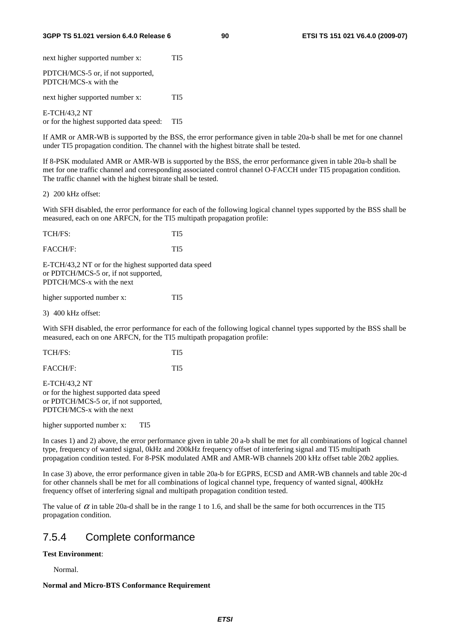#### **3GPP TS 51.021 version 6.4.0 Release 6 90 ETSI TS 151 021 V6.4.0 (2009-07)**

next higher supported number x: TI5 PDTCH/MCS-5 or, if not supported, PDTCH/MCS-x with the next higher supported number x: TI5 E-TCH/43,2 NT or for the highest supported data speed: TI5

If AMR or AMR-WB is supported by the BSS, the error performance given in table 20a-b shall be met for one channel under TI5 propagation condition. The channel with the highest bitrate shall be tested.

If 8-PSK modulated AMR or AMR-WB is supported by the BSS, the error performance given in table 20a-b shall be met for one traffic channel and corresponding associated control channel O-FACCH under TI5 propagation condition. The traffic channel with the highest bitrate shall be tested.

2) 200 kHz offset:

With SFH disabled, the error performance for each of the following logical channel types supported by the BSS shall be measured, each on one ARFCN, for the TI5 multipath propagation profile:

| TCH/FS: | TI5 |
|---------|-----|
|         |     |

FACCH/F: TI5

E-TCH/43,2 NT or for the highest supported data speed or PDTCH/MCS-5 or, if not supported, PDTCH/MCS-x with the next

higher supported number x: TI5

3) 400 kHz offset:

With SFH disabled, the error performance for each of the following logical channel types supported by the BSS shall be measured, each on one ARFCN, for the TI5 multipath propagation profile:

| TCH/FS: |  |
|---------|--|
|         |  |

FACCH/F: TI5

E-TCH/43,2 NT or for the highest supported data speed or PDTCH/MCS-5 or, if not supported, PDTCH/MCS-x with the next

higher supported number x: TI5

In cases 1) and 2) above, the error performance given in table 20 a-b shall be met for all combinations of logical channel type, frequency of wanted signal, 0kHz and 200kHz frequency offset of interfering signal and TI5 multipath propagation condition tested. For 8-PSK modulated AMR and AMR-WB channels 200 kHz offset table 20b2 applies.

In case 3) above, the error performance given in table 20a-b for EGPRS, ECSD and AMR-WB channels and table 20c-d for other channels shall be met for all combinations of logical channel type, frequency of wanted signal, 400kHz frequency offset of interfering signal and multipath propagation condition tested.

The value of  $\alpha$  in table 20a-d shall be in the range 1 to 1.6, and shall be the same for both occurrences in the TI5 propagation condition.

# 7.5.4 Complete conformance

#### **Test Environment**:

Normal.

#### **Normal and Micro-BTS Conformance Requirement**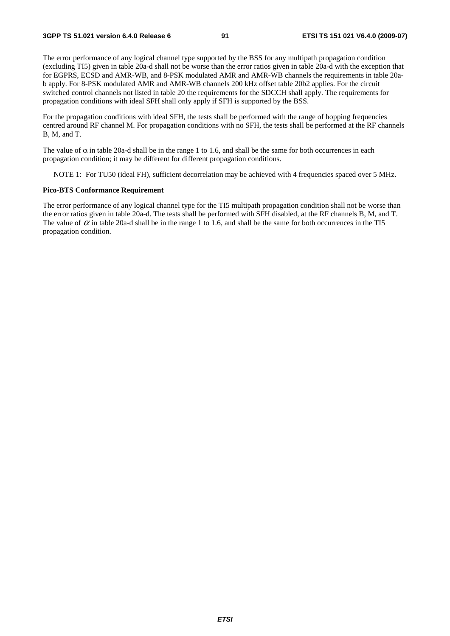The error performance of any logical channel type supported by the BSS for any multipath propagation condition (excluding TI5) given in table 20a-d shall not be worse than the error ratios given in table 20a-d with the exception that for EGPRS, ECSD and AMR-WB, and 8-PSK modulated AMR and AMR-WB channels the requirements in table 20ab apply. For 8-PSK modulated AMR and AMR-WB channels 200 kHz offset table 20b2 applies. For the circuit switched control channels not listed in table 20 the requirements for the SDCCH shall apply. The requirements for propagation conditions with ideal SFH shall only apply if SFH is supported by the BSS.

For the propagation conditions with ideal SFH, the tests shall be performed with the range of hopping frequencies centred around RF channel M. For propagation conditions with no SFH, the tests shall be performed at the RF channels B, M, and T.

The value of  $\alpha$  in table 20a-d shall be in the range 1 to 1.6, and shall be the same for both occurrences in each propagation condition; it may be different for different propagation conditions.

NOTE 1: For TU50 (ideal FH), sufficient decorrelation may be achieved with 4 frequencies spaced over 5 MHz.

#### **Pico-BTS Conformance Requirement**

The error performance of any logical channel type for the TI5 multipath propagation condition shall not be worse than the error ratios given in table 20a-d. The tests shall be performed with SFH disabled, at the RF channels B, M, and T. The value of  $\alpha$  in table 20a-d shall be in the range 1 to 1.6, and shall be the same for both occurrences in the TI5 propagation condition.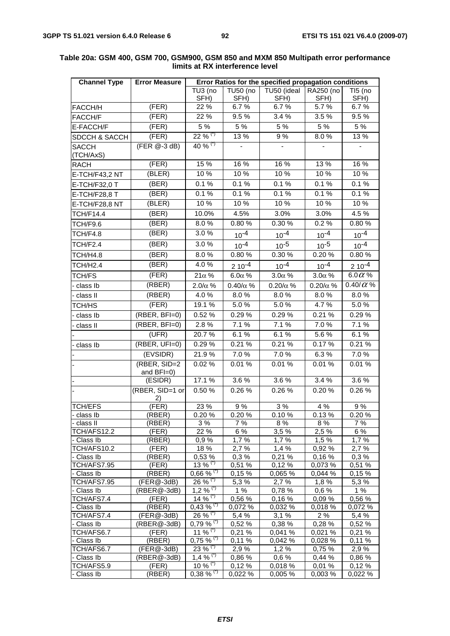| <b>TU50 (no</b><br>TU50 (ideal<br>RA250 (no<br>TU3 (no<br>TI5 (no<br>SFH)<br>SFH)<br>SFH)<br>SFH)<br>SFH)<br>(FER)<br>22 %<br>6.7%<br>6.7%<br>5.7%<br>6.7%<br>FACCH/H<br>(FER)<br>9.5%<br>22 %<br>9.5 %<br>3.4%<br>3.5%<br>FACCH/F<br>$\overline{5}$ %<br>5 %<br>5 %<br>5 %<br>5 %<br>(FER)<br>E-FACCH/F<br>$22\%$ <sup>(*)</sup><br>(FER)<br>13 %<br>9%<br>13%<br>8.0%<br>SDCCH & SACCH<br>40 % $(7)$<br>(FER @-3 dB)<br><b>SACCH</b><br>(TCH/AxS)<br>15%<br>16 %<br>16 %<br>13 %<br>16 %<br>(FER)<br><b>RACH</b><br>(BLER)<br>10 %<br>10%<br>10%<br>10%<br>10 %<br>E-TCH/F43,2 NT<br>(BER)<br>0.1%<br>0.1%<br>0.1%<br>0.1%<br>0.1%<br>E-TCH/F32,0 T<br>0.1%<br>0.1%<br>0.1%<br>(BER)<br>0.1%<br>0.1%<br>E-TCH/F28,8 T<br>10%<br>10 %<br>(BLER)<br>10 %<br>10%<br>10%<br>E-TCH/F28,8 NT<br>4.5%<br>3.0%<br>3.0%<br>4.5 %<br>(BER)<br>10.0%<br><b>TCH/F14.4</b><br>0.30 %<br>0.2%<br>0.80%<br>(BER)<br>8.0%<br>0.80%<br>TCH/F9.6<br>(BER)<br>3.0%<br>TCH/F4.8<br>$10^{-4}$<br>$10^{-4}$<br>$10^{-4}$<br>$10^{-4}$<br>3.0%<br>(BER)<br>TCH/F2.4<br>$10^{-4}$<br>$10^{-5}$<br>$10^{-5}$<br>$10^{-4}$<br>(BER)<br>8.0%<br>0.80%<br>0.30 %<br>0.20%<br>0.80%<br>TCH/H4.8<br>4.0%<br>(BER)<br><b>TCH/H2.4</b><br>$10^{-4}$<br>$10^{-4}$<br>$210^{-4}$<br>$210^{-4}$<br>(FER)<br>$6.0\alpha$ %<br>$21\alpha$ %<br>$6.0\alpha$ %<br>$3.0\alpha$ %<br>TCH/FS<br>$3.0\alpha$ %<br>(RBER)<br>0.40/ $\alpha$ %<br>$0.40/\alpha$ %<br>$2.0/\alpha$ %<br>$0.20/\alpha$ %<br>$0.20/\alpha$ %<br>class Ib<br>(RBER)<br>4.0%<br>8.0%<br>8.0%<br>8.0%<br>8.0%<br>- class II<br>(FER)<br>5.0%<br>5.0%<br>19.1 %<br>5.0%<br>4.7%<br>TCH/HS<br>$(RBER, BFI=0)$<br>0.52%<br>0.29%<br>0.29%<br>0.29%<br>0.21%<br>class Ib<br>$(RBER, BFI=0)$<br>2.8%<br>7.1%<br>7.1%<br>7.0%<br>7.1 %<br>- class II<br>6.1%<br>6.1%<br>$5.6\%$<br>6.1%<br>(UFR)<br>20.7%<br>(RBER, UFI=0)<br>0.21%<br>0.21%<br>0.21%<br>0.29%<br>0.17%<br>class lb<br>(EVSIDR)<br>21.9%<br>7.0%<br>7.0%<br>6.3%<br>7.0%<br>(RBER, SID=2<br>0.02%<br>0.01%<br>0.01%<br>0.01%<br>0.01%<br>and BFI=0)<br>3.6%<br>(ESIDR)<br>17.1 %<br>3.6%<br>3.4 %<br>3.6%<br>(RBER, SID=1 or<br>0.26%<br>0.50 %<br>0.26%<br>0.20%<br>0.26%<br>2) |
|---------------------------------------------------------------------------------------------------------------------------------------------------------------------------------------------------------------------------------------------------------------------------------------------------------------------------------------------------------------------------------------------------------------------------------------------------------------------------------------------------------------------------------------------------------------------------------------------------------------------------------------------------------------------------------------------------------------------------------------------------------------------------------------------------------------------------------------------------------------------------------------------------------------------------------------------------------------------------------------------------------------------------------------------------------------------------------------------------------------------------------------------------------------------------------------------------------------------------------------------------------------------------------------------------------------------------------------------------------------------------------------------------------------------------------------------------------------------------------------------------------------------------------------------------------------------------------------------------------------------------------------------------------------------------------------------------------------------------------------------------------------------------------------------------------------------------------------------------------------------------------------------------------------------------------------------------------------------------------------------------------------------------------------------------------------------------------------------------------------------------------------------------------------------------|
|                                                                                                                                                                                                                                                                                                                                                                                                                                                                                                                                                                                                                                                                                                                                                                                                                                                                                                                                                                                                                                                                                                                                                                                                                                                                                                                                                                                                                                                                                                                                                                                                                                                                                                                                                                                                                                                                                                                                                                                                                                                                                                                                                                           |
|                                                                                                                                                                                                                                                                                                                                                                                                                                                                                                                                                                                                                                                                                                                                                                                                                                                                                                                                                                                                                                                                                                                                                                                                                                                                                                                                                                                                                                                                                                                                                                                                                                                                                                                                                                                                                                                                                                                                                                                                                                                                                                                                                                           |
|                                                                                                                                                                                                                                                                                                                                                                                                                                                                                                                                                                                                                                                                                                                                                                                                                                                                                                                                                                                                                                                                                                                                                                                                                                                                                                                                                                                                                                                                                                                                                                                                                                                                                                                                                                                                                                                                                                                                                                                                                                                                                                                                                                           |
|                                                                                                                                                                                                                                                                                                                                                                                                                                                                                                                                                                                                                                                                                                                                                                                                                                                                                                                                                                                                                                                                                                                                                                                                                                                                                                                                                                                                                                                                                                                                                                                                                                                                                                                                                                                                                                                                                                                                                                                                                                                                                                                                                                           |
|                                                                                                                                                                                                                                                                                                                                                                                                                                                                                                                                                                                                                                                                                                                                                                                                                                                                                                                                                                                                                                                                                                                                                                                                                                                                                                                                                                                                                                                                                                                                                                                                                                                                                                                                                                                                                                                                                                                                                                                                                                                                                                                                                                           |
|                                                                                                                                                                                                                                                                                                                                                                                                                                                                                                                                                                                                                                                                                                                                                                                                                                                                                                                                                                                                                                                                                                                                                                                                                                                                                                                                                                                                                                                                                                                                                                                                                                                                                                                                                                                                                                                                                                                                                                                                                                                                                                                                                                           |
|                                                                                                                                                                                                                                                                                                                                                                                                                                                                                                                                                                                                                                                                                                                                                                                                                                                                                                                                                                                                                                                                                                                                                                                                                                                                                                                                                                                                                                                                                                                                                                                                                                                                                                                                                                                                                                                                                                                                                                                                                                                                                                                                                                           |
|                                                                                                                                                                                                                                                                                                                                                                                                                                                                                                                                                                                                                                                                                                                                                                                                                                                                                                                                                                                                                                                                                                                                                                                                                                                                                                                                                                                                                                                                                                                                                                                                                                                                                                                                                                                                                                                                                                                                                                                                                                                                                                                                                                           |
|                                                                                                                                                                                                                                                                                                                                                                                                                                                                                                                                                                                                                                                                                                                                                                                                                                                                                                                                                                                                                                                                                                                                                                                                                                                                                                                                                                                                                                                                                                                                                                                                                                                                                                                                                                                                                                                                                                                                                                                                                                                                                                                                                                           |
|                                                                                                                                                                                                                                                                                                                                                                                                                                                                                                                                                                                                                                                                                                                                                                                                                                                                                                                                                                                                                                                                                                                                                                                                                                                                                                                                                                                                                                                                                                                                                                                                                                                                                                                                                                                                                                                                                                                                                                                                                                                                                                                                                                           |
|                                                                                                                                                                                                                                                                                                                                                                                                                                                                                                                                                                                                                                                                                                                                                                                                                                                                                                                                                                                                                                                                                                                                                                                                                                                                                                                                                                                                                                                                                                                                                                                                                                                                                                                                                                                                                                                                                                                                                                                                                                                                                                                                                                           |
|                                                                                                                                                                                                                                                                                                                                                                                                                                                                                                                                                                                                                                                                                                                                                                                                                                                                                                                                                                                                                                                                                                                                                                                                                                                                                                                                                                                                                                                                                                                                                                                                                                                                                                                                                                                                                                                                                                                                                                                                                                                                                                                                                                           |
|                                                                                                                                                                                                                                                                                                                                                                                                                                                                                                                                                                                                                                                                                                                                                                                                                                                                                                                                                                                                                                                                                                                                                                                                                                                                                                                                                                                                                                                                                                                                                                                                                                                                                                                                                                                                                                                                                                                                                                                                                                                                                                                                                                           |
|                                                                                                                                                                                                                                                                                                                                                                                                                                                                                                                                                                                                                                                                                                                                                                                                                                                                                                                                                                                                                                                                                                                                                                                                                                                                                                                                                                                                                                                                                                                                                                                                                                                                                                                                                                                                                                                                                                                                                                                                                                                                                                                                                                           |
|                                                                                                                                                                                                                                                                                                                                                                                                                                                                                                                                                                                                                                                                                                                                                                                                                                                                                                                                                                                                                                                                                                                                                                                                                                                                                                                                                                                                                                                                                                                                                                                                                                                                                                                                                                                                                                                                                                                                                                                                                                                                                                                                                                           |
|                                                                                                                                                                                                                                                                                                                                                                                                                                                                                                                                                                                                                                                                                                                                                                                                                                                                                                                                                                                                                                                                                                                                                                                                                                                                                                                                                                                                                                                                                                                                                                                                                                                                                                                                                                                                                                                                                                                                                                                                                                                                                                                                                                           |
|                                                                                                                                                                                                                                                                                                                                                                                                                                                                                                                                                                                                                                                                                                                                                                                                                                                                                                                                                                                                                                                                                                                                                                                                                                                                                                                                                                                                                                                                                                                                                                                                                                                                                                                                                                                                                                                                                                                                                                                                                                                                                                                                                                           |
|                                                                                                                                                                                                                                                                                                                                                                                                                                                                                                                                                                                                                                                                                                                                                                                                                                                                                                                                                                                                                                                                                                                                                                                                                                                                                                                                                                                                                                                                                                                                                                                                                                                                                                                                                                                                                                                                                                                                                                                                                                                                                                                                                                           |
|                                                                                                                                                                                                                                                                                                                                                                                                                                                                                                                                                                                                                                                                                                                                                                                                                                                                                                                                                                                                                                                                                                                                                                                                                                                                                                                                                                                                                                                                                                                                                                                                                                                                                                                                                                                                                                                                                                                                                                                                                                                                                                                                                                           |
|                                                                                                                                                                                                                                                                                                                                                                                                                                                                                                                                                                                                                                                                                                                                                                                                                                                                                                                                                                                                                                                                                                                                                                                                                                                                                                                                                                                                                                                                                                                                                                                                                                                                                                                                                                                                                                                                                                                                                                                                                                                                                                                                                                           |
|                                                                                                                                                                                                                                                                                                                                                                                                                                                                                                                                                                                                                                                                                                                                                                                                                                                                                                                                                                                                                                                                                                                                                                                                                                                                                                                                                                                                                                                                                                                                                                                                                                                                                                                                                                                                                                                                                                                                                                                                                                                                                                                                                                           |
|                                                                                                                                                                                                                                                                                                                                                                                                                                                                                                                                                                                                                                                                                                                                                                                                                                                                                                                                                                                                                                                                                                                                                                                                                                                                                                                                                                                                                                                                                                                                                                                                                                                                                                                                                                                                                                                                                                                                                                                                                                                                                                                                                                           |
|                                                                                                                                                                                                                                                                                                                                                                                                                                                                                                                                                                                                                                                                                                                                                                                                                                                                                                                                                                                                                                                                                                                                                                                                                                                                                                                                                                                                                                                                                                                                                                                                                                                                                                                                                                                                                                                                                                                                                                                                                                                                                                                                                                           |
|                                                                                                                                                                                                                                                                                                                                                                                                                                                                                                                                                                                                                                                                                                                                                                                                                                                                                                                                                                                                                                                                                                                                                                                                                                                                                                                                                                                                                                                                                                                                                                                                                                                                                                                                                                                                                                                                                                                                                                                                                                                                                                                                                                           |
|                                                                                                                                                                                                                                                                                                                                                                                                                                                                                                                                                                                                                                                                                                                                                                                                                                                                                                                                                                                                                                                                                                                                                                                                                                                                                                                                                                                                                                                                                                                                                                                                                                                                                                                                                                                                                                                                                                                                                                                                                                                                                                                                                                           |
|                                                                                                                                                                                                                                                                                                                                                                                                                                                                                                                                                                                                                                                                                                                                                                                                                                                                                                                                                                                                                                                                                                                                                                                                                                                                                                                                                                                                                                                                                                                                                                                                                                                                                                                                                                                                                                                                                                                                                                                                                                                                                                                                                                           |
|                                                                                                                                                                                                                                                                                                                                                                                                                                                                                                                                                                                                                                                                                                                                                                                                                                                                                                                                                                                                                                                                                                                                                                                                                                                                                                                                                                                                                                                                                                                                                                                                                                                                                                                                                                                                                                                                                                                                                                                                                                                                                                                                                                           |
|                                                                                                                                                                                                                                                                                                                                                                                                                                                                                                                                                                                                                                                                                                                                                                                                                                                                                                                                                                                                                                                                                                                                                                                                                                                                                                                                                                                                                                                                                                                                                                                                                                                                                                                                                                                                                                                                                                                                                                                                                                                                                                                                                                           |
|                                                                                                                                                                                                                                                                                                                                                                                                                                                                                                                                                                                                                                                                                                                                                                                                                                                                                                                                                                                                                                                                                                                                                                                                                                                                                                                                                                                                                                                                                                                                                                                                                                                                                                                                                                                                                                                                                                                                                                                                                                                                                                                                                                           |
|                                                                                                                                                                                                                                                                                                                                                                                                                                                                                                                                                                                                                                                                                                                                                                                                                                                                                                                                                                                                                                                                                                                                                                                                                                                                                                                                                                                                                                                                                                                                                                                                                                                                                                                                                                                                                                                                                                                                                                                                                                                                                                                                                                           |
|                                                                                                                                                                                                                                                                                                                                                                                                                                                                                                                                                                                                                                                                                                                                                                                                                                                                                                                                                                                                                                                                                                                                                                                                                                                                                                                                                                                                                                                                                                                                                                                                                                                                                                                                                                                                                                                                                                                                                                                                                                                                                                                                                                           |
|                                                                                                                                                                                                                                                                                                                                                                                                                                                                                                                                                                                                                                                                                                                                                                                                                                                                                                                                                                                                                                                                                                                                                                                                                                                                                                                                                                                                                                                                                                                                                                                                                                                                                                                                                                                                                                                                                                                                                                                                                                                                                                                                                                           |
| TCH/EFS<br>(FER)<br>23 %<br>9%<br>3 %<br>4 %<br>9%                                                                                                                                                                                                                                                                                                                                                                                                                                                                                                                                                                                                                                                                                                                                                                                                                                                                                                                                                                                                                                                                                                                                                                                                                                                                                                                                                                                                                                                                                                                                                                                                                                                                                                                                                                                                                                                                                                                                                                                                                                                                                                                        |
| 0.20%<br>0.20%<br>0.10%<br>0.13%<br>0.20%<br>(RBER)<br>class lb                                                                                                                                                                                                                                                                                                                                                                                                                                                                                                                                                                                                                                                                                                                                                                                                                                                                                                                                                                                                                                                                                                                                                                                                                                                                                                                                                                                                                                                                                                                                                                                                                                                                                                                                                                                                                                                                                                                                                                                                                                                                                                           |
| 3%<br>7%<br>8 %<br>8%<br>7 %<br>- class II<br>(RBER)                                                                                                                                                                                                                                                                                                                                                                                                                                                                                                                                                                                                                                                                                                                                                                                                                                                                                                                                                                                                                                                                                                                                                                                                                                                                                                                                                                                                                                                                                                                                                                                                                                                                                                                                                                                                                                                                                                                                                                                                                                                                                                                      |
| 22 %<br>6 %<br>3,5%<br>2,5%<br>6 %<br>TCH/AFS12.2<br>(FER)                                                                                                                                                                                                                                                                                                                                                                                                                                                                                                                                                                                                                                                                                                                                                                                                                                                                                                                                                                                                                                                                                                                                                                                                                                                                                                                                                                                                                                                                                                                                                                                                                                                                                                                                                                                                                                                                                                                                                                                                                                                                                                                |
| - Class Ib<br>1,5%<br>(RBER)<br>0,9%<br>1,7%<br>1,7%<br>1,7%<br>18 %<br>1,4%<br>TCH/AFS10.2<br>2,7%<br>0,92 %<br>2,7%<br>(FER)                                                                                                                                                                                                                                                                                                                                                                                                                                                                                                                                                                                                                                                                                                                                                                                                                                                                                                                                                                                                                                                                                                                                                                                                                                                                                                                                                                                                                                                                                                                                                                                                                                                                                                                                                                                                                                                                                                                                                                                                                                            |
| - Class Ib<br>0,53%<br>0,3%<br>0,21%<br>0,16%<br>0,3%<br>(RBER)                                                                                                                                                                                                                                                                                                                                                                                                                                                                                                                                                                                                                                                                                                                                                                                                                                                                                                                                                                                                                                                                                                                                                                                                                                                                                                                                                                                                                                                                                                                                                                                                                                                                                                                                                                                                                                                                                                                                                                                                                                                                                                           |
| $13\,\sqrt[6]{6}$ <sup>(1)</sup><br>TCH/AFS7.95<br>(FER)<br>0,51%<br>0,12%<br>0,51%<br>0,073%                                                                                                                                                                                                                                                                                                                                                                                                                                                                                                                                                                                                                                                                                                                                                                                                                                                                                                                                                                                                                                                                                                                                                                                                                                                                                                                                                                                                                                                                                                                                                                                                                                                                                                                                                                                                                                                                                                                                                                                                                                                                             |
| $0,66\%$<br>0,15%<br>0,15%<br>- Class Ib<br>(RBER)<br>0,065 %<br>0,044 %                                                                                                                                                                                                                                                                                                                                                                                                                                                                                                                                                                                                                                                                                                                                                                                                                                                                                                                                                                                                                                                                                                                                                                                                                                                                                                                                                                                                                                                                                                                                                                                                                                                                                                                                                                                                                                                                                                                                                                                                                                                                                                  |
| $26\%$ <sup>(*)</sup><br>TCH/AFS7.95<br>5,3%<br>2,7%<br>1,8%<br>5,3%<br>(FER@-3dB)                                                                                                                                                                                                                                                                                                                                                                                                                                                                                                                                                                                                                                                                                                                                                                                                                                                                                                                                                                                                                                                                                                                                                                                                                                                                                                                                                                                                                                                                                                                                                                                                                                                                                                                                                                                                                                                                                                                                                                                                                                                                                        |
| 1,2 % <sup>(<math>\sqrt{7}</math></sup><br>1%<br>1%<br>(RBER@-3dB)<br>0,78 %<br>0,6%<br>- Class Ib                                                                                                                                                                                                                                                                                                                                                                                                                                                                                                                                                                                                                                                                                                                                                                                                                                                                                                                                                                                                                                                                                                                                                                                                                                                                                                                                                                                                                                                                                                                                                                                                                                                                                                                                                                                                                                                                                                                                                                                                                                                                        |
| $14\,\sqrt[6]{10}$<br>TCH/AFS7.4<br>(FER)<br>0,56%<br>0,16%<br>0.09%<br>0,56 %                                                                                                                                                                                                                                                                                                                                                                                                                                                                                                                                                                                                                                                                                                                                                                                                                                                                                                                                                                                                                                                                                                                                                                                                                                                                                                                                                                                                                                                                                                                                                                                                                                                                                                                                                                                                                                                                                                                                                                                                                                                                                            |
| $0,43\%$ <sup>(*)</sup><br>(RBER)<br>0,032 %<br>0,018 %<br>0,072 %<br>- Class Ib<br>0,072 %<br>$26\,\sqrt[6]{6}$<br>3,1%<br>TCH/AFS7.4<br>(FER@-3dB)<br>5.4 %<br>2%<br>5,4 %                                                                                                                                                                                                                                                                                                                                                                                                                                                                                                                                                                                                                                                                                                                                                                                                                                                                                                                                                                                                                                                                                                                                                                                                                                                                                                                                                                                                                                                                                                                                                                                                                                                                                                                                                                                                                                                                                                                                                                                              |
| $0.79 \%$<br>(RBER@-3dB)<br>- Class Ib<br>0,52%<br>0,38%<br>0,28%<br>0,52%                                                                                                                                                                                                                                                                                                                                                                                                                                                                                                                                                                                                                                                                                                                                                                                                                                                                                                                                                                                                                                                                                                                                                                                                                                                                                                                                                                                                                                                                                                                                                                                                                                                                                                                                                                                                                                                                                                                                                                                                                                                                                                |
| 11 % $(5)$<br>TCH/AFS6.7<br>0,21%<br>0,21%<br>(FER)<br>0,041 %<br>0,021 %                                                                                                                                                                                                                                                                                                                                                                                                                                                                                                                                                                                                                                                                                                                                                                                                                                                                                                                                                                                                                                                                                                                                                                                                                                                                                                                                                                                                                                                                                                                                                                                                                                                                                                                                                                                                                                                                                                                                                                                                                                                                                                 |
| $0,75%$ (*)<br>- Class Ib<br>0,11%<br>(RBER)<br>0,042%<br>0,028%<br>0,11%                                                                                                                                                                                                                                                                                                                                                                                                                                                                                                                                                                                                                                                                                                                                                                                                                                                                                                                                                                                                                                                                                                                                                                                                                                                                                                                                                                                                                                                                                                                                                                                                                                                                                                                                                                                                                                                                                                                                                                                                                                                                                                 |
| $23\%$ <sup>(1)</sup><br>TCH/AFS6.7<br>(FER@-3dB)<br>2,9%<br>0,75 %<br>2,9 %<br>1,2%                                                                                                                                                                                                                                                                                                                                                                                                                                                                                                                                                                                                                                                                                                                                                                                                                                                                                                                                                                                                                                                                                                                                                                                                                                                                                                                                                                                                                                                                                                                                                                                                                                                                                                                                                                                                                                                                                                                                                                                                                                                                                      |
| $1,4\%$ <sup>(1)</sup><br>0,6%<br>Class Ib<br>(RBER@-3dB)<br>0,86 %<br>0,44 %<br>0,86 %                                                                                                                                                                                                                                                                                                                                                                                                                                                                                                                                                                                                                                                                                                                                                                                                                                                                                                                                                                                                                                                                                                                                                                                                                                                                                                                                                                                                                                                                                                                                                                                                                                                                                                                                                                                                                                                                                                                                                                                                                                                                                   |
| $10\%$ <sup>(*)</sup><br>TCH/AFS5.9<br>(FER)<br>0,12%<br>0,12%<br>0,018 %<br>0,01%<br>$0,38\%$ <sup>(*)</sup><br>- Class Ib<br>(RBER)<br>0,022 %<br>0,022%<br>0,005%<br>0,003%                                                                                                                                                                                                                                                                                                                                                                                                                                                                                                                                                                                                                                                                                                                                                                                                                                                                                                                                                                                                                                                                                                                                                                                                                                                                                                                                                                                                                                                                                                                                                                                                                                                                                                                                                                                                                                                                                                                                                                                            |

#### **Table 20a: GSM 400, GSM 700, GSM900, GSM 850 and MXM 850 Multipath error performance limits at RX interference level**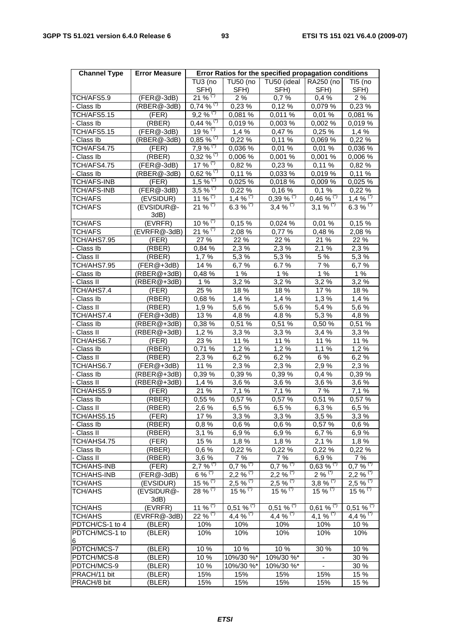| <b>Channel Type</b>      | <b>Error Measure</b> |                          |                                 | Error Ratios for the specified propagation conditions |                         |                         |
|--------------------------|----------------------|--------------------------|---------------------------------|-------------------------------------------------------|-------------------------|-------------------------|
|                          |                      | TU3 (no<br>SFH)          | <b>TU50 (no</b><br>SFH)         | TU50 (ideal<br>SFH)                                   | RA250 (no<br>SFH)       | $TI5$ (no<br>SFH)       |
| TCH/AFS5.9               | (FER@-3dB)           | $21\%$ <sup>(*)</sup>    | 2%                              | 0,7%                                                  | 0,4%                    | 2%                      |
| - Class Ib               | (RBER@-3dB)          | $0,74\%$ <sup>(*)</sup>  | 0,23%                           | 0,12%                                                 | 0.079%                  | 0,23%                   |
| TCH/AFS5.15              | (FER)                | $9,2\%$ <sup>(*)</sup>   | 0,081%                          | 0,011%                                                | 0,01%                   | 0,081 %                 |
| Class Ib                 | (RBER)               | $0,44\%$ <sup>(*)</sup>  | 0,019 %                         | 0,003%                                                | 0,002 %                 | 0,019 %                 |
| TCH/AFS5.15              | $(FER@-3dB)$         | $19\%$ <sup>(*)</sup>    | 1,4%                            | 0,47 %                                                | 0,25%                   | 1,4%                    |
| - Class Ib               | (RBER@-3dB)          | $0,85\%$ <sup>(*)</sup>  | 0,22%                           | 0,11%                                                 | 0,069 %                 | 0,22%                   |
| TCH/AFS4.75              | (FER)                | $7,9%$ (*)               | 0,036 %                         | 0,01%                                                 | 0,01%                   | 0,036 %                 |
| - Class Ib               | (RBER)               | $0,32\,%$ <sup>(*)</sup> | 0,006 %                         | 0,001%                                                | 0,001 %                 | 0,006 %                 |
| TCH/AFS4.75              | $(FER@-3dB)$         | $17\%$ <sup>(*)</sup>    | 0,82%                           | 0,23%                                                 | 0,11%                   | 0,82 %                  |
| - Class Ib               | $(RBER@-3dB)$        | $0,62%$ <sup>(*)</sup>   | 0,11%                           | 0,033%                                                | 0.019%                  | 0,11%                   |
| <b>TCH/AFS-INB</b>       | (FER)                | $1,5\,\sqrt[6]{6}$       | 0,025 %                         | 0,018%                                                | 0,009 %                 | 0,025 %                 |
| <b>TCH/AFS-INB</b>       | (FER@-3dB)           | $3,5\%$ <sup>(*)</sup>   | 0,22%                           | 0,16%                                                 | 0,1%                    | 0,22%                   |
| <b>TCH/AFS</b>           | (EVSIDUR)            | 11 % $(7)$               | 1,4 $\sqrt[6]{x^{1}}$           | $0,39\%$ <sup>(*)</sup>                               | $0,46\%$ <sup>(*)</sup> | $1,4\%$ <sup>(*)</sup>  |
| <b>TCH/AFS</b>           | (EVSIDUR@-<br>3dB)   | $21\,\sqrt[6]{5}$        | 6.3 % $(*)$                     | $3,4%$ <sup>(*)</sup>                                 | $3,1\%$ <sup>(*)</sup>  | 6.3 % $(*)$             |
| <b>TCH/AFS</b>           | (EVRFR)              | 10 % $(5)$               | 0.15%                           | 0,024%                                                | 0,01%                   | 0,15%                   |
| <b>TCH/AFS</b>           | (EVRFR@-3dB)         | $21\%$ <sup>(*)</sup>    | 2,08%                           | 0,77 %                                                | 0,48%                   | 2,08 %                  |
| TCH/AHS7.95              | (FER)                | 27 %                     | 22 %                            | 22 %                                                  | 21 %                    | 22 %                    |
| - Class Ib               | (RBER)               | 0,84 %                   | 2,3%                            | 2,3%                                                  | 2,1%                    | 2,3 %                   |
| - Class II               | (RBER)               | 1,7%                     | 5,3%                            | 5,3 %                                                 | 5 %                     | 5,3%                    |
| TCH/AHS7.95              | $(FER@+3dB)$         | 14 %                     | 6,7%                            | 6.7%                                                  | 7%                      | 6,7%                    |
| - Class Ib               | $(RBER@+3dB)$        | 0,48%                    | 1%                              | 1%                                                    | 1%                      | 1%                      |
| Class II                 | (RBER@+3dB)          | 1%                       | 3,2%                            | 3,2%                                                  | 3,2%                    | 3,2%                    |
| TCH/AHS7.4               | (FER)                | 25 %                     | 18 %                            | 18 %                                                  | 17 %                    | 18 %                    |
| - Class Ib               | (RBER)<br>(RBER)     | 0,68%<br>1,9%            | 1,4%<br>5,6 %                   | 1,4%<br>5,6 %                                         | 1,3%<br>5,4 %           | 1,4%<br>5,6%            |
| - Class II<br>TCH/AHS7.4 | $(FER@+3dB)$         | 13 %                     | 4,8%                            | 4.8%                                                  | 5,3%                    | 4,8%                    |
| Class Ib                 | $(RBER@+3dB)$        | 0,38 %                   | 0,51%                           | 0,51%                                                 | 0,50%                   | 0,51%                   |
| Class II                 | (RBER@+3dB)          | 1,2%                     | 3,3%                            | 3,3%                                                  | 3,4%                    | 3,3%                    |
| TCH/AHS6.7               | (FER)                | 23 %                     | 11 %                            | 11 %                                                  | 11 %                    | 11 %                    |
| - Class Ib               | (RBER)               | 0,71%                    | 1,2%                            | 1,2%                                                  | 1,1%                    | 1,2%                    |
| - Class II               | (RBER)               | 2,3%                     | 6,2%                            | 6,2%                                                  | 6 %                     | 6,2%                    |
| TCH/AHS6.7               | (FER@+3dB)           | 11 %                     | 2,3%                            | $\overline{2}$ , 3 %                                  | 2,9%                    | 2,3%                    |
| - Class Ib               | (RBER@+3dB)          | 0,39 %                   | 0,39 %                          | 0,39 %                                                | 0,4%                    | 0,39%                   |
| - Class II               | (RBER@+3dB)          | 1,4%                     | 3,6%                            | 3,6%                                                  | 3,6 %                   | 3,6%                    |
| TCH/AHS5.9               | (FER)                | 21 %                     | 7,1 %                           | 7,1 %                                                 | 7 %                     | 7,1 %                   |
| Class Ib                 | (RBER)               | 0,55 %                   | 0,57 %                          | 0,57 %                                                | 0,51 %                  | 0,57 %                  |
| - Class II               | (RBER)               | 2,6%                     | 6,5%                            | 6,5%                                                  | 6,3%                    | 6,5%                    |
| TCH/AHS5.15              | (FER)                | 17 %                     | 3,3%                            | 3,3%                                                  | 3,5%                    | 3,3%                    |
| - Class Ib               | (RBER)               | 0,8%                     | 0,6%                            | 0,6%                                                  | 0,57 %                  | 0,6%                    |
| - Class II               | (RBER)               | 3,1%                     | 6,9%                            | 6,9%                                                  | 6,7%                    | 6,9%                    |
| TCH/AHS4.75              | (FER)                | 15 %                     | 1,8%                            | 1,8%                                                  | 2,1%                    | 1,8%                    |
| - Class Ib               | (RBER)               | 0,6%                     | 0,22%                           | 0,22%                                                 | 0,22%                   | 0,22%                   |
| - Class II               | (RBER)               | 3,6%                     | 7 %                             | 7 %                                                   | 6,9%                    | 7 %                     |
| <b>TCH/AHS-INB</b>       | (FER)                | $2,7\,\sqrt[6]{6}$       | $0,7\frac{1}{6}$ <sup>(*)</sup> | $0,7\sqrt[6]{6}$ <sup>(*)</sup>                       | $0,63\%$ <sup>(*)</sup> | $0,7\%$ <sup>(*)</sup>  |
| <b>TCH/AHS-INB</b>       | $(FER@-3dB)$         | $6\%$ <sup>(*)</sup>     | $2,2%$ (*)                      | $2,2%$ <sup>(*)</sup>                                 | $2\%$ <sup>(*)</sup>    | $2,2\sqrt[6]{6}$        |
| <b>TCH/AHS</b>           | (EVSIDUR)            | $15\%$ <sup>(*)</sup>    | $2,5%$ $\frac{\pi}{2}$          | $2,5%$ (*)                                            | 3,8 % $\sqrt[7]{ }$     | $2,5\%$ <sup>(*)</sup>  |
| TCH/AHS                  | (EVSIDUR@-<br>3dB)   | $28 \%$ $(7)$            | 15 % $(7)$                      | $15\%$ (1)                                            | 15 % $(7)$              | $15 \%$ (*)             |
| <b>TCH/AHS</b>           | (EVRFR)              | $11\%$ <sup>(*)</sup>    | $0,51\%$ <sup>(1)</sup>         | $0,51\%$ <sup>(*)</sup>                               | $0,61\%$ <sup>(1)</sup> | $0,51\%$ <sup>(*)</sup> |
| <b>TCH/AHS</b>           | (EVRFR@-3dB)         | $22 \%$ (*)              | 4,4 % $(7)$                     | $4,4\%$ <sup>(*)</sup>                                | 4,1 % $(5)$             | 4,4 % $(7)$             |
| PDTCH/CS-1 to 4          | (BLER)               | 10%                      | 10%                             | 10%                                                   | 10%                     | 10 %                    |
| PDTCH/MCS-1 to<br>6      | (BLER)               | 10%                      | 10%                             | 10%                                                   | 10%                     | 10%                     |
| PDTCH/MCS-7              | (BLER)               | 10%                      | 10%                             | 10%                                                   | 30 %                    | 10 %                    |
| PDTCH/MCS-8              | (BLER)               | 10 %                     | 10%/30%*                        | 10%/30%*                                              |                         | 30 %                    |
| PDTCH/MCS-9              | (BLER)               | 10 %                     | 10%/30%*                        | 10%/30%*                                              |                         | 30 %                    |
| PRACH/11 bit             | (BLER)               | 15%                      | 15%                             | 15%                                                   | 15%                     | 15 %                    |
| PRACH/8 bit              | (BLER)               | 15%                      | 15%                             | 15%                                                   | 15%                     | 15 %                    |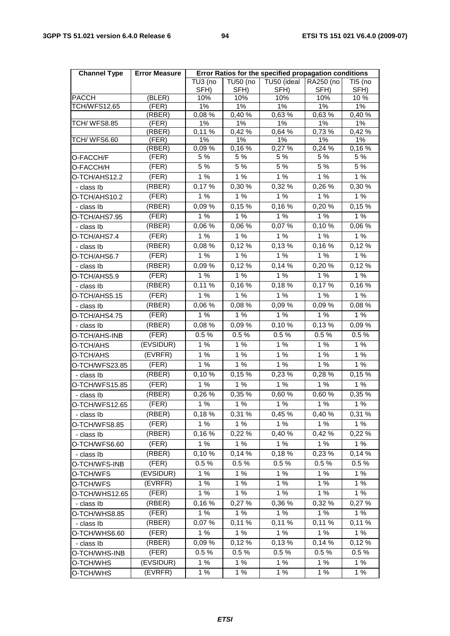| <b>Channel Type</b> | <b>Error Measure</b> | Error Ratios for the specified propagation conditions |                  |                     |                       |                 |
|---------------------|----------------------|-------------------------------------------------------|------------------|---------------------|-----------------------|-----------------|
|                     |                      | TU3 (no<br>SFH)                                       | TU50 (no<br>SFH) | TU50 (ideal<br>SFH) | RA250 (no<br>SFH)     | TI5 (no<br>SFH) |
| <b>PACCH</b>        | (BLER)               | $\frac{1}{10\%}$                                      | 10%              | 10%                 | 10%                   | 10%             |
| <b>TCH/WFS12.65</b> | (FER)                | 1%                                                    | 1%               | 1%                  | 1%                    | 1%              |
|                     | (RBER)               | 0,08%                                                 | 0,40 %           | 0,63 %              | 0,63%                 | 0,40%           |
| TCH/WFS8.85         | (FER)                | 1%                                                    | 1%<br>0,42%      | $1\%$<br>0,64 %     | 1%<br>0,73%           | $1\%$           |
| TCH/WFS6.60         | (RBER)<br>(FER)      | 0,11%<br>$1\%$                                        | 1%               | $1\%$               | $1\%$                 | 0,42%<br>1%     |
|                     | (RBER)               | $0,09\%$                                              | 0,16%            | 0,27 %              | 0,24 %                | 0,16%           |
| O-FACCH/F           | (FER)                | 5 %                                                   | 5 %              | 5 %                 | 5 %                   | 5 %             |
| O-FACCH/H           | (FER)                | 5%                                                    | 5%               | 5%                  | 5%                    | 5%              |
| O-TCH/AHS12.2       | (FER)                | 1%                                                    | 1%               | 1%                  | 1%                    | 1%              |
| - class Ib          | (RBER)               | 0,17%                                                 | 0,30%            | 0,32 %              | 0,26 %                | 0,30 %          |
| O-TCH/AHS10.2       | (FER)                | 1%                                                    | 1%               | 1%                  | 1%                    | 1%              |
| - class Ib          | (RBER)               | 0,09%                                                 | 0,15%            | 0,16 %              | 0,20%                 | 0,15%           |
| O-TCH/AHS7.95       | (FER)                | 1%                                                    | 1%               | 1%                  | 1%                    | 1%              |
| - class Ib          | (RBER)               | 0,06 %                                                | 0,06 %           | 0,07%               | 0,10%                 | 0,06 %          |
| O-TCH/AHS7.4        | (FER)                | 1%                                                    | 1%               | 1%                  | 1%                    | 1%              |
| - class Ib          | (RBER)               | 0,08%                                                 | 0,12%            | 0,13%               | 0,16%                 | 0,12%           |
| O-TCH/AHS6.7        | (FER)                | 1%                                                    | 1%               | 1%                  | 1%                    | 1%              |
| - class Ib          | (RBER)               | 0,09%                                                 | 0,12%            | 0,14%               | 0,20%                 | 0,12%           |
| O-TCH/AHS5.9        | (FER)                | 1%                                                    | 1%               | 1%                  | 1%                    | 1%              |
| - class Ib          | (RBER)               | 0,11%                                                 | 0,16%            | 0,18%               | $\overline{0}$ , 17 % | 0,16%           |
| O-TCH/AHS5.15       | (FER)                | 1%                                                    | 1%               | 1%                  | 1%                    | 1%              |
| - class Ib          | (RBER)               | 0,06 %                                                | 0,08%            | 0,09%               | 0,09%                 | 0,08%           |
| O-TCH/AHS4.75       | (FER)                | 1%                                                    | 1%               | 1%                  | 1%                    | 1%              |
| - class Ib          | (RBER)               | 0,08%                                                 | 0,09%            | 0,10%               | 0,13%                 | 0,09%           |
| O-TCH/AHS-INB       | (FER)                | 0.5%                                                  | 0.5%             | 0.5%                | 0.5%                  | 0.5%            |
| O-TCH/AHS           | (EVSIDUR)            | 1%                                                    | 1%               | 1%                  | 1%                    | 1%              |
| O-TCH/AHS           | (EVRFR)              | 1%                                                    | 1%               | 1%                  | 1%                    | 1%              |
| O-TCH/WFS23.85      | (FER)                | 1%                                                    | 1%               | $1\%$               | 1%                    | 1%              |
| - class Ib          | (RBER)               | 0,10%                                                 | 0,15%            | 0,23 %              | 0,28%                 | 0,15%           |
| O-TCH/WFS15.85      | (FER)                | 1%                                                    | 1%               | 1%                  | 1%                    | 1%              |
| - class Ib          | (RBER)               | 0,26 %                                                | 0,35 %           | 0,60 %              | 0,60 %                | 0,35 %          |
| O-TCH/WFS12.65      | (FER)                | 1%                                                    | 1%               | 1%                  | 1%                    | 1%              |
| - class Ib          | (RBER)               | 0,18%                                                 | 0,31 %           | 0,45 %              | 0,40%                 | 0,31 %          |
| O-TCH/WFS8.85       | (FER)                | 1%                                                    | 1%               | 1%                  | 1%                    | 1%              |
| - class Ib          | (RBER)               | 0,16%                                                 | 0,22 %           | 0,40 %              | 0,42 %                | 0,22 %          |
| O-TCH/WFS6.60       | (FER)                | 1%                                                    | 1%               | 1%                  | 1%                    | 1%              |
| - class Ib          | (RBER)               | 0,10%                                                 | 0,14%            | 0,18%               | 0,23 %                | 0,14 %          |
| O-TCH/WFS-INB       | (FER)                | 0.5%                                                  | $0.5 \%$         | 0.5%                | 0.5%                  | 0.5%            |
| O-TCH/WFS           | (EVSIDUR)            | 1%                                                    | 1%               | 1%                  | 1%                    | 1%              |
| O-TCH/WFS           | (EVRFR)              | 1%                                                    | 1%               | 1%                  | 1%                    | 1%              |
| O-TCH/WHS12.65      | (FER)                | 1%                                                    | 1%               | 1%                  | 1%                    | 1%              |
| - class Ib          | (RBER)               | 0,16%                                                 | 0,27%            | 0,36 %              | 0,32 %                | 0,27 %          |
| O-TCH/WHS8.85       | (FER)                | 1%                                                    | 1%               | 1%                  | 1%                    | 1%              |
| - class Ib          | (RBER)               | 0,07%                                                 | 0,11%            | 0,11 %              | 0,11%                 | 0,11%           |
| O-TCH/WHS6.60       | (FER)                | 1%                                                    | 1%               | 1%                  | 1%                    | 1%              |
| - class Ib          | (RBER)               | 0,09%                                                 | 0,12%            | 0,13%               | 0,14%                 | 0,12%           |
| O-TCH/WHS-INB       | (FER)                | 0.5%                                                  | 0.5%             | $0.5\ \%$           | 0.5%                  | 0.5%            |
| O-TCH/WHS           | (EVSIDUR)            | 1%                                                    | 1%               | 1%                  | 1%                    | 1%              |
| O-TCH/WHS           | (EVRFR)              | 1%                                                    | 1%               | 1%                  | 1%                    | 1%              |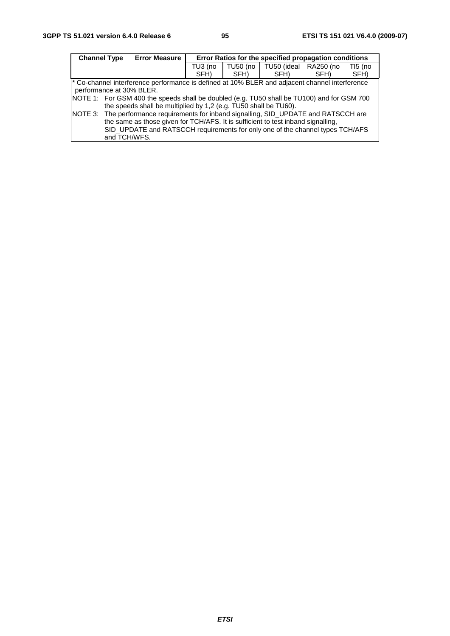| <b>Channel Type</b> |                          | <b>Error Measure</b>                                                                           | Error Ratios for the specified propagation conditions |          |             |           |         |  |
|---------------------|--------------------------|------------------------------------------------------------------------------------------------|-------------------------------------------------------|----------|-------------|-----------|---------|--|
|                     |                          |                                                                                                | TU3 (no                                               | TU50 (no | TU50 (ideal | RA250 (no | TI5 (no |  |
|                     |                          |                                                                                                | SFH)                                                  | SFH)     | SFH)        | SFH)      | SFH)    |  |
|                     |                          | * Co-channel interference performance is defined at 10% BLER and adjacent channel interference |                                                       |          |             |           |         |  |
|                     | performance at 30% BLER. |                                                                                                |                                                       |          |             |           |         |  |
|                     |                          | NOTE 1: For GSM 400 the speeds shall be doubled (e.g. TU50 shall be TU100) and for GSM 700     |                                                       |          |             |           |         |  |
|                     |                          | the speeds shall be multiplied by 1,2 (e.g. TU50 shall be TU60).                               |                                                       |          |             |           |         |  |
|                     |                          | NOTE 3: The performance requirements for inband signalling, SID_UPDATE and RATSCCH are         |                                                       |          |             |           |         |  |
|                     |                          | the same as those given for TCH/AFS. It is sufficient to test inband signalling,               |                                                       |          |             |           |         |  |
|                     |                          | SID_UPDATE and RATSCCH requirements for only one of the channel types TCH/AFS                  |                                                       |          |             |           |         |  |
|                     | and TCH/WFS.             |                                                                                                |                                                       |          |             |           |         |  |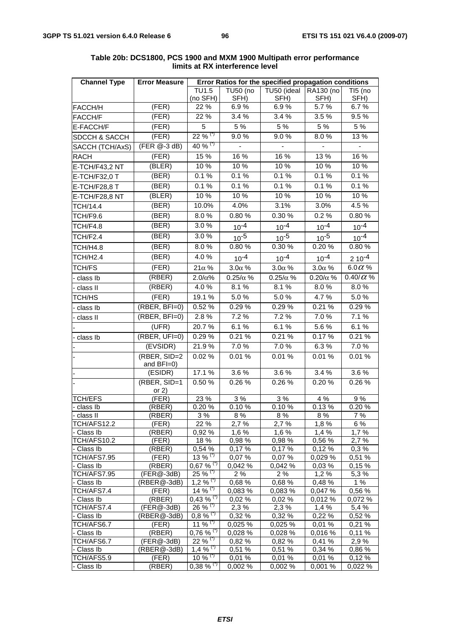| <b>Channel Type</b>       | <b>Error Measure</b>          | Error Ratios for the specified propagation conditions |                 |                  |                  |                  |  |  |
|---------------------------|-------------------------------|-------------------------------------------------------|-----------------|------------------|------------------|------------------|--|--|
|                           |                               | TU1.5                                                 | <b>TU50 (no</b> | TU50 (ideal      | RA130 (no        | TI5 (no          |  |  |
|                           |                               | (no SFH)                                              | SFH)            | SFH)             | SFH)             | SFH)             |  |  |
| FACCH/H                   | (FER)                         | 22 %                                                  | 6.9%            | 6.9%             | 5.7%             | 6.7%             |  |  |
| FACCH/F                   | (FER)                         | 22 %                                                  | 3.4%            | 3.4 %            | 3.5 %            | 9.5%             |  |  |
| E-FACCH/F                 | (FER)                         | 5                                                     | 5 %             | 5 %              | 5 %              | 5 %              |  |  |
| SDCCH & SACCH             | (FER)                         | $22\%$ <sup>(*)</sup>                                 | 9.0%            | 9.0%             | 8.0%             | 13 %             |  |  |
| SACCH (TCH/AxS)           | $(FER @ -3 dB)$               | 40 % $(7)$                                            | $\blacksquare$  |                  |                  | $\blacksquare$   |  |  |
| <b>RACH</b>               | (FER)                         | 15 %                                                  | 16 %            | 16 %             | 13 %             | 16 %             |  |  |
| E-TCH/F43,2 NT            | (BLER)                        | 10%                                                   | 10 %            | 10%              | 10%              | 10%              |  |  |
| E-TCH/F32,0 T             | (BER)                         | 0.1%                                                  | 0.1%            | 0.1%             | 0.1%             | 0.1%             |  |  |
| E-TCH/F28,8 T             | (BER)                         | 0.1%                                                  | 0.1%            | 0.1%             | 0.1%             | 0.1%             |  |  |
| E-TCH/F28,8 NT            | (BLER)                        | 10 %                                                  | 10 %            | 10%              | 10%              | 10%              |  |  |
| TCH/14.4                  | (BER)                         | 10.0%                                                 | 4.0%            | 3.1%             | 3.0%             | 4.5%             |  |  |
| TCH/F9.6                  | (BER)                         | 8.0%                                                  | 0.80%           | 0.30 %           | 0.2%             | 0.80%            |  |  |
| TCH/F4.8                  | (BER)                         | 3.0%                                                  |                 | $10^{-4}$        |                  |                  |  |  |
|                           |                               | 3.0%                                                  | $10^{-4}$       |                  | $10^{-4}$        | $10^{-4}$        |  |  |
| TCH/F2.4                  | (BER)                         |                                                       | $10^{-5}$       | $10^{-5}$        | $10^{-5}$        | $10^{-4}$        |  |  |
| <b>TCH/H4.8</b>           | (BER)                         | 8.0%                                                  | 0.80%           | 0.30 %           | 0.20%            | 0.80%            |  |  |
| <b>TCH/H2.4</b>           | (BER)                         | 4.0%                                                  | $10^{-4}$       | $10^{-4}$        | $10^{-4}$        | $210^{-4}$       |  |  |
| <b>TCH/FS</b>             | (FER)                         | $21\alpha$ %                                          | $3.0\alpha$ %   | $3.0\alpha$ %    | $3.0\alpha$ %    | 6.0 $\alpha$ %   |  |  |
| - class Ib                | (RBER)                        | $2.0/\alpha\%$                                        | $0.25/\alpha$ % | $0.25/\alpha$ %  | $0.20/\alpha$ %  | 0.40/ $\alpha$ % |  |  |
| - class II                | (RBER)                        | 4.0%                                                  | 8.1%            | 8.1%             | 8.0%             | 8.0%             |  |  |
| TCH/HS                    | (FER)                         | 19.1 %                                                | 5.0%            | 5.0%             | 4.7%             | 5.0%             |  |  |
| class lb                  | $(RBER, BFI=0)$               | 0.52%                                                 | 0.29%           | 0.29%            | 0.21%            | 0.29 %           |  |  |
| - class II                | (RBER, BFI=0)                 | 2.8%                                                  | 7.2 %           | 7.2 %            | 7.0%             | 7.1 %            |  |  |
|                           | (UFR)                         | 20.7%                                                 | 6.1%            | 6.1%             | 5.6%             | 6.1%             |  |  |
| - class Ib                | (RBER, UFI=0)                 | 0.29%                                                 | 0.21%           | 0.21%            | 0.17%            | 0.21%            |  |  |
|                           | (EVSIDR)                      | 21.9%                                                 | 7.0%            | 7.0%             | 6.3%             | 7.0%             |  |  |
|                           | (RBER, SID=2                  | 0.02%                                                 | 0.01%           | 0.01%            | 0.01%            | 0.01%            |  |  |
|                           | and BFI=0)                    |                                                       |                 |                  |                  |                  |  |  |
|                           | $\overline{\textsf{(ESIDR)}}$ | 17.1 %                                                | 3.6%            | 3.6%             | 3.4 %            | $3.6\%$          |  |  |
|                           | (RBER, SID=1                  | 0.50 %                                                | 0.26%           | 0.26%            | 0.20%            | 0.26%            |  |  |
|                           | or $2)$                       |                                                       |                 |                  |                  |                  |  |  |
| TCH/EFS                   | (FER)                         | 23 %                                                  | 3 %             | 3%               | 4 %              | 9%               |  |  |
| class Ib                  | (RBER)                        | 0.20%                                                 | 0.10%           | 0.10%            | 0.13%            | 0.20%            |  |  |
| - class II<br>TCH/AFS12.2 | (RBER)                        | $3%$                                                  | 8%<br>2,7%      | 8%               | 8%               | 7 %              |  |  |
| - Class Ib                | (FER)<br>(RBER)               | 22 %<br>0,92%                                         | 1,6%            | 2,7%<br>1,6%     | 1,8%<br>1,4%     | 6 %<br>1,7%      |  |  |
| TCH/AFS10.2               | (FER)                         | 18 %                                                  | 0,98 %          | 0,98 %           | 0,56 %           | 2,7%             |  |  |
| - Class Ib                | (RBER)                        | 0,54 %                                                | 0,17%           | 0,17%            | 0,12%            | 0,3%             |  |  |
| TCH/AFS7.95               | (FER)                         | 13 % $\sqrt{7}$                                       | 0.07%           | 0,07%            | 0,029 %          | 0,51 %           |  |  |
| - Class Ib                | (RBER)                        | $0,67\%$ <sup>(*)</sup>                               | 0,042 %         | 0,042 %          | 0,03%            | 0,15 %           |  |  |
| TCH/AFS7.95               | (FER@-3dB)                    | $25\,\sqrt[6]{x^{(1)}}$                               | 2%              | 2%               | 1,2%             | 5,3%             |  |  |
| - Class Ib                | (RBER@-3dB)                   | $1,2\%$ <sup>(1)</sup>                                | 0,68 %          | 0,68%            | 0,48%            | 1%               |  |  |
| TCH/AFS7.4                | (FER)                         | 14 % $(7)$                                            | 0,083 %         | 0,083 %          | 0,047 %          | 0,56 %           |  |  |
| - Class Ib                | (RBER)                        | $0,43\%$ <sup>(*)</sup>                               | 0,02%           | 0,02%            | 0,012 %          | 0,072 %          |  |  |
| TCH/AFS7.4                | $(FER@-3dB)$                  | $26\%$ <sup>(*)</sup>                                 | 2,3%            | 2,3%             | 1,4%             | 5,4 %            |  |  |
| Class Ib                  | (RBER@-3dB)                   | $0.8\%$ <sup>77</sup>                                 | 0,32%           | 0,32%            | 0,22%            | 0,52%            |  |  |
| TCH/AFS6.7                | (FER)                         | 11 % $(7)$                                            | 0,025 %         | 0,025 %          | 0,01 %           | 0,21%            |  |  |
| - Class Ib                | (RBER)                        | $0,76%$ $\frac{8}{17}$                                | 0,028 %         | 0,028 %          | 0,016 %          | 0,11%            |  |  |
| TCH/AFS6.7                | (FER@-3dB)                    | $22 \%$ <sup>(*)</sup>                                | 0,82%           | 0,82%            | 0,41%            | 2,9%             |  |  |
| - Class Ib                | (RBER@-3dB)                   | 1,4 $\frac{1}{6}$ (1)<br>10 % $(7)$                   | 0,51 %          | 0,51%            | 0,34%            | 0,86 %           |  |  |
| TCH/AFS5.9<br>- Class Ib  | (FER)<br>(RBER)               | $0,38 \%$ (*)                                         | 0,01%<br>0,002% | 0,01%<br>0,002 % | 0,01%<br>0,001 % | 0,12%<br>0,022 % |  |  |
|                           |                               |                                                       |                 |                  |                  |                  |  |  |

#### **Table 20b: DCS1800, PCS 1900 and MXM 1900 Multipath error performance limits at RX interference level**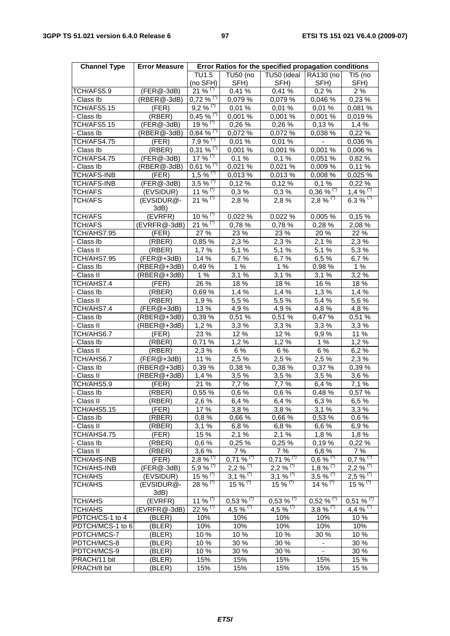| <b>Channel Type</b> | <b>Error Measure</b> | Error Ratios for the specified propagation conditions |                         |                                 |                          |                                   |  |  |
|---------------------|----------------------|-------------------------------------------------------|-------------------------|---------------------------------|--------------------------|-----------------------------------|--|--|
|                     |                      | TU1.5                                                 | TU50 (no                | TU50 (ideal                     | RA130 (no                | TI5 (no                           |  |  |
|                     |                      | (no SFH)                                              | SFH)                    | SFH)                            | SFH)                     | SFH)                              |  |  |
| TCH/AFS5.9          | $(FER@-3dB)$         | $21\%$ <sup>(*)</sup>                                 | 0,41%                   | 0,41 %                          | 0,2%                     | 2%                                |  |  |
| - Class Ib          | (RBER@-3dB)          | $0,72\%$ <sup>(*)</sup>                               | 0,079 %                 | 0,079 %                         | 0,046 %                  | 0,23 %                            |  |  |
| TCH/AFS5.15         | (FER)                | $9,2\%$ <sup>(*)</sup>                                | 0,01%                   | 0,01%                           | 0,01%                    | 0,081 %                           |  |  |
| - Class Ib          | (RBER)               | $0,45 \%$ <sup>(*)</sup>                              | 0,001%                  | 0,001%                          | 0.001%                   | 0,019%                            |  |  |
| TCH/AFS5.15         | (FER@-3dB)           | 19 % $(5)$                                            | 0,26 %                  | 0,26 %                          | 0,13%                    | 1,4%                              |  |  |
| Class Ib            | (RBER@-3dB)          | $0,84\%$ <sup>(*)</sup>                               | 0,072 %                 | 0,072 %                         | 0,038 %                  | 0,22 %                            |  |  |
| TCH/AFS4.75         | (FER)                | $7,9%$ <sup>(*)</sup>                                 | 0,01%                   | 0,01%                           |                          | 0,036 %                           |  |  |
| - Class Ib          | (RBER)               | $0,31\%$ <sup>(*)</sup>                               | 0,001 %                 | 0,001 %                         | 0,001 %                  | 0,006 %                           |  |  |
| TCH/AFS4.75         | (FER@-3dB)           | 17 % $(7)$                                            | 0,1%                    | 0,1%                            | 0.051%                   | 0,82 %                            |  |  |
| - Class Ib          | (RBER@-3dB)          | $0,61\%$ <sup>(*)</sup>                               | 0,021 %                 | 0,021 %                         | 0,009%                   | 0,11%                             |  |  |
| <b>TCH/AFS-INB</b>  | (FER)                | 1,5 % $\sqrt{(x)}$                                    | 0,013 %                 | 0,013 %                         | 0.008%                   | 0,025 %                           |  |  |
| <b>TCH/AFS-INB</b>  | (FER@-3dB)           | $3,5\%$ <sup>(*)</sup>                                | 0,12%                   | 0,12%                           | 0,1%                     | 0,22%                             |  |  |
| <b>TCH/AFS</b>      | (EVSIDUR)            | 11 % <sup>(*)</sup>                                   | 0,3%                    | 0,3%                            | $0,36\%$ <sup>(*)</sup>  | $1,4%$ <sup>(*)</sup>             |  |  |
| <b>TCH/AFS</b>      | (EVSIDUR@-<br>3dB)   | $21\%$ <sup>(*)</sup>                                 | 2,8%                    | 2,8%                            | $2,8\%$ <sup>(*)</sup>   | 6.3 % $(7)$                       |  |  |
| TCH/AFS             | (EVRFR)              | $10\%$ <sup>(*)</sup>                                 | 0,022%                  | 0,022%                          | 0,005 %                  | 0,15%                             |  |  |
| <b>TCH/AFS</b>      | (EVRFR@-3dB)         | $21\frac{96}{10}$                                     | 0.78%                   | 0.78%                           | 0,28 %                   | 2,08 %                            |  |  |
| TCH/AHS7.95         | (FER)                | 27 %                                                  | 23 %                    | 23 %                            | 20%                      | 22 %                              |  |  |
| - Class Ib          | (RBER)               | 0,85 %                                                | 2,3%                    | 2.3%                            | 2,1%                     | 2,3%                              |  |  |
| - Class II          | (RBER)               | 1,7%                                                  | 5,1%                    | 5,1 %                           | 5.1%                     | 5,3%                              |  |  |
| TCH/AHS7.95         | $(FER@+3dB)$         | 14 %                                                  | 6,7%                    | 6,7%                            | 6,5%                     | 6,7%                              |  |  |
| - Class Ib          | $(RBER@+3dB)$        | 0,49%                                                 | 1%                      | 1%                              | 0,98%                    | 1%                                |  |  |
| Class II            | (RBER@+3dB)          | 1%                                                    | 3,1%                    | 3,1%                            | 3,1%                     | 3,2%                              |  |  |
| TCH/AHS7.4          | (FER)                | 26 %                                                  | 18 %                    | 18%                             | 16 %                     | 18 %                              |  |  |
| Class Ib            | (RBER)               | 0,69%                                                 | 1,4%                    | 1,4%                            | 1,3%                     | 1,4%                              |  |  |
| - Class II          | (RBER)               | 1,9%                                                  | 5,5%                    | 5,5 %                           | 5,4 %                    | 5,6%                              |  |  |
| TCH/AHS7.4          | $(FER@+3dB)$         | 13%                                                   | 4,9%                    | 4,9%                            | 4,8%                     | 4,8%                              |  |  |
| Class Ib            | (RBER@+3dB)          | 0,39 %                                                | 0,51%                   | 0,51%                           | 0,47%                    | 0,51 %                            |  |  |
| Class II            | (RBER@+3dB)          | 1,2%                                                  | 3,3%                    | 3,3%                            | 3,3%                     | 3,3%                              |  |  |
| TCH/AHS6.7          | (FER)                | 23 %                                                  | 12 %                    | 12 %                            | 9,9%                     | 11 %                              |  |  |
| Class Ib            | (RBER)               | 0,71%                                                 | 1,2%                    | 1,2%                            | 1%                       | 1,2%                              |  |  |
| Class II            | (RBER)               | 2,3%                                                  | 6 %                     | 6 %                             | 6 %                      | 6,2%                              |  |  |
| TCH/AHS6.7          | $(FER@+3dB)$         | 11 %                                                  | 2,5 %                   | 2,5%                            | 2,5%                     | 2,3%                              |  |  |
| - Class Ib          | (RBER@+3dB)          | 0,39 %                                                | 0,38 %                  | 0,38 %                          | 0,37 %                   | 0,39 %                            |  |  |
| - Class II          | (RBER@+3dB)          | 1,4%                                                  | 3,5%                    | 3,5%                            | 3,5%                     | 3,6%                              |  |  |
| TCH/AHS5.9          | (FER)                | 21 %                                                  | 7,7 %                   | 7,7 %                           | 6,4%                     | 7,1 %                             |  |  |
| Class Ib            | (RBER)               | 0,55%                                                 | 0,6%                    | 0,6%                            | 0,48 %                   | 0,57%                             |  |  |
| - Class II          | (RBER)               | $2,6\%$                                               | 6,4 %                   | 6,4 %                           | 6,3 %                    | წ,5 %                             |  |  |
| TCH/AHS5.15         | (FER)                | 17%                                                   | 3,8%                    | 3,8%                            | 3,1%                     | 3,3%                              |  |  |
| - Class Ib          | (RBER)               | 0,8%                                                  | 0,66%                   | 0,66 %                          | 0,53 %                   | 0,6%                              |  |  |
| - Class II          | (RBER)               | 3,1%                                                  | 6,8%                    | 6,8%                            | 6,6%                     | 6,9%                              |  |  |
| TCH/AHS4.75         | (FER)                | 15 %                                                  | 2,1%                    | 2,1%                            | 1,8%                     | 1,8%                              |  |  |
| - Class Ib          | (RBER)               | 0,6%                                                  | 0,25%                   | 0,25%                           | 0,19%                    | $0,22\sqrt{6}$                    |  |  |
| - Class II          | (RBER)               | 3,6%                                                  | 7 %                     | 7 %                             | 6,8%                     | 7 %                               |  |  |
| <b>TCH/AHS-INB</b>  | (FER)                | $2,8\,%$                                              | $0,71\%$ <sup>(*)</sup> | $0,71\%$ <sup>(*)</sup>         | $0,6\%$ <sup>(*)</sup>   | $0.7\,\sqrt[3]{6}$ <sup>(*)</sup> |  |  |
| <b>TCH/AHS-INB</b>  | (FER@-3dB)           | 5,9 $\frac{1}{6}$ (1)                                 | $2,2%$ <sup>(*)</sup>   | $2,2%$ <sup>(*)</sup>           | 1,8 $\sqrt[3]{6}$ (1)    | $2,2\%$ <sup>(*)</sup>            |  |  |
| TCH/AHS             | (EVSIDUR)            | $15\%$ <sup>(*)</sup>                                 | $3,1\%$ <sup>(*)</sup>  | $3,1\frac{6}{6}$ <sup>(*)</sup> | $3,5%$ (*)               | $2,5%$ (*)                        |  |  |
| <b>TCH/AHS</b>      | (EVSIDUR@-<br>3dB)   | $28\%$ (1)                                            | $15 \%$ (*)             | $15 \%$ (*)                     | 14 % $(7)$               | $15 \%$ (*)                       |  |  |
| <b>TCH/AHS</b>      | (EVRFR)              | 11 % $(7)$                                            | $0,53\%$ <sup>(1)</sup> | $0,53\%$ <sup>(*)</sup>         | $0,52\%$ $\frac{77}{2}$  | $0,51 \%$ <sup>(*)</sup>          |  |  |
| <b>TCH/AHS</b>      | (EVRFR@-3dB)         | $22\%$ <sup>(*)</sup>                                 | $4,5\%$ <sup>(*)</sup>  | 4,5 % $(7)$                     | 3,8 % $(7)$              | 4,4 % $(7)$                       |  |  |
| PDTCH/CS-1 to 4     | (BLER)               | 10%                                                   | 10%                     | 10%                             | 10%                      | 10 %                              |  |  |
| PDTCH/MCS-1 to 6    | (BLER)               | 10%                                                   | 10%                     | 10%                             | 10%                      | 10%                               |  |  |
| PDTCH/MCS-7         | (BLER)               | 10%                                                   | 10%                     | 10%                             | 30 %                     | 10%                               |  |  |
| PDTCH/MCS-8         | (BLER)               | 10 %                                                  | 30 %                    | 30 %                            | $\blacksquare$           | 30 %                              |  |  |
| PDTCH/MCS-9         | (BLER)               | 10%                                                   | 30 %                    | 30 %                            | $\overline{\phantom{a}}$ | 30 %                              |  |  |
| PRACH/11 bit        | (BLER)               | 15%                                                   | 15%                     | 15%                             | 15%                      | 15 %                              |  |  |
| PRACH/8 bit         | (BLER)               | 15%                                                   | 15%                     | 15%                             | 15%                      | $15\%$                            |  |  |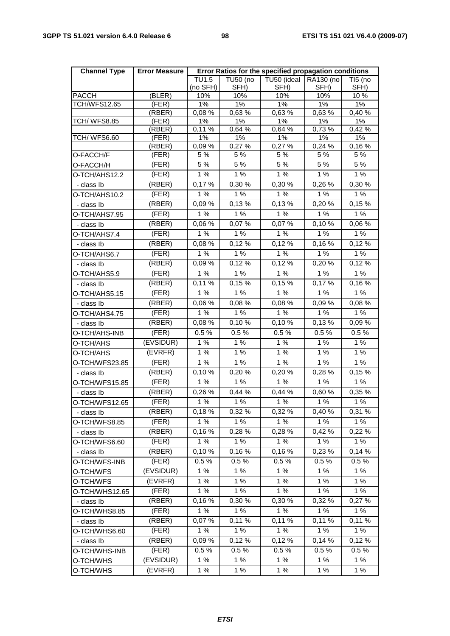| <b>Channel Type</b> | <b>Error Measure</b> | Error Ratios for the specified propagation conditions |                         |                     |                   |                 |  |
|---------------------|----------------------|-------------------------------------------------------|-------------------------|---------------------|-------------------|-----------------|--|
|                     |                      | TU1.5<br>(no SFH)                                     | <b>TU50 (no</b><br>SFH) | TU50 (ideal<br>SFH) | RA130 (no<br>SFH) | TI5 (no<br>SFH) |  |
| <b>PACCH</b>        | (BLER)               | 10%                                                   | 10%                     | 10%                 | 10%               | 10%             |  |
| <b>TCH/WFS12.65</b> | (FER)                | 1%                                                    | 1%                      | 1%                  | 1%                | 1%              |  |
|                     | (RBER)               | 0,08%                                                 | 0,63%                   | 0,63 %              | 0,63%             | 0,40%           |  |
| <b>TCH/ WFS8.85</b> | (FER)                | 1%                                                    | 1%                      | 1%                  | 1%                | 1%              |  |
| TCH/WFS6.60         | (RBER)<br>(FER)      | 0,11%<br>1%                                           | 0,64 %<br>1%            | 0,64 %<br>$1\%$     | 0,73%<br>1%       | 0,42 %<br>$1\%$ |  |
|                     | (RBER)               | 0,09%                                                 | 0,27 %                  | 0,27 %              | 0,24 %            | 0,16%           |  |
| O-FACCH/F           | (FER)                | 5 %                                                   | 5 %                     | 5 %                 | 5 %               | 5 %             |  |
| O-FACCH/H           | (FER)                | 5 %                                                   | 5%                      | 5%                  | 5 %               | 5 %             |  |
| O-TCH/AHS12.2       | (FER)                | 1%                                                    | 1%                      | 1%                  | 1%                | $1\%$           |  |
| - class Ib          | (RBER)               | 0,17%                                                 | 0,30 %                  | 0,30 %              | 0,26 %            | 0,30 %          |  |
| O-TCH/AHS10.2       | (FER)                | 1%                                                    | 1%                      | 1%                  | 1%                | 1%              |  |
| - class Ib          | (RBER)               | 0,09 %                                                | 0,13%                   | 0,13%               | 0,20%             | 0,15%           |  |
| O-TCH/AHS7.95       | (FER)                | 1%                                                    | 1%                      | 1%                  | 1%                | 1%              |  |
| - class Ib          | (RBER)               | 0,06 %                                                | 0,07%                   | 0,07%               | 0,10%             | 0,06 %          |  |
| O-TCH/AHS7.4        | (FER)                | 1%                                                    | 1%                      | 1%                  | 1%                | 1%              |  |
| - class Ib          | (RBER)               | 0,08 %                                                | 0,12%                   | 0,12%               | 0,16%             | 0,12%           |  |
| O-TCH/AHS6.7        | (FER)                | 1%                                                    | 1%                      | 1%                  | 1%                | 1%              |  |
| - class Ib          | (RBER)               | 0,09%                                                 | 0,12%                   | 0,12%               | 0,20%             | 0,12%           |  |
| O-TCH/AHS5.9        | (FER)                | 1%                                                    | 1%                      | 1%                  | 1%                | 1%              |  |
| - class Ib          | (RBER)               | 0,11%                                                 | 0,15%                   | 0,15%               | 0,17%             | 0,16%           |  |
| O-TCH/AHS5.15       | (FER)                | 1%                                                    | 1%                      | 1%                  | 1%                | 1%              |  |
| - class Ib          | (RBER)               | 0,06%                                                 | 0,08%                   | 0,08%               | 0,09%             | 0,08 %          |  |
| O-TCH/AHS4.75       | (FER)                | 1%                                                    | 1%                      | 1%                  | 1%                | 1%              |  |
| - class Ib          | (RBER)               | 0,08 %                                                | 0,10%                   | 0,10%               | 0,13%             | 0,09%           |  |
| O-TCH/AHS-INB       | (FER)                | $0.5\,\sqrt[6]{6}$                                    | 0.5%                    | 0.5%                | 0.5%              | 0.5%            |  |
| O-TCH/AHS           | (EVSIDUR)            | 1%                                                    | 1%                      | 1%                  | 1%                | 1%              |  |
| O-TCH/AHS           | (EVRFR)              | 1%                                                    | 1%                      | 1%                  | 1%                | 1%              |  |
| O-TCH/WFS23.85      | (FER)                | 1%                                                    | 1%                      | $1%$                | 1%                | 1%              |  |
| - class Ib          | (RBER)               | 0,10%                                                 | 0,20%                   | 0,20%               | 0,28%             | 0,15%           |  |
| O-TCH/WFS15.85      | (FER)                | 1%                                                    | 1%                      | 1%                  | 1%                | 1%              |  |
| - class Ib          | (RBER)               | 0,26 %                                                | 0,44 %                  | 0,44 %              | 0,60%             | 0,35 %          |  |
| O-TCH/WFS12.65      | (FER)                | $1%$                                                  | 1%                      | 1%                  | 1%                | $1%$            |  |
| - class Ib          | (RBER)               | 0,18%                                                 | 0,32 %                  | 0,32%               | 0,40%             | 0,31%           |  |
| O-TCH/WFS8.85       | (FER)                | 1%                                                    | 1%                      | 1%                  | 1%                | 1%              |  |
| - class Ib          | (RBER)               | 0,16%                                                 | 0,28%                   | 0,28%               | 0,42 %            | 0,22 %          |  |
| O-TCH/WFS6.60       | (FER)                | 1%                                                    | 1%                      | 1%                  | 1%                | 1%              |  |
| - class Ib          | (RBER)               | 0,10%                                                 | 0,16%                   | 0,16%               | 0,23%             | 0,14 %          |  |
| O-TCH/WFS-INB       | (FER)                | 0.5%                                                  | 0.5%                    | 0.5%                | $0.5 \%$          | 0.5%            |  |
| O-TCH/WFS           | (EVSIDUR)            | 1%                                                    | 1%                      | 1%                  | 1%                | 1%              |  |
| O-TCH/WFS           | (EVRFR)              | 1%                                                    | 1%                      | 1%                  | 1%                | 1%              |  |
| O-TCH/WHS12.65      | (FER)                | 1%                                                    | 1%                      | 1%                  | $1\%$             | 1%              |  |
| - class Ib          | (RBER)               | 0,16%                                                 | 0,30 %                  | 0,30 %              | 0,32 %            | 0,27%           |  |
| O-TCH/WHS8.85       | (FER)                | 1%                                                    | 1%                      | 1%                  | 1%                | 1%              |  |
| - class Ib          | (RBER)               | 0,07%                                                 | 0,11 %                  | 0,11 %              | 0,11%             | 0,11%           |  |
| O-TCH/WHS6.60       | (FER)                | 1%                                                    | 1%                      | 1%                  | 1%                | 1%              |  |
| - class Ib          | (RBER)               | 0,09%                                                 | 0,12%                   | 0,12%               | 0,14 %            | 0,12%           |  |
| O-TCH/WHS-INB       | (FER)                | $0.5\,\%$                                             | 0.5%                    | 0.5%                | 0.5%              | 0.5%            |  |
| O-TCH/WHS           | (EVSIDUR)            | 1%                                                    | 1%                      | 1%                  | 1%                | 1%              |  |
| O-TCH/WHS           | (EVRFR)              | 1%                                                    | 1 %                     | 1 %                 | 1 %               | 1%              |  |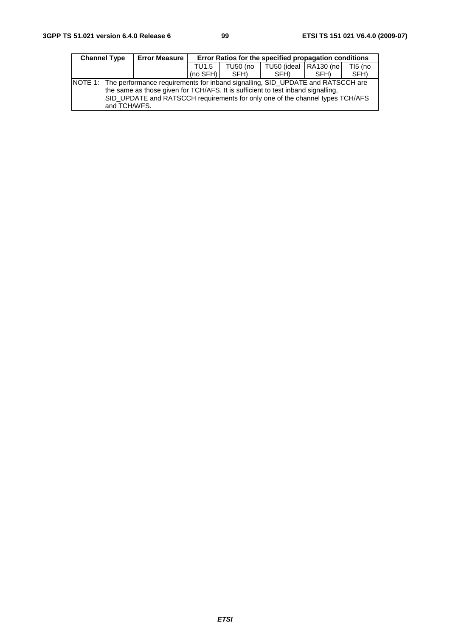| <b>Channel Type</b>                                                                                    | <b>Error Measure</b>                                                                                                                                              | Error Ratios for the specified propagation conditions                           |      |      |      |      |  |
|--------------------------------------------------------------------------------------------------------|-------------------------------------------------------------------------------------------------------------------------------------------------------------------|---------------------------------------------------------------------------------|------|------|------|------|--|
|                                                                                                        |                                                                                                                                                                   | $\vert$ TU50 (ideal $\vert$ RA130 (no $\vert$<br>$TI5$ (no<br>TU50 (no<br>TU1.5 |      |      |      |      |  |
|                                                                                                        |                                                                                                                                                                   | $(no$ SFH $)$                                                                   | SFH) | SFH) | SFH) | SFH) |  |
| NOTE 1: The performance requirements for inband signalling, SID_UPDATE and RATSCCH are<br>and TCH/WFS. | the same as those given for TCH/AFS. It is sufficient to test inband signalling,<br>SID_UPDATE and RATSCCH requirements for only one of the channel types TCH/AFS |                                                                                 |      |      |      |      |  |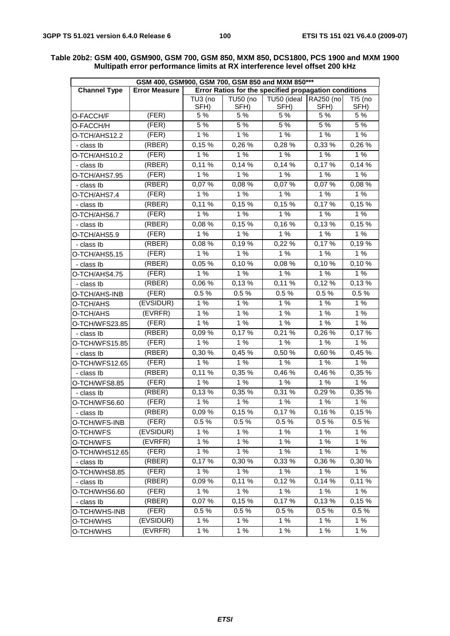| GSM 400, GSM900, GSM 700, GSM 850 and MXM 850*** |                      |             |                 |                                                       |             |                          |
|--------------------------------------------------|----------------------|-------------|-----------------|-------------------------------------------------------|-------------|--------------------------|
| <b>Channel Type</b>                              | <b>Error Measure</b> |             |                 | Error Ratios for the specified propagation conditions |             |                          |
|                                                  |                      | TU3 (no     | <b>TU50 (no</b> | TU50 (ideal                                           | RA250 (no   | TI5 (no                  |
|                                                  | (FER)                | SFH)<br>5 % | SFH)<br>5 %     | SFH)<br>5 %                                           | SFH)<br>5 % | SFH)<br>$\overline{5}$ % |
| O-FACCH/F                                        |                      |             | 5%              | 5%                                                    | 5%          |                          |
| O-FACCH/H                                        | (FER)                | $5\%$       |                 |                                                       |             | 5 %                      |
| O-TCH/AHS12.2                                    | (FER)                | 1%          | 1%              | 1%                                                    | 1%          | 1%                       |
| - class Ib                                       | (RBER)               | 0,15%       | 0,26 %          | $0,28\%$                                              | 0,33 %      | 0,26 %                   |
| O-TCH/AHS10.2                                    | (FER)                | 1%          | 1%              | 1%                                                    | 1 %         | 1%                       |
| - class Ib                                       | (RBER)               | 0,11%       | 0,14%           | $\overline{0}$ , 14 %                                 | 0,17%       | 0,14%                    |
| O-TCH/AHS7.95                                    | (FER)                | 1%          | 1%              | 1%                                                    | 1%          | 1%                       |
| - class Ib                                       | (RBER)               | 0,07%       | 0,08%           | 0,07%                                                 | 0,07%       | 0,08%                    |
| O-TCH/AHS7.4                                     | (FER)                | 1%          | 1%              | 1%                                                    | 1%          | 1%                       |
| - class lb                                       | (RBER)               | 0,11%       | 0,15%           | 0,15%                                                 | 0,17%       | 0,15%                    |
| O-TCH/AHS6.7                                     | (FER)                | 1%          | 1%              | 1%                                                    | 1%          | 1%                       |
| - class lb                                       | (RBER)               | 0,08%       | 0,15%           | 0,16%                                                 | 0,13%       | 0,15%                    |
| O-TCH/AHS5.9                                     | (FER)                | 1%          | 1%              | 1%                                                    | 1%          | 1%                       |
| - class Ib                                       | (RBER)               | 0,08%       | 0,19%           | 0,22%                                                 | 0,17%       | 0,19%                    |
| O-TCH/AHS5.15                                    | (FER)                | 1%          | 1%              | 1%                                                    | 1%          | 1%                       |
| - class Ib                                       | (RBER)               | 0,05 %      | 0,10%           | 0,08 %                                                | 0,10%       | 0,10%                    |
| O-TCH/AHS4.75                                    | (FER)                | 1%          | 1%              | 1%                                                    | 1%          | 1%                       |
| - class lb                                       | (RBER)               | 0,06 %      | 0,13%           | 0,11 %                                                | 0,12%       | 0,13%                    |
| O-TCH/AHS-INB                                    | (FER)                | $0.5\%$     | 0.5%            | 0.5%                                                  | 0.5%        | 0.5%                     |
| O-TCH/AHS                                        | (EVSIDUR)            | 1%          | 1%              | 1 %                                                   | 1%          | 1%                       |
| O-TCH/AHS                                        | (EVRFR)              | 1%          | 1%              | 1%                                                    | 1%          | 1%                       |
| O-TCH/WFS23.85                                   | (FER)                | 1%          | 1%              | 1%                                                    | 1%          | 1%                       |
| - class lb                                       | (RBER)               | 0,09%       | 0,17%           | 0,21%                                                 | 0,26 %      | 0,17%                    |
| O-TCH/WFS15.85                                   | (FER)                | 1%          | 1%              | 1%                                                    | 1%          | 1%                       |
| - class Ib                                       | (RBER)               | 0,30%       | 0,45 %          | 0,50 %                                                | 0,60%       | 0,45 %                   |
| O-TCH/WFS12.65                                   | (FER)                | 1%          | 1%              | 1%                                                    | 1%          | 1%                       |
| - class lb                                       | (RBER)               | 0,11%       | 0,35 %          | 0,46%                                                 | 0,46%       | 0,35 %                   |
| O-TCH/WFS8.85                                    | (FER)                | 1%          | 1%              | 1%                                                    | 1%          | 1%                       |
| - class Ib                                       | (RBER)               | 0,13%       | 0,35%           | 0,31 %                                                | 0,29%       | 0,35 %                   |
| O-TCH/WFS6.60                                    | (FER)                | 1%          | 1%              | 1%                                                    | 1%          | 1%                       |
| - class Ib                                       | (RBER)               | 0,09%       | 0,15%           | 0,17%                                                 | 0,16%       | 0,15%                    |
| O-TCH/WFS-INB                                    | (FER)                | 0.5%        | 0.5%            | 0.5%                                                  | 0.5%        | 0.5%                     |
| O-TCH/WFS                                        | (EVSIDUR)            | 1%          | 1%              | 1%                                                    | 1%          | 1%                       |
| O-TCH/WFS                                        | (EVRFR)              | 1%          | 1%              | 1%                                                    | 1%          | 1%                       |
| O-TCH/WHS12.65                                   | (FER)                | 1%          | 1%              | 1%                                                    | 1%          | 1%                       |
| - class Ib                                       | (RBER)               | 0,17%       | 0.30%           | 0,33 %                                                | 0,36 %      | 0,30 %                   |
| O-TCH/WHS8.85                                    | (FER)                | 1%          | 1%              | 1%                                                    | 1%          | 1%                       |
| - class Ib                                       | (RBER)               | 0,09%       | 0,11%           | 0,12%                                                 | 0,14%       | 0,11%                    |
|                                                  | (FER)                | 1%          | 1%              | 1%                                                    | 1%          | 1%                       |
| O-TCH/WHS6.60<br>- class Ib                      | (RBER)               | 0,07%       | 0,15%           | 0,17%                                                 | 0,13%       | 0,15%                    |
|                                                  | (FER)                | 0.5%        | 0.5%            | 0.5%                                                  | 0.5%        | 0.5%                     |
| O-TCH/WHS-INB                                    |                      |             |                 |                                                       |             |                          |
| O-TCH/WHS                                        | (EVSIDUR)            | 1%          | 1%              | 1%                                                    | 1%          | 1%                       |
| O-TCH/WHS                                        | (EVRFR)              | 1%          | 1%              | $1%$                                                  | 1 %         | 1%                       |

#### **Table 20b2: GSM 400, GSM900, GSM 700, GSM 850, MXM 850, DCS1800, PCS 1900 and MXM 1900 Multipath error performance limits at RX interference level offset 200 kHz**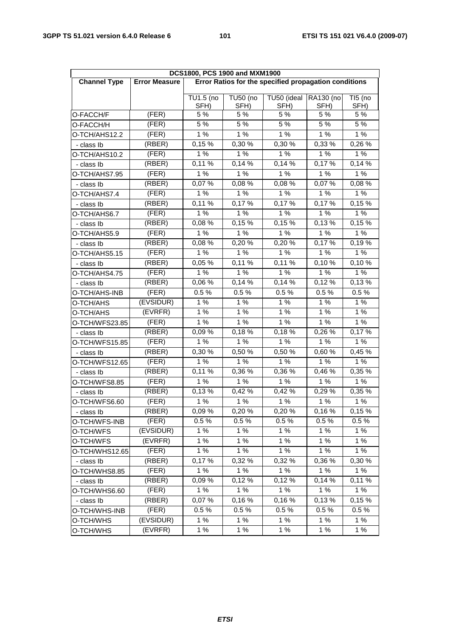| DCS1800, PCS 1900 and MXM1900 |                      |                                                       |                         |                     |                   |                 |  |  |
|-------------------------------|----------------------|-------------------------------------------------------|-------------------------|---------------------|-------------------|-----------------|--|--|
| <b>Channel Type</b>           | <b>Error Measure</b> | Error Ratios for the specified propagation conditions |                         |                     |                   |                 |  |  |
|                               |                      |                                                       |                         |                     |                   |                 |  |  |
|                               |                      | TU1.5 (no<br>SFH)                                     | <b>TU50 (no</b><br>SFH) | TU50 (ideal<br>SFH) | RA130 (no<br>SFH) | TI5 (no<br>SFH) |  |  |
| O-FACCH/F                     | (FER)                | 5 %                                                   | 5 %                     | 5 %                 | 5 %               | 5 %             |  |  |
| O-FACCH/H                     | (FER)                | 5 %                                                   | 5 %                     | 5 %                 | 5 %               | 5 %             |  |  |
| O-TCH/AHS12.2                 | (FER)                | 1%                                                    | 1%                      | 1%                  | 1%                | 1%              |  |  |
| - class Ib                    | (RBER)               | 0,15%                                                 | 0,30 %                  | 0,30 %              | 0,33 %            | 0,26%           |  |  |
| O-TCH/AHS10.2                 | (FER)                | 1%                                                    | 1 %                     | 1%                  | 1%                | 1%              |  |  |
| - class Ib                    | (RBER)               | 0,11%                                                 | 0,14%                   | 0,14%               | 0,17%             | 0,14%           |  |  |
| O-TCH/AHS7.95                 | (FER)                | 1%                                                    | 1 %                     | 1%                  | 1%                | 1%              |  |  |
| - class Ib                    | (RBER)               | 0,07%                                                 | 0,08%                   | 0,08 %              | 0,07%             | 0,08%           |  |  |
| O-TCH/AHS7.4                  | (FER)                | 1%                                                    | 1 %                     | 1%                  | 1%                | 1%              |  |  |
| - class Ib                    | (RBER)               | 0,11%                                                 | 0,17%                   | 0,17%               | 0,17%             | 0,15%           |  |  |
| O-TCH/AHS6.7                  | (FER)                | 1%                                                    | 1 %                     | 1%                  | 1%                | 1%              |  |  |
| - class Ib                    | (RBER)               | 0,08%                                                 | 0,15%                   | 0,15%               | 0,13%             | 0,15%           |  |  |
| O-TCH/AHS5.9                  | (FER)                | 1%                                                    | 1%                      | 1%                  | 1%                | 1%              |  |  |
| - class Ib                    | (RBER)               | 0,08%                                                 | 0,20%                   | 0,20%               | 0,17%             | 0,19%           |  |  |
| O-TCH/AHS5.15                 | (FER)                | 1%                                                    | 1%                      | 1%                  | 1%                | 1%              |  |  |
| - class Ib                    | (RBER)               | 0,05 %                                                | 0,11%                   | 0,11 %              | 0,10%             | 0,10%           |  |  |
| O-TCH/AHS4.75                 | (FER)                | 1%                                                    | 1%<br>1%                |                     | 1%                | 1%              |  |  |
| - class Ib                    | (RBER)               | 0,06 %                                                | 0,14%                   | 0,14%               | 0,12%             | 0,13%           |  |  |
| O-TCH/AHS-INB                 | (FER)                | 0.5%                                                  | 0.5%<br>0.5%            |                     | 0.5%              | 0.5%            |  |  |
| O-TCH/AHS                     | (EVSIDUR)            | 1%                                                    | 1%                      | 1%                  | 1%                | 1%              |  |  |
| O-TCH/AHS                     | (EVRFR)              | 1%                                                    | 1%                      | 1%                  | 1%                | 1%              |  |  |
| O-TCH/WFS23.85                | (FER)                | 1%                                                    | 1%                      | 1%                  | 1%                | 1%              |  |  |
| - class Ib                    | (RBER)               | 0,09%                                                 | 0,18%                   | 0,18%               | 0,26 %            | 0,17%           |  |  |
| O-TCH/WFS15.85                | (FER)                | 1%                                                    | 1%                      | 1%                  | 1%                | 1%              |  |  |
| - class Ib                    | (RBER)               | 0,30 %                                                | 0,50 %                  | 0,50 %              | 0,60%             | 0,45 %          |  |  |
| O-TCH/WFS12.65                | (FER)                | 1%                                                    | 1 %                     | 1%                  | 1%                | 1%              |  |  |
| - class Ib                    | (RBER)               | $0,11\%$                                              | 0,36%                   | 0,36 %              | 0,46 %            | 0,35 %          |  |  |
| O-TCH/WFS8.85                 | (FER)                | 1%                                                    | 1%                      | 1%                  | $1%$              | 1%              |  |  |
| - class Ib                    | (RBER)               | 0,13%                                                 | 0,42 %                  | 0,42 %              | 0,29 %            | 0,35%           |  |  |
| O-TCH/WFS6.60                 | (FER)                | 1%                                                    | 1 %                     | 1%                  | 1%                | 1%              |  |  |
| - class Ib                    | (RBER)               | 0,09%                                                 | 0,20%                   | 0,20%               | 0,16%             | 0,15%           |  |  |
| O-TCH/WFS-INB                 | (FER)                | $0.5 \%$                                              | 0.5%                    | 0.5%                | 0.5%              | 0.5%            |  |  |
| O-TCH/WFS                     | (EVSIDUR)            | 1%                                                    | 1%                      | 1%                  | 1%                | 1%              |  |  |
| O-TCH/WFS                     | (EVRFR)              | 1%                                                    | 1%                      | 1%                  | 1%                | 1%              |  |  |
| O-TCH/WHS12.65                | (FER)                | 1%                                                    | 1%                      | 1%                  | 1%                | 1%              |  |  |
| - class Ib                    | (RBER)               | 0,17%                                                 | 0,32 %                  | 0,32 %              | 0,36 %            | 0,30%           |  |  |
| O-TCH/WHS8.85                 | (FER)                | 1%                                                    | 1%                      | 1%                  | 1%                | 1%              |  |  |
| - class Ib                    | (RBER)               | 0,09%                                                 | 0,12%                   | 0,12%               | 0,14%             | 0,11%           |  |  |
| O-TCH/WHS6.60                 | (FER)                | 1%                                                    | 1%                      | 1%                  | 1 %               | 1%              |  |  |
| - class lb                    | (RBER)               | 0,07%                                                 | 0,16%                   | 0,16%               | 0,13%             | 0,15%           |  |  |
| O-TCH/WHS-INB                 | (FER)                | 0.5%                                                  | 0.5%                    | 0.5%                | 0.5%              | 0.5%            |  |  |
| O-TCH/WHS                     | (EVSIDUR)            | 1%                                                    | 1%                      | 1%                  | $1%$              | 1%              |  |  |
| O-TCH/WHS                     | (EVRFR)              | 1 %                                                   | 1 %                     | 1%                  | 1 %               | 1%              |  |  |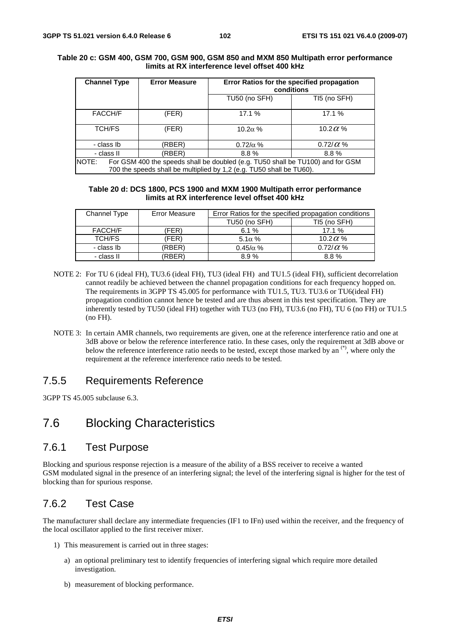| <b>Channel Type</b>                                                                                                                                                    |        | <b>Error Measure</b> | Error Ratios for the specified propagation<br>conditions |                  |  |  |
|------------------------------------------------------------------------------------------------------------------------------------------------------------------------|--------|----------------------|----------------------------------------------------------|------------------|--|--|
|                                                                                                                                                                        |        |                      | TU50 (no SFH)                                            | TI5 (no SFH)     |  |  |
| FACCH/F                                                                                                                                                                |        | (FER)                | 17.1 %                                                   | 17.1 %           |  |  |
| <b>TCH/FS</b>                                                                                                                                                          |        | (FER)                | 10.2 $\alpha$ %                                          | 10.2 $\alpha$ %  |  |  |
| - class Ib                                                                                                                                                             |        | (RBER)               | $0.72/\alpha$ %                                          | 0.72/ $\alpha$ % |  |  |
| - class II                                                                                                                                                             | (RBER) | $8.8\%$              | $8.8\%$                                                  |                  |  |  |
| <b>NOTE:</b><br>For GSM 400 the speeds shall be doubled (e.g. TU50 shall be TU100) and for GSM<br>700 the speeds shall be multiplied by 1,2 (e.g. TU50 shall be TU60). |        |                      |                                                          |                  |  |  |

#### **Table 20 c: GSM 400, GSM 700, GSM 900, GSM 850 and MXM 850 Multipath error performance limits at RX interference level offset 400 kHz**

#### **Table 20 d: DCS 1800, PCS 1900 and MXM 1900 Multipath error performance limits at RX interference level offset 400 kHz**

| Channel Type | <b>Error Measure</b> | Error Ratios for the specified propagation conditions |                  |  |  |
|--------------|----------------------|-------------------------------------------------------|------------------|--|--|
|              |                      | TU50 (no SFH)                                         | TI5 (no SFH)     |  |  |
| FACCH/F      | <b>FER</b> )         | 6.1%                                                  | 17.1%            |  |  |
| TCH/FS       | (FER)                | $5.1\alpha\%$                                         | 10.2 $\alpha$ %  |  |  |
| - class Ib   | (RBER)               | $0.45/\alpha$ %                                       | 0.72/ $\alpha$ % |  |  |
| - class II   | <b>RBER</b>          | 8.9%                                                  | 8.8%             |  |  |

- NOTE 2: For TU 6 (ideal FH), TU3.6 (ideal FH), TU3 (ideal FH) and TU1.5 (ideal FH), sufficient decorrelation cannot readily be achieved between the channel propagation conditions for each frequency hopped on. The requirements in 3GPP TS 45.005 for performance with TU1.5, TU3. TU3.6 or TU6(ideal FH) propagation condition cannot hence be tested and are thus absent in this test specification. They are inherently tested by TU50 (ideal FH) together with TU3 (no FH), TU3.6 (no FH), TU 6 (no FH) or TU1.5 (no FH).
- NOTE 3: In certain AMR channels, two requirements are given, one at the reference interference ratio and one at 3dB above or below the reference interference ratio. In these cases, only the requirement at 3dB above or below the reference interference ratio needs to be tested, except those marked by an (\*), where only the requirement at the reference interference ratio needs to be tested.

# 7.5.5 Requirements Reference

3GPP TS 45.005 subclause 6.3.

# 7.6 Blocking Characteristics

# 7.6.1 Test Purpose

Blocking and spurious response rejection is a measure of the ability of a BSS receiver to receive a wanted GSM modulated signal in the presence of an interfering signal; the level of the interfering signal is higher for the test of blocking than for spurious response.

# 7.6.2 Test Case

The manufacturer shall declare any intermediate frequencies (IF1 to IFn) used within the receiver, and the frequency of the local oscillator applied to the first receiver mixer.

- 1) This measurement is carried out in three stages:
	- a) an optional preliminary test to identify frequencies of interfering signal which require more detailed investigation.
	- b) measurement of blocking performance.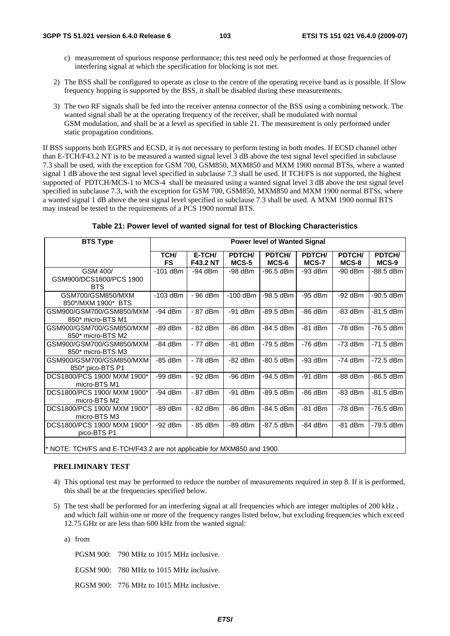- c) measurement of spurious response performance; this test need only be performed at those frequencies of interfering signal at which the specification for blocking is not met.
- 2) The BSS shall be configured to operate as close to the centre of the operating receive band as is possible. If Slow frequency hopping is supported by the BSS, it shall be disabled during these measurements.
- 3) The two RF signals shall be fed into the receiver antenna connector of the BSS using a combining network. The wanted signal shall be at the operating frequency of the receiver, shall be modulated with normal GSM modulation, and shall be at a level as specified in table 21. The measurement is only performed under static propagation conditions.

If BSS supports both EGPRS and ECSD, it is not necessary to perform testing in both modes. If ECSD channel other than E-TCH/F43.2 NT is to be measured a wanted signal level 3 dB above the test signal level specified in subclause 7.3 shall be used, with the exception for GSM 700, GSM850, MXM850 and MXM 1900 normal BTSs, where a wanted signal 1 dB above the test signal level specified in subclause 7.3 shall be used. If TCH/FS is not supported, the highest supported of PDTCH/MCS-1 to MCS-4 shall be measured using a wanted signal level 3 dB above the test signal level specified in subclause 7.3, with the exception for GSM 700, GSM850, MXM850 and MXM 1900 normal BTSs, where a wanted signal 1 dB above the test signal level specified in subclause 7.3 shall be used. A MXM 1900 normal BTS may instead be tested to the requirements of a PCS 1900 normal BTS.

|  |  | Table 21: Power level of wanted signal for test of Blocking Characteristics |
|--|--|-----------------------------------------------------------------------------|
|--|--|-----------------------------------------------------------------------------|

| <b>BTS Type</b>                                                        |                   |                           |                 | <b>Power level of Wanted Signal</b> |                 |                 |                 |
|------------------------------------------------------------------------|-------------------|---------------------------|-----------------|-------------------------------------|-----------------|-----------------|-----------------|
|                                                                        | TCH/<br><b>FS</b> | E-TCH/<br><b>F43.2 NT</b> | PDTCH/<br>MCS-5 | PDTCH/<br>MCS-6                     | PDTCH/<br>MCS-7 | PDTCH/<br>MCS-8 | PDTCH/<br>MCS-9 |
| GSM 400/<br>GSM900/DCS1800/PCS 1900<br><b>BTS</b>                      | $-101$ dBm        | $-94$ dBm                 | $-98$ dBm       | -96.5 dBm                           | $-93$ dBm       | $-90$ dBm       | -88.5 dBm       |
| GSM700/GSM850/MXM<br>850*/MXM 1900* BTS                                | $-103$ dBm        | - 96 dBm                  | $-100$ dBm      | -98.5 dBm                           | $-95$ dBm       | $-92$ dBm       | $-90.5$ dBm     |
| GSM900/GSM700/GSM850/MXM<br>850* micro-BTS M1                          | $-94$ dBm         | - 87 dBm                  | $-91$ dBm       | -89.5 dBm                           | $-86$ dBm       | $-83$ dBm       | $-81.5$ dBm     |
| GSM900/GSM700/GSM850/MXM<br>850* micro-BTS M2                          | $-89$ dBm         | - 82 dBm                  | -86 dBm         | -84.5 dBm                           | $-81$ dBm       | $-78$ dBm       | -76.5 dBm       |
| GSM900/GSM700/GSM850/MXM<br>850* micro-BTS M3                          | $-84$ dBm         | - 77 dBm                  | $-81$ dBm       | -79.5 dBm                           | $-76$ dBm       | $-73$ dBm       | $-71.5$ dBm     |
| GSM900/GSM700/GSM850/MXM<br>850* pico-BTS P1                           | -85 dBm           | - 78 dBm                  | $-82$ dBm       | -80.5 dBm                           | $-93$ dBm       | $-74$ dBm       | $-72.5$ dBm     |
| DCS1800/PCS 1900/ MXM 1900*<br>micro-BTS M1                            | $-99$ dBm         | - 92 dBm                  | $-96$ dBm       | -94.5 dBm                           | $-91$ dBm       | $-88$ dBm       | $-86.5$ dBm     |
| DCS1800/PCS 1900/ MXM 1900*<br>micro-BTS M2                            | $-94$ dBm         | - 87 dBm                  | -91 dBm         | $-89.5$ dBm                         | $-86$ dBm       | $-83$ dBm       | $-81.5$ dBm     |
| DCS1800/PCS 1900/ MXM 1900*<br>micro-BTS M3                            | $-89$ dBm         | - 82 dBm                  | -86 dBm         | -84.5 dBm                           | $-81$ dBm       | $-78$ dBm       | -76.5 dBm       |
| DCS1800/PCS 1900/ MXM 1900*<br>pico-BTS P1                             | $-92$ dBm         | - 85 dBm                  | $-89$ dBm       | $-87.5$ dBm                         | $-84$ dBm       | $-81$ dBm       | -79.5 dBm       |
| * NOTE: TCH/FS and E-TCH/F43.2 are not applicable for MXM850 and 1900. |                   |                           |                 |                                     |                 |                 |                 |

#### **PRELIMINARY TEST**

- 4) This optional test may be performed to reduce the number of measurements required in step 8. If it is performed, this shall be at the frequencies specified below.
- 5) The test shall be performed for an interfering signal at all frequencies which are integer multiples of 200 kHz , and which fall within one or more of the frequency ranges listed below, but excluding frequencies which exceed 12.75 GHz or are less than 600 kHz from the wanted signal:

a) from

PGSM 900: 790 MHz to 1015 MHz inclusive.

EGSM 900: 780 MHz to 1015 MHz inclusive.

RGSM 900: 776 MHz to 1015 MHz inclusive.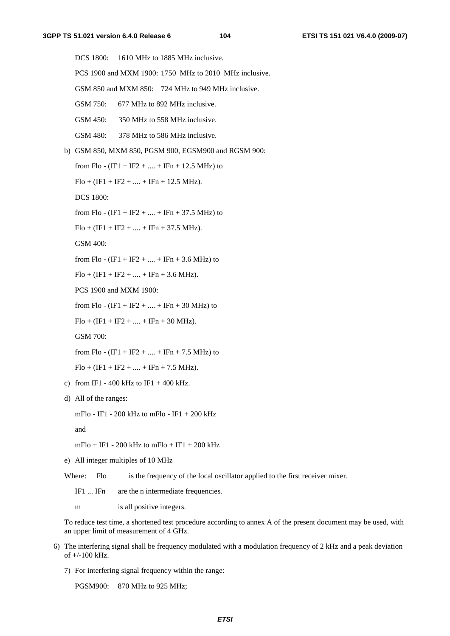DCS 1800: 1610 MHz to 1885 MHz inclusive. PCS 1900 and MXM 1900: 1750 MHz to 2010 MHz inclusive. GSM 850 and MXM 850: 724 MHz to 949 MHz inclusive. GSM 750: 677 MHz to 892 MHz inclusive. GSM 450: 350 MHz to 558 MHz inclusive. GSM 480: 378 MHz to 586 MHz inclusive. b) GSM 850, MXM 850, PGSM 900, EGSM900 and RGSM 900: from Flo -  $(IF1 + IF2 + ... + IFn + 12.5 MHz)$  to  $Flo + (IF1 + IF2 + \dots + IFn + 12.5 MHz).$  DCS 1800: from Flo -  $(IF1 + IF2 + ... + IFn + 37.5 MHz)$  to  $Flo + (IF1 + IF2 + \dots + IFn + 37.5 MHz).$  GSM 400: from Flo -  $(IF1 + IF2 + ... + IFn + 3.6 MHz)$  to  $Flo + (IF1 + IF2 + \dots + IFn + 3.6 MHz).$  PCS 1900 and MXM 1900: from Flo -  $(IF1 + IF2 + ... + IFn + 30 MHz)$  to  $Flo + (IF1 + IF2 + \dots + IFn + 30 MHz).$  GSM 700: from Flo -  $(IF1 + IF2 + ... + IFn + 7.5 MHz)$  to  $Flo + (IF1 + IF2 + \dots + IFn + 7.5 MHz).$ c) from IF1 - 400 kHz to IF1 + 400 kHz. d) All of the ranges: mFlo - IF1 - 200 kHz to mFlo - IF1 + 200 kHz

and

 $mFlo + IF1 - 200 kHz$  to  $mFlo + IF1 + 200 kHz$ 

e) All integer multiples of 10 MHz

Where: Flo is the frequency of the local oscillator applied to the first receiver mixer.

IF1 ... IFn are the n intermediate frequencies.

m is all positive integers.

 To reduce test time, a shortened test procedure according to annex A of the present document may be used, with an upper limit of measurement of 4 GHz.

- 6) The interfering signal shall be frequency modulated with a modulation frequency of 2 kHz and a peak deviation of +/-100 kHz.
	- 7) For interfering signal frequency within the range:

PGSM900: 870 MHz to 925 MHz;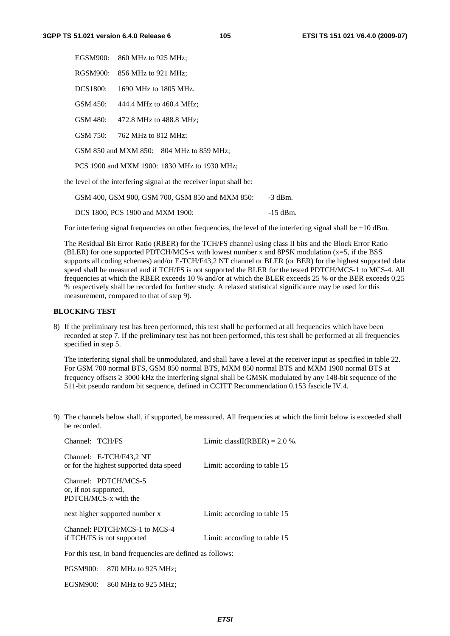|                                              |                                                                     | EGSM900: 860 MHz to 925 MHz; |  |  |  |  |  |  |
|----------------------------------------------|---------------------------------------------------------------------|------------------------------|--|--|--|--|--|--|
|                                              | RGSM900:                                                            | 856 MHz to 921 MHz;          |  |  |  |  |  |  |
|                                              | <b>DCS1800:</b>                                                     | 1690 MHz to 1805 MHz.        |  |  |  |  |  |  |
|                                              | GSM 450:                                                            | 444.4 MHz to 460.4 MHz;      |  |  |  |  |  |  |
|                                              | GSM 480:                                                            | 472.8 MHz to 488.8 MHz;      |  |  |  |  |  |  |
|                                              | GSM 750:                                                            | 762 MHz to 812 MHz:          |  |  |  |  |  |  |
|                                              | GSM 850 and MXM 850: 804 MHz to 859 MHz;                            |                              |  |  |  |  |  |  |
| PCS 1900 and MXM 1900: 1830 MHz to 1930 MHz; |                                                                     |                              |  |  |  |  |  |  |
|                                              | the level of the interfering signal at the receiver input shall be: |                              |  |  |  |  |  |  |

| GSM 400, GSM 900, GSM 700, GSM 850 and MXM 850: | -3 dBm.    |
|-------------------------------------------------|------------|
| DCS 1800, PCS 1900 and MXM 1900:                | $-15$ dBm. |

For interfering signal frequencies on other frequencies, the level of the interfering signal shall be +10 dBm.

 The Residual Bit Error Ratio (RBER) for the TCH/FS channel using class II bits and the Block Error Ratio (BLER) for one supported PDTCH/MCS-x with lowest number x and 8PSK modulation  $(x=5)$ , if the BSS supports all coding schemes) and/or E-TCH/F43.2 NT channel or BLER (or BER) for the highest supported data speed shall be measured and if TCH/FS is not supported the BLER for the tested PDTCH/MCS-1 to MCS-4. All frequencies at which the RBER exceeds 10 % and/or at which the BLER exceeds 25 % or the BER exceeds 0,25 % respectively shall be recorded for further study. A relaxed statistical significance may be used for this measurement, compared to that of step 9).

#### **BLOCKING TEST**

8) If the preliminary test has been performed, this test shall be performed at all frequencies which have been recorded at step 7. If the preliminary test has not been performed, this test shall be performed at all frequencies specified in step 5.

 The interfering signal shall be unmodulated, and shall have a level at the receiver input as specified in table 22. For GSM 700 normal BTS, GSM 850 normal BTS, MXM 850 normal BTS and MXM 1900 normal BTS at frequency offsets  $\geq 3000$  kHz the interfering signal shall be GMSK modulated by any 148-bit sequence of the 511-bit pseudo random bit sequence, defined in CCITT Recommendation 0.153 fascicle IV.4.

9) The channels below shall, if supported, be measured. All frequencies at which the limit below is exceeded shall be recorded.

| Channel: TCH/FS                                                       | Limit: classII(RBER) = $2.0\%$ . |
|-----------------------------------------------------------------------|----------------------------------|
| Channel: E-TCH/F43,2 NT<br>or for the highest supported data speed    | Limit: according to table 15     |
| Channel: PDTCH/MCS-5<br>or, if not supported,<br>PDTCH/MCS-x with the |                                  |
| next higher supported number x                                        | Limit: according to table 15     |
| Channel: PDTCH/MCS-1 to MCS-4<br>if TCH/FS is not supported           | Limit: according to table 15     |
| For this test, in band frequencies are defined as follows:            |                                  |
|                                                                       |                                  |

PGSM900: 870 MHz to 925 MHz;

EGSM900: 860 MHz to 925 MHz;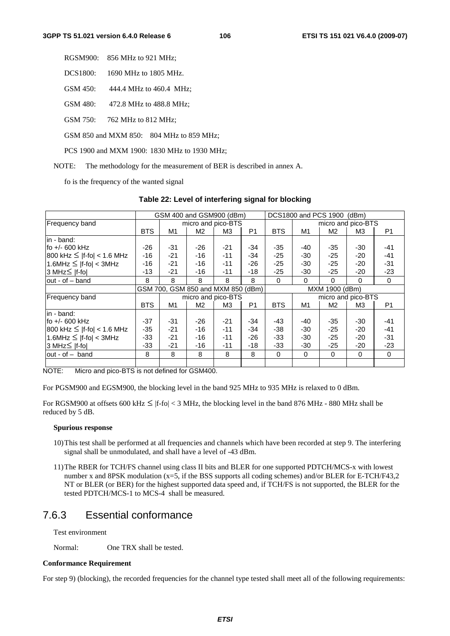| RGSM900: | 856 MHz to 921 MHz; |  |
|----------|---------------------|--|
|----------|---------------------|--|

DCS1800: 1690 MHz to 1805 MHz.

GSM 450: 444.4 MHz to 460.4 MHz;

GSM 480: 472.8 MHz to 488.8 MHz;

GSM 750: 762 MHz to 812 MHz;

GSM 850 and MXM 850: 804 MHz to 859 MHz;

PCS 1900 and MXM 1900: 1830 MHz to 1930 MHz;

NOTE: The methodology for the measurement of BER is described in annex A.

fo is the frequency of the wanted signal

#### **Table 22: Level of interfering signal for blocking**

|                                   | GSM 400 and GSM900 (dBm) |                                    |       | DCS1800 and PCS 1900<br>(dBm) |                |                |                    |                |                |                |
|-----------------------------------|--------------------------|------------------------------------|-------|-------------------------------|----------------|----------------|--------------------|----------------|----------------|----------------|
| <b>Frequency band</b>             |                          | micro and pico-BTS                 |       |                               |                |                | micro and pico-BTS |                |                |                |
|                                   | <b>BTS</b>               | M1                                 | M2    | MЗ                            | P <sub>1</sub> | <b>BTS</b>     | M1                 | M <sub>2</sub> | M <sub>3</sub> | P <sub>1</sub> |
| lin - band:                       |                          |                                    |       |                               |                |                |                    |                |                |                |
| lfo +/- 600 kHz                   | $-26$                    | $-31$                              | $-26$ | $-21$                         | $-34$          | $-35$          | -40                | $-35$          | $-30$          | $-41$          |
| $800$ kHz $\leq$  f-fo  < 1.6 MHz | $-16$                    | $-21$                              | $-16$ | $-11$                         | $-34$          | $-25$          | -30                | $-25$          | $-20$          | $-41$          |
| $1.6$ MHz $\leq$  f-fo  < 3MHz    | $-16$                    | $-21$                              | $-16$ | $-11$                         | $-26$          | $-25$          | $-30$              | $-25$          | $-20$          | $-31$          |
| 3 MHz≤  f-fo                      | $-13$                    | $-21$                              | $-16$ | $-11$                         | $-18$          | $-25$          | $-30$              | $-25$          | $-20$          | $-23$          |
| $out - of - band$                 | 8                        | 8                                  | 8     | 8                             | 8              | $\Omega$       | $\Omega$           | $\Omega$       | $\Omega$       | $\Omega$       |
|                                   |                          | GSM 700, GSM 850 and MXM 850 (dBm) |       |                               |                | MXM 1900 (dBm) |                    |                |                |                |
| Frequency band                    |                          | micro and pico-BTS                 |       |                               |                |                | micro and pico-BTS |                |                |                |
|                                   | <b>BTS</b>               | M1                                 | M2    | ΜЗ                            | P1             | <b>BTS</b>     | M1                 | M <sub>2</sub> | MЗ             | P1             |
| lin - band:                       |                          |                                    |       |                               |                |                |                    |                |                |                |
| fo $+/-$ 600 kHz                  | $-37$                    | $-31$                              | $-26$ | $-21$                         | $-34$          | $-43$          | -40                | $-35$          | $-30$          | $-41$          |
| $800$ kHz $\leq$  f-fo  < 1.6 MHz | $-35$                    | $-21$                              | $-16$ | $-11$                         | $-34$          | -38            | -30                | $-25$          | $-20$          | $-41$          |
| $1.6$ MHz $\leq$  f-fo  < 3MHz    | $-33$                    | $-21$                              | -16   | $-11$                         | $-26$          | $-33$          | -30                | $-25$          | $-20$          | $-31$          |
| 3 MHz≤  f-fo                      | $-33$                    | $-21$                              | -16   | $-11$                         | $-18$          | $-33$          | -30                | $-25$          | $-20$          | $-23$          |
| lout - of - band                  | 8                        | 8                                  | 8     | 8                             | 8              | $\mathbf 0$    | 0                  | $\mathbf 0$    | $\mathbf 0$    | 0              |
|                                   |                          |                                    |       |                               |                |                |                    |                |                |                |

NOTE: Micro and pico-BTS is not defined for GSM400.

For PGSM900 and EGSM900, the blocking level in the band 925 MHz to 935 MHz is relaxed to 0 dBm.

For RGSM900 at offsets 600 kHz  $\leq$  |f-fo|  $<$  3 MHz, the blocking level in the band 876 MHz - 880 MHz shall be reduced by 5 dB.

#### **Spurious response**

- 10) This test shall be performed at all frequencies and channels which have been recorded at step 9. The interfering signal shall be unmodulated, and shall have a level of -43 dBm.
- 11) The RBER for TCH/FS channel using class II bits and BLER for one supported PDTCH/MCS-x with lowest number x and 8PSK modulation (x=5, if the BSS supports all coding schemes) and/or BLER for E-TCH/F43,2 NT or BLER (or BER) for the highest supported data speed and, if TCH/FS is not supported, the BLER for the tested PDTCH/MCS-1 to MCS-4 shall be measured.

# 7.6.3 Essential conformance

Test environment

Normal: One TRX shall be tested.

#### **Conformance Requirement**

For step 9) (blocking), the recorded frequencies for the channel type tested shall meet all of the following requirements: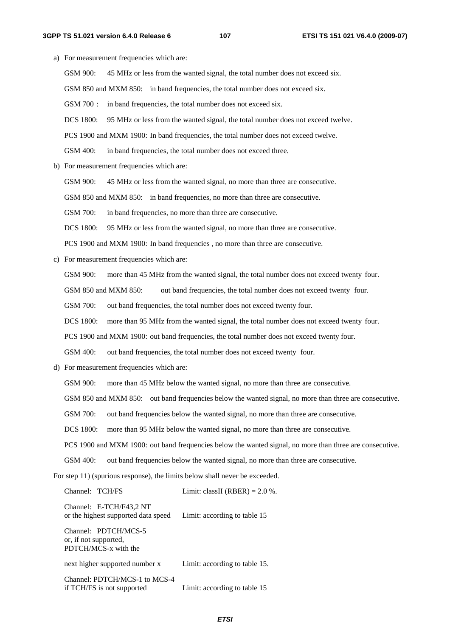a) For measurement frequencies which are: GSM 900: 45 MHz or less from the wanted signal, the total number does not exceed six. GSM 850 and MXM 850: in band frequencies, the total number does not exceed six. GSM 700 : in band frequencies, the total number does not exceed six. DCS 1800: 95 MHz or less from the wanted signal, the total number does not exceed twelve. PCS 1900 and MXM 1900: In band frequencies, the total number does not exceed twelve. GSM 400: in band frequencies, the total number does not exceed three. b) For measurement frequencies which are: GSM 900: 45 MHz or less from the wanted signal, no more than three are consecutive. GSM 850 and MXM 850: in band frequencies, no more than three are consecutive. GSM 700: in band frequencies, no more than three are consecutive. DCS 1800: 95 MHz or less from the wanted signal, no more than three are consecutive. PCS 1900 and MXM 1900: In band frequencies , no more than three are consecutive. c) For measurement frequencies which are: GSM 900: more than 45 MHz from the wanted signal, the total number does not exceed twenty four. GSM 850 and MXM 850: out band frequencies, the total number does not exceed twenty four. GSM 700: out band frequencies, the total number does not exceed twenty four. DCS 1800: more than 95 MHz from the wanted signal, the total number does not exceed twenty four. PCS 1900 and MXM 1900: out band frequencies, the total number does not exceed twenty four. GSM 400: out band frequencies, the total number does not exceed twenty four. d) For measurement frequencies which are: GSM 900: more than 45 MHz below the wanted signal, no more than three are consecutive. GSM 850 and MXM 850: out band frequencies below the wanted signal, no more than three are consecutive. GSM 700: out band frequencies below the wanted signal, no more than three are consecutive. DCS 1800: more than 95 MHz below the wanted signal, no more than three are consecutive. PCS 1900 and MXM 1900: out band frequencies below the wanted signal, no more than three are consecutive. GSM 400: out band frequencies below the wanted signal, no more than three are consecutive. For step 11) (spurious response), the limits below shall never be exceeded. Channel: TCH/FS Limit: classII (RBER) =  $2.0\%$ . Channel: E-TCH/F43,2 NT or the highest supported data speed Limit: according to table 15 Channel: PDTCH/MCS-5 or, if not supported, PDTCH/MCS-x with the next higher supported number x Limit: according to table 15.

Channel: PDTCH/MCS-1 to MCS-4

if TCH/FS is not supported Limit: according to table 15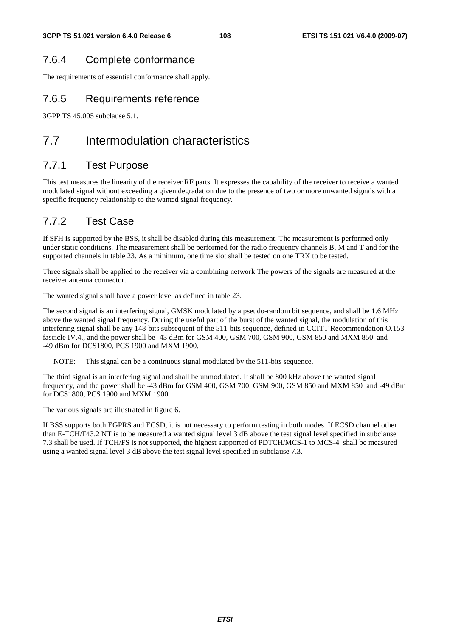# 7.6.4 Complete conformance

The requirements of essential conformance shall apply.

## 7.6.5 Requirements reference

3GPP TS 45.005 subclause 5.1.

# 7.7 Intermodulation characteristics

## 7.7.1 Test Purpose

This test measures the linearity of the receiver RF parts. It expresses the capability of the receiver to receive a wanted modulated signal without exceeding a given degradation due to the presence of two or more unwanted signals with a specific frequency relationship to the wanted signal frequency.

# 7.7.2 Test Case

If SFH is supported by the BSS, it shall be disabled during this measurement. The measurement is performed only under static conditions. The measurement shall be performed for the radio frequency channels B, M and T and for the supported channels in table 23. As a minimum, one time slot shall be tested on one TRX to be tested.

Three signals shall be applied to the receiver via a combining network The powers of the signals are measured at the receiver antenna connector.

The wanted signal shall have a power level as defined in table 23.

The second signal is an interfering signal, GMSK modulated by a pseudo-random bit sequence, and shall be 1.6 MHz above the wanted signal frequency. During the useful part of the burst of the wanted signal, the modulation of this interfering signal shall be any 148-bits subsequent of the 511-bits sequence, defined in CCITT Recommendation O.153 fascicle IV.4., and the power shall be -43 dBm for GSM 400, GSM 700, GSM 900, GSM 850 and MXM 850 and -49 dBm for DCS1800, PCS 1900 and MXM 1900.

NOTE: This signal can be a continuous signal modulated by the 511-bits sequence.

The third signal is an interfering signal and shall be unmodulated. It shall be 800 kHz above the wanted signal frequency, and the power shall be -43 dBm for GSM 400, GSM 700, GSM 900, GSM 850 and MXM 850 and -49 dBm for DCS1800, PCS 1900 and MXM 1900.

The various signals are illustrated in figure 6.

If BSS supports both EGPRS and ECSD, it is not necessary to perform testing in both modes. If ECSD channel other than E-TCH/F43.2 NT is to be measured a wanted signal level 3 dB above the test signal level specified in subclause 7.3 shall be used. If TCH/FS is not supported, the highest supported of PDTCH/MCS-1 to MCS-4 shall be measured using a wanted signal level 3 dB above the test signal level specified in subclause 7.3.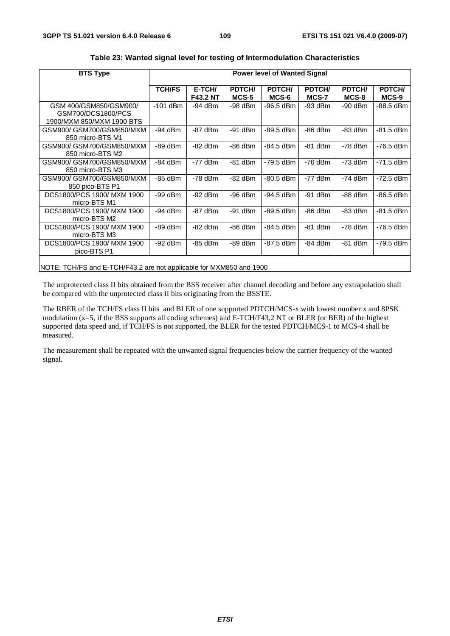| <b>BTS Type</b>                                                           | <b>Power level of Wanted Signal</b> |                           |                 |                 |                 |                 |                 |
|---------------------------------------------------------------------------|-------------------------------------|---------------------------|-----------------|-----------------|-----------------|-----------------|-----------------|
|                                                                           | <b>TCH/FS</b>                       | E-TCH/<br><b>F43.2 NT</b> | PDTCH/<br>MCS-5 | PDTCH/<br>MCS-6 | PDTCH/<br>MCS-7 | PDTCH/<br>MCS-8 | PDTCH/<br>MCS-9 |
| GSM 400/GSM850/GSM900/<br>GSM700/DCS1800/PCS<br>1900/MXM 850/MXM 1900 BTS | $-101$ dBm                          | -94 dBm                   | -98 dBm         | -96.5 dBm       | -93 dBm         | $-90$ dBm       | -88.5 dBm       |
| GSM900/ GSM700/GSM850/MXM<br>850 micro-BTS M1                             | $-94$ dBm                           | $-87$ dBm                 | $-91$ dBm       | $-89.5$ dBm     | $-86$ dBm       | $-83$ dBm       | $-81.5$ dBm     |
| GSM900/ GSM700/GSM850/MXM<br>850 micro-BTS M2                             | -89 dBm                             | $-82$ dBm                 | $-86$ dBm       | $-84.5$ dBm     | $-81$ dBm       | $-78$ dBm       | $-76.5$ dBm     |
| GSM900/ GSM700/GSM850/MXM<br>850 micro-BTS M3                             | $-84$ dBm                           | $-77$ dBm                 | $-81$ dBm       | $-79.5$ dBm     | $-76$ dBm       | $-73$ dBm       | $-71.5$ dBm     |
| GSM900/ GSM700/GSM850/MXM<br>850 pico-BTS P1                              | $-85$ dBm                           | $-78$ dBm                 | $-82$ dBm       | $-80.5$ dBm     | $-77$ dBm       | $-74$ dBm       | $-72.5$ dBm     |
| DCS1800/PCS 1900/ MXM 1900<br>micro-BTS M1                                | $-99$ dBm                           | $-92$ dBm                 | $-96$ dBm       | $-94.5$ dBm     | $-91$ dBm       | $-88$ dBm       | -86.5 dBm       |
| DCS1800/PCS 1900/ MXM 1900<br>micro-BTS M2                                | -94 dBm                             | $-87$ dBm                 | $-91$ dBm       | $-89.5$ dBm     | $-86$ dBm       | $-83$ dBm       | $-81.5$ dBm     |
| DCS1800/PCS 1900/ MXM 1900<br>micro-BTS M3                                | $-89$ dBm                           | $-82$ dBm                 | $-86$ dBm       | $-84.5$ dBm     | $-81$ dBm       | $-78$ dBm       | $-76.5$ dBm     |
| DCS1800/PCS 1900/ MXM 1900<br>pico-BTS P1                                 | -92 dBm                             | $-85$ dBm                 | -89 dBm         | $-87.5$ dBm     | -84 dBm         | $-81$ dBm       | -79.5 dBm       |
|                                                                           |                                     |                           |                 |                 |                 |                 |                 |

**Table 23: Wanted signal level for testing of Intermodulation Characteristics** 

NOTE: TCH/FS and E-TCH/F43.2 are not applicable for MXM850 and 1900

The unprotected class II bits obtained from the BSS receiver after channel decoding and before any extrapolation shall be compared with the unprotected class II bits originating from the BSSTE.

The RBER of the TCH/FS class II bits and BLER of one supported PDTCH/MCS-x with lowest number x and 8PSK modulation (x=5, if the BSS supports all coding schemes) and E-TCH/F43,2 NT or BLER (or BER) of the highest supported data speed and, if TCH/FS is not supported, the BLER for the tested PDTCH/MCS-1 to MCS-4 shall be measured.

The measurement shall be repeated with the unwanted signal frequencies below the carrier frequency of the wanted signal.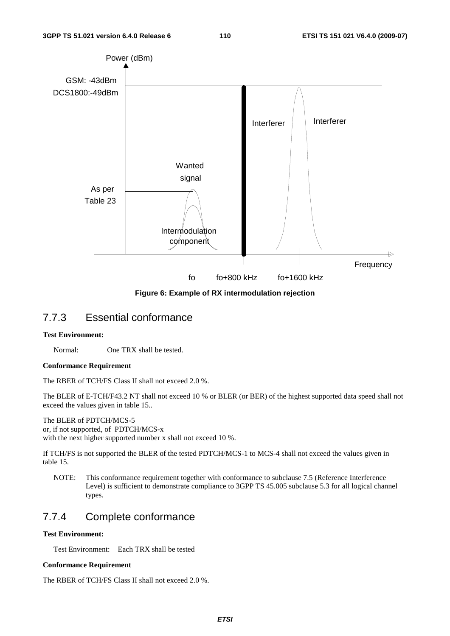

**Figure 6: Example of RX intermodulation rejection** 

## 7.7.3 Essential conformance

#### **Test Environment:**

Normal: One TRX shall be tested.

#### **Conformance Requirement**

The RBER of TCH/FS Class II shall not exceed 2.0 %.

The BLER of E-TCH/F43.2 NT shall not exceed 10 % or BLER (or BER) of the highest supported data speed shall not exceed the values given in table 15..

#### The BLER of PDTCH/MCS-5 or, if not supported, of PDTCH/MCS-x

with the next higher supported number x shall not exceed 10 %.

If TCH/FS is not supported the BLER of the tested PDTCH/MCS-1 to MCS-4 shall not exceed the values given in table 15.

NOTE: This conformance requirement together with conformance to subclause 7.5 (Reference Interference Level) is sufficient to demonstrate compliance to 3GPP TS 45.005 subclause 5.3 for all logical channel types.

## 7.7.4 Complete conformance

### **Test Environment:**

Test Environment: Each TRX shall be tested

#### **Conformance Requirement**

The RBER of TCH/FS Class II shall not exceed 2.0 %.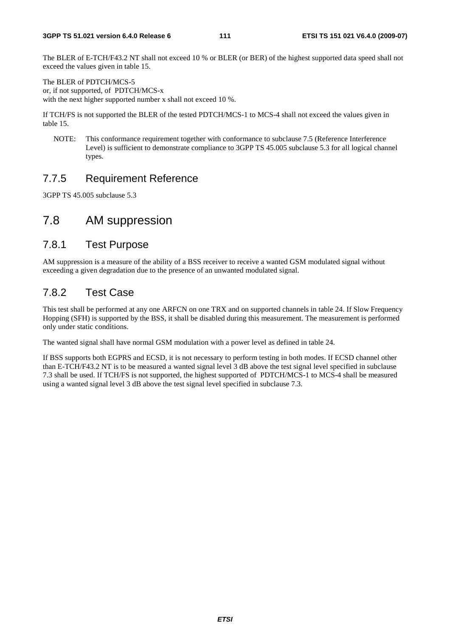The BLER of E-TCH/F43.2 NT shall not exceed 10 % or BLER (or BER) of the highest supported data speed shall not exceed the values given in table 15.

The BLER of PDTCH/MCS-5 or, if not supported, of PDTCH/MCS-x with the next higher supported number x shall not exceed 10 %.

If TCH/FS is not supported the BLER of the tested PDTCH/MCS-1 to MCS-4 shall not exceed the values given in table 15.

NOTE: This conformance requirement together with conformance to subclause 7.5 (Reference Interference Level) is sufficient to demonstrate compliance to 3GPP TS 45.005 subclause 5.3 for all logical channel types.

# 7.7.5 Requirement Reference

3GPP TS 45.005 subclause 5.3

# 7.8 AM suppression

## 7.8.1 Test Purpose

AM suppression is a measure of the ability of a BSS receiver to receive a wanted GSM modulated signal without exceeding a given degradation due to the presence of an unwanted modulated signal.

# 7.8.2 Test Case

This test shall be performed at any one ARFCN on one TRX and on supported channels in table 24. If Slow Frequency Hopping (SFH) is supported by the BSS, it shall be disabled during this measurement. The measurement is performed only under static conditions.

The wanted signal shall have normal GSM modulation with a power level as defined in table 24.

If BSS supports both EGPRS and ECSD, it is not necessary to perform testing in both modes. If ECSD channel other than E-TCH/F43.2 NT is to be measured a wanted signal level 3 dB above the test signal level specified in subclause 7.3 shall be used. If TCH/FS is not supported, the highest supported of PDTCH/MCS-1 to MCS-4 shall be measured using a wanted signal level 3 dB above the test signal level specified in subclause 7.3.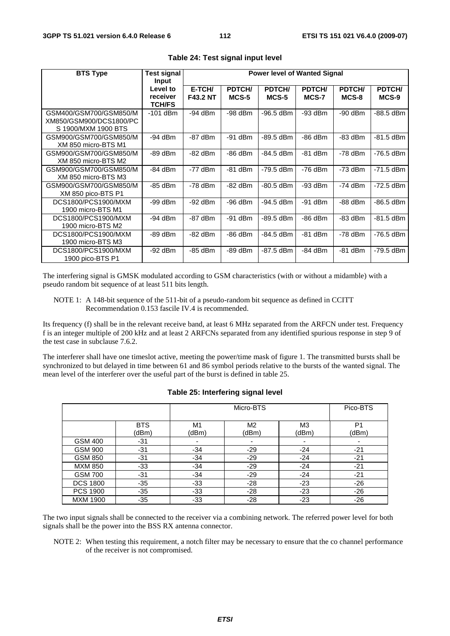| <b>BTS Type</b>                                                          | <b>Test signal</b>                             |                           |                 | <b>Power level of Wanted Signal</b> |                 |                 |                 |
|--------------------------------------------------------------------------|------------------------------------------------|---------------------------|-----------------|-------------------------------------|-----------------|-----------------|-----------------|
|                                                                          | Input<br>Level to<br>receiver<br><b>TCH/FS</b> | E-TCH/<br><b>F43.2 NT</b> | PDTCH/<br>MCS-5 | PDTCH/<br>MCS-5                     | PDTCH/<br>MCS-7 | PDTCH/<br>MCS-8 | PDTCH/<br>MCS-9 |
| GSM400/GSM700/GSM850/M<br>XM850/GSM900/DCS1800/PC<br>S 1900/MXM 1900 BTS | $-101$ dBm                                     | $-94$ dBm                 | $-98$ dBm       | -96.5 dBm                           | -93 dBm         | $-90$ dBm       | -88.5 dBm       |
| GSM900/GSM700/GSM850/M<br>XM 850 micro-BTS M1                            | $-94$ dBm                                      | $-87$ dBm                 | $-91$ dBm       | $-89.5$ dBm                         | $-86$ dBm       | $-83$ dBm       | -81.5 dBm       |
| GSM900/GSM700/GSM850/M<br>XM 850 micro-BTS M2                            | $-89$ dBm                                      | $-82$ dBm                 | $-86$ dBm       | $-84.5$ dBm                         | $-81$ dBm       | $-78$ dBm       | $-76.5$ dBm     |
| GSM900/GSM700/GSM850/M<br>XM 850 micro-BTS M3                            | $-84$ dBm                                      | $-77$ dBm                 | $-81$ dBm       | $-79.5$ dBm                         | $-76$ dBm       | $-73$ dBm       | $-71.5$ dBm     |
| GSM900/GSM700/GSM850/M<br>XM 850 pico-BTS P1                             | $-85$ dBm                                      | $-78$ dBm                 | $-82$ dBm       | $-80.5$ dBm                         | $-93$ dBm       | $-74$ dBm       | $-72.5$ dBm     |
| DCS1800/PCS1900/MXM<br>1900 micro-BTS M1                                 | $-99$ dBm                                      | $-92$ dBm                 | $-96$ dBm       | $-94.5$ dBm                         | $-91$ dBm       | $-88$ dBm       | -86.5 dBm       |
| DCS1800/PCS1900/MXM<br>1900 micro-BTS M2                                 | $-94$ dBm                                      | $-87$ dBm                 | $-91$ dBm       | $-89.5$ dBm                         | $-86$ dBm       | $-83$ dBm       | -81.5 dBm       |
| DCS1800/PCS1900/MXM<br>1900 micro-BTS M3                                 | $-89$ dBm                                      | $-82$ dBm                 | $-86$ dBm       | $-84.5$ dBm                         | $-81$ dBm       | $-78$ dBm       | $-76.5$ dBm     |
| DCS1800/PCS1900/MXM<br>1900 pico-BTS P1                                  | $-92$ dBm                                      | $-85$ dBm                 | $-89$ dBm       | $-87.5$ dBm                         | $-84$ dBm       | $-81$ dBm       | -79.5 dBm       |

**Table 24: Test signal input level** 

The interfering signal is GMSK modulated according to GSM characteristics (with or without a midamble) with a pseudo random bit sequence of at least 511 bits length.

Its frequency (f) shall be in the relevant receive band, at least 6 MHz separated from the ARFCN under test. Frequency f is an integer multiple of 200 kHz and at least 2 ARFCNs separated from any identified spurious response in step 9 of the test case in subclause 7.6.2.

The interferer shall have one timeslot active, meeting the power/time mask of figure 1. The transmitted bursts shall be synchronized to but delayed in time between 61 and 86 symbol periods relative to the bursts of the wanted signal. The mean level of the interferer over the useful part of the burst is defined in table 25.

|                 |                     | Micro-BTS               |             |                         | Pico-BTS                |
|-----------------|---------------------|-------------------------|-------------|-------------------------|-------------------------|
|                 | <b>BTS</b><br>(dBm) | M <sub>1</sub><br>(dBm) | M2<br>(dBm) | M <sub>3</sub><br>(dBm) | P <sub>1</sub><br>(dBm) |
| <b>GSM 400</b>  | $-31$               |                         |             |                         | ۰                       |
| <b>GSM 900</b>  | $-31$               | $-34$                   | $-29$       | $-24$                   | $-21$                   |
| <b>GSM 850</b>  | $-31$               | $-34$                   | $-29$       | $-24$                   | $-21$                   |
| <b>MXM 850</b>  | $-33$               | $-34$                   | $-29$       | $-24$                   | $-21$                   |
| <b>GSM 700</b>  | -31                 | $-34$                   | $-29$       | $-24$                   | $-21$                   |
| <b>DCS 1800</b> | $-35$               | $-33$                   | $-28$       | $-23$                   | $-26$                   |
| <b>PCS 1900</b> | $-35$               | $-33$                   | $-28$       | $-23$                   | $-26$                   |
| <b>MXM 1900</b> | $-35$               | -33                     | $-28$       | $-23$                   | $-26$                   |

**Table 25: Interfering signal level** 

The two input signals shall be connected to the receiver via a combining network. The referred power level for both signals shall be the power into the BSS RX antenna connector.

NOTE 2: When testing this requirement, a notch filter may be necessary to ensure that the co channel performance of the receiver is not compromised.

NOTE 1: A 148-bit sequence of the 511-bit of a pseudo-random bit sequence as defined in CCITT Recommendation 0.153 fascile IV.4 is recommended.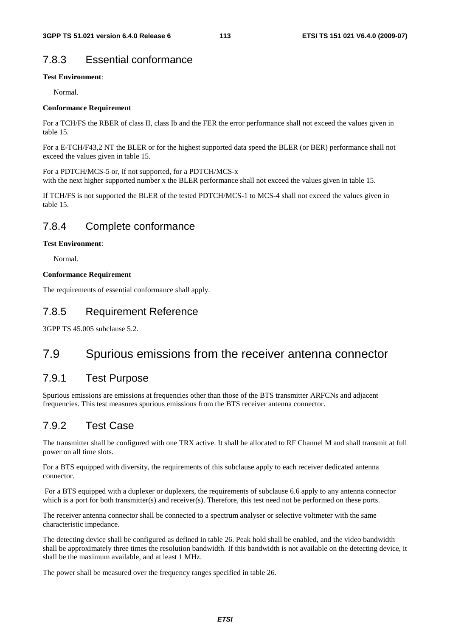# 7.8.3 Essential conformance

#### **Test Environment**:

Normal.

#### **Conformance Requirement**

For a TCH/FS the RBER of class II, class Ib and the FER the error performance shall not exceed the values given in table 15.

For a E-TCH/F43,2 NT the BLER or for the highest supported data speed the BLER (or BER) performance shall not exceed the values given in table 15.

For a PDTCH/MCS-5 or, if not supported, for a PDTCH/MCS-x with the next higher supported number x the BLER performance shall not exceed the values given in table 15.

If TCH/FS is not supported the BLER of the tested PDTCH/MCS-1 to MCS-4 shall not exceed the values given in table 15.

## 7.8.4 Complete conformance

#### **Test Environment**:

Normal.

#### **Conformance Requirement**

The requirements of essential conformance shall apply.

## 7.8.5 Requirement Reference

3GPP TS 45.005 subclause 5.2.

# 7.9 Spurious emissions from the receiver antenna connector

## 7.9.1 Test Purpose

Spurious emissions are emissions at frequencies other than those of the BTS transmitter ARFCNs and adjacent frequencies. This test measures spurious emissions from the BTS receiver antenna connector.

# 7.9.2 Test Case

The transmitter shall be configured with one TRX active. It shall be allocated to RF Channel M and shall transmit at full power on all time slots.

For a BTS equipped with diversity, the requirements of this subclause apply to each receiver dedicated antenna connector.

 For a BTS equipped with a duplexer or duplexers, the requirements of subclause 6.6 apply to any antenna connector which is a port for both transmitter(s) and receiver(s). Therefore, this test need not be performed on these ports.

The receiver antenna connector shall be connected to a spectrum analyser or selective voltmeter with the same characteristic impedance.

The detecting device shall be configured as defined in table 26. Peak hold shall be enabled, and the video bandwidth shall be approximately three times the resolution bandwidth. If this bandwidth is not available on the detecting device, it shall be the maximum available, and at least 1 MHz.

The power shall be measured over the frequency ranges specified in table 26.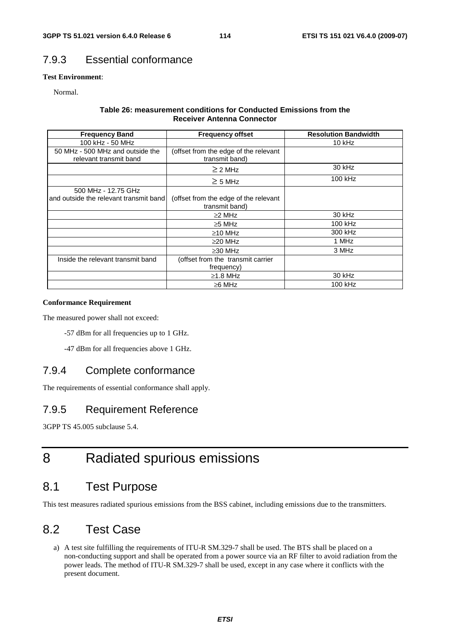# 7.9.3 Essential conformance

### **Test Environment**:

Normal.

#### **Table 26: measurement conditions for Conducted Emissions from the Receiver Antenna Connector**

| <b>Frequency Band</b>                                         | <b>Frequency offset</b>                                 | <b>Resolution Bandwidth</b> |
|---------------------------------------------------------------|---------------------------------------------------------|-----------------------------|
| 100 kHz - 50 MHz                                              |                                                         | 10 kHz                      |
| 50 MHz - 500 MHz and outside the<br>relevant transmit band    | (offset from the edge of the relevant<br>transmit band) |                             |
|                                                               | $\geq$ 2 MHz                                            | 30 kHz                      |
|                                                               | $\geq$ 5 MHz                                            | 100 kHz                     |
| 500 MHz - 12.75 GHz<br>and outside the relevant transmit band | (offset from the edge of the relevant<br>transmit band) |                             |
|                                                               | $\geq$ 2 MHz                                            | $30$ kHz                    |
|                                                               | $\geq$ 5 MHz                                            | 100 kHz                     |
|                                                               | $\geq$ 10 MHz                                           | 300 kHz                     |
|                                                               | $\geq$ 20 MHz                                           | 1 MHz                       |
|                                                               | $\geq$ 30 MHz                                           | 3 MHz                       |
| Inside the relevant transmit band                             | (offset from the transmit carrier<br>frequency)         |                             |
|                                                               | $\geq$ 1.8 MHz                                          | 30 kHz                      |
|                                                               | $\geq 6$ MHz                                            | 100 kHz                     |

#### **Conformance Requirement**

The measured power shall not exceed:

-57 dBm for all frequencies up to 1 GHz.

-47 dBm for all frequencies above 1 GHz.

# 7.9.4 Complete conformance

The requirements of essential conformance shall apply.

## 7.9.5 Requirement Reference

3GPP TS 45.005 subclause 5.4.

# 8 Radiated spurious emissions

# 8.1 Test Purpose

This test measures radiated spurious emissions from the BSS cabinet, including emissions due to the transmitters.

# 8.2 Test Case

a) A test site fulfilling the requirements of ITU-R SM.329-7 shall be used. The BTS shall be placed on a non-conducting support and shall be operated from a power source via an RF filter to avoid radiation from the power leads. The method of ITU-R SM.329-7 shall be used, except in any case where it conflicts with the present document.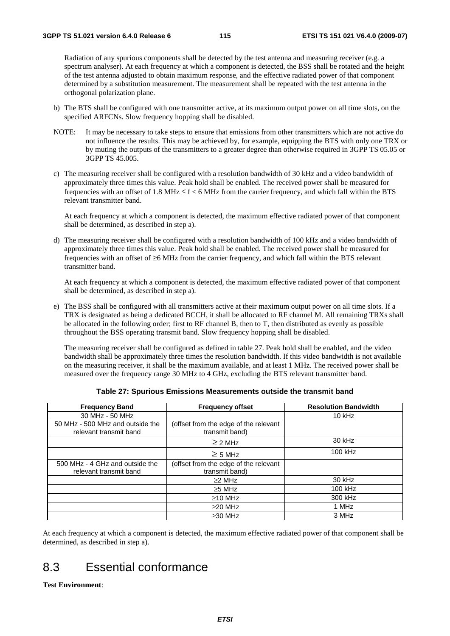Radiation of any spurious components shall be detected by the test antenna and measuring receiver (e.g. a spectrum analyser). At each frequency at which a component is detected, the BSS shall be rotated and the height of the test antenna adjusted to obtain maximum response, and the effective radiated power of that component determined by a substitution measurement. The measurement shall be repeated with the test antenna in the orthogonal polarization plane.

- b) The BTS shall be configured with one transmitter active, at its maximum output power on all time slots, on the specified ARFCNs. Slow frequency hopping shall be disabled.
- NOTE: It may be necessary to take steps to ensure that emissions from other transmitters which are not active do not influence the results. This may be achieved by, for example, equipping the BTS with only one TRX or by muting the outputs of the transmitters to a greater degree than otherwise required in 3GPP TS 05.05 or 3GPP TS 45.005.
- c) The measuring receiver shall be configured with a resolution bandwidth of 30 kHz and a video bandwidth of approximately three times this value. Peak hold shall be enabled. The received power shall be measured for frequencies with an offset of 1.8 MHz  $\leq$  f  $<$  6 MHz from the carrier frequency, and which fall within the BTS relevant transmitter band.

 At each frequency at which a component is detected, the maximum effective radiated power of that component shall be determined, as described in step a).

d) The measuring receiver shall be configured with a resolution bandwidth of 100 kHz and a video bandwidth of approximately three times this value. Peak hold shall be enabled. The received power shall be measured for frequencies with an offset of ≥6 MHz from the carrier frequency, and which fall within the BTS relevant transmitter band.

 At each frequency at which a component is detected, the maximum effective radiated power of that component shall be determined, as described in step a).

e) The BSS shall be configured with all transmitters active at their maximum output power on all time slots. If a TRX is designated as being a dedicated BCCH, it shall be allocated to RF channel M. All remaining TRXs shall be allocated in the following order; first to RF channel B, then to T, then distributed as evenly as possible throughout the BSS operating transmit band. Slow frequency hopping shall be disabled.

 The measuring receiver shall be configured as defined in table 27. Peak hold shall be enabled, and the video bandwidth shall be approximately three times the resolution bandwidth. If this video bandwidth is not available on the measuring receiver, it shall be the maximum available, and at least 1 MHz. The received power shall be measured over the frequency range 30 MHz to 4 GHz, excluding the BTS relevant transmitter band.

| <b>Frequency Band</b>                                      | <b>Frequency offset</b>                                 | <b>Resolution Bandwidth</b> |
|------------------------------------------------------------|---------------------------------------------------------|-----------------------------|
| 30 MHz - 50 MHz                                            |                                                         | $10$ kHz                    |
| 50 MHz - 500 MHz and outside the<br>relevant transmit band | (offset from the edge of the relevant<br>transmit band) |                             |
|                                                            | $\geq$ 2 MHz                                            | $30$ kHz                    |
|                                                            | $\geq$ 5 MHz                                            | 100 kHz                     |
| 500 MHz - 4 GHz and outside the<br>relevant transmit band  | (offset from the edge of the relevant<br>transmit band) |                             |
|                                                            | $\geq$ 2 MHz                                            | 30 kHz                      |
|                                                            | $\geq$ 5 MHz                                            | 100 kHz                     |
|                                                            | $\geq$ 10 MHz                                           | 300 kHz                     |
|                                                            | $\geq$ 20 MHz                                           | 1 MHz                       |
|                                                            | $\geq$ 30 MHz                                           | 3 MHz                       |

|  | Table 27: Spurious Emissions Measurements outside the transmit band |
|--|---------------------------------------------------------------------|
|--|---------------------------------------------------------------------|

At each frequency at which a component is detected, the maximum effective radiated power of that component shall be determined, as described in step a).

# 8.3 Essential conformance

#### **Test Environment**: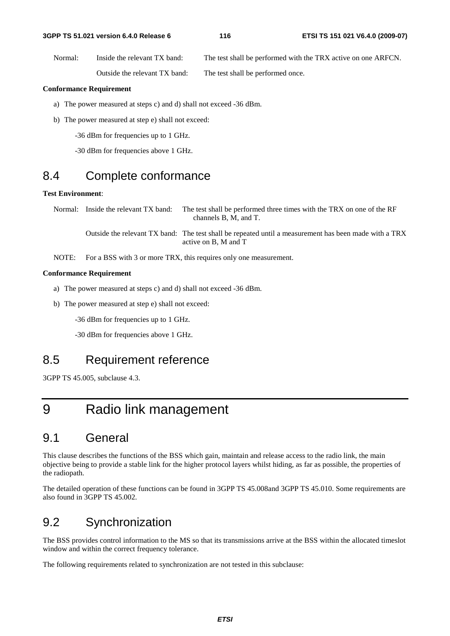#### **3GPP TS 51.021 version 6.4.0 Release 6 116 ETSI TS 151 021 V6.4.0 (2009-07)**

Normal: Inside the relevant TX band: The test shall be performed with the TRX active on one ARFCN. Outside the relevant TX band: The test shall be performed once.

#### **Conformance Requirement**

- a) The power measured at steps c) and d) shall not exceed -36 dBm.
- b) The power measured at step e) shall not exceed:

-36 dBm for frequencies up to 1 GHz.

-30 dBm for frequencies above 1 GHz.

# 8.4 Complete conformance

## **Test Environment**:

Normal: Inside the relevant TX band: The test shall be performed three times with the TRX on one of the RF channels B, M, and T.

 Outside the relevant TX band: The test shall be repeated until a measurement has been made with a TRX active on B, M and T

NOTE: For a BSS with 3 or more TRX, this requires only one measurement.

#### **Conformance Requirement**

- a) The power measured at steps c) and d) shall not exceed -36 dBm.
- b) The power measured at step e) shall not exceed:
	- -36 dBm for frequencies up to 1 GHz.

-30 dBm for frequencies above 1 GHz.

# 8.5 Requirement reference

3GPP TS 45.005, subclause 4.3.

# 9 Radio link management

# 9.1 General

This clause describes the functions of the BSS which gain, maintain and release access to the radio link, the main objective being to provide a stable link for the higher protocol layers whilst hiding, as far as possible, the properties of the radiopath.

The detailed operation of these functions can be found in 3GPP TS 45.008and 3GPP TS 45.010. Some requirements are also found in 3GPP TS 45.002.

# 9.2 Synchronization

The BSS provides control information to the MS so that its transmissions arrive at the BSS within the allocated timeslot window and within the correct frequency tolerance.

The following requirements related to synchronization are not tested in this subclause: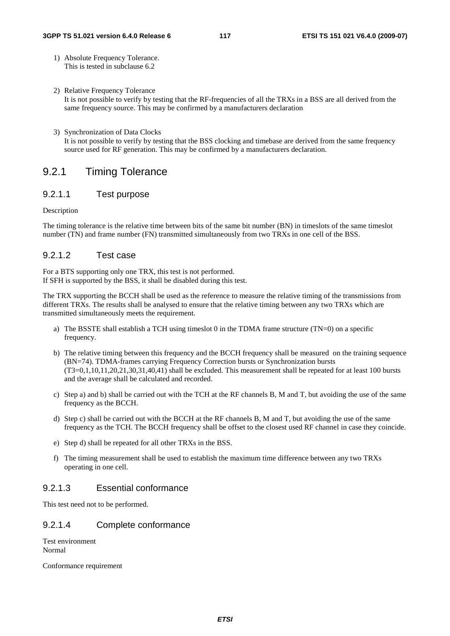- 1) Absolute Frequency Tolerance. This is tested in subclause 6.2
- 2) Relative Frequency Tolerance It is not possible to verify by testing that the RF-frequencies of all the TRXs in a BSS are all derived from the same frequency source. This may be confirmed by a manufacturers declaration
- 3) Synchronization of Data Clocks It is not possible to verify by testing that the BSS clocking and timebase are derived from the same frequency source used for RF generation. This may be confirmed by a manufacturers declaration.

## 9.2.1 Timing Tolerance

## 9.2.1.1 Test purpose

#### Description

The timing tolerance is the relative time between bits of the same bit number (BN) in timeslots of the same timeslot number (TN) and frame number (FN) transmitted simultaneously from two TRXs in one cell of the BSS.

## 9.2.1.2 Test case

For a BTS supporting only one TRX, this test is not performed. If SFH is supported by the BSS, it shall be disabled during this test.

The TRX supporting the BCCH shall be used as the reference to measure the relative timing of the transmissions from different TRXs. The results shall be analysed to ensure that the relative timing between any two TRXs which are transmitted simultaneously meets the requirement.

- a) The BSSTE shall establish a TCH using timeslot 0 in the TDMA frame structure (TN=0) on a specific frequency.
- b) The relative timing between this frequency and the BCCH frequency shall be measured on the training sequence (BN=74). TDMA-frames carrying Frequency Correction bursts or Synchronization bursts (T3=0,1,10,11,20,21,30,31,40,41) shall be excluded. This measurement shall be repeated for at least 100 bursts and the average shall be calculated and recorded.
- c) Step a) and b) shall be carried out with the TCH at the RF channels B, M and T, but avoiding the use of the same frequency as the BCCH.
- d) Step c) shall be carried out with the BCCH at the RF channels B, M and T, but avoiding the use of the same frequency as the TCH. The BCCH frequency shall be offset to the closest used RF channel in case they coincide.
- e) Step d) shall be repeated for all other TRXs in the BSS.
- f) The timing measurement shall be used to establish the maximum time difference between any two TRXs operating in one cell.

## 9.2.1.3 Essential conformance

This test need not to be performed.

## 9.2.1.4 Complete conformance

Test environment Normal

Conformance requirement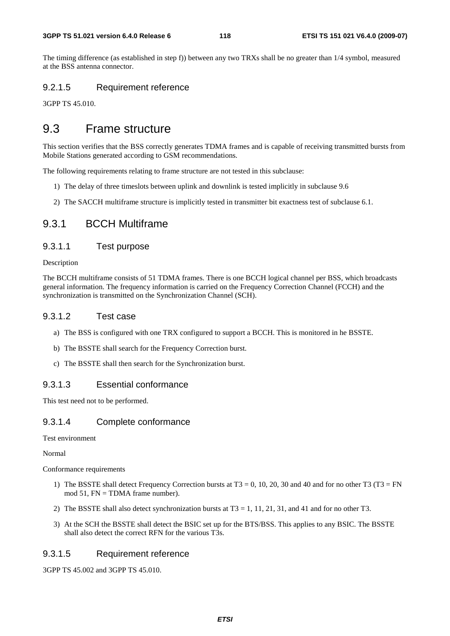The timing difference (as established in step f)) between any two TRXs shall be no greater than 1/4 symbol, measured at the BSS antenna connector.

## 9.2.1.5 Requirement reference

3GPP TS 45.010.

# 9.3 Frame structure

This section verifies that the BSS correctly generates TDMA frames and is capable of receiving transmitted bursts from Mobile Stations generated according to GSM recommendations.

The following requirements relating to frame structure are not tested in this subclause:

- 1) The delay of three timeslots between uplink and downlink is tested implicitly in subclause 9.6
- 2) The SACCH multiframe structure is implicitly tested in transmitter bit exactness test of subclause 6.1.

## 9.3.1 BCCH Multiframe

## 9.3.1.1 Test purpose

Description

The BCCH multiframe consists of 51 TDMA frames. There is one BCCH logical channel per BSS, which broadcasts general information. The frequency information is carried on the Frequency Correction Channel (FCCH) and the synchronization is transmitted on the Synchronization Channel (SCH).

## 9.3.1.2 Test case

- a) The BSS is configured with one TRX configured to support a BCCH. This is monitored in he BSSTE.
- b) The BSSTE shall search for the Frequency Correction burst.
- c) The BSSTE shall then search for the Synchronization burst.

## 9.3.1.3 Essential conformance

This test need not to be performed.

## 9.3.1.4 Complete conformance

Test environment

Normal

Conformance requirements

- 1) The BSSTE shall detect Frequency Correction bursts at  $T3 = 0$ , 10, 20, 30 and 40 and for no other T3 (T3 = FN mod 51, FN = TDMA frame number).
- 2) The BSSTE shall also detect synchronization bursts at  $T3 = 1, 11, 21, 31$ , and 41 and for no other T3.
- 3) At the SCH the BSSTE shall detect the BSIC set up for the BTS/BSS. This applies to any BSIC. The BSSTE shall also detect the correct RFN for the various T3s.

## 9.3.1.5 Requirement reference

3GPP TS 45.002 and 3GPP TS 45.010.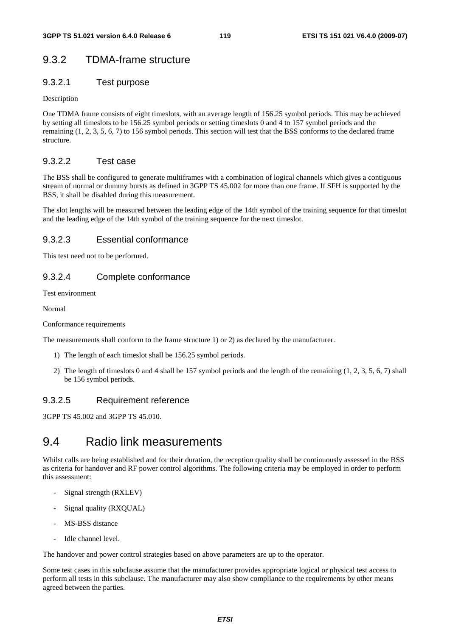# 9.3.2 TDMA-frame structure

## 9.3.2.1 Test purpose

### Description

One TDMA frame consists of eight timeslots, with an average length of 156.25 symbol periods. This may be achieved by setting all timeslots to be 156.25 symbol periods or setting timeslots 0 and 4 to 157 symbol periods and the remaining (1, 2, 3, 5, 6, 7) to 156 symbol periods. This section will test that the BSS conforms to the declared frame structure.

## 9.3.2.2 Test case

The BSS shall be configured to generate multiframes with a combination of logical channels which gives a contiguous stream of normal or dummy bursts as defined in 3GPP TS 45.002 for more than one frame. If SFH is supported by the BSS, it shall be disabled during this measurement.

The slot lengths will be measured between the leading edge of the 14th symbol of the training sequence for that timeslot and the leading edge of the 14th symbol of the training sequence for the next timeslot.

## 9.3.2.3 Essential conformance

This test need not to be performed.

## 9.3.2.4 Complete conformance

Test environment

Normal

Conformance requirements

The measurements shall conform to the frame structure 1) or 2) as declared by the manufacturer.

- 1) The length of each timeslot shall be 156.25 symbol periods.
- 2) The length of timeslots 0 and 4 shall be 157 symbol periods and the length of the remaining (1, 2, 3, 5, 6, 7) shall be 156 symbol periods.

## 9.3.2.5 Requirement reference

3GPP TS 45.002 and 3GPP TS 45.010.

# 9.4 Radio link measurements

Whilst calls are being established and for their duration, the reception quality shall be continuously assessed in the BSS as criteria for handover and RF power control algorithms. The following criteria may be employed in order to perform this assessment:

- Signal strength (RXLEV)
- Signal quality (RXQUAL)
- MS-BSS distance
- Idle channel level.

The handover and power control strategies based on above parameters are up to the operator.

Some test cases in this subclause assume that the manufacturer provides appropriate logical or physical test access to perform all tests in this subclause. The manufacturer may also show compliance to the requirements by other means agreed between the parties.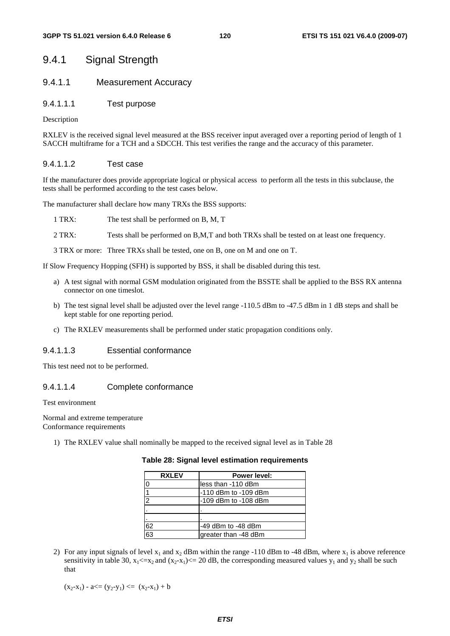## 9.4.1 Signal Strength

## 9.4.1.1 Measurement Accuracy

9.4.1.1.1 Test purpose

Description

RXLEV is the received signal level measured at the BSS receiver input averaged over a reporting period of length of 1 SACCH multiframe for a TCH and a SDCCH. This test verifies the range and the accuracy of this parameter.

### 9.4.1.1.2 Test case

If the manufacturer does provide appropriate logical or physical access to perform all the tests in this subclause, the tests shall be performed according to the test cases below.

The manufacturer shall declare how many TRXs the BSS supports:

1 TRX: The test shall be performed on B, M, T

2 TRX: Tests shall be performed on B,M,T and both TRXs shall be tested on at least one frequency.

3 TRX or more: Three TRXs shall be tested, one on B, one on M and one on T.

If Slow Frequency Hopping (SFH) is supported by BSS, it shall be disabled during this test.

- a) A test signal with normal GSM modulation originated from the BSSTE shall be applied to the BSS RX antenna connector on one timeslot.
- b) The test signal level shall be adjusted over the level range -110.5 dBm to -47.5 dBm in 1 dB steps and shall be kept stable for one reporting period.
- c) The RXLEV measurements shall be performed under static propagation conditions only.

### 9.4.1.1.3 Essential conformance

This test need not to be performed.

### 9.4.1.1.4 Complete conformance

Test environment

Normal and extreme temperature

Conformance requirements

1) The RXLEV value shall nominally be mapped to the received signal level as in Table 28

| <b>RXLEV</b>   | Power level:         |
|----------------|----------------------|
| 0              | less than -110 dBm   |
|                | -110 dBm to -109 dBm |
| $\overline{2}$ | -109 dBm to -108 dBm |
|                |                      |
|                |                      |
| 62             | -49 dBm to -48 dBm   |
| 63             | greater than -48 dBm |

#### **Table 28: Signal level estimation requirements**

2) For any input signals of level  $x_1$  and  $x_2$  dBm within the range -110 dBm to -48 dBm, where  $x_1$  is above reference sensitivity in table 30,  $x_1 \le x_2$  and  $(x_2-x_1) \le 20$  dB, the corresponding measured values  $y_1$  and  $y_2$  shall be such that

 $(x_2-x_1) - a \leq (y_2-y_1) \leq (x_2-x_1) + b$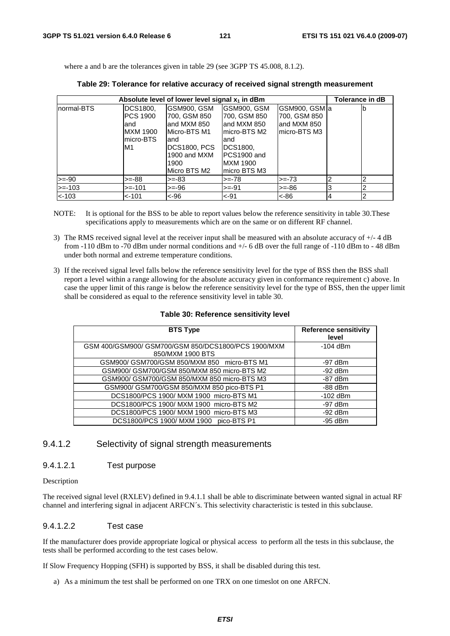where a and b are the tolerances given in table 29 (see 3GPP TS 45.008, 8.1.2).

|            | Tolerance in dB<br>Absolute level of lower level signal $x_1$ in dBm |                                                                                                                                     |                                                                                                                                |                                                               |   |    |
|------------|----------------------------------------------------------------------|-------------------------------------------------------------------------------------------------------------------------------------|--------------------------------------------------------------------------------------------------------------------------------|---------------------------------------------------------------|---|----|
| normal-BTS | DCS1800,<br>IPCS 1900<br>and<br><b>MXM 1900</b><br>lmicro-BTS_<br>M1 | IGSM900, GSM<br>700, GSM 850<br>land MXM 850<br>Micro-BTS M1<br>land<br><b>DCS1800, PCS</b><br>1900 and MXM<br>1900<br>Micro BTS M2 | GSM900, GSM<br> 700, GSM 850<br>land MXM 850<br>lmicro-BTS M2<br>land<br>DCS1800,<br>PCS1900 and<br>IMXM 1900<br>Imicro BTS M3 | GSM900, GSM a<br>700, GSM 850<br>land MXM 850<br>micro-BTS M3 |   | Ib |
| $>=-90$    | $>=-88$                                                              | $>=-83$                                                                                                                             | $>=-78$                                                                                                                        | $>= -73$                                                      | 2 | っ  |
| $>= -103$  | $>= -101$                                                            | $>=-96$                                                                                                                             | $>= -91$                                                                                                                       | $>=-86$                                                       | 3 | っ  |
| $< -103$   | $< -101$                                                             | <-96                                                                                                                                | $< -91$                                                                                                                        | ~100                                                          | 4 | 2  |

NOTE: It is optional for the BSS to be able to report values below the reference sensitivity in table 30.These specifications apply to measurements which are on the same or on different RF channel.

- 3) The RMS received signal level at the receiver input shall be measured with an absolute accuracy of +/- 4 dB from -110 dBm to -70 dBm under normal conditions and +/- 6 dB over the full range of -110 dBm to - 48 dBm under both normal and extreme temperature conditions.
- 3) If the received signal level falls below the reference sensitivity level for the type of BSS then the BSS shall report a level within a range allowing for the absolute accuracy given in conformance requirement c) above. In case the upper limit of this range is below the reference sensitivity level for the type of BSS, then the upper limit shall be considered as equal to the reference sensitivity level in table 30.

| <b>BTS Type</b>                                     | <b>Reference sensitivity</b><br>level |
|-----------------------------------------------------|---------------------------------------|
| GSM 400/GSM900/ GSM700/GSM 850/DCS1800/PCS 1900/MXM | $-104$ dBm                            |
| 850/MXM 1900 BTS                                    |                                       |
| GSM900/ GSM700/GSM 850/MXM 850 micro-BTS M1         | $-97$ dBm                             |
| GSM900/ GSM700/GSM 850/MXM 850 micro-BTS M2         | $-92$ dBm                             |
| GSM900/ GSM700/GSM 850/MXM 850 micro-BTS M3         | $-87$ dBm                             |
| GSM900/ GSM700/GSM 850/MXM 850 pico-BTS P1          | $-88$ dBm                             |
| DCS1800/PCS 1900/ MXM 1900 micro-BTS M1             | $-102$ dBm                            |
| DCS1800/PCS 1900/ MXM 1900 micro-BTS M2             | $-97$ dBm                             |
| DCS1800/PCS 1900/ MXM 1900 micro-BTS M3             | $-92$ dBm                             |
| DCS1800/PCS 1900/ MXM 1900 pico-BTS P1              | $-95$ dBm                             |

#### **Table 30: Reference sensitivity level**

## 9.4.1.2 Selectivity of signal strength measurements

#### 9.4.1.2.1 Test purpose

#### Description

The received signal level (RXLEV) defined in 9.4.1.1 shall be able to discriminate between wanted signal in actual RF channel and interfering signal in adjacent ARFCN´s. This selectivity characteristic is tested in this subclause.

#### 9.4.1.2.2 Test case

If the manufacturer does provide appropriate logical or physical access to perform all the tests in this subclause, the tests shall be performed according to the test cases below.

If Slow Frequency Hopping (SFH) is supported by BSS, it shall be disabled during this test.

a) As a minimum the test shall be performed on one TRX on one timeslot on one ARFCN.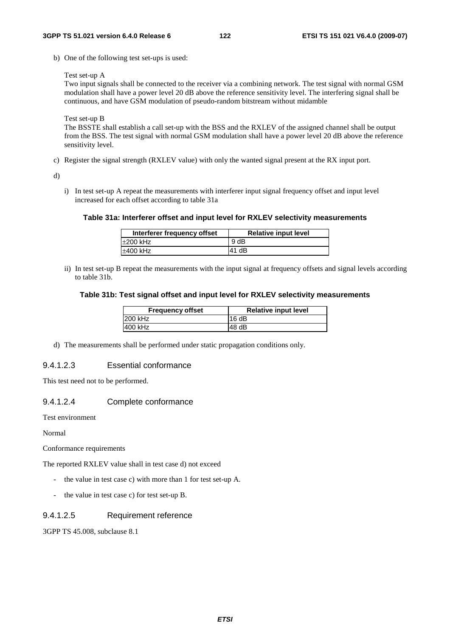b) One of the following test set-ups is used:

Test set-up A

Two input signals shall be connected to the receiver via a combining network. The test signal with normal GSM modulation shall have a power level 20 dB above the reference sensitivity level. The interfering signal shall be continuous, and have GSM modulation of pseudo-random bitstream without midamble

Test set-up B

The BSSTE shall establish a call set-up with the BSS and the RXLEV of the assigned channel shall be output from the BSS. The test signal with normal GSM modulation shall have a power level 20 dB above the reference sensitivity level.

c) Register the signal strength (RXLEV value) with only the wanted signal present at the RX input port.

d)

i) In test set-up A repeat the measurements with interferer input signal frequency offset and input level increased for each offset according to table 31a

#### **Table 31a: Interferer offset and input level for RXLEV selectivity measurements**

| Interferer frequency offset | <b>Relative input level</b> |
|-----------------------------|-----------------------------|
| ±200 kHz                    | 9 dB                        |
| ±400 kHz                    | 41 dB                       |

ii) In test set-up B repeat the measurements with the input signal at frequency offsets and signal levels according to table 31b.

#### **Table 31b: Test signal offset and input level for RXLEV selectivity measurements**

| <b>Frequency offset</b> | <b>Relative input level</b> |
|-------------------------|-----------------------------|
| 1200 kHz                | 16 $dB$                     |
| 400 kHz                 | 148 dB                      |

d) The measurements shall be performed under static propagation conditions only.

#### 9.4.1.2.3 Essential conformance

This test need not to be performed.

## 9.4.1.2.4 Complete conformance

Test environment

Normal

Conformance requirements

The reported RXLEV value shall in test case d) not exceed

- the value in test case c) with more than 1 for test set-up A.
- the value in test case c) for test set-up B.

#### 9.4.1.2.5 Requirement reference

3GPP TS 45.008, subclause 8.1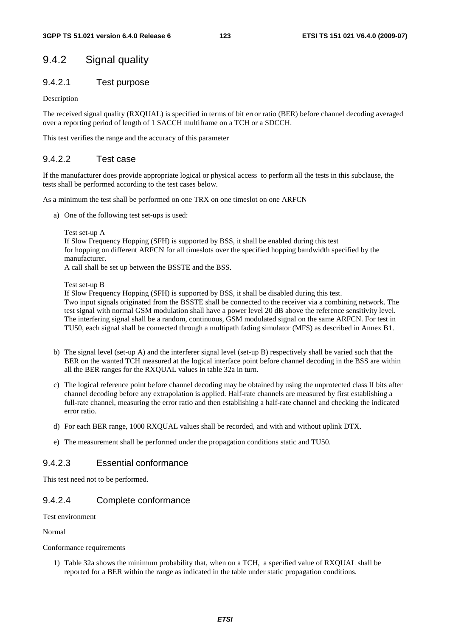# 9.4.2 Signal quality

## 9.4.2.1 Test purpose

Description

The received signal quality (RXQUAL) is specified in terms of bit error ratio (BER) before channel decoding averaged over a reporting period of length of 1 SACCH multiframe on a TCH or a SDCCH.

This test verifies the range and the accuracy of this parameter

## 9.4.2.2 Test case

If the manufacturer does provide appropriate logical or physical access to perform all the tests in this subclause, the tests shall be performed according to the test cases below.

As a minimum the test shall be performed on one TRX on one timeslot on one ARFCN

a) One of the following test set-ups is used:

Test set-up A If Slow Frequency Hopping (SFH) is supported by BSS, it shall be enabled during this test for hopping on different ARFCN for all timeslots over the specified hopping bandwidth specified by the manufacturer. A call shall be set up between the BSSTE and the BSS.

Test set-up B

If Slow Frequency Hopping (SFH) is supported by BSS, it shall be disabled during this test. Two input signals originated from the BSSTE shall be connected to the receiver via a combining network. The test signal with normal GSM modulation shall have a power level 20 dB above the reference sensitivity level. The interfering signal shall be a random, continuous, GSM modulated signal on the same ARFCN. For test in TU50, each signal shall be connected through a multipath fading simulator (MFS) as described in Annex B1.

- b) The signal level (set-up A) and the interferer signal level (set-up B) respectively shall be varied such that the BER on the wanted TCH measured at the logical interface point before channel decoding in the BSS are within all the BER ranges for the RXQUAL values in table 32a in turn.
- c) The logical reference point before channel decoding may be obtained by using the unprotected class II bits after channel decoding before any extrapolation is applied. Half-rate channels are measured by first establishing a full-rate channel, measuring the error ratio and then establishing a half-rate channel and checking the indicated error ratio.
- d) For each BER range, 1000 RXQUAL values shall be recorded, and with and without uplink DTX.
- e) The measurement shall be performed under the propagation conditions static and TU50.

## 9.4.2.3 Essential conformance

This test need not to be performed.

## 9.4.2.4 Complete conformance

Test environment

Normal

#### Conformance requirements

1) Table 32a shows the minimum probability that, when on a TCH, a specified value of RXQUAL shall be reported for a BER within the range as indicated in the table under static propagation conditions.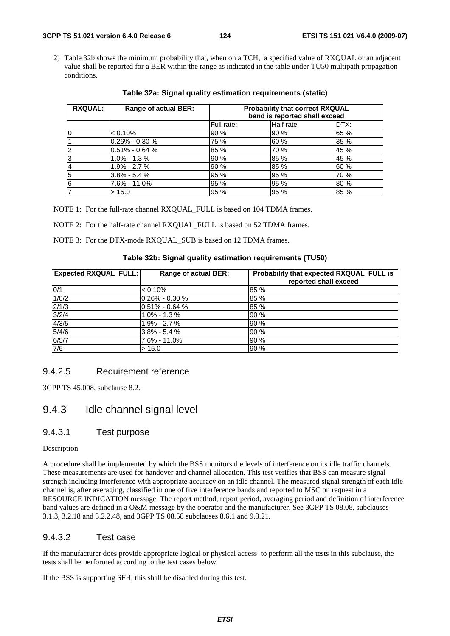2) Table 32b shows the minimum probability that, when on a TCH, a specified value of RXQUAL or an adjacent value shall be reported for a BER within the range as indicated in the table under TU50 multipath propagation conditions.

| <b>RXQUAL:</b> | Range of actual BER: | <b>Probability that correct RXQUAL</b><br>band is reported shall exceed |           |      |  |  |
|----------------|----------------------|-------------------------------------------------------------------------|-----------|------|--|--|
|                |                      | Full rate:                                                              | Half rate | DTX: |  |  |
| I0             | $< 0.10\%$           | 90%                                                                     | 90%       | 65 % |  |  |
|                | l0.26% - 0.30 %      | 75 %                                                                    | 60 %      | 35 % |  |  |
| $\overline{c}$ | $0.51\% - 0.64\%$    | 85 %                                                                    | 70 %      | 45 % |  |  |
| 13             | $1.0\% - 1.3\%$      | 90%                                                                     | 85 %      | 45 % |  |  |
| 14             | 1.9% - 2.7 %         | 90 %                                                                    | 85 %      | 60 % |  |  |
| 5              | $3.8\% - 5.4\%$      | 95%                                                                     | 95 %      | 70 % |  |  |
| 6              | 7.6% - 11.0%         | 95%                                                                     | 95 %      | 80 % |  |  |
|                | > 15.0               | 95 %                                                                    | 95 %      | 85 % |  |  |

**Table 32a: Signal quality estimation requirements (static)** 

NOTE 1: For the full-rate channel RXQUAL\_FULL is based on 104 TDMA frames.

NOTE 2: For the half-rate channel RXQUAL FULL is based on 52 TDMA frames.

NOTE 3: For the DTX-mode RXQUAL\_SUB is based on 12 TDMA frames.

#### **Table 32b: Signal quality estimation requirements (TU50)**

| <b>Expected RXQUAL_FULL:</b> | <b>Range of actual BER:</b> | Probability that expected RXQUAL_FULL is<br>reported shall exceed |
|------------------------------|-----------------------------|-------------------------------------------------------------------|
| 0/1                          | $< 0.10\%$                  | 85 %                                                              |
| 1/0/2                        | $0.26\% - 0.30\%$           | 85 %                                                              |
| 2/1/3                        | $0.51\% - 0.64\%$           | 85 %                                                              |
| 3/2/4                        | $1.0\% - 1.3\%$             | 90%                                                               |
| 4/3/5                        | $1.9\% - 2.7\%$             | 90%                                                               |
| 5/4/6                        | l3.8% - 5.4 %               | 90%                                                               |
| 6/5/7                        | 7.6% - 11.0%                | 90%                                                               |
| $\overline{7/6}$             | >15.0                       | 90%                                                               |

## 9.4.2.5 Requirement reference

3GPP TS 45.008, subclause 8.2.

## 9.4.3 Idle channel signal level

### 9.4.3.1 Test purpose

#### Description

A procedure shall be implemented by which the BSS monitors the levels of interference on its idle traffic channels. These measurements are used for handover and channel allocation. This test verifies that BSS can measure signal strength including interference with appropriate accuracy on an idle channel. The measured signal strength of each idle channel is, after averaging, classified in one of five interference bands and reported to MSC on request in a RESOURCE INDICATION message. The report method, report period, averaging period and definition of interference band values are defined in a O&M message by the operator and the manufacturer. See 3GPP TS 08.08, subclauses 3.1.3, 3.2.18 and 3.2.2.48, and 3GPP TS 08.58 subclauses 8.6.1 and 9.3.21.

## 9.4.3.2 Test case

If the manufacturer does provide appropriate logical or physical access to perform all the tests in this subclause, the tests shall be performed according to the test cases below.

If the BSS is supporting SFH, this shall be disabled during this test.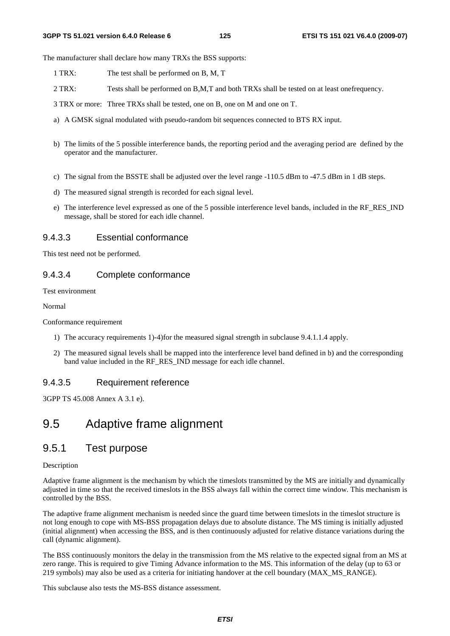The manufacturer shall declare how many TRXs the BSS supports:

- 1 TRX: The test shall be performed on B, M, T
- 2 TRX: Tests shall be performed on B,M,T and both TRXs shall be tested on at least onefrequency.
- 3 TRX or more: Three TRXs shall be tested, one on B, one on M and one on T.
- a) A GMSK signal modulated with pseudo-random bit sequences connected to BTS RX input.
- b) The limits of the 5 possible interference bands, the reporting period and the averaging period are defined by the operator and the manufacturer.
- c) The signal from the BSSTE shall be adjusted over the level range -110.5 dBm to -47.5 dBm in 1 dB steps.
- d) The measured signal strength is recorded for each signal level.
- e) The interference level expressed as one of the 5 possible interference level bands, included in the RF\_RES\_IND message, shall be stored for each idle channel.

#### 9.4.3.3 Essential conformance

This test need not be performed.

### 9.4.3.4 Complete conformance

Test environment

Normal

Conformance requirement

- 1) The accuracy requirements 1)-4)for the measured signal strength in subclause 9.4.1.1.4 apply.
- 2) The measured signal levels shall be mapped into the interference level band defined in b) and the corresponding band value included in the RF\_RES\_IND message for each idle channel.

### 9.4.3.5 Requirement reference

3GPP TS 45.008 Annex A 3.1 e).

# 9.5 Adaptive frame alignment

## 9.5.1 Test purpose

#### Description

Adaptive frame alignment is the mechanism by which the timeslots transmitted by the MS are initially and dynamically adjusted in time so that the received timeslots in the BSS always fall within the correct time window. This mechanism is controlled by the BSS.

The adaptive frame alignment mechanism is needed since the guard time between timeslots in the timeslot structure is not long enough to cope with MS-BSS propagation delays due to absolute distance. The MS timing is initially adjusted (initial alignment) when accessing the BSS, and is then continuously adjusted for relative distance variations during the call (dynamic alignment).

The BSS continuously monitors the delay in the transmission from the MS relative to the expected signal from an MS at zero range. This is required to give Timing Advance information to the MS. This information of the delay (up to 63 or 219 symbols) may also be used as a criteria for initiating handover at the cell boundary (MAX\_MS\_RANGE).

This subclause also tests the MS-BSS distance assessment.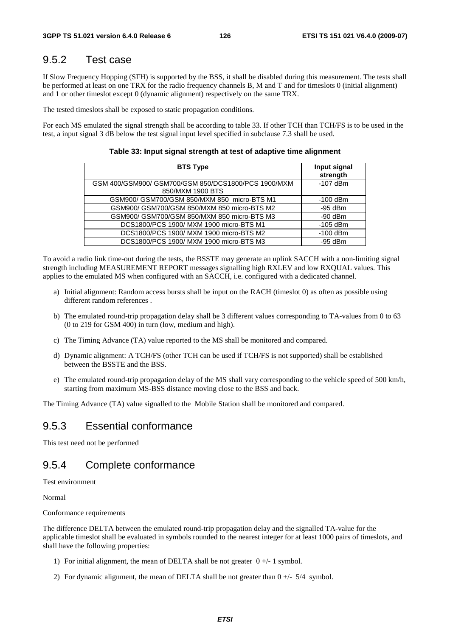# 9.5.2 Test case

If Slow Frequency Hopping (SFH) is supported by the BSS, it shall be disabled during this measurement. The tests shall be performed at least on one TRX for the radio frequency channels B, M and T and for timeslots 0 (initial alignment) and 1 or other timeslot except 0 (dynamic alignment) respectively on the same TRX.

The tested timeslots shall be exposed to static propagation conditions.

For each MS emulated the signal strength shall be according to table 33. If other TCH than TCH/FS is to be used in the test, a input signal 3 dB below the test signal input level specified in subclause 7.3 shall be used.

#### **Table 33: Input signal strength at test of adaptive time alignment**

| <b>BTS Type</b>                                                         | Input signal<br>strength |
|-------------------------------------------------------------------------|--------------------------|
| GSM 400/GSM900/ GSM700/GSM 850/DCS1800/PCS 1900/MXM<br>850/MXM 1900 BTS | $-107$ dBm               |
| GSM900/ GSM700/GSM 850/MXM 850 micro-BTS M1                             | $-100$ dBm               |
| GSM900/ GSM700/GSM 850/MXM 850 micro-BTS M2                             | $-95$ dBm                |
| GSM900/ GSM700/GSM 850/MXM 850 micro-BTS M3                             | $-90$ dBm                |
| DCS1800/PCS 1900/ MXM 1900 micro-BTS M1                                 | $-105$ dBm               |
| DCS1800/PCS 1900/ MXM 1900 micro-BTS M2                                 | $-100$ dBm               |
| DCS1800/PCS 1900/ MXM 1900 micro-BTS M3                                 | $-95$ dBm                |

To avoid a radio link time-out during the tests, the BSSTE may generate an uplink SACCH with a non-limiting signal strength including MEASUREMENT REPORT messages signalling high RXLEV and low RXQUAL values. This applies to the emulated MS when configured with an SACCH, i.e. configured with a dedicated channel.

- a) Initial alignment: Random access bursts shall be input on the RACH (timeslot 0) as often as possible using different random references .
- b) The emulated round-trip propagation delay shall be 3 different values corresponding to TA-values from 0 to 63 (0 to 219 for GSM 400) in turn (low, medium and high).
- c) The Timing Advance (TA) value reported to the MS shall be monitored and compared.
- d) Dynamic alignment: A TCH/FS (other TCH can be used if TCH/FS is not supported) shall be established between the BSSTE and the BSS.
- e) The emulated round-trip propagation delay of the MS shall vary corresponding to the vehicle speed of 500 km/h, starting from maximum MS-BSS distance moving close to the BSS and back.

The Timing Advance (TA) value signalled to the Mobile Station shall be monitored and compared.

## 9.5.3 Essential conformance

This test need not be performed

## 9.5.4 Complete conformance

Test environment

Normal

Conformance requirements

The difference DELTA between the emulated round-trip propagation delay and the signalled TA-value for the applicable timeslot shall be evaluated in symbols rounded to the nearest integer for at least 1000 pairs of timeslots, and shall have the following properties:

- 1) For initial alignment, the mean of DELTA shall be not greater  $0 +/1$  symbol.
- 2) For dynamic alignment, the mean of DELTA shall be not greater than  $0 +/ 5/4$  symbol.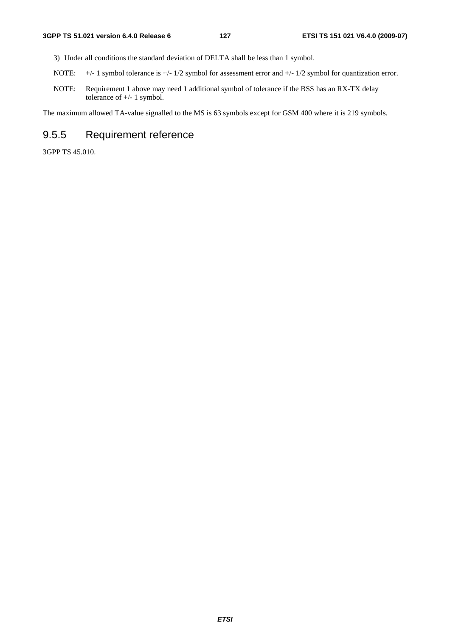- 3) Under all conditions the standard deviation of DELTA shall be less than 1 symbol.
- NOTE:  $+/- 1$  symbol tolerance is  $+/- 1/2$  symbol for assessment error and  $+/- 1/2$  symbol for quantization error.
- NOTE: Requirement 1 above may need 1 additional symbol of tolerance if the BSS has an RX-TX delay tolerance of +/- 1 symbol.

The maximum allowed TA-value signalled to the MS is 63 symbols except for GSM 400 where it is 219 symbols.

# 9.5.5 Requirement reference

3GPP TS 45.010.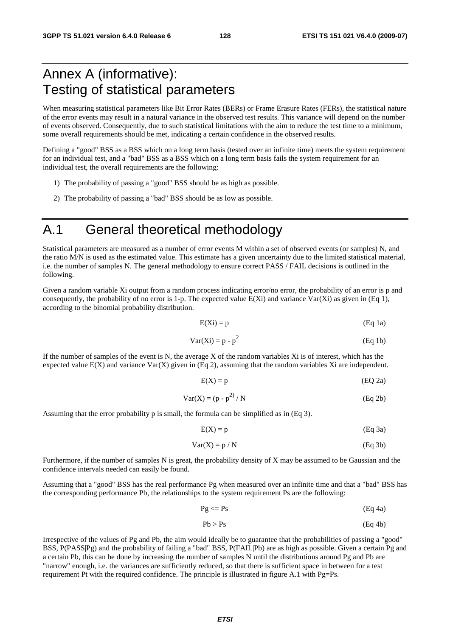# Annex A (informative): Testing of statistical parameters

When measuring statistical parameters like Bit Error Rates (BERs) or Frame Erasure Rates (FERs), the statistical nature of the error events may result in a natural variance in the observed test results. This variance will depend on the number of events observed. Consequently, due to such statistical limitations with the aim to reduce the test time to a minimum, some overall requirements should be met, indicating a certain confidence in the observed results.

Defining a "good" BSS as a BSS which on a long term basis (tested over an infinite time) meets the system requirement for an individual test, and a "bad" BSS as a BSS which on a long term basis fails the system requirement for an individual test, the overall requirements are the following:

- 1) The probability of passing a "good" BSS should be as high as possible.
- 2) The probability of passing a "bad" BSS should be as low as possible.

# A.1 General theoretical methodology

Statistical parameters are measured as a number of error events M within a set of observed events (or samples) N, and the ratio M/N is used as the estimated value. This estimate has a given uncertainty due to the limited statistical material, i.e. the number of samples N. The general methodology to ensure correct PASS / FAIL decisions is outlined in the following.

Given a random variable Xi output from a random process indicating error/no error, the probability of an error is p and consequently, the probability of no error is 1-p. The expected value  $E(Xi)$  and variance  $Var(Xi)$  as given in (Eq 1), according to the binomial probability distribution.

$$
E(Xi) = p \tag{Eq 1a}
$$

$$
Var(Xi) = p - p2
$$
 (Eq 1b)

If the number of samples of the event is N, the average X of the random variables Xi is of interest, which has the expected value  $E(X)$  and variance  $Var(X)$  given in (Eq 2), assuming that the random variables Xi are independent.

$$
E(X) = p \tag{EQ 2a}
$$

$$
Var(X) = (p - p2) / N
$$
 (Eq 2b)

Assuming that the error probability p is small, the formula can be simplified as in (Eq 3).

$$
E(X) = p \tag{Eq 3a}
$$

$$
Var(X) = p / N
$$
 (Eq 3b)

Furthermore, if the number of samples N is great, the probability density of X may be assumed to be Gaussian and the confidence intervals needed can easily be found.

Assuming that a "good" BSS has the real performance Pg when measured over an infinite time and that a "bad" BSS has the corresponding performance Pb, the relationships to the system requirement Ps are the following:

$$
Pg \le PS \tag{Eq 4a}
$$

$$
Pb > Ps
$$
 (Eq 4b)

Irrespective of the values of Pg and Pb, the aim would ideally be to guarantee that the probabilities of passing a "good" BSS, P(PASS|Pg) and the probability of failing a "bad" BSS, P(FAIL|Pb) are as high as possible. Given a certain Pg and a certain Pb, this can be done by increasing the number of samples N until the distributions around Pg and Pb are "narrow" enough, i.e. the variances are sufficiently reduced, so that there is sufficient space in between for a test requirement Pt with the required confidence. The principle is illustrated in figure A.1 with Pg=Ps.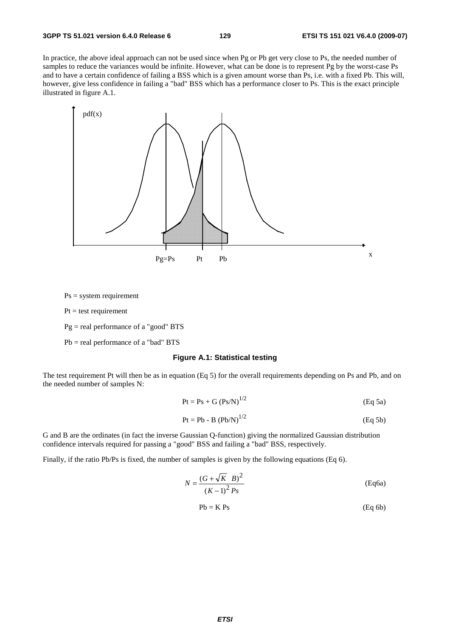In practice, the above ideal approach can not be used since when Pg or Pb get very close to Ps, the needed number of samples to reduce the variances would be infinite. However, what can be done is to represent Pg by the worst-case Ps and to have a certain confidence of failing a BSS which is a given amount worse than Ps, i.e. with a fixed Pb. This will, however, give less confidence in failing a "bad" BSS which has a performance closer to Ps. This is the exact principle illustrated in figure A.1.



 $Ps = system requirement$ 

 $Pt = test requirement$ 

 $Pg = real performance of a "good" BTS$ 

Pb = real performance of a "bad" BTS

#### **Figure A.1: Statistical testing**

The test requirement Pt will then be as in equation (Eq 5) for the overall requirements depending on Ps and Pb, and on the needed number of samples N:

$$
Pt = Ps + G (Ps/N)^{1/2}
$$
 (Eq 5a)

$$
Pt = Pb - B (Pb/N)^{1/2}
$$
 (Eq 5b)

G and B are the ordinates (in fact the inverse Gaussian Q-function) giving the normalized Gaussian distribution confidence intervals required for passing a "good" BSS and failing a "bad" BSS, respectively.

Finally, if the ratio Pb/Ps is fixed, the number of samples is given by the following equations (Eq 6).

$$
N = \frac{(G + \sqrt{K} B)^2}{(K - 1)^2 P_s}
$$
 (Eq6a)

$$
Pb = K\ Ps
$$
 (Eq 6b)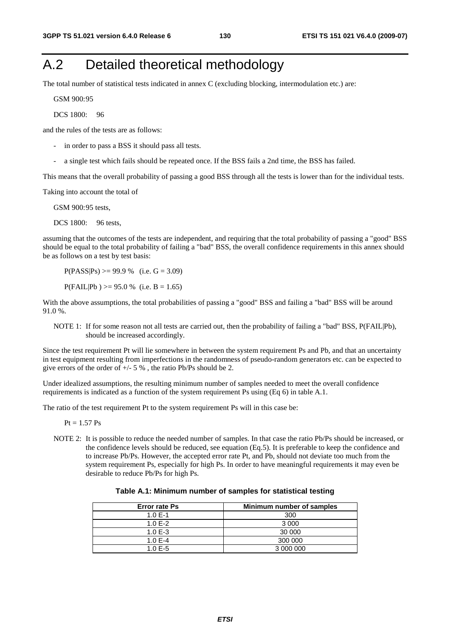# A.2 Detailed theoretical methodology

The total number of statistical tests indicated in annex C (excluding blocking, intermodulation etc.) are:

GSM 900: 95

DCS 1800: 96

and the rules of the tests are as follows:

- in order to pass a BSS it should pass all tests.
- a single test which fails should be repeated once. If the BSS fails a 2nd time, the BSS has failed.

This means that the overall probability of passing a good BSS through all the tests is lower than for the individual tests.

Taking into account the total of

GSM 900:95 tests,

DCS 1800: 96 tests.

assuming that the outcomes of the tests are independent, and requiring that the total probability of passing a "good" BSS should be equal to the total probability of failing a "bad" BSS, the overall confidence requirements in this annex should be as follows on a test by test basis:

 $P(PASS|Ps) \ge 99.9 %$  (i.e.  $G = 3.09$ )

 $P(FAIL|Pb) \ge 95.0 %$  (i.e.  $B = 1.65$ )

With the above assumptions, the total probabilities of passing a "good" BSS and failing a "bad" BSS will be around 91.0 %.

NOTE 1: If for some reason not all tests are carried out, then the probability of failing a "bad" BSS, P(FAIL|Pb), should be increased accordingly.

Since the test requirement Pt will lie somewhere in between the system requirement Ps and Pb, and that an uncertainty in test equipment resulting from imperfections in the randomness of pseudo-random generators etc. can be expected to give errors of the order of  $+/- 5$ %, the ratio Pb/Ps should be 2.

Under idealized assumptions, the resulting minimum number of samples needed to meet the overall confidence requirements is indicated as a function of the system requirement Ps using (Eq 6) in table A.1.

The ratio of the test requirement Pt to the system requirement Ps will in this case be:

 $Pt = 1.57 \text{ Ps}$ 

NOTE 2: It is possible to reduce the needed number of samples. In that case the ratio Pb/Ps should be increased, or the confidence levels should be reduced, see equation (Eq.5). It is preferable to keep the confidence and to increase Pb/Ps. However, the accepted error rate Pt, and Pb, should not deviate too much from the system requirement Ps, especially for high Ps. In order to have meaningful requirements it may even be desirable to reduce Pb/Ps for high Ps.

| <b>Error rate Ps</b> | Minimum number of samples |
|----------------------|---------------------------|
| 1.0 $E-1$            | 300                       |
| 1.0 $E-2$            | 3 0 0 0                   |
| $1.0E - 3$           | 30 000                    |
| 1.0 $E - 4$          | 300 000                   |
| 1.0 $F-5$            | 3 000 000                 |

| Table A.1: Minimum number of samples for statistical testing |  |  |
|--------------------------------------------------------------|--|--|
|--------------------------------------------------------------|--|--|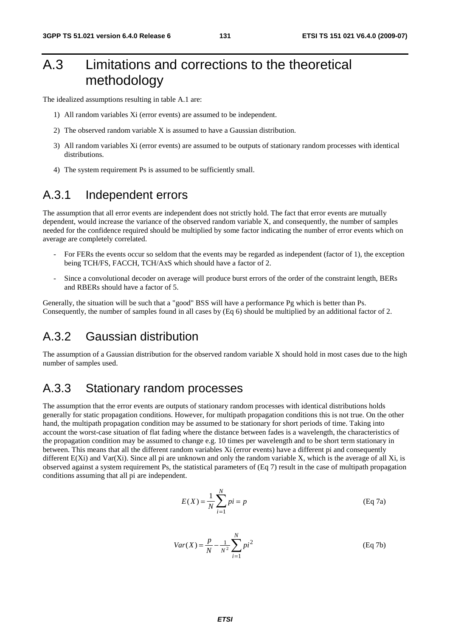# A.3 Limitations and corrections to the theoretical methodology

The idealized assumptions resulting in table A.1 are:

- 1) All random variables Xi (error events) are assumed to be independent.
- 2) The observed random variable X is assumed to have a Gaussian distribution.
- 3) All random variables Xi (error events) are assumed to be outputs of stationary random processes with identical distributions.
- 4) The system requirement Ps is assumed to be sufficiently small.

# A.3.1 Independent errors

The assumption that all error events are independent does not strictly hold. The fact that error events are mutually dependent, would increase the variance of the observed random variable X, and consequently, the number of samples needed for the confidence required should be multiplied by some factor indicating the number of error events which on average are completely correlated.

- For FERs the events occur so seldom that the events may be regarded as independent (factor of 1), the exception being TCH/FS, FACCH, TCH/AxS which should have a factor of 2.
- Since a convolutional decoder on average will produce burst errors of the order of the constraint length, BERs and RBERs should have a factor of 5.

Generally, the situation will be such that a "good" BSS will have a performance Pg which is better than Ps. Consequently, the number of samples found in all cases by (Eq 6) should be multiplied by an additional factor of 2.

# A.3.2 Gaussian distribution

The assumption of a Gaussian distribution for the observed random variable X should hold in most cases due to the high number of samples used.

# A.3.3 Stationary random processes

The assumption that the error events are outputs of stationary random processes with identical distributions holds generally for static propagation conditions. However, for multipath propagation conditions this is not true. On the other hand, the multipath propagation condition may be assumed to be stationary for short periods of time. Taking into account the worst-case situation of flat fading where the distance between fades is a wavelength, the characteristics of the propagation condition may be assumed to change e.g. 10 times per wavelength and to be short term stationary in between. This means that all the different random variables Xi (error events) have a different pi and consequently different  $E(Xi)$  and  $Var(Xi)$ . Since all pi are unknown and only the random variable X, which is the average of all Xi, is observed against a system requirement Ps, the statistical parameters of (Eq 7) result in the case of multipath propagation conditions assuming that all pi are independent.

$$
E(X) = \frac{1}{N} \sum_{i=1}^{N} pi = p
$$
 (Eq 7a)

$$
Var(X) = \frac{p}{N} - \frac{1}{N^2} \sum_{i=1}^{N} p i^2
$$
 (Eq 7b)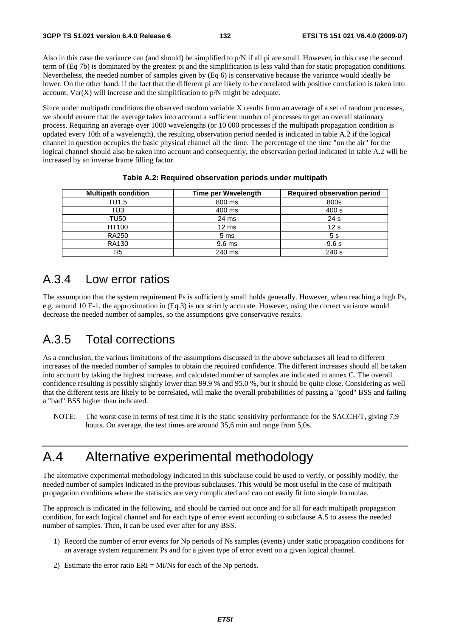Also in this case the variance can (and should) be simplified to p/N if all pi are small. However, in this case the second term of (Eq 7b) is dominated by the greatest pi and the simplification is less valid than for static propagation conditions. Nevertheless, the needed number of samples given by (Eq 6) is conservative because the variance would ideally be lower. On the other hand, if the fact that the different pi are likely to be correlated with positive correlation is taken into account,  $Var(X)$  will increase and the simplification to  $p/N$  might be adequate.

Since under multipath conditions the observed random variable X results from an average of a set of random processes, we should ensure that the average takes into account a sufficient number of processes to get an overall stationary process. Requiring an average over 1000 wavelengths (or 10 000 processes if the multipath propagation condition is updated every 10th of a wavelength), the resulting observation period needed is indicated in table A.2 if the logical channel in question occupies the basic physical channel all the time. The percentage of the time "on the air" for the logical channel should also be taken into account and consequently, the observation period indicated in table A.2 will be increased by an inverse frame filling factor.

| <b>Multipath condition</b> | Time per Wavelength | <b>Required observation period</b> |
|----------------------------|---------------------|------------------------------------|
| TU1.5                      | 800 ms              | 800s                               |
| TU3                        | 400 ms              | 400 s                              |
| TU50                       | 24 ms               | 24 <sub>s</sub>                    |
| HT100                      | $12 \text{ ms}$     | 12 <sub>s</sub>                    |
| <b>RA250</b>               | 5 <sub>ms</sub>     | 5s                                 |
| <b>RA130</b>               | 9.6 ms              | 9.6s                               |
| TI5                        | 240 ms              | 240 s                              |

#### **Table A.2: Required observation periods under multipath**

# A.3.4 Low error ratios

The assumption that the system requirement Ps is sufficiently small holds generally. However, when reaching a high Ps, e.g. around 10 E-1, the approximation in (Eq 3) is not strictly accurate. However, using the correct variance would decrease the needed number of samples, so the assumptions give conservative results.

# A.3.5 Total corrections

As a conclusion, the various limitations of the assumptions discussed in the above subclauses all lead to different increases of the needed number of samples to obtain the required confidence. The different increases should all be taken into account by taking the highest increase, and calculated number of samples are indicated in annex C. The overall confidence resulting is possibly slightly lower than 99.9 % and 95.0 %, but it should be quite close. Considering as well that the different tests are likely to be correlated, will make the overall probabilities of passing a "good" BSS and failing a "bad" BSS higher than indicated.

NOTE: The worst case in terms of test time it is the static sensitivity performance for the SACCH/T, giving 7,9 hours. On average, the test times are around 35,6 min and range from 5,0s.

# A.4 Alternative experimental methodology

The alternative experimental methodology indicated in this subclause could be used to verify, or possibly modify, the needed number of samples indicated in the previous subclauses. This would be most useful in the case of multipath propagation conditions where the statistics are very complicated and can not easily fit into simple formulae.

The approach is indicated in the following, and should be carried out once and for all for each multipath propagation condition, for each logical channel and for each type of error event according to subclause A.5 to assess the needed number of samples. Then, it can be used ever after for any BSS.

- 1) Record the number of error events for Np periods of Ns samples (events) under static propagation conditions for an average system requirement Ps and for a given type of error event on a given logical channel.
- 2) Estimate the error ratio  $ERi = Mi/Ns$  for each of the Np periods.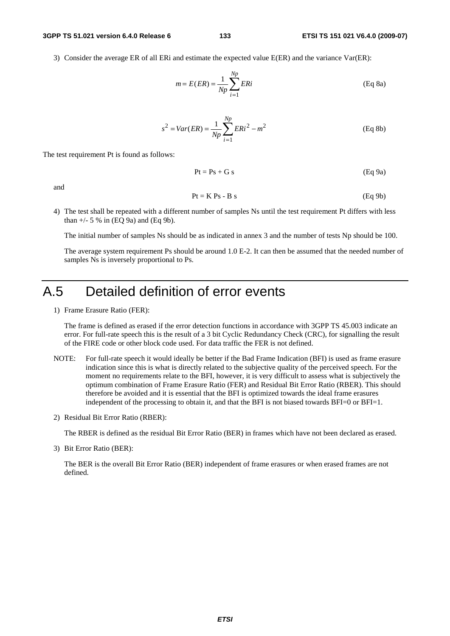#### **3GPP TS 51.021 version 6.4.0 Release 6 133 ETSI TS 151 021 V6.4.0 (2009-07)**

3) Consider the average ER of all ERi and estimate the expected value E(ER) and the variance Var(ER):

$$
m = E(ER) = \frac{1}{Np} \sum_{i=1}^{Np} ERi
$$
 (Eq 8a)

$$
s^{2} = Var(ER) = \frac{1}{Np} \sum_{i=1}^{Np} ERi^{2} - m^{2}
$$
 (Eq 8b)

The test requirement Pt is found as follows:

$$
Pt = Ps + Gs \tag{Eq 9a}
$$

and

$$
Pt = K\ Ps - B\ s \tag{Eq 9b}
$$

4) The test shall be repeated with a different number of samples Ns until the test requirement Pt differs with less than  $+/- 5 \%$  in (EQ 9a) and (Eq 9b).

The initial number of samples Ns should be as indicated in annex 3 and the number of tests Np should be 100.

 The average system requirement Ps should be around 1.0 E-2. It can then be assumed that the needed number of samples Ns is inversely proportional to Ps.

# A.5 Detailed definition of error events

1) Frame Erasure Ratio (FER):

 The frame is defined as erased if the error detection functions in accordance with 3GPP TS 45.003 indicate an error. For full-rate speech this is the result of a 3 bit Cyclic Redundancy Check (CRC), for signalling the result of the FIRE code or other block code used. For data traffic the FER is not defined.

- NOTE: For full-rate speech it would ideally be better if the Bad Frame Indication (BFI) is used as frame erasure indication since this is what is directly related to the subjective quality of the perceived speech. For the moment no requirements relate to the BFI, however, it is very difficult to assess what is subjectively the optimum combination of Frame Erasure Ratio (FER) and Residual Bit Error Ratio (RBER). This should therefore be avoided and it is essential that the BFI is optimized towards the ideal frame erasures independent of the processing to obtain it, and that the BFI is not biased towards BFI=0 or BFI=1.
- 2) Residual Bit Error Ratio (RBER):

The RBER is defined as the residual Bit Error Ratio (BER) in frames which have not been declared as erased.

3) Bit Error Ratio (BER):

 The BER is the overall Bit Error Ratio (BER) independent of frame erasures or when erased frames are not defined.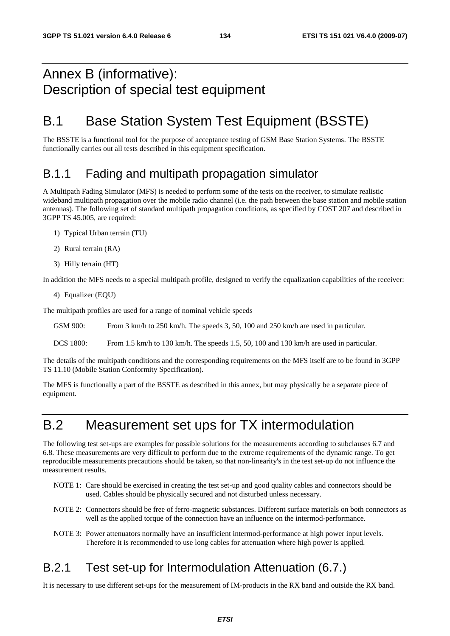# Annex B (informative): Description of special test equipment

# B.1 Base Station System Test Equipment (BSSTE)

The BSSTE is a functional tool for the purpose of acceptance testing of GSM Base Station Systems. The BSSTE functionally carries out all tests described in this equipment specification.

# B.1.1 Fading and multipath propagation simulator

A Multipath Fading Simulator (MFS) is needed to perform some of the tests on the receiver, to simulate realistic wideband multipath propagation over the mobile radio channel (i.e. the path between the base station and mobile station antennas). The following set of standard multipath propagation conditions, as specified by COST 207 and described in 3GPP TS 45.005, are required:

- 1) Typical Urban terrain (TU)
- 2) Rural terrain (RA)
- 3) Hilly terrain (HT)

In addition the MFS needs to a special multipath profile, designed to verify the equalization capabilities of the receiver:

4) Equalizer (EQU)

The multipath profiles are used for a range of nominal vehicle speeds

GSM 900: From 3 km/h to 250 km/h. The speeds 3, 50, 100 and 250 km/h are used in particular.

DCS 1800: From 1.5 km/h to 130 km/h. The speeds 1.5, 50, 100 and 130 km/h are used in particular.

The details of the multipath conditions and the corresponding requirements on the MFS itself are to be found in 3GPP TS 11.10 (Mobile Station Conformity Specification).

The MFS is functionally a part of the BSSTE as described in this annex, but may physically be a separate piece of equipment.

# B.2 Measurement set ups for TX intermodulation

The following test set-ups are examples for possible solutions for the measurements according to subclauses 6.7 and 6.8. These measurements are very difficult to perform due to the extreme requirements of the dynamic range. To get reproducible measurements precautions should be taken, so that non-linearity's in the test set-up do not influence the measurement results.

- NOTE 1: Care should be exercised in creating the test set-up and good quality cables and connectors should be used. Cables should be physically secured and not disturbed unless necessary.
- NOTE 2: Connectors should be free of ferro-magnetic substances. Different surface materials on both connectors as well as the applied torque of the connection have an influence on the intermod-performance.
- NOTE 3: Power attenuators normally have an insufficient intermod-performance at high power input levels. Therefore it is recommended to use long cables for attenuation where high power is applied.

# B.2.1 Test set-up for Intermodulation Attenuation (6.7.)

It is necessary to use different set-ups for the measurement of IM-products in the RX band and outside the RX band.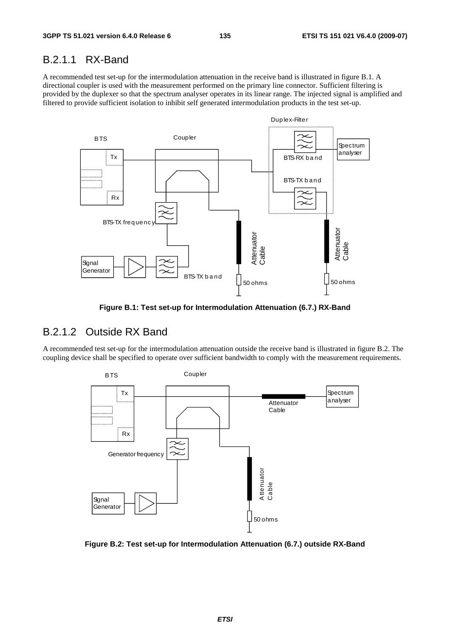## B.2.1.1 RX-Band

A recommended test set-up for the intermodulation attenuation in the receive band is illustrated in figure B.1. A directional coupler is used with the measurement performed on the primary line connector. Sufficient filtering is provided by the duplexer so that the spectrum analyser operates in its linear range. The injected signal is amplified and filtered to provide sufficient isolation to inhibit self generated intermodulation products in the test set-up.



**Figure B.1: Test set-up for Intermodulation Attenuation (6.7.) RX-Band** 

# B.2.1.2 Outside RX Band

A recommended test set-up for the intermodulation attenuation outside the receive band is illustrated in figure B.2. The coupling device shall be specified to operate over sufficient bandwidth to comply with the measurement requirements.



**Figure B.2: Test set-up for Intermodulation Attenuation (6.7.) outside RX-Band**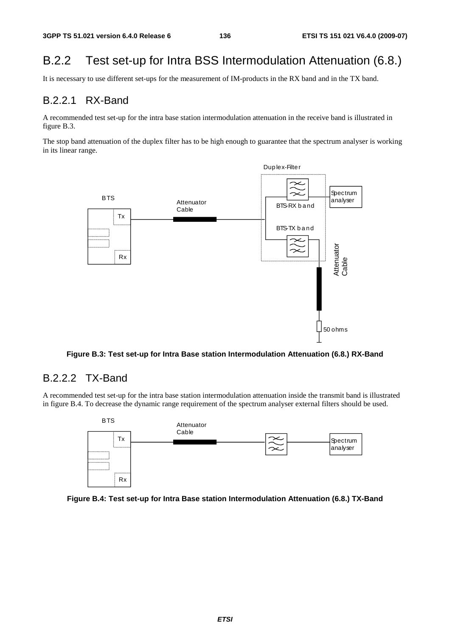# B.2.2 Test set-up for Intra BSS Intermodulation Attenuation (6.8.)

It is necessary to use different set-ups for the measurement of IM-products in the RX band and in the TX band.

# B.2.2.1 RX-Band

A recommended test set-up for the intra base station intermodulation attenuation in the receive band is illustrated in figure B.3.

The stop band attenuation of the duplex filter has to be high enough to guarantee that the spectrum analyser is working in its linear range.



**Figure B.3: Test set-up for Intra Base station Intermodulation Attenuation (6.8.) RX-Band** 

## B.2.2.2 TX-Band

A recommended test set-up for the intra base station intermodulation attenuation inside the transmit band is illustrated in figure B.4. To decrease the dynamic range requirement of the spectrum analyser external filters should be used.



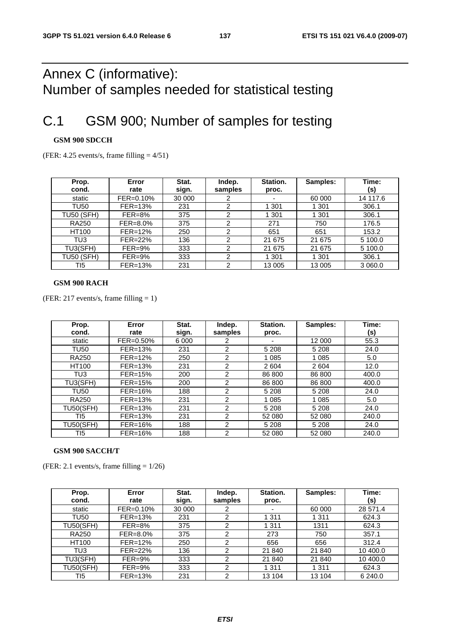# Annex C (informative): Number of samples needed for statistical testing

# C.1 GSM 900; Number of samples for testing

### **GSM 900 SDCCH**

(FER:  $4.25$  events/s, frame filling  $= 4/51$ )

| Prop.             | Error       | Stat.  | Indep.  | Station. | Samples: | Time:    |
|-------------------|-------------|--------|---------|----------|----------|----------|
| cond.             | rate        | sign.  | samples | proc.    |          | (s)      |
| static            | FER=0.10%   | 30 000 |         | ۰        | 60 000   | 14 117.6 |
| <b>TU50</b>       | $FER = 13%$ | 231    | 2       | 1 301    | 1 301    | 306.1    |
| <b>TU50 (SFH)</b> | $FER = 8%$  | 375    | 2       | 1 301    | 301      | 306.1    |
| <b>RA250</b>      | FER=8.0%    | 375    | 2       | 271      | 750      | 176.5    |
| HT100             | $FER=12%$   | 250    | 2       | 651      | 651      | 153.2    |
| TU3               | FER=22%     | 136    | 2       | 21 675   | 21 675   | 5 100.0  |
| TU3(SFH)          | $FER=9\%$   | 333    | າ       | 21 675   | 21 675   | 5 100.0  |
| <b>TU50 (SFH)</b> | $FER = 9%$  | 333    | 2       | 1 301    | 1 301    | 306.1    |
| TI5               | FER=13%     | 231    | 2       | 13 005   | 13 005   | 3 060.0  |

#### **GSM 900 RACH**

(FER: 217 events/s, frame filling = 1)

| Prop.<br>cond.   | Error<br>rate | Stat.<br>sign. | Indep.<br>samples | Station.<br>proc. | Samples: | Time:<br>(s) |
|------------------|---------------|----------------|-------------------|-------------------|----------|--------------|
| static           | FER=0.50%     | 6 0 0 0        | 2                 |                   | 12 000   | 55.3         |
| <b>TU50</b>      | FER=13%       | 231            | 2                 | 5 2 0 8           | 5 2 0 8  | 24.0         |
| <b>RA250</b>     | $FER=12%$     | 250            | 2                 | 1 0 8 5           | 1 0 8 5  | 5.0          |
| HT100            | $FER=13%$     | 231            | 2                 | 2604              | 2604     | 12.0         |
| TU3              | FER=15%       | 200            | 2                 | 86 800            | 86 800   | 400.0        |
| TU3(SFH)         | $FER=15%$     | 200            | 2                 | 86 800            | 86 800   | 400.0        |
| <b>TU50</b>      | FER=16%       | 188            | 2                 | 5 2 0 8           | 5 2 0 8  | 24.0         |
| RA250            | $FER=13%$     | 231            | $\mathfrak{p}$    | 1 0 8 5           | 1 0 8 5  | 5.0          |
| <b>TU50(SFH)</b> | FER=13%       | 231            | 2                 | 5 2 0 8           | 5 2 0 8  | 24.0         |
| TI5              | FER=13%       | 231            | 2                 | 52 080            | 52 080   | 240.0        |
| <b>TU50(SFH)</b> | $FER=16%$     | 188            | $\mathcal{P}$     | 5 2 0 8           | 5 2 0 8  | 24.0         |
| TI5              | FER=16%       | 188            | $\overline{2}$    | 52 080            | 52 080   | 240.0        |

### **GSM 900 SACCH/T**

(FER: 2.1 events/s, frame filling  $= 1/26$ )

| Prop.            | Error       | Stat.  | Indep.  | Station. | Samples: | Time:    |
|------------------|-------------|--------|---------|----------|----------|----------|
| cond.            | rate        | sign.  | samples | proc.    |          | (s)      |
| static           | FER=0.10%   | 30 000 |         |          | 60 000   | 28 571.4 |
| <b>TU50</b>      | $FER=13%$   | 231    | 2       | 1 3 1 1  | 1 3 1 1  | 624.3    |
| <b>TU50(SFH)</b> | FER=8%      | 375    | 2       | 1 3 1 1  | 1311     | 624.3    |
| <b>RA250</b>     | FER=8.0%    | 375    | 2       | 273      | 750      | 357.1    |
| HT100            | $FER=12%$   | 250    | 2       | 656      | 656      | 312.4    |
| TU3              | FER=22%     | 136    | 2       | 21 840   | 21 840   | 10 400.0 |
| TU3(SFH)         | $FER = 9%$  | 333    | 2       | 21 840   | 21 840   | 10 400.0 |
| <b>TU50(SFH)</b> | $FER = 9%$  | 333    | 2       | 1 3 1 1  | 1 3 1 1  | 624.3    |
| TI5              | $FER = 13%$ | 231    | າ       | 13 104   | 13 104   | 6 240.0  |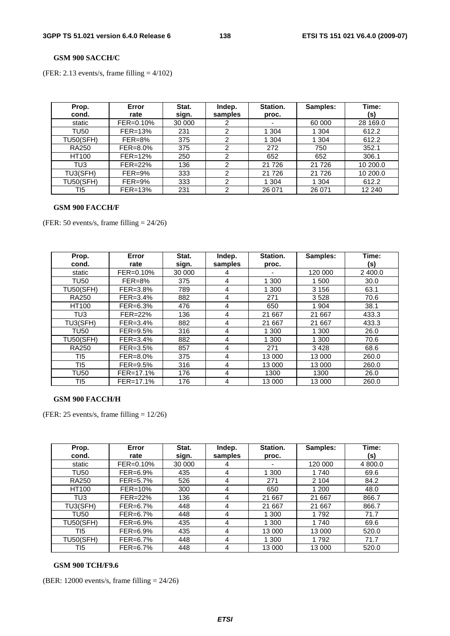#### **GSM 900 SACCH/C**

(FER: 2.13 events/s, frame filling  $= 4/102$ )

| Prop.<br>cond.   | Error<br>rate | Stat.<br>sign. | Indep.<br>samples | Station.<br>proc. | Samples: | Time:<br>(s) |
|------------------|---------------|----------------|-------------------|-------------------|----------|--------------|
| static           | FER=0.10%     | 30 000         |                   | ٠                 | 60 000   | 28 169.0     |
| TU50             | $FER=13%$     | 231            | 2                 | 1 304             | 304      | 612.2        |
| <b>TU50(SFH)</b> | $FER=8%$      | 375            | 2                 | 1 304             | 304      | 612.2        |
| <b>RA250</b>     | FER=8.0%      | 375            | 2                 | 272               | 750      | 352.1        |
| HT100            | $FER=12%$     | 250            | 2                 | 652               | 652      | 306.1        |
| TU3              | FER=22%       | 136            | ◠                 | 21 7 26           | 21 7 26  | 10 200.0     |
| TU3(SFH)         | $FER = 9%$    | 333            | 2                 | 21 7 26           | 21 7 26  | 10 200.0     |
| <b>TU50(SFH)</b> | $FER = 9%$    | 333            | າ                 | 1 304             | 304      | 612.2        |
| TI5              | FER=13%       | 231            | 2                 | 26 071            | 26 071   | 12 240       |

#### **GSM 900 FACCH/F**

(FER: 50 events/s, frame filling  $= 24/26$ )

| Prop.            | Error        | Stat.  | Indep.  | Station. | Samples: | Time:   |
|------------------|--------------|--------|---------|----------|----------|---------|
| cond.            | rate         | sign.  | samples | proc.    |          | (s)     |
| static           | FER=0.10%    | 30 000 | 4       |          | 120 000  | 2 400.0 |
| <b>TU50</b>      | $FER=8%$     | 375    | 4       | 1 300    | 1 500    | 30.0    |
| <b>TU50(SFH)</b> | FER=3.8%     | 789    | 4       | 1 300    | 3 1 5 6  | 63.1    |
| <b>RA250</b>     | $FER = 3.4%$ | 882    | 4       | 271      | 3528     | 70.6    |
| <b>HT100</b>     | FER=6.3%     | 476    | 4       | 650      | 1 904    | 38.1    |
| TU3              | FER=22%      | 136    | 4       | 21 667   | 21 667   | 433.3   |
| TU3(SFH)         | $FER = 3.4%$ | 882    | 4       | 21 667   | 21 667   | 433.3   |
| <b>TU50</b>      | FER=9.5%     | 316    | 4       | 1 300    | 1 300    | 26.0    |
| <b>TU50(SFH)</b> | FER=3.4%     | 882    | 4       | 1 300    | 1 300    | 70.6    |
| <b>RA250</b>     | FER=3.5%     | 857    | 4       | 271      | 3428     | 68.6    |
| TI5              | FER=8.0%     | 375    | 4       | 13 000   | 13 000   | 260.0   |
| TI5              | FER=9.5%     | 316    | 4       | 13 000   | 13 000   | 260.0   |
| <b>TU50</b>      | FER=17.1%    | 176    | 4       | 1300     | 1300     | 26.0    |
| TI5              | FER=17.1%    | 176    | 4       | 13 000   | 13 000   | 260.0   |

### **GSM 900 FACCH/H**

(FER: 25 events/s, frame filling  $= 12/26$ )

| Prop.<br>cond.   | Error<br>rate | Stat.<br>sign. | Indep.<br>samples | Station.<br>proc. | Samples: | Time:<br>(s) |
|------------------|---------------|----------------|-------------------|-------------------|----------|--------------|
| static           | $FER = 0.10%$ | 30 000         | 4                 |                   | 120 000  | 4 800.0      |
| <b>TU50</b>      | $FER=6.9%$    | 435            | 4                 | 1 300             | 1740     | 69.6         |
| <b>RA250</b>     | FER=5.7%      | 526            | 4                 | 271               | 2 1 0 4  | 84.2         |
| HT100            | $FER=10%$     | 300            | 4                 | 650               | 1 200    | 48.0         |
| TU <sub>3</sub>  | FER=22%       | 136            | 4                 | 21 667            | 21 667   | 866.7        |
| TU3(SFH)         | FER=6.7%      | 448            | 4                 | 21 667            | 21 667   | 866.7        |
| <b>TU50</b>      | $FER=6.7\%$   | 448            | 4                 | 1 300             | 1792     | 71.7         |
| <b>TU50(SFH)</b> | $FER=6.9%$    | 435            | 4                 | 1 300             | 1740     | 69.6         |
| TI5              | $FER=6.9\%$   | 435            | 4                 | 13 000            | 13 000   | 520.0        |
| <b>TU50(SFH)</b> | $FER = 6.7%$  | 448            | 4                 | 1 300             | 1792     | 71.7         |
| TI5              | FER=6.7%      | 448            | 4                 | 13 000            | 13 000   | 520.0        |

### **GSM 900 TCH/F9.6**

(BER: 12000 events/s, frame filling = 24/26)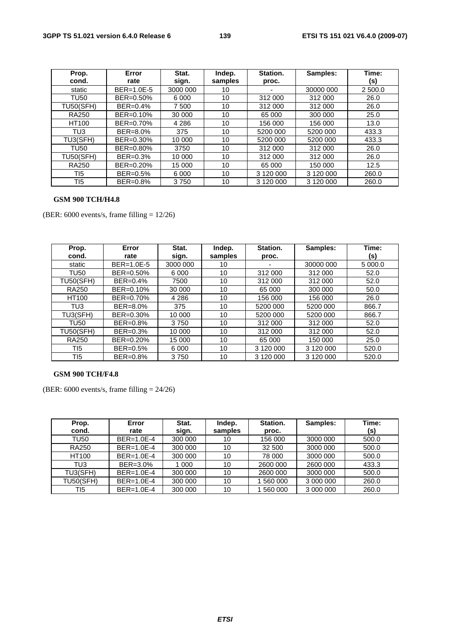| Prop.            | Error        | Stat.    | Indep.  | Station.  | Samples:  | Time:   |
|------------------|--------------|----------|---------|-----------|-----------|---------|
| cond.            | rate         | sign.    | samples | proc.     |           | (s)     |
| static           | $BER=1.0E-5$ | 3000 000 | 10      |           | 30000 000 | 2 500.0 |
| <b>TU50</b>      | BER=0.50%    | 6 0 0 0  | 10      | 312 000   | 312 000   | 26.0    |
| <b>TU50(SFH)</b> | BER=0.4%     | 7 500    | 10      | 312 000   | 312 000   | 26.0    |
| <b>RA250</b>     | BER=0.10%    | 30 000   | 10      | 65 000    | 300 000   | 25.0    |
| HT100            | BER=0.70%    | 4 2 8 6  | 10      | 156 000   | 156 000   | 13.0    |
| TU3              | BER=8.0%     | 375      | 10      | 5200 000  | 5200 000  | 433.3   |
| TU3(SFH)         | BER=0.30%    | 10 000   | 10      | 5200 000  | 5200 000  | 433.3   |
| <b>TU50</b>      | BER=0.80%    | 3750     | 10      | 312 000   | 312 000   | 26.0    |
| <b>TU50(SFH)</b> | BER=0.3%     | 10 000   | 10      | 312 000   | 312 000   | 26.0    |
| <b>RA250</b>     | BER=0.20%    | 15 000   | 10      | 65 000    | 150 000   | 12.5    |
| TI5              | BER=0.5%     | 6 0 0 0  | 10      | 3 120 000 | 3 120 000 | 260.0   |
| TI5              | BER=0.8%     | 3750     | 10      | 3 120 000 | 3 120 000 | 260.0   |

### **GSM 900 TCH/H4.8**

(BER:  $6000$  events/s, frame filling =  $12/26$ )

| Prop.<br>cond.   | Error<br>rate | Stat.<br>sign. | Indep.<br>samples | Station.<br>proc. | Samples:  | Time:<br>(s) |
|------------------|---------------|----------------|-------------------|-------------------|-----------|--------------|
| static           | $BER=1.0E-5$  | 3000 000       | 10                |                   | 30000 000 | 5 000.0      |
| <b>TU50</b>      | BER=0.50%     | 6 0 0 0        | 10                | 312 000           | 312 000   | 52.0         |
| <b>TU50(SFH)</b> | BER=0.4%      | 7500           | 10                | 312 000           | 312 000   | 52.0         |
| <b>RA250</b>     | BER=0.10%     | 30 000         | 10                | 65 000            | 300 000   | 50.0         |
| HT100            | BER=0.70%     | 4 2 8 6        | 10                | 156 000           | 156 000   | 26.0         |
| TU3              | BER=8.0%      | 375            | 10                | 5200 000          | 5200 000  | 866.7        |
| TU3(SFH)         | BER=0.30%     | 10 000         | 10                | 5200 000          | 5200 000  | 866.7        |
| <b>TU50</b>      | BER=0.8%      | 3750           | 10                | 312 000           | 312 000   | 52.0         |
| <b>TU50(SFH)</b> | BER=0.3%      | 10 000         | 10                | 312 000           | 312 000   | 52.0         |
| <b>RA250</b>     | BER=0.20%     | 15 000         | 10                | 65 000            | 150 000   | 25.0         |
| TI5              | BER=0.5%      | 6 0 0 0        | 10                | 3 120 000         | 3 120 000 | 520.0        |
| T <sub>15</sub>  | BER=0.8%      | 3750           | 10                | 3 120 000         | 3 120 000 | 520.0        |

### **GSM 900 TCH/F4.8**

(BER:  $6000$  events/s, frame filling  $= 24/26$ )

| Prop.            | Error        | Stat.   | Indep.  | Station. | Samples:  | Time: |
|------------------|--------------|---------|---------|----------|-----------|-------|
| cond.            | rate         | sign.   | samples | proc.    |           | (s)   |
| TU50             | $BER=1.0E-4$ | 300 000 | 10      | 156 000  | 3000 000  | 500.0 |
| <b>RA250</b>     | $BER=1.0E-4$ | 300 000 | 10      | 32 500   | 3000 000  | 500.0 |
| HT100            | $BER=1.0E-4$ | 300 000 | 10      | 78 000   | 3000 000  | 500.0 |
| TU3              | BER=3.0%     | 1 0 0 0 | 10      | 2600 000 | 2600 000  | 433.3 |
| TU3(SFH)         | $BER=1.0E-4$ | 300 000 | 10      | 2600 000 | 3000 000  | 500.0 |
| <b>TU50(SFH)</b> | $BER=1.0E-4$ | 300 000 | 10      | 560 000  | 3 000 000 | 260.0 |
| TI5              | $BER=1.0E-4$ | 300 000 | 10      | 560 000  | 3 000 000 | 260.0 |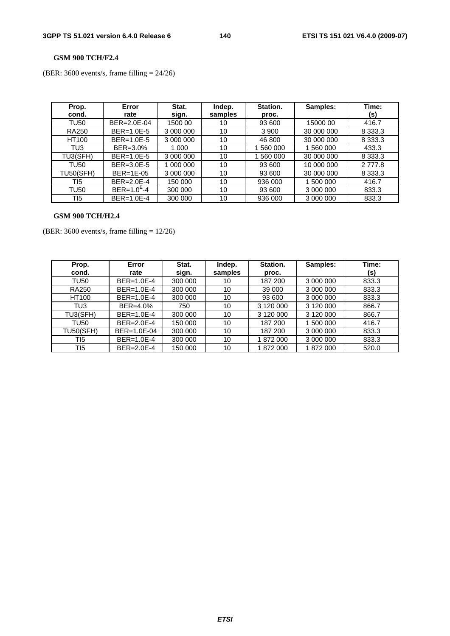### **GSM 900 TCH/F2.4**

(BER: 3600 events/s, frame filling = 24/26)

| Prop.<br>cond.   | Error<br>rate     | Stat.<br>sign. | Indep.  | Station.  | Samples:   | Time:       |
|------------------|-------------------|----------------|---------|-----------|------------|-------------|
|                  |                   |                | samples | proc.     |            | (s)         |
| <b>TU50</b>      | BER=2.0E-04       | 1500 00        | 10      | 93 600    | 15000 00   | 416.7       |
| <b>RA250</b>     | BER=1.0E-5        | 3 000 000      | 10      | 3 9 0 0   | 30 000 000 | 8 3 3 3 . 3 |
| HT100            | BER=1.0E-5        | 3 000 000      | 10      | 46 800    | 30 000 000 | 8 3 3 3 . 3 |
| TU3              | BER=3.0%          | 1 000          | 10      | 560 000   | 1 560 000  | 433.3       |
| TU3(SFH)         | $BER=1.0E-5$      | 3 000 000      | 10      | 1 560 000 | 30 000 000 | 8 3 3 3 . 3 |
| <b>TU50</b>      | BER=3.0E-5        | 1 000 000      | 10      | 93 600    | 10 000 000 | 2 7 7 7 .8  |
| <b>TU50(SFH)</b> | $BER=1E-05$       | 3 000 000      | 10      | 93 600    | 30 000 000 | 8 3 3 3 . 3 |
| TI5              | BER=2.0E-4        | 150 000        | 10      | 936 000   | 1 500 000  | 416.7       |
| <b>TU50</b>      | $BER = 1.0^{E}-4$ | 300 000        | 10      | 93 600    | 3 000 000  | 833.3       |
| TI5              | BER=1.0E-4        | 300 000        | 10      | 936 000   | 3 000 000  | 833.3       |

### **GSM 900 TCH/H2.4**

(BER: 3600 events/s, frame filling = 12/26)

| Prop.            | Error            | Stat.   | Indep.  | Station.  | Samples:  | Time: |
|------------------|------------------|---------|---------|-----------|-----------|-------|
| cond.            | rate             | sign.   | samples | proc.     |           | (s)   |
| TU50             | $BER=1.0E-4$     | 300 000 | 10      | 187 200   | 3 000 000 | 833.3 |
| <b>RA250</b>     | BER=1.0E-4       | 300 000 | 10      | 39 000    | 3 000 000 | 833.3 |
| HT100            | $BER=1.0E-4$     | 300 000 | 10      | 93 600    | 3 000 000 | 833.3 |
| TU3              | BER=4.0%         | 750     | 10      | 3 120 000 | 3 120 000 | 866.7 |
| TU3(SFH)         | BER=1.0E-4       | 300 000 | 10      | 3 120 000 | 3 120 000 | 866.7 |
| <b>TU50</b>      | $BER = 2.0E - 4$ | 150 000 | 10      | 187 200   | 1 500 000 | 416.7 |
| <b>TU50(SFH)</b> | BER=1.0E-04      | 300 000 | 10      | 187 200   | 3 000 000 | 833.3 |
| TI5              | BER=1.0E-4       | 300 000 | 10      | 1872000   | 3 000 000 | 833.3 |
| TI5              | BER=2.0E-4       | 150 000 | 10      | 1872000   | 1872000   | 520.0 |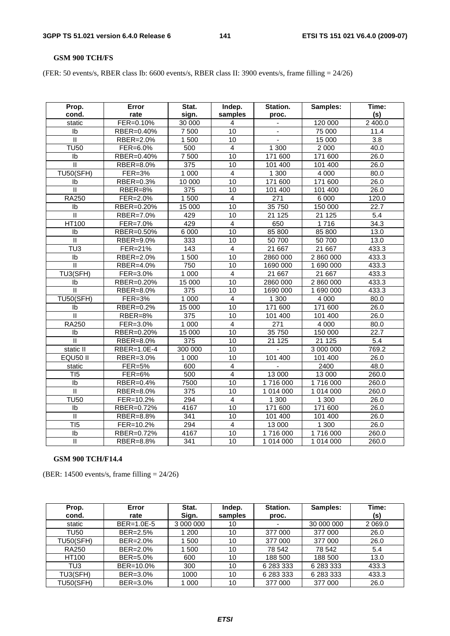#### **GSM 900 TCH/FS**

(FER: 50 events/s, RBER class Ib: 6600 events/s, RBER class II: 3900 events/s, frame filling = 24/26)

| Prop.<br>cond.          | <b>Error</b><br>rate | Stat.<br>sign.   | Indep.<br>samples | Station.<br>proc. | Samples:  | Time:<br>(s)     |
|-------------------------|----------------------|------------------|-------------------|-------------------|-----------|------------------|
| static                  | FER=0.10%            | 30 000           | 4                 |                   | 120 000   | 2 400.0          |
| Ib                      | RBER=0.40%           | 7 500            | $\overline{10}$   |                   | 75 000    | 11.4             |
| $\overline{\mathsf{I}}$ | RBER=2.0%            | 1 500            | 10                | $\blacksquare$    | 15 000    | $\overline{3.8}$ |
| <b>TU50</b>             | FER=6.0%             | 500              | $\overline{4}$    | 1 300             | 2 0 0 0   | 40.0             |
| Ib                      | RBER=0.40%           | 7 500            | 10                | 171 600           | 171 600   | 26.0             |
| $\overline{\mathsf{I}}$ | RBER=8.0%            | 375              | 10                | 101 400           | 101 400   | 26.0             |
| <b>TU50(SFH)</b>        | <b>FER=3%</b>        | 1 0 0 0          | $\overline{4}$    | 1300              | 4 0 0 0   | 80.0             |
| Ib                      | RBER=0.3%            | 10 000           | $\overline{10}$   | 171 600           | 171 600   | 26.0             |
| $\mathbf{II}$           | RBER=8%              | 375              | 10                | 101 400           | 101 400   | 26.0             |
| <b>RA250</b>            | FER=2.0%             | 1 500            | $\overline{4}$    | 271               | 6 0 0 0   | 120.0            |
| Ib                      | RBER=0.20%           | 15 000           | $\overline{10}$   | 35 750            | 150 000   | 22.7             |
| $\mathbf{II}$           | RBER=7.0%            | 429              | 10                | 21 1 25           | 21 1 25   | 5.4              |
| HT100                   | FER=7.0%             | 429              | $\overline{4}$    | 650               | 1716      | 34.3             |
| Ib                      | RBER=0.50%           | 6 0 0 0          | 10                | 85 800            | 85 800    | 13.0             |
| $\mathbf{H}$            | RBER=9.0%            | 333              | 10                | 50 700            | 50 700    | 13.0             |
| $\overline{TU3}$        | FER=21%              | 143              | $\overline{4}$    | 21 667            | 21 667    | 433.3            |
| Ib                      | RBER=2.0%            | 1500             | 10                | 2860 000          | 2 860 000 | 433.3            |
| $\mathbf{I}$            | RBER=4.0%            | 750              | 10                | 1690 000          | 1 690 000 | 433.3            |
| TU3(SFH)                | FER=3.0%             | 1 0 0 0          | $\overline{4}$    | 21 667            | 21 667    | 433.3            |
| lb                      | RBER=0.20%           | 15 000           | 10                | 2860 000          | 2860000   | 433.3            |
| Ш                       | RBER=8.0%            | 375              | 10                | 1690 000          | 1 690 000 | 433.3            |
| <b>TU50(SFH)</b>        | $FER = 3%$           | 1 0 0 0          | $\overline{4}$    | 1 300             | 4 0 0 0   | 80.0             |
| Ib                      | RBER=0.2%            | 15 000           | $\overline{10}$   | 171 600           | 171 600   | 26.0             |
| II                      | RBER=8%              | 375              | 10                | 101 400           | 101 400   | 26.0             |
| <b>RA250</b>            | FER=3.0%             | 1 0 0 0          | $\overline{4}$    | 271               | 4 0 0 0   | 80.0             |
| lb                      | RBER=0.20%           | 15 000           | 10                | 35 750            | 150 000   | 22.7             |
| $\overline{\mathbb{I}}$ | RBER=8.0%            | $\overline{375}$ | $\overline{10}$   | 21 1 25           | 21 1 25   | $\overline{5.4}$ |
| static II               | RBER=1.0E-4          | 300 000          | 10                |                   | 3 000 000 | 769.2            |
| EQU50 II                | RBER=3.0%            | 1 0 0 0          | 10                | 101 400           | 101 400   | 26.0             |
| static                  | <b>FER=5%</b>        | 600              | $\overline{4}$    |                   | 2400      | 48.0             |
| T <sub>15</sub>         | <b>FER=6%</b>        | 500              | $\overline{4}$    | 13 000            | 13 000    | 260.0            |
| Ib                      | RBER=0.4%            | 7500             | 10                | 1716 000          | 1716 000  | 260.0            |
| $\overline{\mathbb{I}}$ | RBER=8.0%            | $\overline{375}$ | $\overline{10}$   | 1 014 000         | 1 014 000 | 260.0            |
| <b>TU50</b>             | FER=10.2%            | 294              | $\overline{4}$    | 1 300             | 1 300     | 26.0             |
| Ib                      | RBER=0.72%           | 4167             | $\overline{10}$   | 171 600           | 171 600   | 26.0             |
| Π                       | RBER=8.8%            | $\overline{341}$ | 10                | 101 400           | 101 400   | 26.0             |
| T <sub>I5</sub>         | FER=10.2%            | 294              | $\overline{4}$    | 13 000            | 1 300     | 26.0             |
| $\overline{1}$          | RBER=0.72%           | 4167             | $\overline{10}$   | 1716000           | 1716 000  | 260.0            |
| $\mathbf{II}$           | RBER=8.8%            | 341              | 10                | 1 014 000         | 1 014 000 | 260.0            |

## **GSM 900 TCH/F14.4**

(BER: 14500 events/s, frame filling = 24/26)

| Prop.<br>cond.   | Error<br>rate | Stat.<br>Sign. | Indep.<br>samples | Station.<br>proc.        | Samples:   | Time:<br>(s) |
|------------------|---------------|----------------|-------------------|--------------------------|------------|--------------|
| static           | BER=1.0E-5    | 3 000 000      | 10                | $\overline{\phantom{a}}$ | 30 000 000 | 2 0 6 9 . 0  |
| TU50             | BER=2.5%      | 200            | 10                | 377 000                  | 377 000    | 26.0         |
| <b>TU50(SFH)</b> | BER=2.0%      | 500            | 10                | 377 000                  | 377 000    | 26.0         |
| <b>RA250</b>     | BER=2.0%      | 500            | 10                | 78 542                   | 78 542     | 5.4          |
| <b>HT100</b>     | BER=5.0%      | 600            | 10                | 188 500                  | 188 500    | 13.0         |
| TU3              | BER=10.0%     | 300            | 10                | 6 283 333                | 6 283 333  | 433.3        |
| TU3(SFH)         | BER=3.0%      | 1000           | 10                | 6 283 333                | 6 283 333  | 433.3        |
| <b>TU50(SFH)</b> | BER=3.0%      | 1 000          | 10                | 377 000                  | 377 000    | 26.0         |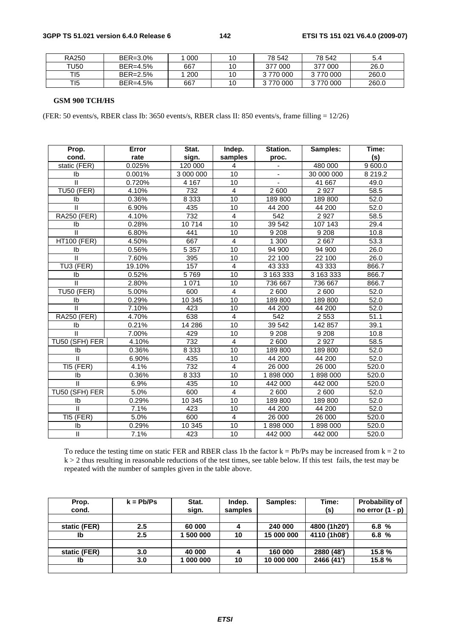| RA250        | BER=3.0% | 000 | 10 | 78 542    | 78 542   | 5.4   |
|--------------|----------|-----|----|-----------|----------|-------|
| <b>TU50</b>  | BER=4.5% | 667 |    | 377 000   | 377 000  | 26.0  |
| TI5          | BER=2.5% | 200 | 10 | 3 770 000 | 3770000  | 260.0 |
| TI5 <b>T</b> | BER=4.5% | 667 | 10 | 3770000   | 3770 000 | 260.0 |

#### **GSM 900 TCH/HS**

(FER: 50 events/s, RBER class Ib: 3650 events/s, RBER class II: 850 events/s, frame filling = 12/26)

| Prop.                      | Error  | Stat.     | Indep.          | Station.       | Samples:   | Time:       |
|----------------------------|--------|-----------|-----------------|----------------|------------|-------------|
| cond.                      | rate   | sign.     | samples         | proc.          |            | (s)         |
| static (FER)               | 0.025% | 120 000   | $\overline{4}$  |                | 480 000    | 9 600.0     |
| Ib                         | 0.001% | 3 000 000 | 10              | $\blacksquare$ | 30 000 000 | 8 2 1 9 . 2 |
| $\mathbf{I}$               | 0.720% | 4 1 6 7   | 10              |                | 41 667     | 49.0        |
| <b>TU50 (FER)</b>          | 4.10%  | 732       | $\overline{4}$  | 2 600          | 2 9 2 7    | 58.5        |
| Ib                         | 0.36%  | 8 3 3 3   | 10              | 189 800        | 189 800    | 52.0        |
| Ш                          | 6.90%  | 435       | 10              | 44 200         | 44 200     | 52.0        |
| <b>RA250 (FER)</b>         | 4.10%  | 732       | 4               | 542            | 2 9 2 7    | 58.5        |
| Ib                         | 0.28%  | 10714     | 10              | 39 542         | 107 143    | 29.4        |
| $\mathbf{I}$               | 6.80%  | 441       | 10              | 9 2 0 8        | 9 2 0 8    | 10.8        |
| <b>HT100 (FER)</b>         | 4.50%  | 667       | $\overline{4}$  | 1 300          | 2 6 6 7    | 53.3        |
| Ib                         | 0.56%  | 5 3 5 7   | $\overline{10}$ | 94 900         | 94 900     | 26.0        |
| $\mathbf{I}$               | 7.60%  | 395       | 10              | 22 100         | 22 100     | 26.0        |
| TU3 (FER)                  | 19.10% | 157       | $\overline{4}$  | 43 333         | 43 333     | 866.7       |
| Ib                         | 0.52%  | 5769      | 10              | 3 163 333      | 3 163 333  | 866.7       |
| $\mathbf{I}$               | 2.80%  | 1 0 7 1   | 10              | 736 667        | 736 667    | 866.7       |
| <b>TU50 (FER)</b>          | 5.00%  | 600       | $\overline{4}$  | 2 600          | 2 600      | 52.0        |
| Ib                         | 0.29%  | 10 345    | 10              | 189 800        | 189 800    | 52.0        |
| $\mathbf{II}$              | 7.10%  | 423       | 10              | 44 200         | 44 200     | 52.0        |
| <b>RA250 (FER)</b>         | 4.70%  | 638       | $\overline{4}$  | 542            | 2 5 5 3    | 51.1        |
| Ib                         | 0.21%  | 14 28 6   | 10              | 39 542         | 142 857    | 39.1        |
| Ш                          | 7.00%  | 429       | 10              | 9 2 0 8        | 9 2 0 8    | 10.8        |
| TU50 (SFH) FER             | 4.10%  | 732       | $\overline{4}$  | 2 600          | 2 9 2 7    | 58.5        |
| Ib                         | 0.36%  | 8 3 3 3   | 10              | 189 800        | 189 800    | 52.0        |
| $\mathbf{II}$              | 6.90%  | 435       | 10              | 44 200         | 44 200     | 52.0        |
| TI5 (FER)                  | 4.1%   | 732       | $\overline{4}$  | 26 000         | 26 000     | 520.0       |
| Ib                         | 0.36%  | 8 3 3 3   | $\overline{10}$ | 1898000        | 1898000    | 520.0       |
| $\mathbf{H}$               | 6.9%   | 435       | 10              | 442 000        | 442 000    | 520.0       |
| TU50 (SFH) FER             | 5.0%   | 600       | $\overline{4}$  | 2 600          | 2 600      | 52.0        |
| Ib                         | 0.29%  | 10 345    | 10              | 189 800        | 189 800    | 52.0        |
| $\mathbf{I}$               | 7.1%   | 423       | 10              | 44 200         | 44 200     | 52.0        |
| TI5 (FER)                  | 5.0%   | 600       | $\overline{4}$  | 26 000         | 26 000     | 520.0       |
| Ib                         | 0.29%  | 10 345    | 10              | 1898000        | 1898000    | 520.0       |
| $\ensuremath{\mathsf{II}}$ | 7.1%   | 423       | 10              | 442 000        | 442 000    | 520.0       |

To reduce the testing time on static FER and RBER class 1b the factor  $k = Pb/Ps$  may be increased from  $k = 2$  to  $k > 2$  thus resulting in reasonable reductions of the test times, see table below. If this test fails, the test may be repeated with the number of samples given in the table above.

| Prop.        | $k = Pb/Ps$ | Stat.     | Indep.  | Samples:   | Time:        | <b>Probability of</b> |
|--------------|-------------|-----------|---------|------------|--------------|-----------------------|
| cond.        |             | sign.     | samples |            | (s)          | no error $(1 - p)$    |
|              |             |           |         |            |              |                       |
| static (FER) | 2.5         | 60 000    | 4       | 240 000    | 4800 (1h20') | 6.8%                  |
| Ib           | 2.5         | 500 000   | 10      | 15 000 000 | 4110 (1h08') | 6.8%                  |
|              |             |           |         |            |              |                       |
| static (FER) | 3.0         | 40 000    | 4       | 160 000    | 2880 (48')   | 15.8 %                |
| Ib           | 3.0         | 1 000 000 | 10      | 10 000 000 | 2466 (41')   | 15.8%                 |
|              |             |           |         |            |              |                       |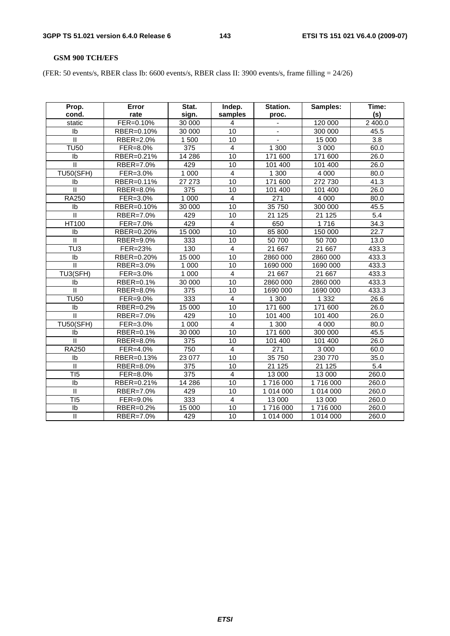## **GSM 900 TCH/EFS**

(FER: 50 events/s, RBER class Ib: 6600 events/s, RBER class II: 3900 events/s, frame filling = 24/26)

| Prop.                   | Error      | Stat.   | Indep.          | Station.       | Samples:  | Time:            |
|-------------------------|------------|---------|-----------------|----------------|-----------|------------------|
| cond.                   | rate       | sign.   | samples         | proc.          |           | (s)              |
| static                  | FER=0.10%  | 30 000  | 4               |                | 120 000   | 2 400.0          |
| Ib                      | RBER=0.10% | 30 000  | $\overline{10}$ |                | 300 000   | 45.5             |
| Ш                       | RBER=2.0%  | 1 500   | 10              | $\blacksquare$ | 15 000    | 3.8              |
| <b>TU50</b>             | FER=8.0%   | 375     | $\overline{4}$  | 1 300          | 3 0 0 0   | 60.0             |
| Ib                      | RBER=0.21% | 14 286  | $\overline{10}$ | 171 600        | 171 600   | 26.0             |
| $\mathbf{I}$            | RBER=7.0%  | 429     | 10              | 101 400        | 101 400   | 26.0             |
| <b>TU50(SFH)</b>        | FER=3.0%   | 1 0 0 0 | $\overline{4}$  | 1 300          | 4 0 0 0   | 80.0             |
| Ib                      | RBER=0.11% | 27 27 3 | 10              | 171 600        | 272 730   | 41.3             |
| $\mathbf{II}$           | RBER=8.0%  | 375     | 10              | 101 400        | 101 400   | 26.0             |
| <b>RA250</b>            | FER=3.0%   | 1 0 0 0 | 4               | 271            | 4 0 0 0   | 80.0             |
| Ib                      | RBER=0.10% | 30 000  | $\overline{10}$ | 35 750         | 300 000   | 45.5             |
| $\mathbf{II}$           | RBER=7.0%  | 429     | $\overline{10}$ | 21 1 25        | 21 1 25   | $\overline{5.4}$ |
| <b>HT100</b>            | FER=7.0%   | 429     | $\overline{4}$  | 650            | 1716      | 34.3             |
| Ib                      | RBER=0.20% | 15 000  | 10              | 85 800         | 150 000   | 22.7             |
| $\mathbf{I}$            | RBER=9.0%  | 333     | 10              | 50 700         | 50 700    | 13.0             |
| TU <sub>3</sub>         | FER=23%    | 130     | $\overline{4}$  | 21 667         | 21 667    | 433.3            |
| Ib                      | RBER=0.20% | 15 000  | 10              | 2860 000       | 2860 000  | 433.3            |
| $\mathbf{I}$            | RBER=3.0%  | 1 0 0 0 | 10              | 1690 000       | 1690 000  | 433.3            |
| TU3(SFH)                | FER=3.0%   | 1 0 0 0 | $\overline{4}$  | 21 667         | 21 667    | 433.3            |
| Ib                      | RBER=0.1%  | 30 000  | $\overline{10}$ | 2860 000       | 2860 000  | 433.3            |
| $\mathbf{II}$           | RBER=8.0%  | 375     | 10              | 1690 000       | 1690 000  | 433.3            |
| <b>TU50</b>             | $FER=9.0%$ | 333     | 4               | 1 300          | 1 3 3 2   | 26.6             |
| Ib                      | RBER=0.2%  | 15 000  | 10              | 171 600        | 171 600   | 26.0             |
| $\mathbf{II}$           | RBER=7.0%  | 429     | 10              | 101 400        | 101 400   | 26.0             |
| <b>TU50(SFH)</b>        | FER=3.0%   | 1 0 0 0 | $\overline{4}$  | 1 300          | 4 0 0 0   | 80.0             |
| Ib                      | RBER=0.1%  | 30 000  | 10              | 171 600        | 300 000   | 45.5             |
| $\mathbf{II}$           | RBER=8.0%  | 375     | 10              | 101 400        | 101 400   | 26.0             |
| <b>RA250</b>            | FER=4.0%   | 750     | 4               | 271            | 3 0 0 0   | 60.0             |
| Ib                      | RBER=0.13% | 23 077  | 10              | 35 750         | 230 770   | 35.0             |
| $\mathbf{I}$            | RBER=8.0%  | 375     | 10              | 21 1 25        | 21 1 25   | $\overline{5.4}$ |
| TI5                     | FER=8.0%   | 375     | 4               | 13 000         | 13 000    | 260.0            |
| Ib                      | RBER=0.21% | 14 28 6 | 10              | 1716000        | 1716000   | 260.0            |
| Π                       | RBER=7.0%  | 429     | 10              | 1 014 000      | 1 014 000 | 260.0            |
| T <sub>I5</sub>         | FER=9.0%   | 333     | $\overline{4}$  | 13 000         | 13 000    | 260.0            |
| Ib                      | RBER=0.2%  | 15 000  | $\overline{10}$ | 1716000        | 1716 000  | 260.0            |
| $\overline{\mathbb{I}}$ | RBER=7.0%  | 429     | $\overline{10}$ | 1 014 000      | 1 014 000 | 260.0            |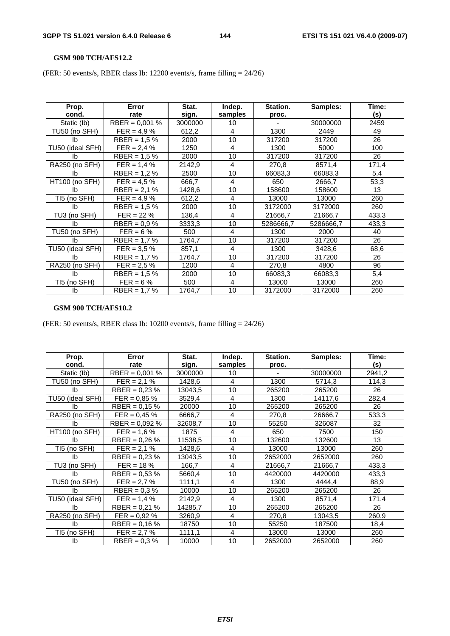#### **GSM 900 TCH/AFS12.2**

(FER: 50 events/s, RBER class Ib: 12200 events/s, frame filling = 24/26)

| Prop.<br>cond.   | Error<br>rate    | Stat.<br>sign. | Indep.<br>samples | Station.<br>proc. | Samples:  | Time:<br>(s) |
|------------------|------------------|----------------|-------------------|-------------------|-----------|--------------|
| Static (lb)      | RBER = $0,001\%$ | 3000000        | 10                |                   | 30000000  | 2459         |
| TU50 (no SFH)    | $FER = 4.9 \%$   | 612,2          | 4                 | 1300              | 2449      | 49           |
| lb.              | $RBER = 1.5 %$   | 2000           | 10                | 317200            | 317200    | 26           |
| TU50 (ideal SFH) | $FER = 2.4 \%$   | 1250           | 4                 | 1300              | 5000      | 100          |
| lb.              | $RBER = 1.5 %$   | 2000           | 10                | 317200            | 317200    | 26           |
| RA250 (no SFH)   | $FER = 1.4 %$    | 2142,9         | 4                 | 270,8             | 8571,4    | 171,4        |
| lb.              | $RBER = 1,2%$    | 2500           | 10                | 66083,3           | 66083,3   | 5,4          |
| HT100 (no SFH)   | $FER = 4.5 \%$   | 666,7          | 4                 | 650               | 2666,7    | 53,3         |
| Ib               | $RBER = 2.1 %$   | 1428,6         | 10                | 158600            | 158600    | 13           |
| TI5 (no SFH)     | $FER = 4.9 \%$   | 612,2          | 4                 | 13000             | 13000     | 260          |
| Ib               | RBER = $1.5\%$   | 2000           | 10                | 3172000           | 3172000   | 260          |
| TU3 (no SFH)     | $FER = 22 \%$    | 136,4          | $\overline{4}$    | 21666,7           | 21666,7   | 433,3        |
| Ib               | $RBER = 0.9 %$   | 3333,3         | 10                | 5286666,7         | 5286666,7 | 433,3        |
| TU50 (no SFH)    | $FER = 6 \%$     | 500            | 4                 | 1300              | 2000      | 40           |
| Ib               | RBER = $1.7%$    | 1764,7         | 10                | 317200            | 317200    | 26           |
| TU50 (ideal SFH) | $FER = 3.5 \%$   | 857,1          | 4                 | 1300              | 3428,6    | 68,6         |
| Ib               | RBER = $1.7%$    | 1764,7         | 10                | 317200            | 317200    | 26           |
| RA250 (no SFH)   | $FER = 2.5 \%$   | 1200           | 4                 | 270,8             | 4800      | 96           |
| Ib               | $RBER = 1.5%$    | 2000           | 10                | 66083,3           | 66083,3   | 5,4          |
| TI5 (no SFH)     | $FER = 6 \%$     | 500            | $\overline{4}$    | 13000             | 13000     | 260          |
| Ib               | $RBER = 1.7 %$   | 1764,7         | 10                | 3172000           | 3172000   | 260          |

### **GSM 900 TCH/AFS10.2**

(FER: 50 events/s, RBER class Ib: 10200 events/s, frame filling = 24/26)

| Prop.<br>cond.   | Error<br>rate    | Stat.<br>sign. | Indep.<br>samples | Station.<br>proc. | Samples: | Time:<br>(s) |
|------------------|------------------|----------------|-------------------|-------------------|----------|--------------|
| Static (lb)      | RBER = $0.001$ % | 3000000        | 10                |                   | 30000000 | 2941,2       |
| TU50 (no SFH)    | $FER = 2.1 %$    | 1428,6         | 4                 | 1300              | 5714,3   | 114,3        |
| Ib               | RBER = $0.23\%$  | 13043,5        | 10                | 265200            | 265200   | 26           |
| TU50 (ideal SFH) | $FER = 0.85 \%$  | 3529,4         | 4                 | 1300              | 14117,6  | 282,4        |
| lb.              | $RBER = 0.15 \%$ | 20000          | 10                | 265200            | 265200   | 26           |
| RA250 (no SFH)   | $FER = 0.45 \%$  | 6666,7         | 4                 | 270,8             | 26666,7  | 533,3        |
| Ib               | $RBER = 0,092 %$ | 32608,7        | 10                | 55250             | 326087   | 32           |
| HT100 (no SFH)   | $FER = 1,6%$     | 1875           | 4                 | 650               | 7500     | 150          |
| Ib               | RBER = $0.26\%$  | 11538,5        | 10                | 132600            | 132600   | 13           |
| TI5 (no SFH)     | $FER = 2.1 %$    | 1428,6         | 4                 | 13000             | 13000    | 260          |
| Ib               | RBER = $0.23\%$  | 13043,5        | 10                | 2652000           | 2652000  | 260          |
| TU3 (no SFH)     | $FER = 18 \%$    | 166,7          | 4                 | 21666,7           | 21666,7  | 433,3        |
| Ib               | RBER = $0,53%$   | 5660,4         | 10                | 4420000           | 4420000  | 433,3        |
| TU50 (no SFH)    | $FER = 2.7 %$    | 1111,1         | 4                 | 1300              | 4444,4   | 88,9         |
| Ib               | $RBER = 0.3 %$   | 10000          | 10                | 265200            | 265200   | 26           |
| TU50 (ideal SFH) | $FER = 1,4%$     | 2142,9         | 4                 | 1300              | 8571,4   | 171,4        |
| lb.              | $RBER = 0.21 %$  | 14285,7        | 10                | 265200            | 265200   | 26           |
| RA250 (no SFH)   | $FER = 0.92 %$   | 3260,9         | 4                 | 270,8             | 13043,5  | 260,9        |
| Ib               | RBER = $0.16\%$  | 18750          | 10                | 55250             | 187500   | 18,4         |
| TI5 (no SFH)     | $FER = 2.7 %$    | 1111,1         | 4                 | 13000             | 13000    | 260          |
| Ib               | $RBER = 0.3 %$   | 10000          | 10                | 2652000           | 2652000  | 260          |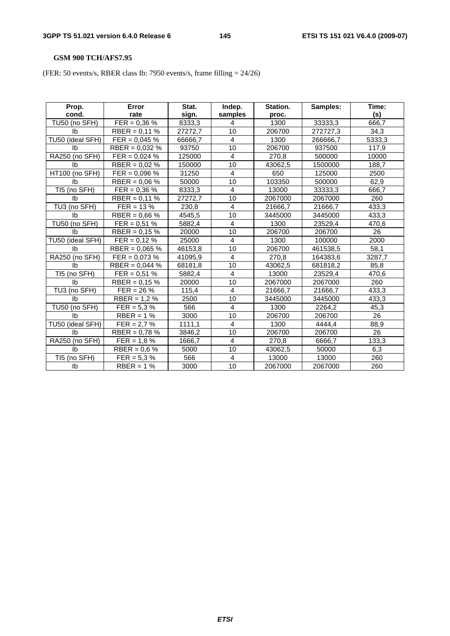# **GSM 900 TCH/AFS7.95**

(FER: 50 events/s, RBER class Ib: 7950 events/s, frame filling = 24/26)

| Prop.            | Error            | Stat.   | Indep.          | Station. | Samples: | Time:  |
|------------------|------------------|---------|-----------------|----------|----------|--------|
| cond.            | rate             | sign.   | samples         | proc.    |          | (s)    |
| TU50 (no SFH)    | $FER = 0.36 \%$  | 8333,3  | 4               | 1300     | 33333,3  | 666.7  |
| Ib               | RBER = $0,11%$   | 27272,7 | 10              | 206700   | 272727,3 | 34,3   |
| TU50 (ideal SFH) | $FER = 0,045 \%$ | 66666,7 | $\overline{4}$  | 1300     | 266666,7 | 5333,3 |
| lb.              | RBER = $0,032%$  | 93750   | $\overline{10}$ | 206700   | 937500   | 117,9  |
| RA250 (no SFH)   | $FER = 0.024 %$  | 125000  | $\overline{4}$  | 270,8    | 500000   | 10000  |
| Ib               | $RBER = 0.02 \%$ | 150000  | 10              | 43062,5  | 1500000  | 188,7  |
| HT100 (no SFH)   | $FER = 0,096 %$  | 31250   | $\overline{4}$  | 650      | 125000   | 2500   |
| Ib               | RBER = $0.06\%$  | 50000   | 10              | 103350   | 500000   | 62,9   |
| TI5 (no SFH)     | $FER = 0.36 \%$  | 8333,3  | $\overline{4}$  | 13000    | 33333,3  | 666,7  |
| Ib               | RBER = $0,11%$   | 27272,7 | 10              | 2067000  | 2067000  | 260    |
| TU3 (no SFH)     | $FER = 13 \%$    | 230,8   | $\overline{4}$  | 21666,7  | 21666,7  | 433,3  |
| Ib               | RBER = $0,66%$   | 4545,5  | 10              | 3445000  | 3445000  | 433,3  |
| TU50 (no SFH)    | $FER = 0.51 %$   | 5882,4  | $\overline{4}$  | 1300     | 23529,4  | 470,6  |
| Ib               | RBER = $0.15\%$  | 20000   | 10              | 206700   | 206700   | 26     |
| TU50 (ideal SFH) | $FER = 0.12 %$   | 25000   | $\overline{4}$  | 1300     | 100000   | 2000   |
| Ib               | RBER = $0,065\%$ | 46153,8 | 10              | 206700   | 461538,5 | 58,1   |
| RA250 (no SFH)   | $FER = 0.073 %$  | 41095,9 | 4               | 270,8    | 164383,6 | 3287,7 |
| Ib               | $RBER = 0,044%$  | 68181,8 | 10              | 43062,5  | 681818,2 | 85,8   |
| TI5 (no SFH)     | $FER = 0.51 %$   | 5882,4  | $\overline{4}$  | 13000    | 23529,4  | 470,6  |
| Ib               | RBER = $0.15\%$  | 20000   | 10              | 2067000  | 2067000  | 260    |
| TU3 (no SFH)     | $FER = 26 \%$    | 115,4   | $\overline{4}$  | 21666,7  | 21666,7  | 433,3  |
| lb.              | $RBER = 1,2%$    | 2500    | 10              | 3445000  | 3445000  | 433,3  |
| TU50 (no SFH)    | $FER = 5.3 \%$   | 566     | $\overline{4}$  | 1300     | 2264,2   | 45,3   |
| Ib               | $RBER = 1%$      | 3000    | 10              | 206700   | 206700   | 26     |
| TU50 (ideal SFH) | $FER = 2.7 %$    | 1111,1  | $\overline{4}$  | 1300     | 4444,4   | 88,9   |
| Ib               | RBER = $0,78%$   | 3846,2  | 10              | 206700   | 206700   | 26     |
| RA250 (no SFH)   | $FER = 1,8%$     | 1666,7  | 4               | 270,8    | 6666,7   | 133,3  |
| lb.              | RBER = $0.6\%$   | 5000    | 10              | 43062,5  | 50000    | 6,3    |
| TI5 (no SFH)     | $FER = 5.3 \%$   | 566     | 4               | 13000    | 13000    | 260    |
| Ib               | $RBER = 1%$      | 3000    | 10              | 2067000  | 2067000  | 260    |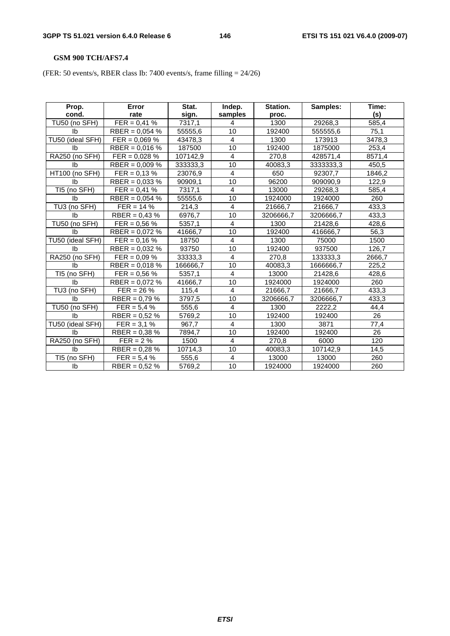# **GSM 900 TCH/AFS7.4**

(FER: 50 events/s, RBER class Ib: 7400 events/s, frame filling = 24/26)

| Prop.            | Error            | Stat.    | Indep.          | Station.  | Samples:  | Time:  |
|------------------|------------------|----------|-----------------|-----------|-----------|--------|
| cond.            | rate             | sign.    | samples         | proc.     |           | (s)    |
| TU50 (no SFH)    | $FER = 0,41%$    | 7317,1   | $\overline{4}$  | 1300      | 29268,3   | 585,4  |
| Ib               | RBER = $0,054$ % | 55555,6  | 10              | 192400    | 555555,6  | 75,1   |
| TU50 (ideal SFH) | $FER = 0.069 \%$ | 43478,3  | $\overline{4}$  | 1300      | 173913    | 3478,3 |
| lb.              | RBER = $0.016\%$ | 187500   | 10              | 192400    | 1875000   | 253,4  |
| RA250 (no SFH)   | $FER = 0.028 %$  | 107142,9 | 4               | 270,8     | 428571,4  | 8571,4 |
| Ib               | RBER = $0,009\%$ | 333333,3 | 10              | 40083.3   | 3333333,3 | 450,5  |
| HT100 (no SFH)   | $FER = 0,13%$    | 23076,9  | $\overline{4}$  | 650       | 92307,7   | 1846,2 |
| Ib               | RBER = $0.033\%$ | 90909,1  | 10              | 96200     | 909090,9  | 122,9  |
| TI5 (no SFH)     | $FER = 0.41 \%$  | 7317.1   | $\overline{4}$  | 13000     | 29268,3   | 585,4  |
| lb.              | RBER = $0,054$ % | 55555,6  | $\overline{10}$ | 1924000   | 1924000   | 260    |
| TU3 (no SFH)     | $FER = 14 \%$    | 214,3    | $\overline{4}$  | 21666,7   | 21666,7   | 433,3  |
| lb.              | RBER = $0,43%$   | 6976,7   | 10              | 3206666,7 | 3206666,7 | 433,3  |
| TU50 (no SFH)    | $FER = 0.56 %$   | 5357,1   | 4               | 1300      | 21428,6   | 428,6  |
| Ib               | RBER = $0.072$ % | 41666,7  | 10              | 192400    | 416666,7  | 56,3   |
| TU50 (ideal SFH) | $FER = 0,16 %$   | 18750    | $\overline{4}$  | 1300      | 75000     | 1500   |
| Ib               | RBER = $0,032\%$ | 93750    | 10              | 192400    | 937500    | 126,7  |
| RA250 (no SFH)   | $FER = 0.09 \%$  | 33333,3  | $\overline{4}$  | 270,8     | 133333,3  | 2666,7 |
| Ib               | RBER = $0,018%$  | 166666,7 | 10              | 40083,3   | 1666666,7 | 225,2  |
| TI5 (no SFH)     | $FER = 0.56 %$   | 5357,1   | 4               | 13000     | 21428,6   | 428,6  |
| <b>lb</b>        | RBER = $0,072%$  | 41666,7  | 10              | 1924000   | 1924000   | 260    |
| TU3 (no SFH)     | $FER = 26 \%$    | 115,4    | $\overline{4}$  | 21666,7   | 21666,7   | 433,3  |
| lb.              | RBER = $0,79\%$  | 3797,5   | 10              | 3206666,7 | 3206666,7 | 433,3  |
| TU50 (no SFH)    | $FER = 5.4 \%$   | 555,6    | 4               | 1300      | 2222,2    | 44,4   |
| Ib               | RBER = $0,52%$   | 5769,2   | 10              | 192400    | 192400    | 26     |
| TU50 (ideal SFH) | $FER = 3.1 \%$   | 967,7    | 4               | 1300      | 3871      | 77,4   |
| Ib               | RBER = $0.38\%$  | 7894,7   | 10              | 192400    | 192400    | 26     |
| RA250 (no SFH)   | $FER = 2 \%$     | 1500     | 4               | 270,8     | 6000      | 120    |
| lb.              | RBER = $0,28%$   | 10714,3  | 10              | 40083,3   | 107142,9  | 14,5   |
| TI5 (no SFH)     | $FER = 5,4%$     | 555,6    | 4               | 13000     | 13000     | 260    |
| Ib               | $RBER = 0.52 %$  | 5769,2   | 10              | 1924000   | 1924000   | 260    |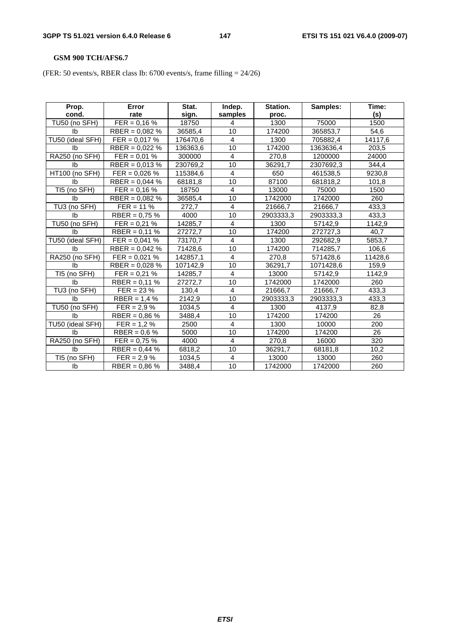# **GSM 900 TCH/AFS6.7**

(FER: 50 events/s, RBER class Ib: 6700 events/s, frame filling = 24/26)

| Prop.            | Error            | Stat.    | Indep.          | Station.  | Samples:  | Time:   |
|------------------|------------------|----------|-----------------|-----------|-----------|---------|
| cond.            | rate             | sign.    | samples         | proc.     |           | (s)     |
| TU50 (no SFH)    | $FER = 0.16 %$   | 18750    | 4               | 1300      | 75000     | 1500    |
| Ib               | RBER = $0,082\%$ | 36585,4  | 10              | 174200    | 365853,7  | 54,6    |
| TU50 (ideal SFH) | $FER = 0.017 %$  | 176470,6 | $\overline{4}$  | 1300      | 705882,4  | 14117,6 |
| <b>Ib</b>        | RBER = $0,022%$  | 136363,6 | $\overline{10}$ | 174200    | 1363636,4 | 203,5   |
| RA250 (no SFH)   | $FER = 0.01 %$   | 300000   | $\overline{4}$  | 270,8     | 1200000   | 24000   |
| Ib               | RBER = $0,013%$  | 230769,2 | 10              | 36291.7   | 2307692,3 | 344,4   |
| HT100 (no SFH)   | $FER = 0.026 %$  | 115384,6 | $\overline{4}$  | 650       | 461538,5  | 9230,8  |
| Ib               | RBER = $0,044$ % | 68181,8  | 10              | 87100     | 681818,2  | 101,8   |
| TI5 (no SFH)     | $FER = 0.16 %$   | 18750    | $\overline{4}$  | 13000     | 75000     | 1500    |
| <b>lb</b>        | RBER = $0,082\%$ | 36585,4  | $\overline{10}$ | 1742000   | 1742000   | 260     |
| TU3 (no SFH)     | $FER = 11 \%$    | 272,7    | $\overline{4}$  | 21666,7   | 21666,7   | 433,3   |
| Ib               | RBER = $0,75%$   | 4000     | 10              | 2903333,3 | 2903333,3 | 433,3   |
| TU50 (no SFH)    | $FER = 0.21 %$   | 14285,7  | $\overline{4}$  | 1300      | 57142,9   | 1142,9  |
| Ib               | $RBER = 0,11%$   | 27272,7  | 10              | 174200    | 272727,3  | 40,7    |
| TU50 (ideal SFH) | $FER = 0,041%$   | 73170,7  | $\overline{4}$  | 1300      | 292682,9  | 5853,7  |
| Ib               | $RBER = 0,042%$  | 71428,6  | 10              | 174200    | 714285,7  | 106,6   |
| RA250 (no SFH)   | $FER = 0.021 %$  | 142857,1 | $\overline{4}$  | 270,8     | 571428,6  | 11428,6 |
| Ib               | RBER = $0,028%$  | 107142,9 | 10              | 36291,7   | 1071428,6 | 159,9   |
| TI5 (no SFH)     | $FER = 0.21 %$   | 14285,7  | $\overline{4}$  | 13000     | 57142,9   | 1142,9  |
| Ib               | $RBER = 0,11%$   | 27272,7  | 10              | 1742000   | 1742000   | 260     |
| TU3 (no SFH)     | $FER = 23 \%$    | 130,4    | $\overline{4}$  | 21666,7   | 21666,7   | 433,3   |
| lb.              | $RBER = 1,4%$    | 2142,9   | 10              | 2903333,3 | 2903333,3 | 433,3   |
| TU50 (no SFH)    | $FER = 2.9 \%$   | 1034,5   | $\overline{4}$  | 1300      | 4137,9    | 82,8    |
| <b>lb</b>        | RBER = $0,86%$   | 3488,4   | 10              | 174200    | 174200    | 26      |
| TU50 (ideal SFH) | $FER = 1.2 \%$   | 2500     | $\overline{4}$  | 1300      | 10000     | 200     |
| Ib               | $RBER = 0.6 %$   | 5000     | 10              | 174200    | 174200    | 26      |
| RA250 (no SFH)   | $FER = 0.75 %$   | 4000     | $\overline{4}$  | 270,8     | 16000     | 320     |
| <b>lb</b>        | $RBER = 0,44%$   | 6818,2   | 10              | 36291,7   | 68181,8   | 10,2    |
| TI5 (no SFH)     | $FER = 2.9 \%$   | 1034,5   | 4               | 13000     | 13000     | 260     |
| Ib               | RBER = $0,86%$   | 3488,4   | 10              | 1742000   | 1742000   | 260     |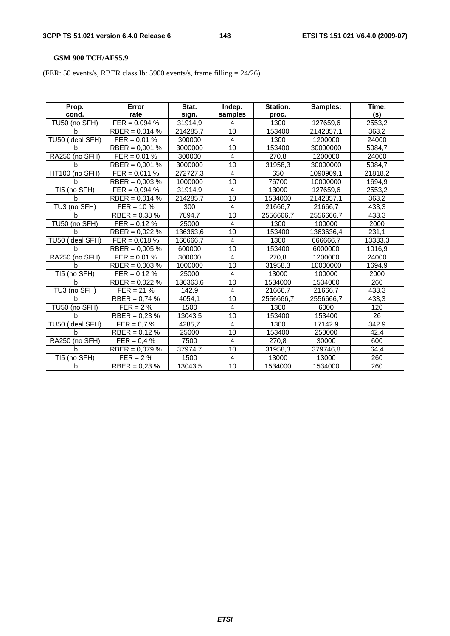# **GSM 900 TCH/AFS5.9**

(FER: 50 events/s, RBER class Ib: 5900 events/s, frame filling = 24/26)

| Prop.            | Error            | Stat.    | Indep.          | Station.  | Samples:  | Time:   |
|------------------|------------------|----------|-----------------|-----------|-----------|---------|
| cond.            | rate             | sign.    | samples         | proc.     |           | (s)     |
| TU50 (no SFH)    | $FER = 0,094 %$  | 31914,9  | 4               | 1300      | 127659,6  | 2553,2  |
| Ib               | RBER = $0.014$ % | 214285,7 | 10              | 153400    | 2142857,1 | 363,2   |
| TU50 (ideal SFH) | $FER = 0.01 %$   | 300000   | 4               | 1300      | 1200000   | 24000   |
| lb.              | RBER = $0,001\%$ | 3000000  | 10              | 153400    | 30000000  | 5084,7  |
| RA250 (no SFH)   | $FER = 0.01 %$   | 300000   | 4               | 270,8     | 1200000   | 24000   |
| Ib               | RBER = $0.001$ % | 3000000  | 10              | 31958,3   | 30000000  | 5084,7  |
| HT100 (no SFH)   | $FER = 0.011 %$  | 272727,3 | 4               | 650       | 1090909,1 | 21818,2 |
| Ib               | RBER = $0.003$ % | 1000000  | 10              | 76700     | 10000000  | 1694,9  |
| TI5 (no SFH)     | $FER = 0.094 %$  | 31914.9  | $\overline{4}$  | 13000     | 127659,6  | 2553,2  |
| lb.              | RBER = $0.014$ % | 214285,7 | $\overline{10}$ | 1534000   | 2142857,1 | 363,2   |
| TU3 (no SFH)     | $FER = 10 \%$    | 300      | $\overline{4}$  | 21666,7   | 21666,7   | 433,3   |
| lb.              | RBER = $0,38\%$  | 7894,7   | 10              | 2556666,7 | 2556666,7 | 433,3   |
| TU50 (no SFH)    | $FER = 0.12 \%$  | 25000    | 4               | 1300      | 100000    | 2000    |
| Ib               | RBER = $0,022%$  | 136363,6 | 10              | 153400    | 1363636,4 | 231,1   |
| TU50 (ideal SFH) | $FER = 0,018 \%$ | 166666,7 | $\overline{4}$  | 1300      | 666666,7  | 13333,3 |
| Ib               | RBER = $0.005\%$ | 600000   | 10              | 153400    | 6000000   | 1016,9  |
| RA250 (no SFH)   | $FER = 0.01 %$   | 300000   | $\overline{4}$  | 270,8     | 1200000   | 24000   |
| Ib               | RBER = $0,003\%$ | 1000000  | 10              | 31958,3   | 10000000  | 1694,9  |
| TI5 (no SFH)     | $FER = 0.12 %$   | 25000    | 4               | 13000     | 100000    | 2000    |
| <b>lb</b>        | RBER = $0,022%$  | 136363,6 | 10              | 1534000   | 1534000   | 260     |
| TU3 (no SFH)     | $FER = 21 \%$    | 142,9    | $\overline{4}$  | 21666,7   | 21666,7   | 433,3   |
| lb.              | RBER = $0,74%$   | 4054,1   | 10              | 2556666,7 | 2556666,7 | 433,3   |
| TU50 (no SFH)    | $FER = 2%$       | 1500     | 4               | 1300      | 6000      | 120     |
| Ib               | RBER = $0,23%$   | 13043,5  | 10              | 153400    | 153400    | 26      |
| TU50 (ideal SFH) | $FER = 0.7 %$    | 4285,7   | $\overline{4}$  | 1300      | 17142,9   | 342,9   |
| <b>lb</b>        | $RBER = 0,12%$   | 25000    | 10              | 153400    | 250000    | 42,4    |
| RA250 (no SFH)   | $FER = 0.4 \%$   | 7500     | 4               | 270,8     | 30000     | 600     |
| lb.              | RBER = $0,079%$  | 37974,7  | 10              | 31958,3   | 379746,8  | 64,4    |
| TI5 (no SFH)     | $FER = 2 \%$     | 1500     | 4               | 13000     | 13000     | 260     |
| Ib               | $RBER = 0.23 %$  | 13043,5  | 10              | 1534000   | 1534000   | 260     |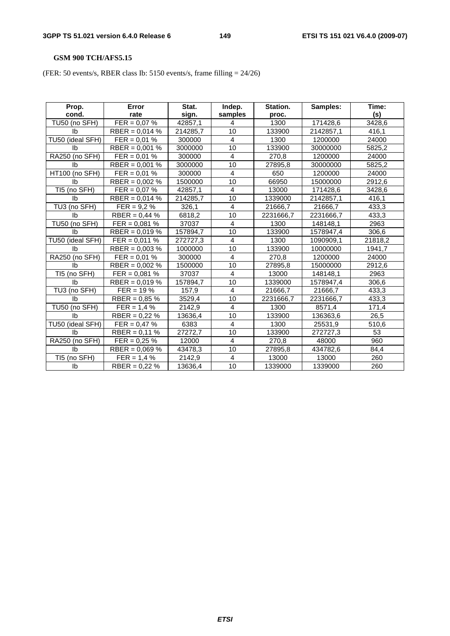# **GSM 900 TCH/AFS5.15**

(FER: 50 events/s, RBER class Ib: 5150 events/s, frame filling = 24/26)

| Prop.            | Error            | Stat.               | Indep.          | Station.  | Samples:  | Time:   |
|------------------|------------------|---------------------|-----------------|-----------|-----------|---------|
| cond.            | rate             | sign.               | samples         | proc.     |           | (s)     |
| TU50 (no SFH)    | $FER = 0.07 %$   | 42857,1             | 4               | 1300      | 171428,6  | 3428,6  |
| Ib               | RBER = $0,014%$  | 214285,7            | 10              | 133900    | 2142857,1 | 416,1   |
| TU50 (ideal SFH) | $FER = 0.01 %$   | 300000              | $\overline{4}$  | 1300      | 1200000   | 24000   |
| Ib               | RBER = $0,001\%$ | 3000000             | $\overline{10}$ | 133900    | 30000000  | 5825,2  |
| RA250 (no SFH)   | $FER = 0.01 %$   | 300000              | $\overline{4}$  | 270,8     | 1200000   | 24000   |
| Ib               | RBER = $0,001$ % | 3000000             | 10              | 27895,8   | 30000000  | 5825,2  |
| HT100 (no SFH)   | $FER = 0.01 %$   | 300000              | $\overline{4}$  | 650       | 1200000   | 24000   |
| Ib               | RBER = $0,002\%$ | 1500000             | 10              | 66950     | 15000000  | 2912,6  |
| TI5 (no SFH)     | $FER = 0.07 %$   | 42857,1             | $\overline{4}$  | 13000     | 171428,6  | 3428,6  |
| Ib               | RBER = $0,014%$  | 214285,7            | 10              | 1339000   | 2142857,1 | 416,1   |
| TU3 (no SFH)     | $FER = 9.2 \%$   | 326,1               | $\overline{4}$  | 21666,7   | 21666,7   | 433,3   |
| Ib               | RBER = $0,44%$   | $\overline{6818,2}$ | 10              | 2231666,7 | 2231666,7 | 433,3   |
| TU50 (no SFH)    | $FER = 0,081 %$  | 37037               | $\overline{4}$  | 1300      | 148148,1  | 2963    |
| Ib               | RBER = $0,019%$  | 157894,7            | 10              | 133900    | 1578947,4 | 306,6   |
| TU50 (ideal SFH) | $FER = 0.011 %$  | 272727,3            | $\overline{4}$  | 1300      | 1090909,1 | 21818,2 |
| Ib               | RBER = $0,003\%$ | 1000000             | 10              | 133900    | 10000000  | 1941,7  |
| RA250 (no SFH)   | $FER = 0.01 %$   | 300000              | 4               | 270,8     | 1200000   | 24000   |
| Ib               | RBER = $0,002\%$ | 1500000             | 10              | 27895,8   | 15000000  | 2912,6  |
| TI5 (no SFH)     | $FER = 0.081 %$  | 37037               | $\overline{4}$  | 13000     | 148148,1  | 2963    |
| Ib               | RBER = $0,019%$  | 157894,7            | 10              | 1339000   | 1578947,4 | 306,6   |
| TU3 (no SFH)     | $FER = 19 \%$    | 157,9               | $\overline{4}$  | 21666,7   | 21666,7   | 433,3   |
| lb.              | RBER = $0,85%$   | 3529,4              | 10              | 2231666,7 | 2231666,7 | 433,3   |
| TU50 (no SFH)    | $FER = 1.4 %$    | 2142,9              | $\overline{4}$  | 1300      | 8571,4    | 171,4   |
| Ib               | RBER = $0,22%$   | 13636,4             | 10              | 133900    | 136363,6  | 26,5    |
| TU50 (ideal SFH) | $FER = 0.47 \%$  | 6383                | $\overline{4}$  | 1300      | 25531,9   | 510,6   |
| Ib               | $RBER = 0,11%$   | 27272,7             | 10              | 133900    | 272727,3  | 53      |
| RA250 (no SFH)   | $FER = 0,25%$    | 12000               | 4               | 270,8     | 48000     | 960     |
| lb.              | RBER = $0,069\%$ | 43478,3             | 10              | 27895,8   | 434782,6  | 84,4    |
| TI5 (no SFH)     | $FER = 1.4 %$    | 2142,9              | 4               | 13000     | 13000     | 260     |
| Ib               | RBER = $0,22%$   | 13636,4             | 10              | 1339000   | 1339000   | 260     |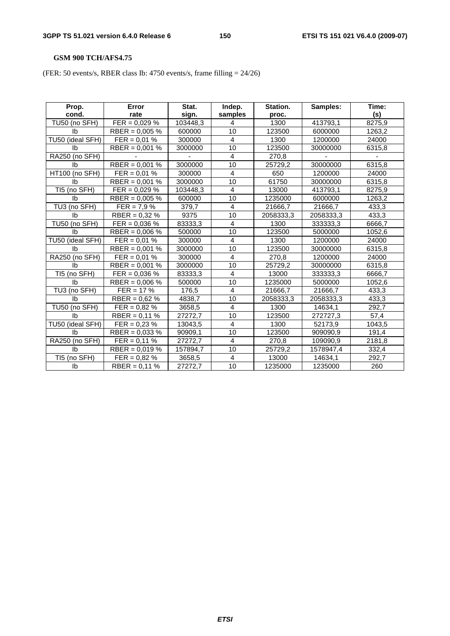# **GSM 900 TCH/AFS4.75**

(FER: 50 events/s, RBER class Ib: 4750 events/s, frame filling = 24/26)

| Prop.            | Error                      | Stat.    | Indep.          | Station.  | Samples:  | Time:  |
|------------------|----------------------------|----------|-----------------|-----------|-----------|--------|
| cond.            | rate                       | sign.    | samples         | proc.     |           | (s)    |
| TU50 (no SFH)    | $FER = 0,029 %$            | 103448,3 | 4               | 1300      | 413793,1  | 8275,9 |
| Ib               | RBER = $0,005\%$           | 600000   | 10              | 123500    | 6000000   | 1263,2 |
| TU50 (ideal SFH) | $\overline{FER} = 0.01 \%$ | 300000   | $\overline{4}$  | 1300      | 1200000   | 24000  |
| Ib               | RBER = $0,001$ %           | 3000000  | 10              | 123500    | 30000000  | 6315,8 |
| RA250 (no SFH)   |                            |          | 4               | 270,8     |           |        |
| Ib               | $RBER = 0,001 %$           | 3000000  | 10              | 25729,2   | 30000000  | 6315,8 |
| HT100 (no SFH)   | $FER = 0.01 %$             | 300000   | $\overline{4}$  | 650       | 1200000   | 24000  |
| Ib               | RBER = $0,001\%$           | 3000000  | 10              | 61750     | 30000000  | 6315,8 |
| TI5 (no SFH)     | $FER = 0,029 \%$           | 103448,3 | $\overline{4}$  | 13000     | 413793,1  | 8275,9 |
| Ib               | RBER = $0,005\%$           | 600000   | $\overline{10}$ | 1235000   | 6000000   | 1263,2 |
| TU3 (no SFH)     | $FER = 7.9 \%$             | 379,7    | $\overline{4}$  | 21666,7   | 21666,7   | 433,3  |
| Ib               | RBER = $0,32%$             | 9375     | 10              | 2058333,3 | 2058333,3 | 433,3  |
| TU50 (no SFH)    | $FER = 0.036 %$            | 83333,3  | 4               | 1300      | 333333,3  | 6666,7 |
| Ib               | RBER = $0.006\%$           | 500000   | 10              | 123500    | 5000000   | 1052,6 |
| TU50 (ideal SFH) | $FER = 0.01 %$             | 300000   | $\overline{4}$  | 1300      | 1200000   | 24000  |
| lb.              | RBER = $0.001$ %           | 3000000  | 10              | 123500    | 30000000  | 6315,8 |
| RA250 (no SFH)   | $FER = 0.01 %$             | 300000   | $\overline{4}$  | 270,8     | 1200000   | 24000  |
| Ib               | RBER = $0.001$ %           | 3000000  | 10              | 25729,2   | 30000000  | 6315,8 |
| TI5 (no SFH)     | $FER = 0.036 %$            | 83333,3  | 4               | 13000     | 333333,3  | 6666,7 |
| Ib               | $RBER = 0,006 %$           | 500000   | 10              | 1235000   | 5000000   | 1052,6 |
| TU3 (no SFH)     | $FER = 17 %$               | 176,5    | 4               | 21666,7   | 21666,7   | 433,3  |
| lb.              | $RBER = 0.62 %$            | 4838,7   | 10              | 2058333,3 | 2058333,3 | 433,3  |
| TU50 (no SFH)    | $FER = 0.82 \%$            | 3658,5   | 4               | 1300      | 14634,1   | 292,7  |
| Ib               | RBER = $0,11%$             | 27272,7  | 10              | 123500    | 272727,3  | 57,4   |
| TU50 (ideal SFH) | $FER = 0.23 %$             | 13043,5  | 4               | 1300      | 52173,9   | 1043,5 |
| Ib               | RBER = $0,033%$            | 90909,1  | 10              | 123500    | 909090,9  | 191,4  |
| RA250 (no SFH)   | $FER = 0,11 %$             | 27272,7  | 4               | 270,8     | 109090,9  | 2181,8 |
| Ib               | RBER = $0,019%$            | 157894,7 | 10              | 25729,2   | 1578947,4 | 332,4  |
| TI5 (no SFH)     | $FER = 0.82 \%$            | 3658,5   | $\overline{4}$  | 13000     | 14634,1   | 292,7  |
| Ib               | RBER = $0.11\%$            | 27272,7  | $\overline{10}$ | 1235000   | 1235000   | 260    |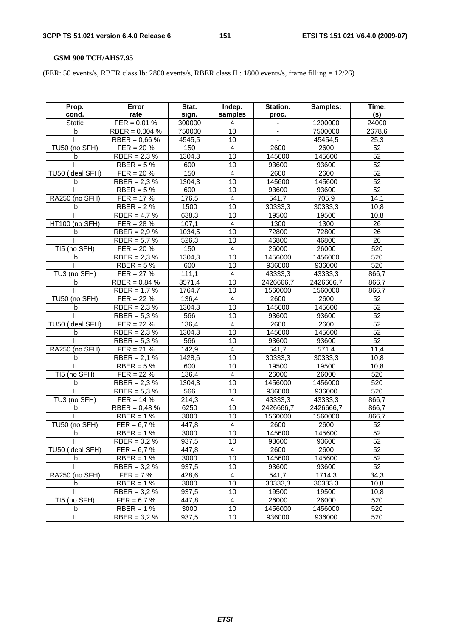# **GSM 900 TCH/AHS7.95**

(FER: 50 events/s, RBER class Ib: 2800 events/s, RBER class II : 1800 events/s, frame filling = 12/26)

| Prop.                 | Error            | Stat.              | Indep.                  | Station.  | Samples:  | Time:           |
|-----------------------|------------------|--------------------|-------------------------|-----------|-----------|-----------------|
| cond.                 | rate             | sign.              | samples                 | proc.     |           | (s)             |
| Static                | $FER = 0.01 %$   | 300000             | 4                       |           | 1200000   | 24000           |
| Ib                    | $RBER = 0,004 %$ | 750000             | 10                      |           | 7500000   | 2678,6          |
| Ш                     | RBER = $0,66%$   | 4545,5             | 10                      |           | 45454,5   | 25,3            |
| TU50 (no SFH)         | $FER = 20 \%$    | 150                | $\overline{\mathbf{4}}$ | 2600      | 2600      | 52              |
| Ib                    | $RBER = 2.3 %$   | 1304,3             | 10                      | 145600    | 145600    | 52              |
| Ш                     | RBER = $5%$      | 600                | 10                      | 93600     | 93600     | 52              |
| TU50 (ideal SFH)      | $FER = 20 \%$    | 150                | 4                       | 2600      | 2600      | $\overline{52}$ |
| Ib                    | $RBER = 2,3%$    | 1304,3             | 10                      | 145600    | 145600    | 52              |
| $\mathbf{H}$          | RBER = $5%$      | 600                | 10                      | 93600     | 93600     | $\overline{52}$ |
| <b>RA250 (no SFH)</b> | $FER = 17 \%$    | 176,5              | $\overline{4}$          | 541,7     | 705,9     | 14,1            |
| Ib                    | $RBER = 2%$      | 1500               | 10                      | 30333,3   | 30333,3   | 10,8            |
| Ш                     | RBER = $4,7%$    | 638,3              | 10                      | 19500     | 19500     | 10,8            |
| HT100 (no SFH)        | $FER = 28 \%$    | $\overline{1}07,1$ | 4                       | 1300      | 1300      | 26              |
| Ib                    | $RBER = 2.9 %$   | 1034,5             | 10                      | 72800     | 72800     | 26              |
| $\mathbf{H}$          | RBER = $5,7%$    | 526,3              | 10                      | 46800     | 46800     | $\overline{26}$ |
| TI5 (no SFH)          | $FER = 20 \%$    | 150                | 4                       | 26000     | 26000     | 520             |
| Ib                    | $RBER = 2.3 %$   | 1304,3             | 10                      | 1456000   | 1456000   | 520             |
| $\mathbf{I}$          | RBER = $5%$      | 600                | 10                      | 936000    | 936000    | 520             |
| TU3 (no SFH)          | $FER = 27 \%$    | 111,1              | 4                       | 43333,3   | 43333,3   | 866,7           |
| Ib                    | RBER = $0,84%$   | 3571,4             | 10                      | 2426666,7 | 2426666,7 | 866,7           |
| $\mathbf{H}$          | RBER = $1,7%$    | 1764,7             | 10                      | 1560000   | 1560000   | 866,7           |
| TU50 (no SFH)         | $FER = 22\%$     | 136,4              | 4                       | 2600      | 2600      | 52              |
| Ib                    | RBER = $2,3%$    | 1304,3             | 10                      | 145600    | 145600    | 52              |
| $\mathbf{I}$          | RBER = $5,3%$    | 566                | 10                      | 93600     | 93600     | 52              |
| TU50 (ideal SFH)      | $FER = 22 \%$    | 136,4              | $\overline{4}$          | 2600      | 2600      | 52              |
| Ib                    | RBER = $2,3%$    | 1304,3             | 10                      | 145600    | 145600    | 52              |
| Ш                     | $RBER = 5,3%$    | 566                | 10                      | 93600     | 93600     | 52              |
| RA250 (no SFH)        | $FER = 21%$      | 142,9              | 4                       | 541,7     | 571,4     | 11,4            |
| Ib                    | $RBER = 2,1%$    | 1428,6             | 10                      | 30333,3   | 30333,3   | 10,8            |
| $\mathbf{I}$          | RBER = $5%$      | 600                | 10                      | 19500     | 19500     | 10,8            |
| TI5 (no SFH)          | $FER = 22 \%$    | 136,4              | 4                       | 26000     | 26000     | 520             |
| Ib                    | RBER = $2,3%$    | 1304,3             | 10                      | 1456000   | 1456000   | 520             |
| Ш                     | RBER = $5,3%$    | 566                | 10                      | 936000    | 936000    | 520             |
| TU3 (no SFH)          | $FER = 14 \%$    | 214,3              | 4                       | 43333,3   | 43333,3   | 866,7           |
| Ib                    | RBER = $0,48%$   | 6250               | 10                      | 2426666,7 | 2426666,7 | 866,7           |
| $\mathbf{H}$          | $RBER = 1%$      | 3000               | 10                      | 1560000   | 1560000   | 866,7           |
| TU50 (no SFH)         | $FER = 6.7 \%$   | 447,8              | 4                       | 2600      | 2600      | 52              |
| Ib                    | $RBER = 1%$      | 3000               | 10                      | 145600    | 145600    | 52              |
| H.                    | RBER = $3,2%$    | 937,5              | 10                      | 93600     | 93600     | 52              |
| TU50 (ideal SFH)      | $FER = 6.7 %$    | 447,8              | 4                       | 2600      | 2600      | 52              |
| Ib                    | $RBER = 1%$      | 3000               | 10                      | 145600    | 145600    | 52              |
| $\mathbf{H}$          | RBER = $3,2%$    | 937,5              | 10                      | 93600     | 93600     | 52              |
| RA250 (no SFH)        | $FER = 7%$       | 428,6              | $\overline{4}$          | 541,7     | 1714,3    | 34,3            |
| Ib                    | $RBER = 1%$      | 3000               | 10                      | 30333,3   | 30333,3   | 10,8            |
| $\mathbf{H}$          | $RBER = 3.2 %$   | 937,5              | 10                      | 19500     | 19500     | 10,8            |
| TI5 (no SFH)          | $FER = 6.7 %$    | 447,8              | 4                       | 26000     | 26000     | 520             |
| Ib                    | $RBER = 1%$      | 3000               | 10                      | 1456000   | 1456000   | 520             |
| Ш                     | RBER = $3,2%$    | 937,5              | 10                      | 936000    | 936000    | 520             |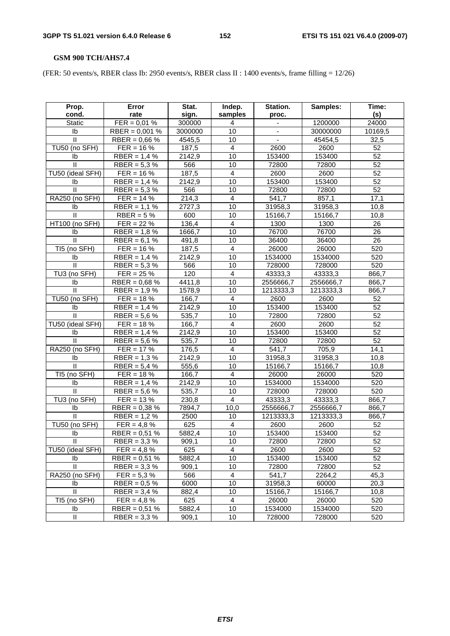# **GSM 900 TCH/AHS7.4**

(FER: 50 events/s, RBER class Ib: 2950 events/s, RBER class II : 1400 events/s, frame filling = 12/26)

| Prop.            | Error            | Stat.               | Indep.                  | Station.  | Samples:  | Time:           |
|------------------|------------------|---------------------|-------------------------|-----------|-----------|-----------------|
| cond.            | rate             | sign.               | samples                 | proc.     |           | (s)             |
| Static           | $FER = 0.01 %$   | 300000              | 4                       |           | 1200000   | 24000           |
| Ib               | $RBER = 0,001 %$ | 3000000             | 10                      |           | 30000000  | 10169,5         |
| Ш                | RBER = $0,66%$   | 4545,5              | 10                      |           | 45454,5   | 32,5            |
| TU50 (no SFH)    | $FER = 16 \%$    | 187,5               | $\overline{\mathbf{4}}$ | 2600      | 2600      | 52              |
| Ib               | $RBER = 1,4%$    | 2142,9              | 10                      | 153400    | 153400    | 52              |
| Ш                | RBER = $5,3%$    | 566                 | 10                      | 72800     | 72800     | 52              |
| TU50 (ideal SFH) | $FER = 16 \%$    | 187,5               | 4                       | 2600      | 2600      | $\overline{52}$ |
| Ib               | $RBER = 1,4%$    | 2142,9              | 10                      | 153400    | 153400    | 52              |
| $\mathbf{H}$     | RBER = $5,3%$    | 566                 | 10                      | 72800     | 72800     | $\overline{52}$ |
| RA250 (no SFH)   | $FER = 14 %$     | 214,3               | $\overline{4}$          | 541,7     | 857,1     | 17,1            |
| Ib               | $RBER = 1,1%$    | $\overline{2727,3}$ | 10                      | 31958,3   | 31958,3   | 10,8            |
| Ш                | RBER = $5%$      | 600                 | 10                      | 15166,7   | 15166,7   | 10,8            |
| HT100 (no SFH)   | $FER = 22 \%$    | 136,4               | 4                       | 1300      | 1300      | 26              |
| Ib               | $RBER = 1,8%$    | 1666,7              | 10                      | 76700     | 76700     | 26              |
| $\mathbf{H}$     | RBER = $6,1%$    | 491,8               | 10                      | 36400     | 36400     | $\overline{26}$ |
| TI5 (no SFH)     | $FER = 16 \%$    | 187,5               | 4                       | 26000     | 26000     | 520             |
| Ib               | $RBER = 1.4 %$   | 2142,9              | 10                      | 1534000   | 1534000   | 520             |
| $\mathbf{I}$     | RBER = $5,3%$    | 566                 | 10                      | 728000    | 728000    | 520             |
| TU3 (no SFH)     | $FER = 25 \%$    | 120                 | 4                       | 43333,3   | 43333,3   | 866,7           |
| Ib               | RBER = $0,68%$   | 4411,8              | 10                      | 2556666,7 | 2556666,7 | 866,7           |
| $\mathbf{H}$     | RBER = $1,9%$    | 1578,9              | 10                      | 1213333,3 | 1213333,3 | 866,7           |
| TU50 (no SFH)    | $FER = 18 \%$    | 166,7               | 4                       | 2600      | 2600      | 52              |
| Ib               | $RBER = 1,4%$    | 2142,9              | 10                      | 153400    | 153400    | 52              |
| $\mathbf{I}$     | RBER = $5,6%$    | 535,7               | 10                      | 72800     | 72800     | 52              |
| TU50 (ideal SFH) | $FER = 18 \%$    | 166,7               | $\overline{4}$          | 2600      | 2600      | 52              |
| Ib               | RBER = $1,4%$    | 2142,9              | 10                      | 153400    | 153400    | 52              |
| Ш                | $RBER = 5,6%$    | 535,7               | 10                      | 72800     | 72800     | 52              |
| RA250 (no SFH)   | $FER = 17 %$     | 176,5               | 4                       | 541,7     | 705,9     | 14,1            |
| Ib               | RBER = $1,3%$    | 2142,9              | 10                      | 31958,3   | 31958,3   | 10,8            |
| $\mathbf{I}$     | RBER = $5,4%$    | 555,6               | 10                      | 15166,7   | 15166,7   | 10,8            |
| TI5 (no SFH)     | $FER = 18 \%$    | 166,7               | 4                       | 26000     | 26000     | 520             |
| Ib               | RBER = $1,4%$    | 2142,9              | 10                      | 1534000   | 1534000   | 520             |
| Ш                | RBER = $5,6%$    | 535,7               | 10                      | 728000    | 728000    | 520             |
| TU3 (no SFH)     | $FER = 13 \%$    | 230,8               | $\overline{4}$          | 43333,3   | 43333,3   | 866,7           |
| I <sub>b</sub>   | RBER = $0,38%$   | 7894,7              | 10,0                    | 2556666,7 | 2556666,7 | 866,7           |
| $\mathbf{H}$     | $RBER = 1.2 %$   | 2500                | 10                      | 1213333,3 | 1213333,3 | 866,7           |
| TU50 (no SFH)    | $FER = 4.8 \%$   | 625                 | 4                       | 2600      | 2600      | 52              |
| Ib               | RBER = $0,51%$   | 5882,4              | 10                      | 153400    | 153400    | 52              |
| Ш.               | RBER = $3,3%$    | 909,1               | 10                      | 72800     | 72800     | 52              |
| TU50 (ideal SFH) | $FER = 4.8 \%$   | 625                 | 4                       | 2600      | 2600      | 52              |
| Ib               | RBER = $0,51%$   | 5882,4              | 10                      | 153400    | 153400    | 52              |
| $\mathbf{H}$     | RBER = $3,3%$    | 909,1               | 10                      | 72800     | 72800     | 52              |
| RA250 (no SFH)   | $FER = 5.3 %$    | 566                 | $\overline{4}$          | 541,7     | 2264,2    | 45,3            |
| Ib               | $RBER = 0.5 %$   | 6000                | 10                      | 31958,3   | 60000     | 20,3            |
| $\mathbf{H}$     | RBER = $3,4%$    | 882,4               | 10                      | 15166,7   | 15166,7   | 10,8            |
| TI5 (no SFH)     | $FER = 4.8 \%$   | 625                 | 4                       | 26000     | 26000     | 520             |
| Ib               | RBER = $0,51%$   | 5882,4              | 10                      | 1534000   | 1534000   | 520             |
| $\mathbf{II}$    | RBER = $3,3%$    | 909,1               | 10                      | 728000    | 728000    | 520             |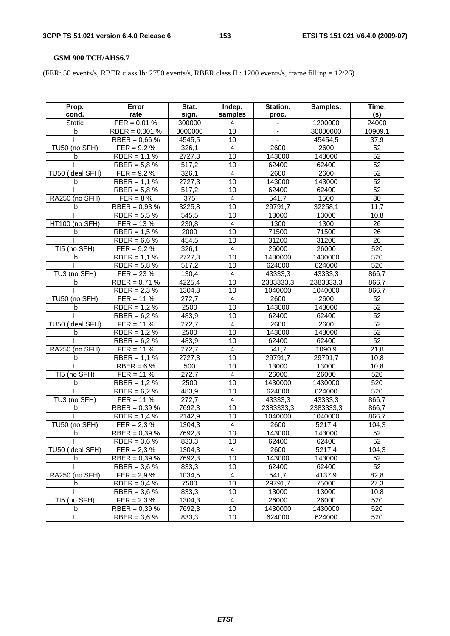# **GSM 900 TCH/AHS6.7**

(FER: 50 events/s, RBER class Ib: 2750 events/s, RBER class II : 1200 events/s, frame filling = 12/26)

| Prop.                 | Error            | Stat.   | Indep.                  | Station.  | Samples:  | Time:           |
|-----------------------|------------------|---------|-------------------------|-----------|-----------|-----------------|
| cond.                 | rate             | sign.   | samples                 | proc.     |           | (s)             |
| <b>Static</b>         | $FER = 0.01 %$   | 300000  | 4                       |           | 1200000   | 24000           |
| I <sub>b</sub>        | $RBER = 0,001 %$ | 3000000 | 10                      |           | 30000000  | 10909,1         |
| $\mathbf{H}$          | RBER = $0,66%$   | 4545,5  | 10                      |           | 45454,5   | 37,9            |
| TU50 (no SFH)         | $FER = 9.2 \%$   | 326,1   | 4                       | 2600      | 2600      | 52              |
| Ib                    | $RBER = 1,1%$    | 2727,3  | 10                      | 143000    | 143000    | 52              |
| $\mathbf{II}$         | RBER = $5,8%$    | 517,2   | 10                      | 62400     | 62400     | 52              |
| TU50 (ideal SFH)      | $FER = 9.2 \%$   | 326,1   | 4                       | 2600      | 2600      | $\overline{52}$ |
| Ib                    | $RBER = 1,1%$    | 2727,3  | 10                      | 143000    | 143000    | 52              |
| $\mathbf{II}$         | RBER = $5,8%$    | 517,2   | 10                      | 62400     | 62400     | 52              |
| <b>RA250 (no SFH)</b> | $FER = 8 \%$     | 375     | $\overline{4}$          | 541,7     | 1500      | 30              |
| Ib                    | $RBER = 0.93 %$  | 3225,8  | 10                      | 29791,7   | 32258,1   | 11,7            |
| $\mathbf{II}$         | RBER = $5.5%$    | 545,5   | 10                      | 13000     | 13000     | 10,8            |
| HT100 (no SFH)        | $FER = 13 \%$    | 230,8   | 4                       | 1300      | 1300      | 26              |
| lb                    | $RBER = 1.5%$    | 2000    | 10                      | 71500     | 71500     | 26              |
| $\mathbf{II}$         | RBER = $6,6%$    | 454,5   | 10                      | 31200     | 31200     | 26              |
| TI5 (no SFH)          | $FER = 9.2 \%$   | 326,1   | $\overline{4}$          | 26000     | 26000     | 520             |
| Ib                    | $RBER = 1,1%$    | 2727,3  | 10                      | 1430000   | 1430000   | 520             |
| $\mathbf{I}$          | $RBER = 5,8%$    | 517,2   | 10                      | 624000    | 624000    | 520             |
| TU3 (no SFH)          | $FER = 23 \%$    | 130,4   | 4                       | 43333,3   | 43333,3   | 866,7           |
| lb                    | RBER = $0,71%$   | 4225,4  | 10                      | 2383333,3 | 2383333,3 | 866,7           |
| $\mathbf{H}$          | RBER = $2,3%$    | 1304,3  | 10                      | 1040000   | 1040000   | 866,7           |
| TU50 (no SFH)         | $FER = 11 \%$    | 272,7   | $\overline{4}$          | 2600      | 2600      | 52              |
| Ib                    | RBER = $1,2%$    | 2500    | 10                      | 143000    | 143000    | $\overline{52}$ |
| $\mathbf{I}$          | $RBER = 6.2 %$   | 483,9   | 10                      | 62400     | 62400     | 52              |
| TU50 (ideal SFH)      | $FER = 11 \%$    | 272,7   | 4                       | 2600      | 2600      | 52              |
| Ib                    | RBER = $1,2%$    | 2500    | 10                      | 143000    | 143000    | 52              |
| Ш                     | RBER = $6,2%$    | 483,9   | 10                      | 62400     | 62400     | 52              |
| RA250 (no SFH)        | $FER = 11 \%$    | 272,7   | $\overline{4}$          | 541,7     | 1090,9    | 21,8            |
| Ib                    | $RBER = 1,1%$    | 2727,3  | 10                      | 29791,7   | 29791,7   | 10,8            |
| Ш                     | $RBER = 6%$      | 500     | 10                      | 13000     | 13000     | 10,8            |
| TI5 (no SFH)          | $FER = 11 \%$    | 272,7   | $\overline{\mathbf{4}}$ | 26000     | 26000     | 520             |
| Ib                    | RBER = $1,2%$    | 2500    | 10                      | 1430000   | 1430000   | 520             |
| Ш                     | RBER = $6,2%$    | 483,9   | 10                      | 624000    | 624000    | 520             |
| TU3 (no SFH)          | $FER = 11 \%$    | 272,7   | 4                       | 43333,3   | 43333,3   | 866,7           |
| Ib                    | RBER = $0,39%$   | 7692,3  | 10                      | 2383333,3 | 2383333,3 | 866,7           |
| $\mathbf{H}$          | RBER = $1,4%$    | 2142,9  | 10                      | 1040000   | 1040000   | 866,7           |
| TU50 (no SFH)         | $FER = 2.3 \%$   | 1304,3  | 4                       | 2600      | 5217,4    | 104,3           |
| Ib                    | $RBER = 0,39%$   | 7692,3  | $\overline{10}$         | 143000    | 143000    | 52              |
| Ш.                    | RBER = $3.6\%$   | 833,3   | 10                      | 62400     | 62400     | 52              |
| TU50 (ideal SFH)      | $FER = 2.3 %$    | 1304,3  | 4                       | 2600      | 5217,4    | 104,3           |
| Ib                    | $RBER = 0,39%$   | 7692,3  | 10                      | 143000    | 143000    | 52              |
| $\mathbf{H}$          | RBER = $3,6%$    | 833,3   | 10                      | 62400     | 62400     | 52              |
| RA250 (no SFH)        | $FER = 2.9 \%$   | 1034,5  | 4                       | 541,7     | 4137,9    | 82,8            |
| Ib                    | RBER = $0,4%$    | 7500    | 10                      | 29791,7   | 75000     | 27,3            |
| $\mathbf{II}$         | RBER = $3,6%$    | 833,3   | 10                      | 13000     | 13000     | 10,8            |
| TI5 (no SFH)          | $FER = 2.3 %$    | 1304,3  | 4                       | 26000     | 26000     | 520             |
| Ib                    | RBER = $0,39%$   | 7692,3  | 10                      | 1430000   | 1430000   | 520             |
| Ш                     | RBER = $3,6%$    | 833,3   | 10                      | 624000    | 624000    | 520             |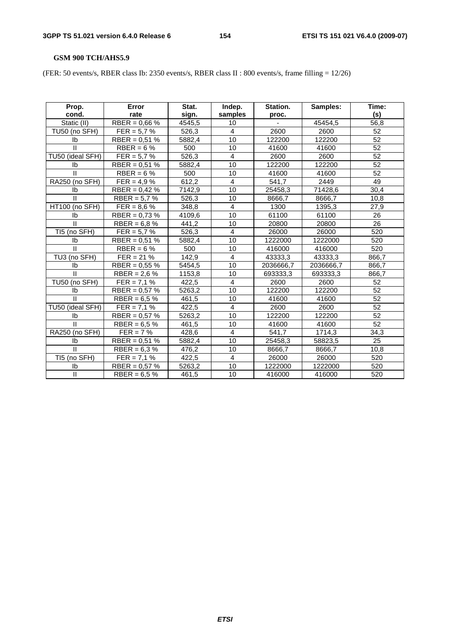# **GSM 900 TCH/AHS5.9**

(FER: 50 events/s, RBER class Ib: 2350 events/s, RBER class II : 800 events/s, frame filling = 12/26)

| Prop.            | Error           | Stat.  | Indep.         | Station.  | Samples:  | Time:           |
|------------------|-----------------|--------|----------------|-----------|-----------|-----------------|
| cond.            | rate            | sign.  | samples        | proc.     |           | (s)             |
| Static (II)      | RBER = $0,66%$  | 4545.5 | 10             |           | 45454.5   | 56,8            |
| TU50 (no SFH)    | $FER = 5.7 \%$  | 526,3  | 4              | 2600      | 2600      | 52              |
| Ib               | RBER = $0,51%$  | 5882,4 | 10             | 122200    | 122200    | 52              |
| $\mathbf{II}$    | $RBER = 6%$     | 500    | 10             | 41600     | 41600     | 52              |
| TU50 (ideal SFH) | $FER = 5.7 \%$  | 526,3  | 4              | 2600      | 2600      | 52              |
| Ib               | $RBER = 0.51 %$ | 5882,4 | 10             | 122200    | 122200    | 52              |
| $\mathbf{H}$     | RBER = $6%$     | 500    | 10             | 41600     | 41600     | 52              |
| RA250 (no SFH)   | $FER = 4.9 \%$  | 612,2  | $\overline{4}$ | 541,7     | 2449      | 49              |
| Ib               | $RBER = 0,42%$  | 7142.9 | 10             | 25458,3   | 71428,6   | 30,4            |
| $\mathbf{H}$     | RBER = $5,7%$   | 526,3  | 10             | 8666,7    | 8666,7    | 10,8            |
| HT100 (no SFH)   | $FER = 8.6 \%$  | 348,8  | 4              | 1300      | 1395,3    | 27,9            |
| Ib               | RBER = $0.73\%$ | 4109,6 | 10             | 61100     | 61100     | 26              |
| $\mathbf{II}$    | RBER = $6,8%$   | 441.2  | 10             | 20800     | 20800     | 26              |
| TI5 (no SFH)     | $FER = 5.7 \%$  | 526,3  | 4              | 26000     | 26000     | 520             |
| Ib               | RBER = $0.51$ % | 5882,4 | 10             | 1222000   | 1222000   | 520             |
| $\mathbf{II}$    | RBER = $6%$     | 500    | 10             | 416000    | 416000    | 520             |
| TU3 (no SFH)     | $FER = 21 \%$   | 142,9  | 4              | 43333,3   | 43333,3   | 866,7           |
| Ib               | RBER = $0,55%$  | 5454,5 | 10             | 2036666,7 | 2036666,7 | 866,7           |
| $\mathbf{H}$     | RBER = $2,6%$   | 1153,8 | 10             | 693333,3  | 693333,3  | 866,7           |
| TU50 (no SFH)    | $FER = 7,1%$    | 422,5  | $\overline{4}$ | 2600      | 2600      | 52              |
| Ib               | RBER = $0,57%$  | 5263,2 | 10             | 122200    | 122200    | 52              |
| $\mathbf{II}$    | RBER = $6.5%$   | 461,5  | 10             | 41600     | 41600     | 52              |
| TU50 (ideal SFH) | $FER = 7.1 \%$  | 422,5  | 4              | 2600      | 2600      | $\overline{52}$ |
| Ib               | RBER = $0,57%$  | 5263,2 | 10             | 122200    | 122200    | 52              |
| $\mathbf{H}$     | RBER = $6,5%$   | 461,5  | 10             | 41600     | 41600     | $\overline{52}$ |
| RA250 (no SFH)   | $FER = 7%$      | 428,6  | 4              | 541,7     | 1714,3    | 34,3            |
| Ib               | RBER = $0,51%$  | 5882,4 | 10             | 25458,3   | 58823,5   | 25              |
| $\mathbf{I}$     | RBER = $6,3%$   | 476,2  | 10             | 8666,7    | 8666,7    | 10,8            |
| TI5 (no SFH)     | $FER = 7.1 \%$  | 422,5  | 4              | 26000     | 26000     | 520             |
| Ib               | RBER = $0,57%$  | 5263,2 | 10             | 1222000   | 1222000   | 520             |
| $\mathbf{II}$    | RBER = $6,5%$   | 461,5  | 10             | 416000    | 416000    | 520             |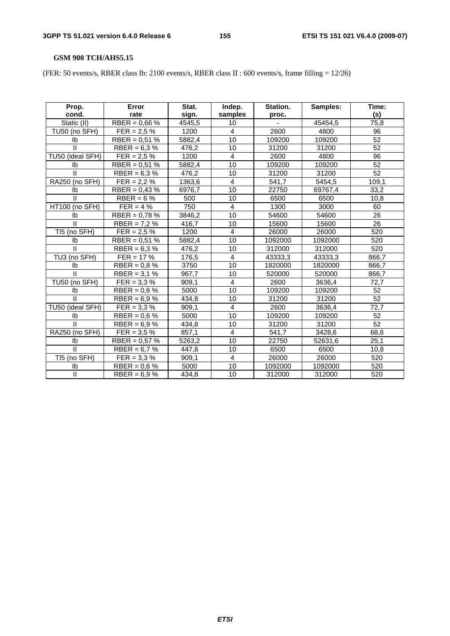# **GSM 900 TCH/AHS5.15**

(FER: 50 events/s, RBER class Ib: 2100 events/s, RBER class II : 600 events/s, frame filling = 12/26)

| Prop.<br>cond.          | Error<br>rate             | Stat.<br>sign. | Indep.<br>samples       | Station.<br>proc. | Samples: | Time:<br>(s)    |
|-------------------------|---------------------------|----------------|-------------------------|-------------------|----------|-----------------|
| Static (II)             | RBER = $0.66\%$           | 4545,5         | 10                      |                   | 45454,5  | 75,8            |
| TU50 (no SFH)           | $FER = 2.5 \%$            | 1200           | 4                       | 2600              | 4800     | 96              |
| Ib                      | RBER = $0,51%$            | 5882,4         | 10                      | 109200            | 109200   | 52              |
| $\mathbf{I}$            | RBER = $6,3%$             | 476,2          | 10                      | 31200             | 31200    | $\overline{52}$ |
| TU50 (ideal SFH)        | $FER = 2.5 \%$            | 1200           | $\overline{4}$          | 2600              | 4800     | $\overline{96}$ |
| lb                      | RBER = $0,51%$            | 5882,4         | 10                      | 109200            | 109200   | 52              |
| $\mathbf{H}$            | RBER = $6,3%$             | 476,2          | 10                      | 31200             | 31200    | $\overline{52}$ |
| RA250 (no SFH)          | $\overline{FER} = 2.2 \%$ | 1363,6         | 4                       | 541,7             | 5454,5   | 109,1           |
| Ib                      | $RBER = 0,43%$            | 6976,7         | 10                      | 22750             | 69767,4  | 33,2            |
| $\mathbf{H}$            | $RBER = 6%$               | 500            | 10                      | 6500              | 6500     | 10,8            |
| HT100 (no SFH)          | $FER = 4%$                | 750            | 4                       | 1300              | 3000     | 60              |
| Ib                      | RBER = $0,78%$            | 3846,2         | 10                      | 54600             | 54600    | 26              |
| $\mathbf{I}$            | RBER = $7,2%$             | 416,7          | 10                      | 15600             | 15600    | $\overline{26}$ |
| TI5 (no SFH)            | $FER = 2.5 \%$            | 1200           | 4                       | 26000             | 26000    | 520             |
| Ib                      | RBER = $0,51%$            | 5882,4         | 10                      | 1092000           | 1092000  | 520             |
| $\mathbf{H}$            | RBER = $6,3%$             | 476,2          | 10                      | 312000            | 312000   | 520             |
| TU3 (no SFH)            | $FER = 17 %$              | 176,5          | $\overline{\mathbf{4}}$ | 43333,3           | 43333,3  | 866,7           |
| Ib                      | RBER = $0.8\%$            | 3750           | 10                      | 1820000           | 1820000  | 866,7           |
| $\overline{\mathbb{I}}$ | RBER = $3,1%$             | 967,7          | 10                      | 520000            | 520000   | 866,7           |
| TU50 (no SFH)           | $FER = 3.3 \%$            | 909,1          | 4                       | 2600              | 3636,4   | 72,7            |
| Ib                      | RBER = $0,6%$             | 5000           | 10                      | 109200            | 109200   | 52              |
| $\mathbf{II}$           | RBER = $6,9%$             | 434,8          | 10                      | 31200             | 31200    | $\overline{52}$ |
| TU50 (ideal SFH)        | $FER = 3.3 \%$            | 909,1          | 4                       | 2600              | 3636,4   | 72,7            |
| Ib                      | RBER = $0,6%$             | 5000           | 10                      | 109200            | 109200   | 52              |
| $\mathbf{II}$           | RBER = $6.9%$             | 434,8          | 10                      | 31200             | 31200    | 52              |
| RA250 (no SFH)          | $FER = 3.5 \%$            | 857,1          | 4                       | 541,7             | 3428,6   | 68,6            |
| Ib                      | RBER = $0,57%$            | 5263,2         | 10                      | 22750             | 52631,6  | 25,1            |
| $\mathbf{I}$            | RBER = $6.7%$             | 447,8          | 10                      | 6500              | 6500     | 10,8            |
| TI5 (no SFH)            | $FER = 3.3 %$             | 909,1          | $\overline{4}$          | 26000             | 26000    | 520             |
| Ib                      | RBER = $0,6%$             | 5000           | 10                      | 1092000           | 1092000  | 520             |
| $\mathsf{I}$            | RBER = $6,9%$             | 434,8          | 10                      | 312000            | 312000   | 520             |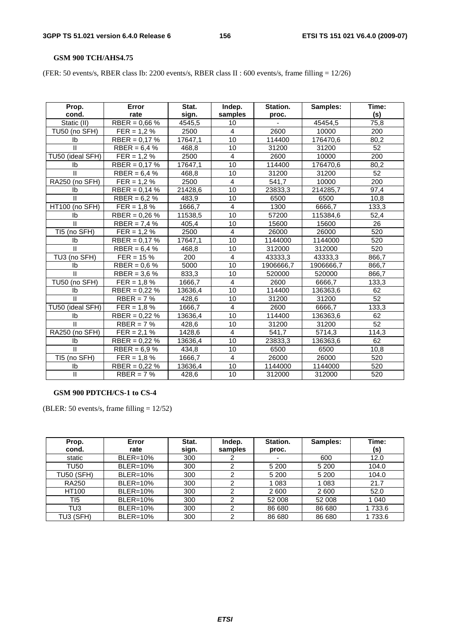#### **GSM 900 TCH/AHS4.75**

(FER: 50 events/s, RBER class Ib: 2200 events/s, RBER class II : 600 events/s, frame filling = 12/26)

| Prop.                   | Error           | Stat.   | Indep.         | Station.  | Samples:  | Time:           |
|-------------------------|-----------------|---------|----------------|-----------|-----------|-----------------|
| cond.                   | rate            | sign.   | samples        | proc.     |           | (s)             |
| Static (II)             | RBER = $0.66\%$ | 4545,5  | 10             |           | 45454,5   | 75,8            |
| TU50 (no SFH)           | $FER = 1.2 \%$  | 2500    | 4              | 2600      | 10000     | 200             |
| Ib                      | RBER = $0,17%$  | 17647,1 | 10             | 114400    | 176470,6  | 80,2            |
| $\mathbf{H}$            | RBER = $6,4%$   | 468,8   | 10             | 31200     | 31200     | 52              |
| TU50 (ideal SFH)        | $FER = 1,2%$    | 2500    | $\overline{4}$ | 2600      | 10000     | 200             |
| Ib                      | RBER = $0,17%$  | 17647,1 | 10             | 114400    | 176470,6  | 80,2            |
| $\mathbf{H}$            | RBER = $6,4%$   | 468,8   | 10             | 31200     | 31200     | 52              |
| RA250 (no SFH)          | $FER = 1,2%$    | 2500    | 4              | 541,7     | 10000     | 200             |
| Ib                      | RBER = $0.14$ % | 21428,6 | 10             | 23833,3   | 214285,7  | 97,4            |
| $\mathbf{H}$            | RBER = $6.2 \%$ | 483,9   | 10             | 6500      | 6500      | 10,8            |
| HT100 (no SFH)          | $FER = 1.8 \%$  | 1666,7  | 4              | 1300      | 6666,7    | 133,3           |
| Ib                      | RBER = $0.26\%$ | 11538,5 | 10             | 57200     | 115384,6  | 52,4            |
| $\mathbf{II}$           | RBER = $7,4%$   | 405,4   | 10             | 15600     | 15600     | 26              |
| TI5 (no SFH)            | $FER = 1.2 \%$  | 2500    | $\overline{4}$ | 26000     | 26000     | 520             |
| Ib                      | RBER = $0,17%$  | 17647,1 | 10             | 1144000   | 1144000   | 520             |
| $\mathbf{H}$            | RBER = $6,4%$   | 468.8   | 10             | 312000    | 312000    | 520             |
| TU3 (no SFH)            | $FER = 15 \%$   | 200     | $\overline{4}$ | 43333,3   | 43333,3   | 866,7           |
| Ib                      | RBER = $0.6\%$  | 5000    | 10             | 1906666,7 | 1906666,7 | 866,7           |
| π                       | RBER = $3,6%$   | 833,3   | 10             | 520000    | 520000    | 866,7           |
| TU50 (no SFH)           | $FER = 1.8 \%$  | 1666,7  | $\overline{4}$ | 2600      | 6666,7    | 133.3           |
| Ib                      | RBER = $0,22%$  | 13636,4 | 10             | 114400    | 136363,6  | 62              |
| $\mathbf{H}$            | $RBER = 7%$     | 428,6   | 10             | 31200     | 31200     | $\overline{52}$ |
| TU50 (ideal SFH)        | $FER = 1,8%$    | 1666,7  | $\overline{4}$ | 2600      | 6666.7    | 133,3           |
| Ib                      | RBER = $0.22\%$ | 13636,4 | 10             | 114400    | 136363,6  | 62              |
| $\mathbf{H}$            | $RBER = 7%$     | 428,6   | 10             | 31200     | 31200     | 52              |
| RA250 (no SFH)          | $FER = 2,1%$    | 1428,6  | $\overline{4}$ | 541,7     | 5714,3    | 114,3           |
| Ib                      | RBER = $0.22\%$ | 13636,4 | 10             | 23833,3   | 136363,6  | 62              |
| II                      | RBER = $6,9%$   | 434,8   | 10             | 6500      | 6500      | 10,8            |
| TI5 (no SFH)            | $FER = 1.8 \%$  | 1666,7  | $\overline{4}$ | 26000     | 26000     | 520             |
| lb                      | RBER = $0,22%$  | 13636,4 | 10             | 1144000   | 1144000   | 520             |
| $\overline{\mathsf{I}}$ | $RBER = 7%$     | 428,6   | 10             | 312000    | 312000    | 520             |

### **GSM 900 PDTCH/CS-1 to CS-4**

(BLER: 50 events/s, frame filling = 12/52)

| Prop.<br>cond.    | Error<br>rate   | Stat.<br>sign. | Indep.<br>samples | Station.<br>proc. | Samples: | Time:<br>(s) |
|-------------------|-----------------|----------------|-------------------|-------------------|----------|--------------|
| static            | <b>BLER=10%</b> | 300            |                   |                   | 600      | 12.0         |
| TU50              | <b>BLER=10%</b> | 300            | ົ                 | 5 200             | 5 2 0 0  | 104.0        |
| <b>TU50 (SFH)</b> | <b>BLER=10%</b> | 300            | っ                 | 5 200             | 5 200    | 104.0        |
| <b>RA250</b>      | <b>BLER=10%</b> | 300            | ົ                 | 1 083             | 1 083    | 21.7         |
| <b>HT100</b>      | <b>BLER=10%</b> | 300            | ົ                 | 2 600             | 2600     | 52.0         |
| TI5               | <b>BLER=10%</b> | 300            |                   | 52 008            | 52 008   | 1 040        |
| TU3               | <b>BLER=10%</b> | 300            | ົ                 | 86 680            | 86 680   | 1733.6       |
| TU3 (SFH)         | <b>BLER=10%</b> | 300            | າ                 | 86 680            | 86 680   | 1 733.6      |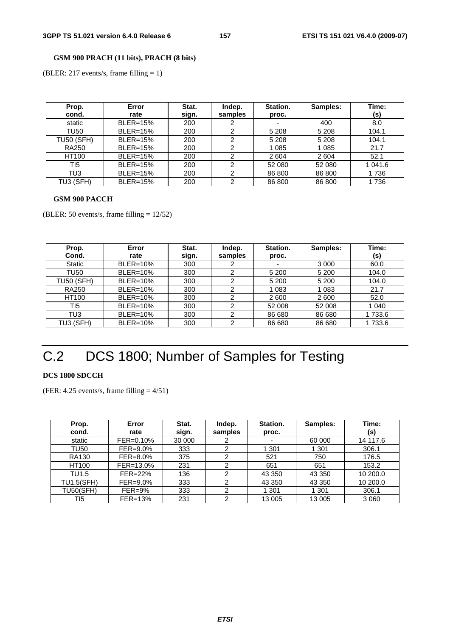### **GSM 900 PRACH (11 bits), PRACH (8 bits)**

(BLER: 217 events/s, frame filling = 1)

| Prop.<br>cond.    | Error<br>rate   | Stat.<br>sign. | Indep.<br>samples | Station.<br>proc. | Samples: | Time:<br>(s) |
|-------------------|-----------------|----------------|-------------------|-------------------|----------|--------------|
| static            | <b>BLER=15%</b> | 200            |                   | ٠                 | 400      | 8.0          |
| TU50              | <b>BLER=15%</b> | 200            | າ                 | 5 2 0 8           | 5 2 0 8  | 104.1        |
| <b>TU50 (SFH)</b> | <b>BLER=15%</b> | 200            | ⌒                 | 5 2 0 8           | 5 2 0 8  | 104.1        |
| <b>RA250</b>      | <b>BLER=15%</b> | 200            | າ                 | 1 0 8 5           | 1 0 8 5  | 21.7         |
| HT100             | <b>BLER=15%</b> | 200            |                   | 2 604             | 2604     | 52.1         |
| TI5               | <b>BLER=15%</b> | 200            |                   | 52 080            | 52 080   | 1 041.6      |
| TU3               | <b>BLER=15%</b> | 200            | າ                 | 86 800            | 86 800   | 1736         |
| TU3 (SFH)         | <b>BLER=15%</b> | 200            | າ                 | 86 800            | 86 800   | 1736         |

#### **GSM 900 PACCH**

(BLER: 50 events/s, frame filling = 12/52)

| Prop.             | Error           | Stat. | Indep.  | Station. | Samples: | Time:   |
|-------------------|-----------------|-------|---------|----------|----------|---------|
| Cond.             | rate            | sign. | samples | proc.    |          | (s)     |
| <b>Static</b>     | <b>BLER=10%</b> | 300   |         |          | 3 0 0 0  | 60.0    |
| TU50              | <b>BLER=10%</b> | 300   | ົ       | 5 200    | 5 200    | 104.0   |
| <b>TU50 (SFH)</b> | <b>BLER=10%</b> | 300   |         | 5 2 0 0  | 5 200    | 104.0   |
| <b>RA250</b>      | <b>BLER=10%</b> | 300   | າ       | 1 0 8 3  | 1 0 8 3  | 21.7    |
| <b>HT100</b>      | <b>BLER=10%</b> | 300   | ົ       | 2 600    | 2600     | 52.0    |
| TI5               | <b>BLER=10%</b> | 300   | ົ       | 52 008   | 52 008   | 1 0 4 0 |
| TU3               | <b>BLER=10%</b> | 300   | 2       | 86 680   | 86 680   | 1 733.6 |
| TU3 (SFH)         | <b>BLER=10%</b> | 300   | ◠       | 86 680   | 86 680   | 1 733.6 |

# C.2 DCS 1800; Number of Samples for Testing

#### **DCS 1800 SDCCH**

(FER:  $4.25$  events/s, frame filling  $= 4/51$ )

| Prop.<br>cond.    | Error<br>rate | Stat.<br>sign. | Indep.<br>samples | Station.<br>proc. | Samples: | Time:<br>(s) |
|-------------------|---------------|----------------|-------------------|-------------------|----------|--------------|
| static            | FER=0.10%     | 30 000         |                   |                   | 60 000   | 14 117.6     |
| TU50              | FER=9.0%      | 333            | っ                 | 1 301             | 1 3 0 1  | 306.1        |
| RA130             | $FER = 8.0\%$ | 375            |                   | 521               | 750      | 176.5        |
| HT100             | FER=13.0%     | 231            | 2                 | 651               | 651      | 153.2        |
| TU1.5             | FER=22%       | 136            | ົ                 | 43 350            | 43 350   | 10 200.0     |
| <b>TU1.5(SFH)</b> | FER=9.0%      | 333            |                   | 43 350            | 43 350   | 10 200.0     |
| <b>TU50(SFH)</b>  | $FER=9\%$     | 333            | 2                 | 301               | 1 3 0 1  | 306.1        |
| TI5               | FER=13%       | 231            | っ                 | 13 005            | 13 005   | 3 0 6 0      |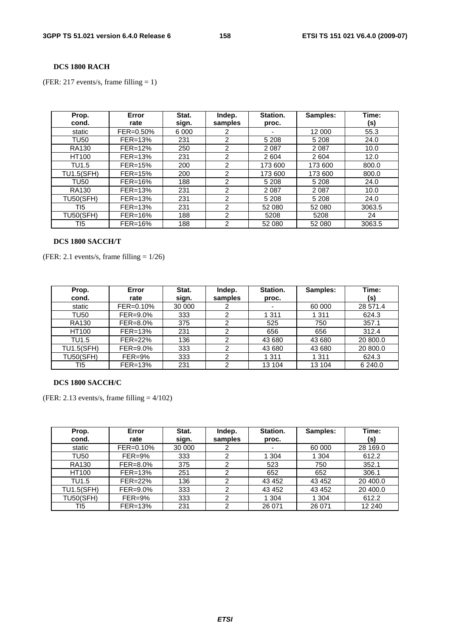### **DCS 1800 RACH**

(FER: 217 events/s, frame filling = 1)

| Prop.<br>cond.    | Error<br>rate | Stat.<br>sign. | Indep.<br>samples | Station.<br>proc. | Samples: | Time:<br>(s) |
|-------------------|---------------|----------------|-------------------|-------------------|----------|--------------|
| static            | FER=0.50%     | 6 0 0 0        |                   |                   | 12 000   | 55.3         |
| <b>TU50</b>       | $FER = 13%$   | 231            | $\overline{2}$    | 5 2 0 8           | 5 2 0 8  | 24.0         |
| <b>RA130</b>      | $FER=12%$     | 250            | 2                 | 2087              | 2 0 8 7  | 10.0         |
| HT100             | $FER = 13%$   | 231            | $\mathcal{P}$     | 2604              | 2604     | 12.0         |
| TU1.5             | $FER = 15%$   | 200            | $\overline{2}$    | 173 600           | 173 600  | 800.0        |
| <b>TU1.5(SFH)</b> | $FER = 15%$   | 200            | $\mathcal{P}$     | 173 600           | 173 600  | 800.0        |
| <b>TU50</b>       | FER=16%       | 188            | $\overline{2}$    | 5 2 0 8           | 5 2 0 8  | 24.0         |
| <b>RA130</b>      | FER=13%       | 231            | 2                 | 2087              | 2 0 8 7  | 10.0         |
| <b>TU50(SFH)</b>  | $FER=13%$     | 231            | $\mathcal{P}$     | 5 2 0 8           | 5 2 0 8  | 24.0         |
| TI5               | $FER = 13%$   | 231            | 2                 | 52 080            | 52 080   | 3063.5       |
| <b>TU50(SFH)</b>  | FER=16%       | 188            | 2                 | 5208              | 5208     | 24           |
| TI5               | $FER=16%$     | 188            | $\mathcal{P}$     | 52 080            | 52 080   | 3063.5       |

#### **DCS 1800 SACCH/T**

(FER: 2.1 events/s, frame filling  $= 1/26$ )

| Prop.             | Error        | Stat.  | Indep.  | Station. | Samples: | Time:    |
|-------------------|--------------|--------|---------|----------|----------|----------|
| cond.             | rate         | sign.  | samples | proc.    |          | (s)      |
| static            | FER=0.10%    | 30 000 |         |          | 60 000   | 28 571.4 |
| TU50              | $FER=9.0%$   | 333    | 2       | 1 3 1 1  | 1 3 1 1  | 624.3    |
| <b>RA130</b>      | $FER = 8.0%$ | 375    | 2       | 525      | 750      | 357.1    |
| <b>HT100</b>      | $FER = 13%$  | 231    | 2       | 656      | 656      | 312.4    |
| TU1.5             | FER=22%      | 136    |         | 43 680   | 43 680   | 20 800.0 |
| <b>TU1.5(SFH)</b> | $FER=9.0%$   | 333    | ◠       | 43 680   | 43 680   | 20 800.0 |
| <b>TU50(SFH)</b>  | $FER = 9%$   | 333    | 2       | 1 3 1 1  | 1 3 1 1  | 624.3    |
| TI5               | $FER=13%$    | 231    | ◠       | 13 104   | 13 104   | 6 240.0  |

### **DCS 1800 SACCH/C**

(FER: 2.13 events/s, frame filling  $= 4/102$ )

| Prop.<br>cond.    | Error<br>rate | Stat.<br>sign. | Indep.<br>samples | Station.<br>proc. | Samples: | Time:<br>(s) |
|-------------------|---------------|----------------|-------------------|-------------------|----------|--------------|
| static            | FER=0.10%     | 30 000         |                   |                   | 60 000   | 28 169.0     |
| TU50              | $FER=9\%$     | 333            | 2                 | 1 304             | 1 304    | 612.2        |
| <b>RA130</b>      | FER=8.0%      | 375            | ົ                 | 523               | 750      | 352.1        |
| HT100             | $FER=13%$     | 251            | 2                 | 652               | 652      | 306.1        |
| TU1.5             | FER=22%       | 136            | 2                 | 43 452            | 43 452   | 20 400.0     |
| <b>TU1.5(SFH)</b> | FER=9.0%      | 333            | 2                 | 43 452            | 43 452   | 20 400.0     |
| <b>TU50(SFH)</b>  | $FER = 9%$    | 333            | ◠                 | 1 304             | 1 304    | 612.2        |
| TI5               | FER=13%       | 231            | 2                 | 26 071            | 26 071   | 12 240       |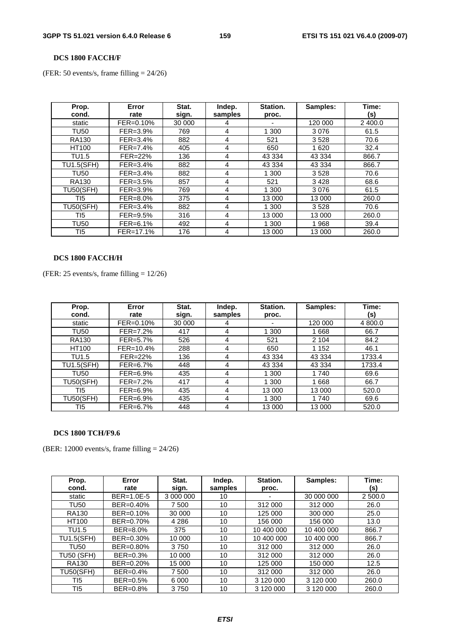#### **DCS 1800 FACCH/F**

(FER: 50 events/s, frame filling = 24/26)

| Prop.<br>cond.    | Error<br>rate | Stat.<br>sign. | Indep.<br>samples | Station.<br>proc. | Samples: | Time:<br>(s) |
|-------------------|---------------|----------------|-------------------|-------------------|----------|--------------|
| static            | FER=0.10%     | 30 000         | 4                 | ۰                 | 120 000  | 2 400.0      |
| <b>TU50</b>       | FER=3.9%      | 769            | 4                 | 1 300             | 3076     | 61.5         |
| <b>RA130</b>      | $FER = 3.4%$  | 882            | 4                 | 521               | 3528     | 70.6         |
| HT100             | $FER=7.4\%$   | 405            | 4                 | 650               | 1620     | 32.4         |
| TU1.5             | FER=22%       | 136            | 4                 | 43 334            | 43 334   | 866.7        |
| <b>TU1.5(SFH)</b> | $FER = 3.4%$  | 882            | 4                 | 43 334            | 43 334   | 866.7        |
| <b>TU50</b>       | $FER = 3.4%$  | 882            | 4                 | 1 300             | 3528     | 70.6         |
| <b>RA130</b>      | FER=3.5%      | 857            | 4                 | 521               | 3428     | 68.6         |
| <b>TU50(SFH)</b>  | FER=3.9%      | 769            | 4                 | 1 300             | 3076     | 61.5         |
| TI5               | FER=8.0%      | 375            | 4                 | 13 000            | 13 000   | 260.0        |
| <b>TU50(SFH)</b>  | $FER = 3.4%$  | 882            | 4                 | 1 300             | 3528     | 70.6         |
| TI5               | FER=9.5%      | 316            | 4                 | 13 000            | 13 000   | 260.0        |
| <b>TU50</b>       | FER=6.1%      | 492            | 4                 | 1 300             | 1968     | 39.4         |
| TI5               | FER=17.1%     | 176            | 4                 | 13 000            | 13 000   | 260.0        |

## **DCS 1800 FACCH/H**

(FER: 25 events/s, frame filling  $= 12/26$ )

| Prop.<br>cond.    | Error<br>rate | Stat.<br>sign. | Indep.<br>samples | Station.<br>proc. | Samples: | Time:<br>(s) |
|-------------------|---------------|----------------|-------------------|-------------------|----------|--------------|
| static            | FER=0.10%     | 30 000         | 4                 |                   | 120 000  | 4 800.0      |
| <b>TU50</b>       | FER=7.2%      | 417            | 4                 | 1 300             | 1668     | 66.7         |
| <b>RA130</b>      | FER=5.7%      | 526            | 4                 | 521               | 2 1 0 4  | 84.2         |
| HT100             | FER=10.4%     | 288            | 4                 | 650               | 1 1 5 2  | 46.1         |
| TU1.5             | FER=22%       | 136            | 4                 | 43 334            | 43 334   | 1733.4       |
| <b>TU1.5(SFH)</b> | FER=6.7%      | 448            | 4                 | 43 334            | 43 334   | 1733.4       |
| <b>TU50</b>       | FER=6.9%      | 435            | 4                 | 1 300             | 1740     | 69.6         |
| <b>TU50(SFH)</b>  | FER=7.2%      | 417            | 4                 | 1 300             | 1668     | 66.7         |
| TI5               | FER=6.9%      | 435            | 4                 | 13 000            | 13 000   | 520.0        |
| <b>TU50(SFH)</b>  | FER=6.9%      | 435            | 4                 | 1 300             | 1 740    | 69.6         |
| TI5               | FER=6.7%      | 448            | 4                 | 13 000            | 13 000   | 520.0        |

### **DCS 1800 TCH/F9.6**

(BER: 12000 events/s, frame filling = 24/26)

| Prop.<br>cond.    | Error<br>rate | Stat.<br>sign. | Indep.<br>samples | Station.<br>proc. | Samples:   | Time:<br>(s) |
|-------------------|---------------|----------------|-------------------|-------------------|------------|--------------|
| static            | BER=1.0E-5    | 3 000 000      | 10                |                   | 30 000 000 | 2 500.0      |
| <b>TU50</b>       | $BER = 0.40%$ | 7 500          | 10                | 312 000           | 312 000    | 26.0         |
| <b>RA130</b>      | BER=0.10%     | 30 000         | 10                | 125 000           | 300 000    | 25.0         |
| HT100             | BER=0.70%     | 4 2 8 6        | 10                | 156 000           | 156 000    | 13.0         |
| TU1.5             | BER=8.0%      | 375            | 10                | 10 400 000        | 10 400 000 | 866.7        |
| <b>TU1.5(SFH)</b> | BER=0.30%     | 10 000         | 10                | 10 400 000        | 10 400 000 | 866.7        |
| <b>TU50</b>       | BER=0.80%     | 3750           | 10                | 312 000           | 312 000    | 26.0         |
| <b>TU50 (SFH)</b> | BER=0.3%      | 10 000         | 10                | 312 000           | 312 000    | 26.0         |
| <b>RA130</b>      | BER=0.20%     | 15 000         | 10                | 125 000           | 150 000    | 12.5         |
| <b>TU50(SFH)</b>  | BER=0.4%      | 7 500          | 10                | 312 000           | 312 000    | 26.0         |
| TI5               | BER=0.5%      | 6 0 0 0        | 10                | 3 120 000         | 3 120 000  | 260.0        |
| TI5               | BER=0.8%      | 3750           | 10                | 3 120 000         | 3 120 000  | 260.0        |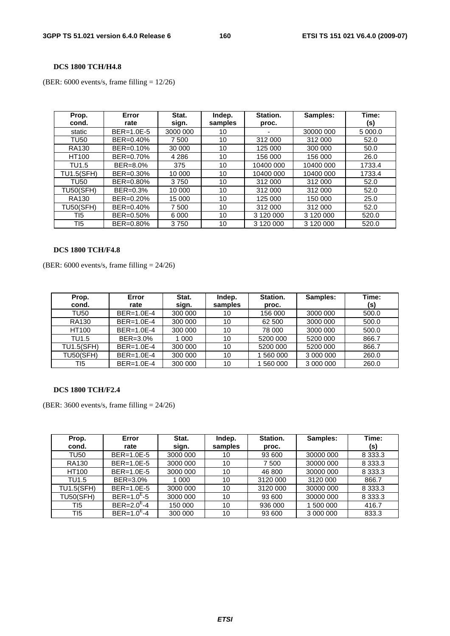### **DCS 1800 TCH/H4.8**

(BER:  $6000$  events/s, frame filling =  $12/26$ )

| Prop.<br>cond.    | Error<br>rate | Stat.<br>sign. | Indep.<br>samples | Station.<br>proc. | Samples:        | Time:<br>(s) |
|-------------------|---------------|----------------|-------------------|-------------------|-----------------|--------------|
| static            | $BER=1.0E-5$  | 3000 000       | 10                |                   | 30000 000       | 5 000.0      |
| <b>TU50</b>       | BER=0.40%     | 7 500          | 10                | 312 000           | 312 000         | 52.0         |
| <b>RA130</b>      | BER=0.10%     | 30 000         | 10                | 125 000           | 300 000         | 50.0         |
| HT100             | BER=0.70%     | 4 2 8 6        | 10                | 156 000           | 156 000         | 26.0         |
| TU1.5             | BER=8.0%      | 375            | 10                | 10400 000         | 10400 000       | 1733.4       |
| <b>TU1.5(SFH)</b> | BER=0.30%     | 10 000         | 10                | 10400 000         | 10400 000       | 1733.4       |
| <b>TU50</b>       | BER=0.80%     | 3750           | 10                | 312 000           | 312 000         | 52.0         |
| <b>TU50(SFH)</b>  | BER=0.3%      | 10 000         | 10                | 312 000           | 312 000         | 52.0         |
| <b>RA130</b>      | BER=0.20%     | 15 000         | 10                | 125 000           | 150 000         | 25.0         |
| <b>TU50(SFH)</b>  | BER=0.40%     | 7 500          | 10                | 312 000           | 312 000         | 52.0         |
| TI5               | BER=0.50%     | 6000           | 10                | 3 120 000         | 3 120 000       | 520.0        |
| TI5               | BER=0.80%     | 3750           | 10                | 3 120 000         | 3 1 2 0 0 0 0 0 | 520.0        |

#### **DCS 1800 TCH/F4.8**

(BER: 6000 events/s, frame filling = 24/26)

| Prop.             | Error        | Stat.   | Indep.  | Station. | Samples:  | Time: |
|-------------------|--------------|---------|---------|----------|-----------|-------|
| cond.             | rate         | sign.   | samples | proc.    |           | (s)   |
| TU50              | $BER=1.0E-4$ | 300 000 | 10      | 156 000  | 3000 000  | 500.0 |
| <b>RA130</b>      | $BER=1.0E-4$ | 300 000 | 10      | 62 500   | 3000 000  | 500.0 |
| HT100             | $BER=1.0E-4$ | 300 000 | 10      | 78 000   | 3000 000  | 500.0 |
| TU1.5             | BER=3.0%     | 1 000   | 10      | 5200 000 | 5200 000  | 866.7 |
| <b>TU1.5(SFH)</b> | $BER=1.0E-4$ | 300 000 | 10      | 5200 000 | 5200 000  | 866.7 |
| <b>TU50(SFH)</b>  | $BER=1.0E-4$ | 300 000 | 10      | 560 000  | 3 000 000 | 260.0 |
| TI5               | $BER=1.0E-4$ | 300 000 | 10      | 560 000  | 3 000 000 | 260.0 |

#### **DCS 1800 TCH/F2.4**

(BER: 3600 events/s, frame filling = 24/26)

| Prop.<br>cond.    | Error<br>rate           | Stat.<br>sign. | Indep.<br>samples | Station.<br>proc. | Samples:  | Time:<br>(s) |
|-------------------|-------------------------|----------------|-------------------|-------------------|-----------|--------------|
| TU50              | BER=1.0E-5              | 3000 000       | 10                | 93 600            | 30000 000 | 8 3 3 3 . 3  |
| <b>RA130</b>      | BER=1.0E-5              | 3000 000       | 10                | 7 500             | 30000 000 | 8 3 3 3 . 3  |
| HT100             | BER=1.0E-5              | 3000 000       | 10                | 46 800            | 30000 000 | 8 3 3 3 . 3  |
| TU1.5             | BER=3.0%                | 1 000          | 10                | 3120 000          | 3120 000  | 866.7        |
| <b>TU1.5(SFH)</b> | BER=1.0E-5              | 3000 000       | 10                | 3120 000          | 30000 000 | 8 3 3 3 . 3  |
| <b>TU50(SFH)</b>  | $BER = 1.0^{E} - 5$     | 3000 000       | 10                | 93 600            | 30000 000 | 8 3 3 3 . 3  |
| TI5               | $BER = 2.0^{\circ} - 4$ | 150 000        | 10                | 936 000           | 500 000   | 416.7        |
| T <sub>15</sub>   | $BER = 1.0^{\circ} - 4$ | 300 000        | 10                | 93 600            | 3 000 000 | 833.3        |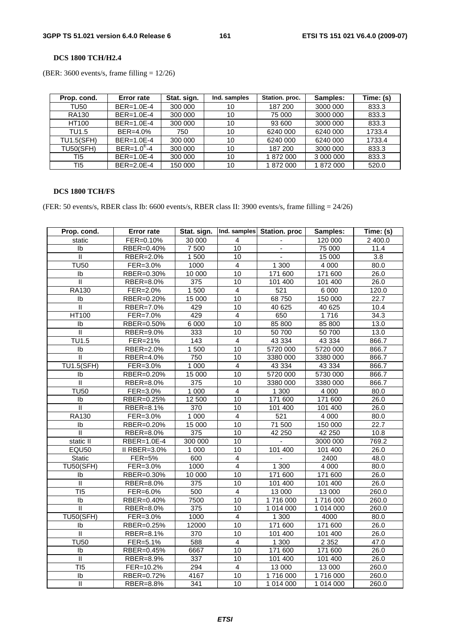#### **DCS 1800 TCH/H2.4**

(BER: 3600 events/s, frame filling  $= 12/26$ )

| Prop. cond.       | <b>Error rate</b> | Stat. sign. | Ind. samples | Station. proc. | Samples:  | Time: (s) |
|-------------------|-------------------|-------------|--------------|----------------|-----------|-----------|
| <b>TU50</b>       | $BER=1.0E-4$      | 300 000     | 10           | 187 200        | 3000 000  | 833.3     |
| <b>RA130</b>      | $BER=1.0E-4$      | 300 000     | 10           | 75 000         | 3000 000  | 833.3     |
| <b>HT100</b>      | $BER=1.0E-4$      | 300 000     | 10           | 93 600         | 3000 000  | 833.3     |
| TU1.5             | BER=4.0%          | 750         | 10           | 6240 000       | 6240 000  | 1733.4    |
| <b>TU1.5(SFH)</b> | $BER=1.0E-4$      | 300 000     | 10           | 6240 000       | 6240 000  | 1733.4    |
| <b>TU50(SFH)</b>  | $BER = 1.0^{E}-4$ | 300 000     | 10           | 187 200        | 3000 000  | 833.3     |
| TI5               | $BER=1.0E-4$      | 300 000     | 10           | 1872000        | 3 000 000 | 833.3     |
| TI <sub>5</sub>   | $BER=2.0E-4$      | 150 000     | 10           | 1872000        | 1872000   | 520.0     |

### **DCS 1800 TCH/FS**

(FER: 50 events/s, RBER class Ib: 6600 events/s, RBER class II: 3900 events/s, frame filling = 24/26)

| Prop. cond.             | <b>Error rate</b>             | Stat. sign.      |                         | Ind. samples Station. proc | Samples:  | Time: (s) |
|-------------------------|-------------------------------|------------------|-------------------------|----------------------------|-----------|-----------|
| static                  | FER=0.10%                     | 30 000           | 4                       |                            | 120 000   | 2 400.0   |
| Ib                      | RBER=0.40%                    | 7 500            | $\overline{10}$         | Ξ.                         | 75 000    | 11.4      |
| $\mathbf{H}$            | RBER=2.0%                     | 1500             | 10                      | ä,                         | 15 000    | 3.8       |
| <b>TU50</b>             | FER=3.0%                      | 1000             | $\overline{4}$          | 1 300                      | 4 0 0 0   | 80.0      |
| Ib                      | RBER=0.30%                    | 10000            | 10                      | 171 600                    | 171 600   | 26.0      |
| Ш                       | RBER=8.0%                     | 375              | 10                      | 101 400                    | 101 400   | 26.0      |
| <b>RA130</b>            | $\overline{\text{FE}}$ R=2.0% | 1 500            | $\overline{4}$          | 521                        | 6 0 0 0   | 120.0     |
| Ib                      | RBER=0.20%                    | 15 000           | 10                      | 68 750                     | 150 000   | 22.7      |
| $\overline{\mathsf{I}}$ | RBER=7.0%                     | 429              | 10                      | 40 625                     | 40 625    | 10.4      |
| HT100                   | FER=7.0%                      | 429              | $\overline{4}$          | 650                        | 1716      | 34.3      |
| Ib                      | RBER=0.50%                    | 6 0 0 0          | 10                      | 85 800                     | 85 800    | 13.0      |
| $\overline{\mathbb{I}}$ | RBER=9.0%                     | 333              | 10                      | 50 700                     | 50 700    | 13.0      |
| <b>TU1.5</b>            | FER=21%                       | $\frac{1}{143}$  | $\overline{4}$          | 43 3 3 4                   | 43 3 3 4  | 866.7     |
| Ib                      | RBER=2.0%                     | 1500             | 10                      | 5720 000                   | 5720 000  | 866.7     |
| $\overline{\mathbb{I}}$ | RBER=4.0%                     | 750              | $\overline{10}$         | 3380 000                   | 3380 000  | 866.7     |
| <b>TU1.5(SFH)</b>       | FER=3.0%                      | 1 0 0 0          | $\overline{\mathbf{4}}$ | 43 3 3 4                   | 43 334    | 866.7     |
| Ib                      | RBER=0.20%                    | 15 000           | 10                      | 5720 000                   | 5730 000  | 866.7     |
| $\overline{\mathbb{I}}$ | RBER=8.0%                     | 375              | 10                      | 3380 000                   | 3380 000  | 866.7     |
| <b>TU50</b>             | FER=3.0%                      | 1 0 0 0          | $\overline{4}$          | 1 300                      | 4 0 0 0   | 80.0      |
| Ib                      | RBER=0.25%                    | 12 500           | 10                      | 171 600                    | 171 600   | 26.0      |
| $\mathbf{I}$            | RBER=8.1%                     | 370              | 10                      | 101 400                    | 101 400   | 26.0      |
| RA130                   | FER=3.0%                      | 1 0 0 0          | $\overline{\mathbf{4}}$ | 521                        | 4 0 0 0   | 80.0      |
| Ib                      | RBER=0.20%                    | 15 000           | 10                      | 71 500                     | 150 000   | 22.7      |
| $\mathbf{I}$            | RBER=8.0%                     | 375              | 10                      | 42 250                     | 42 250    | 10.8      |
| static II               | RBER=1.0E-4                   | 300 000          | 10                      | ÷                          | 3000 000  | 769.2     |
| <b>EQU50</b>            | II RBER=3.0%                  | 1 0 0 0          | 10                      | 101 400                    | 101 400   | 26.0      |
| Static                  | FER=5%                        | 600              | $\overline{\mathbf{4}}$ |                            | 2400      | 48.0      |
| <b>TU50(SFH)</b>        | $\overline{\text{FER}}=3.0\%$ | 1000             | $\overline{4}$          | 1 300                      | 4 0 0 0   | 80.0      |
| Ib                      | RBER=0.30%                    | 10 000           | 10                      | 171 600                    | 171 600   | 26.0      |
| $\mathbf{I}$            | RBER=8.0%                     | $\overline{375}$ | 10                      | 101 400                    | 101 400   | 26.0      |
| $\overline{715}$        | FER=6.0%                      | 500              | $\overline{4}$          | 13 000                     | 13 000    | 260.0     |
| Ib                      | RBER=0.40%                    | 7500             | 10                      | 1716 000                   | 1716000   | 260.0     |
| $\overline{\mathbb{I}}$ | RBER=8.0%                     | 375              | 10                      | 1 014 000                  | 1 014 000 | 260.0     |
| <b>TU50(SFH)</b>        | FER=3.0%                      | 1000             | $\overline{4}$          | $\overline{1}300$          | 4000      | 80.0      |
| Ib                      | RBER=0.25%                    | 12000            | 10                      | 171 600                    | 171 600   | 26.0      |
| $\mathbf{I}$            | RBER=8.1%                     | 370              | 10                      | 101 400                    | 101 400   | 26.0      |
| <b>TU50</b>             | FER=5.1%                      | 588              | 4                       | 1 300                      | 2 3 5 2   | 47.0      |
| Ib                      | RBER=0.45%                    | 6667             | 10                      | 171 600                    | 171 600   | 26.0      |
| $\overline{\mathbf{u}}$ | RBER=8.9%                     | 337              | 10                      | 101 400                    | 101 400   | 26.0      |
| TI5                     | FER=10.2%                     | 294              | $\overline{4}$          | 13 000                     | 13 000    | 260.0     |
| Ib                      | RBER=0.72%                    | 4167             | 10                      | 1716 000                   | 1716000   | 260.0     |
| $\mathsf{I}$            | RBER=8.8%                     | 341              | $\overline{10}$         | 1 014 000                  | 1 014 000 | 260.0     |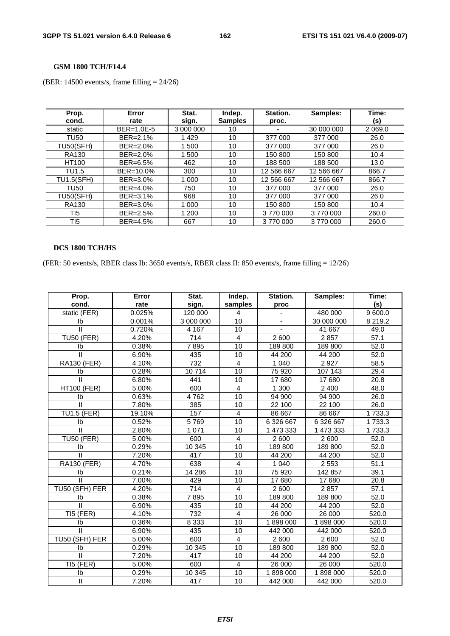**GSM 1800 TCH/F14.4** 

(BER: 14500 events/s, frame filling = 24/26)

| Prop.<br>cond.    | Error<br>rate | Stat.<br>sign. | Indep.<br><b>Samples</b> | Station.<br>proc. | Samples:   | Time:<br>(s) |
|-------------------|---------------|----------------|--------------------------|-------------------|------------|--------------|
| static            | BER=1.0E-5    | 3 000 000      | 10                       |                   | 30 000 000 | 2 0 6 9 . 0  |
| <b>TU50</b>       | BER=2.1%      | 1429           | 10                       | 377 000           | 377 000    | 26.0         |
| <b>TU50(SFH)</b>  | BER=2.0%      | 1500           | 10                       | 377 000           | 377 000    | 26.0         |
| <b>RA130</b>      | BER=2.0%      | 1 500          | 10                       | 150 800           | 150 800    | 10.4         |
| HT100             | BER=6.5%      | 462            | 10                       | 188 500           | 188 500    | 13.0         |
| TU1.5             | BER=10.0%     | 300            | 10                       | 12 566 667        | 12 566 667 | 866.7        |
| <b>TU1.5(SFH)</b> | BER=3.0%      | 1 0 0 0        | 10                       | 12 566 667        | 12 566 667 | 866.7        |
| <b>TU50</b>       | BER=4.0%      | 750            | 10                       | 377 000           | 377 000    | 26.0         |
| <b>TU50(SFH)</b>  | BER=3.1%      | 968            | 10                       | 377 000           | 377 000    | 26.0         |
| <b>RA130</b>      | BER=3.0%      | 1 000          | 10                       | 150 800           | 150 800    | 10.4         |
| T <sub>15</sub>   | BER=2.5%      | 1 200          | 10                       | 3770000           | 3770000    | 260.0        |
| TI5               | BER=4.5%      | 667            | 10                       | 3770000           | 3770000    | 260.0        |

### **DCS 1800 TCH/HS**

(FER: 50 events/s, RBER class Ib: 3650 events/s, RBER class II: 850 events/s, frame filling = 12/26)

| Prop.                      | Error  | Stat.            | Indep.                  | Station.       | Samples:   | Time:             |
|----------------------------|--------|------------------|-------------------------|----------------|------------|-------------------|
| cond.                      | rate   | sign.            | samples                 | proc           |            | (s)               |
| static (FER)               | 0.025% | 120 000          | 4                       |                | 480 000    | 9 600.0           |
| Ib                         | 0.001% | 3 000 000        | 10                      | $\blacksquare$ | 30 000 000 | 8 2 1 9 . 2       |
| $\mathbf{H}$               | 0.720% | 4 1 6 7          | 10                      |                | 41 667     | 49.0              |
| <b>TU50 (FER)</b>          | 4.20%  | $\overline{714}$ | $\overline{4}$          | 2 600          | 2857       | $\overline{57.1}$ |
| Ib                         | 0.38%  | 7895             | 10                      | 189 800        | 189 800    | 52.0              |
| Ш                          | 6.90%  | 435              | 10                      | 44 200         | 44 200     | 52.0              |
| <b>RA130 (FER)</b>         | 4.10%  | 732              | 4                       | 1 0 4 0        | 2 9 2 7    | 58.5              |
| Ib                         | 0.28%  | 10714            | 10                      | 75 920         | 107 143    | 29.4              |
|                            | 6.80%  | 441              | 10                      | 17 680         | 17 680     | 20.8              |
| <b>HT100 (FER)</b>         | 5.00%  | 600              | 4                       | 1 300          | 2 4 0 0    | 48.0              |
| Ib                         | 0.63%  | 4762             | 10                      | 94 900         | 94 900     | 26.0              |
| $\mathbf{I}$               | 7.80%  | 385              | 10                      | 22 100         | 22 100     | 26.0              |
| <b>TU1.5 (FER)</b>         | 19.10% | 157              | $\overline{4}$          | 86 667         | 86 667     | 1733.3            |
| Ib                         | 0.52%  | 5769             | 10                      | 6 326 667      | 6 326 667  | 1733.3            |
| $\mathbf{H}$               | 2.80%  | 1 0 7 1          | 10                      | 1 473 333      | 1 473 333  | 1733.3            |
| <b>TU50 (FER)</b>          | 5.00%  | 600              | $\overline{4}$          | 2600           | 2 600      | 52.0              |
| Ib                         | 0.29%  | 10 345           | 10                      | 189 800        | 189 800    | 52.0              |
| $\mathbf{H}$               | 7.20%  | 417              | 10                      | 44 200         | 44 200     | 52.0              |
| <b>RA130 (FER)</b>         | 4.70%  | 638              | 4                       | 1 0 4 0        | 2 5 5 3    | 51.1              |
| Ib                         | 0.21%  | 14 28 6          | 10                      | 75 920         | 142 857    | 39.1              |
| $\mathbf{II}$              | 7.00%  | 429              | 10                      | 17 680         | 17 680     | 20.8              |
| TU50 (SFH) FER             | 4.20%  | 714              | 4                       | 2 600          | 2857       | 57.1              |
| Ib                         | 0.38%  | 7895             | 10                      | 189 800        | 189 800    | 52.0              |
| П                          | 6.90%  | 435              | 10                      | 44 200         | 44 200     | 52.0              |
| TI5 (FER)                  | 4.10%  | 732              | $\overline{\mathbf{4}}$ | 26 000         | 26 000     | 520.0             |
| Ib                         | 0.36%  | 8 3 3 3          | 10                      | 1898000        | 1898000    | 520.0             |
| $\mathbf{I}$               | 6.90%  | 435              | 10                      | 442 000        | 442 000    | 520.0             |
| TU50 (SFH) FER             | 5.00%  | 600              | $\overline{\mathbf{4}}$ | 2 600          | 2600       | 52.0              |
| Ib                         | 0.29%  | 10 345           | 10                      | 189 800        | 189 800    | 52.0              |
| $\mathbf{I}$               | 7.20%  | 417              | 10                      | 44 200         | 44 200     | 52.0              |
| $T15$ (FER)                | 5.00%  | 600              | 4                       | 26 000         | 26 000     | 520.0             |
| Ib                         | 0.29%  | 10 345           | 10                      | 1898000        | 1898000    | 520.0             |
| $\ensuremath{\mathsf{II}}$ | 7.20%  | 417              | 10                      | 442 000        | 442 000    | 520.0             |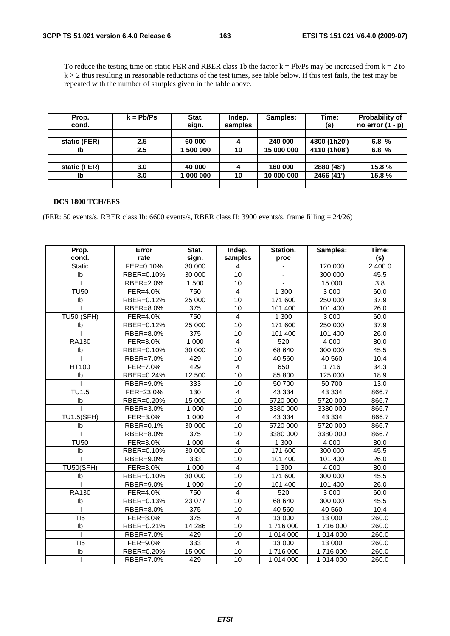To reduce the testing time on static FER and RBER class 1b the factor  $k = Pb/Ps$  may be increased from  $k = 2$  to  $k > 2$  thus resulting in reasonable reductions of the test times, see table below. If this test fails, the test may be repeated with the number of samples given in the table above.

| Prop.        | $k = Pb/Ps$ | Stat.   | Indep.  | Samples:   | Time:        | <b>Probability of</b> |
|--------------|-------------|---------|---------|------------|--------------|-----------------------|
| cond.        |             | sign.   | samples |            | (s)          | no error $(1 - p)$    |
|              |             |         |         |            |              |                       |
| static (FER) | $2.5\,$     | 60 000  |         | 240 000    | 4800 (1h20') | 6.8%                  |
| Ib           | $2.5\,$     | 500 000 | 10      | 15 000 000 | 4110 (1h08') | 6.8 $%$               |
|              |             |         |         |            |              |                       |
| static (FER) | 3.0         | 40 000  |         | 160 000    | 2880 (48')   | 15.8 %                |
| Ib           | 3.0         | 000 000 | 10      | 10 000 000 | 2466 (41')   | 15.8%                 |
|              |             |         |         |            |              |                       |

#### **DCS 1800 TCH/EFS**

(FER: 50 events/s, RBER class Ib: 6600 events/s, RBER class II: 3900 events/s, frame filling = 24/26)

| Prop.                      | Error      | Stat.            | Indep.                  | Station.  | Samples:  | Time:            |
|----------------------------|------------|------------------|-------------------------|-----------|-----------|------------------|
| cond.                      | rate       | sign.            | samples                 | proc      |           | (s)              |
| <b>Static</b>              | FER=0.10%  | 30 000           | 4                       |           | 120 000   | 2 400.0          |
| Ib                         | RBER=0.10% | 30 000           | 10                      |           | 300 000   | 45.5             |
| $\mathsf{II}$              | RBER=2.0%  | 1500             | $\overline{10}$         | L.        | 15 000    | $\overline{3.8}$ |
| <b>TU50</b>                | FER=4.0%   | 750              | $\overline{4}$          | 1 300     | 3 0 0 0   | 60.0             |
| Ib                         | RBER=0.12% | 25 000           | 10                      | 171 600   | 250 000   | 37.9             |
| $\mathsf{II}$              | RBER=8.0%  | 375              | 10                      | 101 400   | 101 400   | 26.0             |
| <b>TU50 (SFH)</b>          | FER=4.0%   | 750              | $\overline{\mathbf{4}}$ | 1 300     | 3 0 0 0   | 60.0             |
| Ib                         | RBER=0.12% | 25 000           | 10                      | 171 600   | 250 000   | 37.9             |
| $\mathbf{H}$               | RBER=8.0%  | $\overline{375}$ | 10                      | 101 400   | 101 400   | 26.0             |
| RA130                      | FER=3.0%   | 1 0 0 0          | $\overline{4}$          | 520       | 4 0 0 0   | 80.0             |
| Ib                         | RBER=0.10% | 30 000           | 10                      | 68 640    | 300 000   | 45.5             |
| $\mathsf{I}\mathsf{I}$     | RBER=7.0%  | 429              | 10                      | 40 560    | 40 560    | 10.4             |
| <b>HT100</b>               | FER=7.0%   | 429              | $\overline{\mathbf{4}}$ | 650       | 1716      | 34.3             |
| Ib                         | RBER=0.24% | 12 500           | $\overline{10}$         | 85 800    | 125 000   | 18.9             |
| $\mathbf{I}$               | RBER=9.0%  | 333              | 10                      | 50 700    | 50 700    | 13.0             |
| TU1.5                      | FER=23.0%  | 130              | $\overline{\mathbf{4}}$ | 43 334    | 43 334    | 866.7            |
| Ib                         | RBER=0.20% | 15 000           | 10                      | 5720 000  | 5720 000  | 866.7            |
| $\mathbf{I}$               | RBER=3.0%  | 1 0 0 0          | 10                      | 3380 000  | 3380 000  | 866.7            |
| <b>TU1.5(SFH)</b>          | FER=3.0%   | 1 0 0 0          | $\overline{\mathbf{4}}$ | 43 334    | 43 334    | 866.7            |
| Ib                         | RBER=0.1%  | 30 000           | 10                      | 5720 000  | 5720 000  | 866.7            |
| $\mathbf{H}$               | RBER=8.0%  | 375              | 10                      | 3380 000  | 3380 000  | 866.7            |
| <b>TU50</b>                | FER=3.0%   | 1 0 0 0          | $\overline{4}$          | 1 300     | 4 0 0 0   | 80.0             |
| Ib                         | RBER=0.10% | 30 000           | 10                      | 171 600   | 300 000   | 45.5             |
| Ш                          | RBER=9.0%  | 333              | $\overline{10}$         | 101 400   | 101 400   | 26.0             |
| <b>TU50(SFH)</b>           | FER=3.0%   | 1 0 0 0          | $\overline{4}$          | 1 300     | 4 0 0 0   | 80.0             |
| Ib                         | RBER=0.10% | 30 000           | 10                      | 171 600   | 300 000   | 45.5             |
| $\mathbf{H}$               | RBER=9.0%  | 1 0 0 0          | 10                      | 101 400   | 101 400   | 26.0             |
| RA130                      | FER=4.0%   | 750              | $\overline{4}$          | 520       | 3 0 0 0   | 60.0             |
| Ib                         | RBER=0.13% | 23 077           | 10                      | 68 640    | 300 000   | 45.5             |
| $\mathbf{I}$               | RBER=8.0%  | 375              | 10                      | 40 560    | 40 560    | 10.4             |
| T <sub>I5</sub>            | FER=8.0%   | 375              | $\overline{4}$          | 13 000    | 13 000    | 260.0            |
| Ib                         | RBER=0.21% | 14 28 6          | 10                      | 1716 000  | 1716000   | 260.0            |
| $\mathop{\rm II}\nolimits$ | RBER=7.0%  | 429              | 10                      | 1 014 000 | 1 014 000 | 260.0            |
| TI <sub>5</sub>            | FER=9.0%   | $\overline{333}$ | $\overline{4}$          | 13 000    | 13 000    | 260.0            |
| Ib                         | RBER=0.20% | 15 000           | 10                      | 1716000   | 1716000   | 260.0            |
| $\mathsf{I}\mathsf{I}$     | RBER=7.0%  | 429              | 10                      | 1 014 000 | 1 014 000 | 260.0            |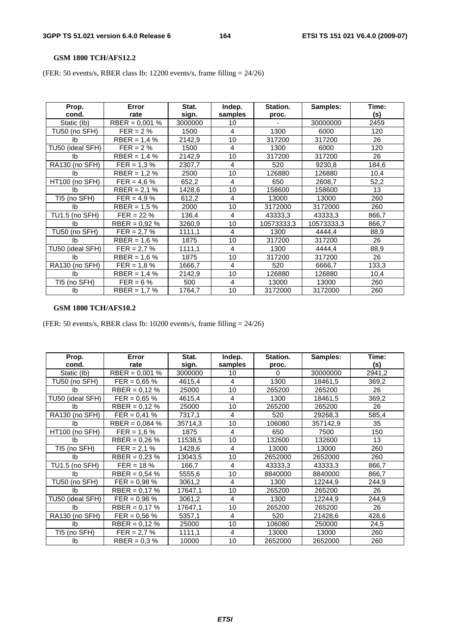#### **GSM 1800 TCH/AFS12.2**

(FER: 50 events/s, RBER class Ib: 12200 events/s, frame filling = 24/26)

| Prop.<br>cond.   | Error<br>rate              | Stat.<br>sign. | Indep.<br>samples | Station.<br>proc. | Samples:   | Time:<br>(s) |
|------------------|----------------------------|----------------|-------------------|-------------------|------------|--------------|
| Static (lb)      | RBER = $0.001$ %           | 3000000        | 10                |                   | 30000000   | 2459         |
| TU50 (no SFH)    | $FER = 2 \%$               | 1500           | $\overline{4}$    | 1300              | 6000       | 120          |
| lb.              | $RBER = 1,4%$              | 2142,9         | 10                | 317200            | 317200     | 26           |
| TU50 (ideal SFH) | $FER = 2%$                 | 1500           | 4                 | 1300              | 6000       | 120          |
| Ib               | $RBER = 1.4 %$             | 2142,9         | 10                | 317200            | 317200     | 26           |
| RA130 (no SFH)   | $FER = 1,3%$               | 2307,7         | 4                 | 520               | 9230,8     | 184,6        |
| Ib               | $\overline{R}$ BER = 1,2 % | 2500           | 10                | 126880            | 126880     | 10,4         |
| HT100 (no SFH)   | $FER = 4.6 \%$             | 652,2          | 4                 | 650               | 2608,7     | 52,2         |
| Ib               | $RBER = 2,1%$              | 1428,6         | 10                | 158600            | 158600     | 13           |
| TI5 (no SFH)     | $FER = 4.9 \%$             | 612,2          | 4                 | 13000             | 13000      | 260          |
| Ib               | RBER = $1,5%$              | 2000           | 10                | 3172000           | 3172000    | 260          |
| TU1.5 (no SFH)   | $FER = 22 \%$              | 136,4          | $\overline{4}$    | 43333,3           | 43333,3    | 866,7        |
| Ib               | RBER = $0,92\%$            | 3260,9         | 10                | 10573333,3        | 10573333,3 | 866,7        |
| TU50 (no SFH)    | $FER = 2.7 %$              | 1111,1         | 4                 | 1300              | 4444.4     | 88,9         |
| Ib               | RBER = $1,6%$              | 1875           | 10                | 317200            | 317200     | 26           |
| TU50 (ideal SFH) | $FER = 2.7 %$              | 1111,1         | 4                 | 1300              | 4444,4     | 88,9         |
| Ib               | RBER = $1.6\%$             | 1875           | 10                | 317200            | 317200     | 26           |
| RA130 (no SFH)   | $FER = 1.8 \%$             | 1666,7         | 4                 | 520               | 6666,7     | 133,3        |
| Ib               | $RBER = 1,4%$              | 2142,9         | 10                | 126880            | 126880     | 10,4         |
| TI5 (no SFH)     | $FER = 6 \%$               | 500            | 4                 | 13000             | 13000      | 260          |
| Ib               | $RBER = 1.7 %$             | 1764,7         | 10                | 3172000           | 3172000    | 260          |

### **GSM 1800 TCH/AFS10.2**

(FER: 50 events/s, RBER class Ib: 10200 events/s, frame filling = 24/26)

| Prop.<br>cond.   | Error<br>rate    | Stat.<br>sign. | Indep.<br>samples | Station.<br>proc. | Samples: | Time:<br>(s) |
|------------------|------------------|----------------|-------------------|-------------------|----------|--------------|
| Static (lb)      | RBER = $0.001\%$ | 3000000        | 10                | $\Omega$          | 30000000 | 2941,2       |
| TU50 (no SFH)    | $FER = 0.65 \%$  | 4615,4         | 4                 | 1300              | 18461,5  | 369,2        |
| lb               | $RBER = 0,12%$   | 25000          | 10                | 265200            | 265200   | 26           |
| TU50 (ideal SFH) | $FER = 0.65 \%$  | 4615,4         | 4                 | 1300              | 18461,5  | 369,2        |
| lb.              | RBER = $0.12\%$  | 25000          | 10                | 265200            | 265200   | 26           |
| RA130 (no SFH)   | $FER = 0.41 \%$  | 7317,1         | 4                 | 520               | 29268,3  | 585,4        |
| Ib               | RBER = $0,084\%$ | 35714,3        | 10                | 106080            | 357142,9 | 35           |
| HT100 (no SFH)   | $FER = 1.6 %$    | 1875           | 4                 | 650               | 7500     | 150          |
| Ib               | RBER = $0.26\%$  | 11538,5        | 10                | 132600            | 132600   | 13           |
| TI5 (no SFH)     | $FER = 2.1 %$    | 1428,6         | 4                 | 13000             | 13000    | 260          |
| Ib               | $RBER = 0,23%$   | 13043,5        | 10                | 2652000           | 2652000  | 260          |
| TU1.5 (no SFH)   | $FER = 18 \%$    | 166,7          | $\overline{4}$    | 43333,3           | 43333,3  | 866,7        |
| Ib               | RBER = $0,54$ %  | 5555,6         | 10                | 8840000           | 8840000  | 866,7        |
| TU50 (no SFH)    | $FER = 0.98 %$   | 3061,2         | 4                 | 1300              | 12244,9  | 244,9        |
| Ib               | $RBER = 0,17%$   | 17647,1        | 10                | 265200            | 265200   | 26           |
| TU50 (ideal SFH) | $FER = 0.98 %$   | 3061,2         | 4                 | 1300              | 12244,9  | 244,9        |
| Ib               | RBER = $0,17%$   | 17647,1        | 10                | 265200            | 265200   | 26           |
| RA130 (no SFH)   | $FER = 0.56 %$   | 5357,1         | 4                 | 520               | 21428,6  | 428,6        |
| Ib               | $RBER = 0,12%$   | 25000          | 10                | 106080            | 250000   | 24,5         |
| TI5 (no SFH)     | $FER = 2.7 %$    | 1111,1         | 4                 | 13000             | 13000    | 260          |
| Ib               | RBER = $0.3 \%$  | 10000          | 10                | 2652000           | 2652000  | 260          |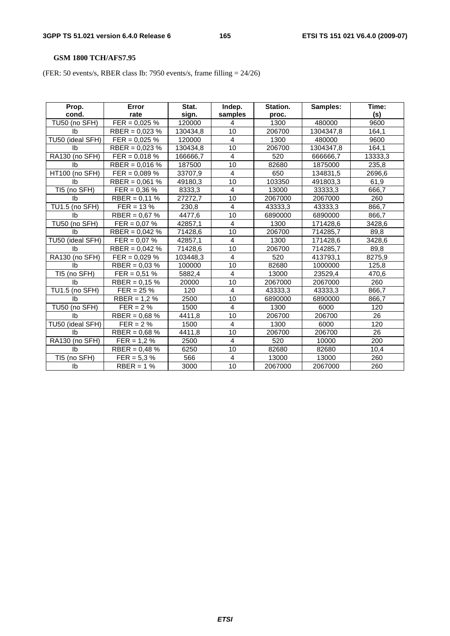# **GSM 1800 TCH/AFS7.95**

(FER: 50 events/s, RBER class Ib: 7950 events/s, frame filling = 24/26)

| Prop.            | Error            | Stat.    | Indep.          | Station. | Samples:  | Time:   |
|------------------|------------------|----------|-----------------|----------|-----------|---------|
| cond.            | rate             | sign.    | samples         | proc.    |           | (s)     |
| TU50 (no SFH)    | $FER = 0,025 %$  | 120000   | 4               | 1300     | 480000    | 9600    |
| Ib               | RBER = $0,023%$  | 130434,8 | 10              | 206700   | 1304347,8 | 164,1   |
| TU50 (ideal SFH) | $FER = 0,025 \%$ | 120000   | $\overline{4}$  | 1300     | 480000    | 9600    |
| <b>lb</b>        | RBER = $0,023%$  | 130434,8 | 10              | 206700   | 1304347,8 | 164,1   |
| RA130 (no SFH)   | $FER = 0,018 \%$ | 166666,7 | 4               | 520      | 666666,7  | 13333,3 |
| lb.              | RBER = $0,016\%$ | 187500   | 10              | 82680    | 1875000   | 235,8   |
| HT100 (no SFH)   | $FER = 0.089 %$  | 33707,9  | 4               | 650      | 134831,5  | 2696,6  |
| Ib               | RBER = $0,061$ % | 49180,3  | 10              | 103350   | 491803,3  | 61,9    |
| TI5 (no SFH)     | $FER = 0.36 \%$  | 8333,3   | 4               | 13000    | 33333,3   | 666,7   |
| <b>lb</b>        | RBER = $0,11%$   | 27272,7  | 10              | 2067000  | 2067000   | 260     |
| TU1.5 (no SFH)   | $FER = 13 %$     | 230,8    | 4               | 43333,3  | 43333,3   | 866,7   |
| Ib               | RBER = $0,67%$   | 4477,6   | 10              | 6890000  | 6890000   | 866,7   |
| TU50 (no SFH)    | $FER = 0.07 \%$  | 42857,1  | $\overline{4}$  | 1300     | 171428,6  | 3428,6  |
| Ib               | RBER = $0,042\%$ | 71428,6  | 10              | 206700   | 714285,7  | 89,8    |
| TU50 (ideal SFH) | $FER = 0.07 %$   | 42857,1  | 4               | 1300     | 171428,6  | 3428,6  |
| lb.              | RBER = $0.042\%$ | 71428,6  | 10              | 206700   | 714285,7  | 89,8    |
| RA130 (no SFH)   | $FER = 0,029 %$  | 103448,3 | 4               | 520      | 413793,1  | 8275,9  |
| lb.              | RBER = $0,03%$   | 100000   | 10              | 82680    | 1000000   | 125,8   |
| TI5 (no SFH)     | $FER = 0.51 %$   | 5882,4   | 4               | 13000    | 23529,4   | 470,6   |
| Ib               | RBER = $0,15%$   | 20000    | 10              | 2067000  | 2067000   | 260     |
| TU1.5 (no SFH)   | $FER = 25 \%$    | 120      | 4               | 43333,3  | 43333,3   | 866,7   |
| lb.              | $RBER = 1,2%$    | 2500     | $\overline{10}$ | 6890000  | 6890000   | 866,7   |
| TU50 (no SFH)    | $FER = 2%$       | 1500     | 4               | 1300     | 6000      | 120     |
| <b>Ib</b>        | RBER = $0,68%$   | 4411,8   | 10              | 206700   | 206700    | 26      |
| TU50 (ideal SFH) | $FER = 2%$       | 1500     | $\overline{4}$  | 1300     | 6000      | 120     |
| Ib               | $RBER = 0,68%$   | 4411.8   | 10              | 206700   | 206700    | 26      |
| RA130 (no SFH)   | $FER = 1.2 \%$   | 2500     | $\overline{4}$  | 520      | 10000     | 200     |
| Ib               | RBER = $0,48%$   | 6250     | 10              | 82680    | 82680     | 10,4    |
| TI5 (no SFH)     | $FER = 5.3 \%$   | 566      | 4               | 13000    | 13000     | 260     |
| Ib               | $RBER = 1%$      | 3000     | 10              | 2067000  | 2067000   | 260     |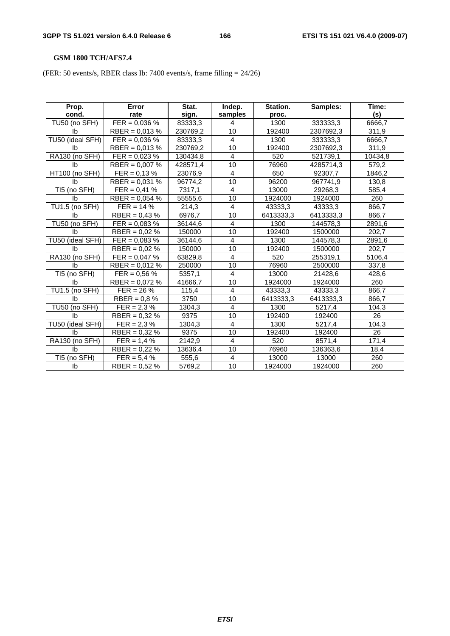# **GSM 1800 TCH/AFS7.4**

(FER: 50 events/s, RBER class Ib: 7400 events/s, frame filling = 24/26)

| Prop.            | Error            | Stat.    | Indep.                  | Station.  | Samples:  | Time:   |
|------------------|------------------|----------|-------------------------|-----------|-----------|---------|
| cond.            | rate             | sign.    | samples                 | proc.     |           | (s)     |
| TU50 (no SFH)    | $FER = 0,036 %$  | 83333,3  | 4                       | 1300      | 333333,3  | 6666,7  |
| Ib               | RBER = $0,013%$  | 230769,2 | 10                      | 192400    | 2307692,3 | 311,9   |
| TU50 (ideal SFH) | $FER = 0.036 %$  | 83333,3  | $\overline{4}$          | 1300      | 333333,3  | 6666,7  |
| <b>lb</b>        | RBER = $0,013%$  | 230769,2 | 10                      | 192400    | 2307692,3 | 311,9   |
| RA130 (no SFH)   | $FER = 0,023 %$  | 130434,8 | 4                       | 520       | 521739,1  | 10434,8 |
| Ib               | RBER = $0,007$ % | 428571,4 | 10                      | 76960     | 4285714,3 | 579,2   |
| HT100 (no SFH)   | $FER = 0.13 %$   | 23076,9  | $\overline{4}$          | 650       | 92307,7   | 1846,2  |
| Ib               | RBER = $0,031\%$ | 96774,2  | 10                      | 96200     | 967741,9  | 130,8   |
| TI5 (no SFH)     | $FER = 0.41 %$   | 7317,1   | 4                       | 13000     | 29268,3   | 585,4   |
| Ib               | RBER = $0,054$ % | 55555,6  | 10                      | 1924000   | 1924000   | 260     |
| TU1.5 (no SFH)   | $FER = 14 \%$    | 214,3    | 4                       | 43333,3   | 43333,3   | 866,7   |
| Ib               | RBER = $0,43%$   | 6976,7   | 10                      | 6413333,3 | 6413333,3 | 866,7   |
| TU50 (no SFH)    | $FER = 0.083 %$  | 36144,6  | $\overline{\mathbf{4}}$ | 1300      | 144578,3  | 2891,6  |
| Ib               | RBER = $0.02\%$  | 150000   | 10                      | 192400    | 1500000   | 202,7   |
| TU50 (ideal SFH) | $FER = 0,083 %$  | 36144,6  | $\overline{4}$          | 1300      | 144578,3  | 2891,6  |
| lb.              | RBER = $0.02\%$  | 150000   | 10                      | 192400    | 1500000   | 202,7   |
| RA130 (no SFH)   | $FER = 0.047 %$  | 63829,8  | 4                       | 520       | 255319,1  | 5106,4  |
| Ib               | $RBER = 0,012%$  | 250000   | 10                      | 76960     | 2500000   | 337,8   |
| TI5 (no SFH)     | $FER = 0.56 %$   | 5357,1   | 4                       | 13000     | 21428,6   | 428,6   |
| <b>lb</b>        | RBER = $0,072%$  | 41666,7  | 10                      | 1924000   | 1924000   | 260     |
| TU1.5 (no SFH)   | $FER = 26 \%$    | 115,4    | $\overline{4}$          | 43333,3   | 43333,3   | 866,7   |
| lb.              | RBER = $0,8%$    | 3750     | 10                      | 6413333,3 | 6413333,3 | 866,7   |
| TU50 (no SFH)    | $FER = 2.3 %$    | 1304,3   | 4                       | 1300      | 5217,4    | 104,3   |
| Ib               | $RBER = 0,32%$   | 9375     | 10                      | 192400    | 192400    | 26      |
| TU50 (ideal SFH) | $FER = 2.3 %$    | 1304,3   | $\overline{4}$          | 1300      | 5217,4    | 104,3   |
| Ib               | RBER = $0.32\%$  | 9375     | 10                      | 192400    | 192400    | 26      |
| RA130 (no SFH)   | $FER = 1,4%$     | 2142,9   | $\overline{4}$          | 520       | 8571,4    | 171,4   |
| Ib               | $RBER = 0,22%$   | 13636,4  | 10                      | 76960     | 136363,6  | 18,4    |
| TI5 (no SFH)     | $FER = 5,4%$     | 555,6    | 4                       | 13000     | 13000     | 260     |
| Ib               | RBER = $0,52%$   | 5769,2   | 10                      | 1924000   | 1924000   | 260     |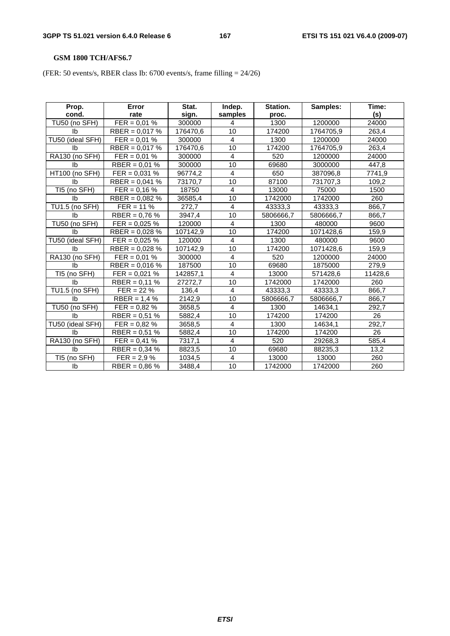# **GSM 1800 TCH/AFS6.7**

(FER: 50 events/s, RBER class Ib: 6700 events/s, frame filling = 24/26)

| Prop.            | Error            | Stat.    | Indep.                  | Station.  | Samples:  | Time:   |
|------------------|------------------|----------|-------------------------|-----------|-----------|---------|
| cond.            | rate             | sign.    | samples                 | proc.     |           | (s)     |
| TU50 (no SFH)    | $FER = 0.01 %$   | 300000   | 4                       | 1300      | 1200000   | 24000   |
| Ib               | RBER = $0,017%$  | 176470,6 | 10                      | 174200    | 1764705,9 | 263,4   |
| TU50 (ideal SFH) | $FER = 0.01 %$   | 300000   | $\overline{4}$          | 1300      | 1200000   | 24000   |
| Ib               | RBER = $0.017\%$ | 176470,6 | $\overline{10}$         | 174200    | 1764705,9 | 263,4   |
| RA130 (no SFH)   | $FER = 0.01 %$   | 300000   | 4                       | 520       | 1200000   | 24000   |
| Ib               | $RBER = 0.01 %$  | 300000   | 10                      | 69680     | 3000000   | 447,8   |
| HT100 (no SFH)   | $FER = 0,031 %$  | 96774,2  | $\overline{4}$          | 650       | 387096,8  | 7741,9  |
| Ib               | RBER = $0,041%$  | 73170,7  | 10                      | 87100     | 731707,3  | 109,2   |
| TI5 (no SFH)     | $FER = 0.16 %$   | 18750    | $\overline{4}$          | 13000     | 75000     | 1500    |
| Ib               | RBER = $0,082\%$ | 36585,4  | 10                      | 1742000   | 1742000   | 260     |
| TU1.5 (no SFH)   | $FER = 11 \%$    | 272.7    | 4                       | 43333,3   | 43333,3   | 866,7   |
| Ib               | RBER = $0,76%$   | 3947,4   | 10                      | 5806666,7 | 5806666,7 | 866,7   |
| TU50 (no SFH)    | $FER = 0,025 \%$ | 120000   | $\overline{4}$          | 1300      | 480000    | 9600    |
| <b>lb</b>        | RBER = $0,028%$  | 107142,9 | 10                      | 174200    | 1071428,6 | 159,9   |
| TU50 (ideal SFH) | $FER = 0,025 \%$ | 120000   | $\overline{4}$          | 1300      | 480000    | 9600    |
| Ib               | RBER = $0,028%$  | 107142,9 | 10                      | 174200    | 1071428,6 | 159,9   |
| RA130 (no SFH)   | $FER = 0.01 %$   | 300000   | 4                       | 520       | 1200000   | 24000   |
| Ib               | RBER = $0,016%$  | 187500   | 10                      | 69680     | 1875000   | 279,9   |
| TI5 (no SFH)     | $FER = 0.021 %$  | 142857,1 | $\overline{4}$          | 13000     | 571428,6  | 11428,6 |
| Ib               | RBER = $0.11\%$  | 27272,7  | 10                      | 1742000   | 1742000   | 260     |
| TU1.5 (no SFH)   | $FER = 22 \%$    | 136,4    | $\overline{\mathbf{4}}$ | 43333,3   | 43333,3   | 866,7   |
| lb.              | $RBER = 1,4%$    | 2142,9   | 10                      | 5806666,7 | 5806666,7 | 866,7   |
| TU50 (no SFH)    | $FER = 0.82 \%$  | 3658,5   | $\overline{4}$          | 1300      | 14634,1   | 292,7   |
| Ib               | RBER = $0,51%$   | 5882,4   | 10                      | 174200    | 174200    | 26      |
| TU50 (ideal SFH) | $FER = 0,82%$    | 3658,5   | $\overline{4}$          | 1300      | 14634,1   | 292,7   |
| Ib               | $RBER = 0.51 %$  | 5882,4   | 10                      | 174200    | 174200    | 26      |
| RA130 (no SFH)   | $FER = 0,41%$    | 7317,1   | $\overline{4}$          | 520       | 29268,3   | 585,4   |
| Ib               | RBER = $0,34%$   | 8823,5   | 10                      | 69680     | 88235,3   | 13,2    |
| TI5 (no SFH)     | $FER = 2.9 \%$   | 1034,5   | 4                       | 13000     | 13000     | 260     |
| Ib               | RBER = $0,86\%$  | 3488,4   | 10                      | 1742000   | 1742000   | 260     |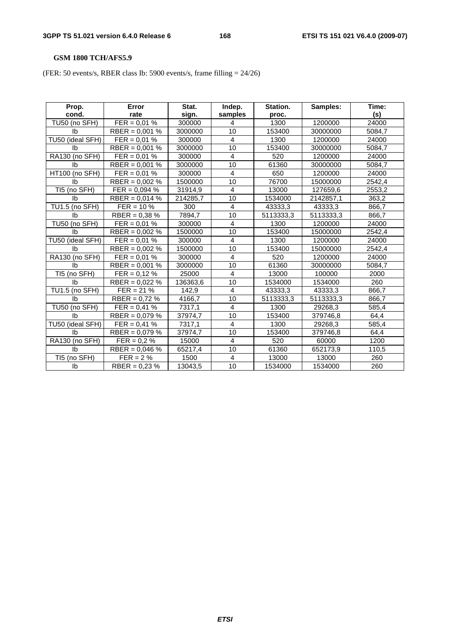# **GSM 1800 TCH/AFS5.9**

(FER: 50 events/s, RBER class Ib: 5900 events/s, frame filling = 24/26)

| Prop.            | Error            | Stat.    | Indep.                  | Station.  | Samples:  | Time:  |
|------------------|------------------|----------|-------------------------|-----------|-----------|--------|
| cond.            | rate             | sign.    | samples                 | proc.     |           | (s)    |
| TU50 (no SFH)    | $FER = 0.01 %$   | 300000   | 4                       | 1300      | 1200000   | 24000  |
| Ib               | RBER = $0,001\%$ | 3000000  | 10                      | 153400    | 30000000  | 5084,7 |
| TU50 (ideal SFH) | $FER = 0.01 %$   | 300000   | $\overline{4}$          | 1300      | 1200000   | 24000  |
| Ib               | RBER = $0,001$ % | 3000000  | 10                      | 153400    | 30000000  | 5084,7 |
| RA130 (no SFH)   | $FER = 0.01 %$   | 300000   | 4                       | 520       | 1200000   | 24000  |
| Ib               | RBER = $0,001\%$ | 3000000  | 10                      | 61360     | 30000000  | 5084.7 |
| HT100 (no SFH)   | $FER = 0.01 %$   | 300000   | $\overline{4}$          | 650       | 1200000   | 24000  |
| Ib               | RBER = $0,002\%$ | 1500000  | 10                      | 76700     | 15000000  | 2542,4 |
| TI5 (no SFH)     | $FER = 0,094 %$  | 31914,9  | $\overline{4}$          | 13000     | 127659,6  | 2553,2 |
| Ib               | RBER = $0,014$ % | 214285,7 | 10                      | 1534000   | 2142857,1 | 363,2  |
| TU1.5 (no SFH)   | $FER = 10 \%$    | 300      | $\overline{4}$          | 43333,3   | 43333,3   | 866,7  |
| Ib               | RBER = $0,38\%$  | 7894,7   | 10                      | 5113333,3 | 5113333,3 | 866,7  |
| TU50 (no SFH)    | $FER = 0.01 %$   | 300000   | $\overline{4}$          | 1300      | 1200000   | 24000  |
| <b>lb</b>        | RBER = $0.002\%$ | 1500000  | 10                      | 153400    | 15000000  | 2542,4 |
| TU50 (ideal SFH) | $FER = 0.01 %$   | 300000   | $\overline{4}$          | 1300      | 1200000   | 24000  |
| Ib               | $RBER = 0,002 %$ | 1500000  | 10                      | 153400    | 15000000  | 2542,4 |
| RA130 (no SFH)   | $FER = 0.01 %$   | 300000   | 4                       | 520       | 1200000   | 24000  |
| Ib               | RBER = $0,001$ % | 3000000  | 10                      | 61360     | 30000000  | 5084,7 |
| TI5 (no SFH)     | $FER = 0,12%$    | 25000    | $\overline{4}$          | 13000     | 100000    | 2000   |
| Ib               | RBER = $0.022\%$ | 136363,6 | 10                      | 1534000   | 1534000   | 260    |
| TU1.5 (no SFH)   | $FER = 21 \%$    | 142,9    | $\overline{\mathbf{4}}$ | 43333,3   | 43333,3   | 866,7  |
| lb.              | RBER = $0,72%$   | 4166,7   | 10                      | 5113333,3 | 5113333,3 | 866,7  |
| TU50 (no SFH)    | $FER = 0.41 \%$  | 7317,1   | $\overline{4}$          | 1300      | 29268,3   | 585,4  |
| Ib               | RBER = $0,079\%$ | 37974,7  | 10                      | 153400    | 379746,8  | 64,4   |
| TU50 (ideal SFH) | $FER = 0,41%$    | 7317,1   | $\overline{4}$          | 1300      | 29268,3   | 585,4  |
| Ib               | RBER = $0,079%$  | 37974,7  | 10                      | 153400    | 379746,8  | 64,4   |
| RA130 (no SFH)   | $FER = 0.2 \%$   | 15000    | $\overline{4}$          | 520       | 60000     | 1200   |
| Ib               | RBER = $0,046%$  | 65217,4  | 10                      | 61360     | 652173,9  | 110,5  |
| TI5 (no SFH)     | $FER = 2%$       | 1500     | 4                       | 13000     | 13000     | 260    |
| Ib               | $RBER = 0.23 %$  | 13043,5  | 10                      | 1534000   | 1534000   | 260    |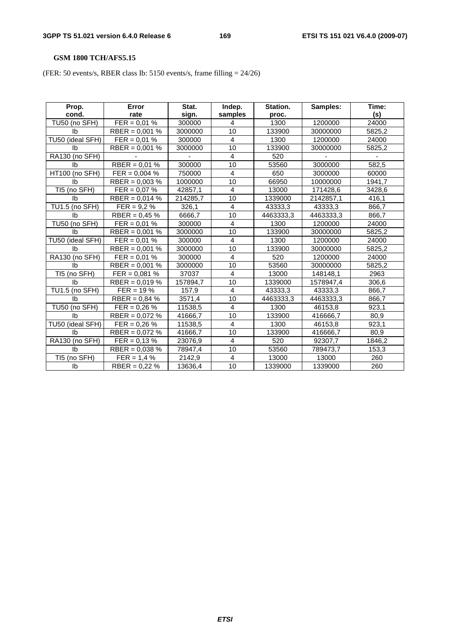# **GSM 1800 TCH/AFS5.15**

(FER: 50 events/s, RBER class Ib: 5150 events/s, frame filling = 24/26)

| Prop.            | Error            | Stat.    | Indep.         | Station.  | Samples:  | Time:  |
|------------------|------------------|----------|----------------|-----------|-----------|--------|
| cond.            | rate             | sign.    | samples        | proc.     |           | (s)    |
| TU50 (no SFH)    | $FER = 0.01 %$   | 300000   | 4              | 1300      | 1200000   | 24000  |
| Ib               | RBER = $0,001\%$ | 3000000  | 10             | 133900    | 30000000  | 5825,2 |
| TU50 (ideal SFH) | $FER = 0.01 %$   | 300000   | $\overline{4}$ | 1300      | 1200000   | 24000  |
| <b>lb</b>        | RBER = $0,001$ % | 3000000  | 10             | 133900    | 30000000  | 5825,2 |
| RA130 (no SFH)   |                  |          | 4              | 520       |           |        |
| Ib               | $RBER = 0.01 %$  | 300000   | 10             | 53560     | 3000000   | 582,5  |
| HT100 (no SFH)   | $FER = 0.004 %$  | 750000   | 4              | 650       | 3000000   | 60000  |
| Ib               | RBER = $0,003\%$ | 1000000  | 10             | 66950     | 10000000  | 1941,7 |
| TI5 (no SFH)     | $FER = 0.07 %$   | 42857,1  | 4              | 13000     | 171428,6  | 3428,6 |
| Ib               | RBER = $0,014$ % | 214285,7 | 10             | 1339000   | 2142857,1 | 416,1  |
| TU1.5 (no SFH)   | $FER = 9.2 \%$   | 326,1    | 4              | 43333,3   | 43333,3   | 866,7  |
| Ib               | RBER = $0,45%$   | 6666,7   | 10             | 4463333,3 | 4463333,3 | 866,7  |
| TU50 (no SFH)    | $FER = 0.01 %$   | 300000   | 4              | 1300      | 1200000   | 24000  |
| Ib               | RBER = $0,001\%$ | 3000000  | 10             | 133900    | 30000000  | 5825,2 |
| TU50 (ideal SFH) | $FER = 0.01 %$   | 300000   | $\overline{4}$ | 1300      | 1200000   | 24000  |
| Ib               | RBER = $0,001\%$ | 3000000  | 10             | 133900    | 30000000  | 5825,2 |
| RA130 (no SFH)   | $FER = 0.01 %$   | 300000   | 4              | 520       | 1200000   | 24000  |
| Ib               | RBER = $0,001$ % | 3000000  | 10             | 53560     | 30000000  | 5825,2 |
| TI5 (no SFH)     | $FER = 0,081 %$  | 37037    | 4              | 13000     | 148148,1  | 2963   |
| Ib               | RBER = $0,019%$  | 157894,7 | 10             | 1339000   | 1578947,4 | 306,6  |
| TU1.5 (no SFH)   | $FER = 19 \%$    | 157,9    | $\overline{4}$ | 43333,3   | 43333,3   | 866,7  |
| lb.              | RBER = $0,84$ %  | 3571,4   | 10             | 4463333,3 | 4463333,3 | 866,7  |
| TU50 (no SFH)    | $FER = 0,26 %$   | 11538,5  | $\overline{4}$ | 1300      | 46153,8   | 923,1  |
| Ib               | RBER = $0,072%$  | 41666,7  | 10             | 133900    | 416666,7  | 80,9   |
| TU50 (ideal SFH) | $FER = 0.26 \%$  | 11538,5  | $\overline{4}$ | 1300      | 46153,8   | 923,1  |
| Ib               | RBER = $0,072%$  | 41666,7  | 10             | 133900    | 416666,7  | 80,9   |
| RA130 (no SFH)   | $FER = 0.13 %$   | 23076,9  | $\overline{4}$ | 520       | 92307,7   | 1846,2 |
| Ib               | RBER = $0,038%$  | 78947,4  | 10             | 53560     | 789473,7  | 153,3  |
| TI5 (no SFH)     | $FER = 1,4%$     | 2142,9   | 4              | 13000     | 13000     | 260    |
| Ib               | $RBER = 0.22 %$  | 13636,4  | 10             | 1339000   | 1339000   | 260    |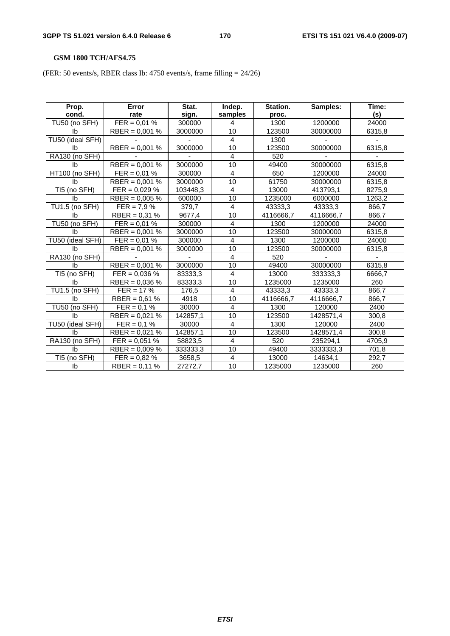# **GSM 1800 TCH/AFS4.75**

(FER: 50 events/s, RBER class Ib: 4750 events/s, frame filling = 24/26)

| Prop.            | Error            | Stat.    | Indep.         | Station.  | Samples:  | Time:  |
|------------------|------------------|----------|----------------|-----------|-----------|--------|
| cond.            | rate             | sign.    | samples        | proc.     |           | (s)    |
| TU50 (no SFH)    | $FER = 0.01 %$   | 300000   | 4              | 1300      | 1200000   | 24000  |
| Ib               | RBER = $0,001\%$ | 3000000  | 10             | 123500    | 30000000  | 6315,8 |
| TU50 (ideal SFH) |                  |          | $\overline{4}$ | 1300      |           |        |
| <b>lb</b>        | $RBER = 0,001 %$ | 3000000  | 10             | 123500    | 30000000  | 6315,8 |
| RA130 (no SFH)   |                  |          | 4              | 520       |           |        |
| Ib               | $RBER = 0,001 %$ | 3000000  | 10             | 49400     | 30000000  | 6315,8 |
| HT100 (no SFH)   | $FER = 0.01 %$   | 300000   | 4              | 650       | 1200000   | 24000  |
| Ib               | RBER = $0,001\%$ | 3000000  | 10             | 61750     | 30000000  | 6315,8 |
| TI5 (no SFH)     | $FER = 0.029 \%$ | 103448,3 | 4              | 13000     | 413793.1  | 8275,9 |
| Ib               | RBER = $0,005\%$ | 600000   | 10             | 1235000   | 6000000   | 1263,2 |
| TU1.5 (no SFH)   | $FER = 7.9 \%$   | 379,7    | 4              | 43333,3   | 43333,3   | 866,7  |
| Ib               | RBER = $0,31%$   | 9677,4   | 10             | 4116666,7 | 4116666,7 | 866,7  |
| TU50 (no SFH)    | $FER = 0.01 %$   | 300000   | 4              | 1300      | 1200000   | 24000  |
| Ib               | RBER = $0,001$ % | 3000000  | 10             | 123500    | 30000000  | 6315,8 |
| TU50 (ideal SFH) | $FER = 0.01 %$   | 300000   | $\overline{4}$ | 1300      | 1200000   | 24000  |
| Ib               | RBER = $0,001$ % | 3000000  | 10             | 123500    | 30000000  | 6315,8 |
| RA130 (no SFH)   |                  |          | 4              | 520       |           |        |
| <b>lb</b>        | $RBER = 0,001 %$ | 3000000  | 10             | 49400     | 30000000  | 6315,8 |
| TI5 (no SFH)     | $FER = 0.036 %$  | 83333,3  | 4              | 13000     | 333333,3  | 6666,7 |
| Ib               | RBER = $0,036\%$ | 83333,3  | 10             | 1235000   | 1235000   | 260    |
| TU1.5 (no SFH)   | $FER = 17 %$     | 176,5    | $\overline{4}$ | 43333,3   | 43333,3   | 866,7  |
| lb.              | RBER = $0,61%$   | 4918     | 10             | 4116666,7 | 4116666,7 | 866,7  |
| TU50 (no SFH)    | $FER = 0.1 %$    | 30000    | 4              | 1300      | 120000    | 2400   |
| Ib               | RBER = $0,021%$  | 142857,1 | 10             | 123500    | 1428571,4 | 300,8  |
| TU50 (ideal SFH) | $FER = 0.1 %$    | 30000    | $\overline{4}$ | 1300      | 120000    | 2400   |
| Ib               | RBER = $0,021%$  | 142857,1 | 10             | 123500    | 1428571,4 | 300,8  |
| RA130 (no SFH)   | $FER = 0.051 %$  | 58823,5  | $\overline{4}$ | 520       | 235294,1  | 4705,9 |
| Ib               | RBER = $0,009\%$ | 333333,3 | 10             | 49400     | 3333333.3 | 701,8  |
| TI5 (no SFH)     | $FER = 0.82 \%$  | 3658,5   | 4              | 13000     | 14634,1   | 292,7  |
| Ib               | $RBER = 0,11%$   | 27272,7  | 10             | 1235000   | 1235000   | 260    |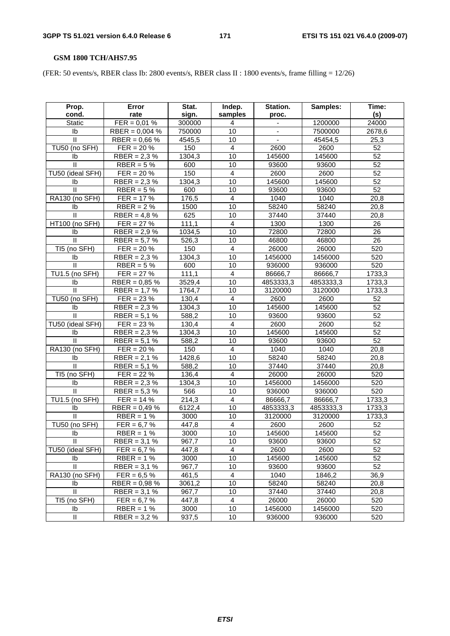# **GSM 1800 TCH/AHS7.95**

(FER: 50 events/s, RBER class Ib: 2800 events/s, RBER class II : 1800 events/s, frame filling = 12/26)

| Prop.<br>cond.        | Error<br>rate            | Stat.<br>sign. | Indep.<br>samples | Station.<br>proc. | Samples:  | Time:<br>(s)    |
|-----------------------|--------------------------|----------------|-------------------|-------------------|-----------|-----------------|
| Static                | $FER = 0.01 %$           | 300000         | 4                 |                   | 1200000   | 24000           |
| Ib                    | RBER = $0,004$ %         | 750000         | 10                |                   | 7500000   | 2678,6          |
| $\mathbf{H}$          | RBER = $0,66%$           | 4545,5         | 10                |                   | 45454,5   | 25,3            |
| TU50 (no SFH)         | $FER = 20 \%$            | 150            | $\overline{4}$    | 2600              | 2600      | 52              |
| Ib                    | $RBER = 2,3%$            | 1304,3         | 10                | 145600            | 145600    | $\overline{52}$ |
| $\mathbf{II}$         | RBER = $5%$              | 600            | 10                | 93600             | 93600     | 52              |
| TU50 (ideal SFH)      | $FER = 20 \%$            | 150            | 4                 | 2600              | 2600      | 52              |
| Ib                    | RBER = $2,3%$            | 1304,3         | 10                | 145600            | 145600    | 52              |
| $\mathbf{I}$          | RBER = $5%$              | 600            | 10                | 93600             | 93600     | $\overline{52}$ |
| RA130 (no SFH)        | $\overline{FER} = 17 \%$ | 176,5          | 4                 | 1040              | 1040      | 20,8            |
| Ib                    | $RBER = 2%$              | 1500           | $\overline{10}$   | 58240             | 58240     | 20,8            |
| $\mathbf{II}$         | RBER = $4,8%$            | 625            | 10                | 37440             | 37440     | 20,8            |
| HT100 (no SFH)        | $FER = 27 \%$            | 111,1          | 4                 | 1300              | 1300      | 26              |
| Ib                    | RBER = $2,9%$            | 1034,5         | 10                | 72800             | 72800     | 26              |
| $\mathbf{II}$         | RBER = $5,7%$            | 526,3          | 10                | 46800             | 46800     | 26              |
| TI5 (no SFH)          | $FER = 20 \%$            | 150            | 4                 | 26000             | 26000     | 520             |
| Ib                    | $RBER = 2.3 %$           | 1304,3         | 10                | 1456000           | 1456000   | 520             |
| $\mathbf{I}$          | $RBER = 5%$              | 600            | 10                | 936000            | 936000    | 520             |
| <b>TU1.5 (no SFH)</b> | $FER = 27 \%$            | 111,1          | 4                 | 86666,7           | 86666,7   | 1733,3          |
| Ib                    | RBER = $0,85%$           | 3529,4         | 10                | 4853333,3         | 4853333,3 | 1733,3          |
| Ш                     | RBER = $1,7%$            | 1764,7         | 10                | 3120000           | 3120000   | 1733,3          |
| TU50 (no SFH)         | $FER = 23 \%$            | 130,4          | $\overline{4}$    | 2600              | 2600      | 52              |
| Ib                    | RBER = $2,3%$            | 1304,3         | 10                | 145600            | 145600    | $\overline{52}$ |
| $\mathbf{I}$          | RBER = $5,1%$            | 588,2          | 10                | 93600             | 93600     | 52              |
| TU50 (ideal SFH)      | $FER = 23 \%$            | 130,4          | $\overline{4}$    | 2600              | 2600      | $\overline{52}$ |
| Ib                    | $RBER = 2.3 %$           | 1304,3         | 10                | 145600            | 145600    | 52              |
| Ш                     | RBER = $5,1%$            | 588,2          | 10                | 93600             | 93600     | 52              |
| RA130 (no SFH)        | $FER = 20 \%$            | 150            | $\overline{4}$    | 1040              | 1040      | 20,8            |
| Ib                    | $RBER = 2,1%$            | 1428,6         | 10                | 58240             | 58240     | 20,8            |
| $\mathbf{II}$         | RBER = $5,1%$            | 588,2          | 10                | 37440             | 37440     | 20,8            |
| TI5 (no SFH)          | $FER = 22 \%$            | 136,4          | $\overline{4}$    | 26000             | 26000     | 520             |
| Ib                    | RBER = $2,3%$            | 1304,3         | 10                | 1456000           | 1456000   | 520             |
| $\mathbf{II}$         | RBER = $5,3%$            | 566            | 10                | 936000            | 936000    | 520             |
| TU1.5 (no SFH)        | $FER = 14 \%$            | 214,3          | 4                 | 86666,7           | 86666,7   | 1733,3          |
| Ib                    | RBER = $0,49%$           | 6122,4         | 10                | 4853333,3         | 4853333,3 | 1733,3          |
| $\mathbf{H}$          | $RBER = 1%$              | 3000           | 10                | 3120000           | 3120000   | 1733,3          |
| TU50 (no SFH)         | $FER = 6.7 %$            | 447,8          | 4                 | 2600              | 2600      | 52              |
| Ib                    | $RBER = 1%$              | 3000           | 10                | 145600            | 145600    | $\overline{52}$ |
| Ш.                    | $RBER = 3.1 %$           | 967,7          | 10                | 93600             | 93600     | 52              |
| TU50 (ideal SFH)      | $FER = 6.7 %$            | 447,8          | 4                 | 2600              | 2600      | 52              |
| lb.                   | $RBER = 1%$              | 3000           | 10                | 145600            | 145600    | 52              |
| $\mathbf{H}$          | RBER = $3,1%$            | 967,7          | 10                | 93600             | 93600     | 52              |
| RA130 (no SFH)        | $FER = 6.5 \%$           | 461,5          | 4                 | 1040              | 1846,2    | 36,9            |
| Ib                    | $RBER = 0.98 %$          | 3061,2         | 10                | 58240             | 58240     | 20,8            |
| $\mathbf{II}$         | $RBER = 3,1%$            | 967,7          | 10                | 37440             | 37440     | 20,8            |
| TI5 (no SFH)          | $FER = 6.7 %$            | 447,8          | 4                 | 26000             | 26000     | 520             |
| Ib                    | $RBER = 1%$              | 3000           | 10                | 1456000           | 1456000   | 520             |
| Ш                     | $RBER = 3.2 %$           | 937,5          | 10                | 936000            | 936000    | 520             |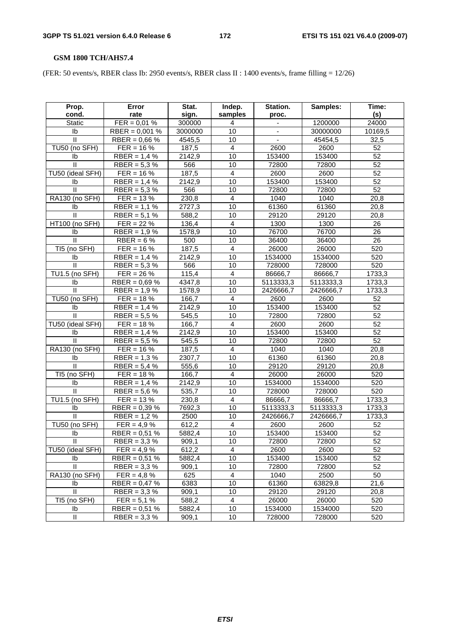# **GSM 1800 TCH/AHS7.4**

(FER: 50 events/s, RBER class Ib: 2950 events/s, RBER class II : 1400 events/s, frame filling = 12/26)

| $FER = 0.01 %$<br>300000<br>24000<br><b>Static</b><br>1200000<br>4<br>$RBER = 0,001 %$<br>10<br>I <sub>b</sub><br>3000000<br>30000000<br>10169,5<br>$\mathbf{H}$<br>10<br>RBER = $0,66%$<br>4545,5<br>45454,5<br>32,5<br>TU50 (no SFH)<br>$FER = 16 \%$<br>187,5<br>4<br>2600<br>52<br>2600<br>$\overline{2}142,9$<br>10<br>52<br>RBER = $1,4%$<br>153400<br>153400<br>Ib<br>$\mathbf{II}$<br>566<br>72800<br>72800<br>52<br>RBER = $5,3%$<br>10<br>$\overline{52}$<br>TU50 (ideal SFH)<br>187,5<br>$FER = 16 \%$<br>4<br>2600<br>2600<br>52<br>10<br>$RBER = 1,4%$<br>2142,9<br>153400<br>153400<br>Ib<br>52<br>$\mathbf{II}$<br>566<br>10<br>72800<br>72800<br>$RBER = 5.3 %$<br>RA130 (no SFH)<br>$FER = 13 %$<br>230,8<br>$\overline{4}$<br>1040<br>1040<br>20,8<br>2727,3<br>10<br>61360<br>61360<br>Ib<br>$RBER = 1,1%$<br>20,8<br>$\mathbf{II}$<br>29120<br>RBER = $5,1%$<br>588,2<br>10<br>29120<br>20,8<br>HT100 (no SFH)<br>$FER = 22 \%$<br>136,4<br>4<br>1300<br>1300<br>26<br>10<br>76700<br>76700<br>26<br>$RBER = 1.9%$<br>1578,9<br>Ib<br>$\mathbf{II}$<br>10<br>26<br>500<br>36400<br>36400<br>$RBER = 6%$<br>TI5 (no SFH)<br>$\overline{4}$<br>520<br>187,5<br>26000<br>$FER = 16 \%$<br>26000<br>10<br>$RBER = 1,4%$<br>2142,9<br>520<br>1534000<br>1534000<br>Ib<br>$\mathbf{I}$<br>520<br>$RBER = 5.3 %$<br>566<br>10<br>728000<br>728000<br><b>TU1.5 (no SFH)</b><br>115,4<br>$FER = 26 \%$<br>4<br>86666,7<br>86666,7<br>1733,3<br>4347,8<br>5113333,3<br>5113333,3<br>Ib<br>RBER = $0,69%$<br>10<br>1733,3<br>$\ensuremath{\mathsf{II}}$<br>10<br>RBER = $1,9%$<br>1578,9<br>2426666,7<br>2426666,7<br>1733,3<br>TU50 (no SFH)<br>$\overline{4}$<br>52<br>$FER = 18 \%$<br>166,7<br>2600<br>2600<br>$\overline{52}$<br>10<br>$RBER = 1,4%$<br>2142,9<br>153400<br>153400<br>Ib<br>$\mathbf{I}$<br>52<br>545,5<br>10<br>RBER = $5,5%$<br>72800<br>72800<br>TU50 (ideal SFH)<br>166,7<br>52<br>$FER = 18 \%$<br>4<br>2600<br>2600<br>52<br>$RBER = 1,4%$<br>2142,9<br>10<br>153400<br>153400<br>Ib<br>52<br>Ш<br>RBER = $5,5%$<br>545,5<br>10<br>72800<br>72800<br>$\overline{4}$<br>RA130 (no SFH)<br>1040<br>$FER = 16 \%$<br>187,5<br>1040<br>20,8<br>10<br>61360<br>61360<br>Ib<br>RBER = $1,3%$<br>2307,7<br>20,8<br>Ш<br>10<br>RBER = $5,4%$<br>555,6<br>29120<br>29120<br>20,8<br>TI5 (no SFH)<br>$\overline{\mathbf{4}}$<br>166,7<br>26000<br>26000<br>520<br>$FER = 18 \%$<br>2142,9<br>10<br>520<br>RBER = $1,4%$<br>1534000<br>1534000<br>Ib<br>535,7<br>520<br>Ш<br>RBER = $5,6%$<br>10<br>728000<br>728000<br>TU1.5 (no SFH)<br>$FER = 13 \%$<br>4<br>86666,7<br>1733,3<br>230,8<br>86666,7<br>10<br>7692,3<br>1733,3<br>Ib<br>RBER = $0,39%$<br>5113333,3<br>5113333,3<br>$\mathbf{H}$<br>$RBER = 1.2 %$<br>10<br>1733,3<br>2500<br>2426666,7<br>2426666,7<br>TU50 (no SFH)<br>612,2<br>52<br>$FER = 4.9 \%$<br>4<br>2600<br>2600<br>52<br>10<br>153400<br>153400<br>Ib<br>$RBER = 0.51 %$<br>5882,4<br>909,1<br>72800<br>72800<br>RBER = $3,3%$<br>10<br>52<br>Ш.<br>TU50 (ideal SFH)<br>$FER = 4.9 \%$<br>612,2<br>4<br>2600<br>2600<br>52<br>52<br>5882,4<br>10<br>153400<br>153400<br>RBER = $0,51%$<br>Ib<br>52<br>$\mathbf{H}$<br>10<br>909,1<br>72800<br>72800<br>RBER = $3,3%$<br>50<br>RA130 (no SFH)<br>625<br>4<br>1040<br>2500<br>$FER = 4.8 \%$<br>10<br>6383<br>61360<br>21,6<br>Ib<br>RBER = $0,47%$<br>63829,8<br>$\mathbf{II}$<br>29120<br>RBER = $3,3%$<br>909,1<br>10<br>29120<br>20,8<br>TI5 (no SFH)<br>26000<br>$FER = 5,1%$<br>588,2<br>4<br>26000<br>520<br>10<br>1534000<br>1534000<br>Ib<br>RBER = $0,51%$<br>5882,4<br>520 | Prop. | Error | Stat. | Indep.  | Station. | Samples: | Time: |
|-------------------------------------------------------------------------------------------------------------------------------------------------------------------------------------------------------------------------------------------------------------------------------------------------------------------------------------------------------------------------------------------------------------------------------------------------------------------------------------------------------------------------------------------------------------------------------------------------------------------------------------------------------------------------------------------------------------------------------------------------------------------------------------------------------------------------------------------------------------------------------------------------------------------------------------------------------------------------------------------------------------------------------------------------------------------------------------------------------------------------------------------------------------------------------------------------------------------------------------------------------------------------------------------------------------------------------------------------------------------------------------------------------------------------------------------------------------------------------------------------------------------------------------------------------------------------------------------------------------------------------------------------------------------------------------------------------------------------------------------------------------------------------------------------------------------------------------------------------------------------------------------------------------------------------------------------------------------------------------------------------------------------------------------------------------------------------------------------------------------------------------------------------------------------------------------------------------------------------------------------------------------------------------------------------------------------------------------------------------------------------------------------------------------------------------------------------------------------------------------------------------------------------------------------------------------------------------------------------------------------------------------------------------------------------------------------------------------------------------------------------------------------------------------------------------------------------------------------------------------------------------------------------------------------------------------------------------------------------------------------------------------------------------------------------------------------------------------------------------------------------------------------------------------------------------------------------------------------------------------------------------------------------------------------------------------------------------------------------------------------------------------------------------------------------------------------------------------------------------------------------------------------------------------------------------------------------------------|-------|-------|-------|---------|----------|----------|-------|
|                                                                                                                                                                                                                                                                                                                                                                                                                                                                                                                                                                                                                                                                                                                                                                                                                                                                                                                                                                                                                                                                                                                                                                                                                                                                                                                                                                                                                                                                                                                                                                                                                                                                                                                                                                                                                                                                                                                                                                                                                                                                                                                                                                                                                                                                                                                                                                                                                                                                                                                                                                                                                                                                                                                                                                                                                                                                                                                                                                                                                                                                                                                                                                                                                                                                                                                                                                                                                                                                                                                                                                                           | cond. | rate  | sign. | samples | proc.    |          | (s)   |
|                                                                                                                                                                                                                                                                                                                                                                                                                                                                                                                                                                                                                                                                                                                                                                                                                                                                                                                                                                                                                                                                                                                                                                                                                                                                                                                                                                                                                                                                                                                                                                                                                                                                                                                                                                                                                                                                                                                                                                                                                                                                                                                                                                                                                                                                                                                                                                                                                                                                                                                                                                                                                                                                                                                                                                                                                                                                                                                                                                                                                                                                                                                                                                                                                                                                                                                                                                                                                                                                                                                                                                                           |       |       |       |         |          |          |       |
|                                                                                                                                                                                                                                                                                                                                                                                                                                                                                                                                                                                                                                                                                                                                                                                                                                                                                                                                                                                                                                                                                                                                                                                                                                                                                                                                                                                                                                                                                                                                                                                                                                                                                                                                                                                                                                                                                                                                                                                                                                                                                                                                                                                                                                                                                                                                                                                                                                                                                                                                                                                                                                                                                                                                                                                                                                                                                                                                                                                                                                                                                                                                                                                                                                                                                                                                                                                                                                                                                                                                                                                           |       |       |       |         |          |          |       |
|                                                                                                                                                                                                                                                                                                                                                                                                                                                                                                                                                                                                                                                                                                                                                                                                                                                                                                                                                                                                                                                                                                                                                                                                                                                                                                                                                                                                                                                                                                                                                                                                                                                                                                                                                                                                                                                                                                                                                                                                                                                                                                                                                                                                                                                                                                                                                                                                                                                                                                                                                                                                                                                                                                                                                                                                                                                                                                                                                                                                                                                                                                                                                                                                                                                                                                                                                                                                                                                                                                                                                                                           |       |       |       |         |          |          |       |
|                                                                                                                                                                                                                                                                                                                                                                                                                                                                                                                                                                                                                                                                                                                                                                                                                                                                                                                                                                                                                                                                                                                                                                                                                                                                                                                                                                                                                                                                                                                                                                                                                                                                                                                                                                                                                                                                                                                                                                                                                                                                                                                                                                                                                                                                                                                                                                                                                                                                                                                                                                                                                                                                                                                                                                                                                                                                                                                                                                                                                                                                                                                                                                                                                                                                                                                                                                                                                                                                                                                                                                                           |       |       |       |         |          |          |       |
|                                                                                                                                                                                                                                                                                                                                                                                                                                                                                                                                                                                                                                                                                                                                                                                                                                                                                                                                                                                                                                                                                                                                                                                                                                                                                                                                                                                                                                                                                                                                                                                                                                                                                                                                                                                                                                                                                                                                                                                                                                                                                                                                                                                                                                                                                                                                                                                                                                                                                                                                                                                                                                                                                                                                                                                                                                                                                                                                                                                                                                                                                                                                                                                                                                                                                                                                                                                                                                                                                                                                                                                           |       |       |       |         |          |          |       |
|                                                                                                                                                                                                                                                                                                                                                                                                                                                                                                                                                                                                                                                                                                                                                                                                                                                                                                                                                                                                                                                                                                                                                                                                                                                                                                                                                                                                                                                                                                                                                                                                                                                                                                                                                                                                                                                                                                                                                                                                                                                                                                                                                                                                                                                                                                                                                                                                                                                                                                                                                                                                                                                                                                                                                                                                                                                                                                                                                                                                                                                                                                                                                                                                                                                                                                                                                                                                                                                                                                                                                                                           |       |       |       |         |          |          |       |
|                                                                                                                                                                                                                                                                                                                                                                                                                                                                                                                                                                                                                                                                                                                                                                                                                                                                                                                                                                                                                                                                                                                                                                                                                                                                                                                                                                                                                                                                                                                                                                                                                                                                                                                                                                                                                                                                                                                                                                                                                                                                                                                                                                                                                                                                                                                                                                                                                                                                                                                                                                                                                                                                                                                                                                                                                                                                                                                                                                                                                                                                                                                                                                                                                                                                                                                                                                                                                                                                                                                                                                                           |       |       |       |         |          |          |       |
|                                                                                                                                                                                                                                                                                                                                                                                                                                                                                                                                                                                                                                                                                                                                                                                                                                                                                                                                                                                                                                                                                                                                                                                                                                                                                                                                                                                                                                                                                                                                                                                                                                                                                                                                                                                                                                                                                                                                                                                                                                                                                                                                                                                                                                                                                                                                                                                                                                                                                                                                                                                                                                                                                                                                                                                                                                                                                                                                                                                                                                                                                                                                                                                                                                                                                                                                                                                                                                                                                                                                                                                           |       |       |       |         |          |          |       |
|                                                                                                                                                                                                                                                                                                                                                                                                                                                                                                                                                                                                                                                                                                                                                                                                                                                                                                                                                                                                                                                                                                                                                                                                                                                                                                                                                                                                                                                                                                                                                                                                                                                                                                                                                                                                                                                                                                                                                                                                                                                                                                                                                                                                                                                                                                                                                                                                                                                                                                                                                                                                                                                                                                                                                                                                                                                                                                                                                                                                                                                                                                                                                                                                                                                                                                                                                                                                                                                                                                                                                                                           |       |       |       |         |          |          |       |
|                                                                                                                                                                                                                                                                                                                                                                                                                                                                                                                                                                                                                                                                                                                                                                                                                                                                                                                                                                                                                                                                                                                                                                                                                                                                                                                                                                                                                                                                                                                                                                                                                                                                                                                                                                                                                                                                                                                                                                                                                                                                                                                                                                                                                                                                                                                                                                                                                                                                                                                                                                                                                                                                                                                                                                                                                                                                                                                                                                                                                                                                                                                                                                                                                                                                                                                                                                                                                                                                                                                                                                                           |       |       |       |         |          |          |       |
|                                                                                                                                                                                                                                                                                                                                                                                                                                                                                                                                                                                                                                                                                                                                                                                                                                                                                                                                                                                                                                                                                                                                                                                                                                                                                                                                                                                                                                                                                                                                                                                                                                                                                                                                                                                                                                                                                                                                                                                                                                                                                                                                                                                                                                                                                                                                                                                                                                                                                                                                                                                                                                                                                                                                                                                                                                                                                                                                                                                                                                                                                                                                                                                                                                                                                                                                                                                                                                                                                                                                                                                           |       |       |       |         |          |          |       |
|                                                                                                                                                                                                                                                                                                                                                                                                                                                                                                                                                                                                                                                                                                                                                                                                                                                                                                                                                                                                                                                                                                                                                                                                                                                                                                                                                                                                                                                                                                                                                                                                                                                                                                                                                                                                                                                                                                                                                                                                                                                                                                                                                                                                                                                                                                                                                                                                                                                                                                                                                                                                                                                                                                                                                                                                                                                                                                                                                                                                                                                                                                                                                                                                                                                                                                                                                                                                                                                                                                                                                                                           |       |       |       |         |          |          |       |
|                                                                                                                                                                                                                                                                                                                                                                                                                                                                                                                                                                                                                                                                                                                                                                                                                                                                                                                                                                                                                                                                                                                                                                                                                                                                                                                                                                                                                                                                                                                                                                                                                                                                                                                                                                                                                                                                                                                                                                                                                                                                                                                                                                                                                                                                                                                                                                                                                                                                                                                                                                                                                                                                                                                                                                                                                                                                                                                                                                                                                                                                                                                                                                                                                                                                                                                                                                                                                                                                                                                                                                                           |       |       |       |         |          |          |       |
|                                                                                                                                                                                                                                                                                                                                                                                                                                                                                                                                                                                                                                                                                                                                                                                                                                                                                                                                                                                                                                                                                                                                                                                                                                                                                                                                                                                                                                                                                                                                                                                                                                                                                                                                                                                                                                                                                                                                                                                                                                                                                                                                                                                                                                                                                                                                                                                                                                                                                                                                                                                                                                                                                                                                                                                                                                                                                                                                                                                                                                                                                                                                                                                                                                                                                                                                                                                                                                                                                                                                                                                           |       |       |       |         |          |          |       |
|                                                                                                                                                                                                                                                                                                                                                                                                                                                                                                                                                                                                                                                                                                                                                                                                                                                                                                                                                                                                                                                                                                                                                                                                                                                                                                                                                                                                                                                                                                                                                                                                                                                                                                                                                                                                                                                                                                                                                                                                                                                                                                                                                                                                                                                                                                                                                                                                                                                                                                                                                                                                                                                                                                                                                                                                                                                                                                                                                                                                                                                                                                                                                                                                                                                                                                                                                                                                                                                                                                                                                                                           |       |       |       |         |          |          |       |
|                                                                                                                                                                                                                                                                                                                                                                                                                                                                                                                                                                                                                                                                                                                                                                                                                                                                                                                                                                                                                                                                                                                                                                                                                                                                                                                                                                                                                                                                                                                                                                                                                                                                                                                                                                                                                                                                                                                                                                                                                                                                                                                                                                                                                                                                                                                                                                                                                                                                                                                                                                                                                                                                                                                                                                                                                                                                                                                                                                                                                                                                                                                                                                                                                                                                                                                                                                                                                                                                                                                                                                                           |       |       |       |         |          |          |       |
|                                                                                                                                                                                                                                                                                                                                                                                                                                                                                                                                                                                                                                                                                                                                                                                                                                                                                                                                                                                                                                                                                                                                                                                                                                                                                                                                                                                                                                                                                                                                                                                                                                                                                                                                                                                                                                                                                                                                                                                                                                                                                                                                                                                                                                                                                                                                                                                                                                                                                                                                                                                                                                                                                                                                                                                                                                                                                                                                                                                                                                                                                                                                                                                                                                                                                                                                                                                                                                                                                                                                                                                           |       |       |       |         |          |          |       |
|                                                                                                                                                                                                                                                                                                                                                                                                                                                                                                                                                                                                                                                                                                                                                                                                                                                                                                                                                                                                                                                                                                                                                                                                                                                                                                                                                                                                                                                                                                                                                                                                                                                                                                                                                                                                                                                                                                                                                                                                                                                                                                                                                                                                                                                                                                                                                                                                                                                                                                                                                                                                                                                                                                                                                                                                                                                                                                                                                                                                                                                                                                                                                                                                                                                                                                                                                                                                                                                                                                                                                                                           |       |       |       |         |          |          |       |
|                                                                                                                                                                                                                                                                                                                                                                                                                                                                                                                                                                                                                                                                                                                                                                                                                                                                                                                                                                                                                                                                                                                                                                                                                                                                                                                                                                                                                                                                                                                                                                                                                                                                                                                                                                                                                                                                                                                                                                                                                                                                                                                                                                                                                                                                                                                                                                                                                                                                                                                                                                                                                                                                                                                                                                                                                                                                                                                                                                                                                                                                                                                                                                                                                                                                                                                                                                                                                                                                                                                                                                                           |       |       |       |         |          |          |       |
|                                                                                                                                                                                                                                                                                                                                                                                                                                                                                                                                                                                                                                                                                                                                                                                                                                                                                                                                                                                                                                                                                                                                                                                                                                                                                                                                                                                                                                                                                                                                                                                                                                                                                                                                                                                                                                                                                                                                                                                                                                                                                                                                                                                                                                                                                                                                                                                                                                                                                                                                                                                                                                                                                                                                                                                                                                                                                                                                                                                                                                                                                                                                                                                                                                                                                                                                                                                                                                                                                                                                                                                           |       |       |       |         |          |          |       |
|                                                                                                                                                                                                                                                                                                                                                                                                                                                                                                                                                                                                                                                                                                                                                                                                                                                                                                                                                                                                                                                                                                                                                                                                                                                                                                                                                                                                                                                                                                                                                                                                                                                                                                                                                                                                                                                                                                                                                                                                                                                                                                                                                                                                                                                                                                                                                                                                                                                                                                                                                                                                                                                                                                                                                                                                                                                                                                                                                                                                                                                                                                                                                                                                                                                                                                                                                                                                                                                                                                                                                                                           |       |       |       |         |          |          |       |
|                                                                                                                                                                                                                                                                                                                                                                                                                                                                                                                                                                                                                                                                                                                                                                                                                                                                                                                                                                                                                                                                                                                                                                                                                                                                                                                                                                                                                                                                                                                                                                                                                                                                                                                                                                                                                                                                                                                                                                                                                                                                                                                                                                                                                                                                                                                                                                                                                                                                                                                                                                                                                                                                                                                                                                                                                                                                                                                                                                                                                                                                                                                                                                                                                                                                                                                                                                                                                                                                                                                                                                                           |       |       |       |         |          |          |       |
|                                                                                                                                                                                                                                                                                                                                                                                                                                                                                                                                                                                                                                                                                                                                                                                                                                                                                                                                                                                                                                                                                                                                                                                                                                                                                                                                                                                                                                                                                                                                                                                                                                                                                                                                                                                                                                                                                                                                                                                                                                                                                                                                                                                                                                                                                                                                                                                                                                                                                                                                                                                                                                                                                                                                                                                                                                                                                                                                                                                                                                                                                                                                                                                                                                                                                                                                                                                                                                                                                                                                                                                           |       |       |       |         |          |          |       |
|                                                                                                                                                                                                                                                                                                                                                                                                                                                                                                                                                                                                                                                                                                                                                                                                                                                                                                                                                                                                                                                                                                                                                                                                                                                                                                                                                                                                                                                                                                                                                                                                                                                                                                                                                                                                                                                                                                                                                                                                                                                                                                                                                                                                                                                                                                                                                                                                                                                                                                                                                                                                                                                                                                                                                                                                                                                                                                                                                                                                                                                                                                                                                                                                                                                                                                                                                                                                                                                                                                                                                                                           |       |       |       |         |          |          |       |
|                                                                                                                                                                                                                                                                                                                                                                                                                                                                                                                                                                                                                                                                                                                                                                                                                                                                                                                                                                                                                                                                                                                                                                                                                                                                                                                                                                                                                                                                                                                                                                                                                                                                                                                                                                                                                                                                                                                                                                                                                                                                                                                                                                                                                                                                                                                                                                                                                                                                                                                                                                                                                                                                                                                                                                                                                                                                                                                                                                                                                                                                                                                                                                                                                                                                                                                                                                                                                                                                                                                                                                                           |       |       |       |         |          |          |       |
|                                                                                                                                                                                                                                                                                                                                                                                                                                                                                                                                                                                                                                                                                                                                                                                                                                                                                                                                                                                                                                                                                                                                                                                                                                                                                                                                                                                                                                                                                                                                                                                                                                                                                                                                                                                                                                                                                                                                                                                                                                                                                                                                                                                                                                                                                                                                                                                                                                                                                                                                                                                                                                                                                                                                                                                                                                                                                                                                                                                                                                                                                                                                                                                                                                                                                                                                                                                                                                                                                                                                                                                           |       |       |       |         |          |          |       |
|                                                                                                                                                                                                                                                                                                                                                                                                                                                                                                                                                                                                                                                                                                                                                                                                                                                                                                                                                                                                                                                                                                                                                                                                                                                                                                                                                                                                                                                                                                                                                                                                                                                                                                                                                                                                                                                                                                                                                                                                                                                                                                                                                                                                                                                                                                                                                                                                                                                                                                                                                                                                                                                                                                                                                                                                                                                                                                                                                                                                                                                                                                                                                                                                                                                                                                                                                                                                                                                                                                                                                                                           |       |       |       |         |          |          |       |
|                                                                                                                                                                                                                                                                                                                                                                                                                                                                                                                                                                                                                                                                                                                                                                                                                                                                                                                                                                                                                                                                                                                                                                                                                                                                                                                                                                                                                                                                                                                                                                                                                                                                                                                                                                                                                                                                                                                                                                                                                                                                                                                                                                                                                                                                                                                                                                                                                                                                                                                                                                                                                                                                                                                                                                                                                                                                                                                                                                                                                                                                                                                                                                                                                                                                                                                                                                                                                                                                                                                                                                                           |       |       |       |         |          |          |       |
|                                                                                                                                                                                                                                                                                                                                                                                                                                                                                                                                                                                                                                                                                                                                                                                                                                                                                                                                                                                                                                                                                                                                                                                                                                                                                                                                                                                                                                                                                                                                                                                                                                                                                                                                                                                                                                                                                                                                                                                                                                                                                                                                                                                                                                                                                                                                                                                                                                                                                                                                                                                                                                                                                                                                                                                                                                                                                                                                                                                                                                                                                                                                                                                                                                                                                                                                                                                                                                                                                                                                                                                           |       |       |       |         |          |          |       |
|                                                                                                                                                                                                                                                                                                                                                                                                                                                                                                                                                                                                                                                                                                                                                                                                                                                                                                                                                                                                                                                                                                                                                                                                                                                                                                                                                                                                                                                                                                                                                                                                                                                                                                                                                                                                                                                                                                                                                                                                                                                                                                                                                                                                                                                                                                                                                                                                                                                                                                                                                                                                                                                                                                                                                                                                                                                                                                                                                                                                                                                                                                                                                                                                                                                                                                                                                                                                                                                                                                                                                                                           |       |       |       |         |          |          |       |
|                                                                                                                                                                                                                                                                                                                                                                                                                                                                                                                                                                                                                                                                                                                                                                                                                                                                                                                                                                                                                                                                                                                                                                                                                                                                                                                                                                                                                                                                                                                                                                                                                                                                                                                                                                                                                                                                                                                                                                                                                                                                                                                                                                                                                                                                                                                                                                                                                                                                                                                                                                                                                                                                                                                                                                                                                                                                                                                                                                                                                                                                                                                                                                                                                                                                                                                                                                                                                                                                                                                                                                                           |       |       |       |         |          |          |       |
|                                                                                                                                                                                                                                                                                                                                                                                                                                                                                                                                                                                                                                                                                                                                                                                                                                                                                                                                                                                                                                                                                                                                                                                                                                                                                                                                                                                                                                                                                                                                                                                                                                                                                                                                                                                                                                                                                                                                                                                                                                                                                                                                                                                                                                                                                                                                                                                                                                                                                                                                                                                                                                                                                                                                                                                                                                                                                                                                                                                                                                                                                                                                                                                                                                                                                                                                                                                                                                                                                                                                                                                           |       |       |       |         |          |          |       |
|                                                                                                                                                                                                                                                                                                                                                                                                                                                                                                                                                                                                                                                                                                                                                                                                                                                                                                                                                                                                                                                                                                                                                                                                                                                                                                                                                                                                                                                                                                                                                                                                                                                                                                                                                                                                                                                                                                                                                                                                                                                                                                                                                                                                                                                                                                                                                                                                                                                                                                                                                                                                                                                                                                                                                                                                                                                                                                                                                                                                                                                                                                                                                                                                                                                                                                                                                                                                                                                                                                                                                                                           |       |       |       |         |          |          |       |
|                                                                                                                                                                                                                                                                                                                                                                                                                                                                                                                                                                                                                                                                                                                                                                                                                                                                                                                                                                                                                                                                                                                                                                                                                                                                                                                                                                                                                                                                                                                                                                                                                                                                                                                                                                                                                                                                                                                                                                                                                                                                                                                                                                                                                                                                                                                                                                                                                                                                                                                                                                                                                                                                                                                                                                                                                                                                                                                                                                                                                                                                                                                                                                                                                                                                                                                                                                                                                                                                                                                                                                                           |       |       |       |         |          |          |       |
|                                                                                                                                                                                                                                                                                                                                                                                                                                                                                                                                                                                                                                                                                                                                                                                                                                                                                                                                                                                                                                                                                                                                                                                                                                                                                                                                                                                                                                                                                                                                                                                                                                                                                                                                                                                                                                                                                                                                                                                                                                                                                                                                                                                                                                                                                                                                                                                                                                                                                                                                                                                                                                                                                                                                                                                                                                                                                                                                                                                                                                                                                                                                                                                                                                                                                                                                                                                                                                                                                                                                                                                           |       |       |       |         |          |          |       |
|                                                                                                                                                                                                                                                                                                                                                                                                                                                                                                                                                                                                                                                                                                                                                                                                                                                                                                                                                                                                                                                                                                                                                                                                                                                                                                                                                                                                                                                                                                                                                                                                                                                                                                                                                                                                                                                                                                                                                                                                                                                                                                                                                                                                                                                                                                                                                                                                                                                                                                                                                                                                                                                                                                                                                                                                                                                                                                                                                                                                                                                                                                                                                                                                                                                                                                                                                                                                                                                                                                                                                                                           |       |       |       |         |          |          |       |
|                                                                                                                                                                                                                                                                                                                                                                                                                                                                                                                                                                                                                                                                                                                                                                                                                                                                                                                                                                                                                                                                                                                                                                                                                                                                                                                                                                                                                                                                                                                                                                                                                                                                                                                                                                                                                                                                                                                                                                                                                                                                                                                                                                                                                                                                                                                                                                                                                                                                                                                                                                                                                                                                                                                                                                                                                                                                                                                                                                                                                                                                                                                                                                                                                                                                                                                                                                                                                                                                                                                                                                                           |       |       |       |         |          |          |       |
|                                                                                                                                                                                                                                                                                                                                                                                                                                                                                                                                                                                                                                                                                                                                                                                                                                                                                                                                                                                                                                                                                                                                                                                                                                                                                                                                                                                                                                                                                                                                                                                                                                                                                                                                                                                                                                                                                                                                                                                                                                                                                                                                                                                                                                                                                                                                                                                                                                                                                                                                                                                                                                                                                                                                                                                                                                                                                                                                                                                                                                                                                                                                                                                                                                                                                                                                                                                                                                                                                                                                                                                           |       |       |       |         |          |          |       |
|                                                                                                                                                                                                                                                                                                                                                                                                                                                                                                                                                                                                                                                                                                                                                                                                                                                                                                                                                                                                                                                                                                                                                                                                                                                                                                                                                                                                                                                                                                                                                                                                                                                                                                                                                                                                                                                                                                                                                                                                                                                                                                                                                                                                                                                                                                                                                                                                                                                                                                                                                                                                                                                                                                                                                                                                                                                                                                                                                                                                                                                                                                                                                                                                                                                                                                                                                                                                                                                                                                                                                                                           |       |       |       |         |          |          |       |
|                                                                                                                                                                                                                                                                                                                                                                                                                                                                                                                                                                                                                                                                                                                                                                                                                                                                                                                                                                                                                                                                                                                                                                                                                                                                                                                                                                                                                                                                                                                                                                                                                                                                                                                                                                                                                                                                                                                                                                                                                                                                                                                                                                                                                                                                                                                                                                                                                                                                                                                                                                                                                                                                                                                                                                                                                                                                                                                                                                                                                                                                                                                                                                                                                                                                                                                                                                                                                                                                                                                                                                                           |       |       |       |         |          |          |       |
|                                                                                                                                                                                                                                                                                                                                                                                                                                                                                                                                                                                                                                                                                                                                                                                                                                                                                                                                                                                                                                                                                                                                                                                                                                                                                                                                                                                                                                                                                                                                                                                                                                                                                                                                                                                                                                                                                                                                                                                                                                                                                                                                                                                                                                                                                                                                                                                                                                                                                                                                                                                                                                                                                                                                                                                                                                                                                                                                                                                                                                                                                                                                                                                                                                                                                                                                                                                                                                                                                                                                                                                           |       |       |       |         |          |          |       |
|                                                                                                                                                                                                                                                                                                                                                                                                                                                                                                                                                                                                                                                                                                                                                                                                                                                                                                                                                                                                                                                                                                                                                                                                                                                                                                                                                                                                                                                                                                                                                                                                                                                                                                                                                                                                                                                                                                                                                                                                                                                                                                                                                                                                                                                                                                                                                                                                                                                                                                                                                                                                                                                                                                                                                                                                                                                                                                                                                                                                                                                                                                                                                                                                                                                                                                                                                                                                                                                                                                                                                                                           |       |       |       |         |          |          |       |
|                                                                                                                                                                                                                                                                                                                                                                                                                                                                                                                                                                                                                                                                                                                                                                                                                                                                                                                                                                                                                                                                                                                                                                                                                                                                                                                                                                                                                                                                                                                                                                                                                                                                                                                                                                                                                                                                                                                                                                                                                                                                                                                                                                                                                                                                                                                                                                                                                                                                                                                                                                                                                                                                                                                                                                                                                                                                                                                                                                                                                                                                                                                                                                                                                                                                                                                                                                                                                                                                                                                                                                                           |       |       |       |         |          |          |       |
|                                                                                                                                                                                                                                                                                                                                                                                                                                                                                                                                                                                                                                                                                                                                                                                                                                                                                                                                                                                                                                                                                                                                                                                                                                                                                                                                                                                                                                                                                                                                                                                                                                                                                                                                                                                                                                                                                                                                                                                                                                                                                                                                                                                                                                                                                                                                                                                                                                                                                                                                                                                                                                                                                                                                                                                                                                                                                                                                                                                                                                                                                                                                                                                                                                                                                                                                                                                                                                                                                                                                                                                           |       |       |       |         |          |          |       |
|                                                                                                                                                                                                                                                                                                                                                                                                                                                                                                                                                                                                                                                                                                                                                                                                                                                                                                                                                                                                                                                                                                                                                                                                                                                                                                                                                                                                                                                                                                                                                                                                                                                                                                                                                                                                                                                                                                                                                                                                                                                                                                                                                                                                                                                                                                                                                                                                                                                                                                                                                                                                                                                                                                                                                                                                                                                                                                                                                                                                                                                                                                                                                                                                                                                                                                                                                                                                                                                                                                                                                                                           |       |       |       |         |          |          |       |
|                                                                                                                                                                                                                                                                                                                                                                                                                                                                                                                                                                                                                                                                                                                                                                                                                                                                                                                                                                                                                                                                                                                                                                                                                                                                                                                                                                                                                                                                                                                                                                                                                                                                                                                                                                                                                                                                                                                                                                                                                                                                                                                                                                                                                                                                                                                                                                                                                                                                                                                                                                                                                                                                                                                                                                                                                                                                                                                                                                                                                                                                                                                                                                                                                                                                                                                                                                                                                                                                                                                                                                                           |       |       |       |         |          |          |       |
|                                                                                                                                                                                                                                                                                                                                                                                                                                                                                                                                                                                                                                                                                                                                                                                                                                                                                                                                                                                                                                                                                                                                                                                                                                                                                                                                                                                                                                                                                                                                                                                                                                                                                                                                                                                                                                                                                                                                                                                                                                                                                                                                                                                                                                                                                                                                                                                                                                                                                                                                                                                                                                                                                                                                                                                                                                                                                                                                                                                                                                                                                                                                                                                                                                                                                                                                                                                                                                                                                                                                                                                           |       |       |       |         |          |          |       |
| RBER = $3,3%$                                                                                                                                                                                                                                                                                                                                                                                                                                                                                                                                                                                                                                                                                                                                                                                                                                                                                                                                                                                                                                                                                                                                                                                                                                                                                                                                                                                                                                                                                                                                                                                                                                                                                                                                                                                                                                                                                                                                                                                                                                                                                                                                                                                                                                                                                                                                                                                                                                                                                                                                                                                                                                                                                                                                                                                                                                                                                                                                                                                                                                                                                                                                                                                                                                                                                                                                                                                                                                                                                                                                                                             | Ш     |       | 909,1 | 10      | 728000   | 728000   | 520   |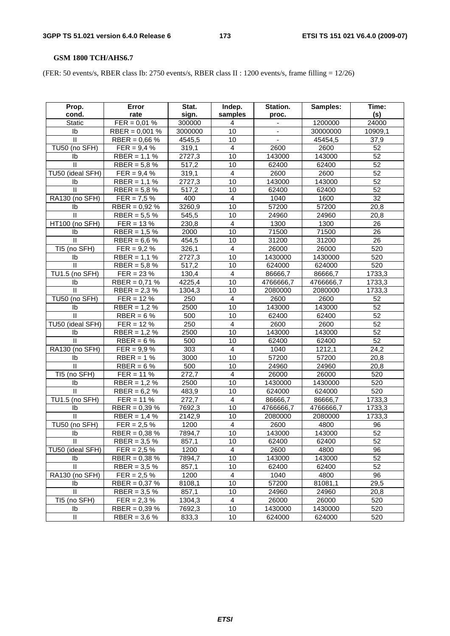# **GSM 1800 TCH/AHS6.7**

(FER: 50 events/s, RBER class Ib: 2750 events/s, RBER class II : 1200 events/s, frame filling = 12/26)

| Prop.            | Error                           | Stat.            | Indep.                  | Station.  | Samples:  | Time:           |
|------------------|---------------------------------|------------------|-------------------------|-----------|-----------|-----------------|
| cond.            | rate                            | sign.            | samples                 | proc.     |           | (s)             |
| <b>Static</b>    | $FER = 0.01 %$                  | 300000           | 4                       |           | 1200000   | 24000           |
| I <sub>b</sub>   | $RBER = 0,001 %$                | 3000000          | 10                      |           | 30000000  | 10909,1         |
| $\mathbf{H}$     | RBER = $0,66%$                  | 4545,5           | 10                      |           | 45454,5   | 37,9            |
| TU50 (no SFH)    | $FER = 9.4 %$                   | 319,1            | 4                       | 2600      | 2600      | 52              |
| Ib               | $RBER = 1,1%$                   | 2727,3           | 10                      | 143000    | 143000    | 52              |
| $\mathbf{II}$    | RBER = $5,8%$                   | 517,2            | 10                      | 62400     | 62400     | 52              |
| TU50 (ideal SFH) | $FER = 9,4%$                    | 319,1            | 4                       | 2600      | 2600      | 52              |
| Ib               | $RBER = 1,1%$                   | 2727,3           | 10                      | 143000    | 143000    | 52              |
| $\mathbf{II}$    | RBER = $5,8%$                   | 517,2            | 10                      | 62400     | 62400     | 52              |
| RA130 (no SFH)   | $FER = 7.5 \%$                  | 400              | 4                       | 1040      | 1600      | $\overline{32}$ |
| Ib               | RBER = $0,92%$                  | 3260,9           | 10                      | 57200     | 57200     | 20,8            |
| $\mathbf{II}$    | RBER = $5.5%$                   | 545,5            | 10                      | 24960     | 24960     | 20,8            |
| HT100 (no SFH)   | $FER = 13 \%$                   | 230,8            | 4                       | 1300      | 1300      | 26              |
| Ib               | $RBER = 1.5%$                   | 2000             | 10                      | 71500     | 71500     | 26              |
| $\mathbf{II}$    | RBER = $6,6%$                   | 454,5            | 10                      | 31200     | 31200     | 26              |
| TI5 (no SFH)     | $FER = 9.2 \%$                  | 326,1            | $\overline{4}$          | 26000     | 26000     | 520             |
| Ib               | $RBER = 1,1%$                   | 2727,3           | 10                      | 1430000   | 1430000   | 520             |
| $\mathbf{I}$     | $RBER = 5.8 %$                  | 517,2            | 10                      | 624000    | 624000    | 520             |
| TU1.5 (no SFH)   | $FER = 23 \%$                   | 130,4            | 4                       | 86666,7   | 86666,7   | 1733,3          |
| Ib               | RBER = $0,71%$                  | 4225,4           | 10                      | 4766666,7 | 4766666,7 | 1733,3          |
| $\mathbf{H}$     | RBER = $2,3%$                   | 1304,3           | 10                      | 2080000   | 2080000   | 1733,3          |
| TU50 (no SFH)    | $FER = 12 \%$                   | 250              | $\overline{4}$          | 2600      | 2600      | 52              |
| Ib               | $RBER = 1.2 %$                  | 2500             | 10                      | 143000    | 143000    | $\overline{52}$ |
| $\mathbf{I}$     | RBER = $6%$                     | 500              | 10                      | 62400     | 62400     | 52              |
| TU50 (ideal SFH) | $FER = 12 \%$                   | 250              | $\overline{4}$          | 2600      | 2600      | 52              |
| Ib               | $RBER = 1,2%$                   | 2500             | 10                      | 143000    | 143000    | 52              |
| Ш                | RBER = $6%$                     | 500              | 10                      | 62400     | 62400     | 52              |
| RA130 (no SFH)   | $FER = 9.9 %$                   | 303              | $\overline{4}$          | 1040      | 1212,1    | 24,2            |
| Ib               | $RBER = 1%$                     | 3000             | 10                      | 57200     | 57200     | 20,8            |
| Ш                | RBER = $6%$                     | 500              | 10                      | 24960     | 24960     | 20,8            |
| TI5 (no SFH)     | $FER = 11 \%$                   | 272,7            | $\overline{\mathbf{4}}$ | 26000     | 26000     | 520             |
| Ib               | RBER = $1,2%$                   | 2500             | 10                      | 1430000   | 1430000   | 520             |
| Ш                | $RBER = 6.2 %$                  | 483,9            | 10                      | 624000    | 624000    | 520             |
| TU1.5 (no SFH)   | $FER = 11 \%$                   | 272,7            | 4                       | 86666,7   | 86666,7   | 1733,3          |
| Ib               | RBER = $0,39%$                  | 7692,3           | 10                      | 4766666,7 | 4766666,7 | 1733,3          |
| $\mathbf{H}$     | RBER = $1,4%$                   | 2142,9           | 10                      | 2080000   | 2080000   | 1733,3          |
| TU50 (no SFH)    | $FER = 2.5 \%$                  | 1200             | 4                       | 2600      | 4800      | 96              |
| Ib               | RBER = $0,38%$                  | 7894,7           | 10                      | 143000    | 143000    | 52              |
| Ш.               | RBER = $3,5%$                   | 857,1            | 10                      | 62400     | 62400     | 52              |
| TU50 (ideal SFH) | $FER = 2.5 \%$                  | 1200             | 4                       | 2600      | 4800      | 96              |
| Ib               | RBER = $0,38%$                  | 7894,7           | 10                      | 143000    | 143000    | 52              |
| $\mathbf{H}$     | RBER = $3,5%$                   | 857,1            | 10                      | 62400     | 62400     | 52              |
| RA130 (no SFH)   | $FER = 2.5 \%$                  | 1200             | 4                       | 1040      | 4800      | 96              |
| Ib               |                                 | 8108,1           | 10                      | 57200     | 81081,1   | 29,5            |
| $\mathbf{II}$    | RBER = $0,37%$<br>RBER = $3,5%$ | 857,1            | 10                      | 24960     | 24960     | 20,8            |
| TI5 (no SFH)     | $FER = 2.3 %$                   |                  |                         | 26000     | 26000     | 520             |
| Ib               |                                 | 1304,3<br>7692,3 | 4<br>10                 | 1430000   | 1430000   |                 |
|                  | RBER = $0,39%$                  |                  |                         |           |           | 520             |
| Ш                | RBER = $3,6%$                   | 833,3            | 10                      | 624000    | 624000    | 520             |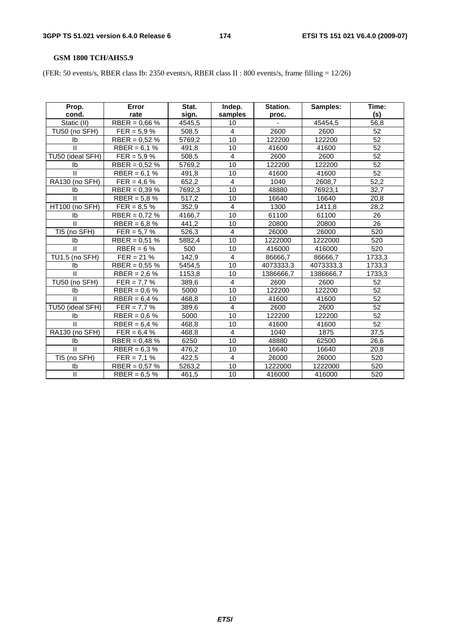# **GSM 1800 TCH/AHS5.9**

(FER: 50 events/s, RBER class Ib: 2350 events/s, RBER class II : 800 events/s, frame filling = 12/26)

| Prop.<br>cond.   | Error<br>rate   | Stat.<br>sign. | Indep.<br>samples | Station.<br>proc. | Samples:  | Time:<br>(s)    |
|------------------|-----------------|----------------|-------------------|-------------------|-----------|-----------------|
| Static (II)      | RBER = $0.66\%$ | 4545,5         | 10                |                   | 45454,5   | 56,8            |
| TU50 (no SFH)    | $FER = 5.9 \%$  | 508,5          | 4                 | 2600              | 2600      | 52              |
| Ib               | RBER = $0,52%$  | 5769,2         | 10                | 122200            | 122200    | $\overline{52}$ |
| $\mathbf{II}$    | RBER = $6.1%$   | 491,8          | 10                | 41600             | 41600     | 52              |
| TU50 (ideal SFH) | $FER = 5.9 \%$  | 508,5          | $\overline{4}$    | 2600              | 2600      | $\overline{52}$ |
| Ib               | RBER = $0.52\%$ | 5769,2         | 10                | 122200            | 122200    | 52              |
| $\mathbf{H}$     | $RBER = 6,1%$   | 491,8          | 10                | 41600             | 41600     | 52              |
| RA130 (no SFH)   | $FER = 4.6 \%$  | 652,2          | $\overline{4}$    | 1040              | 2608,7    | 52,2            |
| Ib               | RBER = $0,39\%$ | 7692,3         | 10                | 48880             | 76923,1   | 32.7            |
| $\mathbf{H}$     | RBER = $5,8%$   | 517,2          | 10                | 16640             | 16640     | 20,8            |
| HT100 (no SFH)   | $FER = 8.5 \%$  | 352,9          | 4                 | 1300              | 1411,8    | 28,2            |
| Ib               | RBER = $0,72%$  | 4166,7         | 10                | 61100             | 61100     | 26              |
| $\mathbf{H}$     | RBER = $6,8%$   | 441,2          | 10                | 20800             | 20800     | $\overline{26}$ |
| TI5 (no SFH)     | $FER = 5.7 \%$  | 526,3          | 4                 | 26000             | 26000     | 520             |
| Ib               | RBER = $0,51%$  | 5882,4         | 10                | 1222000           | 1222000   | 520             |
| $\mathbf{II}$    | $RBER = 6%$     | 500            | 10                | 416000            | 416000    | 520             |
| TU1.5 (no SFH)   | $FER = 21 \%$   | 142,9          | 4                 | 86666,7           | 86666,7   | 1733,3          |
| Ib               | RBER = $0,55%$  | 5454,5         | 10                | 4073333,3         | 4073333,3 | 1733,3          |
| $\mathbf{H}$     | RBER = $2,6%$   | 1153,8         | 10                | 1386666,7         | 1386666,7 | 1733,3          |
| TU50 (no SFH)    | $FER = 7.7 \%$  | 389,6          | $\overline{4}$    | 2600              | 2600      | 52              |
| Ib               | $RBER = 0.6 %$  | 5000           | 10                | 122200            | 122200    | 52              |
| $\mathbf{H}$     | RBER = $6,4%$   | 468,8          | 10                | 41600             | 41600     | 52              |
| TU50 (ideal SFH) | $FER = 7.7 \%$  | 389,6          | 4                 | 2600              | 2600      | $\overline{52}$ |
| Ib               | RBER = $0.6\%$  | 5000           | 10                | 122200            | 122200    | 52              |
| $\mathbf{H}$     | $RBER = 6,4%$   | 468,8          | 10                | 41600             | 41600     | $\overline{52}$ |
| RA130 (no SFH)   | $FER = 6,4%$    | 468,8          | 4                 | 1040              | 1875      | 37,5            |
| Ib               | RBER = $0.48\%$ | 6250           | 10                | 48880             | 62500     | 26,6            |
| $\mathbf{II}$    | RBER = $6,3%$   | 476,2          | 10                | 16640             | 16640     | 20,8            |
| TI5 (no SFH)     | $FER = 7.1 \%$  | 422,5          | 4                 | 26000             | 26000     | 520             |
| Ib               | RBER = $0,57%$  | 5263,2         | 10                | 1222000           | 1222000   | 520             |
| $\mathbf{I}$     | RBER = $6,5%$   | 461,5          | 10                | 416000            | 416000    | 520             |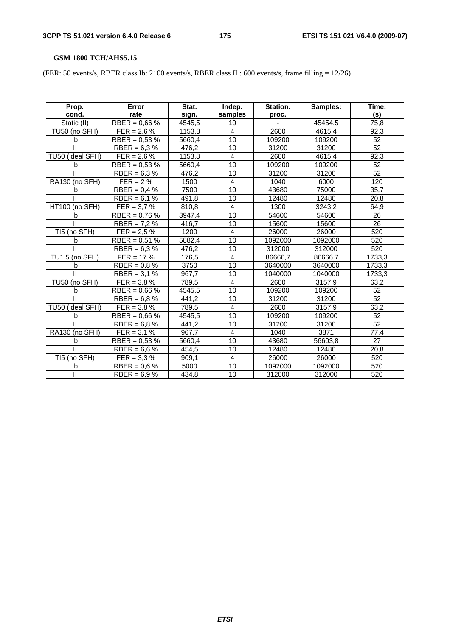# **GSM 1800 TCH/AHS5.15**

(FER: 50 events/s, RBER class Ib: 2100 events/s, RBER class II : 600 events/s, frame filling = 12/26)

| Prop.<br>cond.   | Error<br>rate    | Stat.<br>sign. | Indep.<br>samples | Station.<br>proc. | Samples: | Time:<br>(s)    |
|------------------|------------------|----------------|-------------------|-------------------|----------|-----------------|
| Static (II)      | RBER = $0.66\%$  | 4545,5         | 10                |                   | 45454,5  | 75,8            |
| TU50 (no SFH)    | $FER = 2.6 \%$   | 1153,8         | 4                 | 2600              | 4615,4   | 92,3            |
| Ib               | RBER = $0,53%$   | 5660,4         | 10                | 109200            | 109200   | $\overline{52}$ |
| $\mathbf{II}$    | RBER = $6.3\%$   | 476,2          | 10                | 31200             | 31200    | 52              |
| TU50 (ideal SFH) | $FER = 2.6 \%$   | 1153,8         | 4                 | 2600              | 4615,4   | 92,3            |
| Ib               | RBER = $0.53 \%$ | 5660,4         | 10                | 109200            | 109200   | 52              |
| $\mathbf{H}$     | RBER = $6,3%$    | 476,2          | 10                | 31200             | 31200    | 52              |
| RA130 (no SFH)   | $FER = 2%$       | 1500           | 4                 | 1040              | 6000     | 120             |
| Ib               | RBER = $0.4 \%$  | 7500           | 10                | 43680             | 75000    | 35,7            |
| $\mathbf{H}$     | $RBER = 6,1%$    | 491,8          | 10                | 12480             | 12480    | 20,8            |
| HT100 (no SFH)   | $FER = 3.7 \%$   | 810,8          | 4                 | 1300              | 3243,2   | 64,9            |
| Ib               | RBER = $0.76\%$  | 3947,4         | 10                | 54600             | 54600    | 26              |
| $\mathbf{H}$     | RBER = $7,2%$    | 416,7          | 10                | 15600             | 15600    | $\overline{26}$ |
| TI5 (no SFH)     | $FER = 2.5 \%$   | 1200           | 4                 | 26000             | 26000    | 520             |
| Ib               | RBER = $0,51%$   | 5882,4         | 10                | 1092000           | 1092000  | 520             |
| $\mathbf{II}$    | RBER = $6.3\%$   | 476,2          | 10                | 312000            | 312000   | 520             |
| TU1.5 (no SFH)   | $FER = 17 \%$    | 176,5          | 4                 | 86666,7           | 86666,7  | 1733,3          |
| Ib               | RBER = $0.8 \%$  | 3750           | 10                | 3640000           | 3640000  | 1733,3          |
| $\mathbf{H}$     | RBER = $3.1%$    | 967,7          | 10                | 1040000           | 1040000  | 1733,3          |
| TU50 (no SFH)    | $FER = 3.8 \%$   | 789,5          | 4                 | 2600              | 3157,9   | 63,2            |
| Ib               | RBER = $0.66\%$  | 4545,5         | 10                | 109200            | 109200   | 52              |
| $\mathbf{H}$     | RBER = $6.8\%$   | 441,2          | 10                | 31200             | 31200    | 52              |
| TU50 (ideal SFH) | $FER = 3.8 \%$   | 789,5          | 4                 | 2600              | 3157,9   | 63,2            |
| Ib               | RBER = $0,66%$   | 4545,5         | 10                | 109200            | 109200   | 52              |
| $\mathbf{H}$     | RBER = $6,8%$    | 441,2          | 10                | 31200             | 31200    | $\overline{52}$ |
| RA130 (no SFH)   | $FER = 3.1 \%$   | 967,7          | 4                 | 1040              | 3871     | 77,4            |
| Ib               | RBER = $0.53 \%$ | 5660,4         | 10                | 43680             | 56603,8  | 27              |
| $\mathbf{H}$     | RBER = $6,6%$    | 454,5          | 10                | 12480             | 12480    | 20,8            |
| TI5 (no SFH)     | $FER = 3.3 \%$   | 909,1          | 4                 | 26000             | 26000    | 520             |
| Ib               | RBER = $0,6%$    | 5000           | 10                | 1092000           | 1092000  | 520             |
| $\mathbf{I}$     | RBER = $6.9%$    | 434,8          | 10                | 312000            | 312000   | 520             |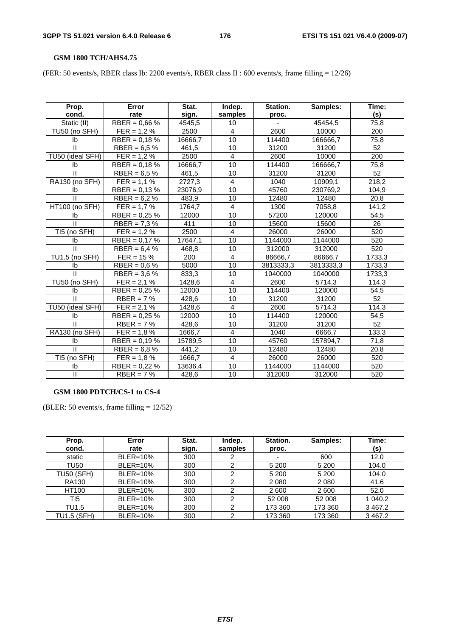#### **GSM 1800 TCH/AHS4.75**

(FER: 50 events/s, RBER class Ib: 2200 events/s, RBER class II : 600 events/s, frame filling = 12/26)

| Prop.                 | Error           | Stat.   | Indep.         | Station.  | Samples:  | Time:  |
|-----------------------|-----------------|---------|----------------|-----------|-----------|--------|
| cond.                 | rate            | sign.   | samples        | proc.     |           | (s)    |
| Static (II)           | RBER = $0,66%$  | 4545.5  | 10             |           | 45454.5   | 75.8   |
| TU50 (no SFH)         | $FER = 1.2 \%$  | 2500    | 4              | 2600      | 10000     | 200    |
| Ib                    | RBER = $0,18%$  | 16666,7 | 10             | 114400    | 166666,7  | 75,8   |
| $\mathbf{H}$          | RBER = $6.5\%$  | 461.5   | 10             | 31200     | 31200     | 52     |
| TU50 (ideal SFH)      | $FER = 1.2 \%$  | 2500    | $\overline{4}$ | 2600      | 10000     | 200    |
| Ib                    | RBER = $0,18%$  | 16666,7 | 10             | 114400    | 166666,7  | 75,8   |
| $\mathbf{H}$          | RBER = $6,5%$   | 461,5   | 10             | 31200     | 31200     | 52     |
| RA130 (no SFH)        | $FER = 1.1 %$   | 2727,3  | $\overline{4}$ | 1040      | 10909,1   | 218,2  |
| Ib                    | RBER = $0.13\%$ | 23076,9 | 10             | 45760     | 230769,2  | 104.9  |
| $\mathbf{H}$          | $RBER = 6.2 %$  | 483,9   | 10             | 12480     | 12480     | 20,8   |
| HT100 (no SFH)        | $FER = 1.7 \%$  | 1764,7  | $\overline{4}$ | 1300      | 7058,8    | 141,2  |
| Ib                    | RBER = $0.25\%$ | 12000   | 10             | 57200     | 120000    | 54,5   |
| $\mathbf{H}$          | $RBER = 7,3%$   | 411     | 10             | 15600     | 15600     | 26     |
| TI5 (no SFH)          | $FER = 1.2 \%$  | 2500    | 4              | 26000     | 26000     | 520    |
| Ib                    | RBER = $0.17\%$ | 17647,1 | 10             | 1144000   | 1144000   | 520    |
| $\mathbf{II}$         | RBER = $6,4%$   | 468,8   | 10             | 312000    | 312000    | 520    |
| TU1.5 (no SFH)        | $FER = 15%$     | 200     | $\overline{4}$ | 86666,7   | 86666,7   | 1733,3 |
| Ib                    | $RBER = 0.6 %$  | 5000    | 10             | 3813333,3 | 3813333,3 | 1733,3 |
| $\mathbf{II}$         | RBER = $3,6%$   | 833,3   | 10             | 1040000   | 1040000   | 1733,3 |
| TU50 (no SFH)         | $FER = 2,1%$    | 1428,6  | $\overline{4}$ | 2600      | 5714,3    | 114,3  |
| Ib                    | RBER = $0,25%$  | 12000   | 10             | 114400    | 120000    | 54,5   |
| $\mathbf{H}$          | $RBER = 7%$     | 428,6   | 10             | 31200     | 31200     | 52     |
| TU50 (ideal SFH)      | $FER = 2,1%$    | 1428,6  | 4              | 2600      | 5714,3    | 114,3  |
| Ib                    | RBER = $0,25%$  | 12000   | 10             | 114400    | 120000    | 54,5   |
| $\mathbf{H}$          | $RBER = 7%$     | 428,6   | 10             | 31200     | 31200     | 52     |
| <b>RA130 (no SFH)</b> | $FER = 1.8 \%$  | 1666,7  | 4              | 1040      | 6666,7    | 133,3  |
| Ib                    | RBER = $0,19%$  | 15789,5 | 10             | 45760     | 157894,7  | 71,8   |
| II                    | RBER = $6,8%$   | 441,2   | 10             | 12480     | 12480     | 20,8   |
| TI5 (no SFH)          | $FER = 1.8 \%$  | 1666,7  | $\overline{4}$ | 26000     | 26000     | 520    |
| Ib                    | $RBER = 0,22%$  | 13636,4 | 10             | 1144000   | 1144000   | 520    |
| $\mathbf{I}$          | $RBER = 7%$     | 428,6   | 10             | 312000    | 312000    | 520    |

#### **GSM 1800 PDTCH/CS-1 to CS-4**

(BLER: 50 events/s, frame filling = 12/52)

| Prop.<br>cond.     | Error<br>rate   | Stat.<br>sign. | Indep.<br>samples | Station.<br>proc. | Samples: | Time:<br>(s) |
|--------------------|-----------------|----------------|-------------------|-------------------|----------|--------------|
| static             | <b>BLER=10%</b> | 300            |                   |                   | 600      | 12.0         |
| TU50               | <b>BLER=10%</b> | 300            | າ                 | 5 200             | 5 2 0 0  | 104.0        |
| <b>TU50 (SFH)</b>  | <b>BLER=10%</b> | 300            | 2                 | 5 200             | 5 200    | 104.0        |
| <b>RA130</b>       | <b>BLER=10%</b> | 300            | ⌒                 | 2 0 8 0           | 2 0 8 0  | 41.6         |
| HT100              | <b>BLER=10%</b> | 300            | າ                 | 2 600             | 2600     | 52.0         |
| TI5                | <b>BLER=10%</b> | 300            | 2                 | 52 008            | 52 008   | 1 040.2      |
| TU1.5              | <b>BLER=10%</b> | 300            | ົ                 | 173 360           | 173 360  | 3467.2       |
| <b>TU1.5 (SFH)</b> | <b>BLER=10%</b> | 300            | っ                 | 173 360           | 173 360  | 3 4 6 7.2    |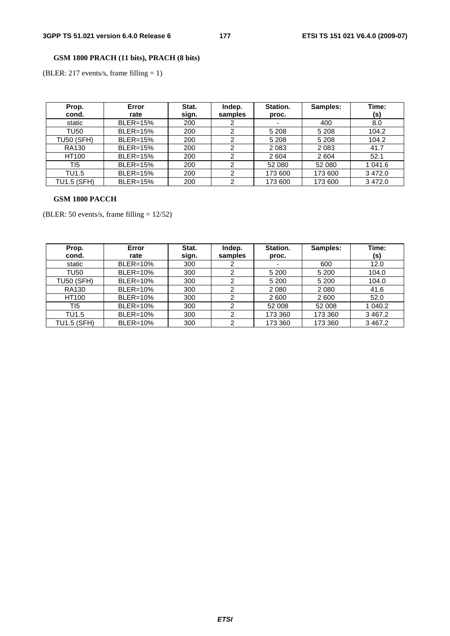# **GSM 1800 PRACH (11 bits), PRACH (8 bits)**

(BLER: 217 events/s, frame filling = 1)

| Prop.<br>cond.     | Error<br>rate   | Stat.<br>sign. | Indep.<br>samples | Station.<br>proc.        | Samples: | Time:<br>(s) |
|--------------------|-----------------|----------------|-------------------|--------------------------|----------|--------------|
| static             | <b>BLER=15%</b> | 200            |                   | $\overline{\phantom{a}}$ | 400      | 8.0          |
| TU50               | <b>BLER=15%</b> | 200            | ົ                 | 5 2 0 8                  | 5 2 0 8  | 104.2        |
| <b>TU50 (SFH)</b>  | <b>BLER=15%</b> | 200            | っ                 | 5 2 0 8                  | 5 2 0 8  | 104.2        |
| <b>RA130</b>       | <b>BLER=15%</b> | 200            | ົ                 | 2 0 8 3                  | 2083     | 41.7         |
| HT100              | <b>BLER=15%</b> | 200            | ົ                 | 2 604                    | 2604     | 52.1         |
| TI <sub>5</sub>    | <b>BLER=15%</b> | 200            | ⌒                 | 52 080                   | 52 080   | 1 041.6      |
| TU1.5              | <b>BLER=15%</b> | 200            | ົ                 | 173 600                  | 173 600  | 3472.0       |
| <b>TU1.5 (SFH)</b> | <b>BLER=15%</b> | 200            | ◠                 | 173 600                  | 173 600  | 3 4 7 2.0    |

### **GSM 1800 PACCH**

(BLER: 50 events/s, frame filling = 12/52)

| Prop.<br>cond.     | Error<br>rate   | Stat.<br>sign. | Indep.<br>samples | Station.<br>proc.        | Samples: | Time:<br>(s) |
|--------------------|-----------------|----------------|-------------------|--------------------------|----------|--------------|
| static             | <b>BLER=10%</b> | 300            |                   | $\overline{\phantom{a}}$ | 600      | 12.0         |
| TU50               | <b>BLER=10%</b> | 300            | ⌒                 | 5 200                    | 5 200    | 104.0        |
| <b>TU50 (SFH)</b>  | <b>BLER=10%</b> | 300            | ົ                 | 5 200                    | 5 200    | 104.0        |
| <b>RA130</b>       | <b>BLER=10%</b> | 300            | ົ                 | 2 0 8 0                  | 2 0 8 0  | 41.6         |
| HT100              | <b>BLER=10%</b> | 300            | ົ                 | 2 600                    | 2600     | 52.0         |
| TI5                | <b>BLER=10%</b> | 300            | ົ                 | 52 008                   | 52 008   | 1 040.2      |
| TU1.5              | <b>BLER=10%</b> | 300            | ົ                 | 173 360                  | 173 360  | 3467.2       |
| <b>TU1.5 (SFH)</b> | <b>BLER=10%</b> | 300            | っ                 | 173 360                  | 173 360  | 3 4 6 7.2    |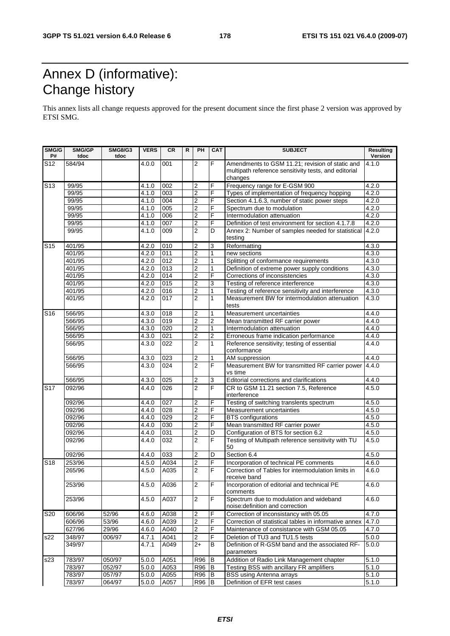# Annex D (informative): Change history

This annex lists all change requests approved for the present document since the first phase 2 version was approved by ETSI SMG.

| SMG/G<br>P#     | SMG/GP<br>tdoc | <b>SMG8/G3</b><br>tdoc | <b>VERS</b>        | <b>CR</b>        | R | PH                      | <b>CAT</b>     | <b>SUBJECT</b>                                                                                          | <b>Resulting</b><br>Version |
|-----------------|----------------|------------------------|--------------------|------------------|---|-------------------------|----------------|---------------------------------------------------------------------------------------------------------|-----------------------------|
| S <sub>12</sub> | 584/94         |                        | 4.0.0              | 001              |   | $\overline{2}$          | F              | Amendments to GSM 11.21; revision of static and<br>multipath reference sensitivity tests, and editorial | 4.1.0                       |
|                 |                |                        |                    |                  |   |                         |                | changes                                                                                                 |                             |
| S <sub>13</sub> | 99/95          |                        | 4.1.0              | 002              |   | 2                       | F              | Frequency range for E-GSM 900                                                                           | 4.2.0                       |
|                 | 99/95          |                        | 4.1.0              | 003              |   | $\overline{2}$          | F              | Types of implementation of frequency hopping                                                            | 4.2.0                       |
|                 | 99/95          |                        | 4.1.0              | 004              |   | $\overline{2}$          | F              | Section 4.1.6.3, number of static power steps                                                           | 4.2.0                       |
|                 | 99/95          |                        | 4.1.0              | 005              |   | $\overline{2}$          | F              | Spectrum due to modulation                                                                              | 4.2.0                       |
|                 | 99/95          |                        | 4.1.0              | 006              |   | $\overline{2}$          | F              | Intermodulation attenuation                                                                             | 4.2.0                       |
|                 | 99/95          |                        | 4.1.0              | 007              |   | $\overline{2}$          | F              | Definition of test environment for section 4.1.7.8                                                      | 4.2.0                       |
|                 | 99/95          |                        | 4.1.0              | 009              |   | $\overline{2}$          | D              | Annex 2: Number of samples needed for statistical<br>testing                                            | 4.2.0                       |
| S <sub>15</sub> | 401/95         |                        | 4.2.0              | 010              |   | $\boldsymbol{2}$        | 3              | Reformatting                                                                                            | 4.3.0                       |
|                 | 401/95         |                        | 4.2.0              | 011              |   | $\overline{2}$          | 1              | new sections                                                                                            | 4.3.0                       |
|                 | 401/95         |                        | 4.2.0              | 012              |   | $\overline{2}$          | 1              | Splitting of conformance requirements                                                                   | 4.3.0                       |
|                 | 401/95         |                        | 4.2.0              | 013              |   | $\overline{2}$          | 1              | Definition of extreme power supply conditions                                                           | 4.3.0                       |
|                 | 401/95         |                        | 4.2.0              | 014              |   | $\overline{2}$          | F              | Corrections of inconsistencies                                                                          | 4.3.0                       |
|                 | 401/95         |                        | 4.2.0              | 015              |   | $\overline{c}$          | 3              | Testing of reference interference                                                                       | 4.3.0                       |
|                 | 401/95         |                        | 4.2.0              | 016              |   | $\overline{2}$          | 1              | Testing of reference sensitivity and interference                                                       | 4.3.0                       |
|                 | 401/95         |                        | 4.2.0              | 017              |   | $\overline{2}$          | 1              | Measurement BW for intermodulation attenuation<br>tests                                                 | 4.3.0                       |
| S <sub>16</sub> | 566/95         |                        | 4.3.0              | 018              |   | $\overline{2}$          | 1              | Measurement uncertainties                                                                               | 4.4.0                       |
|                 | 566/95         |                        | 4.3.0              | 019              |   | $\overline{\mathbf{c}}$ | 2              | Mean transmitted RF carrier power                                                                       | 4.4.0                       |
|                 | 566/95         |                        | 4.3.0              | 020              |   | $\overline{2}$          | 1              | Intermodulation attenuation                                                                             | 4.4.0                       |
|                 | 566/95         |                        | 4.3.0              | 021              |   | $\overline{\mathbf{2}}$ | $\overline{2}$ | Erroneous frame indication performance                                                                  | 4.4.0                       |
|                 | 566/95         |                        | 4.3.0              | 022              |   | $\overline{c}$          | 1              | Reference sensitivity; testing of essential                                                             | 4.4.0                       |
|                 |                |                        |                    |                  |   |                         |                | conformance                                                                                             |                             |
|                 | 566/95         |                        | 4.3.0              | 023              |   | 2                       | 1              | AM suppression                                                                                          | 4.4.0                       |
|                 | 566/95         |                        | 4.3.0              | $\overline{024}$ |   | $\overline{2}$          | F              | Measurement BW for transmitted RF carrier power                                                         | 4.4.0                       |
|                 |                |                        |                    |                  |   |                         |                | vs time                                                                                                 |                             |
|                 | 566/95         |                        | 4.3.0              | 025              |   | $\boldsymbol{2}$        | 3              | Editorial corrections and clarifications                                                                | 4.4.0                       |
| S <sub>17</sub> | 092/96         |                        | 4.4.0              | 026              |   | $\overline{2}$          | F              | CR to GSM 11.21 section 7.5, Reference<br>interference                                                  | 4.5.0                       |
|                 | 092/96         |                        | 4.4.0              | 027              |   | 2                       | F              | Testing of switching translents spectrum                                                                | 4.5.0                       |
|                 | 092/96         |                        | 4.4.0              | 028              |   | $\overline{2}$          | F              | Measurement uncertainties                                                                               | 4.5.0                       |
|                 | 092/96         |                        | $\overline{4.4.0}$ | 029              |   | $\overline{\mathbf{2}}$ | F              | <b>BTS</b> configurations                                                                               | 4.5.0                       |
|                 | 092/96         |                        | 4.4.0              | 030              |   | $\overline{c}$          | F              | Mean transmitted RF carrier power                                                                       | 4.5.0                       |
|                 | 092/96         |                        | 4.4.0              | 031              |   | $\overline{2}$          | D              | Configuration of BTS for section 6.2                                                                    | 4.5.0                       |
|                 | 092/96         |                        | 4.4.0              | 032              |   | $\overline{2}$          | F              | Testing of Multipath reference sensitivity with TU<br>50                                                | 4.5.0                       |
|                 | 092/96         |                        | 4.4.0              | 033              |   | $\overline{2}$          | $\overline{D}$ | Section 6.4                                                                                             | 4.5.0                       |
| S <sub>18</sub> | 253/96         |                        | 4.5.0              | A034             |   | $\overline{2}$          | F              | Incorporation of technical PE comments                                                                  | 4.6.0                       |
|                 | 265/96         |                        | 4.5.0              | A035             |   | $\overline{2}$          | F              | Correction of Tables for intermodulation limits in<br>receive band                                      | 4.6.0                       |
|                 | 253/96         |                        | 4.5.0              | A036             |   | $\overline{2}$          | F              | Incorporation of editorial and technical PE                                                             | 4.6.0                       |
|                 | 253/96         |                        | 4.5.0              | A037             |   | $\overline{2}$          | F              | comments<br>Spectrum due to modulation and wideband                                                     | 4.6.0                       |
|                 |                |                        |                    |                  |   |                         |                | noise: definition and correction                                                                        |                             |
| <b>S20</b>      | 606/96         | 52/96                  | 4.6.0              | A038             |   | $\boldsymbol{2}$        | F<br>F         | Correction of inconsistancy with 05.05                                                                  | 4.7.0                       |
|                 | 606/96         | 53/96                  | 4.6.0              | A039             |   | $\overline{2}$          |                | Correction of statistical tables in informative annex                                                   | 4.7.0                       |
|                 | 627/96         | 29/96                  | 4.6.0              | A040             |   | 2                       | F              | Maintenance of consistance with GSM 05.05                                                               | 4.7.0                       |
| s22             | 348/97         | 006/97                 | 4.7.1              | A041             |   | $\overline{2}$          | F              | Deletion of TU3 and TU1.5 tests                                                                         | 5.0.0                       |
|                 | 349/97         |                        | 4.7.1              | A049             |   | $2+$                    | B              | Definition of R-GSM band and the associated RF-<br>parameters                                           | 5.0.0                       |
| s23             | 783/97         | 050/97                 | 5.0.0              | A051             |   | R96                     | B              | Addition of Radio Link Management chapter                                                               | $\overline{5}.1.0$          |
|                 | 783/97         | 052/97                 | 5.0.0              | A053             |   | <b>R96 B</b>            |                | Testing BSS with ancillary FR amplifiers                                                                | 5.1.0                       |
|                 | 783/97         | 057/97                 | 5.0.0              | A055             |   | R96 B                   |                | <b>BSS using Antenna arrays</b>                                                                         | 5.1.0                       |
|                 | 783/97         | 064/97                 | 5.0.0              | A057             |   | R96 B                   |                | Definition of EFR test cases                                                                            | 5.1.0                       |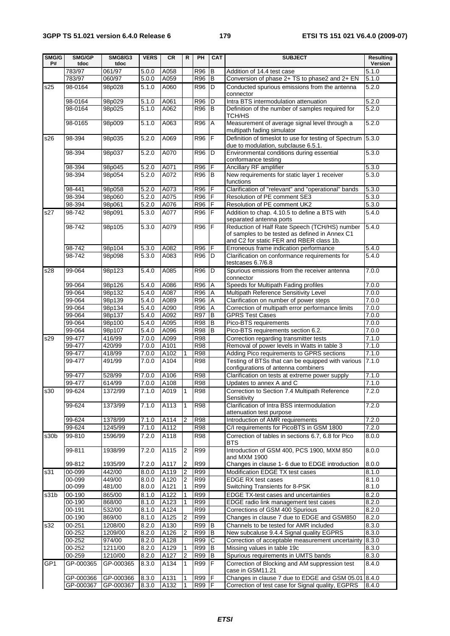| SMG/G<br>P#     | SMG/GP<br>tdoc   | <b>SMG8/G3</b><br>tdoc | <b>VERS</b>        | <b>CR</b>        | R.             | PH                       | <b>CAT</b>          | <b>SUBJECT</b>                                                                               | <b>Resulting</b><br>Version |
|-----------------|------------------|------------------------|--------------------|------------------|----------------|--------------------------|---------------------|----------------------------------------------------------------------------------------------|-----------------------------|
|                 | 783/97           | 061/97                 | 5.0.0              | A058             |                | R96                      | B                   | Addition of 14.4 test case                                                                   | 5.1.0                       |
|                 | 783/97           | 060/97                 | 5.0.0              | A059             |                | R96                      | B                   | Conversion of phase 2+ TS to phase2 and 2+ EN                                                | 5.1.0                       |
| s25             | 98-0164          | 98p028                 | 5.1.0              | A060             |                | R96                      | D                   | Conducted spurious emissions from the antenna                                                | 5.2.0                       |
|                 |                  |                        |                    |                  |                |                          |                     | connector                                                                                    |                             |
|                 | 98-0164          | 98p029                 | 5.1.0              | A061             |                | R96                      | D                   | Intra BTS intermodulation attenuation                                                        | 5.2.0                       |
|                 | 98-0164          | 98p025                 | 5.1.0              | A062             |                | R96                      | B                   | Definition of the number of samples required for                                             | 5.2.0                       |
|                 |                  |                        |                    |                  |                |                          |                     | TCH/HS                                                                                       |                             |
|                 | 98-0165          | 98p009                 | 5.1.0              | A063             |                | R96                      | A                   | Measurement of average signal level through a                                                | 5.2.0                       |
|                 |                  |                        |                    |                  |                |                          |                     | multipath fading simulator                                                                   |                             |
| s26             | 98-394           | 98p035                 | 5.2.0              | A069             |                | $R\overline{96}$ F       |                     | Definition of timeslot to use for testing of Spectrum                                        | 5.3.0                       |
|                 | 98-394           |                        | 5.2.0              | A070             |                | R96                      | D                   | due to modulation, subclause 6.5.1.<br>Environmental conditions during essential             | 5.3.0                       |
|                 |                  | 98p037                 |                    |                  |                |                          |                     | conformance testing                                                                          |                             |
|                 | 98-394           | 98p045                 | 5.2.0              | A071             |                | R96                      | F                   | Ancillary RF amplifier                                                                       | 5.3.0                       |
|                 | 98-394           | 98p054                 | 5.2.0              | A072             |                | R96                      | l B                 | New requirements for static layer 1 receiver                                                 | 5.3.0                       |
|                 |                  |                        |                    |                  |                |                          |                     | functions                                                                                    |                             |
|                 | 98-441           | 98p058                 | 5.2.0              | A073             |                | R96                      | F                   | Clarification of "relevant" and "operational" bands                                          | 5.3.0                       |
|                 | 98-394           | 98p060                 | 5.2.0              | A075             |                | R96                      | F                   | Resolution of PE comment SE3                                                                 | 5.3.0                       |
|                 | 98-394           | 98p061                 | 5.2.0              | A076             |                | R96                      | F                   | Resolution of PE comment UK2                                                                 | 5.3.0                       |
| s27             | 98-742           | 98p091                 | 5.3.0              | A077             |                | R96                      | F                   | Addition to chap. 4.10.5 to define a BTS with                                                | 5.4.0                       |
|                 |                  |                        |                    |                  |                |                          |                     | separated antenna ports                                                                      |                             |
|                 | 98-742           | 98p105                 | 5.3.0              | A079             |                | R96                      | F                   | Reduction of Half Rate Speech (TCH/HS) number                                                | 5.4.0                       |
|                 |                  |                        |                    |                  |                |                          |                     | of samples to be tested as defined in Annex C1                                               |                             |
|                 | 98-742           | 98p104                 |                    | A082             |                | R96                      | F                   | and C2 for static FER and RBER class 1b.<br>Erroneous frame indication performance           | 5.4.0                       |
|                 | $98 - 742$       | 98p098                 | 5.3.0<br>5.3.0     | A083             |                | R96                      | D                   | Clarification on conformance requirements for                                                | 5.4.0                       |
|                 |                  |                        |                    |                  |                |                          |                     | testcases 6.7/6.8                                                                            |                             |
| s28             | 99-064           | 98p123                 | 5.4.0              | A085             |                | R96                      | D                   | Spurious emissions from the receiver antenna                                                 | 7.0.0                       |
|                 |                  |                        |                    |                  |                |                          |                     | connector                                                                                    |                             |
|                 | 99-064           | 98p126                 | 5.4.0              | A086             |                | R96                      | A                   | Speeds for Multipath Fading profiles                                                         | 7.0.0                       |
|                 | 99-064           | 98p132                 | 5.4.0              | A087             |                | R96                      | Α                   | Multipath Reference Sensitivity Level                                                        | 7.0.0                       |
|                 | 99-064           | 98p139                 | 5.4.0              | A089             |                | R96                      | A                   | Clarification on number of power steps                                                       | 7.0.0                       |
|                 | 99-064           | 98p134                 | $\overline{5.4.0}$ | A090             |                | R96                      | A                   | Correction of multipath error performance limits                                             | 7.0.0                       |
|                 | 99-064           | 98p137                 | 5.4.0              | A092             |                | R97                      | B                   | <b>GPRS Test Cases</b>                                                                       | 7.0.0                       |
|                 | 99-064           | 98p100                 | 5.4.0              | A095             |                | <b>R98</b>               | В                   | Pico-BTS requirements                                                                        | 7.0.0                       |
|                 | 99-064           | 98p107                 | 5.4.0              | A096             |                | <b>R98</b>               | B                   | Pico-BTS requirements section 6.2.                                                           | 7.0.0                       |
| s29             | 99-477           | 416/99                 | 7.0.0              | A099             |                | R98                      |                     | Correction regarding transmitter tests                                                       | 7.1.0                       |
|                 | $99-477$         | 420/99                 | 7.0.0              | A101             |                | <b>R98</b>               |                     | Removal of power levels in Watts in table 3                                                  | 7.1.0                       |
|                 | 99-477           | 418/99                 | 7.0.0              | A102             | 1              | <b>R98</b>               |                     | Adding Pico requirements to GPRS sections                                                    | 7.1.0                       |
|                 | 99-477           | 491/99                 | 7.0.0              | A104             |                | <b>R98</b>               |                     | Testing of BTSs that can be equipped with various                                            | 7.1.0                       |
|                 |                  |                        |                    |                  |                |                          |                     | configurations of antenna combiners                                                          |                             |
|                 | 99-477<br>99-477 | 528/99<br>614/99       | 7.0.0<br>7.0.0     | A106<br>A108     |                | <b>R98</b><br>R98        |                     | Clarification on tests at extreme power supply<br>Updates to annex A and C                   | 7.1.0<br>7.1.0              |
| s30             | 99-624           | 1372/99                | 7.1.0 A019         |                  | $ 1\rangle$    | <b>R98</b>               |                     | Correction to Section 7.4 Multipath Reference                                                | 7.2.0                       |
|                 |                  |                        |                    |                  |                |                          |                     | Sensitivity                                                                                  |                             |
|                 | 99-624           | 1373/99                | 7.1.0              | A <sub>113</sub> | 1              | <b>R98</b>               |                     | Clarification of Intra BSS intermodulation                                                   | 7.2.0                       |
|                 |                  |                        |                    |                  |                |                          |                     | attenuation test purpose                                                                     |                             |
|                 | 99-624           | 1378/99                | 7.1.0              | A114             | 2              | <b>R98</b>               |                     | Introduction of AMR requirements                                                             | 7.2.0                       |
|                 | 99-624           | 1245/99                | 7.1.0              | A112             |                | <b>R98</b>               |                     | C/I requirements for PicoBTS in GSM 1800                                                     | 7.2.0                       |
| s30b            | 99-810           | 1596/99                | 7.2.0              | A118             |                | <b>R98</b>               |                     | Correction of tables in sections 6.7, 6.8 for Pico                                           | 8.0.0                       |
|                 |                  |                        |                    |                  |                |                          |                     | <b>BTS</b>                                                                                   |                             |
|                 | 99-811           | 1938/99                | 7.2.0              | A115             | $\overline{2}$ | R99                      |                     | Introduction of GSM 400, PCS 1900, MXM 850                                                   | 8.0.0                       |
|                 |                  |                        |                    |                  |                |                          |                     | and MXM 1900                                                                                 |                             |
|                 | 99-812           | 1935/99                | 7.2.0              | A117             | 2              | <b>R99</b>               |                     | Changes in clause 1- 6 due to EDGE introduction                                              | 8.0.0                       |
| s31             | $00 - 099$       | 442/00                 | 8.0.0              | A119             | $\overline{2}$ | <b>R99</b>               |                     | Modification EDGE TX test cases                                                              | 8.1.0                       |
|                 | 00-099           | 449/00                 | 8.0.0              | A120             | $\overline{2}$ | <b>R99</b>               |                     | <b>EDGE RX test cases</b>                                                                    | 8.1.0                       |
|                 | 00-099           | 481/00                 | 8.0.0              | A121             | 1              | R99                      |                     | Switching Transients for 8-PSK                                                               | 8.1.0                       |
| s31b            | 00-190           | 865/00                 | 8.1.0              | A122             | $\mathbf{1}$   | R99                      |                     | <b>EDGE TX-test cases and uncertainties</b>                                                  | 8.2.0                       |
|                 | 00-190<br>00-191 | 868/00<br>532/00       | 8.1.0              | A123             | 1              | <b>R99</b><br><b>R99</b> |                     | EDGE radio link management test cases                                                        | 8.2.0<br>8.2.0              |
|                 | 00-190           | 869/00                 | 8.1.0<br>8.1.0     | A124<br>A125     | $\overline{2}$ | R99                      |                     | Corrections of GSM 400 Spurious<br>Changes in clause 7 due to EDGE and GSM850                | 8.2.0                       |
| s32             | 00-251           | 1208/00                | 8.2.0              | A130             |                | R99                      | В                   | Channels to be tested for AMR included                                                       | 8.3.0                       |
|                 |                  |                        |                    |                  |                |                          |                     |                                                                                              |                             |
|                 | 00-252<br>00-252 | 1209/00<br>974/00      | 8.2.0<br>8.2.0     | A126<br>A128     | 2              | R99<br>R99               | B<br>$\overline{C}$ | New subcaluse 9.4.4 Signal quality EGPRS<br>Correction of acceptable measurement uncertainty | 8.3.0<br>8.3.0              |
|                 | 00-252           | 1211/00                | 8.2.0              | A129             | 1              | R99                      | В                   | Missing values in table 19c                                                                  | 8.3.0                       |
|                 | 00-259           | 1210/00                | 8.2.0              | A127             | $\overline{2}$ | R99                      | B                   | Spurious requirements in UMTS bands                                                          | 8.3.0                       |
| GP <sub>1</sub> | GP-000365        | GP-000365              | 8.3.0              | A134             | 1              | $R\overline{99}$ F       |                     | Correction of Blocking and AM suppression test                                               | 8.4.0                       |
|                 |                  |                        |                    |                  |                |                          |                     | case in GSM11.21                                                                             |                             |
|                 | GP-000366        | GP-000366              | 8.3.0              | A131             | 1              | R99                      | F                   | Changes in clause 7 due to EDGE and GSM 05.01 8.4.0                                          |                             |
|                 | GP-000367        | GP-000367              | 8.3.0              | A132             | 1              | R99 F                    |                     | Correction of test case for Signal quality, EGPRS                                            | 8.4.0                       |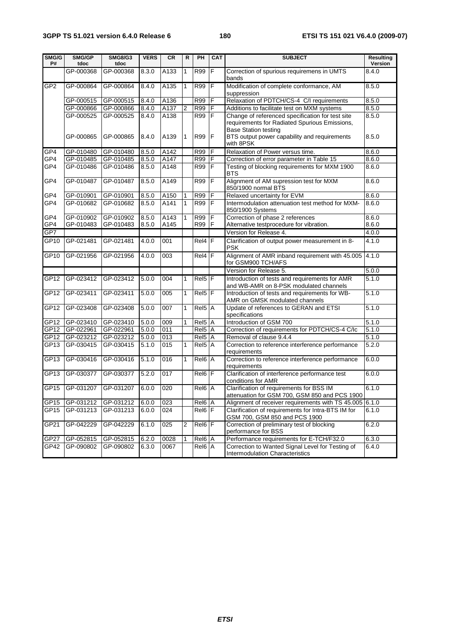## **3GPP TS 51.021 version 6.4.0 Release 6 180 ETSI TS 151 021 V6.4.0 (2009-07)**

| SMG/G<br>P#      | SMG/GP<br>tdoc | <b>SMG8/G3</b><br>tdoc | <b>VERS</b> | <b>CR</b> | R              | PH                 | <b>CAT</b>     | <b>SUBJECT</b>                                                                                                                            | <b>Resulting</b><br>Version |
|------------------|----------------|------------------------|-------------|-----------|----------------|--------------------|----------------|-------------------------------------------------------------------------------------------------------------------------------------------|-----------------------------|
|                  | GP-000368      | GP-000368              | 8.3.0       | A133      | $\mathbf{1}$   | <b>R99</b>         | F              | Correction of spurious requiremens in UMTS<br>bands                                                                                       | 8.4.0                       |
| GP <sub>2</sub>  | GP-000864      | GP-000864              | 8.4.0       | A135      | $\mathbf{1}$   | R99                | F              | Modification of complete conformance, AM<br>suppression                                                                                   | 8.5.0                       |
|                  | GP-000515      | GP-000515              | 8.4.0       | A136      |                | R99                | F              | Relaxation of PDTCH/CS-4 C/I requirements                                                                                                 | 8.5.0                       |
|                  | GP-000866      | GP-000866              | 8.4.0       | A137      | $\overline{2}$ | R99                | F              | Additions to facilitate test on MXM systems                                                                                               | 8.5.0                       |
|                  | GP-000525      | GP-000525              | 8.4.0       | A138      |                | <b>R99</b>         | F              | Change of referenced specification for test site                                                                                          | 8.5.0                       |
|                  | GP-000865      | GP-000865              | 8.4.0       | A139      | $\mathbf{1}$   | R99                | F              | requirements for Radiated Spurious Emissions,<br><b>Base Station testing</b><br>BTS output power capability and requirements<br>with 8PSK | 8.5.0                       |
| GP4              | GP-010480      | GP-010480              | 8.5.0       | A142      |                | <b>R99</b>         | F              | Relaxation of Power versus time.                                                                                                          | 8.6.0                       |
| GP4              | GP-010485      | GP-010485              | 8.5.0       | A147      |                | R99                | F              | Correction of error parameter in Table 15                                                                                                 | 8.6.0                       |
| GP4              | GP-010486      | GP-010486              | 8.5.0       | A148      |                | R99                | F              | Testing of blocking requirements for MXM 1900<br><b>BTS</b>                                                                               | 8.6.0                       |
| GP4              | GP-010487      | GP-010487              | 8.5.0       | A149      |                | <b>R99</b>         | F              | Alignment of AM supression test for MXM<br>850/1900 normal BTS                                                                            | 8.6.0                       |
| GP4              | GP-010901      | GP-010901              | 8.5.0       | A150      | 1              | R99                | F              | Relaxed uncertainty for EVM                                                                                                               | 8.6.0                       |
| GP4              | GP-010682      | GP-010682              | 8.5.0       | A141      | $\mathbf{1}$   | R99                | $\overline{F}$ | Intermodulation attenuation test method for MXM-<br>850/1900 Systems                                                                      | 8.6.0                       |
| GP4              | GP-010902      | GP-010902              | 8.5.0       | A143      | 1              | R99                | F              | Correction of phase 2 references                                                                                                          | 8.6.0                       |
| GP4              | GP-010483      | GP-010483              | 8.5.0       | A145      |                | <b>R99</b>         | $\mathsf F$    | Alternative testprocedure for vibration.                                                                                                  | 8.6.0                       |
| GP7              |                |                        |             |           |                |                    |                | Version for Release 4.                                                                                                                    | 4.0.0                       |
| GP10             | GP-021481      | GP-021481              | 4.0.0       | 001       |                | Rel4 F             |                | Clarification of output power measurement in 8-<br><b>PSK</b>                                                                             | 4.1.0                       |
| GP10             | GP-021956      | GP-021956              | 4.0.0       | 003       |                | $Rel4$ F           |                | Alignment of AMR inband requirement with 45.005<br>for GSM900 TCH/AFS                                                                     | 4.1.0                       |
|                  |                |                        |             |           |                |                    |                | Version for Release 5.                                                                                                                    | 5.0.0                       |
| GP12             | GP-023412      | GP-023412              | 5.0.0       | 004       | $\mathbf{1}$   | Rel5 <sup>F</sup>  |                | Introduction of tests and requirements for AMR<br>and WB-AMR on 8-PSK modulated channels                                                  | 5.1.0                       |
| GP12             | GP-023411      | GP-023411              | 5.0.0       | 005       | 1              | Rel <sub>5</sub> F |                | Introduction of tests and requirements for WB-<br>AMR on GMSK modulated channels                                                          | 5.1.0                       |
| GP12             | GP-023408      | GP-023408              | 5.0.0       | 007       | $\mathbf{1}$   | Rel5 <sup>IA</sup> |                | Update of references to GERAN and ETSI<br>specifications                                                                                  | 5.1.0                       |
| GP12             | GP-023410      | GP-023410              | 5.0.0       | 009       | 1              | Rel <sub>5</sub> A |                | Introduction of GSM 700                                                                                                                   | 5.1.0                       |
| GP <sub>12</sub> | GP-022961      | GP-022961              | 5.0.0       | 011       |                | Rel5 A             |                | Correction of requirements for PDTCH/CS-4 C/Ic                                                                                            | 5.1.0                       |
| GP12             | GP-023212      | GP-023212              | 5.0.0       | 013       |                | Rel5               | $\overline{A}$ | Removal of clause 9.4.4                                                                                                                   | 5.1.0                       |
| GP13             | GP-030415      | GP-030415              | 5.1.0       | 015       | 1              | Rel <sub>5</sub>   | A              | Correction to reference interference performance<br>requirements                                                                          | 5.2.0                       |
| GP13             | GP-030416      | GP-030416              | 5.1.0       | 016       | $\mathbf{1}$   | Rel6 A             |                | Correction to reference interference performance<br>requirements                                                                          | 6.0.0                       |
| GP <sub>13</sub> | GP-030377      | GP-030377              | 5.2.0       | 017       |                | Rel6 F             |                | Clarification of interference performance test<br>conditions for AMR                                                                      | 6.0.0                       |
| GPT5             | GP-031207      | GP-031207              | 6.0.0       | 020       |                | Rel6 A             |                | Clarification of requirements for BSS IM<br>attenuation for GSM 700, GSM 850 and PCS 1900                                                 | 6.1.0                       |
| GP <sub>15</sub> | GP-031212      | GP-031212              | 6.0.0       | 023       |                | Rel6 A             |                | Alignment of receiver requirements with TS 45.005 6.1.0                                                                                   |                             |
| GP <sub>15</sub> | GP-031213      | GP-031213              | 6.0.0       | 024       |                | $Re16$ F           |                | Clarification of requirements for Intra-BTS IM for<br>GSM 700, GSM 850 and PCS 1900                                                       | 6.1.0                       |
| GP21             | GP-042229      | GP-042229              | 6.1.0       | 025       | 2              | Re 16 F            |                | Correction of preliminary test of blocking<br>performance for BSS                                                                         | 6.2.0                       |
| <b>GP27</b>      | GP-052815      | GP-052815              | 6.2.0       | 0028      | 1              | Rel6 A             |                | Performance requirements for E-TCH/F32.0                                                                                                  | 6.3.0                       |
| GP42             | GP-090802      | GP-090802              | 6.3.0       | 0067      |                | Rel6 A             |                | Correction to Wanted Signal Level for Testing of<br>Intermodulation Characteristics                                                       | 6.4.0                       |